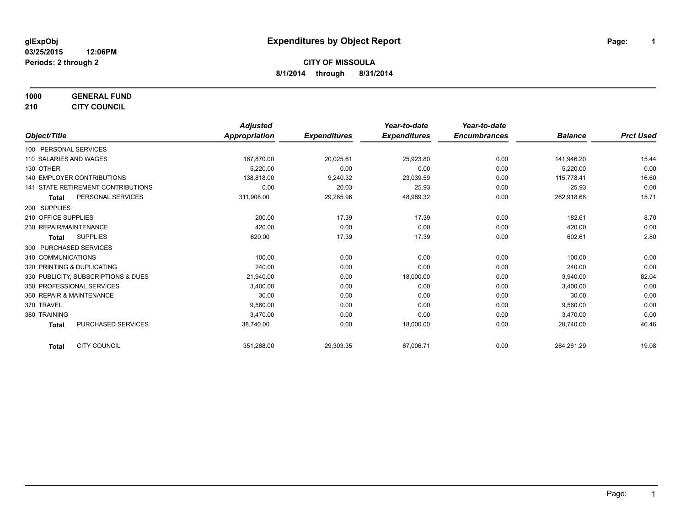**1000 GENERAL FUND**

**210 CITY COUNCIL**

|                                           | <b>Adjusted</b>      |                     | Year-to-date        | Year-to-date        |                |                  |
|-------------------------------------------|----------------------|---------------------|---------------------|---------------------|----------------|------------------|
| Object/Title                              | <b>Appropriation</b> | <b>Expenditures</b> | <b>Expenditures</b> | <b>Encumbrances</b> | <b>Balance</b> | <b>Prct Used</b> |
| 100 PERSONAL SERVICES                     |                      |                     |                     |                     |                |                  |
| 110 SALARIES AND WAGES                    | 167,870.00           | 20,025.61           | 25,923.80           | 0.00                | 141,946.20     | 15.44            |
| 130 OTHER                                 | 5,220.00             | 0.00                | 0.00                | 0.00                | 5,220.00       | 0.00             |
| 140 EMPLOYER CONTRIBUTIONS                | 138.818.00           | 9,240.32            | 23,039.59           | 0.00                | 115.778.41     | 16.60            |
| <b>141 STATE RETIREMENT CONTRIBUTIONS</b> | 0.00                 | 20.03               | 25.93               | 0.00                | $-25.93$       | 0.00             |
| PERSONAL SERVICES<br><b>Total</b>         | 311,908.00           | 29,285.96           | 48,989.32           | 0.00                | 262,918.68     | 15.71            |
| 200 SUPPLIES                              |                      |                     |                     |                     |                |                  |
| 210 OFFICE SUPPLIES                       | 200.00               | 17.39               | 17.39               | 0.00                | 182.61         | 8.70             |
| 230 REPAIR/MAINTENANCE                    | 420.00               | 0.00                | 0.00                | 0.00                | 420.00         | 0.00             |
| <b>SUPPLIES</b><br><b>Total</b>           | 620.00               | 17.39               | 17.39               | 0.00                | 602.61         | 2.80             |
| 300 PURCHASED SERVICES                    |                      |                     |                     |                     |                |                  |
| 310 COMMUNICATIONS                        | 100.00               | 0.00                | 0.00                | 0.00                | 100.00         | 0.00             |
| 320 PRINTING & DUPLICATING                | 240.00               | 0.00                | 0.00                | 0.00                | 240.00         | 0.00             |
| 330 PUBLICITY, SUBSCRIPTIONS & DUES       | 21,940.00            | 0.00                | 18,000.00           | 0.00                | 3,940.00       | 82.04            |
| 350 PROFESSIONAL SERVICES                 | 3.400.00             | 0.00                | 0.00                | 0.00                | 3,400.00       | 0.00             |
| 360 REPAIR & MAINTENANCE                  | 30.00                | 0.00                | 0.00                | 0.00                | 30.00          | 0.00             |
| 370 TRAVEL                                | 9,560.00             | 0.00                | 0.00                | 0.00                | 9,560.00       | 0.00             |
| 380 TRAINING                              | 3,470.00             | 0.00                | 0.00                | 0.00                | 3,470.00       | 0.00             |
| <b>PURCHASED SERVICES</b><br><b>Total</b> | 38,740.00            | 0.00                | 18,000.00           | 0.00                | 20,740.00      | 46.46            |
| <b>CITY COUNCIL</b><br><b>Total</b>       | 351,268.00           | 29,303.35           | 67,006.71           | 0.00                | 284,261.29     | 19.08            |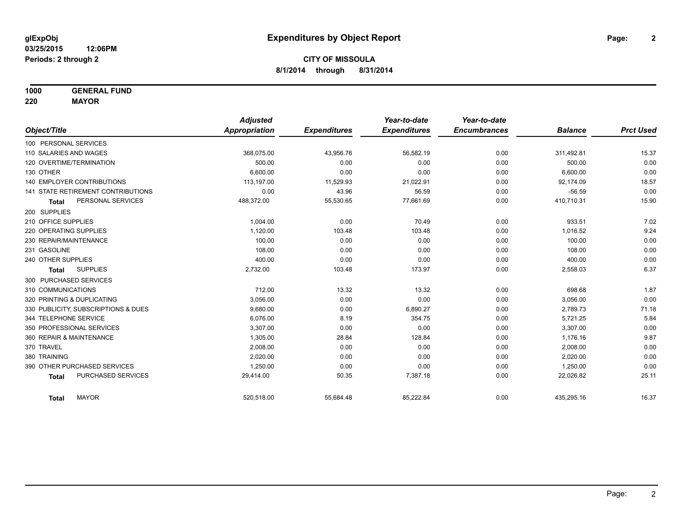**1000 GENERAL FUND**

**220 MAYOR**

|                                     | <b>Adjusted</b> |                     | Year-to-date        | Year-to-date        |                |                  |
|-------------------------------------|-----------------|---------------------|---------------------|---------------------|----------------|------------------|
| Object/Title                        | Appropriation   | <b>Expenditures</b> | <b>Expenditures</b> | <b>Encumbrances</b> | <b>Balance</b> | <b>Prct Used</b> |
| 100 PERSONAL SERVICES               |                 |                     |                     |                     |                |                  |
| 110 SALARIES AND WAGES              | 368,075.00      | 43,956.76           | 56,582.19           | 0.00                | 311,492.81     | 15.37            |
| 120 OVERTIME/TERMINATION            | 500.00          | 0.00                | 0.00                | 0.00                | 500.00         | 0.00             |
| 130 OTHER                           | 6,600.00        | 0.00                | 0.00                | 0.00                | 6,600.00       | 0.00             |
| <b>140 EMPLOYER CONTRIBUTIONS</b>   | 113,197.00      | 11,529.93           | 21,022.91           | 0.00                | 92,174.09      | 18.57            |
| 141 STATE RETIREMENT CONTRIBUTIONS  | 0.00            | 43.96               | 56.59               | 0.00                | $-56.59$       | 0.00             |
| PERSONAL SERVICES<br><b>Total</b>   | 488,372.00      | 55,530.65           | 77,661.69           | 0.00                | 410,710.31     | 15.90            |
| 200 SUPPLIES                        |                 |                     |                     |                     |                |                  |
| 210 OFFICE SUPPLIES                 | 1,004.00        | 0.00                | 70.49               | 0.00                | 933.51         | 7.02             |
| 220 OPERATING SUPPLIES              | 1.120.00        | 103.48              | 103.48              | 0.00                | 1,016.52       | 9.24             |
| 230 REPAIR/MAINTENANCE              | 100.00          | 0.00                | 0.00                | 0.00                | 100.00         | 0.00             |
| 231 GASOLINE                        | 108.00          | 0.00                | 0.00                | 0.00                | 108.00         | 0.00             |
| 240 OTHER SUPPLIES                  | 400.00          | 0.00                | 0.00                | 0.00                | 400.00         | 0.00             |
| <b>SUPPLIES</b><br><b>Total</b>     | 2,732.00        | 103.48              | 173.97              | 0.00                | 2,558.03       | 6.37             |
| 300 PURCHASED SERVICES              |                 |                     |                     |                     |                |                  |
| 310 COMMUNICATIONS                  | 712.00          | 13.32               | 13.32               | 0.00                | 698.68         | 1.87             |
| 320 PRINTING & DUPLICATING          | 3,056.00        | 0.00                | 0.00                | 0.00                | 3,056.00       | 0.00             |
| 330 PUBLICITY, SUBSCRIPTIONS & DUES | 9,680.00        | 0.00                | 6,890.27            | 0.00                | 2,789.73       | 71.18            |
| 344 TELEPHONE SERVICE               | 6.076.00        | 8.19                | 354.75              | 0.00                | 5,721.25       | 5.84             |
| 350 PROFESSIONAL SERVICES           | 3,307.00        | 0.00                | 0.00                | 0.00                | 3,307.00       | 0.00             |
| 360 REPAIR & MAINTENANCE            | 1,305.00        | 28.84               | 128.84              | 0.00                | 1,176.16       | 9.87             |
| 370 TRAVEL                          | 2,008.00        | 0.00                | 0.00                | 0.00                | 2,008.00       | 0.00             |
| 380 TRAINING                        | 2,020.00        | 0.00                | 0.00                | 0.00                | 2,020.00       | 0.00             |
| 390 OTHER PURCHASED SERVICES        | 1,250.00        | 0.00                | 0.00                | 0.00                | 1,250.00       | 0.00             |
| PURCHASED SERVICES<br><b>Total</b>  | 29,414.00       | 50.35               | 7,387.18            | 0.00                | 22,026.82      | 25.11            |
| <b>MAYOR</b><br><b>Total</b>        | 520,518.00      | 55,684.48           | 85,222.84           | 0.00                | 435,295.16     | 16.37            |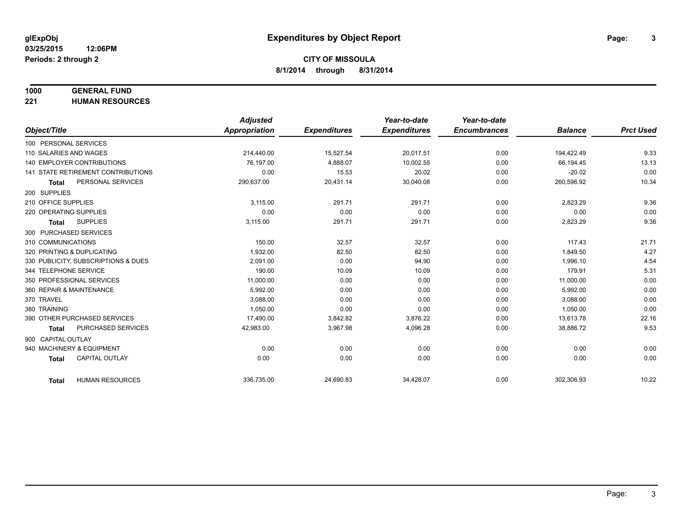# **1000 GENERAL FUND**

**221 HUMAN RESOURCES**

|                                           | <b>Adjusted</b>      |                     | Year-to-date        | Year-to-date        |                |                  |
|-------------------------------------------|----------------------|---------------------|---------------------|---------------------|----------------|------------------|
| Object/Title                              | <b>Appropriation</b> | <b>Expenditures</b> | <b>Expenditures</b> | <b>Encumbrances</b> | <b>Balance</b> | <b>Prct Used</b> |
| 100 PERSONAL SERVICES                     |                      |                     |                     |                     |                |                  |
| 110 SALARIES AND WAGES                    | 214,440.00           | 15,527.54           | 20,017.51           | 0.00                | 194,422.49     | 9.33             |
| <b>140 EMPLOYER CONTRIBUTIONS</b>         | 76.197.00            | 4,888.07            | 10,002.55           | 0.00                | 66,194.45      | 13.13            |
| <b>141 STATE RETIREMENT CONTRIBUTIONS</b> | 0.00                 | 15.53               | 20.02               | 0.00                | $-20.02$       | 0.00             |
| PERSONAL SERVICES<br><b>Total</b>         | 290,637.00           | 20,431.14           | 30,040.08           | 0.00                | 260,596.92     | 10.34            |
| 200 SUPPLIES                              |                      |                     |                     |                     |                |                  |
| 210 OFFICE SUPPLIES                       | 3.115.00             | 291.71              | 291.71              | 0.00                | 2,823.29       | 9.36             |
| 220 OPERATING SUPPLIES                    | 0.00                 | 0.00                | 0.00                | 0.00                | 0.00           | 0.00             |
| <b>SUPPLIES</b><br>Total                  | 3,115.00             | 291.71              | 291.71              | 0.00                | 2,823.29       | 9.36             |
| 300 PURCHASED SERVICES                    |                      |                     |                     |                     |                |                  |
| 310 COMMUNICATIONS                        | 150.00               | 32.57               | 32.57               | 0.00                | 117.43         | 21.71            |
| 320 PRINTING & DUPLICATING                | 1.932.00             | 82.50               | 82.50               | 0.00                | 1.849.50       | 4.27             |
| 330 PUBLICITY, SUBSCRIPTIONS & DUES       | 2,091.00             | 0.00                | 94.90               | 0.00                | 1,996.10       | 4.54             |
| 344 TELEPHONE SERVICE                     | 190.00               | 10.09               | 10.09               | 0.00                | 179.91         | 5.31             |
| 350 PROFESSIONAL SERVICES                 | 11,000.00            | 0.00                | 0.00                | 0.00                | 11,000.00      | 0.00             |
| 360 REPAIR & MAINTENANCE                  | 5,992.00             | 0.00                | 0.00                | 0.00                | 5,992.00       | 0.00             |
| 370 TRAVEL                                | 3.088.00             | 0.00                | 0.00                | 0.00                | 3.088.00       | 0.00             |
| 380 TRAINING                              | 1,050.00             | 0.00                | 0.00                | 0.00                | 1,050.00       | 0.00             |
| 390 OTHER PURCHASED SERVICES              | 17,490.00            | 3,842.82            | 3,876.22            | 0.00                | 13,613.78      | 22.16            |
| <b>PURCHASED SERVICES</b><br><b>Total</b> | 42,983.00            | 3,967.98            | 4,096.28            | 0.00                | 38,886.72      | 9.53             |
| 900 CAPITAL OUTLAY                        |                      |                     |                     |                     |                |                  |
| 940 MACHINERY & EQUIPMENT                 | 0.00                 | 0.00                | 0.00                | 0.00                | 0.00           | 0.00             |
| <b>CAPITAL OUTLAY</b><br><b>Total</b>     | 0.00                 | 0.00                | 0.00                | 0.00                | 0.00           | 0.00             |
|                                           |                      |                     |                     |                     |                |                  |
| <b>HUMAN RESOURCES</b><br><b>Total</b>    | 336,735.00           | 24,690.83           | 34,428.07           | 0.00                | 302,306.93     | 10.22            |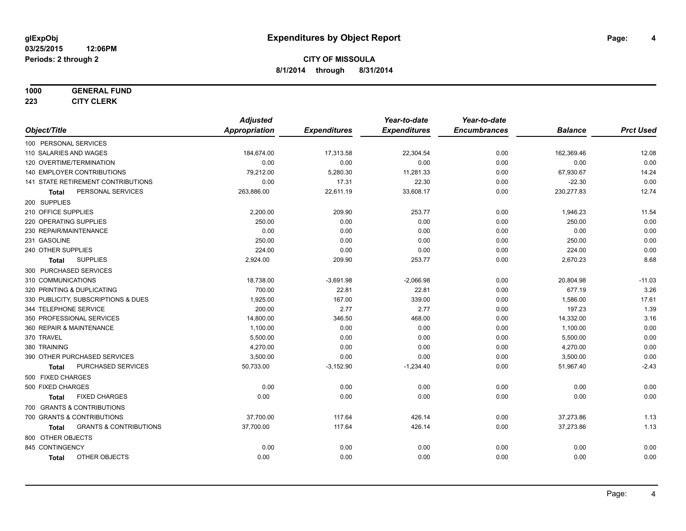#### **1000 GENERAL FUND**

**223 CITY CLERK**

|                                                   | <b>Adjusted</b>      |                     | Year-to-date        | Year-to-date        |                |                  |
|---------------------------------------------------|----------------------|---------------------|---------------------|---------------------|----------------|------------------|
| Object/Title                                      | <b>Appropriation</b> | <b>Expenditures</b> | <b>Expenditures</b> | <b>Encumbrances</b> | <b>Balance</b> | <b>Prct Used</b> |
| 100 PERSONAL SERVICES                             |                      |                     |                     |                     |                |                  |
| 110 SALARIES AND WAGES                            | 184,674.00           | 17,313.58           | 22,304.54           | 0.00                | 162,369.46     | 12.08            |
| 120 OVERTIME/TERMINATION                          | 0.00                 | 0.00                | 0.00                | 0.00                | 0.00           | 0.00             |
| 140 EMPLOYER CONTRIBUTIONS                        | 79,212.00            | 5,280.30            | 11,281.33           | 0.00                | 67,930.67      | 14.24            |
| 141 STATE RETIREMENT CONTRIBUTIONS                | 0.00                 | 17.31               | 22.30               | 0.00                | $-22.30$       | 0.00             |
| PERSONAL SERVICES<br><b>Total</b>                 | 263,886.00           | 22,611.19           | 33,608.17           | 0.00                | 230,277.83     | 12.74            |
| 200 SUPPLIES                                      |                      |                     |                     |                     |                |                  |
| 210 OFFICE SUPPLIES                               | 2,200.00             | 209.90              | 253.77              | 0.00                | 1,946.23       | 11.54            |
| 220 OPERATING SUPPLIES                            | 250.00               | 0.00                | 0.00                | 0.00                | 250.00         | 0.00             |
| 230 REPAIR/MAINTENANCE                            | 0.00                 | 0.00                | 0.00                | 0.00                | 0.00           | 0.00             |
| 231 GASOLINE                                      | 250.00               | 0.00                | 0.00                | 0.00                | 250.00         | 0.00             |
| 240 OTHER SUPPLIES                                | 224.00               | 0.00                | 0.00                | 0.00                | 224.00         | 0.00             |
| <b>SUPPLIES</b><br>Total                          | 2,924.00             | 209.90              | 253.77              | 0.00                | 2,670.23       | 8.68             |
| 300 PURCHASED SERVICES                            |                      |                     |                     |                     |                |                  |
| 310 COMMUNICATIONS                                | 18,738.00            | $-3,691.98$         | $-2,066.98$         | 0.00                | 20,804.98      | $-11.03$         |
| 320 PRINTING & DUPLICATING                        | 700.00               | 22.81               | 22.81               | 0.00                | 677.19         | 3.26             |
| 330 PUBLICITY, SUBSCRIPTIONS & DUES               | 1,925.00             | 167.00              | 339.00              | 0.00                | 1,586.00       | 17.61            |
| 344 TELEPHONE SERVICE                             | 200.00               | 2.77                | 2.77                | 0.00                | 197.23         | 1.39             |
| 350 PROFESSIONAL SERVICES                         | 14,800.00            | 346.50              | 468.00              | 0.00                | 14,332.00      | 3.16             |
| 360 REPAIR & MAINTENANCE                          | 1.100.00             | 0.00                | 0.00                | 0.00                | 1,100.00       | 0.00             |
| 370 TRAVEL                                        | 5,500.00             | 0.00                | 0.00                | 0.00                | 5,500.00       | 0.00             |
| 380 TRAINING                                      | 4,270.00             | 0.00                | 0.00                | 0.00                | 4,270.00       | 0.00             |
| 390 OTHER PURCHASED SERVICES                      | 3,500.00             | 0.00                | 0.00                | 0.00                | 3,500.00       | 0.00             |
| PURCHASED SERVICES<br><b>Total</b>                | 50,733.00            | $-3,152.90$         | $-1,234.40$         | 0.00                | 51,967.40      | $-2.43$          |
| 500 FIXED CHARGES                                 |                      |                     |                     |                     |                |                  |
| 500 FIXED CHARGES                                 | 0.00                 | 0.00                | 0.00                | 0.00                | 0.00           | 0.00             |
| <b>FIXED CHARGES</b><br><b>Total</b>              | 0.00                 | 0.00                | 0.00                | 0.00                | 0.00           | 0.00             |
| 700 GRANTS & CONTRIBUTIONS                        |                      |                     |                     |                     |                |                  |
| 700 GRANTS & CONTRIBUTIONS                        | 37,700.00            | 117.64              | 426.14              | 0.00                | 37,273.86      | 1.13             |
| <b>GRANTS &amp; CONTRIBUTIONS</b><br><b>Total</b> | 37,700.00            | 117.64              | 426.14              | 0.00                | 37,273.86      | 1.13             |
| 800 OTHER OBJECTS                                 |                      |                     |                     |                     |                |                  |
| 845 CONTINGENCY                                   | 0.00                 | 0.00                | 0.00                | 0.00                | 0.00           | 0.00             |
| OTHER OBJECTS<br><b>Total</b>                     | 0.00                 | 0.00                | 0.00                | 0.00                | 0.00           | 0.00             |
|                                                   |                      |                     |                     |                     |                |                  |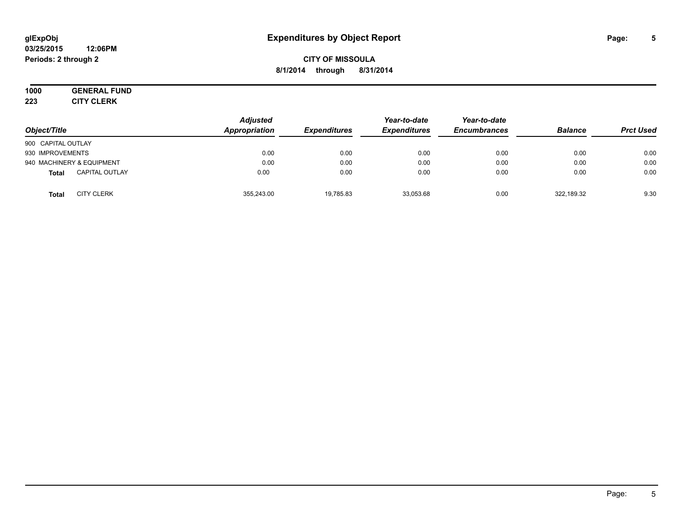#### **03/25/2015 12:06PM Periods: 2 through 2**

# **CITY OF MISSOULA 8/1/2014 through 8/31/2014**

#### **1000 GENERAL FUND 223 CITY CLERK**

| Object/Title                          | <b>Adjusted</b><br>Appropriation | <b>Expenditures</b> | Year-to-date<br><b>Expenditures</b> | Year-to-date<br><b>Encumbrances</b> | <b>Balance</b> | <b>Prct Used</b> |
|---------------------------------------|----------------------------------|---------------------|-------------------------------------|-------------------------------------|----------------|------------------|
| 900 CAPITAL OUTLAY                    |                                  |                     |                                     |                                     |                |                  |
| 930 IMPROVEMENTS                      | 0.00                             | 0.00                | 0.00                                | 0.00                                | 0.00           | 0.00             |
| 940 MACHINERY & EQUIPMENT             | 0.00                             | 0.00                | 0.00                                | 0.00                                | 0.00           | 0.00             |
| <b>CAPITAL OUTLAY</b><br><b>Total</b> | 0.00                             | 0.00                | 0.00                                | 0.00                                | 0.00           | 0.00             |
| <b>CITY CLERK</b><br><b>Total</b>     | 355,243.00                       | 19.785.83           | 33.053.68                           | 0.00                                | 322,189.32     | 9.30             |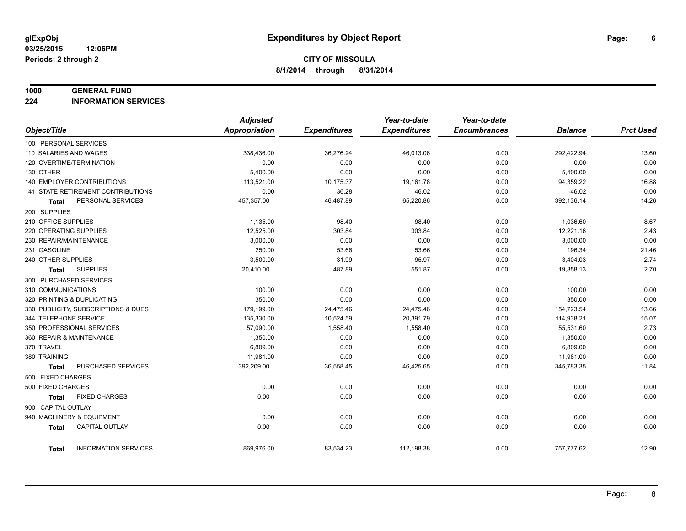#### **1000 GENERAL FUND**

**224 INFORMATION SERVICES**

|                            |                                     | <b>Adjusted</b> |                     | Year-to-date        | Year-to-date        |                |                  |
|----------------------------|-------------------------------------|-----------------|---------------------|---------------------|---------------------|----------------|------------------|
| Object/Title               |                                     | Appropriation   | <b>Expenditures</b> | <b>Expenditures</b> | <b>Encumbrances</b> | <b>Balance</b> | <b>Prct Used</b> |
| 100 PERSONAL SERVICES      |                                     |                 |                     |                     |                     |                |                  |
| 110 SALARIES AND WAGES     |                                     | 338,436.00      | 36,276.24           | 46,013.06           | 0.00                | 292,422.94     | 13.60            |
| 120 OVERTIME/TERMINATION   |                                     | 0.00            | 0.00                | 0.00                | 0.00                | 0.00           | 0.00             |
| 130 OTHER                  |                                     | 5,400.00        | 0.00                | 0.00                | 0.00                | 5,400.00       | 0.00             |
| 140 EMPLOYER CONTRIBUTIONS |                                     | 113,521.00      | 10,175.37           | 19,161.78           | 0.00                | 94,359.22      | 16.88            |
|                            | 141 STATE RETIREMENT CONTRIBUTIONS  | 0.00            | 36.28               | 46.02               | 0.00                | $-46.02$       | 0.00             |
| Total                      | PERSONAL SERVICES                   | 457,357.00      | 46,487.89           | 65,220.86           | 0.00                | 392,136.14     | 14.26            |
| 200 SUPPLIES               |                                     |                 |                     |                     |                     |                |                  |
| 210 OFFICE SUPPLIES        |                                     | 1,135.00        | 98.40               | 98.40               | 0.00                | 1,036.60       | 8.67             |
| 220 OPERATING SUPPLIES     |                                     | 12,525.00       | 303.84              | 303.84              | 0.00                | 12,221.16      | 2.43             |
| 230 REPAIR/MAINTENANCE     |                                     | 3,000.00        | 0.00                | 0.00                | 0.00                | 3,000.00       | 0.00             |
| 231 GASOLINE               |                                     | 250.00          | 53.66               | 53.66               | 0.00                | 196.34         | 21.46            |
| 240 OTHER SUPPLIES         |                                     | 3,500.00        | 31.99               | 95.97               | 0.00                | 3,404.03       | 2.74             |
| Total                      | <b>SUPPLIES</b>                     | 20,410.00       | 487.89              | 551.87              | 0.00                | 19,858.13      | 2.70             |
| 300 PURCHASED SERVICES     |                                     |                 |                     |                     |                     |                |                  |
| 310 COMMUNICATIONS         |                                     | 100.00          | 0.00                | 0.00                | 0.00                | 100.00         | 0.00             |
| 320 PRINTING & DUPLICATING |                                     | 350.00          | 0.00                | 0.00                | 0.00                | 350.00         | 0.00             |
|                            | 330 PUBLICITY, SUBSCRIPTIONS & DUES | 179,199.00      | 24,475.46           | 24,475.46           | 0.00                | 154,723.54     | 13.66            |
| 344 TELEPHONE SERVICE      |                                     | 135,330.00      | 10,524.59           | 20,391.79           | 0.00                | 114,938.21     | 15.07            |
| 350 PROFESSIONAL SERVICES  |                                     | 57,090.00       | 1,558.40            | 1,558.40            | 0.00                | 55,531.60      | 2.73             |
| 360 REPAIR & MAINTENANCE   |                                     | 1,350.00        | 0.00                | 0.00                | 0.00                | 1,350.00       | 0.00             |
| 370 TRAVEL                 |                                     | 6,809.00        | 0.00                | 0.00                | 0.00                | 6,809.00       | 0.00             |
| 380 TRAINING               |                                     | 11,981.00       | 0.00                | 0.00                | 0.00                | 11,981.00      | 0.00             |
| <b>Total</b>               | PURCHASED SERVICES                  | 392,209.00      | 36,558.45           | 46,425.65           | 0.00                | 345,783.35     | 11.84            |
| 500 FIXED CHARGES          |                                     |                 |                     |                     |                     |                |                  |
| 500 FIXED CHARGES          |                                     | 0.00            | 0.00                | 0.00                | 0.00                | 0.00           | 0.00             |
| Total                      | <b>FIXED CHARGES</b>                | 0.00            | 0.00                | 0.00                | 0.00                | 0.00           | 0.00             |
| 900 CAPITAL OUTLAY         |                                     |                 |                     |                     |                     |                |                  |
| 940 MACHINERY & EQUIPMENT  |                                     | 0.00            | 0.00                | 0.00                | 0.00                | 0.00           | 0.00             |
| <b>Total</b>               | <b>CAPITAL OUTLAY</b>               | 0.00            | 0.00                | 0.00                | 0.00                | 0.00           | 0.00             |
|                            |                                     |                 |                     |                     |                     |                |                  |
| Total                      | <b>INFORMATION SERVICES</b>         | 869,976.00      | 83,534.23           | 112,198.38          | 0.00                | 757,777.62     | 12.90            |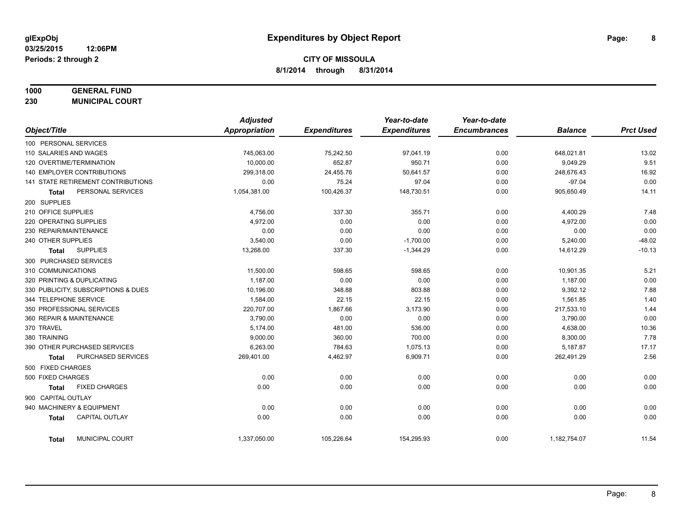# **1000 GENERAL FUND**

**230 MUNICIPAL COURT**

|                                       | <b>Adjusted</b> |                     | Year-to-date        | Year-to-date        |                |                  |
|---------------------------------------|-----------------|---------------------|---------------------|---------------------|----------------|------------------|
| Object/Title                          | Appropriation   | <b>Expenditures</b> | <b>Expenditures</b> | <b>Encumbrances</b> | <b>Balance</b> | <b>Prct Used</b> |
| 100 PERSONAL SERVICES                 |                 |                     |                     |                     |                |                  |
| 110 SALARIES AND WAGES                | 745,063.00      | 75,242.50           | 97,041.19           | 0.00                | 648,021.81     | 13.02            |
| 120 OVERTIME/TERMINATION              | 10.000.00       | 652.87              | 950.71              | 0.00                | 9,049.29       | 9.51             |
| 140 EMPLOYER CONTRIBUTIONS            | 299,318.00      | 24,455.76           | 50,641.57           | 0.00                | 248,676.43     | 16.92            |
| 141 STATE RETIREMENT CONTRIBUTIONS    | 0.00            | 75.24               | 97.04               | 0.00                | $-97.04$       | 0.00             |
| PERSONAL SERVICES<br><b>Total</b>     | 1,054,381.00    | 100,426.37          | 148,730.51          | 0.00                | 905,650.49     | 14.11            |
| 200 SUPPLIES                          |                 |                     |                     |                     |                |                  |
| 210 OFFICE SUPPLIES                   | 4,756.00        | 337.30              | 355.71              | 0.00                | 4,400.29       | 7.48             |
| 220 OPERATING SUPPLIES                | 4,972.00        | 0.00                | 0.00                | 0.00                | 4,972.00       | 0.00             |
| 230 REPAIR/MAINTENANCE                | 0.00            | 0.00                | 0.00                | 0.00                | 0.00           | 0.00             |
| 240 OTHER SUPPLIES                    | 3,540.00        | 0.00                | $-1,700.00$         | 0.00                | 5,240.00       | $-48.02$         |
| <b>SUPPLIES</b><br>Total              | 13,268.00       | 337.30              | $-1,344.29$         | 0.00                | 14,612.29      | $-10.13$         |
| 300 PURCHASED SERVICES                |                 |                     |                     |                     |                |                  |
| 310 COMMUNICATIONS                    | 11,500.00       | 598.65              | 598.65              | 0.00                | 10,901.35      | 5.21             |
| 320 PRINTING & DUPLICATING            | 1,187.00        | 0.00                | 0.00                | 0.00                | 1,187.00       | 0.00             |
| 330 PUBLICITY, SUBSCRIPTIONS & DUES   | 10,196.00       | 348.88              | 803.88              | 0.00                | 9,392.12       | 7.88             |
| 344 TELEPHONE SERVICE                 | 1,584.00        | 22.15               | 22.15               | 0.00                | 1,561.85       | 1.40             |
| 350 PROFESSIONAL SERVICES             | 220,707.00      | 1,867.66            | 3,173.90            | 0.00                | 217,533.10     | 1.44             |
| 360 REPAIR & MAINTENANCE              | 3,790.00        | 0.00                | 0.00                | 0.00                | 3,790.00       | 0.00             |
| 370 TRAVEL                            | 5,174.00        | 481.00              | 536.00              | 0.00                | 4,638.00       | 10.36            |
| 380 TRAINING                          | 9,000.00        | 360.00              | 700.00              | 0.00                | 8,300.00       | 7.78             |
| 390 OTHER PURCHASED SERVICES          | 6,263.00        | 784.63              | 1,075.13            | 0.00                | 5,187.87       | 17.17            |
| PURCHASED SERVICES<br><b>Total</b>    | 269,401.00      | 4,462.97            | 6,909.71            | 0.00                | 262,491.29     | 2.56             |
| 500 FIXED CHARGES                     |                 |                     |                     |                     |                |                  |
| 500 FIXED CHARGES                     | 0.00            | 0.00                | 0.00                | 0.00                | 0.00           | 0.00             |
| <b>FIXED CHARGES</b><br>Total         | 0.00            | 0.00                | 0.00                | 0.00                | 0.00           | 0.00             |
| 900 CAPITAL OUTLAY                    |                 |                     |                     |                     |                |                  |
| 940 MACHINERY & EQUIPMENT             | 0.00            | 0.00                | 0.00                | 0.00                | 0.00           | 0.00             |
| <b>CAPITAL OUTLAY</b><br><b>Total</b> | 0.00            | 0.00                | 0.00                | 0.00                | 0.00           | 0.00             |
| MUNICIPAL COURT<br><b>Total</b>       | 1,337,050.00    | 105,226.64          | 154,295.93          | 0.00                | 1,182,754.07   | 11.54            |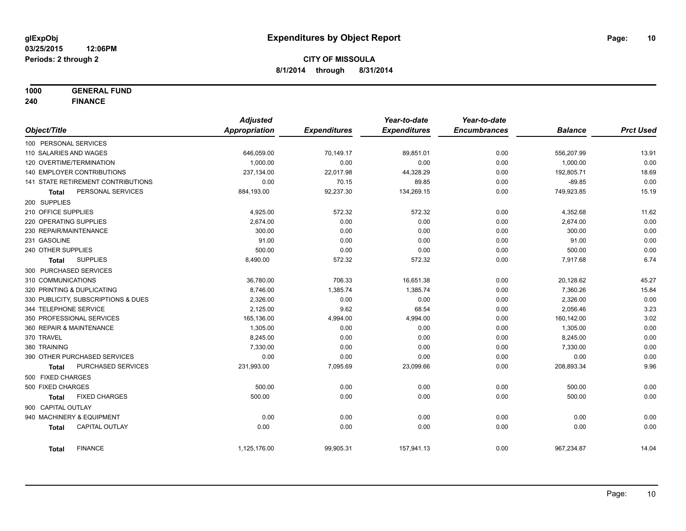**1000 GENERAL FUND**

**240 FINANCE**

|                            |                                     | <b>Adjusted</b>      |                     | Year-to-date        | Year-to-date        |                |                  |
|----------------------------|-------------------------------------|----------------------|---------------------|---------------------|---------------------|----------------|------------------|
| Object/Title               |                                     | <b>Appropriation</b> | <b>Expenditures</b> | <b>Expenditures</b> | <b>Encumbrances</b> | <b>Balance</b> | <b>Prct Used</b> |
| 100 PERSONAL SERVICES      |                                     |                      |                     |                     |                     |                |                  |
| 110 SALARIES AND WAGES     |                                     | 646,059.00           | 70,149.17           | 89,851.01           | 0.00                | 556,207.99     | 13.91            |
| 120 OVERTIME/TERMINATION   |                                     | 1,000.00             | 0.00                | 0.00                | 0.00                | 1,000.00       | 0.00             |
|                            | 140 EMPLOYER CONTRIBUTIONS          | 237,134.00           | 22,017.98           | 44,328.29           | 0.00                | 192,805.71     | 18.69            |
|                            | 141 STATE RETIREMENT CONTRIBUTIONS  | 0.00                 | 70.15               | 89.85               | 0.00                | $-89.85$       | 0.00             |
| <b>Total</b>               | PERSONAL SERVICES                   | 884,193.00           | 92,237.30           | 134,269.15          | 0.00                | 749,923.85     | 15.19            |
| 200 SUPPLIES               |                                     |                      |                     |                     |                     |                |                  |
| 210 OFFICE SUPPLIES        |                                     | 4,925.00             | 572.32              | 572.32              | 0.00                | 4,352.68       | 11.62            |
| 220 OPERATING SUPPLIES     |                                     | 2,674.00             | 0.00                | 0.00                | 0.00                | 2,674.00       | 0.00             |
| 230 REPAIR/MAINTENANCE     |                                     | 300.00               | 0.00                | 0.00                | 0.00                | 300.00         | 0.00             |
| 231 GASOLINE               |                                     | 91.00                | 0.00                | 0.00                | 0.00                | 91.00          | 0.00             |
| 240 OTHER SUPPLIES         |                                     | 500.00               | 0.00                | 0.00                | 0.00                | 500.00         | 0.00             |
| Total                      | <b>SUPPLIES</b>                     | 8,490.00             | 572.32              | 572.32              | 0.00                | 7,917.68       | 6.74             |
| 300 PURCHASED SERVICES     |                                     |                      |                     |                     |                     |                |                  |
| 310 COMMUNICATIONS         |                                     | 36,780.00            | 706.33              | 16,651.38           | 0.00                | 20,128.62      | 45.27            |
| 320 PRINTING & DUPLICATING |                                     | 8.746.00             | 1,385.74            | 1,385.74            | 0.00                | 7,360.26       | 15.84            |
|                            | 330 PUBLICITY, SUBSCRIPTIONS & DUES | 2,326.00             | 0.00                | 0.00                | 0.00                | 2,326.00       | 0.00             |
| 344 TELEPHONE SERVICE      |                                     | 2,125.00             | 9.62                | 68.54               | 0.00                | 2,056.46       | 3.23             |
|                            | 350 PROFESSIONAL SERVICES           | 165,136.00           | 4,994.00            | 4,994.00            | 0.00                | 160,142.00     | 3.02             |
| 360 REPAIR & MAINTENANCE   |                                     | 1,305.00             | 0.00                | 0.00                | 0.00                | 1,305.00       | 0.00             |
| 370 TRAVEL                 |                                     | 8,245.00             | 0.00                | 0.00                | 0.00                | 8,245.00       | 0.00             |
| 380 TRAINING               |                                     | 7,330.00             | 0.00                | 0.00                | 0.00                | 7,330.00       | 0.00             |
|                            | 390 OTHER PURCHASED SERVICES        | 0.00                 | 0.00                | 0.00                | 0.00                | 0.00           | 0.00             |
| <b>Total</b>               | PURCHASED SERVICES                  | 231,993.00           | 7,095.69            | 23,099.66           | 0.00                | 208,893.34     | 9.96             |
| 500 FIXED CHARGES          |                                     |                      |                     |                     |                     |                |                  |
| 500 FIXED CHARGES          |                                     | 500.00               | 0.00                | 0.00                | 0.00                | 500.00         | 0.00             |
| <b>Total</b>               | <b>FIXED CHARGES</b>                | 500.00               | 0.00                | 0.00                | 0.00                | 500.00         | 0.00             |
| 900 CAPITAL OUTLAY         |                                     |                      |                     |                     |                     |                |                  |
|                            | 940 MACHINERY & EQUIPMENT           | 0.00                 | 0.00                | 0.00                | 0.00                | 0.00           | 0.00             |
| <b>Total</b>               | <b>CAPITAL OUTLAY</b>               | 0.00                 | 0.00                | 0.00                | 0.00                | 0.00           | 0.00             |
| <b>Total</b>               | <b>FINANCE</b>                      | 1,125,176.00         | 99,905.31           | 157,941.13          | 0.00                | 967,234.87     | 14.04            |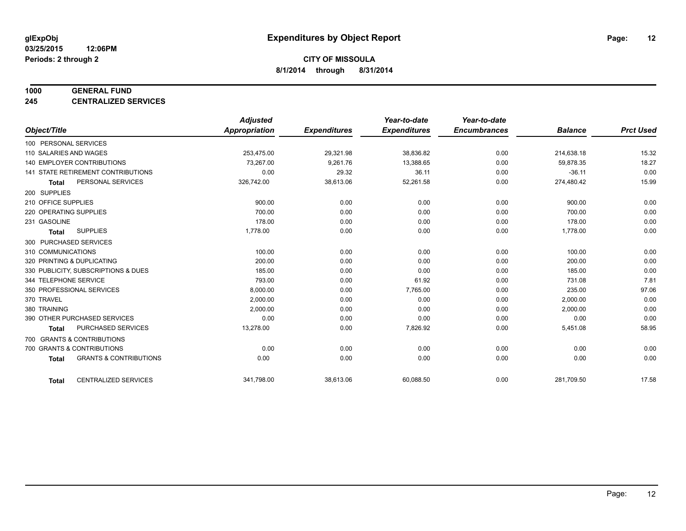#### **1000 GENERAL FUND**

**245 CENTRALIZED SERVICES**

|                                   |                                           | <b>Adjusted</b>      |                     | Year-to-date        | Year-to-date        |                |                  |
|-----------------------------------|-------------------------------------------|----------------------|---------------------|---------------------|---------------------|----------------|------------------|
| Object/Title                      |                                           | <b>Appropriation</b> | <b>Expenditures</b> | <b>Expenditures</b> | <b>Encumbrances</b> | <b>Balance</b> | <b>Prct Used</b> |
| 100 PERSONAL SERVICES             |                                           |                      |                     |                     |                     |                |                  |
| 110 SALARIES AND WAGES            |                                           | 253,475.00           | 29,321.98           | 38,836.82           | 0.00                | 214,638.18     | 15.32            |
| <b>140 EMPLOYER CONTRIBUTIONS</b> |                                           | 73,267.00            | 9,261.76            | 13,388.65           | 0.00                | 59,878.35      | 18.27            |
|                                   | <b>141 STATE RETIREMENT CONTRIBUTIONS</b> | 0.00                 | 29.32               | 36.11               | 0.00                | $-36.11$       | 0.00             |
| <b>Total</b>                      | PERSONAL SERVICES                         | 326,742.00           | 38,613.06           | 52,261.58           | 0.00                | 274,480.42     | 15.99            |
| 200 SUPPLIES                      |                                           |                      |                     |                     |                     |                |                  |
| 210 OFFICE SUPPLIES               |                                           | 900.00               | 0.00                | 0.00                | 0.00                | 900.00         | 0.00             |
| 220 OPERATING SUPPLIES            |                                           | 700.00               | 0.00                | 0.00                | 0.00                | 700.00         | 0.00             |
| 231 GASOLINE                      |                                           | 178.00               | 0.00                | 0.00                | 0.00                | 178.00         | 0.00             |
| <b>Total</b>                      | <b>SUPPLIES</b>                           | 1,778.00             | 0.00                | 0.00                | 0.00                | 1,778.00       | 0.00             |
| 300 PURCHASED SERVICES            |                                           |                      |                     |                     |                     |                |                  |
| 310 COMMUNICATIONS                |                                           | 100.00               | 0.00                | 0.00                | 0.00                | 100.00         | 0.00             |
| 320 PRINTING & DUPLICATING        |                                           | 200.00               | 0.00                | 0.00                | 0.00                | 200.00         | 0.00             |
|                                   | 330 PUBLICITY, SUBSCRIPTIONS & DUES       | 185.00               | 0.00                | 0.00                | 0.00                | 185.00         | 0.00             |
| 344 TELEPHONE SERVICE             |                                           | 793.00               | 0.00                | 61.92               | 0.00                | 731.08         | 7.81             |
| 350 PROFESSIONAL SERVICES         |                                           | 8,000.00             | 0.00                | 7,765.00            | 0.00                | 235.00         | 97.06            |
| 370 TRAVEL                        |                                           | 2,000.00             | 0.00                | 0.00                | 0.00                | 2,000.00       | 0.00             |
| 380 TRAINING                      |                                           | 2,000.00             | 0.00                | 0.00                | 0.00                | 2,000.00       | 0.00             |
| 390 OTHER PURCHASED SERVICES      |                                           | 0.00                 | 0.00                | 0.00                | 0.00                | 0.00           | 0.00             |
| <b>Total</b>                      | <b>PURCHASED SERVICES</b>                 | 13,278.00            | 0.00                | 7,826.92            | 0.00                | 5,451.08       | 58.95            |
| 700 GRANTS & CONTRIBUTIONS        |                                           |                      |                     |                     |                     |                |                  |
| 700 GRANTS & CONTRIBUTIONS        |                                           | 0.00                 | 0.00                | 0.00                | 0.00                | 0.00           | 0.00             |
| <b>Total</b>                      | <b>GRANTS &amp; CONTRIBUTIONS</b>         | 0.00                 | 0.00                | 0.00                | 0.00                | 0.00           | 0.00             |
| <b>Total</b>                      | <b>CENTRALIZED SERVICES</b>               | 341,798.00           | 38,613.06           | 60,088.50           | 0.00                | 281,709.50     | 17.58            |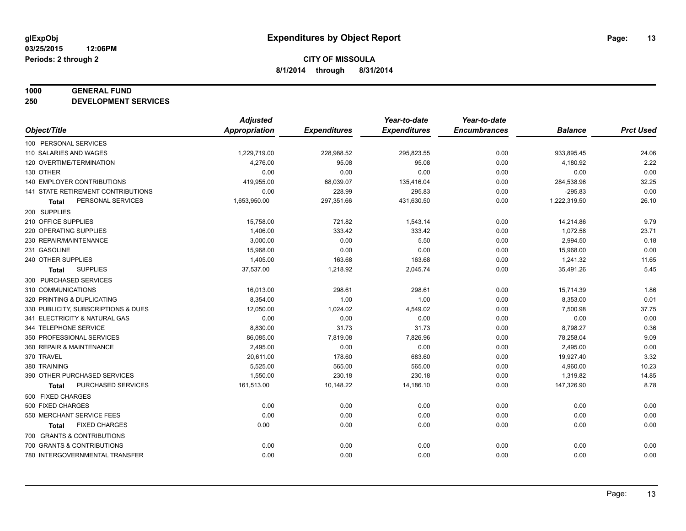#### **1000 GENERAL FUND**

**250 DEVELOPMENT SERVICES**

|                                     | <b>Adjusted</b>      |                     | Year-to-date        | Year-to-date        |                |                  |
|-------------------------------------|----------------------|---------------------|---------------------|---------------------|----------------|------------------|
| Object/Title                        | <b>Appropriation</b> | <b>Expenditures</b> | <b>Expenditures</b> | <b>Encumbrances</b> | <b>Balance</b> | <b>Prct Used</b> |
| 100 PERSONAL SERVICES               |                      |                     |                     |                     |                |                  |
| 110 SALARIES AND WAGES              | 1,229,719.00         | 228,988.52          | 295,823.55          | 0.00                | 933,895.45     | 24.06            |
| 120 OVERTIME/TERMINATION            | 4,276.00             | 95.08               | 95.08               | 0.00                | 4,180.92       | 2.22             |
| 130 OTHER                           | 0.00                 | 0.00                | 0.00                | 0.00                | 0.00           | 0.00             |
| 140 EMPLOYER CONTRIBUTIONS          | 419,955.00           | 68,039.07           | 135,416.04          | 0.00                | 284,538.96     | 32.25            |
| 141 STATE RETIREMENT CONTRIBUTIONS  | 0.00                 | 228.99              | 295.83              | 0.00                | $-295.83$      | 0.00             |
| PERSONAL SERVICES<br><b>Total</b>   | 1,653,950.00         | 297,351.66          | 431,630.50          | 0.00                | 1,222,319.50   | 26.10            |
| 200 SUPPLIES                        |                      |                     |                     |                     |                |                  |
| 210 OFFICE SUPPLIES                 | 15,758.00            | 721.82              | 1,543.14            | 0.00                | 14,214.86      | 9.79             |
| 220 OPERATING SUPPLIES              | 1,406.00             | 333.42              | 333.42              | 0.00                | 1,072.58       | 23.71            |
| 230 REPAIR/MAINTENANCE              | 3,000.00             | 0.00                | 5.50                | 0.00                | 2,994.50       | 0.18             |
| 231 GASOLINE                        | 15,968.00            | 0.00                | 0.00                | 0.00                | 15,968.00      | 0.00             |
| 240 OTHER SUPPLIES                  | 1,405.00             | 163.68              | 163.68              | 0.00                | 1,241.32       | 11.65            |
| <b>SUPPLIES</b><br>Total            | 37,537.00            | 1,218.92            | 2,045.74            | 0.00                | 35,491.26      | 5.45             |
| 300 PURCHASED SERVICES              |                      |                     |                     |                     |                |                  |
| 310 COMMUNICATIONS                  | 16,013.00            | 298.61              | 298.61              | 0.00                | 15,714.39      | 1.86             |
| 320 PRINTING & DUPLICATING          | 8,354.00             | 1.00                | 1.00                | 0.00                | 8,353.00       | 0.01             |
| 330 PUBLICITY, SUBSCRIPTIONS & DUES | 12,050.00            | 1,024.02            | 4,549.02            | 0.00                | 7,500.98       | 37.75            |
| 341 ELECTRICITY & NATURAL GAS       | 0.00                 | 0.00                | 0.00                | 0.00                | 0.00           | 0.00             |
| 344 TELEPHONE SERVICE               | 8,830.00             | 31.73               | 31.73               | 0.00                | 8,798.27       | 0.36             |
| 350 PROFESSIONAL SERVICES           | 86,085.00            | 7,819.08            | 7,826.96            | 0.00                | 78,258.04      | 9.09             |
| 360 REPAIR & MAINTENANCE            | 2,495.00             | 0.00                | 0.00                | 0.00                | 2,495.00       | 0.00             |
| 370 TRAVEL                          | 20,611.00            | 178.60              | 683.60              | 0.00                | 19,927.40      | 3.32             |
| 380 TRAINING                        | 5,525.00             | 565.00              | 565.00              | 0.00                | 4,960.00       | 10.23            |
| 390 OTHER PURCHASED SERVICES        | 1,550.00             | 230.18              | 230.18              | 0.00                | 1,319.82       | 14.85            |
| PURCHASED SERVICES<br><b>Total</b>  | 161,513.00           | 10,148.22           | 14,186.10           | 0.00                | 147,326.90     | 8.78             |
| 500 FIXED CHARGES                   |                      |                     |                     |                     |                |                  |
| 500 FIXED CHARGES                   | 0.00                 | 0.00                | 0.00                | 0.00                | 0.00           | 0.00             |
| 550 MERCHANT SERVICE FEES           | 0.00                 | 0.00                | 0.00                | 0.00                | 0.00           | 0.00             |
| <b>FIXED CHARGES</b><br>Total       | 0.00                 | 0.00                | 0.00                | 0.00                | 0.00           | 0.00             |
| 700 GRANTS & CONTRIBUTIONS          |                      |                     |                     |                     |                |                  |
| 700 GRANTS & CONTRIBUTIONS          | 0.00                 | 0.00                | 0.00                | 0.00                | 0.00           | 0.00             |
| 780 INTERGOVERNMENTAL TRANSFER      | 0.00                 | 0.00                | 0.00                | 0.00                | 0.00           | 0.00             |
|                                     |                      |                     |                     |                     |                |                  |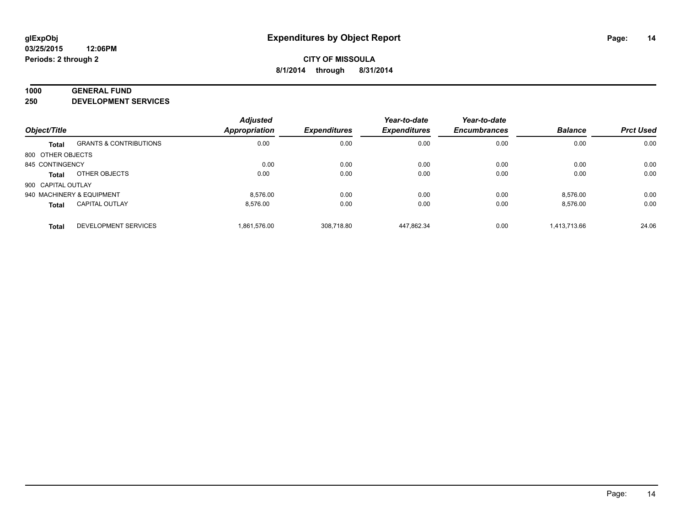#### **1000 GENERAL FUND**

**250 DEVELOPMENT SERVICES**

| Object/Title              |                                   | <b>Adjusted</b>      | <b>Expenditures</b> | Year-to-date<br><b>Expenditures</b> | Year-to-date<br><b>Encumbrances</b> | <b>Balance</b> | <b>Prct Used</b> |
|---------------------------|-----------------------------------|----------------------|---------------------|-------------------------------------|-------------------------------------|----------------|------------------|
|                           |                                   | <b>Appropriation</b> |                     |                                     |                                     |                |                  |
| <b>Total</b>              | <b>GRANTS &amp; CONTRIBUTIONS</b> | 0.00                 | 0.00                | 0.00                                | 0.00                                | 0.00           | 0.00             |
| 800 OTHER OBJECTS         |                                   |                      |                     |                                     |                                     |                |                  |
| 845 CONTINGENCY           |                                   | 0.00                 | 0.00                | 0.00                                | 0.00                                | 0.00           | 0.00             |
| Total                     | OTHER OBJECTS                     | 0.00                 | 0.00                | 0.00                                | 0.00                                | 0.00           | 0.00             |
| 900 CAPITAL OUTLAY        |                                   |                      |                     |                                     |                                     |                |                  |
| 940 MACHINERY & EQUIPMENT |                                   | 8.576.00             | 0.00                | 0.00                                | 0.00                                | 8,576.00       | 0.00             |
| <b>Total</b>              | <b>CAPITAL OUTLAY</b>             | 8.576.00             | 0.00                | 0.00                                | 0.00                                | 8,576.00       | 0.00             |
| <b>Total</b>              | <b>DEVELOPMENT SERVICES</b>       | 1.861.576.00         | 308.718.80          | 447.862.34                          | 0.00                                | 1.413.713.66   | 24.06            |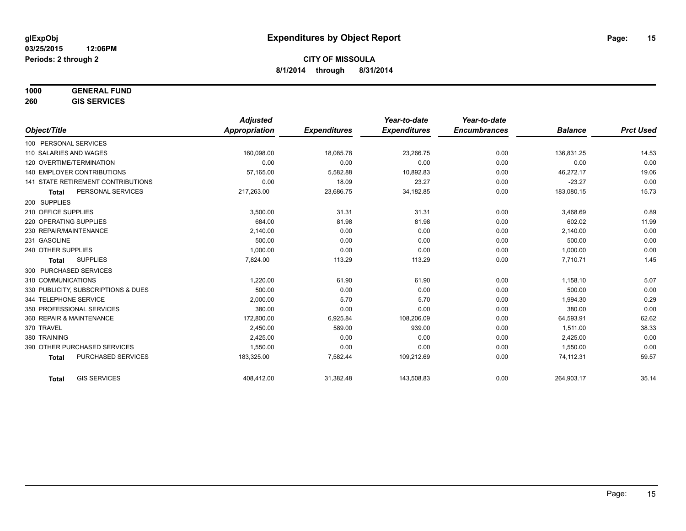# **1000 GENERAL FUND**

**260 GIS SERVICES**

|                                           | <b>Adjusted</b>      |                     | Year-to-date        | Year-to-date        |                |                  |
|-------------------------------------------|----------------------|---------------------|---------------------|---------------------|----------------|------------------|
| Object/Title                              | <b>Appropriation</b> | <b>Expenditures</b> | <b>Expenditures</b> | <b>Encumbrances</b> | <b>Balance</b> | <b>Prct Used</b> |
| 100 PERSONAL SERVICES                     |                      |                     |                     |                     |                |                  |
| 110 SALARIES AND WAGES                    | 160,098.00           | 18,085.78           | 23,266.75           | 0.00                | 136,831.25     | 14.53            |
| 120 OVERTIME/TERMINATION                  | 0.00                 | 0.00                | 0.00                | 0.00                | 0.00           | 0.00             |
| <b>140 EMPLOYER CONTRIBUTIONS</b>         | 57,165.00            | 5,582.88            | 10,892.83           | 0.00                | 46,272.17      | 19.06            |
| <b>141 STATE RETIREMENT CONTRIBUTIONS</b> | 0.00                 | 18.09               | 23.27               | 0.00                | $-23.27$       | 0.00             |
| PERSONAL SERVICES<br><b>Total</b>         | 217,263.00           | 23,686.75           | 34,182.85           | 0.00                | 183,080.15     | 15.73            |
| 200 SUPPLIES                              |                      |                     |                     |                     |                |                  |
| 210 OFFICE SUPPLIES                       | 3,500.00             | 31.31               | 31.31               | 0.00                | 3,468.69       | 0.89             |
| 220 OPERATING SUPPLIES                    | 684.00               | 81.98               | 81.98               | 0.00                | 602.02         | 11.99            |
| 230 REPAIR/MAINTENANCE                    | 2.140.00             | 0.00                | 0.00                | 0.00                | 2,140.00       | 0.00             |
| 231 GASOLINE                              | 500.00               | 0.00                | 0.00                | 0.00                | 500.00         | 0.00             |
| 240 OTHER SUPPLIES                        | 1,000.00             | 0.00                | 0.00                | 0.00                | 1,000.00       | 0.00             |
| <b>SUPPLIES</b><br>Total                  | 7,824.00             | 113.29              | 113.29              | 0.00                | 7,710.71       | 1.45             |
| 300 PURCHASED SERVICES                    |                      |                     |                     |                     |                |                  |
| 310 COMMUNICATIONS                        | 1.220.00             | 61.90               | 61.90               | 0.00                | 1,158.10       | 5.07             |
| 330 PUBLICITY, SUBSCRIPTIONS & DUES       | 500.00               | 0.00                | 0.00                | 0.00                | 500.00         | 0.00             |
| 344 TELEPHONE SERVICE                     | 2,000.00             | 5.70                | 5.70                | 0.00                | 1,994.30       | 0.29             |
| 350 PROFESSIONAL SERVICES                 | 380.00               | 0.00                | 0.00                | 0.00                | 380.00         | 0.00             |
| 360 REPAIR & MAINTENANCE                  | 172,800.00           | 6,925.84            | 108,206.09          | 0.00                | 64,593.91      | 62.62            |
| 370 TRAVEL                                | 2,450.00             | 589.00              | 939.00              | 0.00                | 1,511.00       | 38.33            |
| 380 TRAINING                              | 2,425.00             | 0.00                | 0.00                | 0.00                | 2,425.00       | 0.00             |
| 390 OTHER PURCHASED SERVICES              | 1,550.00             | 0.00                | 0.00                | 0.00                | 1,550.00       | 0.00             |
| <b>PURCHASED SERVICES</b><br><b>Total</b> | 183,325.00           | 7,582.44            | 109,212.69          | 0.00                | 74,112.31      | 59.57            |
|                                           |                      |                     |                     |                     |                |                  |
| <b>GIS SERVICES</b><br><b>Total</b>       | 408,412.00           | 31,382.48           | 143,508.83          | 0.00                | 264,903.17     | 35.14            |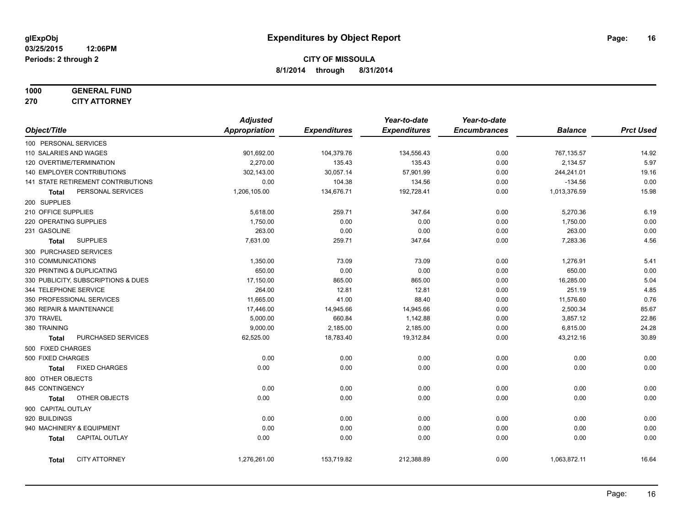# **1000 GENERAL FUND**

**270 CITY ATTORNEY**

|                          |                                     | <b>Adjusted</b> |                     | Year-to-date        | Year-to-date        |                |                  |
|--------------------------|-------------------------------------|-----------------|---------------------|---------------------|---------------------|----------------|------------------|
| Object/Title             |                                     | Appropriation   | <b>Expenditures</b> | <b>Expenditures</b> | <b>Encumbrances</b> | <b>Balance</b> | <b>Prct Used</b> |
| 100 PERSONAL SERVICES    |                                     |                 |                     |                     |                     |                |                  |
| 110 SALARIES AND WAGES   |                                     | 901,692.00      | 104,379.76          | 134,556.43          | 0.00                | 767,135.57     | 14.92            |
|                          | 120 OVERTIME/TERMINATION            | 2,270.00        | 135.43              | 135.43              | 0.00                | 2,134.57       | 5.97             |
|                          | 140 EMPLOYER CONTRIBUTIONS          | 302,143.00      | 30,057.14           | 57,901.99           | 0.00                | 244,241.01     | 19.16            |
|                          | 141 STATE RETIREMENT CONTRIBUTIONS  | 0.00            | 104.38              | 134.56              | 0.00                | $-134.56$      | 0.00             |
| Total                    | PERSONAL SERVICES                   | 1,206,105.00    | 134,676.71          | 192,728.41          | 0.00                | 1,013,376.59   | 15.98            |
| 200 SUPPLIES             |                                     |                 |                     |                     |                     |                |                  |
| 210 OFFICE SUPPLIES      |                                     | 5,618.00        | 259.71              | 347.64              | 0.00                | 5,270.36       | 6.19             |
| 220 OPERATING SUPPLIES   |                                     | 1,750.00        | 0.00                | 0.00                | 0.00                | 1,750.00       | 0.00             |
| 231 GASOLINE             |                                     | 263.00          | 0.00                | 0.00                | 0.00                | 263.00         | 0.00             |
| <b>Total</b>             | <b>SUPPLIES</b>                     | 7,631.00        | 259.71              | 347.64              | 0.00                | 7,283.36       | 4.56             |
| 300 PURCHASED SERVICES   |                                     |                 |                     |                     |                     |                |                  |
| 310 COMMUNICATIONS       |                                     | 1,350.00        | 73.09               | 73.09               | 0.00                | 1,276.91       | 5.41             |
|                          | 320 PRINTING & DUPLICATING          | 650.00          | 0.00                | 0.00                | 0.00                | 650.00         | 0.00             |
|                          | 330 PUBLICITY, SUBSCRIPTIONS & DUES | 17,150.00       | 865.00              | 865.00              | 0.00                | 16,285.00      | 5.04             |
| 344 TELEPHONE SERVICE    |                                     | 264.00          | 12.81               | 12.81               | 0.00                | 251.19         | 4.85             |
|                          | 350 PROFESSIONAL SERVICES           | 11,665.00       | 41.00               | 88.40               | 0.00                | 11,576.60      | 0.76             |
| 360 REPAIR & MAINTENANCE |                                     | 17,446.00       | 14,945.66           | 14,945.66           | 0.00                | 2,500.34       | 85.67            |
| 370 TRAVEL               |                                     | 5,000.00        | 660.84              | 1,142.88            | 0.00                | 3,857.12       | 22.86            |
| 380 TRAINING             |                                     | 9,000.00        | 2,185.00            | 2,185.00            | 0.00                | 6,815.00       | 24.28            |
| <b>Total</b>             | PURCHASED SERVICES                  | 62,525.00       | 18,783.40           | 19,312.84           | 0.00                | 43,212.16      | 30.89            |
| 500 FIXED CHARGES        |                                     |                 |                     |                     |                     |                |                  |
| 500 FIXED CHARGES        |                                     | 0.00            | 0.00                | 0.00                | 0.00                | 0.00           | 0.00             |
| <b>Total</b>             | <b>FIXED CHARGES</b>                | 0.00            | 0.00                | 0.00                | 0.00                | 0.00           | 0.00             |
| 800 OTHER OBJECTS        |                                     |                 |                     |                     |                     |                |                  |
| 845 CONTINGENCY          |                                     | 0.00            | 0.00                | 0.00                | 0.00                | 0.00           | 0.00             |
| <b>Total</b>             | OTHER OBJECTS                       | 0.00            | 0.00                | 0.00                | 0.00                | 0.00           | 0.00             |
| 900 CAPITAL OUTLAY       |                                     |                 |                     |                     |                     |                |                  |
| 920 BUILDINGS            |                                     | 0.00            | 0.00                | 0.00                | 0.00                | 0.00           | 0.00             |
|                          | 940 MACHINERY & EQUIPMENT           | 0.00            | 0.00                | 0.00                | 0.00                | 0.00           | 0.00             |
| <b>Total</b>             | <b>CAPITAL OUTLAY</b>               | 0.00            | 0.00                | 0.00                | 0.00                | 0.00           | 0.00             |
| <b>Total</b>             | <b>CITY ATTORNEY</b>                | 1,276,261.00    | 153,719.82          | 212,388.89          | 0.00                | 1,063,872.11   | 16.64            |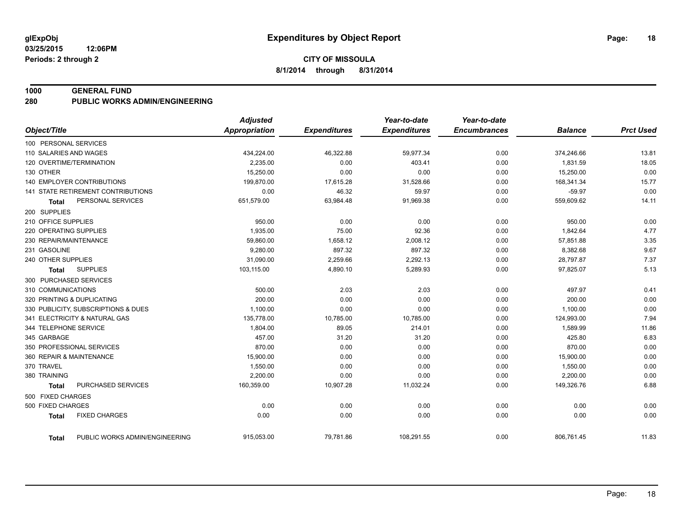#### **1000 GENERAL FUND**

**280 PUBLIC WORKS ADMIN/ENGINEERING**

|                                                | <b>Adjusted</b>      |                     | Year-to-date        | Year-to-date        |                |                  |
|------------------------------------------------|----------------------|---------------------|---------------------|---------------------|----------------|------------------|
| Object/Title                                   | <b>Appropriation</b> | <b>Expenditures</b> | <b>Expenditures</b> | <b>Encumbrances</b> | <b>Balance</b> | <b>Prct Used</b> |
| 100 PERSONAL SERVICES                          |                      |                     |                     |                     |                |                  |
| 110 SALARIES AND WAGES                         | 434,224.00           | 46,322.88           | 59,977.34           | 0.00                | 374,246.66     | 13.81            |
| 120 OVERTIME/TERMINATION                       | 2,235.00             | 0.00                | 403.41              | 0.00                | 1,831.59       | 18.05            |
| 130 OTHER                                      | 15,250.00            | 0.00                | 0.00                | 0.00                | 15,250.00      | 0.00             |
| <b>140 EMPLOYER CONTRIBUTIONS</b>              | 199,870.00           | 17,615.28           | 31,528.66           | 0.00                | 168,341.34     | 15.77            |
| 141 STATE RETIREMENT CONTRIBUTIONS             | 0.00                 | 46.32               | 59.97               | 0.00                | $-59.97$       | 0.00             |
| PERSONAL SERVICES<br><b>Total</b>              | 651,579.00           | 63,984.48           | 91,969.38           | 0.00                | 559,609.62     | 14.11            |
| 200 SUPPLIES                                   |                      |                     |                     |                     |                |                  |
| 210 OFFICE SUPPLIES                            | 950.00               | 0.00                | 0.00                | 0.00                | 950.00         | 0.00             |
| 220 OPERATING SUPPLIES                         | 1,935.00             | 75.00               | 92.36               | 0.00                | 1,842.64       | 4.77             |
| 230 REPAIR/MAINTENANCE                         | 59,860.00            | 1,658.12            | 2,008.12            | 0.00                | 57,851.88      | 3.35             |
| 231 GASOLINE                                   | 9,280.00             | 897.32              | 897.32              | 0.00                | 8,382.68       | 9.67             |
| 240 OTHER SUPPLIES                             | 31,090.00            | 2,259.66            | 2,292.13            | 0.00                | 28,797.87      | 7.37             |
| <b>SUPPLIES</b><br><b>Total</b>                | 103,115.00           | 4,890.10            | 5,289.93            | 0.00                | 97,825.07      | 5.13             |
| 300 PURCHASED SERVICES                         |                      |                     |                     |                     |                |                  |
| 310 COMMUNICATIONS                             | 500.00               | 2.03                | 2.03                | 0.00                | 497.97         | 0.41             |
| 320 PRINTING & DUPLICATING                     | 200.00               | 0.00                | 0.00                | 0.00                | 200.00         | 0.00             |
| 330 PUBLICITY, SUBSCRIPTIONS & DUES            | 1,100.00             | 0.00                | 0.00                | 0.00                | 1,100.00       | 0.00             |
| 341 ELECTRICITY & NATURAL GAS                  | 135,778.00           | 10,785.00           | 10,785.00           | 0.00                | 124,993.00     | 7.94             |
| 344 TELEPHONE SERVICE                          | 1,804.00             | 89.05               | 214.01              | 0.00                | 1,589.99       | 11.86            |
| 345 GARBAGE                                    | 457.00               | 31.20               | 31.20               | 0.00                | 425.80         | 6.83             |
| 350 PROFESSIONAL SERVICES                      | 870.00               | 0.00                | 0.00                | 0.00                | 870.00         | 0.00             |
| 360 REPAIR & MAINTENANCE                       | 15,900.00            | 0.00                | 0.00                | 0.00                | 15,900.00      | 0.00             |
| 370 TRAVEL                                     | 1,550.00             | 0.00                | 0.00                | 0.00                | 1,550.00       | 0.00             |
| 380 TRAINING                                   | 2,200.00             | 0.00                | 0.00                | 0.00                | 2,200.00       | 0.00             |
| PURCHASED SERVICES<br><b>Total</b>             | 160,359.00           | 10,907.28           | 11,032.24           | 0.00                | 149,326.76     | 6.88             |
| 500 FIXED CHARGES                              |                      |                     |                     |                     |                |                  |
| 500 FIXED CHARGES                              | 0.00                 | 0.00                | 0.00                | 0.00                | 0.00           | 0.00             |
| <b>FIXED CHARGES</b><br><b>Total</b>           | 0.00                 | 0.00                | 0.00                | 0.00                | 0.00           | 0.00             |
| PUBLIC WORKS ADMIN/ENGINEERING<br><b>Total</b> | 915,053.00           | 79,781.86           | 108,291.55          | 0.00                | 806,761.45     | 11.83            |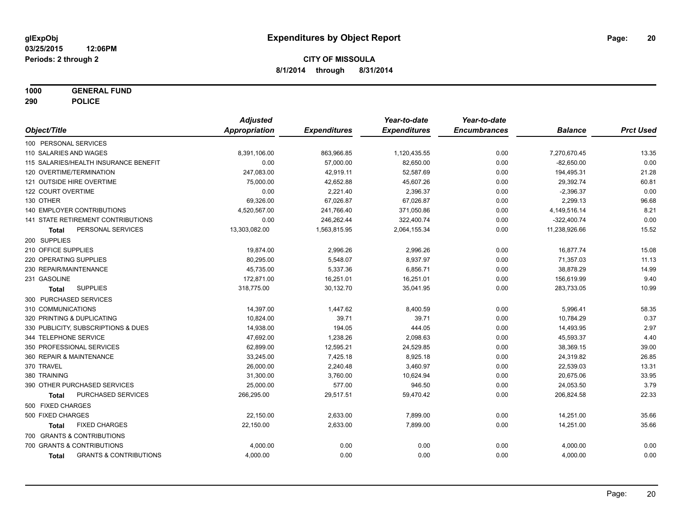**1000 GENERAL FUND**

**290 POLICE**

|                                                   | <b>Adjusted</b>      |                     | Year-to-date        | Year-to-date        |                |                  |
|---------------------------------------------------|----------------------|---------------------|---------------------|---------------------|----------------|------------------|
| Object/Title                                      | <b>Appropriation</b> | <b>Expenditures</b> | <b>Expenditures</b> | <b>Encumbrances</b> | <b>Balance</b> | <b>Prct Used</b> |
| 100 PERSONAL SERVICES                             |                      |                     |                     |                     |                |                  |
| 110 SALARIES AND WAGES                            | 8,391,106.00         | 863,966.85          | 1,120,435.55        | 0.00                | 7,270,670.45   | 13.35            |
| 115 SALARIES/HEALTH INSURANCE BENEFIT             | 0.00                 | 57,000.00           | 82,650.00           | 0.00                | $-82,650.00$   | 0.00             |
| 120 OVERTIME/TERMINATION                          | 247,083.00           | 42,919.11           | 52,587.69           | 0.00                | 194,495.31     | 21.28            |
| 121 OUTSIDE HIRE OVERTIME                         | 75,000.00            | 42,652.88           | 45,607.26           | 0.00                | 29,392.74      | 60.81            |
| 122 COURT OVERTIME                                | 0.00                 | 2,221.40            | 2,396.37            | 0.00                | $-2,396.37$    | 0.00             |
| 130 OTHER                                         | 69,326.00            | 67,026.87           | 67,026.87           | 0.00                | 2,299.13       | 96.68            |
| <b>140 EMPLOYER CONTRIBUTIONS</b>                 | 4,520,567.00         | 241,766.40          | 371,050.86          | 0.00                | 4,149,516.14   | 8.21             |
| <b>141 STATE RETIREMENT CONTRIBUTIONS</b>         | 0.00                 | 246,262.44          | 322,400.74          | 0.00                | $-322,400.74$  | 0.00             |
| PERSONAL SERVICES<br>Total                        | 13,303,082.00        | 1,563,815.95        | 2,064,155.34        | 0.00                | 11,238,926.66  | 15.52            |
| 200 SUPPLIES                                      |                      |                     |                     |                     |                |                  |
| 210 OFFICE SUPPLIES                               | 19,874.00            | 2,996.26            | 2,996.26            | 0.00                | 16,877.74      | 15.08            |
| 220 OPERATING SUPPLIES                            | 80,295.00            | 5,548.07            | 8,937.97            | 0.00                | 71,357.03      | 11.13            |
| 230 REPAIR/MAINTENANCE                            | 45,735.00            | 5,337.36            | 6,856.71            | 0.00                | 38,878.29      | 14.99            |
| 231 GASOLINE                                      | 172,871.00           | 16,251.01           | 16,251.01           | 0.00                | 156,619.99     | 9.40             |
| <b>SUPPLIES</b><br>Total                          | 318,775.00           | 30,132.70           | 35,041.95           | 0.00                | 283,733.05     | 10.99            |
| 300 PURCHASED SERVICES                            |                      |                     |                     |                     |                |                  |
| 310 COMMUNICATIONS                                | 14,397.00            | 1,447.62            | 8,400.59            | 0.00                | 5,996.41       | 58.35            |
| 320 PRINTING & DUPLICATING                        | 10,824.00            | 39.71               | 39.71               | 0.00                | 10,784.29      | 0.37             |
| 330 PUBLICITY, SUBSCRIPTIONS & DUES               | 14,938.00            | 194.05              | 444.05              | 0.00                | 14,493.95      | 2.97             |
| 344 TELEPHONE SERVICE                             | 47,692.00            | 1,238.26            | 2,098.63            | 0.00                | 45,593.37      | 4.40             |
| 350 PROFESSIONAL SERVICES                         | 62,899.00            | 12,595.21           | 24,529.85           | 0.00                | 38,369.15      | 39.00            |
| 360 REPAIR & MAINTENANCE                          | 33,245.00            | 7,425.18            | 8,925.18            | 0.00                | 24,319.82      | 26.85            |
| 370 TRAVEL                                        | 26,000.00            | 2,240.48            | 3,460.97            | 0.00                | 22,539.03      | 13.31            |
| 380 TRAINING                                      | 31,300.00            | 3,760.00            | 10,624.94           | 0.00                | 20,675.06      | 33.95            |
| 390 OTHER PURCHASED SERVICES                      | 25,000.00            | 577.00              | 946.50              | 0.00                | 24,053.50      | 3.79             |
| PURCHASED SERVICES<br><b>Total</b>                | 266,295.00           | 29,517.51           | 59,470.42           | 0.00                | 206,824.58     | 22.33            |
| 500 FIXED CHARGES                                 |                      |                     |                     |                     |                |                  |
| 500 FIXED CHARGES                                 | 22,150.00            | 2,633.00            | 7,899.00            | 0.00                | 14,251.00      | 35.66            |
| <b>FIXED CHARGES</b><br><b>Total</b>              | 22,150.00            | 2,633.00            | 7,899.00            | 0.00                | 14,251.00      | 35.66            |
| 700 GRANTS & CONTRIBUTIONS                        |                      |                     |                     |                     |                |                  |
| 700 GRANTS & CONTRIBUTIONS                        | 4,000.00             | 0.00                | 0.00                | 0.00                | 4,000.00       | 0.00             |
| <b>GRANTS &amp; CONTRIBUTIONS</b><br><b>Total</b> | 4,000.00             | 0.00                | 0.00                | 0.00                | 4,000.00       | 0.00             |
|                                                   |                      |                     |                     |                     |                |                  |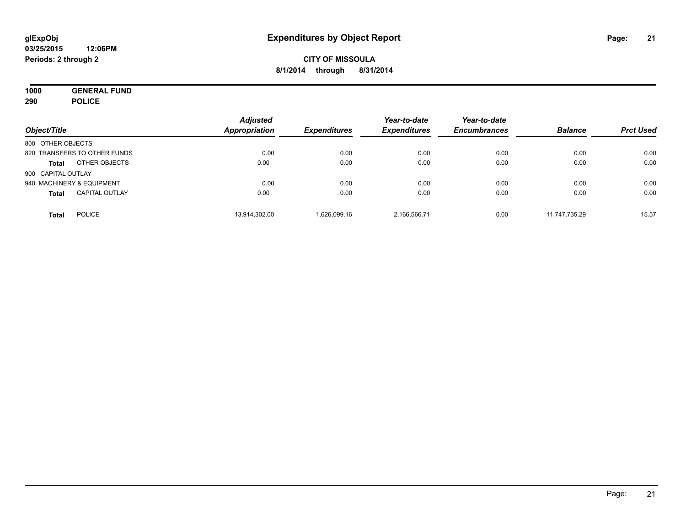**1000 GENERAL FUND 290 POLICE**

| Object/Title                          | <b>Adjusted</b><br><b>Appropriation</b> | <b>Expenditures</b> | Year-to-date<br><b>Expenditures</b> | Year-to-date<br><b>Encumbrances</b> | <b>Balance</b> | <b>Prct Used</b> |
|---------------------------------------|-----------------------------------------|---------------------|-------------------------------------|-------------------------------------|----------------|------------------|
| 800 OTHER OBJECTS                     |                                         |                     |                                     |                                     |                |                  |
| 820 TRANSFERS TO OTHER FUNDS          | 0.00                                    | 0.00                | 0.00                                | 0.00                                | 0.00           | 0.00             |
| OTHER OBJECTS<br><b>Total</b>         | 0.00                                    | 0.00                | 0.00                                | 0.00                                | 0.00           | 0.00             |
| 900 CAPITAL OUTLAY                    |                                         |                     |                                     |                                     |                |                  |
| 940 MACHINERY & EQUIPMENT             | 0.00                                    | 0.00                | 0.00                                | 0.00                                | 0.00           | 0.00             |
| <b>CAPITAL OUTLAY</b><br><b>Total</b> | 0.00                                    | 0.00                | 0.00                                | 0.00                                | 0.00           | 0.00             |
| <b>POLICE</b><br>Total                | 13,914,302.00                           | 1.626.099.16        | 2,166,566.71                        | 0.00                                | 11.747.735.29  | 15.57            |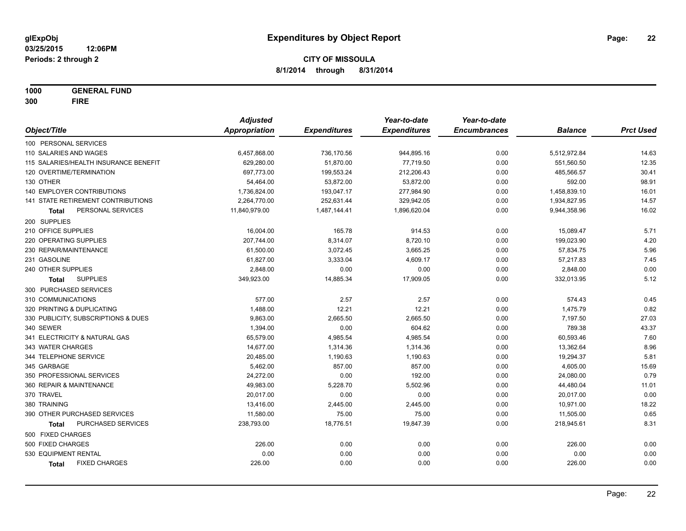**1000 GENERAL FUND 300 FIRE**

|                                       | <b>Adjusted</b> |                     | Year-to-date        | Year-to-date        |                |                  |
|---------------------------------------|-----------------|---------------------|---------------------|---------------------|----------------|------------------|
| Object/Title                          | Appropriation   | <b>Expenditures</b> | <b>Expenditures</b> | <b>Encumbrances</b> | <b>Balance</b> | <b>Prct Used</b> |
| 100 PERSONAL SERVICES                 |                 |                     |                     |                     |                |                  |
| 110 SALARIES AND WAGES                | 6,457,868.00    | 736,170.56          | 944,895.16          | 0.00                | 5,512,972.84   | 14.63            |
| 115 SALARIES/HEALTH INSURANCE BENEFIT | 629,280.00      | 51,870.00           | 77,719.50           | 0.00                | 551,560.50     | 12.35            |
| 120 OVERTIME/TERMINATION              | 697,773.00      | 199,553.24          | 212,206.43          | 0.00                | 485,566.57     | 30.41            |
| 130 OTHER                             | 54,464.00       | 53,872.00           | 53,872.00           | 0.00                | 592.00         | 98.91            |
| 140 EMPLOYER CONTRIBUTIONS            | 1,736,824.00    | 193,047.17          | 277,984.90          | 0.00                | 1,458,839.10   | 16.01            |
| 141 STATE RETIREMENT CONTRIBUTIONS    | 2,264,770.00    | 252,631.44          | 329,942.05          | 0.00                | 1,934,827.95   | 14.57            |
| PERSONAL SERVICES<br>Total            | 11,840,979.00   | 1,487,144.41        | 1,896,620.04        | 0.00                | 9,944,358.96   | 16.02            |
| 200 SUPPLIES                          |                 |                     |                     |                     |                |                  |
| 210 OFFICE SUPPLIES                   | 16,004.00       | 165.78              | 914.53              | 0.00                | 15,089.47      | 5.71             |
| 220 OPERATING SUPPLIES                | 207,744.00      | 8,314.07            | 8,720.10            | 0.00                | 199,023.90     | 4.20             |
| 230 REPAIR/MAINTENANCE                | 61,500.00       | 3,072.45            | 3,665.25            | 0.00                | 57,834.75      | 5.96             |
| 231 GASOLINE                          | 61,827.00       | 3,333.04            | 4,609.17            | 0.00                | 57,217.83      | 7.45             |
| 240 OTHER SUPPLIES                    | 2,848.00        | 0.00                | 0.00                | 0.00                | 2,848.00       | 0.00             |
| <b>SUPPLIES</b><br>Total              | 349,923.00      | 14,885.34           | 17,909.05           | 0.00                | 332,013.95     | 5.12             |
| 300 PURCHASED SERVICES                |                 |                     |                     |                     |                |                  |
| 310 COMMUNICATIONS                    | 577.00          | 2.57                | 2.57                | 0.00                | 574.43         | 0.45             |
| 320 PRINTING & DUPLICATING            | 1,488.00        | 12.21               | 12.21               | 0.00                | 1,475.79       | 0.82             |
| 330 PUBLICITY, SUBSCRIPTIONS & DUES   | 9,863.00        | 2,665.50            | 2,665.50            | 0.00                | 7,197.50       | 27.03            |
| 340 SEWER                             | 1,394.00        | 0.00                | 604.62              | 0.00                | 789.38         | 43.37            |
| 341 ELECTRICITY & NATURAL GAS         | 65,579.00       | 4,985.54            | 4,985.54            | 0.00                | 60,593.46      | 7.60             |
| 343 WATER CHARGES                     | 14,677.00       | 1,314.36            | 1,314.36            | 0.00                | 13,362.64      | 8.96             |
| 344 TELEPHONE SERVICE                 | 20,485.00       | 1,190.63            | 1,190.63            | 0.00                | 19,294.37      | 5.81             |
| 345 GARBAGE                           | 5,462.00        | 857.00              | 857.00              | 0.00                | 4,605.00       | 15.69            |
| 350 PROFESSIONAL SERVICES             | 24,272.00       | 0.00                | 192.00              | 0.00                | 24,080.00      | 0.79             |
| 360 REPAIR & MAINTENANCE              | 49,983.00       | 5,228.70            | 5,502.96            | 0.00                | 44,480.04      | 11.01            |
| 370 TRAVEL                            | 20,017.00       | 0.00                | 0.00                | 0.00                | 20,017.00      | 0.00             |
| 380 TRAINING                          | 13,416.00       | 2,445.00            | 2,445.00            | 0.00                | 10,971.00      | 18.22            |
| 390 OTHER PURCHASED SERVICES          | 11,580.00       | 75.00               | 75.00               | 0.00                | 11,505.00      | 0.65             |
| PURCHASED SERVICES<br><b>Total</b>    | 238,793.00      | 18,776.51           | 19,847.39           | 0.00                | 218,945.61     | 8.31             |
| 500 FIXED CHARGES                     |                 |                     |                     |                     |                |                  |
| 500 FIXED CHARGES                     | 226.00          | 0.00                | 0.00                | 0.00                | 226.00         | 0.00             |
| 530 EQUIPMENT RENTAL                  | 0.00            | 0.00                | 0.00                | 0.00                | 0.00           | 0.00             |
| <b>FIXED CHARGES</b><br>Total         | 226.00          | 0.00                | 0.00                | 0.00                | 226.00         | 0.00             |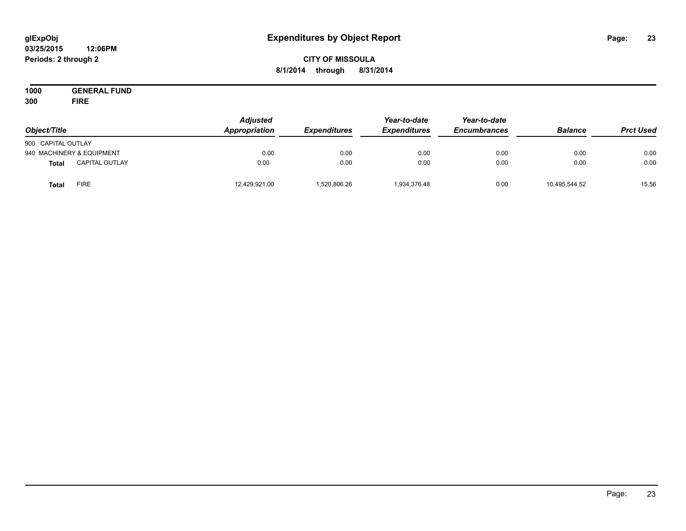#### **03/25/2015 12:06PM Periods: 2 through 2**

# **CITY OF MISSOULA 8/1/2014 through 8/31/2014**

**1000 GENERAL FUND 300 FIRE**

| Object/Title       |                           | <b>Adjusted</b><br>Appropriation | <b>Expenditures</b> | Year-to-date<br><b>Expenditures</b> | Year-to-date<br><b>Encumbrances</b> | <b>Balance</b> | <b>Prct Used</b> |
|--------------------|---------------------------|----------------------------------|---------------------|-------------------------------------|-------------------------------------|----------------|------------------|
| 900 CAPITAL OUTLAY |                           |                                  |                     |                                     |                                     |                |                  |
|                    | 940 MACHINERY & EQUIPMENT | 0.00                             | 0.00                | 0.00                                | 0.00                                | 0.00           | 0.00             |
| <b>Total</b>       | <b>CAPITAL OUTLAY</b>     | 0.00                             | 0.00                | 0.00                                | 0.00                                | 0.00           | 0.00             |
| <b>Total</b>       | FIRE                      | 12,429,921.00                    | 1,520,806.26        | 1,934,376.48                        | 0.00                                | 10,495,544.52  | 15.56            |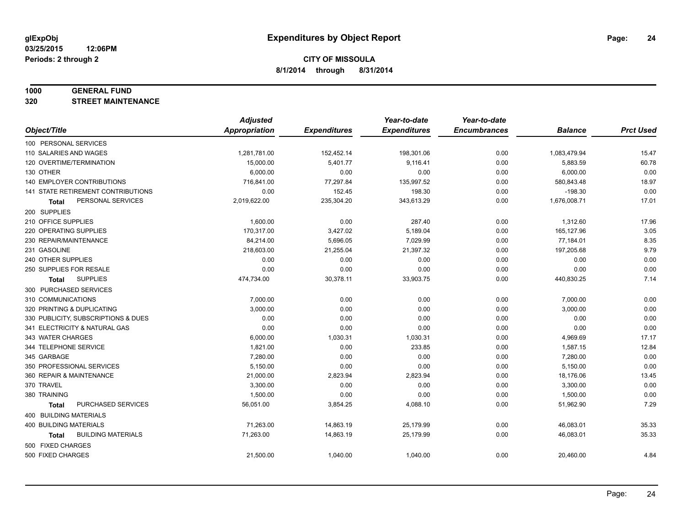#### **1000 GENERAL FUND**

**320 STREET MAINTENANCE**

|                                     | <b>Adjusted</b>      |                     | Year-to-date        | Year-to-date        |                |                  |
|-------------------------------------|----------------------|---------------------|---------------------|---------------------|----------------|------------------|
| Object/Title                        | <b>Appropriation</b> | <b>Expenditures</b> | <b>Expenditures</b> | <b>Encumbrances</b> | <b>Balance</b> | <b>Prct Used</b> |
| 100 PERSONAL SERVICES               |                      |                     |                     |                     |                |                  |
| 110 SALARIES AND WAGES              | 1,281,781.00         | 152,452.14          | 198,301.06          | 0.00                | 1,083,479.94   | 15.47            |
| 120 OVERTIME/TERMINATION            | 15,000.00            | 5,401.77            | 9,116.41            | 0.00                | 5,883.59       | 60.78            |
| 130 OTHER                           | 6,000.00             | 0.00                | 0.00                | 0.00                | 6,000.00       | 0.00             |
| 140 EMPLOYER CONTRIBUTIONS          | 716,841.00           | 77,297.84           | 135,997.52          | 0.00                | 580,843.48     | 18.97            |
| 141 STATE RETIREMENT CONTRIBUTIONS  | 0.00                 | 152.45              | 198.30              | 0.00                | $-198.30$      | 0.00             |
| PERSONAL SERVICES<br>Total          | 2,019,622.00         | 235,304.20          | 343,613.29          | 0.00                | 1,676,008.71   | 17.01            |
| 200 SUPPLIES                        |                      |                     |                     |                     |                |                  |
| 210 OFFICE SUPPLIES                 | 1,600.00             | 0.00                | 287.40              | 0.00                | 1,312.60       | 17.96            |
| 220 OPERATING SUPPLIES              | 170,317.00           | 3,427.02            | 5,189.04            | 0.00                | 165,127.96     | 3.05             |
| 230 REPAIR/MAINTENANCE              | 84,214.00            | 5,696.05            | 7,029.99            | 0.00                | 77,184.01      | 8.35             |
| 231 GASOLINE                        | 218,603.00           | 21,255.04           | 21,397.32           | 0.00                | 197,205.68     | 9.79             |
| 240 OTHER SUPPLIES                  | 0.00                 | 0.00                | 0.00                | 0.00                | 0.00           | 0.00             |
| 250 SUPPLIES FOR RESALE             | 0.00                 | 0.00                | 0.00                | 0.00                | 0.00           | 0.00             |
| <b>SUPPLIES</b><br><b>Total</b>     | 474,734.00           | 30,378.11           | 33,903.75           | 0.00                | 440,830.25     | 7.14             |
| 300 PURCHASED SERVICES              |                      |                     |                     |                     |                |                  |
| 310 COMMUNICATIONS                  | 7,000.00             | 0.00                | 0.00                | 0.00                | 7,000.00       | 0.00             |
| 320 PRINTING & DUPLICATING          | 3,000.00             | 0.00                | 0.00                | 0.00                | 3,000.00       | 0.00             |
| 330 PUBLICITY, SUBSCRIPTIONS & DUES | 0.00                 | 0.00                | 0.00                | 0.00                | 0.00           | 0.00             |
| 341 ELECTRICITY & NATURAL GAS       | 0.00                 | 0.00                | 0.00                | 0.00                | 0.00           | 0.00             |
| 343 WATER CHARGES                   | 6,000.00             | 1,030.31            | 1,030.31            | 0.00                | 4,969.69       | 17.17            |
| 344 TELEPHONE SERVICE               | 1,821.00             | 0.00                | 233.85              | 0.00                | 1,587.15       | 12.84            |
| 345 GARBAGE                         | 7,280.00             | 0.00                | 0.00                | 0.00                | 7,280.00       | 0.00             |
| 350 PROFESSIONAL SERVICES           | 5,150.00             | 0.00                | 0.00                | 0.00                | 5,150.00       | 0.00             |
| 360 REPAIR & MAINTENANCE            | 21,000.00            | 2,823.94            | 2,823.94            | 0.00                | 18,176.06      | 13.45            |
| 370 TRAVEL                          | 3,300.00             | 0.00                | 0.00                | 0.00                | 3,300.00       | 0.00             |
| 380 TRAINING                        | 1,500.00             | 0.00                | 0.00                | 0.00                | 1,500.00       | 0.00             |
| PURCHASED SERVICES<br><b>Total</b>  | 56,051.00            | 3,854.25            | 4,088.10            | 0.00                | 51,962.90      | 7.29             |
| 400 BUILDING MATERIALS              |                      |                     |                     |                     |                |                  |
| 400 BUILDING MATERIALS              | 71,263.00            | 14,863.19           | 25,179.99           | 0.00                | 46,083.01      | 35.33            |
| <b>BUILDING MATERIALS</b><br>Total  | 71,263.00            | 14,863.19           | 25,179.99           | 0.00                | 46,083.01      | 35.33            |
| 500 FIXED CHARGES                   |                      |                     |                     |                     |                |                  |
| 500 FIXED CHARGES                   | 21,500.00            | 1,040.00            | 1,040.00            | 0.00                | 20,460.00      | 4.84             |
|                                     |                      |                     |                     |                     |                |                  |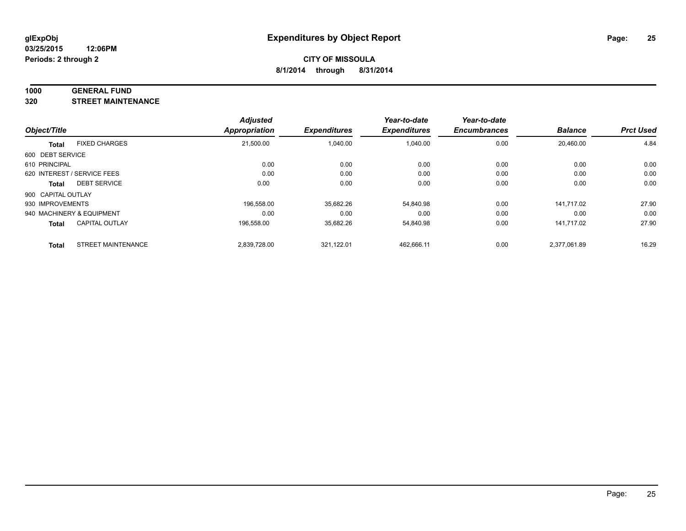#### **1000 GENERAL FUND**

**320 STREET MAINTENANCE**

| Object/Title       |                             | <b>Adjusted</b><br>Appropriation | <b>Expenditures</b> | Year-to-date<br><b>Expenditures</b> | Year-to-date<br><b>Encumbrances</b> | <b>Balance</b> | <b>Prct Used</b> |
|--------------------|-----------------------------|----------------------------------|---------------------|-------------------------------------|-------------------------------------|----------------|------------------|
|                    |                             |                                  |                     |                                     |                                     |                |                  |
| 600 DEBT SERVICE   |                             |                                  |                     |                                     |                                     |                |                  |
| 610 PRINCIPAL      |                             | 0.00                             | 0.00                | 0.00                                | 0.00                                | 0.00           | 0.00             |
|                    | 620 INTEREST / SERVICE FEES | 0.00                             | 0.00                | 0.00                                | 0.00                                | 0.00           | 0.00             |
| Total              | <b>DEBT SERVICE</b>         | 0.00                             | 0.00                | 0.00                                | 0.00                                | 0.00           | 0.00             |
| 900 CAPITAL OUTLAY |                             |                                  |                     |                                     |                                     |                |                  |
| 930 IMPROVEMENTS   |                             | 196.558.00                       | 35,682.26           | 54.840.98                           | 0.00                                | 141.717.02     | 27.90            |
|                    | 940 MACHINERY & EQUIPMENT   | 0.00                             | 0.00                | 0.00                                | 0.00                                | 0.00           | 0.00             |
| <b>Total</b>       | <b>CAPITAL OUTLAY</b>       | 196,558.00                       | 35,682.26           | 54,840.98                           | 0.00                                | 141.717.02     | 27.90            |
| <b>Total</b>       | <b>STREET MAINTENANCE</b>   | 2.839.728.00                     | 321.122.01          | 462.666.11                          | 0.00                                | 2.377.061.89   | 16.29            |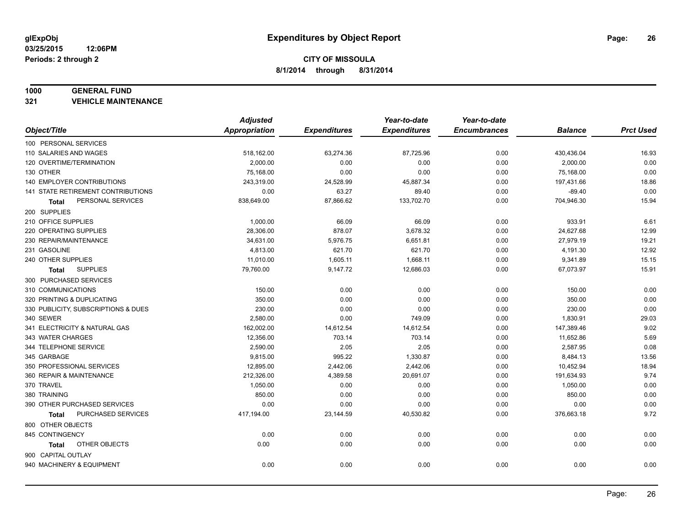#### **1000 GENERAL FUND**

**321 VEHICLE MAINTENANCE**

|                                     | <b>Adjusted</b>      |                     | Year-to-date        | Year-to-date        |                |                  |
|-------------------------------------|----------------------|---------------------|---------------------|---------------------|----------------|------------------|
| Object/Title                        | <b>Appropriation</b> | <b>Expenditures</b> | <b>Expenditures</b> | <b>Encumbrances</b> | <b>Balance</b> | <b>Prct Used</b> |
| 100 PERSONAL SERVICES               |                      |                     |                     |                     |                |                  |
| 110 SALARIES AND WAGES              | 518,162.00           | 63,274.36           | 87,725.96           | 0.00                | 430,436.04     | 16.93            |
| 120 OVERTIME/TERMINATION            | 2,000.00             | 0.00                | 0.00                | 0.00                | 2,000.00       | 0.00             |
| 130 OTHER                           | 75,168.00            | 0.00                | 0.00                | 0.00                | 75,168.00      | 0.00             |
| 140 EMPLOYER CONTRIBUTIONS          | 243,319.00           | 24,528.99           | 45,887.34           | 0.00                | 197,431.66     | 18.86            |
| 141 STATE RETIREMENT CONTRIBUTIONS  | 0.00                 | 63.27               | 89.40               | 0.00                | $-89.40$       | 0.00             |
| PERSONAL SERVICES<br>Total          | 838,649.00           | 87,866.62           | 133,702.70          | 0.00                | 704,946.30     | 15.94            |
| 200 SUPPLIES                        |                      |                     |                     |                     |                |                  |
| 210 OFFICE SUPPLIES                 | 1,000.00             | 66.09               | 66.09               | 0.00                | 933.91         | 6.61             |
| 220 OPERATING SUPPLIES              | 28,306.00            | 878.07              | 3,678.32            | 0.00                | 24,627.68      | 12.99            |
| 230 REPAIR/MAINTENANCE              | 34,631.00            | 5,976.75            | 6,651.81            | 0.00                | 27,979.19      | 19.21            |
| 231 GASOLINE                        | 4,813.00             | 621.70              | 621.70              | 0.00                | 4,191.30       | 12.92            |
| 240 OTHER SUPPLIES                  | 11,010.00            | 1,605.11            | 1,668.11            | 0.00                | 9,341.89       | 15.15            |
| <b>SUPPLIES</b><br>Total            | 79,760.00            | 9,147.72            | 12,686.03           | 0.00                | 67,073.97      | 15.91            |
| 300 PURCHASED SERVICES              |                      |                     |                     |                     |                |                  |
| 310 COMMUNICATIONS                  | 150.00               | 0.00                | 0.00                | 0.00                | 150.00         | 0.00             |
| 320 PRINTING & DUPLICATING          | 350.00               | 0.00                | 0.00                | 0.00                | 350.00         | 0.00             |
| 330 PUBLICITY, SUBSCRIPTIONS & DUES | 230.00               | 0.00                | 0.00                | 0.00                | 230.00         | 0.00             |
| 340 SEWER                           | 2,580.00             | 0.00                | 749.09              | 0.00                | 1,830.91       | 29.03            |
| 341 ELECTRICITY & NATURAL GAS       | 162,002.00           | 14,612.54           | 14,612.54           | 0.00                | 147,389.46     | 9.02             |
| 343 WATER CHARGES                   | 12,356.00            | 703.14              | 703.14              | 0.00                | 11,652.86      | 5.69             |
| 344 TELEPHONE SERVICE               | 2,590.00             | 2.05                | 2.05                | 0.00                | 2,587.95       | 0.08             |
| 345 GARBAGE                         | 9,815.00             | 995.22              | 1,330.87            | 0.00                | 8,484.13       | 13.56            |
| 350 PROFESSIONAL SERVICES           | 12,895.00            | 2,442.06            | 2,442.06            | 0.00                | 10,452.94      | 18.94            |
| 360 REPAIR & MAINTENANCE            | 212,326.00           | 4,389.58            | 20,691.07           | 0.00                | 191,634.93     | 9.74             |
| 370 TRAVEL                          | 1,050.00             | 0.00                | 0.00                | 0.00                | 1,050.00       | 0.00             |
| 380 TRAINING                        | 850.00               | 0.00                | 0.00                | 0.00                | 850.00         | 0.00             |
| 390 OTHER PURCHASED SERVICES        | 0.00                 | 0.00                | 0.00                | 0.00                | 0.00           | 0.00             |
| PURCHASED SERVICES<br><b>Total</b>  | 417,194.00           | 23,144.59           | 40,530.82           | 0.00                | 376,663.18     | 9.72             |
| 800 OTHER OBJECTS                   |                      |                     |                     |                     |                |                  |
| 845 CONTINGENCY                     | 0.00                 | 0.00                | 0.00                | 0.00                | 0.00           | 0.00             |
| OTHER OBJECTS<br>Total              | 0.00                 | 0.00                | 0.00                | 0.00                | 0.00           | 0.00             |
| 900 CAPITAL OUTLAY                  |                      |                     |                     |                     |                |                  |
| 940 MACHINERY & EQUIPMENT           | 0.00                 | 0.00                | 0.00                | 0.00                | 0.00           | 0.00             |
|                                     |                      |                     |                     |                     |                |                  |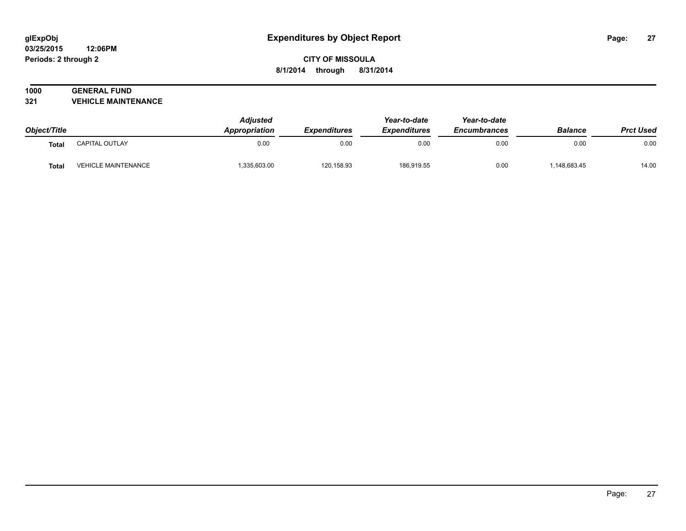#### **03/25/2015 12:06PM Periods: 2 through 2**

# **CITY OF MISSOULA 8/1/2014 through 8/31/2014**

# **1000 GENERAL FUND**

**321 VEHICLE MAINTENANCE**

| Object/Title |                            | <b>Adjusted</b><br>Appropriation | <b>Expenditures</b> | Year-to-date<br><b>Expenditures</b> | Year-to-date<br><b>Encumbrances</b> | <b>Balance</b> | <b>Prct Used</b> |
|--------------|----------------------------|----------------------------------|---------------------|-------------------------------------|-------------------------------------|----------------|------------------|
| <b>Total</b> | CAPITAL OUTLAY             | 0.00                             | 0.00                | 0.00                                | 0.00                                | 0.00           | 0.00             |
| <b>Total</b> | <b>VEHICLE MAINTENANCE</b> | 335,603.00                       | 120,158.93          | 186,919.55                          | 0.00                                | ,148,683.45    | 14.00            |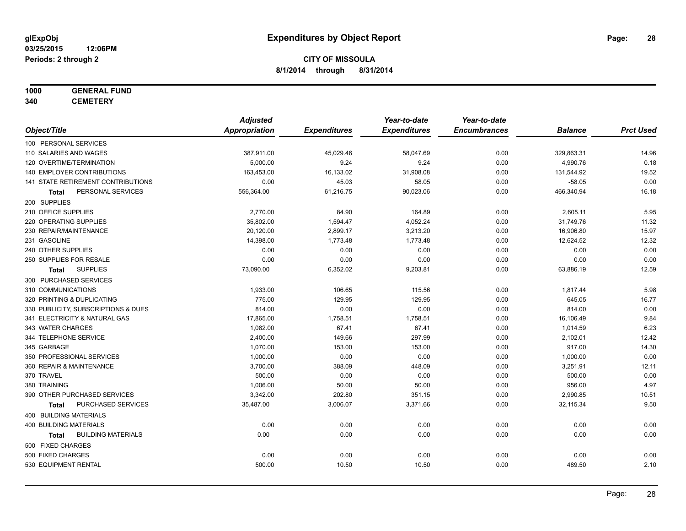# **1000 GENERAL FUND**

**340 CEMETERY**

|                                           | <b>Adjusted</b> |                     | Year-to-date        | Year-to-date        |                |                  |
|-------------------------------------------|-----------------|---------------------|---------------------|---------------------|----------------|------------------|
| Object/Title                              | Appropriation   | <b>Expenditures</b> | <b>Expenditures</b> | <b>Encumbrances</b> | <b>Balance</b> | <b>Prct Used</b> |
| 100 PERSONAL SERVICES                     |                 |                     |                     |                     |                |                  |
| 110 SALARIES AND WAGES                    | 387,911.00      | 45,029.46           | 58,047.69           | 0.00                | 329,863.31     | 14.96            |
| 120 OVERTIME/TERMINATION                  | 5,000.00        | 9.24                | 9.24                | 0.00                | 4,990.76       | 0.18             |
| 140 EMPLOYER CONTRIBUTIONS                | 163,453.00      | 16,133.02           | 31,908.08           | 0.00                | 131,544.92     | 19.52            |
| 141 STATE RETIREMENT CONTRIBUTIONS        | 0.00            | 45.03               | 58.05               | 0.00                | $-58.05$       | 0.00             |
| PERSONAL SERVICES<br>Total                | 556,364.00      | 61,216.75           | 90,023.06           | 0.00                | 466,340.94     | 16.18            |
| 200 SUPPLIES                              |                 |                     |                     |                     |                |                  |
| 210 OFFICE SUPPLIES                       | 2,770.00        | 84.90               | 164.89              | 0.00                | 2,605.11       | 5.95             |
| 220 OPERATING SUPPLIES                    | 35,802.00       | 1,594.47            | 4,052.24            | 0.00                | 31,749.76      | 11.32            |
| 230 REPAIR/MAINTENANCE                    | 20,120.00       | 2,899.17            | 3,213.20            | 0.00                | 16,906.80      | 15.97            |
| 231 GASOLINE                              | 14,398.00       | 1,773.48            | 1,773.48            | 0.00                | 12,624.52      | 12.32            |
| 240 OTHER SUPPLIES                        | 0.00            | 0.00                | 0.00                | 0.00                | 0.00           | 0.00             |
| 250 SUPPLIES FOR RESALE                   | 0.00            | 0.00                | 0.00                | 0.00                | 0.00           | 0.00             |
| <b>SUPPLIES</b><br>Total                  | 73,090.00       | 6,352.02            | 9,203.81            | 0.00                | 63,886.19      | 12.59            |
| 300 PURCHASED SERVICES                    |                 |                     |                     |                     |                |                  |
| 310 COMMUNICATIONS                        | 1,933.00        | 106.65              | 115.56              | 0.00                | 1,817.44       | 5.98             |
| 320 PRINTING & DUPLICATING                | 775.00          | 129.95              | 129.95              | 0.00                | 645.05         | 16.77            |
| 330 PUBLICITY, SUBSCRIPTIONS & DUES       | 814.00          | 0.00                | 0.00                | 0.00                | 814.00         | 0.00             |
| 341 ELECTRICITY & NATURAL GAS             | 17,865.00       | 1,758.51            | 1,758.51            | 0.00                | 16,106.49      | 9.84             |
| 343 WATER CHARGES                         | 1,082.00        | 67.41               | 67.41               | 0.00                | 1,014.59       | 6.23             |
| 344 TELEPHONE SERVICE                     | 2,400.00        | 149.66              | 297.99              | 0.00                | 2,102.01       | 12.42            |
| 345 GARBAGE                               | 1,070.00        | 153.00              | 153.00              | 0.00                | 917.00         | 14.30            |
| 350 PROFESSIONAL SERVICES                 | 1,000.00        | 0.00                | 0.00                | 0.00                | 1,000.00       | 0.00             |
| 360 REPAIR & MAINTENANCE                  | 3,700.00        | 388.09              | 448.09              | 0.00                | 3,251.91       | 12.11            |
| 370 TRAVEL                                | 500.00          | 0.00                | 0.00                | 0.00                | 500.00         | 0.00             |
| 380 TRAINING                              | 1,006.00        | 50.00               | 50.00               | 0.00                | 956.00         | 4.97             |
| 390 OTHER PURCHASED SERVICES              | 3,342.00        | 202.80              | 351.15              | 0.00                | 2,990.85       | 10.51            |
| PURCHASED SERVICES<br><b>Total</b>        | 35,487.00       | 3,006.07            | 3,371.66            | 0.00                | 32,115.34      | 9.50             |
| 400 BUILDING MATERIALS                    |                 |                     |                     |                     |                |                  |
| <b>400 BUILDING MATERIALS</b>             | 0.00            | 0.00                | 0.00                | 0.00                | 0.00           | 0.00             |
| <b>BUILDING MATERIALS</b><br><b>Total</b> | 0.00            | 0.00                | 0.00                | 0.00                | 0.00           | 0.00             |
| 500 FIXED CHARGES                         |                 |                     |                     |                     |                |                  |
| 500 FIXED CHARGES                         | 0.00            | 0.00                | 0.00                | 0.00                | 0.00           | 0.00             |
| 530 EQUIPMENT RENTAL                      | 500.00          | 10.50               | 10.50               | 0.00                | 489.50         | 2.10             |
|                                           |                 |                     |                     |                     |                |                  |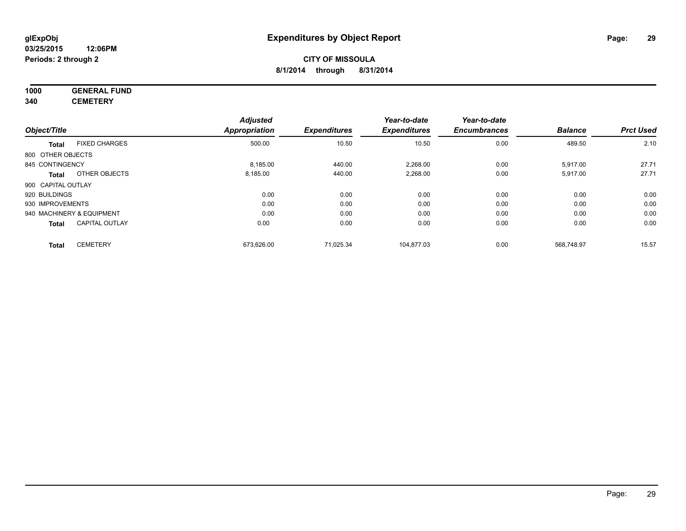# **1000 GENERAL FUND**

**340 CEMETERY**

|                    |                           | <b>Adjusted</b> |                     | Year-to-date        | Year-to-date        |                |                  |
|--------------------|---------------------------|-----------------|---------------------|---------------------|---------------------|----------------|------------------|
| Object/Title       |                           | Appropriation   | <b>Expenditures</b> | <b>Expenditures</b> | <b>Encumbrances</b> | <b>Balance</b> | <b>Prct Used</b> |
| <b>Total</b>       | <b>FIXED CHARGES</b>      | 500.00          | 10.50               | 10.50               | 0.00                | 489.50         | 2.10             |
| 800 OTHER OBJECTS  |                           |                 |                     |                     |                     |                |                  |
| 845 CONTINGENCY    |                           | 8,185.00        | 440.00              | 2,268.00            | 0.00                | 5,917.00       | 27.71            |
| <b>Total</b>       | OTHER OBJECTS             | 8,185.00        | 440.00              | 2,268.00            | 0.00                | 5,917.00       | 27.71            |
| 900 CAPITAL OUTLAY |                           |                 |                     |                     |                     |                |                  |
| 920 BUILDINGS      |                           | 0.00            | 0.00                | 0.00                | 0.00                | 0.00           | 0.00             |
| 930 IMPROVEMENTS   |                           | 0.00            | 0.00                | 0.00                | 0.00                | 0.00           | 0.00             |
|                    | 940 MACHINERY & EQUIPMENT | 0.00            | 0.00                | 0.00                | 0.00                | 0.00           | 0.00             |
| <b>Total</b>       | <b>CAPITAL OUTLAY</b>     | 0.00            | 0.00                | 0.00                | 0.00                | 0.00           | 0.00             |
| <b>Total</b>       | <b>CEMETERY</b>           | 673,626.00      | 71,025.34           | 104.877.03          | 0.00                | 568,748.97     | 15.57            |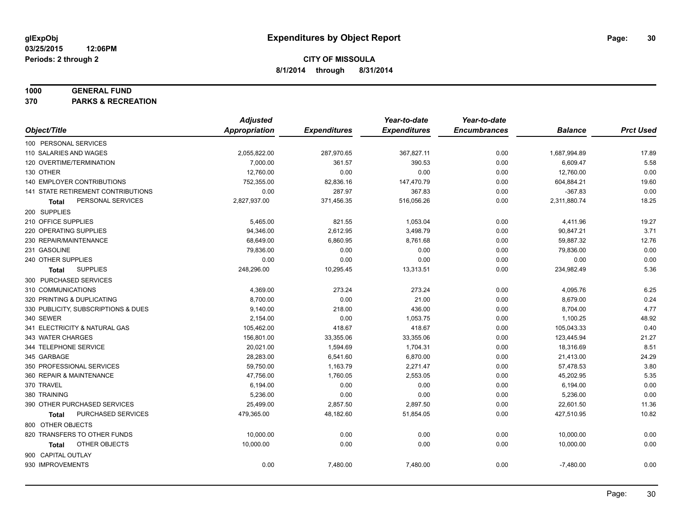#### **1000 GENERAL FUND**

**370 PARKS & RECREATION**

|                                           | <b>Adjusted</b>      |                     | Year-to-date        | Year-to-date        |                |                  |
|-------------------------------------------|----------------------|---------------------|---------------------|---------------------|----------------|------------------|
| Object/Title                              | <b>Appropriation</b> | <b>Expenditures</b> | <b>Expenditures</b> | <b>Encumbrances</b> | <b>Balance</b> | <b>Prct Used</b> |
| 100 PERSONAL SERVICES                     |                      |                     |                     |                     |                |                  |
| 110 SALARIES AND WAGES                    | 2,055,822.00         | 287,970.65          | 367,827.11          | 0.00                | 1,687,994.89   | 17.89            |
| 120 OVERTIME/TERMINATION                  | 7,000.00             | 361.57              | 390.53              | 0.00                | 6,609.47       | 5.58             |
| 130 OTHER                                 | 12,760.00            | 0.00                | 0.00                | 0.00                | 12,760.00      | 0.00             |
| 140 EMPLOYER CONTRIBUTIONS                | 752,355.00           | 82,836.16           | 147,470.79          | 0.00                | 604,884.21     | 19.60            |
| <b>141 STATE RETIREMENT CONTRIBUTIONS</b> | 0.00                 | 287.97              | 367.83              | 0.00                | $-367.83$      | 0.00             |
| PERSONAL SERVICES<br>Total                | 2,827,937.00         | 371,456.35          | 516,056.26          | 0.00                | 2,311,880.74   | 18.25            |
| 200 SUPPLIES                              |                      |                     |                     |                     |                |                  |
| 210 OFFICE SUPPLIES                       | 5,465.00             | 821.55              | 1,053.04            | 0.00                | 4,411.96       | 19.27            |
| 220 OPERATING SUPPLIES                    | 94,346.00            | 2,612.95            | 3,498.79            | 0.00                | 90,847.21      | 3.71             |
| 230 REPAIR/MAINTENANCE                    | 68,649.00            | 6,860.95            | 8,761.68            | 0.00                | 59,887.32      | 12.76            |
| 231 GASOLINE                              | 79,836.00            | 0.00                | 0.00                | 0.00                | 79,836.00      | 0.00             |
| 240 OTHER SUPPLIES                        | 0.00                 | 0.00                | 0.00                | 0.00                | 0.00           | 0.00             |
| <b>SUPPLIES</b><br>Total                  | 248,296.00           | 10,295.45           | 13,313.51           | 0.00                | 234,982.49     | 5.36             |
| 300 PURCHASED SERVICES                    |                      |                     |                     |                     |                |                  |
| 310 COMMUNICATIONS                        | 4,369.00             | 273.24              | 273.24              | 0.00                | 4,095.76       | 6.25             |
| 320 PRINTING & DUPLICATING                | 8,700.00             | 0.00                | 21.00               | 0.00                | 8,679.00       | 0.24             |
| 330 PUBLICITY, SUBSCRIPTIONS & DUES       | 9,140.00             | 218.00              | 436.00              | 0.00                | 8,704.00       | 4.77             |
| 340 SEWER                                 | 2,154.00             | 0.00                | 1,053.75            | 0.00                | 1,100.25       | 48.92            |
| 341 ELECTRICITY & NATURAL GAS             | 105,462.00           | 418.67              | 418.67              | 0.00                | 105,043.33     | 0.40             |
| 343 WATER CHARGES                         | 156,801.00           | 33,355.06           | 33,355.06           | 0.00                | 123,445.94     | 21.27            |
| 344 TELEPHONE SERVICE                     | 20,021.00            | 1,594.69            | 1,704.31            | 0.00                | 18,316.69      | 8.51             |
| 345 GARBAGE                               | 28,283.00            | 6,541.60            | 6,870.00            | 0.00                | 21,413.00      | 24.29            |
| 350 PROFESSIONAL SERVICES                 | 59,750.00            | 1,163.79            | 2,271.47            | 0.00                | 57,478.53      | 3.80             |
| 360 REPAIR & MAINTENANCE                  | 47,756.00            | 1,760.05            | 2,553.05            | 0.00                | 45,202.95      | 5.35             |
| 370 TRAVEL                                | 6,194.00             | 0.00                | 0.00                | 0.00                | 6,194.00       | 0.00             |
| 380 TRAINING                              | 5,236.00             | 0.00                | 0.00                | 0.00                | 5,236.00       | 0.00             |
| 390 OTHER PURCHASED SERVICES              | 25,499.00            | 2,857.50            | 2,897.50            | 0.00                | 22,601.50      | 11.36            |
| PURCHASED SERVICES<br><b>Total</b>        | 479,365.00           | 48,182.60           | 51,854.05           | 0.00                | 427,510.95     | 10.82            |
| 800 OTHER OBJECTS                         |                      |                     |                     |                     |                |                  |
| 820 TRANSFERS TO OTHER FUNDS              | 10,000.00            | 0.00                | 0.00                | 0.00                | 10,000.00      | 0.00             |
| OTHER OBJECTS<br>Total                    | 10,000.00            | 0.00                | 0.00                | 0.00                | 10,000.00      | 0.00             |
| 900 CAPITAL OUTLAY                        |                      |                     |                     |                     |                |                  |
| 930 IMPROVEMENTS                          | 0.00                 | 7,480.00            | 7,480.00            | 0.00                | $-7,480.00$    | 0.00             |
|                                           |                      |                     |                     |                     |                |                  |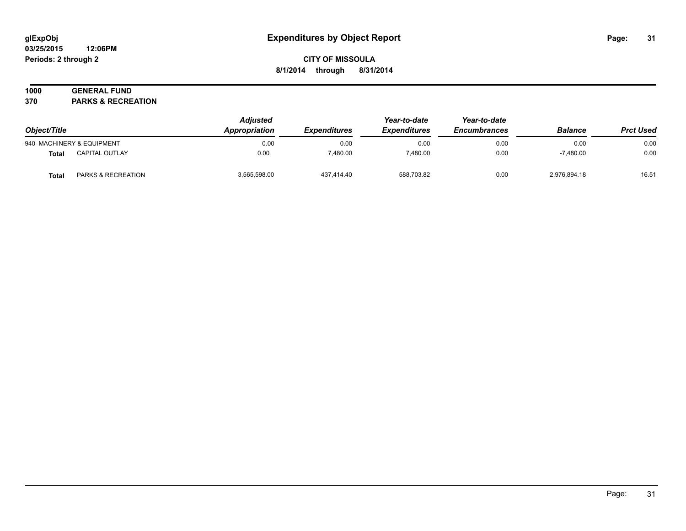#### **03/25/2015 12:06PM Periods: 2 through 2**

# **CITY OF MISSOULA 8/1/2014 through 8/31/2014**

# **1000 GENERAL FUND**

**370 PARKS & RECREATION**

| Object/Title<br>940 MACHINERY & EQUIPMENT |                               | <b>Adjusted</b><br>Appropriation | <b>Expenditures</b> | Year-to-date<br><b>Expenditures</b><br>0.00 | Year-to-date<br><b>Encumbrances</b><br>0.00 | <b>Balance</b> | <b>Prct Used</b><br>0.00 |
|-------------------------------------------|-------------------------------|----------------------------------|---------------------|---------------------------------------------|---------------------------------------------|----------------|--------------------------|
|                                           |                               | 0.00                             | 0.00                |                                             |                                             | 0.00           |                          |
| Total                                     | <b>CAPITAL OUTLAY</b>         | 0.00                             | 7.480.00            | 7.480.00                                    | 0.00                                        | $-7.480.00$    | 0.00                     |
| Total                                     | <b>PARKS &amp; RECREATION</b> | 3.565.598.00                     | 437,414.40          | 588.703.82                                  | 0.00                                        | 2,976,894.18   | 16.51                    |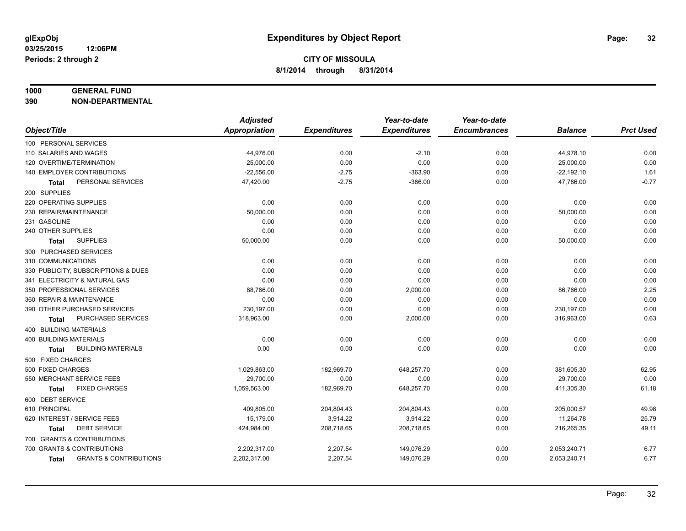#### **1000 GENERAL FUND**

**390 NON-DEPARTMENTAL**

|                                            | <b>Adjusted</b> |                     | Year-to-date        | Year-to-date        |                |                  |
|--------------------------------------------|-----------------|---------------------|---------------------|---------------------|----------------|------------------|
| Object/Title                               | Appropriation   | <b>Expenditures</b> | <b>Expenditures</b> | <b>Encumbrances</b> | <b>Balance</b> | <b>Prct Used</b> |
| 100 PERSONAL SERVICES                      |                 |                     |                     |                     |                |                  |
| 110 SALARIES AND WAGES                     | 44,976.00       | 0.00                | $-2.10$             | 0.00                | 44,978.10      | 0.00             |
| 120 OVERTIME/TERMINATION                   | 25,000.00       | 0.00                | 0.00                | 0.00                | 25,000.00      | 0.00             |
| 140 EMPLOYER CONTRIBUTIONS                 | $-22,556.00$    | $-2.75$             | $-363.90$           | 0.00                | $-22, 192.10$  | 1.61             |
| PERSONAL SERVICES<br>Total                 | 47,420.00       | $-2.75$             | $-366.00$           | 0.00                | 47,786.00      | $-0.77$          |
| 200 SUPPLIES                               |                 |                     |                     |                     |                |                  |
| 220 OPERATING SUPPLIES                     | 0.00            | 0.00                | 0.00                | 0.00                | 0.00           | 0.00             |
| 230 REPAIR/MAINTENANCE                     | 50,000.00       | 0.00                | 0.00                | 0.00                | 50,000.00      | 0.00             |
| 231 GASOLINE                               | 0.00            | 0.00                | 0.00                | 0.00                | 0.00           | 0.00             |
| 240 OTHER SUPPLIES                         | 0.00            | 0.00                | 0.00                | 0.00                | 0.00           | 0.00             |
| <b>SUPPLIES</b><br>Total                   | 50,000.00       | 0.00                | 0.00                | 0.00                | 50,000.00      | 0.00             |
| 300 PURCHASED SERVICES                     |                 |                     |                     |                     |                |                  |
| 310 COMMUNICATIONS                         | 0.00            | 0.00                | 0.00                | 0.00                | 0.00           | 0.00             |
| 330 PUBLICITY, SUBSCRIPTIONS & DUES        | 0.00            | 0.00                | 0.00                | 0.00                | 0.00           | 0.00             |
| 341 ELECTRICITY & NATURAL GAS              | 0.00            | 0.00                | 0.00                | 0.00                | 0.00           | 0.00             |
| 350 PROFESSIONAL SERVICES                  | 88,766.00       | 0.00                | 2,000.00            | 0.00                | 86,766.00      | 2.25             |
| 360 REPAIR & MAINTENANCE                   | 0.00            | 0.00                | 0.00                | 0.00                | 0.00           | 0.00             |
| 390 OTHER PURCHASED SERVICES               | 230,197.00      | 0.00                | 0.00                | 0.00                | 230,197.00     | 0.00             |
| PURCHASED SERVICES<br>Total                | 318,963.00      | 0.00                | 2,000.00            | 0.00                | 316,963.00     | 0.63             |
| 400 BUILDING MATERIALS                     |                 |                     |                     |                     |                |                  |
| <b>400 BUILDING MATERIALS</b>              | 0.00            | 0.00                | 0.00                | 0.00                | 0.00           | 0.00             |
| <b>BUILDING MATERIALS</b><br>Total         | 0.00            | 0.00                | 0.00                | 0.00                | 0.00           | 0.00             |
| 500 FIXED CHARGES                          |                 |                     |                     |                     |                |                  |
| 500 FIXED CHARGES                          | 1,029,863.00    | 182,969.70          | 648,257.70          | 0.00                | 381,605.30     | 62.95            |
| 550 MERCHANT SERVICE FEES                  | 29,700.00       | 0.00                | 0.00                | 0.00                | 29,700.00      | 0.00             |
| <b>FIXED CHARGES</b><br>Total              | 1,059,563.00    | 182,969.70          | 648,257.70          | 0.00                | 411,305.30     | 61.18            |
| 600 DEBT SERVICE                           |                 |                     |                     |                     |                |                  |
| 610 PRINCIPAL                              | 409,805.00      | 204,804.43          | 204,804.43          | 0.00                | 205,000.57     | 49.98            |
| 620 INTEREST / SERVICE FEES                | 15,179.00       | 3,914.22            | 3,914.22            | 0.00                | 11,264.78      | 25.79            |
| <b>DEBT SERVICE</b><br><b>Total</b>        | 424,984.00      | 208,718.65          | 208,718.65          | 0.00                | 216,265.35     | 49.11            |
| 700 GRANTS & CONTRIBUTIONS                 |                 |                     |                     |                     |                |                  |
| 700 GRANTS & CONTRIBUTIONS                 | 2,202,317.00    | 2,207.54            | 149,076.29          | 0.00                | 2,053,240.71   | 6.77             |
| <b>GRANTS &amp; CONTRIBUTIONS</b><br>Total | 2,202,317.00    | 2,207.54            | 149,076.29          | 0.00                | 2,053,240.71   | 6.77             |
|                                            |                 |                     |                     |                     |                |                  |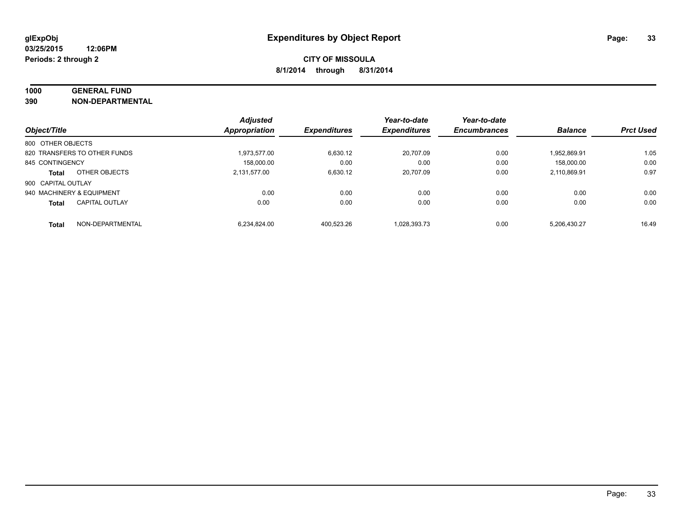# **1000 GENERAL FUND**

**390 NON-DEPARTMENTAL**

|                           |                              | <b>Adjusted</b>      |                     | Year-to-date        | Year-to-date        |                |                  |
|---------------------------|------------------------------|----------------------|---------------------|---------------------|---------------------|----------------|------------------|
| Object/Title              |                              | <b>Appropriation</b> | <b>Expenditures</b> | <b>Expenditures</b> | <b>Encumbrances</b> | <b>Balance</b> | <b>Prct Used</b> |
| 800 OTHER OBJECTS         |                              |                      |                     |                     |                     |                |                  |
|                           | 820 TRANSFERS TO OTHER FUNDS | 1.973.577.00         | 6.630.12            | 20.707.09           | 0.00                | 1.952.869.91   | 1.05             |
| 845 CONTINGENCY           |                              | 158.000.00           | 0.00                | 0.00                | 0.00                | 158.000.00     | 0.00             |
| <b>Total</b>              | OTHER OBJECTS                | 2.131.577.00         | 6.630.12            | 20.707.09           | 0.00                | 2,110,869.91   | 0.97             |
| 900 CAPITAL OUTLAY        |                              |                      |                     |                     |                     |                |                  |
| 940 MACHINERY & EQUIPMENT |                              | 0.00                 | 0.00                | 0.00                | 0.00                | 0.00           | 0.00             |
| <b>Total</b>              | <b>CAPITAL OUTLAY</b>        | 0.00                 | 0.00                | 0.00                | 0.00                | 0.00           | 0.00             |
| <b>Total</b>              | NON-DEPARTMENTAL             | 6.234.824.00         | 400.523.26          | 1.028.393.73        | 0.00                | 5.206.430.27   | 16.49            |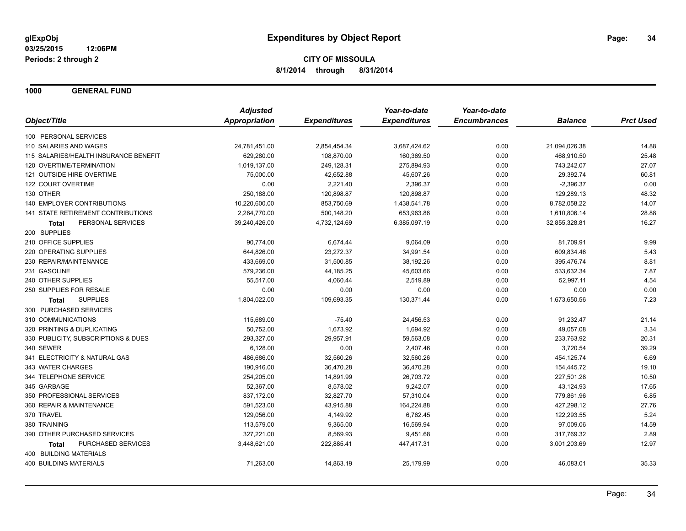**1000 GENERAL FUND**

|                                           | <b>Adjusted</b> |                     | Year-to-date        | Year-to-date        |                |                  |
|-------------------------------------------|-----------------|---------------------|---------------------|---------------------|----------------|------------------|
| Object/Title                              | Appropriation   | <b>Expenditures</b> | <b>Expenditures</b> | <b>Encumbrances</b> | <b>Balance</b> | <b>Prct Used</b> |
| 100 PERSONAL SERVICES                     |                 |                     |                     |                     |                |                  |
| 110 SALARIES AND WAGES                    | 24,781,451.00   | 2,854,454.34        | 3,687,424.62        | 0.00                | 21,094,026.38  | 14.88            |
| 115 SALARIES/HEALTH INSURANCE BENEFIT     | 629,280.00      | 108,870.00          | 160,369.50          | 0.00                | 468,910.50     | 25.48            |
| 120 OVERTIME/TERMINATION                  | 1,019,137.00    | 249,128.31          | 275,894.93          | 0.00                | 743,242.07     | 27.07            |
| 121 OUTSIDE HIRE OVERTIME                 | 75,000.00       | 42,652.88           | 45,607.26           | 0.00                | 29,392.74      | 60.81            |
| 122 COURT OVERTIME                        | 0.00            | 2,221.40            | 2,396.37            | 0.00                | $-2,396.37$    | 0.00             |
| 130 OTHER                                 | 250,188.00      | 120,898.87          | 120,898.87          | 0.00                | 129,289.13     | 48.32            |
| 140 EMPLOYER CONTRIBUTIONS                | 10,220,600.00   | 853,750.69          | 1,438,541.78        | 0.00                | 8,782,058.22   | 14.07            |
| 141 STATE RETIREMENT CONTRIBUTIONS        | 2,264,770.00    | 500,148.20          | 653,963.86          | 0.00                | 1,610,806.14   | 28.88            |
| PERSONAL SERVICES<br><b>Total</b>         | 39,240,426.00   | 4,732,124.69        | 6,385,097.19        | 0.00                | 32,855,328.81  | 16.27            |
| 200 SUPPLIES                              |                 |                     |                     |                     |                |                  |
| 210 OFFICE SUPPLIES                       | 90,774.00       | 6,674.44            | 9,064.09            | 0.00                | 81,709.91      | 9.99             |
| 220 OPERATING SUPPLIES                    | 644,826.00      | 23,272.37           | 34,991.54           | 0.00                | 609,834.46     | 5.43             |
| 230 REPAIR/MAINTENANCE                    | 433,669.00      | 31,500.85           | 38,192.26           | 0.00                | 395,476.74     | 8.81             |
| 231 GASOLINE                              | 579,236.00      | 44,185.25           | 45,603.66           | 0.00                | 533,632.34     | 7.87             |
| 240 OTHER SUPPLIES                        | 55,517.00       | 4,060.44            | 2,519.89            | 0.00                | 52,997.11      | 4.54             |
| 250 SUPPLIES FOR RESALE                   | 0.00            | 0.00                | 0.00                | 0.00                | 0.00           | 0.00             |
| <b>SUPPLIES</b><br><b>Total</b>           | 1,804,022.00    | 109,693.35          | 130,371.44          | 0.00                | 1,673,650.56   | 7.23             |
| 300 PURCHASED SERVICES                    |                 |                     |                     |                     |                |                  |
| 310 COMMUNICATIONS                        | 115,689.00      | $-75.40$            | 24,456.53           | 0.00                | 91,232.47      | 21.14            |
| 320 PRINTING & DUPLICATING                | 50,752.00       | 1,673.92            | 1,694.92            | 0.00                | 49,057.08      | 3.34             |
| 330 PUBLICITY, SUBSCRIPTIONS & DUES       | 293,327.00      | 29,957.91           | 59,563.08           | 0.00                | 233,763.92     | 20.31            |
| 340 SEWER                                 | 6,128.00        | 0.00                | 2,407.46            | 0.00                | 3,720.54       | 39.29            |
| 341 ELECTRICITY & NATURAL GAS             | 486,686.00      | 32,560.26           | 32,560.26           | 0.00                | 454,125.74     | 6.69             |
| 343 WATER CHARGES                         | 190,916.00      | 36,470.28           | 36,470.28           | 0.00                | 154,445.72     | 19.10            |
| 344 TELEPHONE SERVICE                     | 254,205.00      | 14,891.99           | 26,703.72           | 0.00                | 227,501.28     | 10.50            |
| 345 GARBAGE                               | 52,367.00       | 8,578.02            | 9,242.07            | 0.00                | 43,124.93      | 17.65            |
| 350 PROFESSIONAL SERVICES                 | 837,172.00      | 32,827.70           | 57,310.04           | 0.00                | 779,861.96     | 6.85             |
| 360 REPAIR & MAINTENANCE                  | 591,523.00      | 43,915.88           | 164,224.88          | 0.00                | 427,298.12     | 27.76            |
| 370 TRAVEL                                | 129,056.00      | 4,149.92            | 6,762.45            | 0.00                | 122,293.55     | 5.24             |
| 380 TRAINING                              | 113,579.00      | 9,365.00            | 16,569.94           | 0.00                | 97,009.06      | 14.59            |
| 390 OTHER PURCHASED SERVICES              | 327,221.00      | 8,569.93            | 9,451.68            | 0.00                | 317,769.32     | 2.89             |
| <b>PURCHASED SERVICES</b><br><b>Total</b> | 3,448,621.00    | 222,885.41          | 447,417.31          | 0.00                | 3,001,203.69   | 12.97            |
| 400 BUILDING MATERIALS                    |                 |                     |                     |                     |                |                  |
| <b>400 BUILDING MATERIALS</b>             | 71,263.00       | 14,863.19           | 25,179.99           | 0.00                | 46,083.01      | 35.33            |
|                                           |                 |                     |                     |                     |                |                  |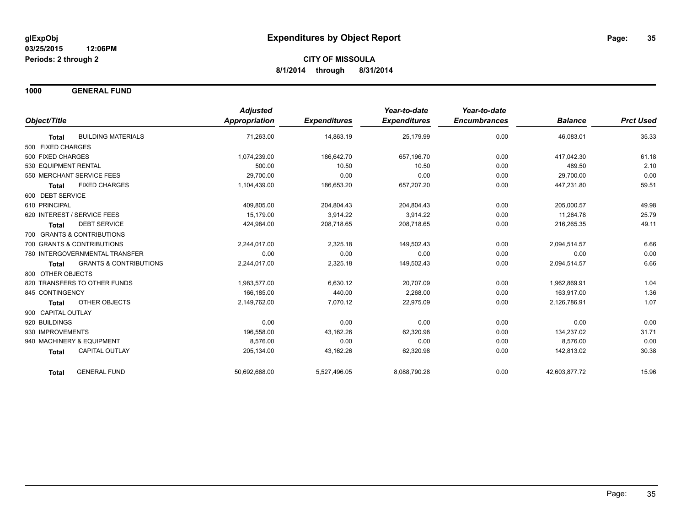**1000 GENERAL FUND**

|                                                   | <b>Adjusted</b> |                     | Year-to-date        | Year-to-date        |                |                  |
|---------------------------------------------------|-----------------|---------------------|---------------------|---------------------|----------------|------------------|
| Object/Title                                      | Appropriation   | <b>Expenditures</b> | <b>Expenditures</b> | <b>Encumbrances</b> | <b>Balance</b> | <b>Prct Used</b> |
| <b>BUILDING MATERIALS</b><br><b>Total</b>         | 71,263.00       | 14,863.19           | 25,179.99           | 0.00                | 46,083.01      | 35.33            |
| 500 FIXED CHARGES                                 |                 |                     |                     |                     |                |                  |
| 500 FIXED CHARGES                                 | 1,074,239.00    | 186,642.70          | 657,196.70          | 0.00                | 417,042.30     | 61.18            |
| 530 EQUIPMENT RENTAL                              | 500.00          | 10.50               | 10.50               | 0.00                | 489.50         | 2.10             |
| 550 MERCHANT SERVICE FEES                         | 29,700.00       | 0.00                | 0.00                | 0.00                | 29.700.00      | 0.00             |
| <b>FIXED CHARGES</b><br><b>Total</b>              | 1,104,439.00    | 186,653.20          | 657,207.20          | 0.00                | 447,231.80     | 59.51            |
| 600 DEBT SERVICE                                  |                 |                     |                     |                     |                |                  |
| 610 PRINCIPAL                                     | 409,805.00      | 204,804.43          | 204,804.43          | 0.00                | 205,000.57     | 49.98            |
| 620 INTEREST / SERVICE FEES                       | 15.179.00       | 3,914.22            | 3,914.22            | 0.00                | 11,264.78      | 25.79            |
| <b>DEBT SERVICE</b><br>Total                      | 424,984.00      | 208,718.65          | 208,718.65          | 0.00                | 216,265.35     | 49.11            |
| 700 GRANTS & CONTRIBUTIONS                        |                 |                     |                     |                     |                |                  |
| 700 GRANTS & CONTRIBUTIONS                        | 2,244,017.00    | 2,325.18            | 149,502.43          | 0.00                | 2,094,514.57   | 6.66             |
| 780 INTERGOVERNMENTAL TRANSFER                    | 0.00            | 0.00                | 0.00                | 0.00                | 0.00           | 0.00             |
| <b>GRANTS &amp; CONTRIBUTIONS</b><br><b>Total</b> | 2,244,017.00    | 2,325.18            | 149,502.43          | 0.00                | 2,094,514.57   | 6.66             |
| 800 OTHER OBJECTS                                 |                 |                     |                     |                     |                |                  |
| 820 TRANSFERS TO OTHER FUNDS                      | 1,983,577.00    | 6,630.12            | 20,707.09           | 0.00                | 1,962,869.91   | 1.04             |
| 845 CONTINGENCY                                   | 166,185.00      | 440.00              | 2,268.00            | 0.00                | 163,917.00     | 1.36             |
| OTHER OBJECTS<br><b>Total</b>                     | 2,149,762.00    | 7,070.12            | 22,975.09           | 0.00                | 2,126,786.91   | 1.07             |
| 900 CAPITAL OUTLAY                                |                 |                     |                     |                     |                |                  |
| 920 BUILDINGS                                     | 0.00            | 0.00                | 0.00                | 0.00                | 0.00           | 0.00             |
| 930 IMPROVEMENTS                                  | 196,558.00      | 43,162.26           | 62,320.98           | 0.00                | 134.237.02     | 31.71            |
| 940 MACHINERY & EQUIPMENT                         | 8.576.00        | 0.00                | 0.00                | 0.00                | 8.576.00       | 0.00             |
| CAPITAL OUTLAY<br><b>Total</b>                    | 205,134.00      | 43,162.26           | 62,320.98           | 0.00                | 142,813.02     | 30.38            |
| <b>GENERAL FUND</b><br>Total                      | 50.692.668.00   | 5,527,496.05        | 8,088,790.28        | 0.00                | 42,603,877.72  | 15.96            |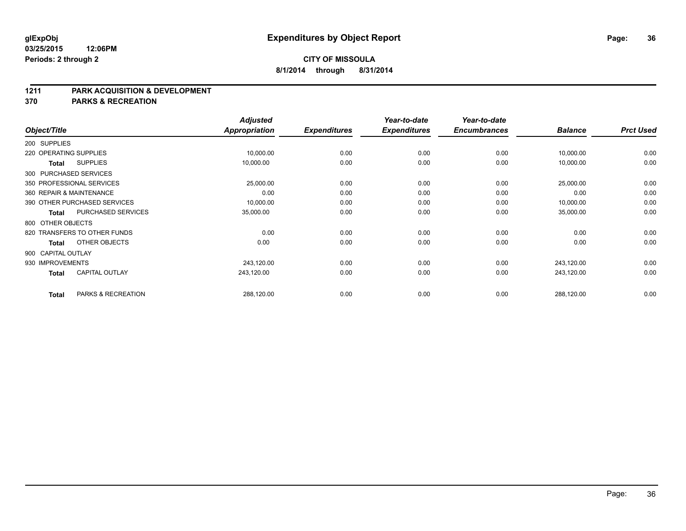#### **1211 PARK ACQUISITION & DEVELOPMENT**

**370 PARKS & RECREATION**

|                    |              |                              | <b>Adjusted</b>      |                     | Year-to-date        | Year-to-date        |                | <b>Prct Used</b> |
|--------------------|--------------|------------------------------|----------------------|---------------------|---------------------|---------------------|----------------|------------------|
| Object/Title       |              |                              | <b>Appropriation</b> | <b>Expenditures</b> | <b>Expenditures</b> | <b>Encumbrances</b> | <b>Balance</b> |                  |
| 200 SUPPLIES       |              |                              |                      |                     |                     |                     |                |                  |
|                    |              | 220 OPERATING SUPPLIES       | 10,000.00            | 0.00                | 0.00                | 0.00                | 10,000.00      | 0.00             |
|                    | <b>Total</b> | <b>SUPPLIES</b>              | 10,000.00            | 0.00                | 0.00                | 0.00                | 10,000.00      | 0.00             |
|                    |              | 300 PURCHASED SERVICES       |                      |                     |                     |                     |                |                  |
|                    |              | 350 PROFESSIONAL SERVICES    | 25,000.00            | 0.00                | 0.00                | 0.00                | 25,000.00      | 0.00             |
|                    |              | 360 REPAIR & MAINTENANCE     | 0.00                 | 0.00                | 0.00                | 0.00                | 0.00           | 0.00             |
|                    |              | 390 OTHER PURCHASED SERVICES | 10,000.00            | 0.00                | 0.00                | 0.00                | 10,000.00      | 0.00             |
|                    | Total        | PURCHASED SERVICES           | 35,000.00            | 0.00                | 0.00                | 0.00                | 35,000.00      | 0.00             |
| 800 OTHER OBJECTS  |              |                              |                      |                     |                     |                     |                |                  |
|                    |              | 820 TRANSFERS TO OTHER FUNDS | 0.00                 | 0.00                | 0.00                | 0.00                | 0.00           | 0.00             |
|                    | <b>Total</b> | OTHER OBJECTS                | 0.00                 | 0.00                | 0.00                | 0.00                | 0.00           | 0.00             |
| 900 CAPITAL OUTLAY |              |                              |                      |                     |                     |                     |                |                  |
| 930 IMPROVEMENTS   |              |                              | 243,120.00           | 0.00                | 0.00                | 0.00                | 243,120.00     | 0.00             |
|                    | <b>Total</b> | <b>CAPITAL OUTLAY</b>        | 243,120.00           | 0.00                | 0.00                | 0.00                | 243,120.00     | 0.00             |
|                    | <b>Total</b> | PARKS & RECREATION           | 288,120.00           | 0.00                | 0.00                | 0.00                | 288,120.00     | 0.00             |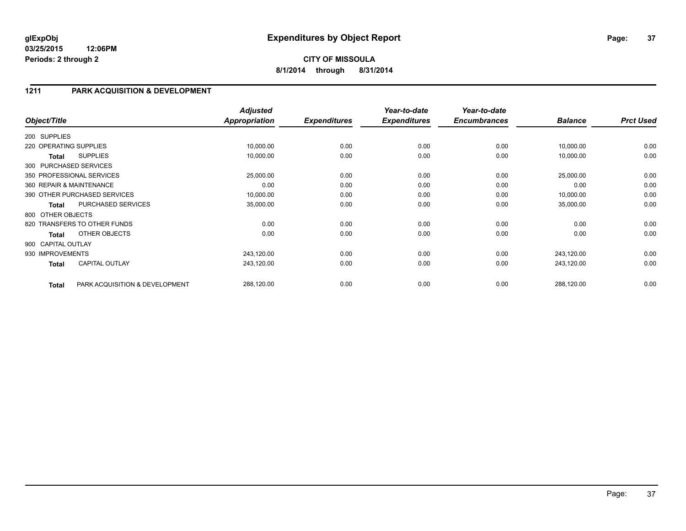### **1211 PARK ACQUISITION & DEVELOPMENT**

| Object/Title           |                                | <b>Adjusted</b><br>Appropriation | <b>Expenditures</b> | Year-to-date<br><b>Expenditures</b> | Year-to-date<br><b>Encumbrances</b> | <b>Balance</b> | <b>Prct Used</b> |
|------------------------|--------------------------------|----------------------------------|---------------------|-------------------------------------|-------------------------------------|----------------|------------------|
| 200 SUPPLIES           |                                |                                  |                     |                                     |                                     |                |                  |
| 220 OPERATING SUPPLIES |                                | 10,000.00                        | 0.00                | 0.00                                | 0.00                                | 10,000.00      | 0.00             |
| Total                  | <b>SUPPLIES</b>                | 10,000.00                        | 0.00                | 0.00                                | 0.00                                | 10,000.00      | 0.00             |
|                        | 300 PURCHASED SERVICES         |                                  |                     |                                     |                                     |                |                  |
|                        | 350 PROFESSIONAL SERVICES      | 25,000.00                        | 0.00                | 0.00                                | 0.00                                | 25,000.00      | 0.00             |
|                        | 360 REPAIR & MAINTENANCE       | 0.00                             | 0.00                | 0.00                                | 0.00                                | 0.00           | 0.00             |
|                        | 390 OTHER PURCHASED SERVICES   | 10,000.00                        | 0.00                | 0.00                                | 0.00                                | 10,000.00      | 0.00             |
| <b>Total</b>           | PURCHASED SERVICES             | 35,000.00                        | 0.00                | 0.00                                | 0.00                                | 35,000.00      | 0.00             |
| 800 OTHER OBJECTS      |                                |                                  |                     |                                     |                                     |                |                  |
|                        | 820 TRANSFERS TO OTHER FUNDS   | 0.00                             | 0.00                | 0.00                                | 0.00                                | 0.00           | 0.00             |
| <b>Total</b>           | OTHER OBJECTS                  | 0.00                             | 0.00                | 0.00                                | 0.00                                | 0.00           | 0.00             |
| 900 CAPITAL OUTLAY     |                                |                                  |                     |                                     |                                     |                |                  |
| 930 IMPROVEMENTS       |                                | 243,120.00                       | 0.00                | 0.00                                | 0.00                                | 243,120.00     | 0.00             |
| <b>Total</b>           | <b>CAPITAL OUTLAY</b>          | 243,120.00                       | 0.00                | 0.00                                | 0.00                                | 243,120.00     | 0.00             |
| <b>Total</b>           | PARK ACQUISITION & DEVELOPMENT | 288,120.00                       | 0.00                | 0.00                                | 0.00                                | 288,120.00     | 0.00             |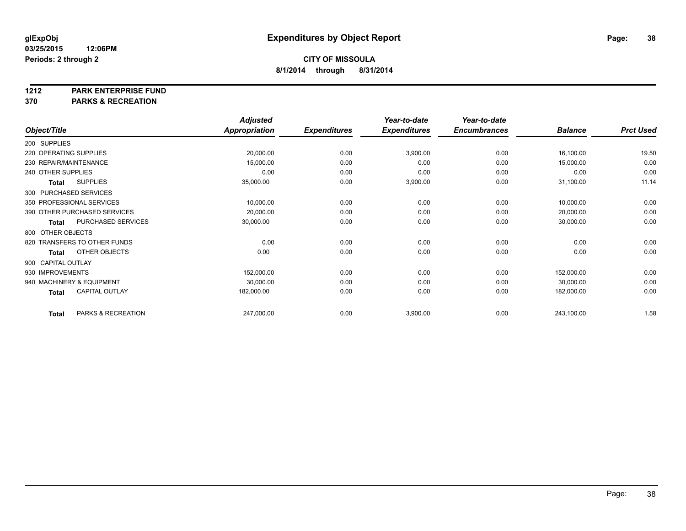#### **1212 PARK ENTERPRISE FUND**

**370 PARKS & RECREATION**

|                        |                              | <b>Adjusted</b>      |                     | Year-to-date        | Year-to-date        |                |                  |
|------------------------|------------------------------|----------------------|---------------------|---------------------|---------------------|----------------|------------------|
| Object/Title           |                              | <b>Appropriation</b> | <b>Expenditures</b> | <b>Expenditures</b> | <b>Encumbrances</b> | <b>Balance</b> | <b>Prct Used</b> |
| 200 SUPPLIES           |                              |                      |                     |                     |                     |                |                  |
| 220 OPERATING SUPPLIES |                              | 20,000.00            | 0.00                | 3,900.00            | 0.00                | 16,100.00      | 19.50            |
| 230 REPAIR/MAINTENANCE |                              | 15,000.00            | 0.00                | 0.00                | 0.00                | 15,000.00      | 0.00             |
| 240 OTHER SUPPLIES     |                              | 0.00                 | 0.00                | 0.00                | 0.00                | 0.00           | 0.00             |
| <b>Total</b>           | <b>SUPPLIES</b>              | 35,000.00            | 0.00                | 3,900.00            | 0.00                | 31,100.00      | 11.14            |
|                        | 300 PURCHASED SERVICES       |                      |                     |                     |                     |                |                  |
|                        | 350 PROFESSIONAL SERVICES    | 10,000.00            | 0.00                | 0.00                | 0.00                | 10,000.00      | 0.00             |
|                        | 390 OTHER PURCHASED SERVICES | 20,000.00            | 0.00                | 0.00                | 0.00                | 20,000.00      | 0.00             |
| <b>Total</b>           | PURCHASED SERVICES           | 30,000.00            | 0.00                | 0.00                | 0.00                | 30,000.00      | 0.00             |
| 800 OTHER OBJECTS      |                              |                      |                     |                     |                     |                |                  |
|                        | 820 TRANSFERS TO OTHER FUNDS | 0.00                 | 0.00                | 0.00                | 0.00                | 0.00           | 0.00             |
| <b>Total</b>           | OTHER OBJECTS                | 0.00                 | 0.00                | 0.00                | 0.00                | 0.00           | 0.00             |
| 900 CAPITAL OUTLAY     |                              |                      |                     |                     |                     |                |                  |
| 930 IMPROVEMENTS       |                              | 152,000.00           | 0.00                | 0.00                | 0.00                | 152,000.00     | 0.00             |
|                        | 940 MACHINERY & EQUIPMENT    | 30,000.00            | 0.00                | 0.00                | 0.00                | 30,000.00      | 0.00             |
| <b>Total</b>           | <b>CAPITAL OUTLAY</b>        | 182,000.00           | 0.00                | 0.00                | 0.00                | 182,000.00     | 0.00             |
| <b>Total</b>           | PARKS & RECREATION           | 247,000.00           | 0.00                | 3,900.00            | 0.00                | 243,100.00     | 1.58             |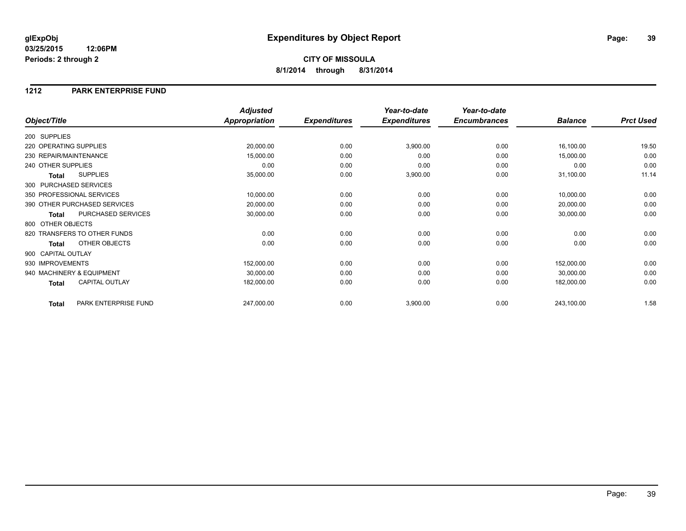### **1212 PARK ENTERPRISE FUND**

|                                |                      | <b>Adjusted</b>      |                     | Year-to-date        | Year-to-date        |                |                  |
|--------------------------------|----------------------|----------------------|---------------------|---------------------|---------------------|----------------|------------------|
| Object/Title                   |                      | <b>Appropriation</b> | <b>Expenditures</b> | <b>Expenditures</b> | <b>Encumbrances</b> | <b>Balance</b> | <b>Prct Used</b> |
| 200 SUPPLIES                   |                      |                      |                     |                     |                     |                |                  |
| 220 OPERATING SUPPLIES         |                      | 20,000.00            | 0.00                | 3,900.00            | 0.00                | 16,100.00      | 19.50            |
| 230 REPAIR/MAINTENANCE         |                      | 15,000.00            | 0.00                | 0.00                | 0.00                | 15,000.00      | 0.00             |
| 240 OTHER SUPPLIES             |                      | 0.00                 | 0.00                | 0.00                | 0.00                | 0.00           | 0.00             |
| <b>SUPPLIES</b><br>Total       |                      | 35,000.00            | 0.00                | 3,900.00            | 0.00                | 31,100.00      | 11.14            |
| 300 PURCHASED SERVICES         |                      |                      |                     |                     |                     |                |                  |
| 350 PROFESSIONAL SERVICES      |                      | 10,000.00            | 0.00                | 0.00                | 0.00                | 10,000.00      | 0.00             |
| 390 OTHER PURCHASED SERVICES   |                      | 20,000.00            | 0.00                | 0.00                | 0.00                | 20,000.00      | 0.00             |
| PURCHASED SERVICES<br>Total    |                      | 30,000.00            | 0.00                | 0.00                | 0.00                | 30,000.00      | 0.00             |
| 800 OTHER OBJECTS              |                      |                      |                     |                     |                     |                |                  |
| 820 TRANSFERS TO OTHER FUNDS   |                      | 0.00                 | 0.00                | 0.00                | 0.00                | 0.00           | 0.00             |
| OTHER OBJECTS<br>Total         |                      | 0.00                 | 0.00                | 0.00                | 0.00                | 0.00           | 0.00             |
| 900 CAPITAL OUTLAY             |                      |                      |                     |                     |                     |                |                  |
| 930 IMPROVEMENTS               |                      | 152,000.00           | 0.00                | 0.00                | 0.00                | 152,000.00     | 0.00             |
| 940 MACHINERY & EQUIPMENT      |                      | 30,000.00            | 0.00                | 0.00                | 0.00                | 30,000.00      | 0.00             |
| <b>CAPITAL OUTLAY</b><br>Total |                      | 182,000.00           | 0.00                | 0.00                | 0.00                | 182,000.00     | 0.00             |
| <b>Total</b>                   | PARK ENTERPRISE FUND | 247,000.00           | 0.00                | 3,900.00            | 0.00                | 243,100.00     | 1.58             |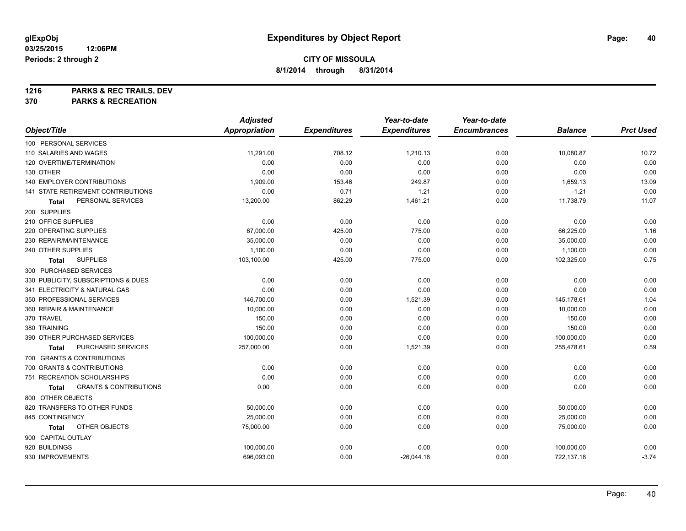**1216 PARKS & REC TRAILS, DEV**

**370 PARKS & RECREATION**

|                                            | <b>Adjusted</b>      |                     | Year-to-date        | Year-to-date        |                |                  |
|--------------------------------------------|----------------------|---------------------|---------------------|---------------------|----------------|------------------|
| Object/Title                               | <b>Appropriation</b> | <b>Expenditures</b> | <b>Expenditures</b> | <b>Encumbrances</b> | <b>Balance</b> | <b>Prct Used</b> |
| 100 PERSONAL SERVICES                      |                      |                     |                     |                     |                |                  |
| 110 SALARIES AND WAGES                     | 11,291.00            | 708.12              | 1,210.13            | 0.00                | 10,080.87      | 10.72            |
| 120 OVERTIME/TERMINATION                   | 0.00                 | 0.00                | 0.00                | 0.00                | 0.00           | 0.00             |
| 130 OTHER                                  | 0.00                 | 0.00                | 0.00                | 0.00                | 0.00           | 0.00             |
| <b>140 EMPLOYER CONTRIBUTIONS</b>          | 1,909.00             | 153.46              | 249.87              | 0.00                | 1,659.13       | 13.09            |
| 141 STATE RETIREMENT CONTRIBUTIONS         | 0.00                 | 0.71                | 1.21                | 0.00                | $-1.21$        | 0.00             |
| PERSONAL SERVICES<br>Total                 | 13,200.00            | 862.29              | 1,461.21            | 0.00                | 11,738.79      | 11.07            |
| 200 SUPPLIES                               |                      |                     |                     |                     |                |                  |
| 210 OFFICE SUPPLIES                        | 0.00                 | 0.00                | 0.00                | 0.00                | 0.00           | 0.00             |
| 220 OPERATING SUPPLIES                     | 67,000.00            | 425.00              | 775.00              | 0.00                | 66,225.00      | 1.16             |
| 230 REPAIR/MAINTENANCE                     | 35,000.00            | 0.00                | 0.00                | 0.00                | 35,000.00      | 0.00             |
| 240 OTHER SUPPLIES                         | 1,100.00             | 0.00                | 0.00                | 0.00                | 1,100.00       | 0.00             |
| <b>SUPPLIES</b><br>Total                   | 103,100.00           | 425.00              | 775.00              | 0.00                | 102,325.00     | 0.75             |
| 300 PURCHASED SERVICES                     |                      |                     |                     |                     |                |                  |
| 330 PUBLICITY, SUBSCRIPTIONS & DUES        | 0.00                 | 0.00                | 0.00                | 0.00                | 0.00           | 0.00             |
| 341 ELECTRICITY & NATURAL GAS              | 0.00                 | 0.00                | 0.00                | 0.00                | 0.00           | 0.00             |
| 350 PROFESSIONAL SERVICES                  | 146,700.00           | 0.00                | 1,521.39            | 0.00                | 145,178.61     | 1.04             |
| 360 REPAIR & MAINTENANCE                   | 10,000.00            | 0.00                | 0.00                | 0.00                | 10,000.00      | 0.00             |
| 370 TRAVEL                                 | 150.00               | 0.00                | 0.00                | 0.00                | 150.00         | 0.00             |
| 380 TRAINING                               | 150.00               | 0.00                | 0.00                | 0.00                | 150.00         | 0.00             |
| 390 OTHER PURCHASED SERVICES               | 100,000.00           | 0.00                | 0.00                | 0.00                | 100,000.00     | 0.00             |
| PURCHASED SERVICES<br>Total                | 257,000.00           | 0.00                | 1,521.39            | 0.00                | 255,478.61     | 0.59             |
| 700 GRANTS & CONTRIBUTIONS                 |                      |                     |                     |                     |                |                  |
| 700 GRANTS & CONTRIBUTIONS                 | 0.00                 | 0.00                | 0.00                | 0.00                | 0.00           | 0.00             |
| 751 RECREATION SCHOLARSHIPS                | 0.00                 | 0.00                | 0.00                | 0.00                | 0.00           | 0.00             |
| <b>GRANTS &amp; CONTRIBUTIONS</b><br>Total | 0.00                 | 0.00                | 0.00                | 0.00                | 0.00           | 0.00             |
| 800 OTHER OBJECTS                          |                      |                     |                     |                     |                |                  |
| 820 TRANSFERS TO OTHER FUNDS               | 50,000.00            | 0.00                | 0.00                | 0.00                | 50,000.00      | 0.00             |
| 845 CONTINGENCY                            | 25,000.00            | 0.00                | 0.00                | 0.00                | 25,000.00      | 0.00             |
| OTHER OBJECTS<br>Total                     | 75,000.00            | 0.00                | 0.00                | 0.00                | 75,000.00      | 0.00             |
| 900 CAPITAL OUTLAY                         |                      |                     |                     |                     |                |                  |
| 920 BUILDINGS                              | 100,000.00           | 0.00                | 0.00                | 0.00                | 100,000.00     | 0.00             |
| 930 IMPROVEMENTS                           | 696,093.00           | 0.00                | $-26,044.18$        | 0.00                | 722,137.18     | $-3.74$          |
|                                            |                      |                     |                     |                     |                |                  |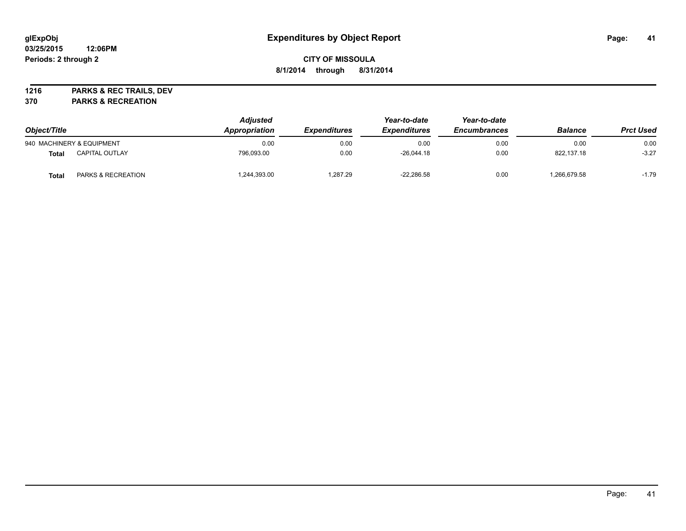# **CITY OF MISSOULA 8/1/2014 through 8/31/2014**

**1216 PARKS & REC TRAILS, DEV**

**370 PARKS & RECREATION**

| Object/Title |                               | <b>Adjusted</b><br>Appropriation | <i><b>Expenditures</b></i> | Year-to-date<br><b>Expenditures</b> | Year-to-date<br><b>Encumbrances</b> | <b>Balance</b> | <b>Prct Used</b> |
|--------------|-------------------------------|----------------------------------|----------------------------|-------------------------------------|-------------------------------------|----------------|------------------|
|              | 940 MACHINERY & EQUIPMENT     | 0.00                             | 0.00                       | 0.00                                | 0.00                                | 0.00           | 0.00             |
| Total        | <b>CAPITAL OUTLAY</b>         | 796.093.00                       | 0.00                       | $-26.044.18$                        | 0.00                                | 822.137.18     | $-3.27$          |
| Total        | <b>PARKS &amp; RECREATION</b> | ,244,393.00                      | 1.287.29                   | $-22.286.58$                        | 0.00                                | ,266,679.58    | $-1.79$          |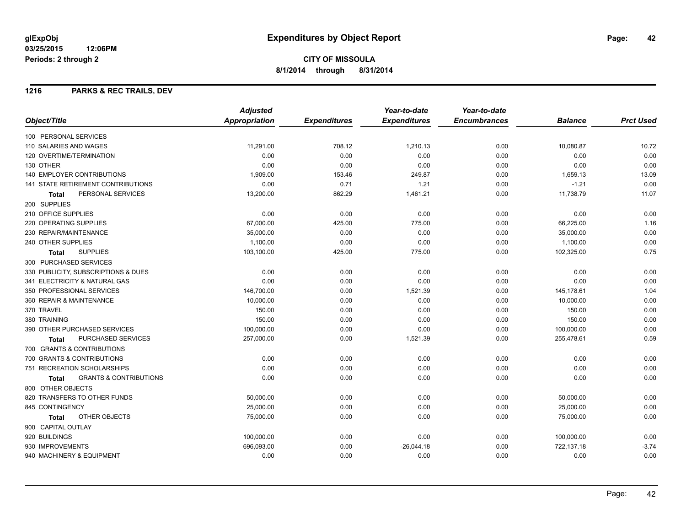**8/1/2014 through 8/31/2014**

# **1216 PARKS & REC TRAILS, DEV**

|                                                   | <b>Adjusted</b> |                     | Year-to-date        | Year-to-date        |                |                  |
|---------------------------------------------------|-----------------|---------------------|---------------------|---------------------|----------------|------------------|
| Object/Title                                      | Appropriation   | <b>Expenditures</b> | <b>Expenditures</b> | <b>Encumbrances</b> | <b>Balance</b> | <b>Prct Used</b> |
| 100 PERSONAL SERVICES                             |                 |                     |                     |                     |                |                  |
| 110 SALARIES AND WAGES                            | 11,291.00       | 708.12              | 1,210.13            | 0.00                | 10,080.87      | 10.72            |
| 120 OVERTIME/TERMINATION                          | 0.00            | 0.00                | 0.00                | 0.00                | 0.00           | 0.00             |
| 130 OTHER                                         | 0.00            | 0.00                | 0.00                | 0.00                | 0.00           | 0.00             |
| <b>140 EMPLOYER CONTRIBUTIONS</b>                 | 1,909.00        | 153.46              | 249.87              | 0.00                | 1,659.13       | 13.09            |
| <b>141 STATE RETIREMENT CONTRIBUTIONS</b>         | 0.00            | 0.71                | 1.21                | 0.00                | $-1.21$        | 0.00             |
| PERSONAL SERVICES<br><b>Total</b>                 | 13,200.00       | 862.29              | 1,461.21            | 0.00                | 11,738.79      | 11.07            |
| 200 SUPPLIES                                      |                 |                     |                     |                     |                |                  |
| 210 OFFICE SUPPLIES                               | 0.00            | 0.00                | 0.00                | 0.00                | 0.00           | 0.00             |
| 220 OPERATING SUPPLIES                            | 67,000.00       | 425.00              | 775.00              | 0.00                | 66,225.00      | 1.16             |
| 230 REPAIR/MAINTENANCE                            | 35,000.00       | 0.00                | 0.00                | 0.00                | 35,000.00      | 0.00             |
| 240 OTHER SUPPLIES                                | 1,100.00        | 0.00                | 0.00                | 0.00                | 1,100.00       | 0.00             |
| <b>SUPPLIES</b><br><b>Total</b>                   | 103,100.00      | 425.00              | 775.00              | 0.00                | 102,325.00     | 0.75             |
| 300 PURCHASED SERVICES                            |                 |                     |                     |                     |                |                  |
| 330 PUBLICITY, SUBSCRIPTIONS & DUES               | 0.00            | 0.00                | 0.00                | 0.00                | 0.00           | 0.00             |
| 341 ELECTRICITY & NATURAL GAS                     | 0.00            | 0.00                | 0.00                | 0.00                | 0.00           | 0.00             |
| 350 PROFESSIONAL SERVICES                         | 146,700.00      | 0.00                | 1,521.39            | 0.00                | 145,178.61     | 1.04             |
| 360 REPAIR & MAINTENANCE                          | 10,000.00       | 0.00                | 0.00                | 0.00                | 10,000.00      | 0.00             |
| 370 TRAVEL                                        | 150.00          | 0.00                | 0.00                | 0.00                | 150.00         | 0.00             |
| 380 TRAINING                                      | 150.00          | 0.00                | 0.00                | 0.00                | 150.00         | 0.00             |
| 390 OTHER PURCHASED SERVICES                      | 100,000.00      | 0.00                | 0.00                | 0.00                | 100,000.00     | 0.00             |
| <b>PURCHASED SERVICES</b><br>Total                | 257,000.00      | 0.00                | 1,521.39            | 0.00                | 255,478.61     | 0.59             |
| 700 GRANTS & CONTRIBUTIONS                        |                 |                     |                     |                     |                |                  |
| 700 GRANTS & CONTRIBUTIONS                        | 0.00            | 0.00                | 0.00                | 0.00                | 0.00           | 0.00             |
| 751 RECREATION SCHOLARSHIPS                       | 0.00            | 0.00                | 0.00                | 0.00                | 0.00           | 0.00             |
| <b>GRANTS &amp; CONTRIBUTIONS</b><br><b>Total</b> | 0.00            | 0.00                | 0.00                | 0.00                | 0.00           | 0.00             |
| 800 OTHER OBJECTS                                 |                 |                     |                     |                     |                |                  |
| 820 TRANSFERS TO OTHER FUNDS                      | 50,000.00       | 0.00                | 0.00                | 0.00                | 50,000.00      | 0.00             |
| 845 CONTINGENCY                                   | 25,000.00       | 0.00                | 0.00                | 0.00                | 25,000.00      | 0.00             |
| OTHER OBJECTS<br>Total                            | 75,000.00       | 0.00                | 0.00                | 0.00                | 75,000.00      | 0.00             |
| 900 CAPITAL OUTLAY                                |                 |                     |                     |                     |                |                  |
| 920 BUILDINGS                                     | 100,000.00      | 0.00                | 0.00                | 0.00                | 100,000.00     | 0.00             |
| 930 IMPROVEMENTS                                  | 696,093.00      | 0.00                | $-26,044.18$        | 0.00                | 722,137.18     | $-3.74$          |
| 940 MACHINERY & EQUIPMENT                         | 0.00            | 0.00                | 0.00                | 0.00                | 0.00           | 0.00             |
|                                                   |                 |                     |                     |                     |                |                  |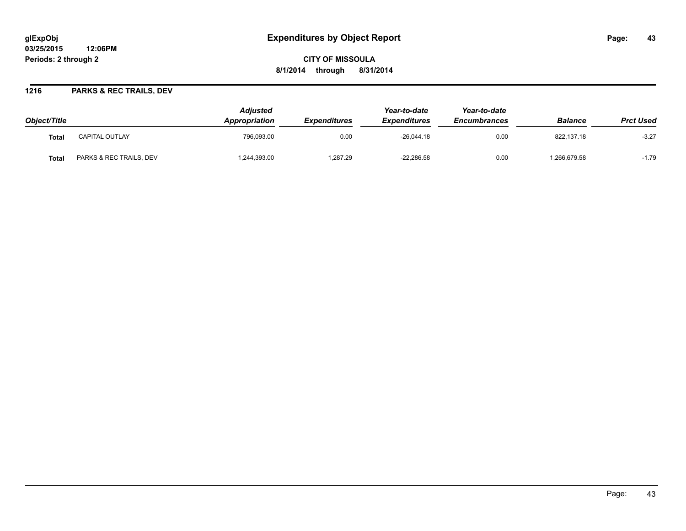# **glExpObj Expenditures by Object Report Page: 43**

**03/25/2015 12:06PM Periods: 2 through 2**

### **1216 PARKS & REC TRAILS, DEV**

| Object/Title |                         | <b>Adiusted</b><br>Appropriation | <b>Expenditures</b> | Year-to-date<br><b>Expenditures</b> | Year-to-date<br><b>Encumbrances</b> | <b>Balance</b> | <b>Prct Used</b> |
|--------------|-------------------------|----------------------------------|---------------------|-------------------------------------|-------------------------------------|----------------|------------------|
| Total        | <b>CAPITAL OUTLAY</b>   | 796,093.00                       | 0.00                | $-26,044.18$                        | 0.00                                | 822,137.18     | $-3.27$          |
| <b>Total</b> | PARKS & REC TRAILS, DEV | 244,393.00                       | 1,287.29            | $-22,286.58$                        | 0.00                                | .266,679.58    | $-1.79$          |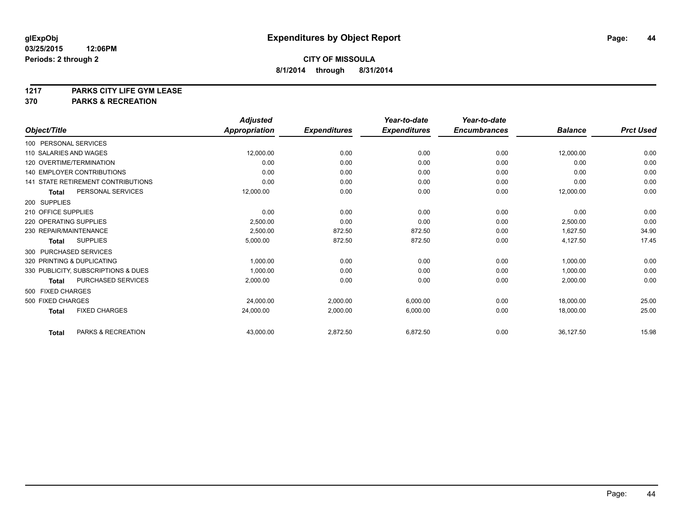# **1217 PARKS CITY LIFE GYM LEASE**

## **370 PARKS & RECREATION**

|                                           | <b>Adjusted</b>      |                     | Year-to-date        | Year-to-date        |                |                  |
|-------------------------------------------|----------------------|---------------------|---------------------|---------------------|----------------|------------------|
| Object/Title                              | <b>Appropriation</b> | <b>Expenditures</b> | <b>Expenditures</b> | <b>Encumbrances</b> | <b>Balance</b> | <b>Prct Used</b> |
| 100 PERSONAL SERVICES                     |                      |                     |                     |                     |                |                  |
| 110 SALARIES AND WAGES                    | 12,000.00            | 0.00                | 0.00                | 0.00                | 12,000.00      | 0.00             |
| 120 OVERTIME/TERMINATION                  | 0.00                 | 0.00                | 0.00                | 0.00                | 0.00           | 0.00             |
| <b>140 EMPLOYER CONTRIBUTIONS</b>         | 0.00                 | 0.00                | 0.00                | 0.00                | 0.00           | 0.00             |
| <b>141 STATE RETIREMENT CONTRIBUTIONS</b> | 0.00                 | 0.00                | 0.00                | 0.00                | 0.00           | 0.00             |
| PERSONAL SERVICES<br><b>Total</b>         | 12,000.00            | 0.00                | 0.00                | 0.00                | 12,000.00      | 0.00             |
| 200 SUPPLIES                              |                      |                     |                     |                     |                |                  |
| 210 OFFICE SUPPLIES                       | 0.00                 | 0.00                | 0.00                | 0.00                | 0.00           | 0.00             |
| 220 OPERATING SUPPLIES                    | 2,500.00             | 0.00                | 0.00                | 0.00                | 2,500.00       | 0.00             |
| 230 REPAIR/MAINTENANCE                    | 2,500.00             | 872.50              | 872.50              | 0.00                | 1,627.50       | 34.90            |
| <b>SUPPLIES</b><br><b>Total</b>           | 5,000.00             | 872.50              | 872.50              | 0.00                | 4,127.50       | 17.45            |
| 300 PURCHASED SERVICES                    |                      |                     |                     |                     |                |                  |
| 320 PRINTING & DUPLICATING                | 1,000.00             | 0.00                | 0.00                | 0.00                | 1,000.00       | 0.00             |
| 330 PUBLICITY, SUBSCRIPTIONS & DUES       | 1,000.00             | 0.00                | 0.00                | 0.00                | 1,000.00       | 0.00             |
| PURCHASED SERVICES<br>Total               | 2,000.00             | 0.00                | 0.00                | 0.00                | 2,000.00       | 0.00             |
| 500 FIXED CHARGES                         |                      |                     |                     |                     |                |                  |
| 500 FIXED CHARGES                         | 24,000.00            | 2,000.00            | 6,000.00            | 0.00                | 18,000.00      | 25.00            |
| <b>FIXED CHARGES</b><br><b>Total</b>      | 24,000.00            | 2,000.00            | 6,000.00            | 0.00                | 18,000.00      | 25.00            |
| PARKS & RECREATION<br><b>Total</b>        | 43,000.00            | 2,872.50            | 6,872.50            | 0.00                | 36,127.50      | 15.98            |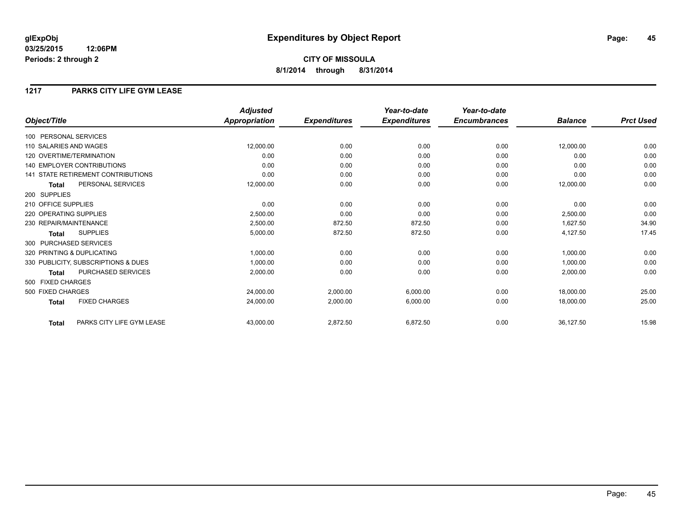### **1217 PARKS CITY LIFE GYM LEASE**

|                                           | <b>Adjusted</b>      |                     | Year-to-date        | Year-to-date        |                |                  |
|-------------------------------------------|----------------------|---------------------|---------------------|---------------------|----------------|------------------|
| Object/Title                              | <b>Appropriation</b> | <b>Expenditures</b> | <b>Expenditures</b> | <b>Encumbrances</b> | <b>Balance</b> | <b>Prct Used</b> |
| 100 PERSONAL SERVICES                     |                      |                     |                     |                     |                |                  |
| 110 SALARIES AND WAGES                    | 12,000.00            | 0.00                | 0.00                | 0.00                | 12,000.00      | 0.00             |
| 120 OVERTIME/TERMINATION                  | 0.00                 | 0.00                | 0.00                | 0.00                | 0.00           | 0.00             |
| <b>140 EMPLOYER CONTRIBUTIONS</b>         | 0.00                 | 0.00                | 0.00                | 0.00                | 0.00           | 0.00             |
| 141 STATE RETIREMENT CONTRIBUTIONS        | 0.00                 | 0.00                | 0.00                | 0.00                | 0.00           | 0.00             |
| PERSONAL SERVICES<br><b>Total</b>         | 12,000.00            | 0.00                | 0.00                | 0.00                | 12,000.00      | 0.00             |
| 200 SUPPLIES                              |                      |                     |                     |                     |                |                  |
| 210 OFFICE SUPPLIES                       | 0.00                 | 0.00                | 0.00                | 0.00                | 0.00           | 0.00             |
| 220 OPERATING SUPPLIES                    | 2,500.00             | 0.00                | 0.00                | 0.00                | 2,500.00       | 0.00             |
| 230 REPAIR/MAINTENANCE                    | 2,500.00             | 872.50              | 872.50              | 0.00                | 1,627.50       | 34.90            |
| <b>SUPPLIES</b><br>Total                  | 5,000.00             | 872.50              | 872.50              | 0.00                | 4,127.50       | 17.45            |
| 300 PURCHASED SERVICES                    |                      |                     |                     |                     |                |                  |
| 320 PRINTING & DUPLICATING                | 1,000.00             | 0.00                | 0.00                | 0.00                | 1,000.00       | 0.00             |
| 330 PUBLICITY, SUBSCRIPTIONS & DUES       | 1,000.00             | 0.00                | 0.00                | 0.00                | 1,000.00       | 0.00             |
| <b>PURCHASED SERVICES</b><br><b>Total</b> | 2,000.00             | 0.00                | 0.00                | 0.00                | 2,000.00       | 0.00             |
| 500 FIXED CHARGES                         |                      |                     |                     |                     |                |                  |
| 500 FIXED CHARGES                         | 24,000.00            | 2,000.00            | 6,000.00            | 0.00                | 18,000.00      | 25.00            |
| <b>FIXED CHARGES</b><br><b>Total</b>      | 24,000.00            | 2,000.00            | 6,000.00            | 0.00                | 18,000.00      | 25.00            |
| PARKS CITY LIFE GYM LEASE<br><b>Total</b> | 43,000.00            | 2,872.50            | 6,872.50            | 0.00                | 36,127.50      | 15.98            |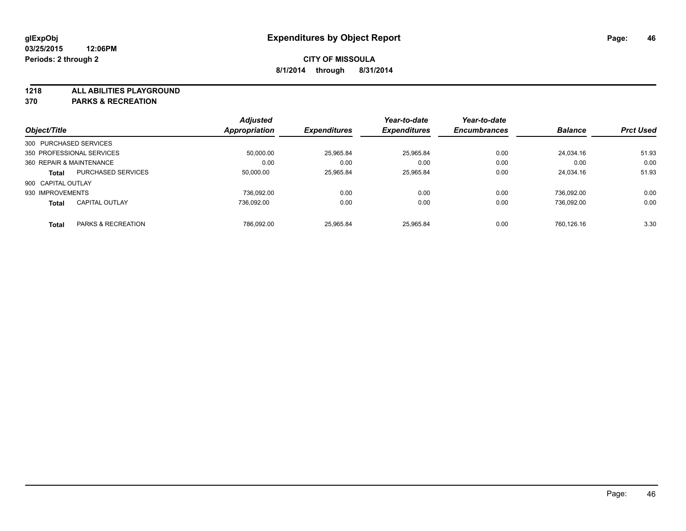**1218 ALL ABILITIES PLAYGROUND**

**370 PARKS & RECREATION**

|                          |                           | <b>Adjusted</b> |                     | Year-to-date        | Year-to-date        |                |                  |
|--------------------------|---------------------------|-----------------|---------------------|---------------------|---------------------|----------------|------------------|
| Object/Title             |                           | Appropriation   | <b>Expenditures</b> | <b>Expenditures</b> | <b>Encumbrances</b> | <b>Balance</b> | <b>Prct Used</b> |
| 300 PURCHASED SERVICES   |                           |                 |                     |                     |                     |                |                  |
|                          | 350 PROFESSIONAL SERVICES | 50.000.00       | 25,965.84           | 25,965.84           | 0.00                | 24.034.16      | 51.93            |
| 360 REPAIR & MAINTENANCE |                           | 0.00            | 0.00                | 0.00                | 0.00                | 0.00           | 0.00             |
| <b>Total</b>             | <b>PURCHASED SERVICES</b> | 50.000.00       | 25.965.84           | 25.965.84           | 0.00                | 24.034.16      | 51.93            |
| 900 CAPITAL OUTLAY       |                           |                 |                     |                     |                     |                |                  |
| 930 IMPROVEMENTS         |                           | 736.092.00      | 0.00                | 0.00                | 0.00                | 736.092.00     | 0.00             |
| <b>Total</b>             | <b>CAPITAL OUTLAY</b>     | 736.092.00      | 0.00                | 0.00                | 0.00                | 736.092.00     | 0.00             |
| <b>Total</b>             | PARKS & RECREATION        | 786.092.00      | 25.965.84           | 25.965.84           | 0.00                | 760.126.16     | 3.30             |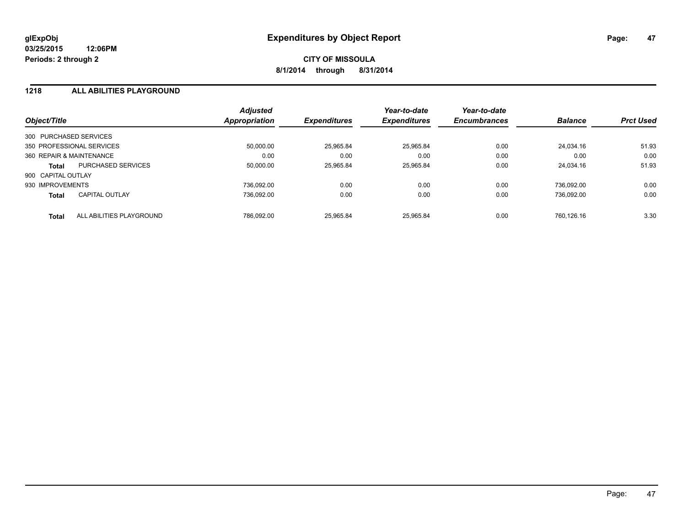#### **1218 ALL ABILITIES PLAYGROUND**

| Object/Title             |                           | <b>Adjusted</b><br>Appropriation | <b>Expenditures</b> | Year-to-date<br><b>Expenditures</b> | Year-to-date<br><b>Encumbrances</b> | <b>Balance</b> | <b>Prct Used</b> |
|--------------------------|---------------------------|----------------------------------|---------------------|-------------------------------------|-------------------------------------|----------------|------------------|
| 300 PURCHASED SERVICES   |                           |                                  |                     |                                     |                                     |                |                  |
|                          | 350 PROFESSIONAL SERVICES | 50.000.00                        | 25,965.84           | 25.965.84                           | 0.00                                | 24.034.16      | 51.93            |
| 360 REPAIR & MAINTENANCE |                           | 0.00                             | 0.00                | 0.00                                | 0.00                                | 0.00           | 0.00             |
| <b>Total</b>             | <b>PURCHASED SERVICES</b> | 50.000.00                        | 25,965.84           | 25.965.84                           | 0.00                                | 24.034.16      | 51.93            |
| 900 CAPITAL OUTLAY       |                           |                                  |                     |                                     |                                     |                |                  |
| 930 IMPROVEMENTS         |                           | 736.092.00                       | 0.00                | 0.00                                | 0.00                                | 736.092.00     | 0.00             |
| <b>Total</b>             | <b>CAPITAL OUTLAY</b>     | 736.092.00                       | 0.00                | 0.00                                | 0.00                                | 736.092.00     | 0.00             |
| <b>Total</b>             | ALL ABILITIES PLAYGROUND  | 786.092.00                       | 25.965.84           | 25.965.84                           | 0.00                                | 760.126.16     | 3.30             |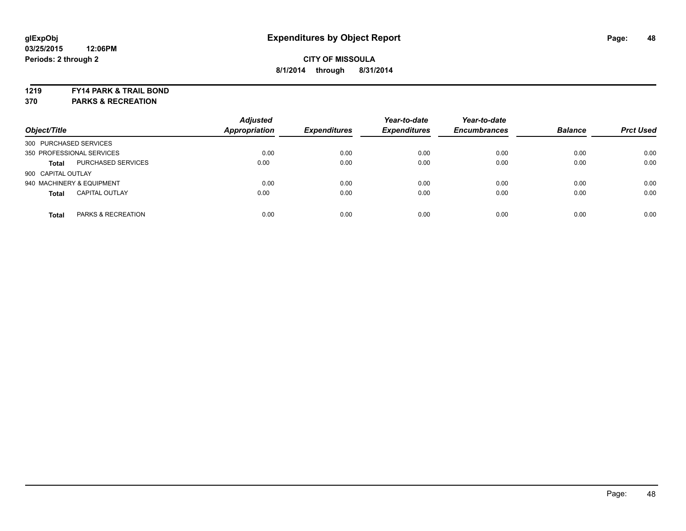#### **1219 FY14 PARK & TRAIL BOND**

**370 PARKS & RECREATION**

| Object/Title           |                           | <b>Adjusted</b><br><b>Appropriation</b> | <b>Expenditures</b> | Year-to-date<br><b>Expenditures</b> | Year-to-date<br><b>Encumbrances</b> | <b>Balance</b> | <b>Prct Used</b> |
|------------------------|---------------------------|-----------------------------------------|---------------------|-------------------------------------|-------------------------------------|----------------|------------------|
| 300 PURCHASED SERVICES |                           |                                         |                     |                                     |                                     |                |                  |
|                        | 350 PROFESSIONAL SERVICES | 0.00                                    | 0.00                | 0.00                                | 0.00                                | 0.00           | 0.00             |
| <b>Total</b>           | <b>PURCHASED SERVICES</b> | 0.00                                    | 0.00                | 0.00                                | 0.00                                | 0.00           | 0.00             |
| 900 CAPITAL OUTLAY     |                           |                                         |                     |                                     |                                     |                |                  |
|                        | 940 MACHINERY & EQUIPMENT | 0.00                                    | 0.00                | 0.00                                | 0.00                                | 0.00           | 0.00             |
| <b>Total</b>           | <b>CAPITAL OUTLAY</b>     | 0.00                                    | 0.00                | 0.00                                | 0.00                                | 0.00           | 0.00             |
| <b>Total</b>           | PARKS & RECREATION        | 0.00                                    | 0.00                | 0.00                                | 0.00                                | 0.00           | 0.00             |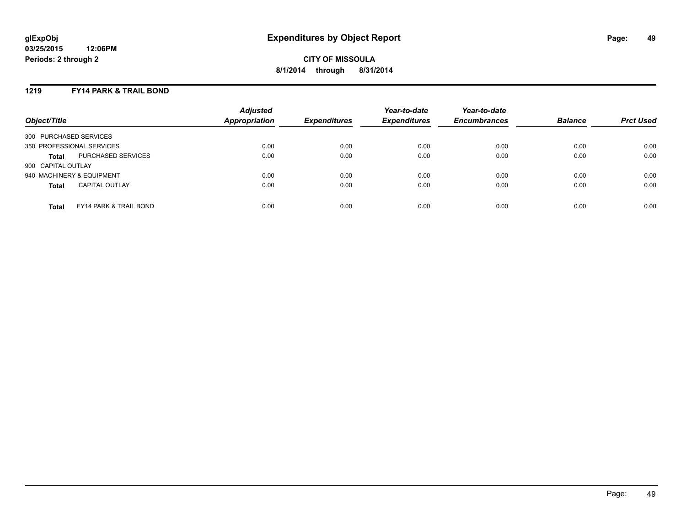### **1219 FY14 PARK & TRAIL BOND**

| Object/Title              |                                   | <b>Adjusted</b><br>Appropriation | <b>Expenditures</b> | Year-to-date<br><b>Expenditures</b> | Year-to-date<br><b>Encumbrances</b> | <b>Balance</b> | <b>Prct Used</b> |
|---------------------------|-----------------------------------|----------------------------------|---------------------|-------------------------------------|-------------------------------------|----------------|------------------|
| 300 PURCHASED SERVICES    |                                   |                                  |                     |                                     |                                     |                |                  |
| 350 PROFESSIONAL SERVICES |                                   | 0.00                             | 0.00                | 0.00                                | 0.00                                | 0.00           | 0.00             |
| <b>Total</b>              | PURCHASED SERVICES                | 0.00                             | 0.00                | 0.00                                | 0.00                                | 0.00           | 0.00             |
| 900 CAPITAL OUTLAY        |                                   |                                  |                     |                                     |                                     |                |                  |
| 940 MACHINERY & EQUIPMENT |                                   | 0.00                             | 0.00                | 0.00                                | 0.00                                | 0.00           | 0.00             |
| <b>Total</b>              | <b>CAPITAL OUTLAY</b>             | 0.00                             | 0.00                | 0.00                                | 0.00                                | 0.00           | 0.00             |
| <b>Total</b>              | <b>FY14 PARK &amp; TRAIL BOND</b> | 0.00                             | 0.00                | 0.00                                | 0.00                                | 0.00           | 0.00             |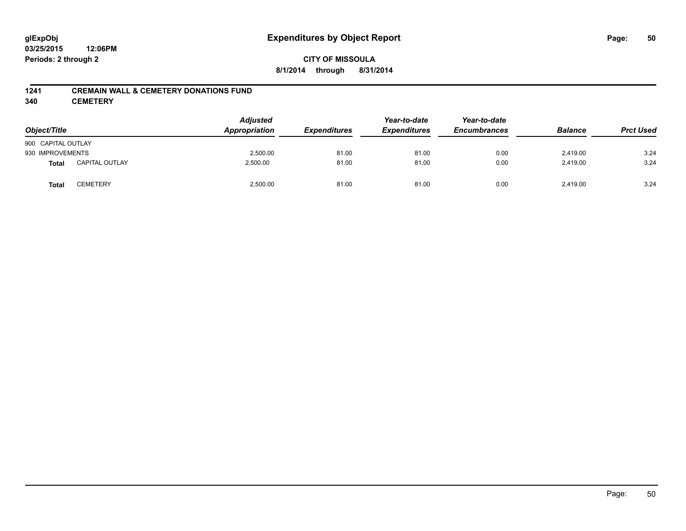### **CITY OF MISSOULA 8/1/2014 through 8/31/2014**

#### **1241 CREMAIN WALL & CEMETERY DONATIONS FUND**

**340 CEMETERY**

| Object/Title       |                       | <b>Adjusted</b><br>Appropriation | <b>Expenditures</b> | Year-to-date<br><b>Expenditures</b> | Year-to-date<br><b>Encumbrances</b> | <b>Balance</b> | <b>Prct Used</b> |
|--------------------|-----------------------|----------------------------------|---------------------|-------------------------------------|-------------------------------------|----------------|------------------|
| 900 CAPITAL OUTLAY |                       |                                  |                     |                                     |                                     |                |                  |
| 930 IMPROVEMENTS   |                       | 2,500.00                         | 81.00               | 81.00                               | 0.00                                | 2,419.00       | 3.24             |
| <b>Total</b>       | <b>CAPITAL OUTLAY</b> | 2,500.00                         | 81.00               | 81.00                               | 0.00                                | 2,419.00       | 3.24             |
| <b>Total</b>       | CEMETERY              | 2,500.00                         | 81.00               | 81.00                               | 0.00                                | 2,419.00       | 3.24             |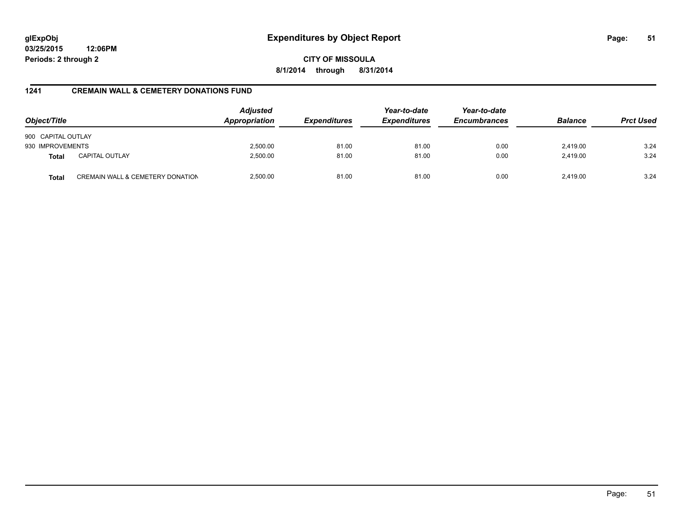**CITY OF MISSOULA 8/1/2014 through 8/31/2014**

### **1241 CREMAIN WALL & CEMETERY DONATIONS FUND**

| Object/Title       |                                  | <b>Adjusted</b><br>Appropriation | <b>Expenditures</b> | Year-to-date<br><b>Expenditures</b> | Year-to-date<br><b>Encumbrances</b> | <b>Balance</b> | <b>Prct Used</b> |
|--------------------|----------------------------------|----------------------------------|---------------------|-------------------------------------|-------------------------------------|----------------|------------------|
| 900 CAPITAL OUTLAY |                                  |                                  |                     |                                     |                                     |                |                  |
| 930 IMPROVEMENTS   |                                  | 2,500.00                         | 81.00               | 81.00                               | 0.00                                | 2,419.00       | 3.24             |
| <b>Total</b>       | <b>CAPITAL OUTLAY</b>            | 2,500.00                         | 81.00               | 81.00                               | 0.00                                | 2,419.00       | 3.24             |
| <b>Total</b>       | CREMAIN WALL & CEMETERY DONATION | 2,500.00                         | 81.00               | 81.00                               | 0.00                                | 2.419.00       | 3.24             |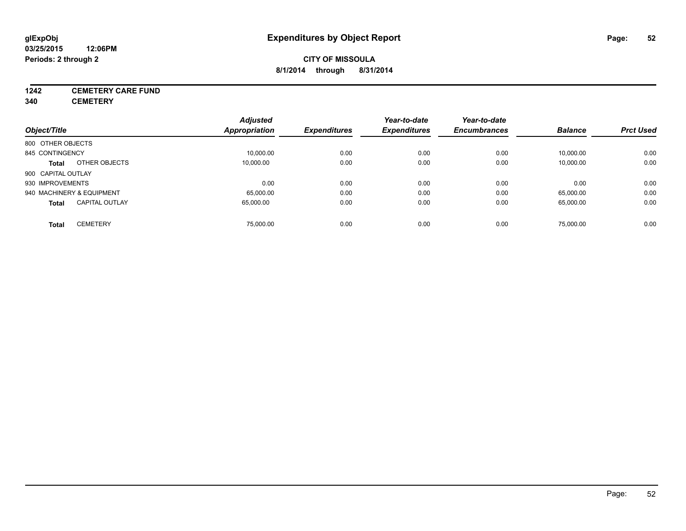# **1242 CEMETERY CARE FUND**

**340 CEMETERY**

|                                       | <b>Adjusted</b> |                     | Year-to-date        | Year-to-date        |                |                  |
|---------------------------------------|-----------------|---------------------|---------------------|---------------------|----------------|------------------|
| Object/Title                          | Appropriation   | <b>Expenditures</b> | <b>Expenditures</b> | <b>Encumbrances</b> | <b>Balance</b> | <b>Prct Used</b> |
| 800 OTHER OBJECTS                     |                 |                     |                     |                     |                |                  |
| 845 CONTINGENCY                       | 10,000.00       | 0.00                | 0.00                | 0.00                | 10,000.00      | 0.00             |
| OTHER OBJECTS<br><b>Total</b>         | 10.000.00       | 0.00                | 0.00                | 0.00                | 10,000.00      | 0.00             |
| 900 CAPITAL OUTLAY                    |                 |                     |                     |                     |                |                  |
| 930 IMPROVEMENTS                      | 0.00            | 0.00                | 0.00                | 0.00                | 0.00           | 0.00             |
| 940 MACHINERY & EQUIPMENT             | 65,000.00       | 0.00                | 0.00                | 0.00                | 65,000.00      | 0.00             |
| <b>CAPITAL OUTLAY</b><br><b>Total</b> | 65.000.00       | 0.00                | 0.00                | 0.00                | 65,000.00      | 0.00             |
| <b>CEMETERY</b><br>Total              | 75.000.00       | 0.00                | 0.00                | 0.00                | 75.000.00      | 0.00             |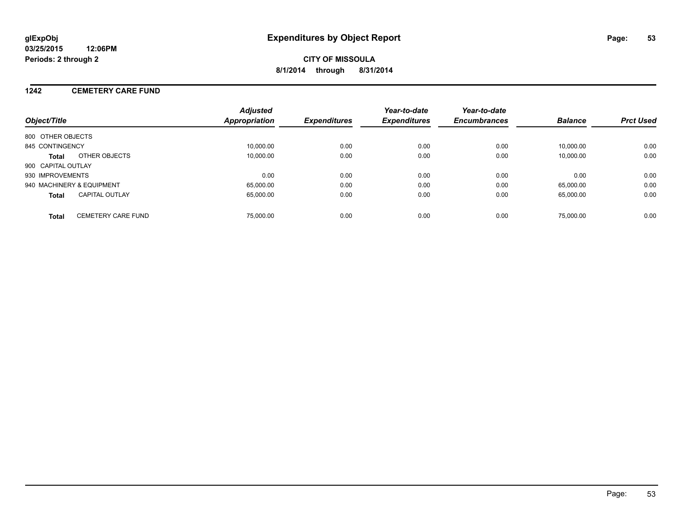#### **1242 CEMETERY CARE FUND**

| Object/Title                              | <b>Adjusted</b><br>Appropriation | <b>Expenditures</b> | Year-to-date<br><b>Expenditures</b> | Year-to-date<br><b>Encumbrances</b> | <b>Balance</b> | <b>Prct Used</b> |
|-------------------------------------------|----------------------------------|---------------------|-------------------------------------|-------------------------------------|----------------|------------------|
| 800 OTHER OBJECTS                         |                                  |                     |                                     |                                     |                |                  |
| 845 CONTINGENCY                           | 10.000.00                        | 0.00                | 0.00                                | 0.00                                | 10.000.00      | 0.00             |
| OTHER OBJECTS<br>Total                    | 10.000.00                        | 0.00                | 0.00                                | 0.00                                | 10.000.00      | 0.00             |
| 900 CAPITAL OUTLAY                        |                                  |                     |                                     |                                     |                |                  |
| 930 IMPROVEMENTS                          | 0.00                             | 0.00                | 0.00                                | 0.00                                | 0.00           | 0.00             |
| 940 MACHINERY & EQUIPMENT                 | 65.000.00                        | 0.00                | 0.00                                | 0.00                                | 65.000.00      | 0.00             |
| <b>CAPITAL OUTLAY</b><br><b>Total</b>     | 65.000.00                        | 0.00                | 0.00                                | 0.00                                | 65.000.00      | 0.00             |
| <b>CEMETERY CARE FUND</b><br><b>Total</b> | 75,000.00                        | 0.00                | 0.00                                | 0.00                                | 75,000.00      | 0.00             |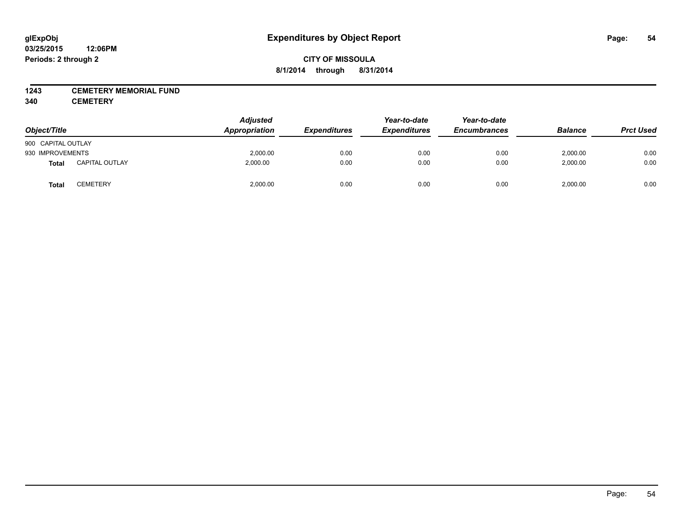### **1243 CEMETERY MEMORIAL FUND**

**340 CEMETERY**

| Object/Title       |                       | <b>Adjusted</b><br>Appropriation | <b>Expenditures</b> | Year-to-date<br><b>Expenditures</b> | Year-to-date<br><b>Encumbrances</b> | <b>Balance</b> | <b>Prct Used</b> |
|--------------------|-----------------------|----------------------------------|---------------------|-------------------------------------|-------------------------------------|----------------|------------------|
| 900 CAPITAL OUTLAY |                       |                                  |                     |                                     |                                     |                |                  |
| 930 IMPROVEMENTS   |                       | 2,000.00                         | 0.00                | 0.00                                | 0.00                                | 2,000.00       | 0.00             |
| Total              | <b>CAPITAL OUTLAY</b> | 2.000.00                         | 0.00                | 0.00                                | 0.00                                | 2,000.00       | 0.00             |
| Total              | <b>CEMETERY</b>       | 2,000.00                         | 0.00                | 0.00                                | 0.00                                | 2,000.00       | 0.00             |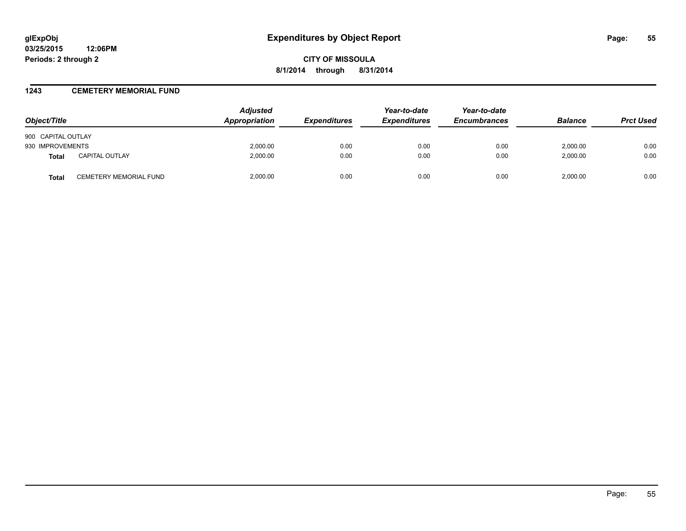#### **1243 CEMETERY MEMORIAL FUND**

| Object/Title       |                               | <b>Adjusted</b><br>Appropriation | <i><b>Expenditures</b></i> | Year-to-date<br><b>Expenditures</b> | Year-to-date<br><b>Encumbrances</b> | <b>Balance</b> | <b>Prct Used</b> |
|--------------------|-------------------------------|----------------------------------|----------------------------|-------------------------------------|-------------------------------------|----------------|------------------|
| 900 CAPITAL OUTLAY |                               |                                  |                            |                                     |                                     |                |                  |
| 930 IMPROVEMENTS   |                               | 2,000.00                         | 0.00                       | 0.00                                | 0.00                                | 2.000.00       | 0.00             |
| <b>Total</b>       | <b>CAPITAL OUTLAY</b>         | 2.000.00                         | 0.00                       | 0.00                                | 0.00                                | 2.000.00       | 0.00             |
| Total              | <b>CEMETERY MEMORIAL FUND</b> | 2,000.00                         | 0.00                       | 0.00                                | 0.00                                | 2.000.00       | 0.00             |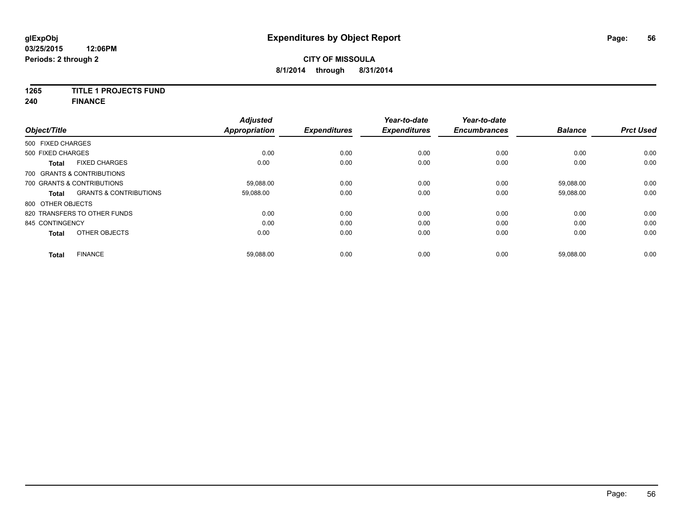# **1265 TITLE 1 PROJECTS FUND**

**240 FINANCE**

| Object/Title      |                                   | <b>Adjusted</b><br><b>Appropriation</b> | <b>Expenditures</b> | Year-to-date<br><b>Expenditures</b> | Year-to-date<br><b>Encumbrances</b> | <b>Balance</b> | <b>Prct Used</b> |
|-------------------|-----------------------------------|-----------------------------------------|---------------------|-------------------------------------|-------------------------------------|----------------|------------------|
| 500 FIXED CHARGES |                                   |                                         |                     |                                     |                                     |                |                  |
| 500 FIXED CHARGES |                                   | 0.00                                    | 0.00                | 0.00                                | 0.00                                | 0.00           | 0.00             |
| <b>Total</b>      | <b>FIXED CHARGES</b>              | 0.00                                    | 0.00                | 0.00                                | 0.00                                | 0.00           | 0.00             |
|                   | 700 GRANTS & CONTRIBUTIONS        |                                         |                     |                                     |                                     |                |                  |
|                   | 700 GRANTS & CONTRIBUTIONS        | 59,088.00                               | 0.00                | 0.00                                | 0.00                                | 59,088.00      | 0.00             |
| <b>Total</b>      | <b>GRANTS &amp; CONTRIBUTIONS</b> | 59,088.00                               | 0.00                | 0.00                                | 0.00                                | 59,088.00      | 0.00             |
| 800 OTHER OBJECTS |                                   |                                         |                     |                                     |                                     |                |                  |
|                   | 820 TRANSFERS TO OTHER FUNDS      | 0.00                                    | 0.00                | 0.00                                | 0.00                                | 0.00           | 0.00             |
| 845 CONTINGENCY   |                                   | 0.00                                    | 0.00                | 0.00                                | 0.00                                | 0.00           | 0.00             |
| <b>Total</b>      | OTHER OBJECTS                     | 0.00                                    | 0.00                | 0.00                                | 0.00                                | 0.00           | 0.00             |
| Total             | <b>FINANCE</b>                    | 59,088.00                               | 0.00                | 0.00                                | 0.00                                | 59,088.00      | 0.00             |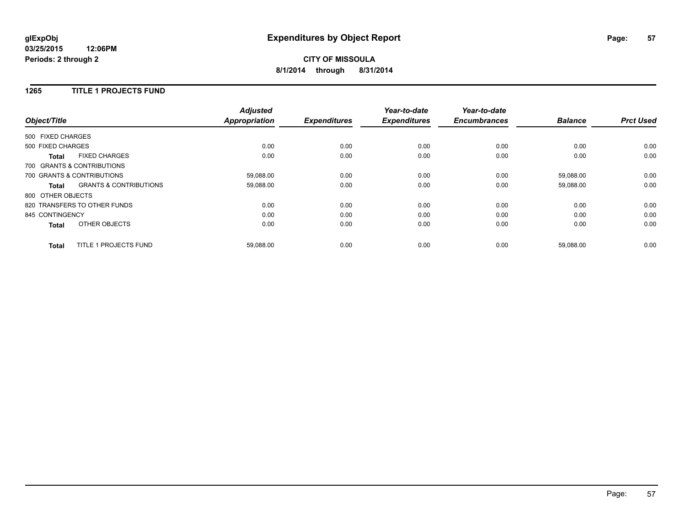# **CITY OF MISSOULA 8/1/2014 through 8/31/2014**

### **1265 TITLE 1 PROJECTS FUND**

| Object/Title      |                                   | <b>Adjusted</b><br><b>Appropriation</b> | <b>Expenditures</b> | Year-to-date<br><b>Expenditures</b> | Year-to-date<br><b>Encumbrances</b> | <b>Balance</b> | <b>Prct Used</b> |
|-------------------|-----------------------------------|-----------------------------------------|---------------------|-------------------------------------|-------------------------------------|----------------|------------------|
| 500 FIXED CHARGES |                                   |                                         |                     |                                     |                                     |                |                  |
| 500 FIXED CHARGES |                                   | 0.00                                    | 0.00                | 0.00                                | 0.00                                | 0.00           | 0.00             |
| <b>Total</b>      | <b>FIXED CHARGES</b>              | 0.00                                    | 0.00                | 0.00                                | 0.00                                | 0.00           | 0.00             |
|                   | 700 GRANTS & CONTRIBUTIONS        |                                         |                     |                                     |                                     |                |                  |
|                   | 700 GRANTS & CONTRIBUTIONS        | 59,088.00                               | 0.00                | 0.00                                | 0.00                                | 59,088.00      | 0.00             |
| Total             | <b>GRANTS &amp; CONTRIBUTIONS</b> | 59,088.00                               | 0.00                | 0.00                                | 0.00                                | 59,088.00      | 0.00             |
| 800 OTHER OBJECTS |                                   |                                         |                     |                                     |                                     |                |                  |
|                   | 820 TRANSFERS TO OTHER FUNDS      | 0.00                                    | 0.00                | 0.00                                | 0.00                                | 0.00           | 0.00             |
| 845 CONTINGENCY   |                                   | 0.00                                    | 0.00                | 0.00                                | 0.00                                | 0.00           | 0.00             |
| <b>Total</b>      | OTHER OBJECTS                     | 0.00                                    | 0.00                | 0.00                                | 0.00                                | 0.00           | 0.00             |
| <b>Total</b>      | TITLE 1 PROJECTS FUND             | 59,088.00                               | 0.00                | 0.00                                | 0.00                                | 59,088.00      | 0.00             |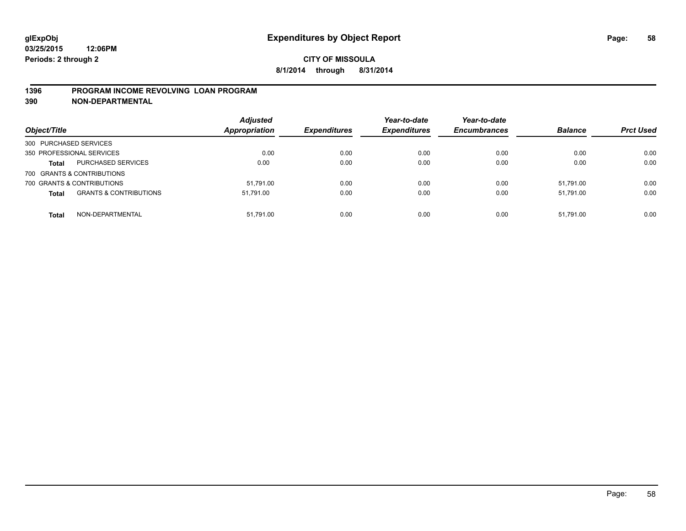### **1396 PROGRAM INCOME REVOLVING LOAN PROGRAM**

**390 NON-DEPARTMENTAL**

| Object/Title                                      | <b>Adjusted</b><br><b>Appropriation</b> | <b>Expenditures</b> | Year-to-date<br><b>Expenditures</b> | Year-to-date<br><b>Encumbrances</b> | <b>Balance</b> | <b>Prct Used</b> |
|---------------------------------------------------|-----------------------------------------|---------------------|-------------------------------------|-------------------------------------|----------------|------------------|
| 300 PURCHASED SERVICES                            |                                         |                     |                                     |                                     |                |                  |
| 350 PROFESSIONAL SERVICES                         | 0.00                                    | 0.00                | 0.00                                | 0.00                                | 0.00           | 0.00             |
| <b>PURCHASED SERVICES</b><br><b>Total</b>         | 0.00                                    | 0.00                | 0.00                                | 0.00                                | 0.00           | 0.00             |
| 700 GRANTS & CONTRIBUTIONS                        |                                         |                     |                                     |                                     |                |                  |
| 700 GRANTS & CONTRIBUTIONS                        | 51.791.00                               | 0.00                | 0.00                                | 0.00                                | 51.791.00      | 0.00             |
| <b>GRANTS &amp; CONTRIBUTIONS</b><br><b>Total</b> | 51.791.00                               | 0.00                | 0.00                                | 0.00                                | 51.791.00      | 0.00             |
| NON-DEPARTMENTAL<br><b>Total</b>                  | 51.791.00                               | 0.00                | 0.00                                | 0.00                                | 51.791.00      | 0.00             |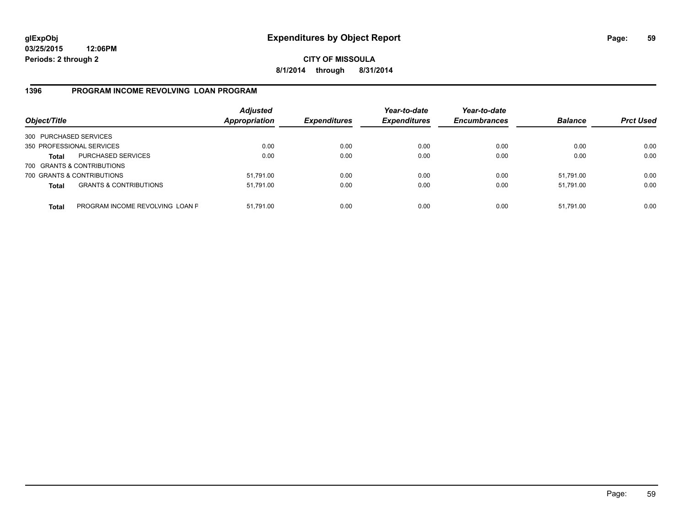**CITY OF MISSOULA 8/1/2014 through 8/31/2014**

### **1396 PROGRAM INCOME REVOLVING LOAN PROGRAM**

| Object/Title           |                                   | <b>Adjusted</b><br>Appropriation | <b>Expenditures</b> | Year-to-date<br><b>Expenditures</b> | Year-to-date<br><b>Encumbrances</b> | <b>Balance</b> | <b>Prct Used</b> |
|------------------------|-----------------------------------|----------------------------------|---------------------|-------------------------------------|-------------------------------------|----------------|------------------|
| 300 PURCHASED SERVICES |                                   |                                  |                     |                                     |                                     |                |                  |
|                        | 350 PROFESSIONAL SERVICES         | 0.00                             | 0.00                | 0.00                                | 0.00                                | 0.00           | 0.00             |
| Total                  | <b>PURCHASED SERVICES</b>         | 0.00                             | 0.00                | 0.00                                | 0.00                                | 0.00           | 0.00             |
|                        | 700 GRANTS & CONTRIBUTIONS        |                                  |                     |                                     |                                     |                |                  |
|                        | 700 GRANTS & CONTRIBUTIONS        | 51,791.00                        | 0.00                | 0.00                                | 0.00                                | 51.791.00      | 0.00             |
| <b>Total</b>           | <b>GRANTS &amp; CONTRIBUTIONS</b> | 51,791.00                        | 0.00                | 0.00                                | 0.00                                | 51.791.00      | 0.00             |
| <b>Total</b>           | PROGRAM INCOME REVOLVING LOAN P   | 51,791.00                        | 0.00                | 0.00                                | 0.00                                | 51,791.00      | 0.00             |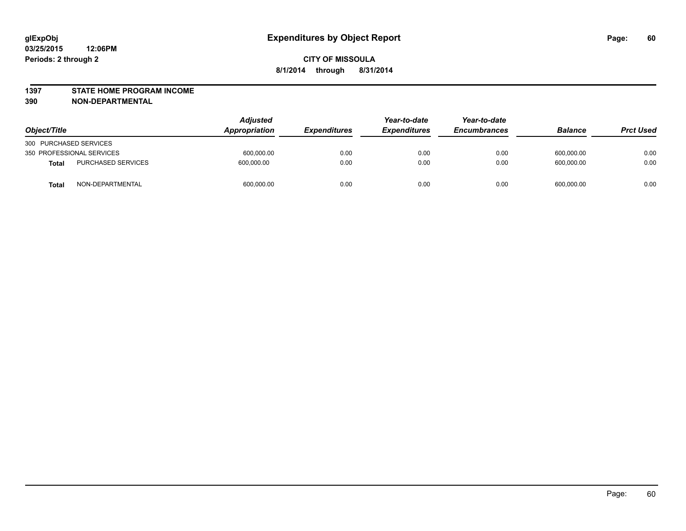#### **1397 STATE HOME PROGRAM INCOME**

**390 NON-DEPARTMENTAL**

| Object/Title                              | <b>Adjusted</b><br><b>Appropriation</b> | <i><b>Expenditures</b></i> | Year-to-date<br><b>Expenditures</b> | Year-to-date<br><b>Encumbrances</b> | <b>Balance</b> | <b>Prct Used</b> |
|-------------------------------------------|-----------------------------------------|----------------------------|-------------------------------------|-------------------------------------|----------------|------------------|
| 300 PURCHASED SERVICES                    |                                         |                            |                                     |                                     |                |                  |
| 350 PROFESSIONAL SERVICES                 | 600,000.00                              | 0.00                       | 0.00                                | 0.00                                | 600,000.00     | 0.00             |
| <b>PURCHASED SERVICES</b><br><b>Total</b> | 600.000.00                              | 0.00                       | 0.00                                | 0.00                                | 600.000.00     | 0.00             |
| NON-DEPARTMENTAL<br><b>Total</b>          | 600,000.00                              | 0.00                       | 0.00                                | 0.00                                | 600,000.00     | 0.00             |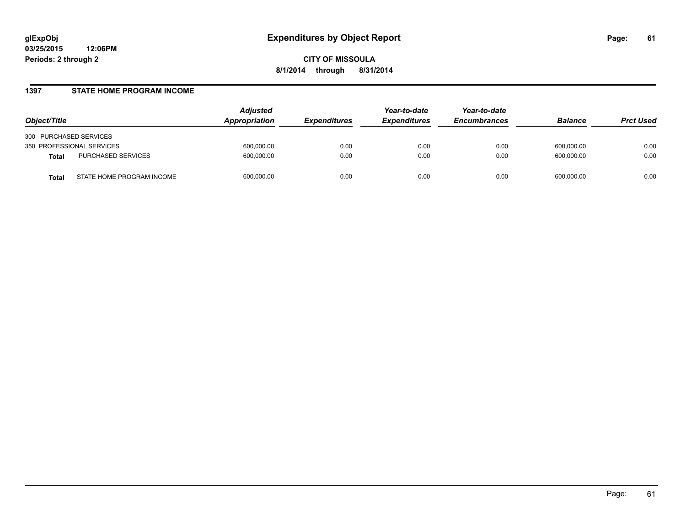#### **1397 STATE HOME PROGRAM INCOME**

| Object/Title                              | Adjusted<br>Appropriation | <i><b>Expenditures</b></i> | Year-to-date<br><b>Expenditures</b> | Year-to-date<br><b>Encumbrances</b> | <b>Balance</b> | <b>Prct Used</b> |
|-------------------------------------------|---------------------------|----------------------------|-------------------------------------|-------------------------------------|----------------|------------------|
| 300 PURCHASED SERVICES                    |                           |                            |                                     |                                     |                |                  |
| 350 PROFESSIONAL SERVICES                 | 600,000.00                | 0.00                       | 0.00                                | 0.00                                | 600,000.00     | 0.00             |
| PURCHASED SERVICES<br><b>Total</b>        | 600,000.00                | 0.00                       | 0.00                                | 0.00                                | 600,000.00     | 0.00             |
| STATE HOME PROGRAM INCOME<br><b>Total</b> | 600,000.00                | 0.00                       | 0.00                                | 0.00                                | 600,000.00     | 0.00             |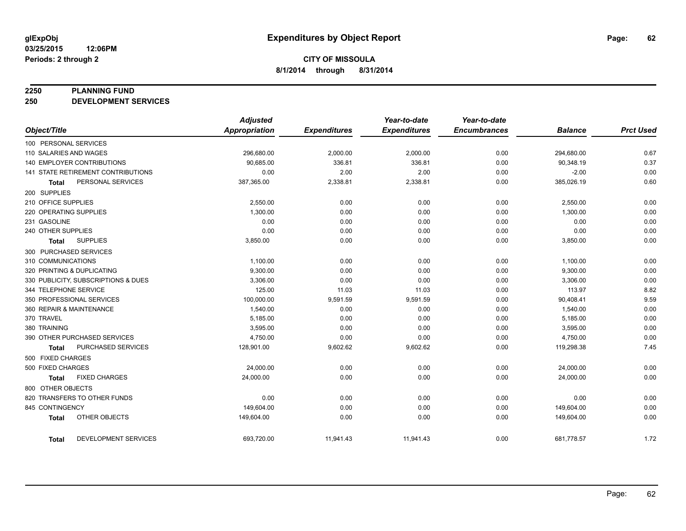#### **2250 PLANNING FUND**

**250 DEVELOPMENT SERVICES**

|                                     | <b>Adjusted</b> |                     | Year-to-date        | Year-to-date        |                |                  |
|-------------------------------------|-----------------|---------------------|---------------------|---------------------|----------------|------------------|
| Object/Title                        | Appropriation   | <b>Expenditures</b> | <b>Expenditures</b> | <b>Encumbrances</b> | <b>Balance</b> | <b>Prct Used</b> |
| 100 PERSONAL SERVICES               |                 |                     |                     |                     |                |                  |
| 110 SALARIES AND WAGES              | 296,680.00      | 2,000.00            | 2,000.00            | 0.00                | 294,680.00     | 0.67             |
| <b>140 EMPLOYER CONTRIBUTIONS</b>   | 90,685.00       | 336.81              | 336.81              | 0.00                | 90,348.19      | 0.37             |
| 141 STATE RETIREMENT CONTRIBUTIONS  | 0.00            | 2.00                | 2.00                | 0.00                | $-2.00$        | 0.00             |
| PERSONAL SERVICES<br><b>Total</b>   | 387,365.00      | 2,338.81            | 2,338.81            | 0.00                | 385,026.19     | 0.60             |
| 200 SUPPLIES                        |                 |                     |                     |                     |                |                  |
| 210 OFFICE SUPPLIES                 | 2,550.00        | 0.00                | 0.00                | 0.00                | 2,550.00       | 0.00             |
| 220 OPERATING SUPPLIES              | 1,300.00        | 0.00                | 0.00                | 0.00                | 1,300.00       | 0.00             |
| 231 GASOLINE                        | 0.00            | 0.00                | 0.00                | 0.00                | 0.00           | 0.00             |
| 240 OTHER SUPPLIES                  | 0.00            | 0.00                | 0.00                | 0.00                | 0.00           | 0.00             |
| <b>SUPPLIES</b><br>Total            | 3,850.00        | 0.00                | 0.00                | 0.00                | 3,850.00       | 0.00             |
| 300 PURCHASED SERVICES              |                 |                     |                     |                     |                |                  |
| 310 COMMUNICATIONS                  | 1,100.00        | 0.00                | 0.00                | 0.00                | 1,100.00       | 0.00             |
| 320 PRINTING & DUPLICATING          | 9,300.00        | 0.00                | 0.00                | 0.00                | 9,300.00       | 0.00             |
| 330 PUBLICITY, SUBSCRIPTIONS & DUES | 3.306.00        | 0.00                | 0.00                | 0.00                | 3,306.00       | 0.00             |
| 344 TELEPHONE SERVICE               | 125.00          | 11.03               | 11.03               | 0.00                | 113.97         | 8.82             |
| 350 PROFESSIONAL SERVICES           | 100,000.00      | 9,591.59            | 9,591.59            | 0.00                | 90,408.41      | 9.59             |
| 360 REPAIR & MAINTENANCE            | 1,540.00        | 0.00                | 0.00                | 0.00                | 1,540.00       | 0.00             |
| 370 TRAVEL                          | 5,185.00        | 0.00                | 0.00                | 0.00                | 5,185.00       | 0.00             |
| 380 TRAINING                        | 3,595.00        | 0.00                | 0.00                | 0.00                | 3,595.00       | 0.00             |
| 390 OTHER PURCHASED SERVICES        | 4,750.00        | 0.00                | 0.00                | 0.00                | 4,750.00       | 0.00             |
| PURCHASED SERVICES<br><b>Total</b>  | 128,901.00      | 9,602.62            | 9,602.62            | 0.00                | 119,298.38     | 7.45             |
| 500 FIXED CHARGES                   |                 |                     |                     |                     |                |                  |
| 500 FIXED CHARGES                   | 24,000.00       | 0.00                | 0.00                | 0.00                | 24,000.00      | 0.00             |
| <b>FIXED CHARGES</b><br>Total       | 24,000.00       | 0.00                | 0.00                | 0.00                | 24,000.00      | 0.00             |
| 800 OTHER OBJECTS                   |                 |                     |                     |                     |                |                  |
| 820 TRANSFERS TO OTHER FUNDS        | 0.00            | 0.00                | 0.00                | 0.00                | 0.00           | 0.00             |
| 845 CONTINGENCY                     | 149,604.00      | 0.00                | 0.00                | 0.00                | 149,604.00     | 0.00             |
| OTHER OBJECTS<br><b>Total</b>       | 149,604.00      | 0.00                | 0.00                | 0.00                | 149,604.00     | 0.00             |
| DEVELOPMENT SERVICES<br>Total       | 693,720.00      | 11,941.43           | 11,941.43           | 0.00                | 681,778.57     | 1.72             |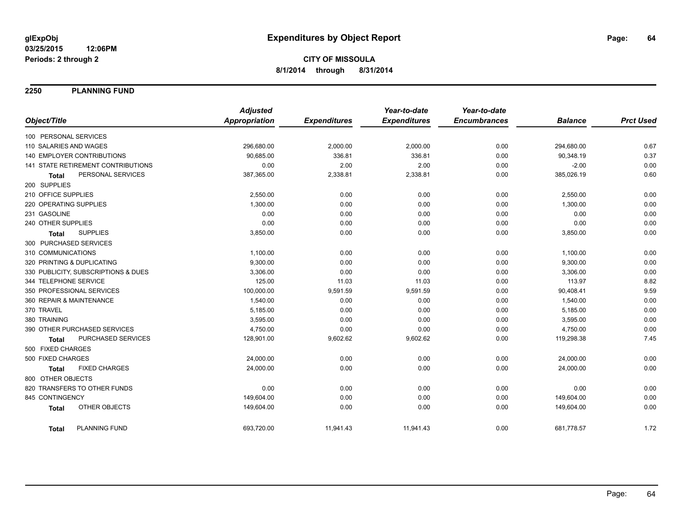**2250 PLANNING FUND**

|                                      | <b>Adjusted</b>      |                     | Year-to-date        | Year-to-date        |                |                  |
|--------------------------------------|----------------------|---------------------|---------------------|---------------------|----------------|------------------|
| Object/Title                         | <b>Appropriation</b> | <b>Expenditures</b> | <b>Expenditures</b> | <b>Encumbrances</b> | <b>Balance</b> | <b>Prct Used</b> |
| 100 PERSONAL SERVICES                |                      |                     |                     |                     |                |                  |
| 110 SALARIES AND WAGES               | 296,680.00           | 2,000.00            | 2,000.00            | 0.00                | 294,680.00     | 0.67             |
| <b>140 EMPLOYER CONTRIBUTIONS</b>    | 90,685.00            | 336.81              | 336.81              | 0.00                | 90,348.19      | 0.37             |
| 141 STATE RETIREMENT CONTRIBUTIONS   | 0.00                 | 2.00                | 2.00                | 0.00                | $-2.00$        | 0.00             |
| PERSONAL SERVICES<br>Total           | 387,365.00           | 2,338.81            | 2,338.81            | 0.00                | 385,026.19     | 0.60             |
| 200 SUPPLIES                         |                      |                     |                     |                     |                |                  |
| 210 OFFICE SUPPLIES                  | 2,550.00             | 0.00                | 0.00                | 0.00                | 2,550.00       | 0.00             |
| 220 OPERATING SUPPLIES               | 1,300.00             | 0.00                | 0.00                | 0.00                | 1,300.00       | 0.00             |
| 231 GASOLINE                         | 0.00                 | 0.00                | 0.00                | 0.00                | 0.00           | 0.00             |
| 240 OTHER SUPPLIES                   | 0.00                 | 0.00                | 0.00                | 0.00                | 0.00           | 0.00             |
| <b>SUPPLIES</b><br><b>Total</b>      | 3,850.00             | 0.00                | 0.00                | 0.00                | 3,850.00       | 0.00             |
| 300 PURCHASED SERVICES               |                      |                     |                     |                     |                |                  |
| 310 COMMUNICATIONS                   | 1,100.00             | 0.00                | 0.00                | 0.00                | 1,100.00       | 0.00             |
| 320 PRINTING & DUPLICATING           | 9,300.00             | 0.00                | 0.00                | 0.00                | 9,300.00       | 0.00             |
| 330 PUBLICITY, SUBSCRIPTIONS & DUES  | 3,306.00             | 0.00                | 0.00                | 0.00                | 3,306.00       | 0.00             |
| 344 TELEPHONE SERVICE                | 125.00               | 11.03               | 11.03               | 0.00                | 113.97         | 8.82             |
| 350 PROFESSIONAL SERVICES            | 100,000.00           | 9,591.59            | 9,591.59            | 0.00                | 90,408.41      | 9.59             |
| 360 REPAIR & MAINTENANCE             | 1,540.00             | 0.00                | 0.00                | 0.00                | 1,540.00       | 0.00             |
| 370 TRAVEL                           | 5,185.00             | 0.00                | 0.00                | 0.00                | 5,185.00       | 0.00             |
| 380 TRAINING                         | 3,595.00             | 0.00                | 0.00                | 0.00                | 3,595.00       | 0.00             |
| 390 OTHER PURCHASED SERVICES         | 4,750.00             | 0.00                | 0.00                | 0.00                | 4,750.00       | 0.00             |
| PURCHASED SERVICES<br><b>Total</b>   | 128,901.00           | 9,602.62            | 9,602.62            | 0.00                | 119,298.38     | 7.45             |
| 500 FIXED CHARGES                    |                      |                     |                     |                     |                |                  |
| 500 FIXED CHARGES                    | 24,000.00            | 0.00                | 0.00                | 0.00                | 24,000.00      | 0.00             |
| <b>FIXED CHARGES</b><br><b>Total</b> | 24,000.00            | 0.00                | 0.00                | 0.00                | 24,000.00      | 0.00             |
| 800 OTHER OBJECTS                    |                      |                     |                     |                     |                |                  |
| 820 TRANSFERS TO OTHER FUNDS         | 0.00                 | 0.00                | 0.00                | 0.00                | 0.00           | 0.00             |
| 845 CONTINGENCY                      | 149,604.00           | 0.00                | 0.00                | 0.00                | 149,604.00     | 0.00             |
| OTHER OBJECTS<br><b>Total</b>        | 149,604.00           | 0.00                | 0.00                | 0.00                | 149,604.00     | 0.00             |
| <b>PLANNING FUND</b><br>Total        | 693,720.00           | 11,941.43           | 11,941.43           | 0.00                | 681,778.57     | 1.72             |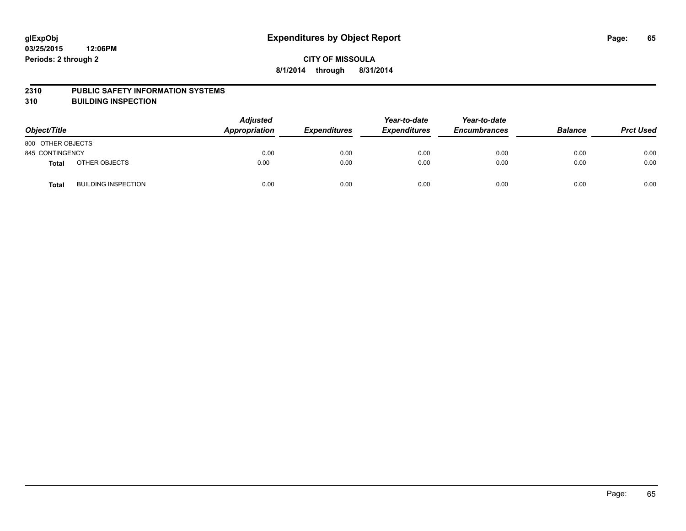#### **2310 PUBLIC SAFETY INFORMATION SYSTEMS**

**310 BUILDING INSPECTION**

| Object/Title      |                            | <b>Adjusted</b><br><b>Appropriation</b> | <b>Expenditures</b> | Year-to-date<br><b>Expenditures</b> | Year-to-date<br><b>Encumbrances</b> | <b>Balance</b> | <b>Prct Used</b> |
|-------------------|----------------------------|-----------------------------------------|---------------------|-------------------------------------|-------------------------------------|----------------|------------------|
| 800 OTHER OBJECTS |                            |                                         |                     |                                     |                                     |                |                  |
| 845 CONTINGENCY   |                            | 0.00                                    | 0.00                | 0.00                                | 0.00                                | 0.00           | 0.00             |
| Total             | OTHER OBJECTS              | 0.00                                    | 0.00                | 0.00                                | 0.00                                | 0.00           | 0.00             |
| Total             | <b>BUILDING INSPECTION</b> | 0.00                                    | 0.00                | 0.00                                | 0.00                                | 0.00           | 0.00             |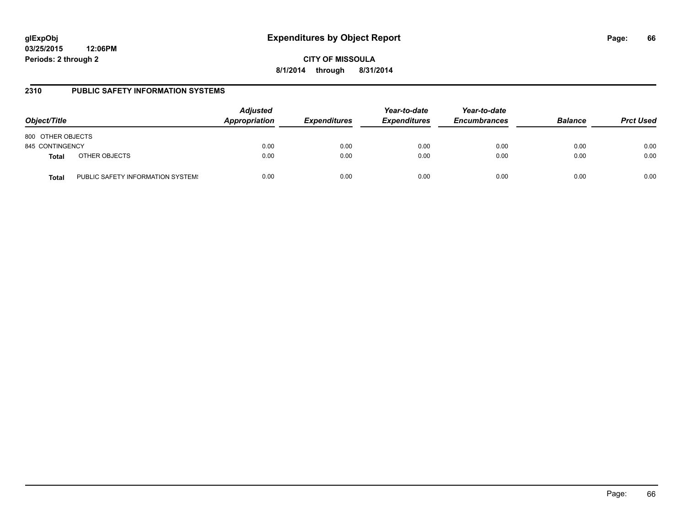# **glExpObj Expenditures by Object Report Page: 66**

**03/25/2015 12:06PM Periods: 2 through 2**

**CITY OF MISSOULA 8/1/2014 through 8/31/2014**

### **2310 PUBLIC SAFETY INFORMATION SYSTEMS**

| Object/Title      |                                   | <b>Adjusted</b><br>Appropriation | <b>Expenditures</b> | Year-to-date<br><b>Expenditures</b> | Year-to-date<br><b>Encumbrances</b> | <b>Balance</b> | <b>Prct Used</b> |
|-------------------|-----------------------------------|----------------------------------|---------------------|-------------------------------------|-------------------------------------|----------------|------------------|
| 800 OTHER OBJECTS |                                   |                                  |                     |                                     |                                     |                |                  |
| 845 CONTINGENCY   |                                   | 0.00                             | 0.00                | 0.00                                | 0.00                                | 0.00           | 0.00             |
| <b>Total</b>      | OTHER OBJECTS                     | 0.00                             | 0.00                | 0.00                                | 0.00                                | 0.00           | 0.00             |
| <b>Total</b>      | PUBLIC SAFETY INFORMATION SYSTEM! | 0.00                             | 0.00                | 0.00                                | 0.00                                | 0.00           | 0.00             |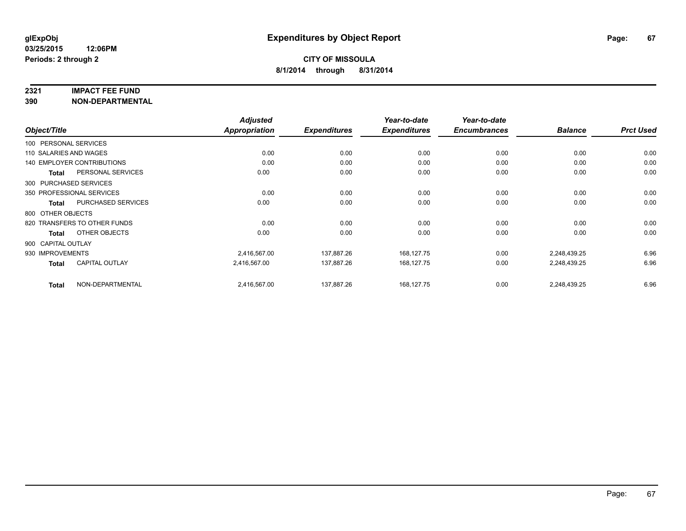#### **2321 IMPACT FEE FUND**

**390 NON-DEPARTMENTAL**

| Object/Title           |                              | <b>Adjusted</b> |                     | Year-to-date        | Year-to-date        |                |                  |
|------------------------|------------------------------|-----------------|---------------------|---------------------|---------------------|----------------|------------------|
|                        |                              | Appropriation   | <b>Expenditures</b> | <b>Expenditures</b> | <b>Encumbrances</b> | <b>Balance</b> | <b>Prct Used</b> |
| 100 PERSONAL SERVICES  |                              |                 |                     |                     |                     |                |                  |
| 110 SALARIES AND WAGES |                              | 0.00            | 0.00                | 0.00                | 0.00                | 0.00           | 0.00             |
|                        | 140 EMPLOYER CONTRIBUTIONS   | 0.00            | 0.00                | 0.00                | 0.00                | 0.00           | 0.00             |
| <b>Total</b>           | PERSONAL SERVICES            | 0.00            | 0.00                | 0.00                | 0.00                | 0.00           | 0.00             |
| 300 PURCHASED SERVICES |                              |                 |                     |                     |                     |                |                  |
|                        | 350 PROFESSIONAL SERVICES    | 0.00            | 0.00                | 0.00                | 0.00                | 0.00           | 0.00             |
| Total                  | <b>PURCHASED SERVICES</b>    | 0.00            | 0.00                | 0.00                | 0.00                | 0.00           | 0.00             |
| 800 OTHER OBJECTS      |                              |                 |                     |                     |                     |                |                  |
|                        | 820 TRANSFERS TO OTHER FUNDS | 0.00            | 0.00                | 0.00                | 0.00                | 0.00           | 0.00             |
| <b>Total</b>           | OTHER OBJECTS                | 0.00            | 0.00                | 0.00                | 0.00                | 0.00           | 0.00             |
| 900 CAPITAL OUTLAY     |                              |                 |                     |                     |                     |                |                  |
| 930 IMPROVEMENTS       |                              | 2,416,567.00    | 137,887.26          | 168,127.75          | 0.00                | 2,248,439.25   | 6.96             |
| Total                  | <b>CAPITAL OUTLAY</b>        | 2,416,567.00    | 137,887.26          | 168,127.75          | 0.00                | 2,248,439.25   | 6.96             |
| <b>Total</b>           | NON-DEPARTMENTAL             | 2,416,567.00    | 137,887.26          | 168,127.75          | 0.00                | 2,248,439.25   | 6.96             |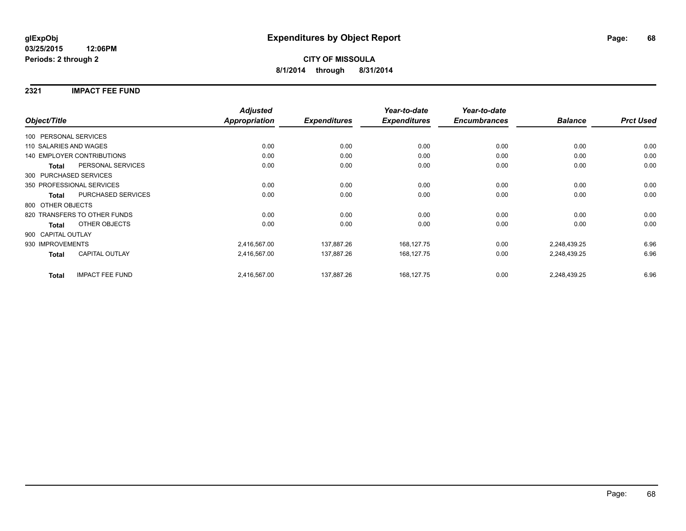### **2321 IMPACT FEE FUND**

|                        |                                   | <b>Adjusted</b> |                     | Year-to-date        | Year-to-date        |                |                  |
|------------------------|-----------------------------------|-----------------|---------------------|---------------------|---------------------|----------------|------------------|
| Object/Title           |                                   | Appropriation   | <b>Expenditures</b> | <b>Expenditures</b> | <b>Encumbrances</b> | <b>Balance</b> | <b>Prct Used</b> |
| 100 PERSONAL SERVICES  |                                   |                 |                     |                     |                     |                |                  |
| 110 SALARIES AND WAGES |                                   | 0.00            | 0.00                | 0.00                | 0.00                | 0.00           | 0.00             |
|                        | <b>140 EMPLOYER CONTRIBUTIONS</b> | 0.00            | 0.00                | 0.00                | 0.00                | 0.00           | 0.00             |
| <b>Total</b>           | PERSONAL SERVICES                 | 0.00            | 0.00                | 0.00                | 0.00                | 0.00           | 0.00             |
|                        | 300 PURCHASED SERVICES            |                 |                     |                     |                     |                |                  |
|                        | 350 PROFESSIONAL SERVICES         | 0.00            | 0.00                | 0.00                | 0.00                | 0.00           | 0.00             |
| <b>Total</b>           | PURCHASED SERVICES                | 0.00            | 0.00                | 0.00                | 0.00                | 0.00           | 0.00             |
| 800 OTHER OBJECTS      |                                   |                 |                     |                     |                     |                |                  |
|                        | 820 TRANSFERS TO OTHER FUNDS      | 0.00            | 0.00                | 0.00                | 0.00                | 0.00           | 0.00             |
| <b>Total</b>           | OTHER OBJECTS                     | 0.00            | 0.00                | 0.00                | 0.00                | 0.00           | 0.00             |
| 900 CAPITAL OUTLAY     |                                   |                 |                     |                     |                     |                |                  |
| 930 IMPROVEMENTS       |                                   | 2,416,567.00    | 137,887.26          | 168,127.75          | 0.00                | 2,248,439.25   | 6.96             |
| Total                  | <b>CAPITAL OUTLAY</b>             | 2,416,567.00    | 137,887.26          | 168,127.75          | 0.00                | 2,248,439.25   | 6.96             |
| <b>Total</b>           | <b>IMPACT FEE FUND</b>            | 2,416,567.00    | 137,887.26          | 168,127.75          | 0.00                | 2,248,439.25   | 6.96             |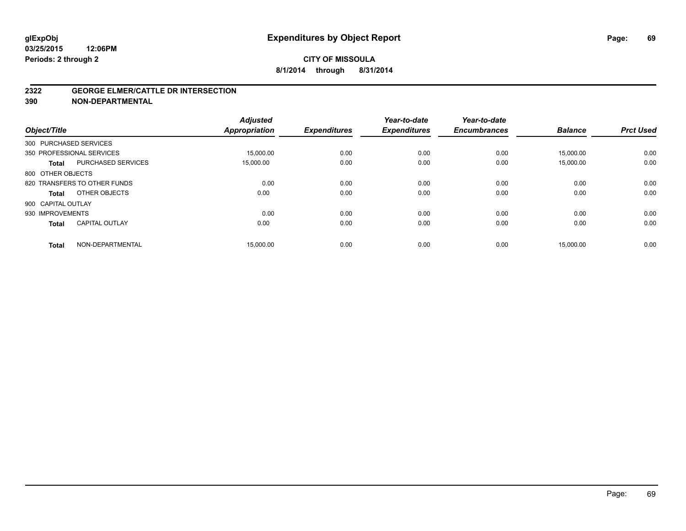#### **2322 GEORGE ELMER/CATTLE DR INTERSECTION**

**390 NON-DEPARTMENTAL**

| Object/Title           |                              | <b>Adjusted</b><br><b>Appropriation</b> | <b>Expenditures</b> | Year-to-date<br><b>Expenditures</b> | Year-to-date<br><b>Encumbrances</b> | <b>Balance</b> | <b>Prct Used</b> |
|------------------------|------------------------------|-----------------------------------------|---------------------|-------------------------------------|-------------------------------------|----------------|------------------|
| 300 PURCHASED SERVICES |                              |                                         |                     |                                     |                                     |                |                  |
|                        | 350 PROFESSIONAL SERVICES    | 15,000.00                               | 0.00                | 0.00                                | 0.00                                | 15.000.00      | 0.00             |
| <b>Total</b>           | <b>PURCHASED SERVICES</b>    | 15,000.00                               | 0.00                | 0.00                                | 0.00                                | 15,000.00      | 0.00             |
| 800 OTHER OBJECTS      |                              |                                         |                     |                                     |                                     |                |                  |
|                        | 820 TRANSFERS TO OTHER FUNDS | 0.00                                    | 0.00                | 0.00                                | 0.00                                | 0.00           | 0.00             |
| Total                  | OTHER OBJECTS                | 0.00                                    | 0.00                | 0.00                                | 0.00                                | 0.00           | 0.00             |
| 900 CAPITAL OUTLAY     |                              |                                         |                     |                                     |                                     |                |                  |
| 930 IMPROVEMENTS       |                              | 0.00                                    | 0.00                | 0.00                                | 0.00                                | 0.00           | 0.00             |
| <b>Total</b>           | <b>CAPITAL OUTLAY</b>        | 0.00                                    | 0.00                | 0.00                                | 0.00                                | 0.00           | 0.00             |
| <b>Total</b>           | NON-DEPARTMENTAL             | 15,000.00                               | 0.00                | 0.00                                | 0.00                                | 15,000.00      | 0.00             |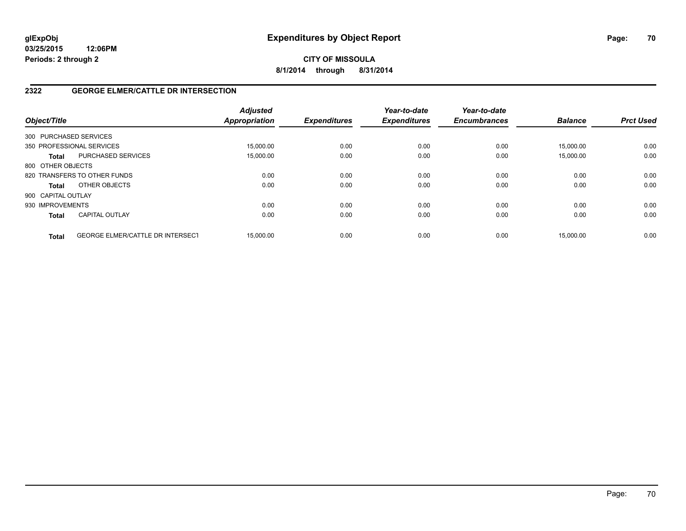# **CITY OF MISSOULA 8/1/2014 through 8/31/2014**

# **2322 GEORGE ELMER/CATTLE DR INTERSECTION**

| Object/Title       |                                         | <b>Adjusted</b><br><b>Appropriation</b> | <b>Expenditures</b> | Year-to-date<br><b>Expenditures</b> | Year-to-date<br><b>Encumbrances</b> | <b>Balance</b> | <b>Prct Used</b> |
|--------------------|-----------------------------------------|-----------------------------------------|---------------------|-------------------------------------|-------------------------------------|----------------|------------------|
|                    | 300 PURCHASED SERVICES                  |                                         |                     |                                     |                                     |                |                  |
|                    | 350 PROFESSIONAL SERVICES               | 15.000.00                               | 0.00                | 0.00                                | 0.00                                | 15.000.00      | 0.00             |
| <b>Total</b>       | PURCHASED SERVICES                      | 15,000.00                               | 0.00                | 0.00                                | 0.00                                | 15,000.00      | 0.00             |
| 800 OTHER OBJECTS  |                                         |                                         |                     |                                     |                                     |                |                  |
|                    | 820 TRANSFERS TO OTHER FUNDS            | 0.00                                    | 0.00                | 0.00                                | 0.00                                | 0.00           | 0.00             |
| <b>Total</b>       | OTHER OBJECTS                           | 0.00                                    | 0.00                | 0.00                                | 0.00                                | 0.00           | 0.00             |
| 900 CAPITAL OUTLAY |                                         |                                         |                     |                                     |                                     |                |                  |
| 930 IMPROVEMENTS   |                                         | 0.00                                    | 0.00                | 0.00                                | 0.00                                | 0.00           | 0.00             |
| <b>Total</b>       | <b>CAPITAL OUTLAY</b>                   | 0.00                                    | 0.00                | 0.00                                | 0.00                                | 0.00           | 0.00             |
| <b>Total</b>       | <b>GEORGE ELMER/CATTLE DR INTERSECT</b> | 15.000.00                               | 0.00                | 0.00                                | 0.00                                | 15.000.00      | 0.00             |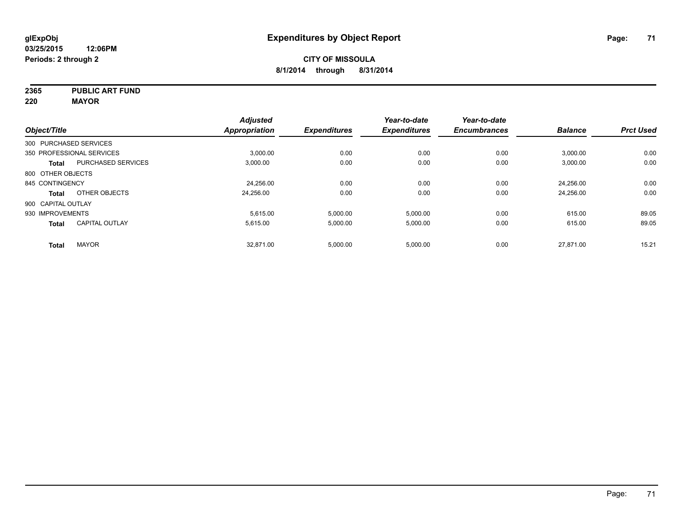**2365 PUBLIC ART FUND**

**220 MAYOR**

|                        |                           | <b>Adjusted</b> |                     | Year-to-date        | Year-to-date        |                |                  |
|------------------------|---------------------------|-----------------|---------------------|---------------------|---------------------|----------------|------------------|
| Object/Title           |                           | Appropriation   | <b>Expenditures</b> | <b>Expenditures</b> | <b>Encumbrances</b> | <b>Balance</b> | <b>Prct Used</b> |
| 300 PURCHASED SERVICES |                           |                 |                     |                     |                     |                |                  |
|                        | 350 PROFESSIONAL SERVICES | 3,000.00        | 0.00                | 0.00                | 0.00                | 3,000.00       | 0.00             |
| <b>Total</b>           | <b>PURCHASED SERVICES</b> | 3,000.00        | 0.00                | 0.00                | 0.00                | 3,000.00       | 0.00             |
| 800 OTHER OBJECTS      |                           |                 |                     |                     |                     |                |                  |
| 845 CONTINGENCY        |                           | 24,256.00       | 0.00                | 0.00                | 0.00                | 24.256.00      | 0.00             |
| Total                  | OTHER OBJECTS             | 24.256.00       | 0.00                | 0.00                | 0.00                | 24.256.00      | 0.00             |
| 900 CAPITAL OUTLAY     |                           |                 |                     |                     |                     |                |                  |
| 930 IMPROVEMENTS       |                           | 5.615.00        | 5.000.00            | 5.000.00            | 0.00                | 615.00         | 89.05            |
| <b>Total</b>           | <b>CAPITAL OUTLAY</b>     | 5.615.00        | 5,000.00            | 5,000.00            | 0.00                | 615.00         | 89.05            |
| <b>Total</b>           | <b>MAYOR</b>              | 32.871.00       | 5,000.00            | 5,000.00            | 0.00                | 27.871.00      | 15.21            |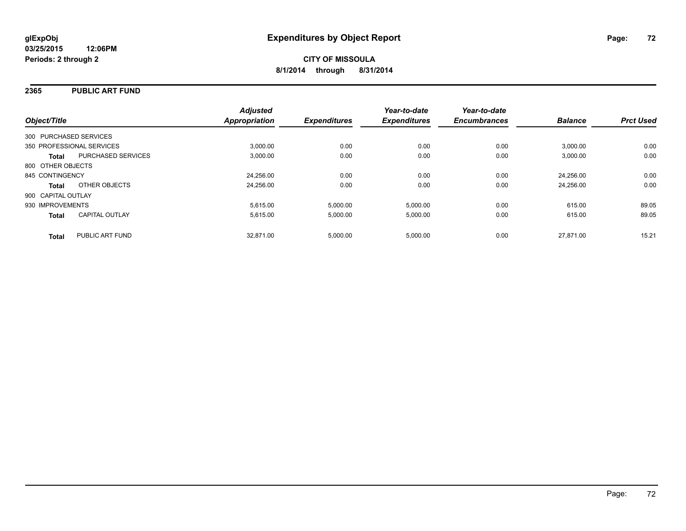#### **2365 PUBLIC ART FUND**

|                                           | <b>Adjusted</b>      |                     | Year-to-date        | Year-to-date        |                |                  |
|-------------------------------------------|----------------------|---------------------|---------------------|---------------------|----------------|------------------|
| Object/Title                              | <b>Appropriation</b> | <b>Expenditures</b> | <b>Expenditures</b> | <b>Encumbrances</b> | <b>Balance</b> | <b>Prct Used</b> |
| 300 PURCHASED SERVICES                    |                      |                     |                     |                     |                |                  |
| 350 PROFESSIONAL SERVICES                 | 3.000.00             | 0.00                | 0.00                | 0.00                | 3,000.00       | 0.00             |
| <b>PURCHASED SERVICES</b><br><b>Total</b> | 3,000.00             | 0.00                | 0.00                | 0.00                | 3,000.00       | 0.00             |
| 800 OTHER OBJECTS                         |                      |                     |                     |                     |                |                  |
| 845 CONTINGENCY                           | 24.256.00            | 0.00                | 0.00                | 0.00                | 24.256.00      | 0.00             |
| OTHER OBJECTS<br><b>Total</b>             | 24,256.00            | 0.00                | 0.00                | 0.00                | 24.256.00      | 0.00             |
| 900 CAPITAL OUTLAY                        |                      |                     |                     |                     |                |                  |
| 930 IMPROVEMENTS                          | 5,615.00             | 5,000.00            | 5,000.00            | 0.00                | 615.00         | 89.05            |
| <b>CAPITAL OUTLAY</b><br><b>Total</b>     | 5,615.00             | 5,000.00            | 5,000.00            | 0.00                | 615.00         | 89.05            |
| PUBLIC ART FUND<br><b>Total</b>           | 32.871.00            | 5,000.00            | 5,000.00            | 0.00                | 27.871.00      | 15.21            |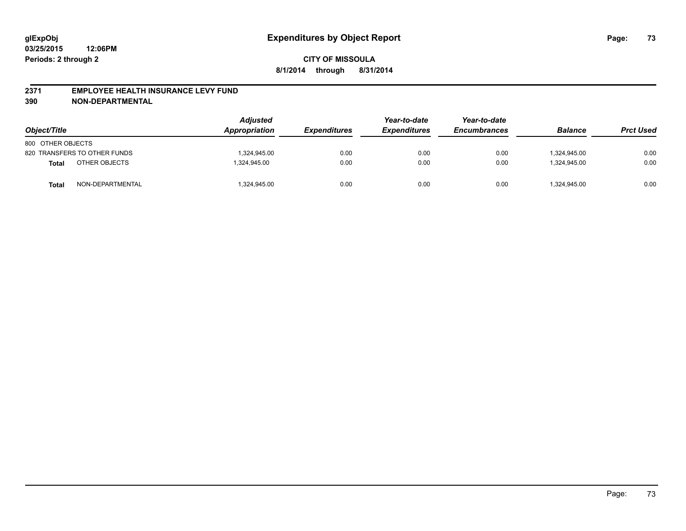#### **2371 EMPLOYEE HEALTH INSURANCE LEVY FUND**

**390 NON-DEPARTMENTAL**

| Object/Title      |                              | <b>Adjusted</b><br>Appropriation | <b>Expenditures</b> | Year-to-date<br><b>Expenditures</b> | Year-to-date<br><b>Encumbrances</b> | <b>Balance</b> | <b>Prct Used</b> |
|-------------------|------------------------------|----------------------------------|---------------------|-------------------------------------|-------------------------------------|----------------|------------------|
| 800 OTHER OBJECTS |                              |                                  |                     |                                     |                                     |                |                  |
|                   | 820 TRANSFERS TO OTHER FUNDS | 1.324.945.00                     | 0.00                | 0.00                                | 0.00                                | 1.324.945.00   | 0.00             |
| Total             | OTHER OBJECTS                | 1.324.945.00                     | 0.00                | 0.00                                | 0.00                                | 1.324.945.00   | 0.00             |
| Total             | NON-DEPARTMENTAL             | 1,324,945.00                     | 0.00                | 0.00                                | 0.00                                | 1,324,945.00   | 0.00             |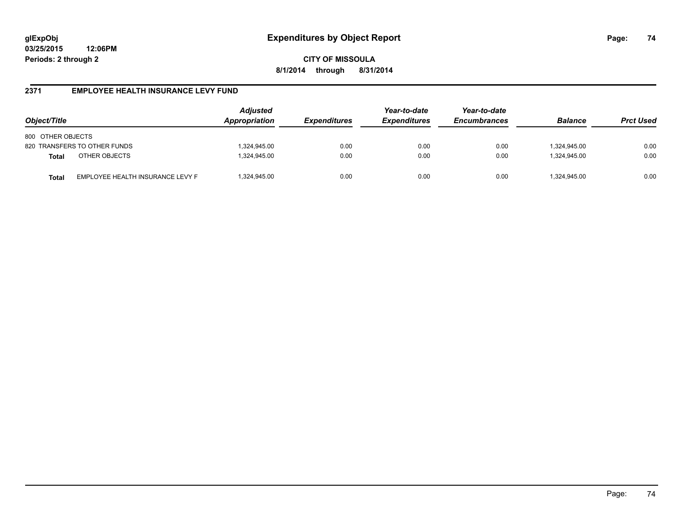**CITY OF MISSOULA 8/1/2014 through 8/31/2014**

# **2371 EMPLOYEE HEALTH INSURANCE LEVY FUND**

| Object/Title                                     | <b>Adjusted</b><br>Appropriation | <i><b>Expenditures</b></i> | Year-to-date<br><b>Expenditures</b> | Year-to-date<br><b>Encumbrances</b> | <b>Balance</b> | <b>Prct Used</b> |
|--------------------------------------------------|----------------------------------|----------------------------|-------------------------------------|-------------------------------------|----------------|------------------|
| 800 OTHER OBJECTS                                |                                  |                            |                                     |                                     |                |                  |
| 820 TRANSFERS TO OTHER FUNDS                     | 1,324,945.00                     | 0.00                       | 0.00                                | 0.00                                | 324,945.00     | 0.00             |
| OTHER OBJECTS<br><b>Total</b>                    | 1,324,945.00                     | 0.00                       | 0.00                                | 0.00                                | 1.324.945.00   | 0.00             |
| EMPLOYEE HEALTH INSURANCE LEVY F<br><b>Total</b> | 1,324,945.00                     | 0.00                       | 0.00                                | 0.00                                | 324,945.00     | 0.00             |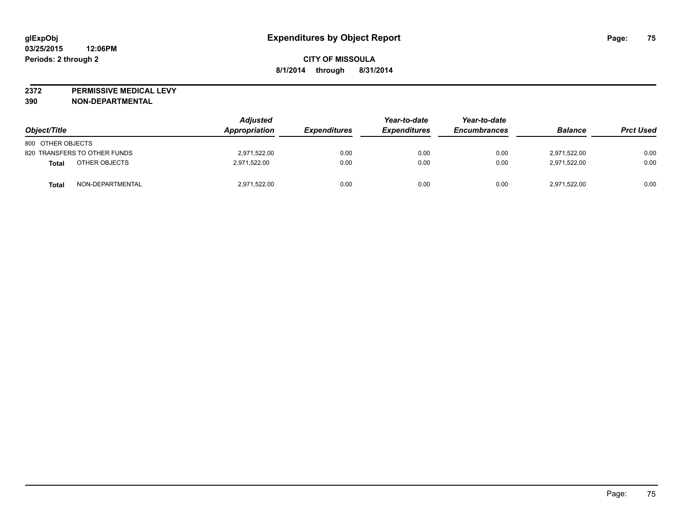**2372 PERMISSIVE MEDICAL LEVY**

**390 NON-DEPARTMENTAL**

| Object/Title                     | <b>Adjusted</b><br>Appropriation | <i><b>Expenditures</b></i> | Year-to-date<br><b>Expenditures</b> | Year-to-date<br><b>Encumbrances</b> | <b>Balance</b> | <b>Prct Used</b> |
|----------------------------------|----------------------------------|----------------------------|-------------------------------------|-------------------------------------|----------------|------------------|
| 800 OTHER OBJECTS                |                                  |                            |                                     |                                     |                |                  |
| 820 TRANSFERS TO OTHER FUNDS     | 2.971.522.00                     | 0.00                       | 0.00                                | 0.00                                | 2.971.522.00   | 0.00             |
| OTHER OBJECTS<br>Total           | 2,971,522.00                     | 0.00                       | 0.00                                | 0.00                                | 2,971,522.00   | 0.00             |
| NON-DEPARTMENTAL<br><b>Total</b> | 2,971,522.00                     | 0.00                       | 0.00                                | 0.00                                | 2,971,522.00   | 0.00             |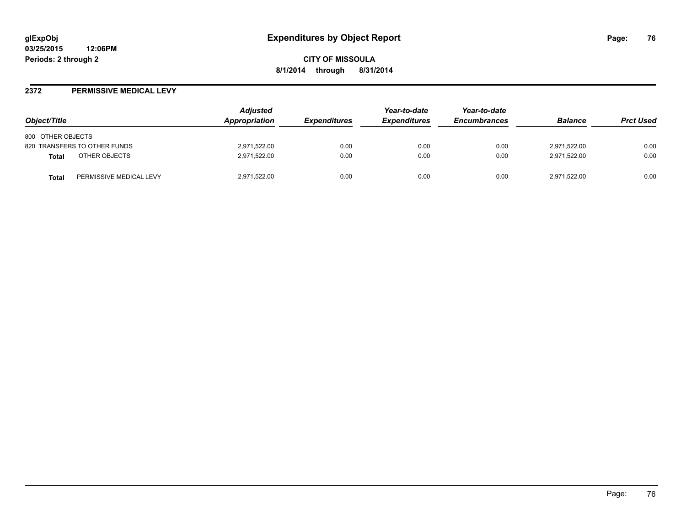**CITY OF MISSOULA 8/1/2014 through 8/31/2014**

#### **2372 PERMISSIVE MEDICAL LEVY**

| Object/Title                            | <b>Adjusted</b><br><b>Appropriation</b> | <i><b>Expenditures</b></i> | Year-to-date<br><b>Expenditures</b> | Year-to-date<br><b>Encumbrances</b> | <b>Balance</b> | <b>Prct Used</b> |
|-----------------------------------------|-----------------------------------------|----------------------------|-------------------------------------|-------------------------------------|----------------|------------------|
| 800 OTHER OBJECTS                       |                                         |                            |                                     |                                     |                |                  |
| 820 TRANSFERS TO OTHER FUNDS            | 2,971,522.00                            | 0.00                       | 0.00                                | 0.00                                | 2,971,522.00   | 0.00             |
| OTHER OBJECTS<br>Total                  | 2,971,522.00                            | 0.00                       | 0.00                                | 0.00                                | 2,971,522.00   | 0.00             |
| PERMISSIVE MEDICAL LEVY<br><b>Total</b> | 2,971,522.00                            | 0.00                       | 0.00                                | 0.00                                | 2,971,522.00   | 0.00             |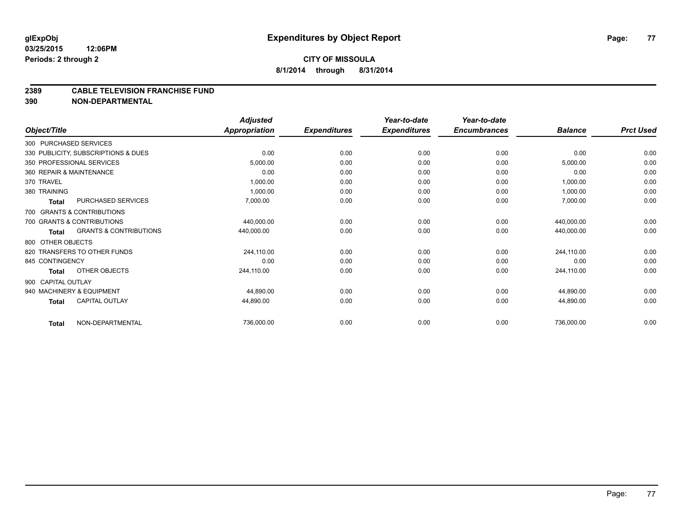# **CITY OF MISSOULA 8/1/2014 through 8/31/2014**

#### **2389 CABLE TELEVISION FRANCHISE FUND**

**390 NON-DEPARTMENTAL**

|                    |                                     | <b>Adjusted</b>      |                     | Year-to-date        | Year-to-date<br><b>Encumbrances</b> | <b>Balance</b> | <b>Prct Used</b> |
|--------------------|-------------------------------------|----------------------|---------------------|---------------------|-------------------------------------|----------------|------------------|
| Object/Title       |                                     | <b>Appropriation</b> | <b>Expenditures</b> | <b>Expenditures</b> |                                     |                |                  |
|                    | 300 PURCHASED SERVICES              |                      |                     |                     |                                     |                |                  |
|                    | 330 PUBLICITY, SUBSCRIPTIONS & DUES | 0.00                 | 0.00                | 0.00                | 0.00                                | 0.00           | 0.00             |
|                    | 350 PROFESSIONAL SERVICES           | 5,000.00             | 0.00                | 0.00                | 0.00                                | 5,000.00       | 0.00             |
|                    | 360 REPAIR & MAINTENANCE            | 0.00                 | 0.00                | 0.00                | 0.00                                | 0.00           | 0.00             |
| 370 TRAVEL         |                                     | 1,000.00             | 0.00                | 0.00                | 0.00                                | 1,000.00       | 0.00             |
| 380 TRAINING       |                                     | 1,000.00             | 0.00                | 0.00                | 0.00                                | 1,000.00       | 0.00             |
| <b>Total</b>       | PURCHASED SERVICES                  | 7,000.00             | 0.00                | 0.00                | 0.00                                | 7,000.00       | 0.00             |
|                    | 700 GRANTS & CONTRIBUTIONS          |                      |                     |                     |                                     |                |                  |
|                    | 700 GRANTS & CONTRIBUTIONS          | 440,000.00           | 0.00                | 0.00                | 0.00                                | 440,000.00     | 0.00             |
| <b>Total</b>       | <b>GRANTS &amp; CONTRIBUTIONS</b>   | 440,000.00           | 0.00                | 0.00                | 0.00                                | 440,000.00     | 0.00             |
| 800 OTHER OBJECTS  |                                     |                      |                     |                     |                                     |                |                  |
|                    | 820 TRANSFERS TO OTHER FUNDS        | 244,110.00           | 0.00                | 0.00                | 0.00                                | 244,110.00     | 0.00             |
| 845 CONTINGENCY    |                                     | 0.00                 | 0.00                | 0.00                | 0.00                                | 0.00           | 0.00             |
| <b>Total</b>       | OTHER OBJECTS                       | 244,110.00           | 0.00                | 0.00                | 0.00                                | 244,110.00     | 0.00             |
| 900 CAPITAL OUTLAY |                                     |                      |                     |                     |                                     |                |                  |
|                    | 940 MACHINERY & EQUIPMENT           | 44,890.00            | 0.00                | 0.00                | 0.00                                | 44,890.00      | 0.00             |
| <b>Total</b>       | <b>CAPITAL OUTLAY</b>               | 44,890.00            | 0.00                | 0.00                | 0.00                                | 44,890.00      | 0.00             |
| <b>Total</b>       | NON-DEPARTMENTAL                    | 736,000.00           | 0.00                | 0.00                | 0.00                                | 736,000.00     | 0.00             |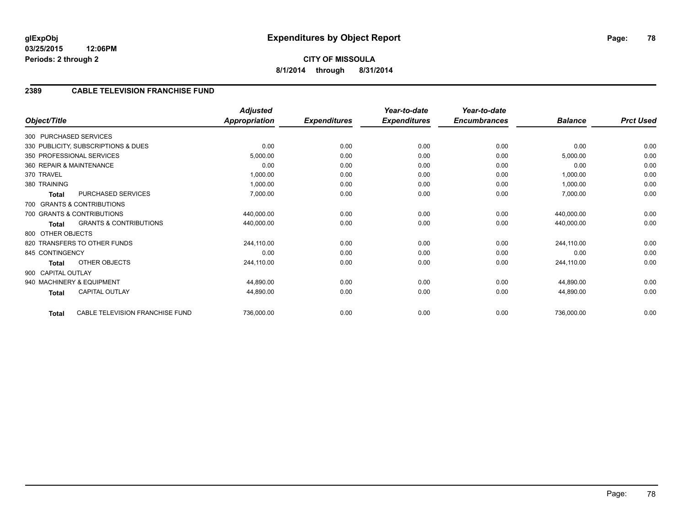# **2389 CABLE TELEVISION FRANCHISE FUND**

| Object/Title       |                                     | <b>Adjusted</b><br><b>Appropriation</b> | <b>Expenditures</b> | Year-to-date<br><b>Expenditures</b> | Year-to-date<br><b>Encumbrances</b> | <b>Balance</b> | <b>Prct Used</b> |
|--------------------|-------------------------------------|-----------------------------------------|---------------------|-------------------------------------|-------------------------------------|----------------|------------------|
|                    | 300 PURCHASED SERVICES              |                                         |                     |                                     |                                     |                |                  |
|                    | 330 PUBLICITY, SUBSCRIPTIONS & DUES | 0.00                                    | 0.00                | 0.00                                | 0.00                                | 0.00           | 0.00             |
|                    | 350 PROFESSIONAL SERVICES           | 5,000.00                                | 0.00                | 0.00                                | 0.00                                | 5,000.00       | 0.00             |
|                    | 360 REPAIR & MAINTENANCE            | 0.00                                    | 0.00                | 0.00                                | 0.00                                | 0.00           | 0.00             |
| 370 TRAVEL         |                                     | 1,000.00                                | 0.00                | 0.00                                | 0.00                                | 1,000.00       | 0.00             |
| 380 TRAINING       |                                     | 1,000.00                                | 0.00                | 0.00                                | 0.00                                | 1,000.00       | 0.00             |
| <b>Total</b>       | PURCHASED SERVICES                  | 7,000.00                                | 0.00                | 0.00                                | 0.00                                | 7,000.00       | 0.00             |
|                    | 700 GRANTS & CONTRIBUTIONS          |                                         |                     |                                     |                                     |                |                  |
|                    | 700 GRANTS & CONTRIBUTIONS          | 440,000.00                              | 0.00                | 0.00                                | 0.00                                | 440,000.00     | 0.00             |
| Total              | <b>GRANTS &amp; CONTRIBUTIONS</b>   | 440,000.00                              | 0.00                | 0.00                                | 0.00                                | 440,000.00     | 0.00             |
| 800 OTHER OBJECTS  |                                     |                                         |                     |                                     |                                     |                |                  |
|                    | 820 TRANSFERS TO OTHER FUNDS        | 244,110.00                              | 0.00                | 0.00                                | 0.00                                | 244,110.00     | 0.00             |
| 845 CONTINGENCY    |                                     | 0.00                                    | 0.00                | 0.00                                | 0.00                                | 0.00           | 0.00             |
| Total              | OTHER OBJECTS                       | 244,110.00                              | 0.00                | 0.00                                | 0.00                                | 244,110.00     | 0.00             |
| 900 CAPITAL OUTLAY |                                     |                                         |                     |                                     |                                     |                |                  |
|                    | 940 MACHINERY & EQUIPMENT           | 44,890.00                               | 0.00                | 0.00                                | 0.00                                | 44,890.00      | 0.00             |
| <b>Total</b>       | <b>CAPITAL OUTLAY</b>               | 44,890.00                               | 0.00                | 0.00                                | 0.00                                | 44,890.00      | 0.00             |
| Total              | CABLE TELEVISION FRANCHISE FUND     | 736,000.00                              | 0.00                | 0.00                                | 0.00                                | 736,000.00     | 0.00             |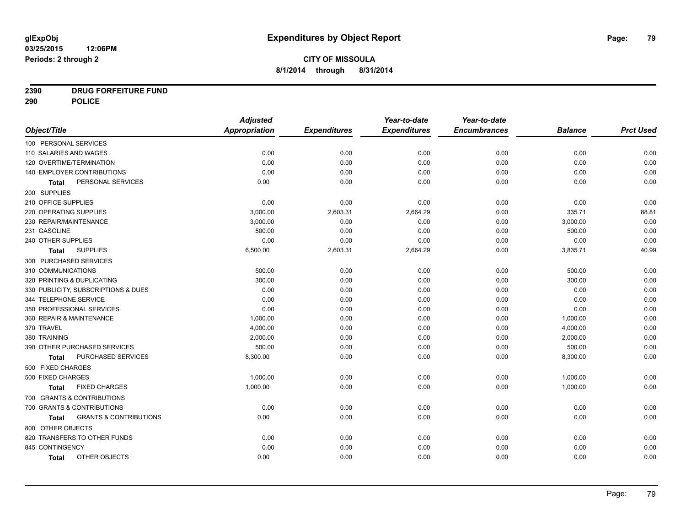# **2390 DRUG FORFEITURE FUND**

**290 POLICE**

|                                            | <b>Adjusted</b> |                     | Year-to-date        | Year-to-date        |                |                  |
|--------------------------------------------|-----------------|---------------------|---------------------|---------------------|----------------|------------------|
| Object/Title                               | Appropriation   | <b>Expenditures</b> | <b>Expenditures</b> | <b>Encumbrances</b> | <b>Balance</b> | <b>Prct Used</b> |
| 100 PERSONAL SERVICES                      |                 |                     |                     |                     |                |                  |
| 110 SALARIES AND WAGES                     | 0.00            | 0.00                | 0.00                | 0.00                | 0.00           | 0.00             |
| 120 OVERTIME/TERMINATION                   | 0.00            | 0.00                | 0.00                | 0.00                | 0.00           | 0.00             |
| 140 EMPLOYER CONTRIBUTIONS                 | 0.00            | 0.00                | 0.00                | 0.00                | 0.00           | 0.00             |
| PERSONAL SERVICES<br><b>Total</b>          | 0.00            | 0.00                | 0.00                | 0.00                | 0.00           | 0.00             |
| 200 SUPPLIES                               |                 |                     |                     |                     |                |                  |
| 210 OFFICE SUPPLIES                        | 0.00            | 0.00                | 0.00                | 0.00                | 0.00           | 0.00             |
| 220 OPERATING SUPPLIES                     | 3,000.00        | 2,603.31            | 2,664.29            | 0.00                | 335.71         | 88.81            |
| 230 REPAIR/MAINTENANCE                     | 3,000.00        | 0.00                | 0.00                | 0.00                | 3,000.00       | 0.00             |
| 231 GASOLINE                               | 500.00          | 0.00                | 0.00                | 0.00                | 500.00         | 0.00             |
| 240 OTHER SUPPLIES                         | 0.00            | 0.00                | 0.00                | 0.00                | 0.00           | 0.00             |
| <b>SUPPLIES</b><br>Total                   | 6,500.00        | 2,603.31            | 2,664.29            | 0.00                | 3,835.71       | 40.99            |
| 300 PURCHASED SERVICES                     |                 |                     |                     |                     |                |                  |
| 310 COMMUNICATIONS                         | 500.00          | 0.00                | 0.00                | 0.00                | 500.00         | 0.00             |
| 320 PRINTING & DUPLICATING                 | 300.00          | 0.00                | 0.00                | 0.00                | 300.00         | 0.00             |
| 330 PUBLICITY, SUBSCRIPTIONS & DUES        | 0.00            | 0.00                | 0.00                | 0.00                | 0.00           | 0.00             |
| 344 TELEPHONE SERVICE                      | 0.00            | 0.00                | 0.00                | 0.00                | 0.00           | 0.00             |
| 350 PROFESSIONAL SERVICES                  | 0.00            | 0.00                | 0.00                | 0.00                | 0.00           | 0.00             |
| 360 REPAIR & MAINTENANCE                   | 1,000.00        | 0.00                | 0.00                | 0.00                | 1,000.00       | 0.00             |
| 370 TRAVEL                                 | 4,000.00        | 0.00                | 0.00                | 0.00                | 4,000.00       | 0.00             |
| 380 TRAINING                               | 2,000.00        | 0.00                | 0.00                | 0.00                | 2,000.00       | 0.00             |
| 390 OTHER PURCHASED SERVICES               | 500.00          | 0.00                | 0.00                | 0.00                | 500.00         | 0.00             |
| <b>PURCHASED SERVICES</b><br>Total         | 8,300.00        | 0.00                | 0.00                | 0.00                | 8,300.00       | 0.00             |
| 500 FIXED CHARGES                          |                 |                     |                     |                     |                |                  |
| 500 FIXED CHARGES                          | 1,000.00        | 0.00                | 0.00                | 0.00                | 1,000.00       | 0.00             |
| <b>FIXED CHARGES</b><br>Total              | 1,000.00        | 0.00                | 0.00                | 0.00                | 1,000.00       | 0.00             |
| 700 GRANTS & CONTRIBUTIONS                 |                 |                     |                     |                     |                |                  |
| 700 GRANTS & CONTRIBUTIONS                 | 0.00            | 0.00                | 0.00                | 0.00                | 0.00           | 0.00             |
| <b>GRANTS &amp; CONTRIBUTIONS</b><br>Total | 0.00            | 0.00                | 0.00                | 0.00                | 0.00           | 0.00             |
| 800 OTHER OBJECTS                          |                 |                     |                     |                     |                |                  |
| 820 TRANSFERS TO OTHER FUNDS               | 0.00            | 0.00                | 0.00                | 0.00                | 0.00           | 0.00             |
| 845 CONTINGENCY                            | 0.00            | 0.00                | 0.00                | 0.00                | 0.00           | 0.00             |
| OTHER OBJECTS<br><b>Total</b>              | 0.00            | 0.00                | 0.00                | 0.00                | 0.00           | 0.00             |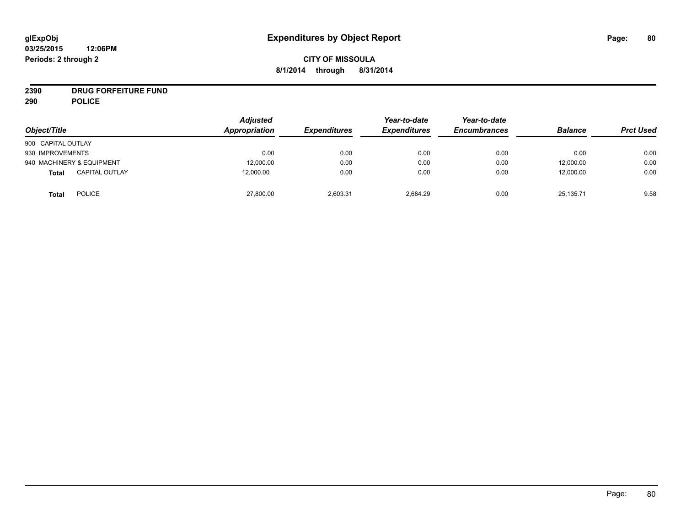# **CITY OF MISSOULA 8/1/2014 through 8/31/2014**

# **2390 DRUG FORFEITURE FUND**

**290 POLICE**

| Object/Title                   | <b>Adjusted</b><br>Appropriation | <b>Expenditures</b> | Year-to-date<br><b>Expenditures</b> | Year-to-date<br><b>Encumbrances</b> | <b>Balance</b> | <b>Prct Used</b> |
|--------------------------------|----------------------------------|---------------------|-------------------------------------|-------------------------------------|----------------|------------------|
| 900 CAPITAL OUTLAY             |                                  |                     |                                     |                                     |                |                  |
| 930 IMPROVEMENTS               | 0.00                             | 0.00                | 0.00                                | 0.00                                | 0.00           | 0.00             |
| 940 MACHINERY & EQUIPMENT      | 12,000.00                        | 0.00                | 0.00                                | 0.00                                | 12,000.00      | 0.00             |
| <b>CAPITAL OUTLAY</b><br>Total | 12.000.00                        | 0.00                | 0.00                                | 0.00                                | 12,000.00      | 0.00             |
| <b>POLICE</b><br><b>Total</b>  | 27,800.00                        | 2,603.31            | 2,664.29                            | 0.00                                | 25,135.71      | 9.58             |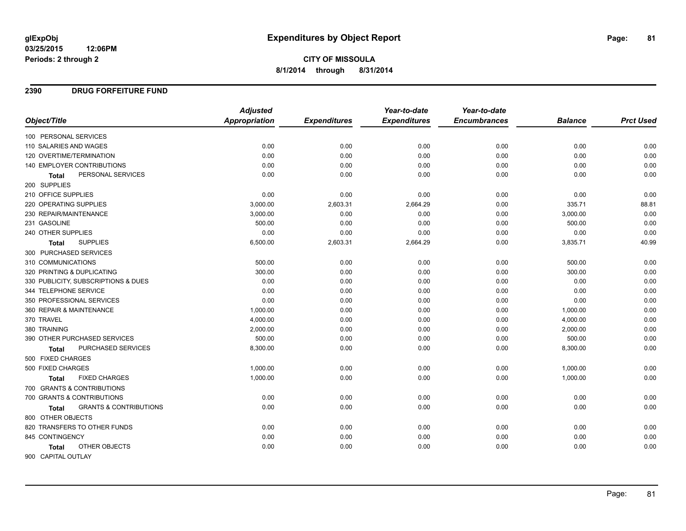# **CITY OF MISSOULA 8/1/2014 through 8/31/2014**

### **2390 DRUG FORFEITURE FUND**

|                                                   | <b>Adjusted</b>      |                     | Year-to-date        | Year-to-date        |                |                  |
|---------------------------------------------------|----------------------|---------------------|---------------------|---------------------|----------------|------------------|
| Object/Title                                      | <b>Appropriation</b> | <b>Expenditures</b> | <b>Expenditures</b> | <b>Encumbrances</b> | <b>Balance</b> | <b>Prct Used</b> |
| 100 PERSONAL SERVICES                             |                      |                     |                     |                     |                |                  |
| 110 SALARIES AND WAGES                            | 0.00                 | 0.00                | 0.00                | 0.00                | 0.00           | 0.00             |
| 120 OVERTIME/TERMINATION                          | 0.00                 | 0.00                | 0.00                | 0.00                | 0.00           | 0.00             |
| 140 EMPLOYER CONTRIBUTIONS                        | 0.00                 | 0.00                | 0.00                | 0.00                | 0.00           | 0.00             |
| PERSONAL SERVICES<br><b>Total</b>                 | 0.00                 | 0.00                | 0.00                | 0.00                | 0.00           | 0.00             |
| 200 SUPPLIES                                      |                      |                     |                     |                     |                |                  |
| 210 OFFICE SUPPLIES                               | 0.00                 | 0.00                | 0.00                | 0.00                | 0.00           | 0.00             |
| 220 OPERATING SUPPLIES                            | 3,000.00             | 2,603.31            | 2,664.29            | 0.00                | 335.71         | 88.81            |
| 230 REPAIR/MAINTENANCE                            | 3,000.00             | 0.00                | 0.00                | 0.00                | 3,000.00       | 0.00             |
| 231 GASOLINE                                      | 500.00               | 0.00                | 0.00                | 0.00                | 500.00         | 0.00             |
| 240 OTHER SUPPLIES                                | 0.00                 | 0.00                | 0.00                | 0.00                | 0.00           | 0.00             |
| <b>SUPPLIES</b><br><b>Total</b>                   | 6,500.00             | 2,603.31            | 2,664.29            | 0.00                | 3,835.71       | 40.99            |
| 300 PURCHASED SERVICES                            |                      |                     |                     |                     |                |                  |
| 310 COMMUNICATIONS                                | 500.00               | 0.00                | 0.00                | 0.00                | 500.00         | 0.00             |
| 320 PRINTING & DUPLICATING                        | 300.00               | 0.00                | 0.00                | 0.00                | 300.00         | 0.00             |
| 330 PUBLICITY, SUBSCRIPTIONS & DUES               | 0.00                 | 0.00                | 0.00                | 0.00                | 0.00           | 0.00             |
| 344 TELEPHONE SERVICE                             | 0.00                 | 0.00                | 0.00                | 0.00                | 0.00           | 0.00             |
| 350 PROFESSIONAL SERVICES                         | 0.00                 | 0.00                | 0.00                | 0.00                | 0.00           | 0.00             |
| 360 REPAIR & MAINTENANCE                          | 1,000.00             | 0.00                | 0.00                | 0.00                | 1,000.00       | 0.00             |
| 370 TRAVEL                                        | 4,000.00             | 0.00                | 0.00                | 0.00                | 4,000.00       | 0.00             |
| 380 TRAINING                                      | 2,000.00             | 0.00                | 0.00                | 0.00                | 2,000.00       | 0.00             |
| 390 OTHER PURCHASED SERVICES                      | 500.00               | 0.00                | 0.00                | 0.00                | 500.00         | 0.00             |
| PURCHASED SERVICES<br><b>Total</b>                | 8,300.00             | 0.00                | 0.00                | 0.00                | 8,300.00       | 0.00             |
| 500 FIXED CHARGES                                 |                      |                     |                     |                     |                |                  |
| 500 FIXED CHARGES                                 | 1,000.00             | 0.00                | 0.00                | 0.00                | 1,000.00       | 0.00             |
| <b>FIXED CHARGES</b><br><b>Total</b>              | 1,000.00             | 0.00                | 0.00                | 0.00                | 1,000.00       | 0.00             |
| 700 GRANTS & CONTRIBUTIONS                        |                      |                     |                     |                     |                |                  |
| 700 GRANTS & CONTRIBUTIONS                        | 0.00                 | 0.00                | 0.00                | 0.00                | 0.00           | 0.00             |
| <b>GRANTS &amp; CONTRIBUTIONS</b><br><b>Total</b> | 0.00                 | 0.00                | 0.00                | 0.00                | 0.00           | 0.00             |
| 800 OTHER OBJECTS                                 |                      |                     |                     |                     |                |                  |
| 820 TRANSFERS TO OTHER FUNDS                      | 0.00                 | 0.00                | 0.00                | 0.00                | 0.00           | 0.00             |
| 845 CONTINGENCY                                   | 0.00                 | 0.00                | 0.00                | 0.00                | 0.00           | 0.00             |
| OTHER OBJECTS<br><b>Total</b>                     | 0.00                 | 0.00                | 0.00                | 0.00                | 0.00           | 0.00             |
| 900 CAPITAL OUTLAY                                |                      |                     |                     |                     |                |                  |

Page: 81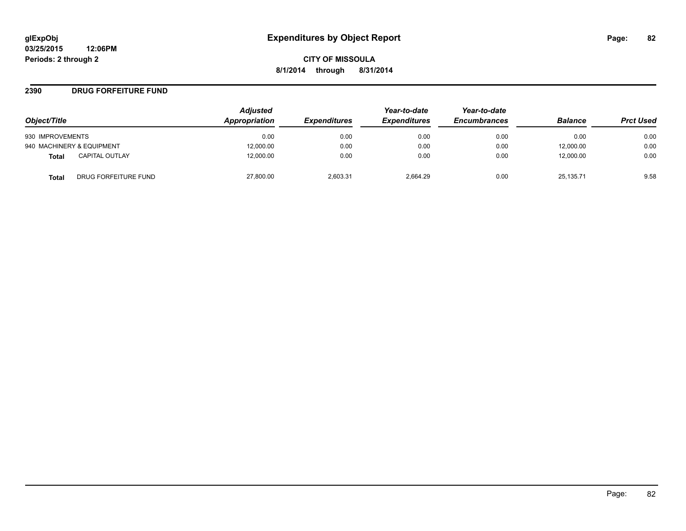### **2390 DRUG FORFEITURE FUND**

| Object/Title                   | <b>Adjusted</b><br>Appropriation | <b>Expenditures</b> | Year-to-date<br><b>Expenditures</b> | Year-to-date<br><b>Encumbrances</b> | <b>Balance</b> | <b>Prct Used</b> |
|--------------------------------|----------------------------------|---------------------|-------------------------------------|-------------------------------------|----------------|------------------|
|                                |                                  |                     |                                     |                                     |                |                  |
| 930 IMPROVEMENTS               | 0.00                             | 0.00                | 0.00                                | 0.00                                | 0.00           | 0.00             |
| 940 MACHINERY & EQUIPMENT      | 12,000.00                        | 0.00                | 0.00                                | 0.00                                | 12,000.00      | 0.00             |
| <b>CAPITAL OUTLAY</b><br>Total | 12,000.00                        | 0.00                | 0.00                                | 0.00                                | 12,000.00      | 0.00             |
| DRUG FORFEITURE FUND<br>Total  | 27,800.00                        | 2.603.31            | 2.664.29                            | 0.00                                | 25.135.71      | 9.58             |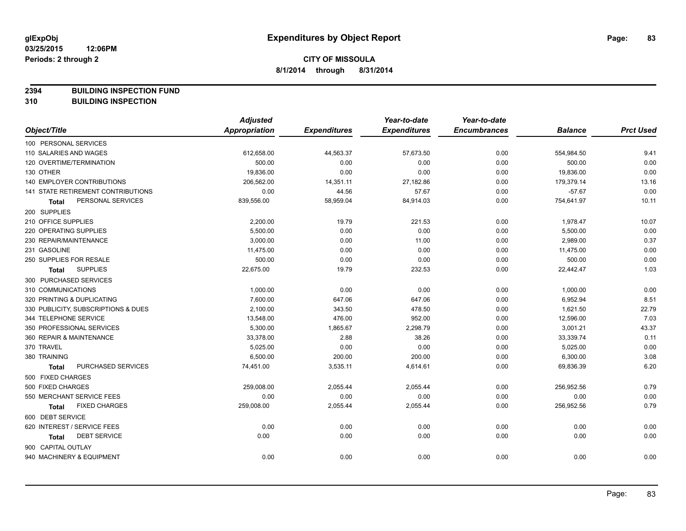**2394 BUILDING INSPECTION FUND**

**310 BUILDING INSPECTION**

|                                      | <b>Adjusted</b>      |                     | Year-to-date        | Year-to-date        |                |                  |
|--------------------------------------|----------------------|---------------------|---------------------|---------------------|----------------|------------------|
| Object/Title                         | <b>Appropriation</b> | <b>Expenditures</b> | <b>Expenditures</b> | <b>Encumbrances</b> | <b>Balance</b> | <b>Prct Used</b> |
| 100 PERSONAL SERVICES                |                      |                     |                     |                     |                |                  |
| 110 SALARIES AND WAGES               | 612,658.00           | 44,563.37           | 57,673.50           | 0.00                | 554,984.50     | 9.41             |
| 120 OVERTIME/TERMINATION             | 500.00               | 0.00                | 0.00                | 0.00                | 500.00         | 0.00             |
| 130 OTHER                            | 19,836.00            | 0.00                | 0.00                | 0.00                | 19,836.00      | 0.00             |
| 140 EMPLOYER CONTRIBUTIONS           | 206,562.00           | 14,351.11           | 27,182.86           | 0.00                | 179,379.14     | 13.16            |
| 141 STATE RETIREMENT CONTRIBUTIONS   | 0.00                 | 44.56               | 57.67               | 0.00                | $-57.67$       | 0.00             |
| PERSONAL SERVICES<br>Total           | 839,556.00           | 58,959.04           | 84,914.03           | 0.00                | 754,641.97     | 10.11            |
| 200 SUPPLIES                         |                      |                     |                     |                     |                |                  |
| 210 OFFICE SUPPLIES                  | 2,200.00             | 19.79               | 221.53              | 0.00                | 1,978.47       | 10.07            |
| 220 OPERATING SUPPLIES               | 5,500.00             | 0.00                | 0.00                | 0.00                | 5,500.00       | 0.00             |
| 230 REPAIR/MAINTENANCE               | 3,000.00             | 0.00                | 11.00               | 0.00                | 2,989.00       | 0.37             |
| 231 GASOLINE                         | 11,475.00            | 0.00                | 0.00                | 0.00                | 11,475.00      | 0.00             |
| 250 SUPPLIES FOR RESALE              | 500.00               | 0.00                | 0.00                | 0.00                | 500.00         | 0.00             |
| <b>SUPPLIES</b><br>Total             | 22,675.00            | 19.79               | 232.53              | 0.00                | 22,442.47      | 1.03             |
| 300 PURCHASED SERVICES               |                      |                     |                     |                     |                |                  |
| 310 COMMUNICATIONS                   | 1,000.00             | 0.00                | 0.00                | 0.00                | 1,000.00       | 0.00             |
| 320 PRINTING & DUPLICATING           | 7,600.00             | 647.06              | 647.06              | 0.00                | 6,952.94       | 8.51             |
| 330 PUBLICITY, SUBSCRIPTIONS & DUES  | 2,100.00             | 343.50              | 478.50              | 0.00                | 1,621.50       | 22.79            |
| 344 TELEPHONE SERVICE                | 13,548.00            | 476.00              | 952.00              | 0.00                | 12,596.00      | 7.03             |
| 350 PROFESSIONAL SERVICES            | 5,300.00             | 1,865.67            | 2,298.79            | 0.00                | 3,001.21       | 43.37            |
| 360 REPAIR & MAINTENANCE             | 33,378.00            | 2.88                | 38.26               | 0.00                | 33,339.74      | 0.11             |
| 370 TRAVEL                           | 5,025.00             | 0.00                | 0.00                | 0.00                | 5,025.00       | 0.00             |
| 380 TRAINING                         | 6,500.00             | 200.00              | 200.00              | 0.00                | 6,300.00       | 3.08             |
| PURCHASED SERVICES<br>Total          | 74,451.00            | 3,535.11            | 4,614.61            | 0.00                | 69,836.39      | 6.20             |
| 500 FIXED CHARGES                    |                      |                     |                     |                     |                |                  |
| 500 FIXED CHARGES                    | 259,008.00           | 2,055.44            | 2,055.44            | 0.00                | 256,952.56     | 0.79             |
| 550 MERCHANT SERVICE FEES            | 0.00                 | 0.00                | 0.00                | 0.00                | 0.00           | 0.00             |
| <b>FIXED CHARGES</b><br><b>Total</b> | 259,008.00           | 2,055.44            | 2,055.44            | 0.00                | 256,952.56     | 0.79             |
| 600 DEBT SERVICE                     |                      |                     |                     |                     |                |                  |
| 620 INTEREST / SERVICE FEES          | 0.00                 | 0.00                | 0.00                | 0.00                | 0.00           | 0.00             |
| <b>DEBT SERVICE</b><br><b>Total</b>  | 0.00                 | 0.00                | 0.00                | 0.00                | 0.00           | 0.00             |
| 900 CAPITAL OUTLAY                   |                      |                     |                     |                     |                |                  |
| 940 MACHINERY & EQUIPMENT            | 0.00                 | 0.00                | 0.00                | 0.00                | 0.00           | 0.00             |
|                                      |                      |                     |                     |                     |                |                  |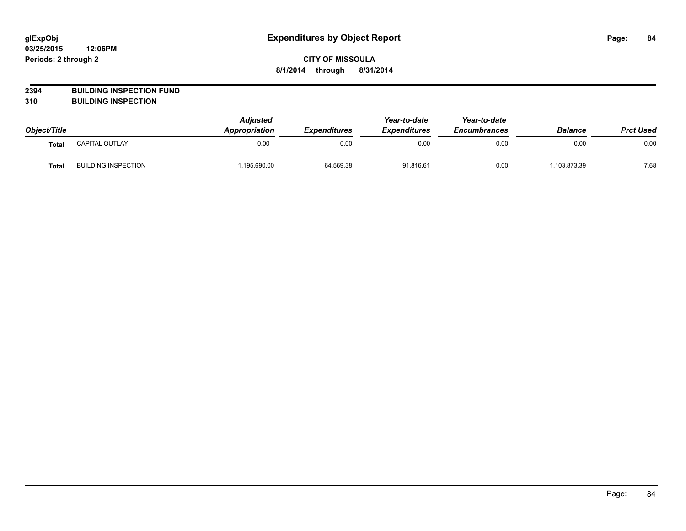# **CITY OF MISSOULA 8/1/2014 through 8/31/2014**

# **2394 BUILDING INSPECTION FUND**

**310 BUILDING INSPECTION**

| Object/Title |                            | <b>Adjusted</b><br>Appropriation | <b>Expenditures</b> | Year-to-date<br><b>Expenditures</b> | Year-to-date<br><b>Encumbrances</b> | <b>Balance</b> | <b>Prct Used</b> |
|--------------|----------------------------|----------------------------------|---------------------|-------------------------------------|-------------------------------------|----------------|------------------|
| Total        | <b>CAPITAL OUTLAY</b>      | 0.00                             | 0.00                | 0.00                                | 0.00                                | 0.00           | 0.00             |
| <b>Total</b> | <b>BUILDING INSPECTION</b> | ,195,690.00                      | 64,569.38           | 91,816.61                           | 0.00                                | ,103,873.39    | 7.68             |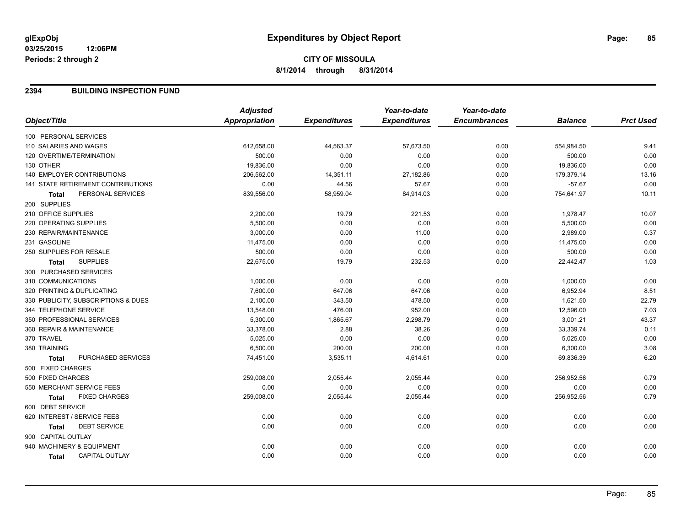### **2394 BUILDING INSPECTION FUND**

|                                           | <b>Adjusted</b>      |                     | Year-to-date        | Year-to-date        |                |                  |
|-------------------------------------------|----------------------|---------------------|---------------------|---------------------|----------------|------------------|
| Object/Title                              | <b>Appropriation</b> | <b>Expenditures</b> | <b>Expenditures</b> | <b>Encumbrances</b> | <b>Balance</b> | <b>Prct Used</b> |
| 100 PERSONAL SERVICES                     |                      |                     |                     |                     |                |                  |
| 110 SALARIES AND WAGES                    | 612,658.00           | 44,563.37           | 57,673.50           | 0.00                | 554,984.50     | 9.41             |
| 120 OVERTIME/TERMINATION                  | 500.00               | 0.00                | 0.00                | 0.00                | 500.00         | 0.00             |
| 130 OTHER                                 | 19,836.00            | 0.00                | 0.00                | 0.00                | 19,836.00      | 0.00             |
| <b>140 EMPLOYER CONTRIBUTIONS</b>         | 206,562.00           | 14,351.11           | 27,182.86           | 0.00                | 179,379.14     | 13.16            |
| <b>141 STATE RETIREMENT CONTRIBUTIONS</b> | 0.00                 | 44.56               | 57.67               | 0.00                | $-57.67$       | 0.00             |
| PERSONAL SERVICES<br><b>Total</b>         | 839,556.00           | 58,959.04           | 84,914.03           | 0.00                | 754,641.97     | 10.11            |
| 200 SUPPLIES                              |                      |                     |                     |                     |                |                  |
| 210 OFFICE SUPPLIES                       | 2,200.00             | 19.79               | 221.53              | 0.00                | 1,978.47       | 10.07            |
| 220 OPERATING SUPPLIES                    | 5,500.00             | 0.00                | 0.00                | 0.00                | 5,500.00       | 0.00             |
| 230 REPAIR/MAINTENANCE                    | 3,000.00             | 0.00                | 11.00               | 0.00                | 2,989.00       | 0.37             |
| 231 GASOLINE                              | 11,475.00            | 0.00                | 0.00                | 0.00                | 11,475.00      | 0.00             |
| 250 SUPPLIES FOR RESALE                   | 500.00               | 0.00                | 0.00                | 0.00                | 500.00         | 0.00             |
| <b>SUPPLIES</b><br><b>Total</b>           | 22,675.00            | 19.79               | 232.53              | 0.00                | 22,442.47      | 1.03             |
| 300 PURCHASED SERVICES                    |                      |                     |                     |                     |                |                  |
| 310 COMMUNICATIONS                        | 1,000.00             | 0.00                | 0.00                | 0.00                | 1,000.00       | 0.00             |
| 320 PRINTING & DUPLICATING                | 7,600.00             | 647.06              | 647.06              | 0.00                | 6,952.94       | 8.51             |
| 330 PUBLICITY, SUBSCRIPTIONS & DUES       | 2,100.00             | 343.50              | 478.50              | 0.00                | 1,621.50       | 22.79            |
| 344 TELEPHONE SERVICE                     | 13,548.00            | 476.00              | 952.00              | 0.00                | 12,596.00      | 7.03             |
| 350 PROFESSIONAL SERVICES                 | 5,300.00             | 1,865.67            | 2,298.79            | 0.00                | 3,001.21       | 43.37            |
| 360 REPAIR & MAINTENANCE                  | 33,378.00            | 2.88                | 38.26               | 0.00                | 33,339.74      | 0.11             |
| 370 TRAVEL                                | 5,025.00             | 0.00                | 0.00                | 0.00                | 5,025.00       | 0.00             |
| 380 TRAINING                              | 6,500.00             | 200.00              | 200.00              | 0.00                | 6,300.00       | 3.08             |
| PURCHASED SERVICES<br><b>Total</b>        | 74,451.00            | 3,535.11            | 4,614.61            | 0.00                | 69,836.39      | 6.20             |
| 500 FIXED CHARGES                         |                      |                     |                     |                     |                |                  |
| 500 FIXED CHARGES                         | 259,008.00           | 2,055.44            | 2,055.44            | 0.00                | 256,952.56     | 0.79             |
| 550 MERCHANT SERVICE FEES                 | 0.00                 | 0.00                | 0.00                | 0.00                | 0.00           | 0.00             |
| <b>FIXED CHARGES</b><br>Total             | 259,008.00           | 2,055.44            | 2,055.44            | 0.00                | 256,952.56     | 0.79             |
| 600 DEBT SERVICE                          |                      |                     |                     |                     |                |                  |
| 620 INTEREST / SERVICE FEES               | 0.00                 | 0.00                | 0.00                | 0.00                | 0.00           | 0.00             |
| <b>DEBT SERVICE</b><br><b>Total</b>       | 0.00                 | 0.00                | 0.00                | 0.00                | 0.00           | 0.00             |
| 900 CAPITAL OUTLAY                        |                      |                     |                     |                     |                |                  |
| 940 MACHINERY & EQUIPMENT                 | 0.00                 | 0.00                | 0.00                | 0.00                | 0.00           | 0.00             |
| <b>CAPITAL OUTLAY</b><br>Total            | 0.00                 | 0.00                | 0.00                | 0.00                | 0.00           | 0.00             |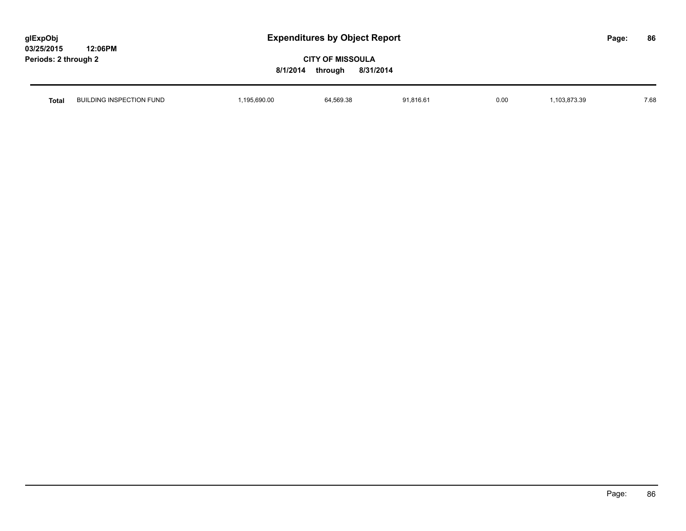| glExpObj             |         |
|----------------------|---------|
| 03/25/2015           | 12:06PM |
| Periods: 2 through 2 |         |

| Total | JILDING INSPECTION FUND<br>Βl | .195.690.00 | 64,569.38<br>the contract of the contract of the contract of the contract of the contract of the contract of the contract of | 1,816.6 | 0.00 | 103.873.39 | 7.68 |
|-------|-------------------------------|-------------|------------------------------------------------------------------------------------------------------------------------------|---------|------|------------|------|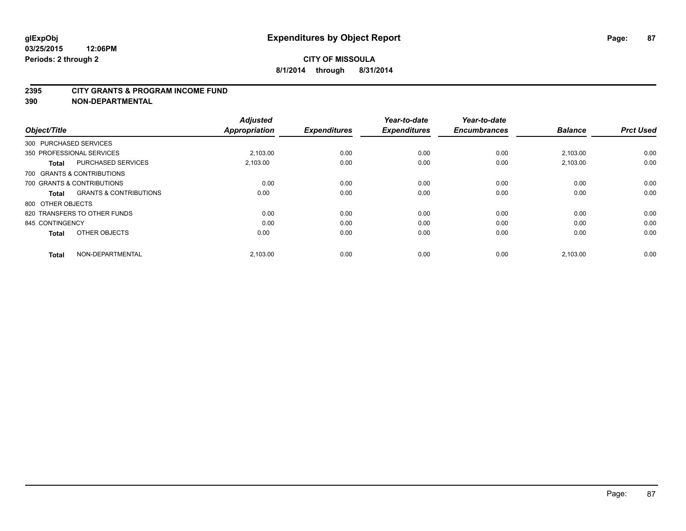#### **2395 CITY GRANTS & PROGRAM INCOME FUND**

**390 NON-DEPARTMENTAL**

| Object/Title           |                                   | <b>Adjusted</b><br><b>Appropriation</b> | <b>Expenditures</b> | Year-to-date<br><b>Expenditures</b> | Year-to-date<br><b>Encumbrances</b> | <b>Balance</b> | <b>Prct Used</b> |
|------------------------|-----------------------------------|-----------------------------------------|---------------------|-------------------------------------|-------------------------------------|----------------|------------------|
| 300 PURCHASED SERVICES |                                   |                                         |                     |                                     |                                     |                |                  |
|                        | 350 PROFESSIONAL SERVICES         | 2.103.00                                | 0.00                | 0.00                                | 0.00                                | 2,103.00       | 0.00             |
| <b>Total</b>           | <b>PURCHASED SERVICES</b>         | 2,103.00                                | 0.00                | 0.00                                | 0.00                                | 2,103.00       | 0.00             |
|                        | 700 GRANTS & CONTRIBUTIONS        |                                         |                     |                                     |                                     |                |                  |
|                        | 700 GRANTS & CONTRIBUTIONS        | 0.00                                    | 0.00                | 0.00                                | 0.00                                | 0.00           | 0.00             |
| <b>Total</b>           | <b>GRANTS &amp; CONTRIBUTIONS</b> | 0.00                                    | 0.00                | 0.00                                | 0.00                                | 0.00           | 0.00             |
| 800 OTHER OBJECTS      |                                   |                                         |                     |                                     |                                     |                |                  |
|                        | 820 TRANSFERS TO OTHER FUNDS      | 0.00                                    | 0.00                | 0.00                                | 0.00                                | 0.00           | 0.00             |
| 845 CONTINGENCY        |                                   | 0.00                                    | 0.00                | 0.00                                | 0.00                                | 0.00           | 0.00             |
| <b>Total</b>           | OTHER OBJECTS                     | 0.00                                    | 0.00                | 0.00                                | 0.00                                | 0.00           | 0.00             |
| <b>Total</b>           | NON-DEPARTMENTAL                  | 2,103.00                                | 0.00                | 0.00                                | 0.00                                | 2,103.00       | 0.00             |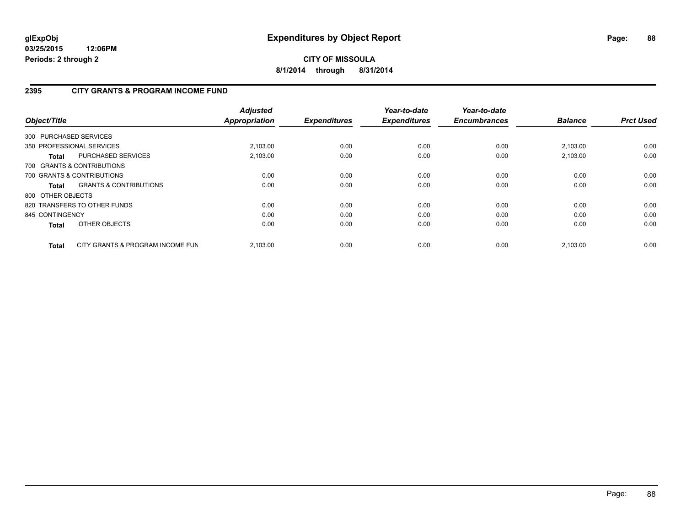# **2395 CITY GRANTS & PROGRAM INCOME FUND**

| Object/Title      |                                   | <b>Adjusted</b><br><b>Appropriation</b> | <b>Expenditures</b> | Year-to-date<br><b>Expenditures</b> | Year-to-date<br><b>Encumbrances</b> | <b>Balance</b> | <b>Prct Used</b> |
|-------------------|-----------------------------------|-----------------------------------------|---------------------|-------------------------------------|-------------------------------------|----------------|------------------|
|                   | 300 PURCHASED SERVICES            |                                         |                     |                                     |                                     |                |                  |
|                   | 350 PROFESSIONAL SERVICES         | 2,103.00                                | 0.00                | 0.00                                | 0.00                                | 2,103.00       | 0.00             |
| <b>Total</b>      | <b>PURCHASED SERVICES</b>         | 2,103.00                                | 0.00                | 0.00                                | 0.00                                | 2,103.00       | 0.00             |
|                   | 700 GRANTS & CONTRIBUTIONS        |                                         |                     |                                     |                                     |                |                  |
|                   | 700 GRANTS & CONTRIBUTIONS        | 0.00                                    | 0.00                | 0.00                                | 0.00                                | 0.00           | 0.00             |
| Total             | <b>GRANTS &amp; CONTRIBUTIONS</b> | 0.00                                    | 0.00                | 0.00                                | 0.00                                | 0.00           | 0.00             |
| 800 OTHER OBJECTS |                                   |                                         |                     |                                     |                                     |                |                  |
|                   | 820 TRANSFERS TO OTHER FUNDS      | 0.00                                    | 0.00                | 0.00                                | 0.00                                | 0.00           | 0.00             |
| 845 CONTINGENCY   |                                   | 0.00                                    | 0.00                | 0.00                                | 0.00                                | 0.00           | 0.00             |
| <b>Total</b>      | OTHER OBJECTS                     | 0.00                                    | 0.00                | 0.00                                | 0.00                                | 0.00           | 0.00             |
| <b>Total</b>      | CITY GRANTS & PROGRAM INCOME FUN  | 2.103.00                                | 0.00                | 0.00                                | 0.00                                | 2,103.00       | 0.00             |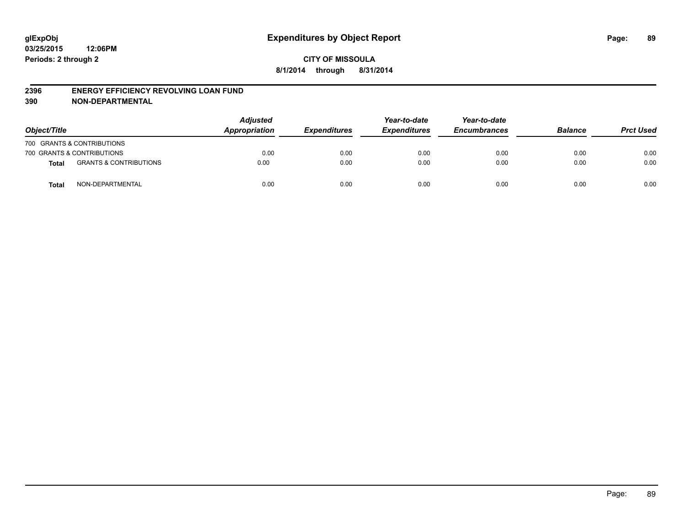#### **2396 ENERGY EFFICIENCY REVOLVING LOAN FUND**

**390 NON-DEPARTMENTAL**

| Object/Title |                                   | <b>Adjusted</b><br>Appropriation | <b>Expenditures</b> | Year-to-date<br><b>Expenditures</b> | Year-to-date<br><b>Encumbrances</b> | <b>Balance</b> | <b>Prct Used</b> |
|--------------|-----------------------------------|----------------------------------|---------------------|-------------------------------------|-------------------------------------|----------------|------------------|
|              | 700 GRANTS & CONTRIBUTIONS        |                                  |                     |                                     |                                     |                |                  |
|              | 700 GRANTS & CONTRIBUTIONS        | 0.00                             | 0.00                | 0.00                                | 0.00                                | 0.00           | 0.00             |
| <b>Total</b> | <b>GRANTS &amp; CONTRIBUTIONS</b> | 0.00                             | 0.00                | 0.00                                | 0.00                                | 0.00           | 0.00             |
| <b>Total</b> | NON-DEPARTMENTAL                  | 0.00                             | 0.00                | 0.00                                | 0.00                                | 0.00           | 0.00             |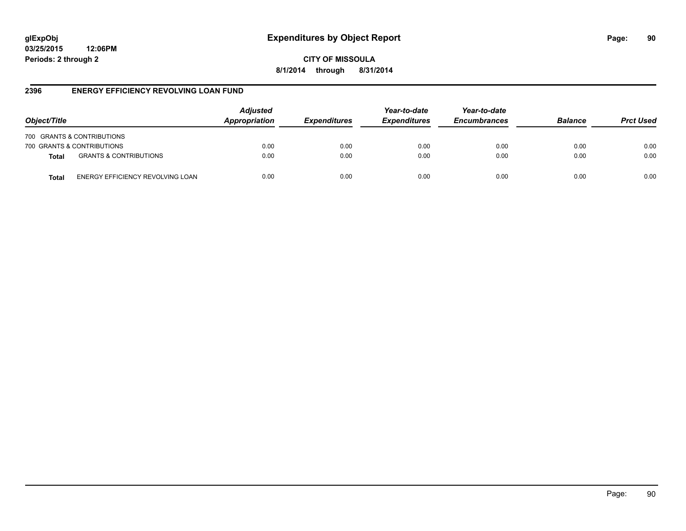# **glExpObj Expenditures by Object Report Page: 90**

**03/25/2015 12:06PM Periods: 2 through 2**

**CITY OF MISSOULA 8/1/2014 through 8/31/2014**

## **2396 ENERGY EFFICIENCY REVOLVING LOAN FUND**

| Object/Title                                      | <b>Adjusted</b><br>Appropriation | <b>Expenditures</b> | Year-to-date<br><b>Expenditures</b> | Year-to-date<br><b>Encumbrances</b> | <b>Balance</b> | <b>Prct Used</b> |
|---------------------------------------------------|----------------------------------|---------------------|-------------------------------------|-------------------------------------|----------------|------------------|
| 700 GRANTS & CONTRIBUTIONS                        |                                  |                     |                                     |                                     |                |                  |
| 700 GRANTS & CONTRIBUTIONS                        | 0.00                             | 0.00                | 0.00                                | 0.00                                | 0.00           | 0.00             |
| <b>GRANTS &amp; CONTRIBUTIONS</b><br><b>Total</b> | 0.00                             | 0.00                | 0.00                                | 0.00                                | 0.00           | 0.00             |
| ENERGY EFFICIENCY REVOLVING LOAN<br>Total         | 0.00                             | 0.00                | 0.00                                | 0.00                                | 0.00           | 0.00             |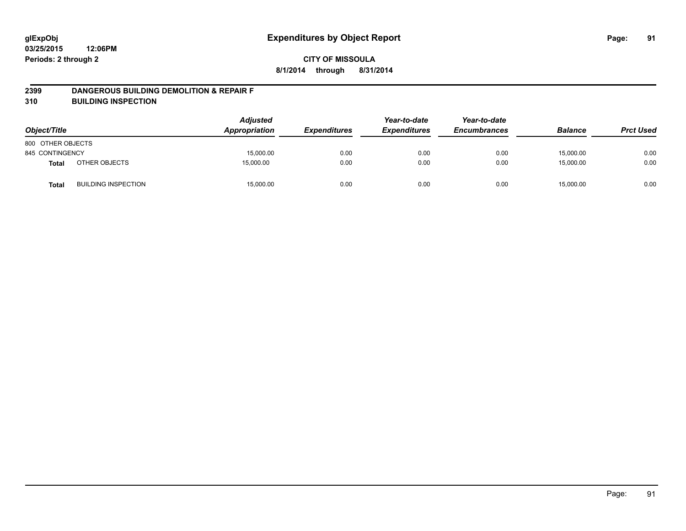### **2399 DANGEROUS BUILDING DEMOLITION & REPAIR F**

**310 BUILDING INSPECTION**

| Object/Title      |                            | <b>Adjusted</b><br>Appropriation | <b>Expenditures</b> | Year-to-date<br><b>Expenditures</b> | Year-to-date<br><b>Encumbrances</b> | <b>Balance</b> | <b>Prct Used</b> |
|-------------------|----------------------------|----------------------------------|---------------------|-------------------------------------|-------------------------------------|----------------|------------------|
| 800 OTHER OBJECTS |                            |                                  |                     |                                     |                                     |                |                  |
| 845 CONTINGENCY   |                            | 15,000.00                        | 0.00                | 0.00                                | 0.00                                | 15,000.00      | 0.00             |
| <b>Total</b>      | OTHER OBJECTS              | 15.000.00                        | 0.00                | 0.00                                | 0.00                                | 15,000.00      | 0.00             |
| <b>Total</b>      | <b>BUILDING INSPECTION</b> | 15,000.00                        | 0.00                | 0.00                                | 0.00                                | 15,000.00      | 0.00             |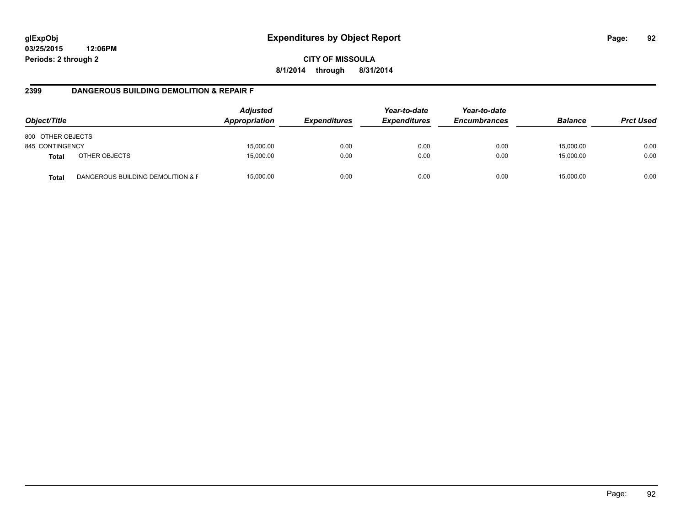**CITY OF MISSOULA 8/1/2014 through 8/31/2014**

## **2399 DANGEROUS BUILDING DEMOLITION & REPAIR F**

| Object/Title      |                                   | <b>Adjusted</b><br>Appropriation | <i><b>Expenditures</b></i> | Year-to-date<br><b>Expenditures</b> | Year-to-date<br><b>Encumbrances</b> | <b>Balance</b> | <b>Prct Used</b> |
|-------------------|-----------------------------------|----------------------------------|----------------------------|-------------------------------------|-------------------------------------|----------------|------------------|
| 800 OTHER OBJECTS |                                   |                                  |                            |                                     |                                     |                |                  |
| 845 CONTINGENCY   |                                   | 15,000.00                        | 0.00                       | 0.00                                | 0.00                                | 15,000.00      | 0.00             |
| <b>Total</b>      | OTHER OBJECTS                     | 15,000.00                        | 0.00                       | 0.00                                | 0.00                                | 15,000.00      | 0.00             |
| <b>Total</b>      | DANGEROUS BUILDING DEMOLITION & F | 15,000.00                        | 0.00                       | 0.00                                | 0.00                                | 15.000.00      | 0.00             |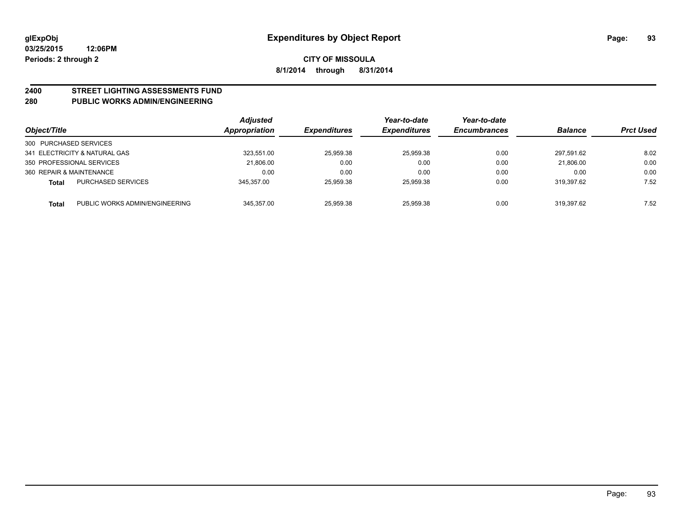# **2400 STREET LIGHTING ASSESSMENTS FUND**

### **280 PUBLIC WORKS ADMIN/ENGINEERING**

| Object/Title           |                                | <b>Adjusted</b><br><b>Appropriation</b> | <i><b>Expenditures</b></i> | Year-to-date<br><b>Expenditures</b> | Year-to-date<br><b>Encumbrances</b> | <b>Balance</b> | <b>Prct Used</b> |
|------------------------|--------------------------------|-----------------------------------------|----------------------------|-------------------------------------|-------------------------------------|----------------|------------------|
| 300 PURCHASED SERVICES |                                |                                         |                            |                                     |                                     |                |                  |
|                        | 341 ELECTRICITY & NATURAL GAS  | 323,551.00                              | 25,959.38                  | 25.959.38                           | 0.00                                | 297.591.62     | 8.02             |
|                        | 350 PROFESSIONAL SERVICES      | 21.806.00                               | 0.00                       | 0.00                                | 0.00                                | 21.806.00      | 0.00             |
|                        | 360 REPAIR & MAINTENANCE       | 0.00                                    | 0.00                       | 0.00                                | 0.00                                | 0.00           | 0.00             |
| Total                  | <b>PURCHASED SERVICES</b>      | 345.357.00                              | 25,959.38                  | 25.959.38                           | 0.00                                | 319.397.62     | 7.52             |
| <b>Total</b>           | PUBLIC WORKS ADMIN/ENGINEERING | 345.357.00                              | 25,959.38                  | 25.959.38                           | 0.00                                | 319.397.62     | 7.52             |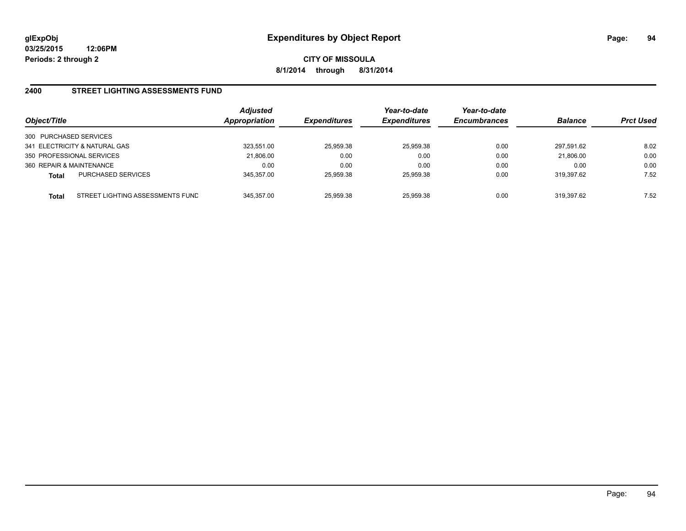## **2400 STREET LIGHTING ASSESSMENTS FUND**

| Object/Title                                     | <b>Adjusted</b><br>Appropriation | <b>Expenditures</b> | Year-to-date<br><b>Expenditures</b> | Year-to-date<br><b>Encumbrances</b> | <b>Balance</b> | <b>Prct Used</b> |
|--------------------------------------------------|----------------------------------|---------------------|-------------------------------------|-------------------------------------|----------------|------------------|
| 300 PURCHASED SERVICES                           |                                  |                     |                                     |                                     |                |                  |
| 341 ELECTRICITY & NATURAL GAS                    | 323.551.00                       | 25,959.38           | 25.959.38                           | 0.00                                | 297.591.62     | 8.02             |
| 350 PROFESSIONAL SERVICES                        | 21,806.00                        | 0.00                | 0.00                                | 0.00                                | 21,806.00      | 0.00             |
| 360 REPAIR & MAINTENANCE                         | 0.00                             | 0.00                | 0.00                                | 0.00                                | 0.00           | 0.00             |
| <b>PURCHASED SERVICES</b><br><b>Total</b>        | 345.357.00                       | 25.959.38           | 25.959.38                           | 0.00                                | 319.397.62     | 7.52             |
| STREET LIGHTING ASSESSMENTS FUND<br><b>Total</b> | 345.357.00                       | 25.959.38           | 25.959.38                           | 0.00                                | 319.397.62     | 7.52             |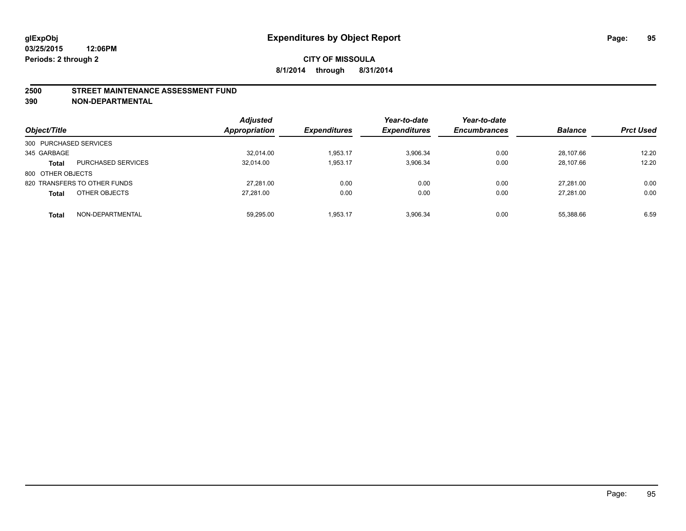#### **2500 STREET MAINTENANCE ASSESSMENT FUND**

**390 NON-DEPARTMENTAL**

| Object/Title           |                              | <b>Adjusted</b><br><b>Appropriation</b> | <i><b>Expenditures</b></i> | Year-to-date<br><b>Expenditures</b> | Year-to-date<br><b>Encumbrances</b> | <b>Balance</b> | <b>Prct Used</b> |
|------------------------|------------------------------|-----------------------------------------|----------------------------|-------------------------------------|-------------------------------------|----------------|------------------|
| 300 PURCHASED SERVICES |                              |                                         |                            |                                     |                                     |                |                  |
| 345 GARBAGE            |                              | 32,014.00                               | 1.953.17                   | 3.906.34                            | 0.00                                | 28.107.66      | 12.20            |
| <b>Total</b>           | <b>PURCHASED SERVICES</b>    | 32.014.00                               | 1.953.17                   | 3.906.34                            | 0.00                                | 28.107.66      | 12.20            |
| 800 OTHER OBJECTS      |                              |                                         |                            |                                     |                                     |                |                  |
|                        | 820 TRANSFERS TO OTHER FUNDS | 27.281.00                               | 0.00                       | 0.00                                | 0.00                                | 27.281.00      | 0.00             |
| <b>Total</b>           | OTHER OBJECTS                | 27.281.00                               | 0.00                       | 0.00                                | 0.00                                | 27.281.00      | 0.00             |
| <b>Total</b>           | NON-DEPARTMENTAL             | 59.295.00                               | 1.953.17                   | 3.906.34                            | 0.00                                | 55.388.66      | 6.59             |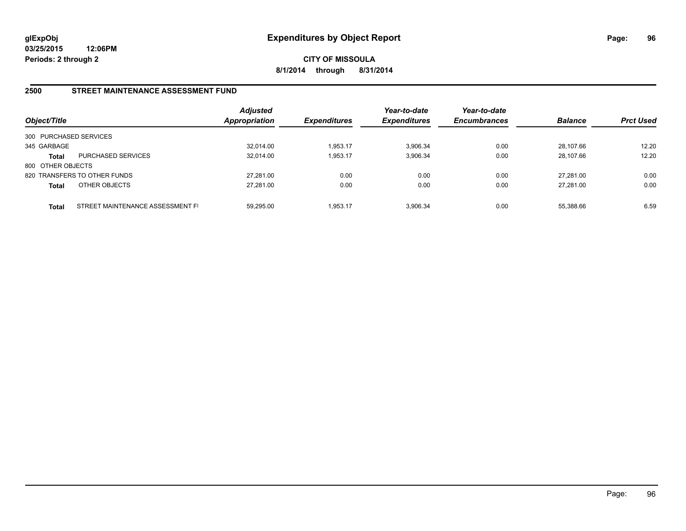**CITY OF MISSOULA 8/1/2014 through 8/31/2014**

## **2500 STREET MAINTENANCE ASSESSMENT FUND**

| Object/Title           |                                  | <b>Adjusted</b><br><b>Appropriation</b> | <b>Expenditures</b> | Year-to-date<br><b>Expenditures</b> | Year-to-date<br><b>Encumbrances</b> | <b>Balance</b> | <b>Prct Used</b> |
|------------------------|----------------------------------|-----------------------------------------|---------------------|-------------------------------------|-------------------------------------|----------------|------------------|
| 300 PURCHASED SERVICES |                                  |                                         |                     |                                     |                                     |                |                  |
| 345 GARBAGE            |                                  | 32.014.00                               | 1.953.17            | 3.906.34                            | 0.00                                | 28.107.66      | 12.20            |
| Total                  | <b>PURCHASED SERVICES</b>        | 32.014.00                               | 1,953.17            | 3.906.34                            | 0.00                                | 28.107.66      | 12.20            |
| 800 OTHER OBJECTS      |                                  |                                         |                     |                                     |                                     |                |                  |
|                        | 820 TRANSFERS TO OTHER FUNDS     | 27.281.00                               | 0.00                | 0.00                                | 0.00                                | 27.281.00      | 0.00             |
| <b>Total</b>           | OTHER OBJECTS                    | 27,281.00                               | 0.00                | 0.00                                | 0.00                                | 27.281.00      | 0.00             |
|                        |                                  |                                         |                     |                                     |                                     |                |                  |
| <b>Total</b>           | STREET MAINTENANCE ASSESSMENT FI | 59.295.00                               | 1.953.17            | 3.906.34                            | 0.00                                | 55.388.66      | 6.59             |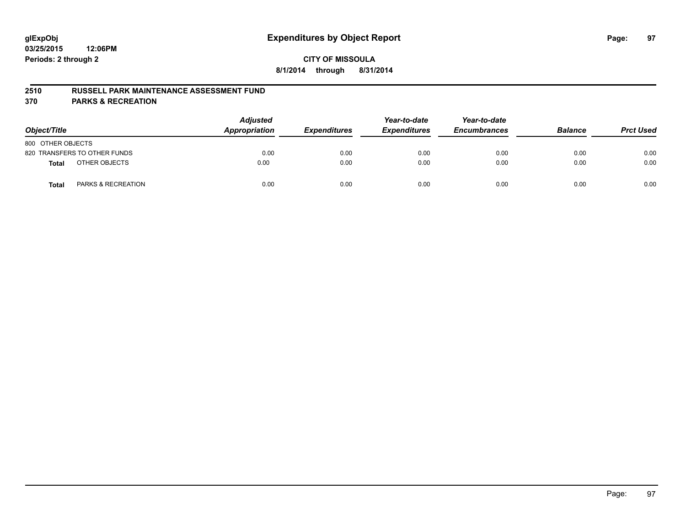### **2510 RUSSELL PARK MAINTENANCE ASSESSMENT FUND**

**370 PARKS & RECREATION**

| Object/Title      |                               | <b>Adjusted</b><br>Appropriation | <b>Expenditures</b> | Year-to-date<br><b>Expenditures</b> | Year-to-date<br><b>Encumbrances</b> | <b>Balance</b> | <b>Prct Used</b> |
|-------------------|-------------------------------|----------------------------------|---------------------|-------------------------------------|-------------------------------------|----------------|------------------|
| 800 OTHER OBJECTS |                               |                                  |                     |                                     |                                     |                |                  |
|                   | 820 TRANSFERS TO OTHER FUNDS  | 0.00                             | 0.00                | 0.00                                | 0.00                                | 0.00           | 0.00             |
| <b>Total</b>      | OTHER OBJECTS                 | 0.00                             | 0.00                | 0.00                                | 0.00                                | 0.00           | 0.00             |
| <b>Total</b>      | <b>PARKS &amp; RECREATION</b> | 0.00                             | 0.00                | 0.00                                | 0.00                                | 0.00           | 0.00             |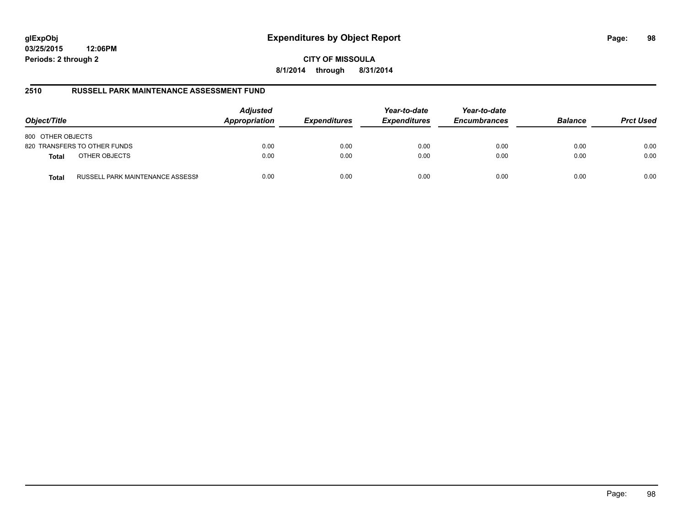# **glExpObj Expenditures by Object Report Page: 98**

**03/25/2015 12:06PM Periods: 2 through 2**

**CITY OF MISSOULA 8/1/2014 through 8/31/2014**

## **2510 RUSSELL PARK MAINTENANCE ASSESSMENT FUND**

| Object/Title                                     | <b>Adjusted</b><br>Appropriation | <b>Expenditures</b> | Year-to-date<br><b>Expenditures</b> | Year-to-date<br><b>Encumbrances</b> | <b>Balance</b> | <b>Prct Used</b> |
|--------------------------------------------------|----------------------------------|---------------------|-------------------------------------|-------------------------------------|----------------|------------------|
| 800 OTHER OBJECTS                                |                                  |                     |                                     |                                     |                |                  |
| 820 TRANSFERS TO OTHER FUNDS                     | 0.00                             | 0.00                | 0.00                                | 0.00                                | 0.00           | 0.00             |
| OTHER OBJECTS<br><b>Total</b>                    | 0.00                             | 0.00                | 0.00                                | 0.00                                | 0.00           | 0.00             |
| RUSSELL PARK MAINTENANCE ASSESSN<br><b>Total</b> | 0.00                             | 0.00                | 0.00                                | 0.00                                | 0.00           | 0.00             |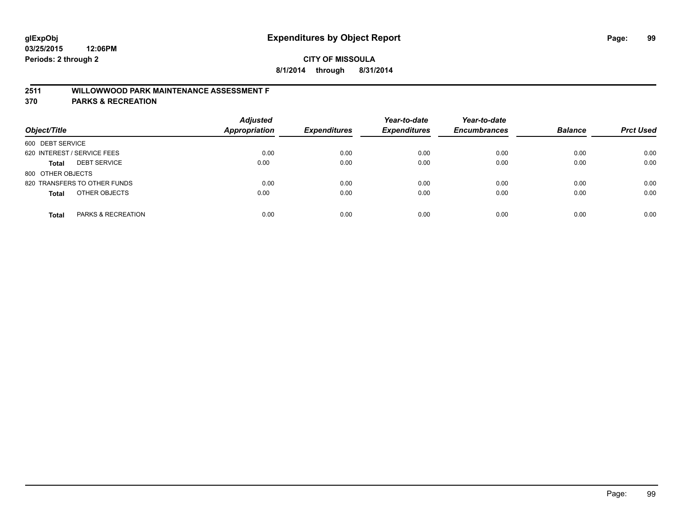# **2511 WILLOWWOOD PARK MAINTENANCE ASSESSMENT F**

**370 PARKS & RECREATION**

| Object/Title                        | <b>Adjusted</b><br>Appropriation | <b>Expenditures</b> | Year-to-date<br><b>Expenditures</b> | Year-to-date<br><b>Encumbrances</b> | <b>Balance</b> | <b>Prct Used</b> |
|-------------------------------------|----------------------------------|---------------------|-------------------------------------|-------------------------------------|----------------|------------------|
| 600 DEBT SERVICE                    |                                  |                     |                                     |                                     |                |                  |
| 620 INTEREST / SERVICE FEES         | 0.00                             | 0.00                | 0.00                                | 0.00                                | 0.00           | 0.00             |
| <b>DEBT SERVICE</b><br><b>Total</b> | 0.00                             | 0.00                | 0.00                                | 0.00                                | 0.00           | 0.00             |
| 800 OTHER OBJECTS                   |                                  |                     |                                     |                                     |                |                  |
| 820 TRANSFERS TO OTHER FUNDS        | 0.00                             | 0.00                | 0.00                                | 0.00                                | 0.00           | 0.00             |
| OTHER OBJECTS<br><b>Total</b>       | 0.00                             | 0.00                | 0.00                                | 0.00                                | 0.00           | 0.00             |
| PARKS & RECREATION<br><b>Total</b>  | 0.00                             | 0.00                | 0.00                                | 0.00                                | 0.00           | 0.00             |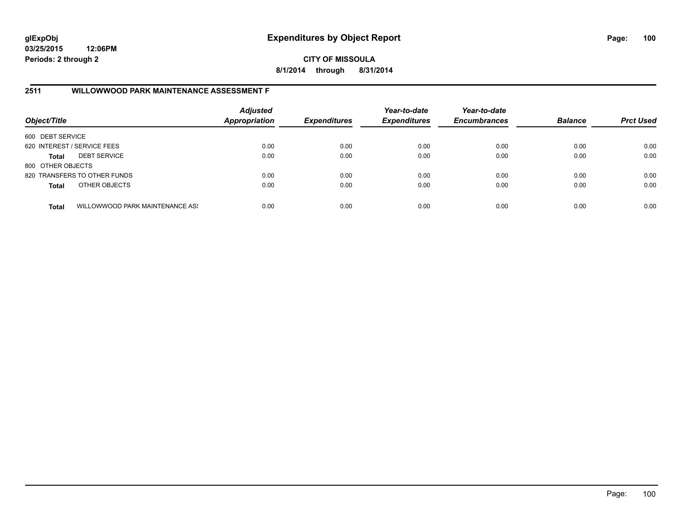**CITY OF MISSOULA 8/1/2014 through 8/31/2014**

# **2511 WILLOWWOOD PARK MAINTENANCE ASSESSMENT F**

| Object/Title                |                                 | <b>Adjusted</b><br><b>Appropriation</b> | <b>Expenditures</b> | Year-to-date<br><b>Expenditures</b> | Year-to-date<br><b>Encumbrances</b> | <b>Balance</b> | <b>Prct Used</b> |
|-----------------------------|---------------------------------|-----------------------------------------|---------------------|-------------------------------------|-------------------------------------|----------------|------------------|
| 600 DEBT SERVICE            |                                 |                                         |                     |                                     |                                     |                |                  |
| 620 INTEREST / SERVICE FEES |                                 | 0.00                                    | 0.00                | 0.00                                | 0.00                                | 0.00           | 0.00             |
| <b>Total</b>                | <b>DEBT SERVICE</b>             | 0.00                                    | 0.00                | 0.00                                | 0.00                                | 0.00           | 0.00             |
| 800 OTHER OBJECTS           |                                 |                                         |                     |                                     |                                     |                |                  |
|                             | 820 TRANSFERS TO OTHER FUNDS    | 0.00                                    | 0.00                | 0.00                                | 0.00                                | 0.00           | 0.00             |
| <b>Total</b>                | OTHER OBJECTS                   | 0.00                                    | 0.00                | 0.00                                | 0.00                                | 0.00           | 0.00             |
| <b>Total</b>                | WILLOWWOOD PARK MAINTENANCE ASS | 0.00                                    | 0.00                | 0.00                                | 0.00                                | 0.00           | 0.00             |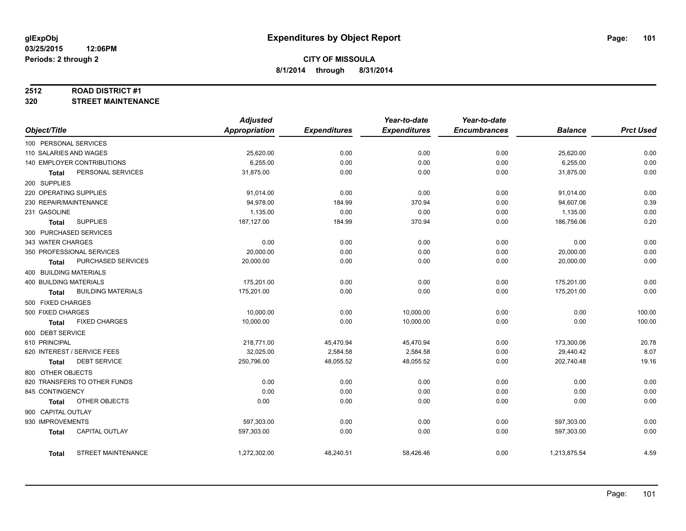#### **2512 ROAD DISTRICT #1**

**320 STREET MAINTENANCE**

|                                           | <b>Adjusted</b> |                     | Year-to-date        | Year-to-date        |                |                  |
|-------------------------------------------|-----------------|---------------------|---------------------|---------------------|----------------|------------------|
| Object/Title                              | Appropriation   | <b>Expenditures</b> | <b>Expenditures</b> | <b>Encumbrances</b> | <b>Balance</b> | <b>Prct Used</b> |
| 100 PERSONAL SERVICES                     |                 |                     |                     |                     |                |                  |
| 110 SALARIES AND WAGES                    | 25,620.00       | 0.00                | 0.00                | 0.00                | 25,620.00      | 0.00             |
| 140 EMPLOYER CONTRIBUTIONS                | 6,255.00        | 0.00                | 0.00                | 0.00                | 6,255.00       | 0.00             |
| PERSONAL SERVICES<br>Total                | 31,875.00       | 0.00                | 0.00                | 0.00                | 31,875.00      | 0.00             |
| 200 SUPPLIES                              |                 |                     |                     |                     |                |                  |
| 220 OPERATING SUPPLIES                    | 91,014.00       | 0.00                | 0.00                | 0.00                | 91,014.00      | 0.00             |
| 230 REPAIR/MAINTENANCE                    | 94,978.00       | 184.99              | 370.94              | 0.00                | 94,607.06      | 0.39             |
| 231 GASOLINE                              | 1,135.00        | 0.00                | 0.00                | 0.00                | 1,135.00       | 0.00             |
| <b>SUPPLIES</b><br><b>Total</b>           | 187,127.00      | 184.99              | 370.94              | 0.00                | 186,756.06     | 0.20             |
| 300 PURCHASED SERVICES                    |                 |                     |                     |                     |                |                  |
| 343 WATER CHARGES                         | 0.00            | 0.00                | 0.00                | 0.00                | 0.00           | 0.00             |
| 350 PROFESSIONAL SERVICES                 | 20,000.00       | 0.00                | 0.00                | 0.00                | 20,000.00      | 0.00             |
| PURCHASED SERVICES<br>Total               | 20,000.00       | 0.00                | 0.00                | 0.00                | 20,000.00      | 0.00             |
| 400 BUILDING MATERIALS                    |                 |                     |                     |                     |                |                  |
| <b>400 BUILDING MATERIALS</b>             | 175,201.00      | 0.00                | 0.00                | 0.00                | 175,201.00     | 0.00             |
| <b>BUILDING MATERIALS</b><br><b>Total</b> | 175,201.00      | 0.00                | 0.00                | 0.00                | 175,201.00     | 0.00             |
| 500 FIXED CHARGES                         |                 |                     |                     |                     |                |                  |
| 500 FIXED CHARGES                         | 10,000.00       | 0.00                | 10,000.00           | 0.00                | 0.00           | 100.00           |
| <b>FIXED CHARGES</b><br><b>Total</b>      | 10,000.00       | 0.00                | 10,000.00           | 0.00                | 0.00           | 100.00           |
| 600 DEBT SERVICE                          |                 |                     |                     |                     |                |                  |
| 610 PRINCIPAL                             | 218,771.00      | 45,470.94           | 45,470.94           | 0.00                | 173,300.06     | 20.78            |
| 620 INTEREST / SERVICE FEES               | 32,025.00       | 2,584.58            | 2,584.58            | 0.00                | 29,440.42      | 8.07             |
| <b>DEBT SERVICE</b><br>Total              | 250,796.00      | 48,055.52           | 48,055.52           | 0.00                | 202,740.48     | 19.16            |
| 800 OTHER OBJECTS                         |                 |                     |                     |                     |                |                  |
| 820 TRANSFERS TO OTHER FUNDS              | 0.00            | 0.00                | 0.00                | 0.00                | 0.00           | 0.00             |
| 845 CONTINGENCY                           | 0.00            | 0.00                | 0.00                | 0.00                | 0.00           | 0.00             |
| OTHER OBJECTS<br>Total                    | 0.00            | 0.00                | 0.00                | 0.00                | 0.00           | 0.00             |
| 900 CAPITAL OUTLAY                        |                 |                     |                     |                     |                |                  |
|                                           |                 |                     |                     |                     |                |                  |
| 930 IMPROVEMENTS                          | 597,303.00      | 0.00                | 0.00                | 0.00                | 597,303.00     | 0.00             |
| <b>CAPITAL OUTLAY</b><br><b>Total</b>     | 597,303.00      | 0.00                | 0.00                | 0.00                | 597,303.00     | 0.00             |
| <b>STREET MAINTENANCE</b><br>Total        | 1,272,302.00    | 48,240.51           | 58,426.46           | 0.00                | 1,213,875.54   | 4.59             |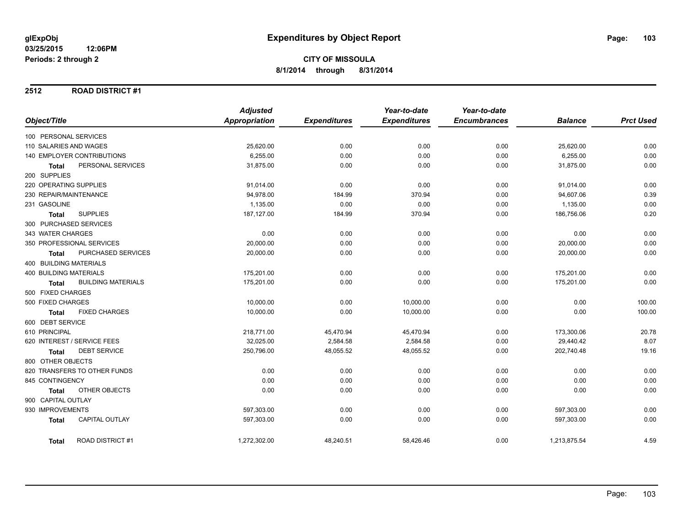### **2512 ROAD DISTRICT #1**

|                                           | <b>Adjusted</b>      |                     | Year-to-date        | Year-to-date        |                |                  |
|-------------------------------------------|----------------------|---------------------|---------------------|---------------------|----------------|------------------|
| Object/Title                              | <b>Appropriation</b> | <b>Expenditures</b> | <b>Expenditures</b> | <b>Encumbrances</b> | <b>Balance</b> | <b>Prct Used</b> |
| 100 PERSONAL SERVICES                     |                      |                     |                     |                     |                |                  |
| 110 SALARIES AND WAGES                    | 25,620.00            | 0.00                | 0.00                | 0.00                | 25,620.00      | 0.00             |
| 140 EMPLOYER CONTRIBUTIONS                | 6,255.00             | 0.00                | 0.00                | 0.00                | 6,255.00       | 0.00             |
| PERSONAL SERVICES<br><b>Total</b>         | 31,875.00            | 0.00                | 0.00                | 0.00                | 31,875.00      | 0.00             |
| 200 SUPPLIES                              |                      |                     |                     |                     |                |                  |
| 220 OPERATING SUPPLIES                    | 91,014.00            | 0.00                | 0.00                | 0.00                | 91,014.00      | 0.00             |
| 230 REPAIR/MAINTENANCE                    | 94,978.00            | 184.99              | 370.94              | 0.00                | 94,607.06      | 0.39             |
| 231 GASOLINE                              | 1,135.00             | 0.00                | 0.00                | 0.00                | 1,135.00       | 0.00             |
| <b>SUPPLIES</b><br>Total                  | 187,127.00           | 184.99              | 370.94              | 0.00                | 186,756.06     | 0.20             |
| 300 PURCHASED SERVICES                    |                      |                     |                     |                     |                |                  |
| 343 WATER CHARGES                         | 0.00                 | 0.00                | 0.00                | 0.00                | 0.00           | 0.00             |
| 350 PROFESSIONAL SERVICES                 | 20,000.00            | 0.00                | 0.00                | 0.00                | 20,000.00      | 0.00             |
| PURCHASED SERVICES<br><b>Total</b>        | 20,000.00            | 0.00                | 0.00                | 0.00                | 20,000.00      | 0.00             |
| 400 BUILDING MATERIALS                    |                      |                     |                     |                     |                |                  |
| <b>400 BUILDING MATERIALS</b>             | 175,201.00           | 0.00                | 0.00                | 0.00                | 175,201.00     | 0.00             |
| <b>BUILDING MATERIALS</b><br><b>Total</b> | 175,201.00           | 0.00                | 0.00                | 0.00                | 175,201.00     | 0.00             |
| 500 FIXED CHARGES                         |                      |                     |                     |                     |                |                  |
| 500 FIXED CHARGES                         | 10,000.00            | 0.00                | 10,000.00           | 0.00                | 0.00           | 100.00           |
| <b>FIXED CHARGES</b><br><b>Total</b>      | 10,000.00            | 0.00                | 10,000.00           | 0.00                | 0.00           | 100.00           |
| 600 DEBT SERVICE                          |                      |                     |                     |                     |                |                  |
| 610 PRINCIPAL                             | 218,771.00           | 45,470.94           | 45,470.94           | 0.00                | 173,300.06     | 20.78            |
| 620 INTEREST / SERVICE FEES               | 32,025.00            | 2,584.58            | 2,584.58            | 0.00                | 29,440.42      | 8.07             |
| <b>DEBT SERVICE</b><br>Total              | 250,796.00           | 48,055.52           | 48,055.52           | 0.00                | 202,740.48     | 19.16            |
| 800 OTHER OBJECTS                         |                      |                     |                     |                     |                |                  |
| 820 TRANSFERS TO OTHER FUNDS              | 0.00                 | 0.00                | 0.00                | 0.00                | 0.00           | 0.00             |
| 845 CONTINGENCY                           | 0.00                 | 0.00                | 0.00                | 0.00                | 0.00           | 0.00             |
| OTHER OBJECTS<br>Total                    | 0.00                 | 0.00                | 0.00                | 0.00                | 0.00           | 0.00             |
| 900 CAPITAL OUTLAY                        |                      |                     |                     |                     |                |                  |
| 930 IMPROVEMENTS                          | 597,303.00           | 0.00                | 0.00                | 0.00                | 597,303.00     | 0.00             |
| <b>CAPITAL OUTLAY</b><br><b>Total</b>     | 597,303.00           | 0.00                | 0.00                | 0.00                | 597,303.00     | 0.00             |
| <b>ROAD DISTRICT#1</b><br><b>Total</b>    | 1,272,302.00         | 48,240.51           | 58,426.46           | 0.00                | 1,213,875.54   | 4.59             |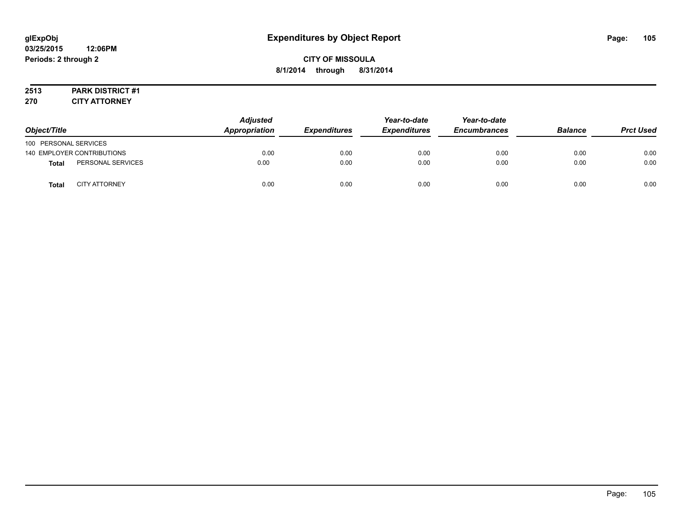# **2513 PARK DISTRICT #1**

**270 CITY ATTORNEY**

| Object/Title          |                            | <b>Adjusted</b><br><b>Appropriation</b> | <b>Expenditures</b> | Year-to-date<br><i><b>Expenditures</b></i> | Year-to-date<br><b>Encumbrances</b> | <b>Balance</b> | <b>Prct Used</b> |
|-----------------------|----------------------------|-----------------------------------------|---------------------|--------------------------------------------|-------------------------------------|----------------|------------------|
| 100 PERSONAL SERVICES |                            |                                         |                     |                                            |                                     |                |                  |
|                       | 140 EMPLOYER CONTRIBUTIONS | 0.00                                    | 0.00                | 0.00                                       | 0.00                                | 0.00           | 0.00             |
| <b>Total</b>          | PERSONAL SERVICES          | 0.00                                    | 0.00                | 0.00                                       | 0.00                                | 0.00           | 0.00             |
| <b>Total</b>          | <b>CITY ATTORNEY</b>       | 0.00                                    | 0.00                | 0.00                                       | 0.00                                | 0.00           | 0.00             |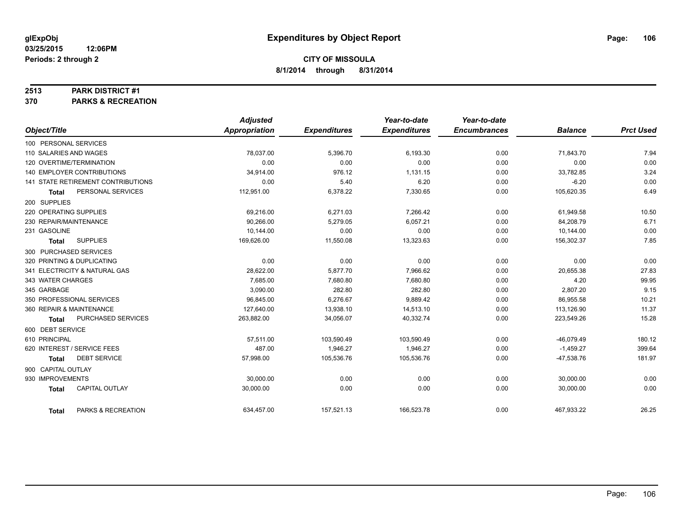#### **2513 PARK DISTRICT #1**

**370 PARKS & RECREATION**

|                                    |                           | <b>Adjusted</b> |                     | Year-to-date        | Year-to-date        |                |                  |
|------------------------------------|---------------------------|-----------------|---------------------|---------------------|---------------------|----------------|------------------|
| Object/Title                       |                           | Appropriation   | <b>Expenditures</b> | <b>Expenditures</b> | <b>Encumbrances</b> | <b>Balance</b> | <b>Prct Used</b> |
| 100 PERSONAL SERVICES              |                           |                 |                     |                     |                     |                |                  |
| 110 SALARIES AND WAGES             |                           | 78.037.00       | 5,396.70            | 6,193.30            | 0.00                | 71,843.70      | 7.94             |
| 120 OVERTIME/TERMINATION           |                           | 0.00            | 0.00                | 0.00                | 0.00                | 0.00           | 0.00             |
| <b>140 EMPLOYER CONTRIBUTIONS</b>  |                           | 34,914.00       | 976.12              | 1,131.15            | 0.00                | 33,782.85      | 3.24             |
| 141 STATE RETIREMENT CONTRIBUTIONS |                           | 0.00            | 5.40                | 6.20                | 0.00                | $-6.20$        | 0.00             |
| <b>Total</b>                       | PERSONAL SERVICES         | 112,951.00      | 6,378.22            | 7,330.65            | 0.00                | 105,620.35     | 6.49             |
| 200 SUPPLIES                       |                           |                 |                     |                     |                     |                |                  |
| 220 OPERATING SUPPLIES             |                           | 69,216.00       | 6,271.03            | 7,266.42            | 0.00                | 61,949.58      | 10.50            |
| 230 REPAIR/MAINTENANCE             |                           | 90.266.00       | 5,279.05            | 6,057.21            | 0.00                | 84,208.79      | 6.71             |
| 231 GASOLINE                       |                           | 10,144.00       | 0.00                | 0.00                | 0.00                | 10,144.00      | 0.00             |
| <b>SUPPLIES</b><br><b>Total</b>    |                           | 169,626.00      | 11,550.08           | 13,323.63           | 0.00                | 156,302.37     | 7.85             |
| 300 PURCHASED SERVICES             |                           |                 |                     |                     |                     |                |                  |
| 320 PRINTING & DUPLICATING         |                           | 0.00            | 0.00                | 0.00                | 0.00                | 0.00           | 0.00             |
| 341 ELECTRICITY & NATURAL GAS      |                           | 28,622.00       | 5,877.70            | 7,966.62            | 0.00                | 20,655.38      | 27.83            |
| 343 WATER CHARGES                  |                           | 7,685.00        | 7,680.80            | 7,680.80            | 0.00                | 4.20           | 99.95            |
| 345 GARBAGE                        |                           | 3,090.00        | 282.80              | 282.80              | 0.00                | 2,807.20       | 9.15             |
| 350 PROFESSIONAL SERVICES          |                           | 96.845.00       | 6,276.67            | 9,889.42            | 0.00                | 86,955.58      | 10.21            |
| 360 REPAIR & MAINTENANCE           |                           | 127,640.00      | 13,938.10           | 14,513.10           | 0.00                | 113,126.90     | 11.37            |
| <b>Total</b>                       | <b>PURCHASED SERVICES</b> | 263,882.00      | 34,056.07           | 40,332.74           | 0.00                | 223,549.26     | 15.28            |
| 600 DEBT SERVICE                   |                           |                 |                     |                     |                     |                |                  |
| 610 PRINCIPAL                      |                           | 57,511.00       | 103,590.49          | 103,590.49          | 0.00                | $-46,079.49$   | 180.12           |
| 620 INTEREST / SERVICE FEES        |                           | 487.00          | 1,946.27            | 1,946.27            | 0.00                | $-1,459.27$    | 399.64           |
| <b>Total</b>                       | <b>DEBT SERVICE</b>       | 57.998.00       | 105,536.76          | 105,536.76          | 0.00                | $-47,538.76$   | 181.97           |
| 900 CAPITAL OUTLAY                 |                           |                 |                     |                     |                     |                |                  |
| 930 IMPROVEMENTS                   |                           | 30,000.00       | 0.00                | 0.00                | 0.00                | 30,000.00      | 0.00             |
| <b>Total</b>                       | <b>CAPITAL OUTLAY</b>     | 30,000.00       | 0.00                | 0.00                | 0.00                | 30,000.00      | 0.00             |
| <b>Total</b>                       | PARKS & RECREATION        | 634,457.00      | 157,521.13          | 166,523.78          | 0.00                | 467,933.22     | 26.25            |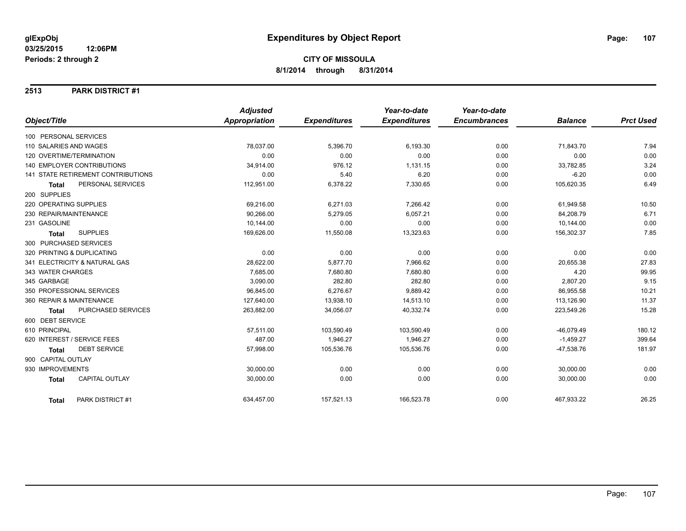#### **2513 PARK DISTRICT #1**

|                                       | <b>Adjusted</b>      |                     | Year-to-date        | Year-to-date        |                |                  |
|---------------------------------------|----------------------|---------------------|---------------------|---------------------|----------------|------------------|
| Object/Title                          | <b>Appropriation</b> | <b>Expenditures</b> | <b>Expenditures</b> | <b>Encumbrances</b> | <b>Balance</b> | <b>Prct Used</b> |
| 100 PERSONAL SERVICES                 |                      |                     |                     |                     |                |                  |
| 110 SALARIES AND WAGES                | 78,037.00            | 5,396.70            | 6,193.30            | 0.00                | 71,843.70      | 7.94             |
| 120 OVERTIME/TERMINATION              | 0.00                 | 0.00                | 0.00                | 0.00                | 0.00           | 0.00             |
| 140 EMPLOYER CONTRIBUTIONS            | 34,914.00            | 976.12              | 1,131.15            | 0.00                | 33,782.85      | 3.24             |
| 141 STATE RETIREMENT CONTRIBUTIONS    | 0.00                 | 5.40                | 6.20                | 0.00                | $-6.20$        | 0.00             |
| PERSONAL SERVICES<br><b>Total</b>     | 112,951.00           | 6,378.22            | 7,330.65            | 0.00                | 105,620.35     | 6.49             |
| 200 SUPPLIES                          |                      |                     |                     |                     |                |                  |
| 220 OPERATING SUPPLIES                | 69,216.00            | 6,271.03            | 7,266.42            | 0.00                | 61,949.58      | 10.50            |
| 230 REPAIR/MAINTENANCE                | 90.266.00            | 5,279.05            | 6,057.21            | 0.00                | 84,208.79      | 6.71             |
| 231 GASOLINE                          | 10,144.00            | 0.00                | 0.00                | 0.00                | 10,144.00      | 0.00             |
| <b>SUPPLIES</b><br><b>Total</b>       | 169,626.00           | 11,550.08           | 13,323.63           | 0.00                | 156,302.37     | 7.85             |
| 300 PURCHASED SERVICES                |                      |                     |                     |                     |                |                  |
| 320 PRINTING & DUPLICATING            | 0.00                 | 0.00                | 0.00                | 0.00                | 0.00           | 0.00             |
| 341 ELECTRICITY & NATURAL GAS         | 28,622.00            | 5,877.70            | 7,966.62            | 0.00                | 20,655.38      | 27.83            |
| 343 WATER CHARGES                     | 7.685.00             | 7,680.80            | 7.680.80            | 0.00                | 4.20           | 99.95            |
| 345 GARBAGE                           | 3,090.00             | 282.80              | 282.80              | 0.00                | 2,807.20       | 9.15             |
| 350 PROFESSIONAL SERVICES             | 96,845.00            | 6,276.67            | 9,889.42            | 0.00                | 86,955.58      | 10.21            |
| 360 REPAIR & MAINTENANCE              | 127,640.00           | 13,938.10           | 14,513.10           | 0.00                | 113,126.90     | 11.37            |
| PURCHASED SERVICES<br><b>Total</b>    | 263,882.00           | 34,056.07           | 40,332.74           | 0.00                | 223,549.26     | 15.28            |
| 600 DEBT SERVICE                      |                      |                     |                     |                     |                |                  |
| 610 PRINCIPAL                         | 57,511.00            | 103,590.49          | 103,590.49          | 0.00                | $-46,079.49$   | 180.12           |
| 620 INTEREST / SERVICE FEES           | 487.00               | 1,946.27            | 1,946.27            | 0.00                | $-1,459.27$    | 399.64           |
| <b>DEBT SERVICE</b><br><b>Total</b>   | 57,998.00            | 105,536.76          | 105,536.76          | 0.00                | $-47,538.76$   | 181.97           |
| 900 CAPITAL OUTLAY                    |                      |                     |                     |                     |                |                  |
| 930 IMPROVEMENTS                      | 30,000.00            | 0.00                | 0.00                | 0.00                | 30,000.00      | 0.00             |
| <b>CAPITAL OUTLAY</b><br><b>Total</b> | 30,000.00            | 0.00                | 0.00                | 0.00                | 30,000.00      | 0.00             |
| PARK DISTRICT #1<br><b>Total</b>      | 634,457.00           | 157,521.13          | 166,523.78          | 0.00                | 467,933.22     | 26.25            |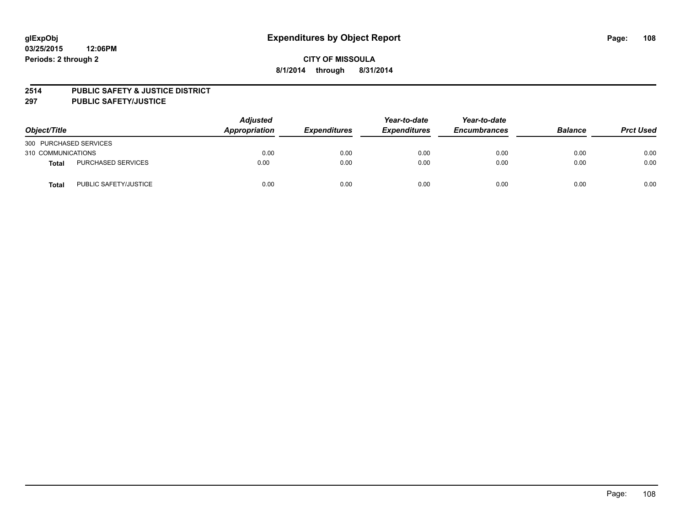### **2514 PUBLIC SAFETY & JUSTICE DISTRICT**

**297 PUBLIC SAFETY/JUSTICE**

| Object/Title           |                       | <b>Adjusted</b><br>Appropriation | <b>Expenditures</b> | Year-to-date<br><b>Expenditures</b> | Year-to-date<br><b>Encumbrances</b> | <b>Balance</b> | <b>Prct Used</b> |
|------------------------|-----------------------|----------------------------------|---------------------|-------------------------------------|-------------------------------------|----------------|------------------|
| 300 PURCHASED SERVICES |                       |                                  |                     |                                     |                                     |                |                  |
| 310 COMMUNICATIONS     |                       | 0.00                             | 0.00                | 0.00                                | 0.00                                | 0.00           | 0.00             |
| Total                  | PURCHASED SERVICES    | 0.00                             | 0.00                | 0.00                                | 0.00                                | 0.00           | 0.00             |
| Total                  | PUBLIC SAFETY/JUSTICE | 0.00                             | 0.00                | 0.00                                | 0.00                                | 0.00           | 0.00             |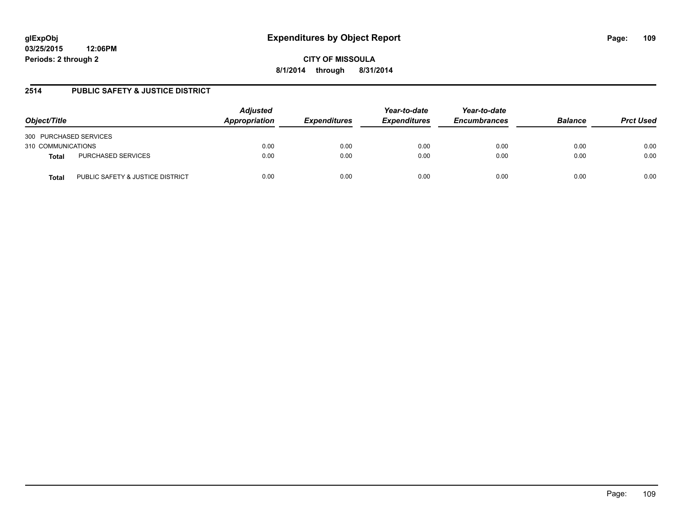**03/25/2015 12:06PM Periods: 2 through 2**

**CITY OF MISSOULA 8/1/2014 through 8/31/2014**

## **2514 PUBLIC SAFETY & JUSTICE DISTRICT**

| Object/Title                              | <b>Adjusted</b><br>Appropriation | <b>Expenditures</b> | Year-to-date<br><b>Expenditures</b> | Year-to-date<br><b>Encumbrances</b> | <b>Balance</b> | <b>Prct Used</b> |
|-------------------------------------------|----------------------------------|---------------------|-------------------------------------|-------------------------------------|----------------|------------------|
| 300 PURCHASED SERVICES                    |                                  |                     |                                     |                                     |                |                  |
| 310 COMMUNICATIONS                        | 0.00                             | 0.00                | 0.00                                | 0.00                                | 0.00           | 0.00             |
| PURCHASED SERVICES<br>Total               | 0.00                             | 0.00                | 0.00                                | 0.00                                | 0.00           | 0.00             |
| PUBLIC SAFETY & JUSTICE DISTRICT<br>Total | 0.00                             | 0.00                | 0.00                                | 0.00                                | 0.00           | 0.00             |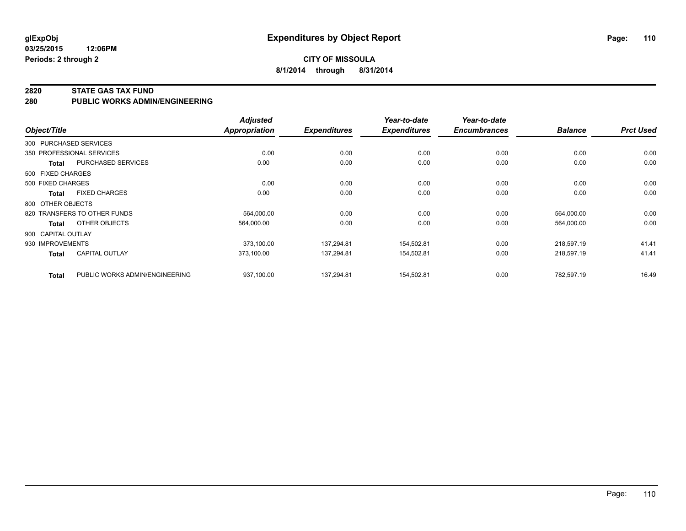**03/25/2015 12:06PM Periods: 2 through 2**

#### **2820 STATE GAS TAX FUND**

**280 PUBLIC WORKS ADMIN/ENGINEERING**

| Object/Title       |                                | <b>Adjusted</b><br>Appropriation | <b>Expenditures</b> | Year-to-date<br><b>Expenditures</b> | Year-to-date<br><b>Encumbrances</b> | <b>Balance</b> | <b>Prct Used</b> |
|--------------------|--------------------------------|----------------------------------|---------------------|-------------------------------------|-------------------------------------|----------------|------------------|
|                    | 300 PURCHASED SERVICES         |                                  |                     |                                     |                                     |                |                  |
|                    | 350 PROFESSIONAL SERVICES      | 0.00                             | 0.00                | 0.00                                | 0.00                                | 0.00           | 0.00             |
| Total              | <b>PURCHASED SERVICES</b>      | 0.00                             | 0.00                | 0.00                                | 0.00                                | 0.00           | 0.00             |
| 500 FIXED CHARGES  |                                |                                  |                     |                                     |                                     |                |                  |
| 500 FIXED CHARGES  |                                | 0.00                             | 0.00                | 0.00                                | 0.00                                | 0.00           | 0.00             |
| Total              | <b>FIXED CHARGES</b>           | 0.00                             | 0.00                | 0.00                                | 0.00                                | 0.00           | 0.00             |
| 800 OTHER OBJECTS  |                                |                                  |                     |                                     |                                     |                |                  |
|                    | 820 TRANSFERS TO OTHER FUNDS   | 564,000.00                       | 0.00                | 0.00                                | 0.00                                | 564,000.00     | 0.00             |
| Total              | OTHER OBJECTS                  | 564,000.00                       | 0.00                | 0.00                                | 0.00                                | 564,000.00     | 0.00             |
| 900 CAPITAL OUTLAY |                                |                                  |                     |                                     |                                     |                |                  |
| 930 IMPROVEMENTS   |                                | 373,100.00                       | 137,294.81          | 154,502.81                          | 0.00                                | 218,597.19     | 41.41            |
| <b>Total</b>       | <b>CAPITAL OUTLAY</b>          | 373,100.00                       | 137,294.81          | 154,502.81                          | 0.00                                | 218,597.19     | 41.41            |
| <b>Total</b>       | PUBLIC WORKS ADMIN/ENGINEERING | 937,100.00                       | 137.294.81          | 154,502.81                          | 0.00                                | 782,597.19     | 16.49            |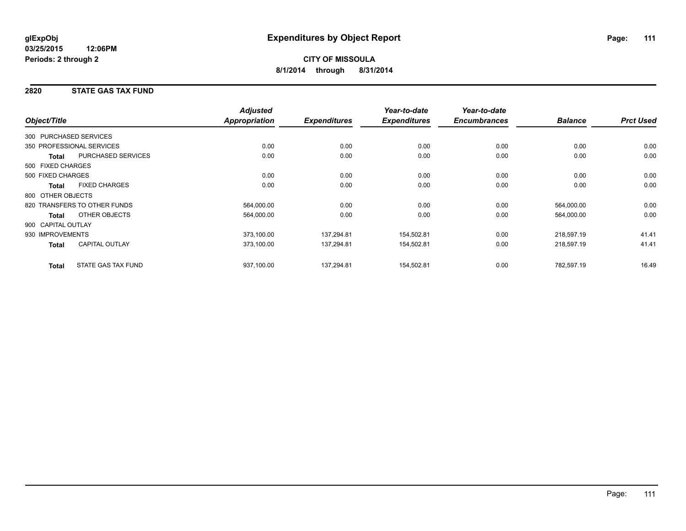## **2820 STATE GAS TAX FUND**

|                                           | <b>Adjusted</b>      |                     | Year-to-date        | Year-to-date        |                |                  |
|-------------------------------------------|----------------------|---------------------|---------------------|---------------------|----------------|------------------|
| Object/Title                              | <b>Appropriation</b> | <b>Expenditures</b> | <b>Expenditures</b> | <b>Encumbrances</b> | <b>Balance</b> | <b>Prct Used</b> |
| 300 PURCHASED SERVICES                    |                      |                     |                     |                     |                |                  |
| 350 PROFESSIONAL SERVICES                 | 0.00                 | 0.00                | 0.00                | 0.00                | 0.00           | 0.00             |
| <b>PURCHASED SERVICES</b><br><b>Total</b> | 0.00                 | 0.00                | 0.00                | 0.00                | 0.00           | 0.00             |
| 500 FIXED CHARGES                         |                      |                     |                     |                     |                |                  |
| 500 FIXED CHARGES                         | 0.00                 | 0.00                | 0.00                | 0.00                | 0.00           | 0.00             |
| <b>FIXED CHARGES</b><br><b>Total</b>      | 0.00                 | 0.00                | 0.00                | 0.00                | 0.00           | 0.00             |
| 800 OTHER OBJECTS                         |                      |                     |                     |                     |                |                  |
| 820 TRANSFERS TO OTHER FUNDS              | 564,000.00           | 0.00                | 0.00                | 0.00                | 564,000.00     | 0.00             |
| OTHER OBJECTS<br><b>Total</b>             | 564,000.00           | 0.00                | 0.00                | 0.00                | 564,000.00     | 0.00             |
| 900 CAPITAL OUTLAY                        |                      |                     |                     |                     |                |                  |
| 930 IMPROVEMENTS                          | 373,100.00           | 137,294.81          | 154,502.81          | 0.00                | 218,597.19     | 41.41            |
| <b>CAPITAL OUTLAY</b><br><b>Total</b>     | 373,100.00           | 137,294.81          | 154,502.81          | 0.00                | 218,597.19     | 41.41            |
| STATE GAS TAX FUND<br><b>Total</b>        | 937,100.00           | 137,294.81          | 154,502.81          | 0.00                | 782,597.19     | 16.49            |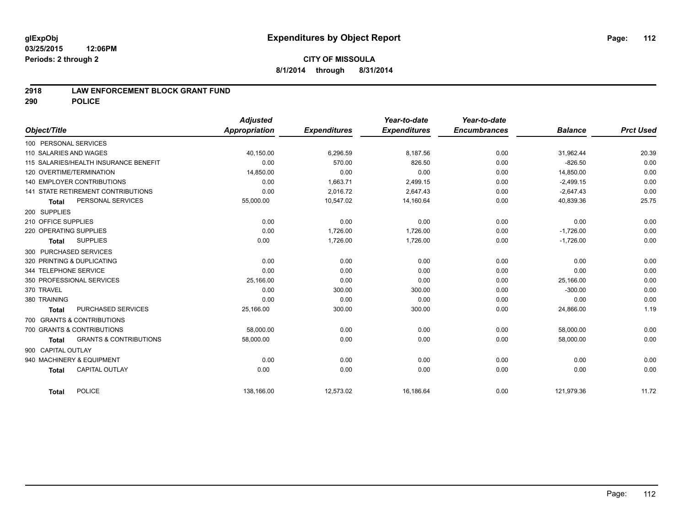### **2918 LAW ENFORCEMENT BLOCK GRANT FUND**

**290 POLICE**

|                                                   | <b>Adjusted</b> |                     | Year-to-date        | Year-to-date        |                |                  |
|---------------------------------------------------|-----------------|---------------------|---------------------|---------------------|----------------|------------------|
| Object/Title                                      | Appropriation   | <b>Expenditures</b> | <b>Expenditures</b> | <b>Encumbrances</b> | <b>Balance</b> | <b>Prct Used</b> |
| 100 PERSONAL SERVICES                             |                 |                     |                     |                     |                |                  |
| 110 SALARIES AND WAGES                            | 40,150.00       | 6,296.59            | 8,187.56            | 0.00                | 31,962.44      | 20.39            |
| 115 SALARIES/HEALTH INSURANCE BENEFIT             | 0.00            | 570.00              | 826.50              | 0.00                | $-826.50$      | 0.00             |
| 120 OVERTIME/TERMINATION                          | 14,850.00       | 0.00                | 0.00                | 0.00                | 14,850.00      | 0.00             |
| <b>140 EMPLOYER CONTRIBUTIONS</b>                 | 0.00            | 1,663.71            | 2,499.15            | 0.00                | $-2,499.15$    | 0.00             |
| 141 STATE RETIREMENT CONTRIBUTIONS                | 0.00            | 2,016.72            | 2,647.43            | 0.00                | $-2,647.43$    | 0.00             |
| PERSONAL SERVICES<br><b>Total</b>                 | 55,000.00       | 10,547.02           | 14,160.64           | 0.00                | 40,839.36      | 25.75            |
| 200 SUPPLIES                                      |                 |                     |                     |                     |                |                  |
| 210 OFFICE SUPPLIES                               | 0.00            | 0.00                | 0.00                | 0.00                | 0.00           | 0.00             |
| 220 OPERATING SUPPLIES                            | 0.00            | 1,726.00            | 1.726.00            | 0.00                | $-1,726.00$    | 0.00             |
| <b>SUPPLIES</b><br><b>Total</b>                   | 0.00            | 1,726.00            | 1,726.00            | 0.00                | $-1,726.00$    | 0.00             |
| 300 PURCHASED SERVICES                            |                 |                     |                     |                     |                |                  |
| 320 PRINTING & DUPLICATING                        | 0.00            | 0.00                | 0.00                | 0.00                | 0.00           | 0.00             |
| 344 TELEPHONE SERVICE                             | 0.00            | 0.00                | 0.00                | 0.00                | 0.00           | 0.00             |
| 350 PROFESSIONAL SERVICES                         | 25,166.00       | 0.00                | 0.00                | 0.00                | 25,166.00      | 0.00             |
| 370 TRAVEL                                        | 0.00            | 300.00              | 300.00              | 0.00                | $-300.00$      | 0.00             |
| 380 TRAINING                                      | 0.00            | 0.00                | 0.00                | 0.00                | 0.00           | 0.00             |
| PURCHASED SERVICES<br>Total                       | 25,166.00       | 300.00              | 300.00              | 0.00                | 24,866.00      | 1.19             |
| 700 GRANTS & CONTRIBUTIONS                        |                 |                     |                     |                     |                |                  |
| 700 GRANTS & CONTRIBUTIONS                        | 58,000.00       | 0.00                | 0.00                | 0.00                | 58,000.00      | 0.00             |
| <b>GRANTS &amp; CONTRIBUTIONS</b><br><b>Total</b> | 58,000.00       | 0.00                | 0.00                | 0.00                | 58,000.00      | 0.00             |
| 900 CAPITAL OUTLAY                                |                 |                     |                     |                     |                |                  |
| 940 MACHINERY & EQUIPMENT                         | 0.00            | 0.00                | 0.00                | 0.00                | 0.00           | 0.00             |
| CAPITAL OUTLAY<br><b>Total</b>                    | 0.00            | 0.00                | 0.00                | 0.00                | 0.00           | 0.00             |
| POLICE<br>Total                                   | 138,166.00      | 12,573.02           | 16,186.64           | 0.00                | 121,979.36     | 11.72            |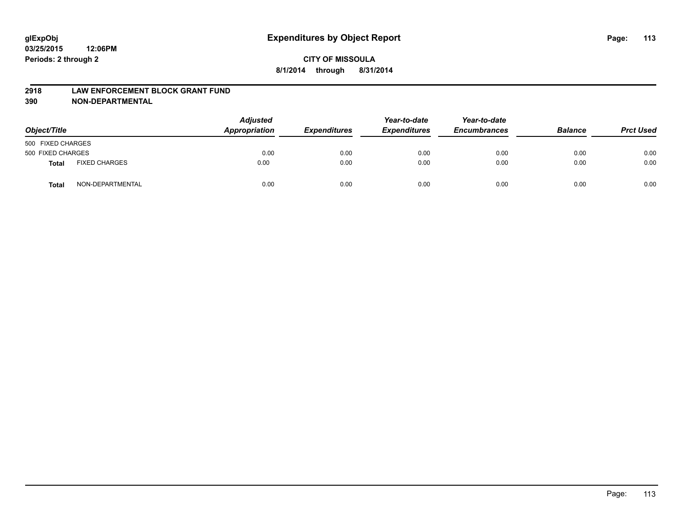#### **2918 LAW ENFORCEMENT BLOCK GRANT FUND**

**390 NON-DEPARTMENTAL**

| Object/Title      |                      | <b>Adjusted</b><br>Appropriation | <b>Expenditures</b> | Year-to-date<br><b>Expenditures</b> | Year-to-date<br><b>Encumbrances</b> | <b>Balance</b> | <b>Prct Used</b> |
|-------------------|----------------------|----------------------------------|---------------------|-------------------------------------|-------------------------------------|----------------|------------------|
| 500 FIXED CHARGES |                      |                                  |                     |                                     |                                     |                |                  |
| 500 FIXED CHARGES |                      | 0.00                             | 0.00                | 0.00                                | 0.00                                | 0.00           | 0.00             |
| <b>Total</b>      | <b>FIXED CHARGES</b> | 0.00                             | 0.00                | 0.00                                | 0.00                                | 0.00           | 0.00             |
| Total             | NON-DEPARTMENTAL     | 0.00                             | 0.00                | 0.00                                | 0.00                                | 0.00           | 0.00             |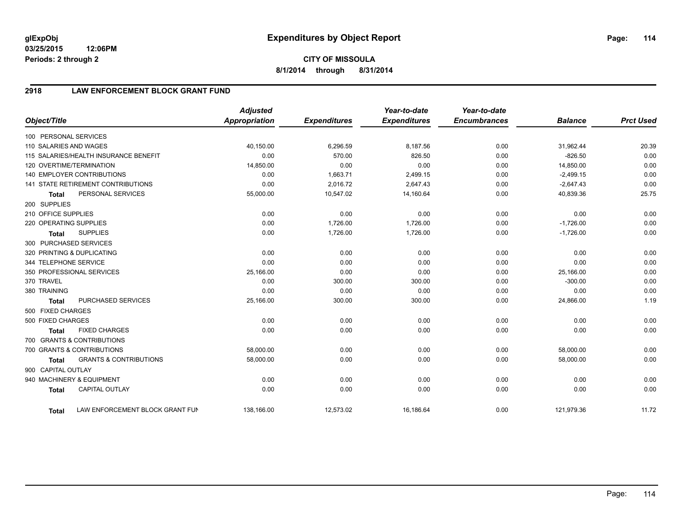**03/25/2015 12:06PM Periods: 2 through 2**

# **CITY OF MISSOULA 8/1/2014 through 8/31/2014**

# **2918 LAW ENFORCEMENT BLOCK GRANT FUND**

| Object/Title           |                                           | <b>Adjusted</b><br><b>Appropriation</b> | <b>Expenditures</b> | Year-to-date<br><b>Expenditures</b> | Year-to-date<br><b>Encumbrances</b> | <b>Balance</b> | <b>Prct Used</b> |
|------------------------|-------------------------------------------|-----------------------------------------|---------------------|-------------------------------------|-------------------------------------|----------------|------------------|
| 100 PERSONAL SERVICES  |                                           |                                         |                     |                                     |                                     |                |                  |
| 110 SALARIES AND WAGES |                                           | 40,150.00                               | 6,296.59            | 8,187.56                            | 0.00                                | 31,962.44      | 20.39            |
|                        | 115 SALARIES/HEALTH INSURANCE BENEFIT     | 0.00                                    | 570.00              | 826.50                              | 0.00                                | $-826.50$      | 0.00             |
|                        | 120 OVERTIME/TERMINATION                  | 14,850.00                               | 0.00                | 0.00                                | 0.00                                | 14,850.00      | 0.00             |
|                        | <b>140 EMPLOYER CONTRIBUTIONS</b>         | 0.00                                    | 1,663.71            | 2,499.15                            | 0.00                                | $-2,499.15$    | 0.00             |
|                        | <b>141 STATE RETIREMENT CONTRIBUTIONS</b> | 0.00                                    | 2,016.72            | 2,647.43                            | 0.00                                | $-2,647.43$    | 0.00             |
| <b>Total</b>           | PERSONAL SERVICES                         | 55,000.00                               | 10,547.02           | 14,160.64                           | 0.00                                | 40,839.36      | 25.75            |
| 200 SUPPLIES           |                                           |                                         |                     |                                     |                                     |                |                  |
| 210 OFFICE SUPPLIES    |                                           | 0.00                                    | 0.00                | 0.00                                | 0.00                                | 0.00           | 0.00             |
| 220 OPERATING SUPPLIES |                                           | 0.00                                    | 1,726.00            | 1,726.00                            | 0.00                                | $-1,726.00$    | 0.00             |
| <b>Total</b>           | <b>SUPPLIES</b>                           | 0.00                                    | 1,726.00            | 1,726.00                            | 0.00                                | $-1,726.00$    | 0.00             |
| 300 PURCHASED SERVICES |                                           |                                         |                     |                                     |                                     |                |                  |
|                        | 320 PRINTING & DUPLICATING                | 0.00                                    | 0.00                | 0.00                                | 0.00                                | 0.00           | 0.00             |
| 344 TELEPHONE SERVICE  |                                           | 0.00                                    | 0.00                | 0.00                                | 0.00                                | 0.00           | 0.00             |
|                        | 350 PROFESSIONAL SERVICES                 | 25,166.00                               | 0.00                | 0.00                                | 0.00                                | 25,166.00      | 0.00             |
| 370 TRAVEL             |                                           | 0.00                                    | 300.00              | 300.00                              | 0.00                                | $-300.00$      | 0.00             |
| 380 TRAINING           |                                           | 0.00                                    | 0.00                | 0.00                                | 0.00                                | 0.00           | 0.00             |
| <b>Total</b>           | PURCHASED SERVICES                        | 25,166.00                               | 300.00              | 300.00                              | 0.00                                | 24,866.00      | 1.19             |
| 500 FIXED CHARGES      |                                           |                                         |                     |                                     |                                     |                |                  |
| 500 FIXED CHARGES      |                                           | 0.00                                    | 0.00                | 0.00                                | 0.00                                | 0.00           | 0.00             |
| <b>Total</b>           | <b>FIXED CHARGES</b>                      | 0.00                                    | 0.00                | 0.00                                | 0.00                                | 0.00           | 0.00             |
|                        | 700 GRANTS & CONTRIBUTIONS                |                                         |                     |                                     |                                     |                |                  |
|                        | 700 GRANTS & CONTRIBUTIONS                | 58,000.00                               | 0.00                | 0.00                                | 0.00                                | 58,000.00      | 0.00             |
| <b>Total</b>           | <b>GRANTS &amp; CONTRIBUTIONS</b>         | 58,000.00                               | 0.00                | 0.00                                | 0.00                                | 58,000.00      | 0.00             |
| 900 CAPITAL OUTLAY     |                                           |                                         |                     |                                     |                                     |                |                  |
|                        | 940 MACHINERY & EQUIPMENT                 | 0.00                                    | 0.00                | 0.00                                | 0.00                                | 0.00           | 0.00             |
| <b>Total</b>           | <b>CAPITAL OUTLAY</b>                     | 0.00                                    | 0.00                | 0.00                                | 0.00                                | 0.00           | 0.00             |
| Total                  | LAW ENFORCEMENT BLOCK GRANT FUN           | 138,166.00                              | 12,573.02           | 16,186.64                           | 0.00                                | 121,979.36     | 11.72            |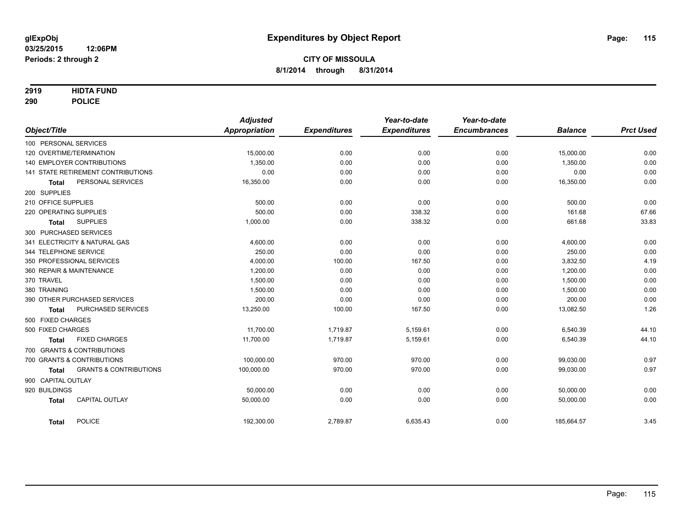### **2919 HIDTA FUND**

**290 POLICE**

| Object/Title           |                                    | <b>Adjusted</b><br>Appropriation | <b>Expenditures</b> | Year-to-date<br><b>Expenditures</b> | Year-to-date<br><b>Encumbrances</b> | <b>Balance</b>   | <b>Prct Used</b> |
|------------------------|------------------------------------|----------------------------------|---------------------|-------------------------------------|-------------------------------------|------------------|------------------|
|                        |                                    |                                  |                     |                                     |                                     |                  |                  |
| 100 PERSONAL SERVICES  | 120 OVERTIME/TERMINATION           | 15,000.00                        | 0.00                | 0.00                                | 0.00                                | 15,000.00        | 0.00             |
|                        | <b>140 EMPLOYER CONTRIBUTIONS</b>  | 1,350.00                         |                     |                                     |                                     |                  |                  |
|                        | 141 STATE RETIREMENT CONTRIBUTIONS | 0.00                             | 0.00<br>0.00        | 0.00<br>0.00                        | 0.00                                | 1,350.00<br>0.00 | 0.00<br>0.00     |
|                        | PERSONAL SERVICES                  | 16,350.00                        | 0.00                | 0.00                                | 0.00<br>0.00                        | 16,350.00        | 0.00             |
| <b>Total</b>           |                                    |                                  |                     |                                     |                                     |                  |                  |
| 200 SUPPLIES           |                                    |                                  |                     |                                     |                                     |                  |                  |
| 210 OFFICE SUPPLIES    |                                    | 500.00                           | 0.00                | 0.00                                | 0.00                                | 500.00           | 0.00             |
| 220 OPERATING SUPPLIES |                                    | 500.00                           | 0.00                | 338.32                              | 0.00                                | 161.68           | 67.66            |
| Total                  | <b>SUPPLIES</b>                    | 1,000.00                         | 0.00                | 338.32                              | 0.00                                | 661.68           | 33.83            |
| 300 PURCHASED SERVICES |                                    |                                  |                     |                                     |                                     |                  |                  |
|                        | 341 ELECTRICITY & NATURAL GAS      | 4,600.00                         | 0.00                | 0.00                                | 0.00                                | 4,600.00         | 0.00             |
| 344 TELEPHONE SERVICE  |                                    | 250.00                           | 0.00                | 0.00                                | 0.00                                | 250.00           | 0.00             |
|                        | 350 PROFESSIONAL SERVICES          | 4,000.00                         | 100.00              | 167.50                              | 0.00                                | 3,832.50         | 4.19             |
|                        | 360 REPAIR & MAINTENANCE           | 1,200.00                         | 0.00                | 0.00                                | 0.00                                | 1,200.00         | 0.00             |
| 370 TRAVEL             |                                    | 1.500.00                         | 0.00                | 0.00                                | 0.00                                | 1,500.00         | 0.00             |
| 380 TRAINING           |                                    | 1,500.00                         | 0.00                | 0.00                                | 0.00                                | 1,500.00         | 0.00             |
|                        | 390 OTHER PURCHASED SERVICES       | 200.00                           | 0.00                | 0.00                                | 0.00                                | 200.00           | 0.00             |
| <b>Total</b>           | PURCHASED SERVICES                 | 13,250.00                        | 100.00              | 167.50                              | 0.00                                | 13,082.50        | 1.26             |
| 500 FIXED CHARGES      |                                    |                                  |                     |                                     |                                     |                  |                  |
| 500 FIXED CHARGES      |                                    | 11,700.00                        | 1.719.87            | 5,159.61                            | 0.00                                | 6,540.39         | 44.10            |
| <b>Total</b>           | <b>FIXED CHARGES</b>               | 11,700.00                        | 1,719.87            | 5,159.61                            | 0.00                                | 6,540.39         | 44.10            |
|                        | 700 GRANTS & CONTRIBUTIONS         |                                  |                     |                                     |                                     |                  |                  |
|                        | 700 GRANTS & CONTRIBUTIONS         | 100.000.00                       | 970.00              | 970.00                              | 0.00                                | 99,030.00        | 0.97             |
| <b>Total</b>           | <b>GRANTS &amp; CONTRIBUTIONS</b>  | 100,000.00                       | 970.00              | 970.00                              | 0.00                                | 99,030.00        | 0.97             |
| 900 CAPITAL OUTLAY     |                                    |                                  |                     |                                     |                                     |                  |                  |
| 920 BUILDINGS          |                                    | 50,000.00                        | 0.00                | 0.00                                | 0.00                                | 50,000.00        | 0.00             |
| <b>Total</b>           | <b>CAPITAL OUTLAY</b>              | 50,000.00                        | 0.00                | 0.00                                | 0.00                                | 50,000.00        | 0.00             |
|                        |                                    |                                  |                     |                                     |                                     |                  |                  |
| <b>Total</b>           | <b>POLICE</b>                      | 192,300.00                       | 2,789.87            | 6,635.43                            | 0.00                                | 185,664.57       | 3.45             |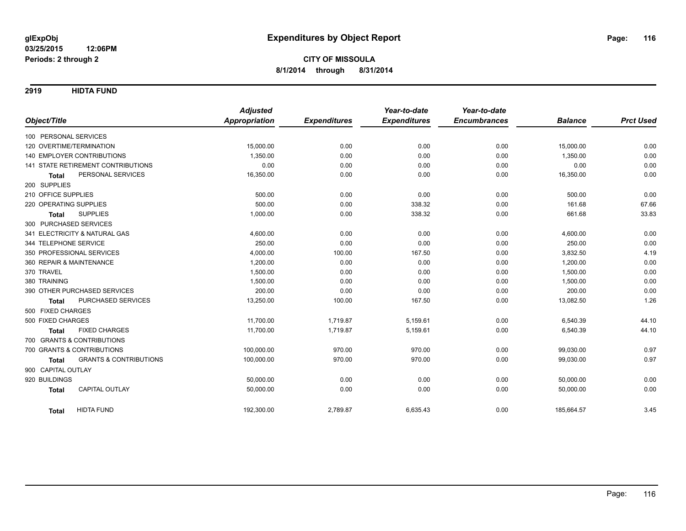**2919 HIDTA FUND**

|                                            | <b>Adjusted</b>      |                     | Year-to-date        | Year-to-date        |                |                  |
|--------------------------------------------|----------------------|---------------------|---------------------|---------------------|----------------|------------------|
| Object/Title                               | <b>Appropriation</b> | <b>Expenditures</b> | <b>Expenditures</b> | <b>Encumbrances</b> | <b>Balance</b> | <b>Prct Used</b> |
| 100 PERSONAL SERVICES                      |                      |                     |                     |                     |                |                  |
| 120 OVERTIME/TERMINATION                   | 15,000.00            | 0.00                | 0.00                | 0.00                | 15,000.00      | 0.00             |
| <b>140 EMPLOYER CONTRIBUTIONS</b>          | 1,350.00             | 0.00                | 0.00                | 0.00                | 1,350.00       | 0.00             |
| <b>141 STATE RETIREMENT CONTRIBUTIONS</b>  | 0.00                 | 0.00                | 0.00                | 0.00                | 0.00           | 0.00             |
| PERSONAL SERVICES<br><b>Total</b>          | 16,350.00            | 0.00                | 0.00                | 0.00                | 16,350.00      | 0.00             |
| 200 SUPPLIES                               |                      |                     |                     |                     |                |                  |
| 210 OFFICE SUPPLIES                        | 500.00               | 0.00                | 0.00                | 0.00                | 500.00         | 0.00             |
| 220 OPERATING SUPPLIES                     | 500.00               | 0.00                | 338.32              | 0.00                | 161.68         | 67.66            |
| <b>SUPPLIES</b><br><b>Total</b>            | 1,000.00             | 0.00                | 338.32              | 0.00                | 661.68         | 33.83            |
| 300 PURCHASED SERVICES                     |                      |                     |                     |                     |                |                  |
| 341 ELECTRICITY & NATURAL GAS              | 4,600.00             | 0.00                | 0.00                | 0.00                | 4,600.00       | 0.00             |
| 344 TELEPHONE SERVICE                      | 250.00               | 0.00                | 0.00                | 0.00                | 250.00         | 0.00             |
| 350 PROFESSIONAL SERVICES                  | 4,000.00             | 100.00              | 167.50              | 0.00                | 3,832.50       | 4.19             |
| 360 REPAIR & MAINTENANCE                   | 1,200.00             | 0.00                | 0.00                | 0.00                | 1,200.00       | 0.00             |
| 370 TRAVEL                                 | 1,500.00             | 0.00                | 0.00                | 0.00                | 1,500.00       | 0.00             |
| 380 TRAINING                               | 1,500.00             | 0.00                | 0.00                | 0.00                | 1,500.00       | 0.00             |
| 390 OTHER PURCHASED SERVICES               | 200.00               | 0.00                | 0.00                | 0.00                | 200.00         | 0.00             |
| PURCHASED SERVICES<br><b>Total</b>         | 13,250.00            | 100.00              | 167.50              | 0.00                | 13,082.50      | 1.26             |
| 500 FIXED CHARGES                          |                      |                     |                     |                     |                |                  |
| 500 FIXED CHARGES                          | 11,700.00            | 1,719.87            | 5,159.61            | 0.00                | 6,540.39       | 44.10            |
| <b>FIXED CHARGES</b><br>Total              | 11,700.00            | 1,719.87            | 5,159.61            | 0.00                | 6,540.39       | 44.10            |
| 700 GRANTS & CONTRIBUTIONS                 |                      |                     |                     |                     |                |                  |
| 700 GRANTS & CONTRIBUTIONS                 | 100,000.00           | 970.00              | 970.00              | 0.00                | 99,030.00      | 0.97             |
| <b>GRANTS &amp; CONTRIBUTIONS</b><br>Total | 100,000.00           | 970.00              | 970.00              | 0.00                | 99,030.00      | 0.97             |
| 900 CAPITAL OUTLAY                         |                      |                     |                     |                     |                |                  |
| 920 BUILDINGS                              | 50,000.00            | 0.00                | 0.00                | 0.00                | 50,000.00      | 0.00             |
| <b>CAPITAL OUTLAY</b><br><b>Total</b>      | 50,000.00            | 0.00                | 0.00                | 0.00                | 50,000.00      | 0.00             |
| <b>HIDTA FUND</b><br><b>Total</b>          | 192,300.00           | 2,789.87            | 6,635.43            | 0.00                | 185,664.57     | 3.45             |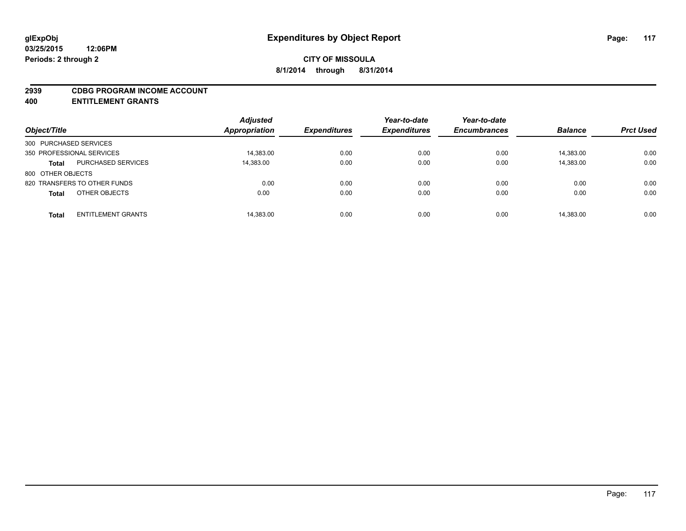#### **2939 CDBG PROGRAM INCOME ACCOUNT**

**400 ENTITLEMENT GRANTS**

| Object/Title                              | <b>Adjusted</b><br>Appropriation | <b>Expenditures</b> | Year-to-date<br><b>Expenditures</b> | Year-to-date<br><b>Encumbrances</b> | <b>Balance</b> | <b>Prct Used</b> |
|-------------------------------------------|----------------------------------|---------------------|-------------------------------------|-------------------------------------|----------------|------------------|
| 300 PURCHASED SERVICES                    |                                  |                     |                                     |                                     |                |                  |
| 350 PROFESSIONAL SERVICES                 | 14,383.00                        | 0.00                | 0.00                                | 0.00                                | 14,383.00      | 0.00             |
| <b>PURCHASED SERVICES</b><br><b>Total</b> | 14,383.00                        | 0.00                | 0.00                                | 0.00                                | 14,383.00      | 0.00             |
| 800 OTHER OBJECTS                         |                                  |                     |                                     |                                     |                |                  |
| 820 TRANSFERS TO OTHER FUNDS              | 0.00                             | 0.00                | 0.00                                | 0.00                                | 0.00           | 0.00             |
| OTHER OBJECTS<br><b>Total</b>             | 0.00                             | 0.00                | 0.00                                | 0.00                                | 0.00           | 0.00             |
|                                           |                                  |                     |                                     |                                     |                |                  |
| <b>ENTITLEMENT GRANTS</b><br><b>Total</b> | 14,383.00                        | 0.00                | 0.00                                | 0.00                                | 14,383.00      | 0.00             |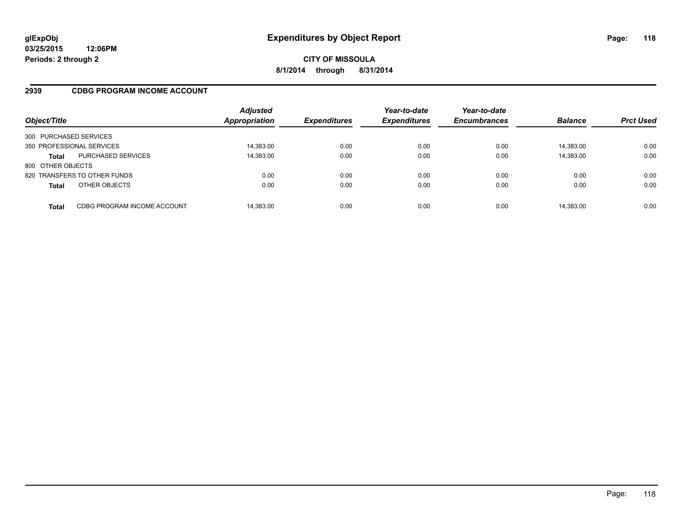### **2939 CDBG PROGRAM INCOME ACCOUNT**

| Object/Title              |                              | <b>Adjusted</b><br>Appropriation | <b>Expenditures</b> | Year-to-date<br><b>Expenditures</b> | Year-to-date<br><b>Encumbrances</b> | <b>Balance</b> | <b>Prct Used</b> |
|---------------------------|------------------------------|----------------------------------|---------------------|-------------------------------------|-------------------------------------|----------------|------------------|
| 300 PURCHASED SERVICES    |                              |                                  |                     |                                     |                                     |                |                  |
| 350 PROFESSIONAL SERVICES |                              | 14,383.00                        | 0.00                | 0.00                                | 0.00                                | 14.383.00      | 0.00             |
| <b>Total</b>              | <b>PURCHASED SERVICES</b>    | 14,383.00                        | 0.00                | 0.00                                | 0.00                                | 14,383.00      | 0.00             |
| 800 OTHER OBJECTS         |                              |                                  |                     |                                     |                                     |                |                  |
|                           | 820 TRANSFERS TO OTHER FUNDS | 0.00                             | 0.00                | 0.00                                | 0.00                                | 0.00           | 0.00             |
| <b>Total</b>              | OTHER OBJECTS                | 0.00                             | 0.00                | 0.00                                | 0.00                                | 0.00           | 0.00             |
| <b>Total</b>              | CDBG PROGRAM INCOME ACCOUNT  | 14,383.00                        | 0.00                | 0.00                                | 0.00                                | 14,383.00      | 0.00             |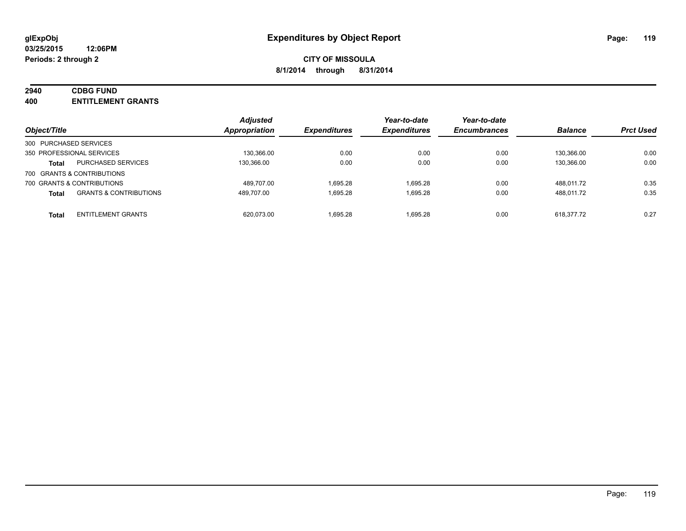### **2940 CDBG FUND**

**400 ENTITLEMENT GRANTS**

| Object/Title                                      | <b>Adjusted</b><br>Appropriation | <b>Expenditures</b> | Year-to-date<br><b>Expenditures</b> | Year-to-date<br><b>Encumbrances</b> | <b>Balance</b> | <b>Prct Used</b> |
|---------------------------------------------------|----------------------------------|---------------------|-------------------------------------|-------------------------------------|----------------|------------------|
| 300 PURCHASED SERVICES                            |                                  |                     |                                     |                                     |                |                  |
| 350 PROFESSIONAL SERVICES                         | 130.366.00                       | 0.00                | 0.00                                | 0.00                                | 130.366.00     | 0.00             |
| <b>PURCHASED SERVICES</b><br><b>Total</b>         | 130.366.00                       | 0.00                | 0.00                                | 0.00                                | 130.366.00     | 0.00             |
| 700 GRANTS & CONTRIBUTIONS                        |                                  |                     |                                     |                                     |                |                  |
| 700 GRANTS & CONTRIBUTIONS                        | 489.707.00                       | 1.695.28            | 1.695.28                            | 0.00                                | 488.011.72     | 0.35             |
| <b>GRANTS &amp; CONTRIBUTIONS</b><br><b>Total</b> | 489.707.00                       | 1.695.28            | 1.695.28                            | 0.00                                | 488.011.72     | 0.35             |
| <b>ENTITLEMENT GRANTS</b><br><b>Total</b>         | 620.073.00                       | 1.695.28            | 1.695.28                            | 0.00                                | 618.377.72     | 0.27             |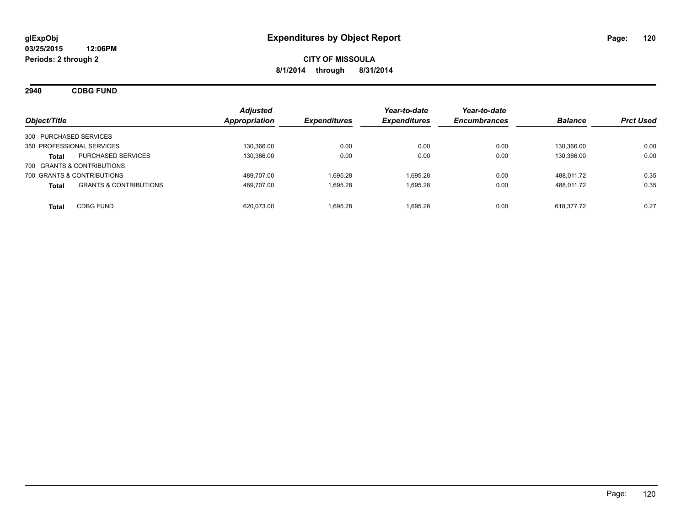**2940 CDBG FUND**

| Object/Title                                      | <b>Adjusted</b><br>Appropriation | <b>Expenditures</b> | Year-to-date<br><b>Expenditures</b> | Year-to-date<br><b>Encumbrances</b> | <b>Balance</b> | <b>Prct Used</b> |
|---------------------------------------------------|----------------------------------|---------------------|-------------------------------------|-------------------------------------|----------------|------------------|
| 300 PURCHASED SERVICES                            |                                  |                     |                                     |                                     |                |                  |
| 350 PROFESSIONAL SERVICES                         | 130,366.00                       | 0.00                | 0.00                                | 0.00                                | 130.366.00     | 0.00             |
| PURCHASED SERVICES<br><b>Total</b>                | 130,366.00                       | 0.00                | 0.00                                | 0.00                                | 130.366.00     | 0.00             |
| 700 GRANTS & CONTRIBUTIONS                        |                                  |                     |                                     |                                     |                |                  |
| 700 GRANTS & CONTRIBUTIONS                        | 489.707.00                       | 1.695.28            | 1.695.28                            | 0.00                                | 488.011.72     | 0.35             |
| <b>GRANTS &amp; CONTRIBUTIONS</b><br><b>Total</b> | 489,707.00                       | 1,695.28            | 1,695.28                            | 0.00                                | 488,011.72     | 0.35             |
| <b>CDBG FUND</b><br><b>Total</b>                  | 620.073.00                       | 1.695.28            | 1.695.28                            | 0.00                                | 618.377.72     | 0.27             |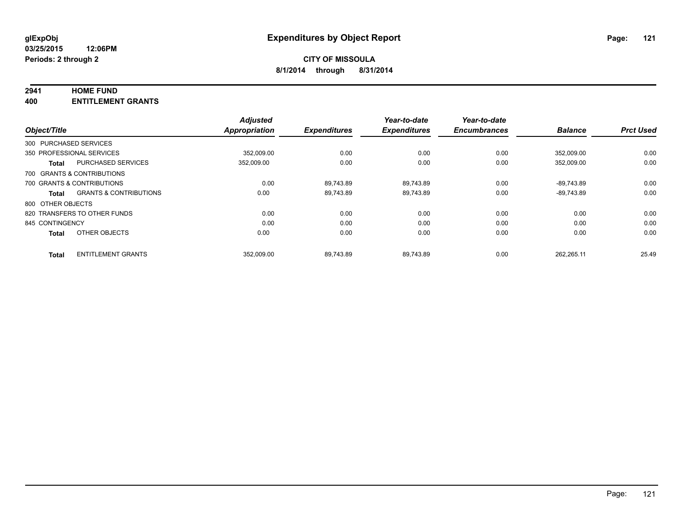#### **2941 HOME FUND**

**400 ENTITLEMENT GRANTS**

| Object/Title      |                                   | <b>Adjusted</b><br><b>Appropriation</b> | <b>Expenditures</b> | Year-to-date<br><b>Expenditures</b> | Year-to-date<br><b>Encumbrances</b> | <b>Balance</b> | <b>Prct Used</b> |
|-------------------|-----------------------------------|-----------------------------------------|---------------------|-------------------------------------|-------------------------------------|----------------|------------------|
|                   |                                   |                                         |                     |                                     |                                     |                |                  |
|                   | 300 PURCHASED SERVICES            |                                         |                     |                                     |                                     |                |                  |
|                   | 350 PROFESSIONAL SERVICES         | 352.009.00                              | 0.00                | 0.00                                | 0.00                                | 352.009.00     | 0.00             |
| <b>Total</b>      | <b>PURCHASED SERVICES</b>         | 352,009.00                              | 0.00                | 0.00                                | 0.00                                | 352.009.00     | 0.00             |
|                   | 700 GRANTS & CONTRIBUTIONS        |                                         |                     |                                     |                                     |                |                  |
|                   | 700 GRANTS & CONTRIBUTIONS        | 0.00                                    | 89.743.89           | 89.743.89                           | 0.00                                | -89.743.89     | 0.00             |
| <b>Total</b>      | <b>GRANTS &amp; CONTRIBUTIONS</b> | 0.00                                    | 89.743.89           | 89.743.89                           | 0.00                                | $-89.743.89$   | 0.00             |
| 800 OTHER OBJECTS |                                   |                                         |                     |                                     |                                     |                |                  |
|                   | 820 TRANSFERS TO OTHER FUNDS      | 0.00                                    | 0.00                | 0.00                                | 0.00                                | 0.00           | 0.00             |
| 845 CONTINGENCY   |                                   | 0.00                                    | 0.00                | 0.00                                | 0.00                                | 0.00           | 0.00             |
| <b>Total</b>      | OTHER OBJECTS                     | 0.00                                    | 0.00                | 0.00                                | 0.00                                | 0.00           | 0.00             |
| <b>Total</b>      | <b>ENTITLEMENT GRANTS</b>         | 352.009.00                              | 89.743.89           | 89.743.89                           | 0.00                                | 262.265.11     | 25.49            |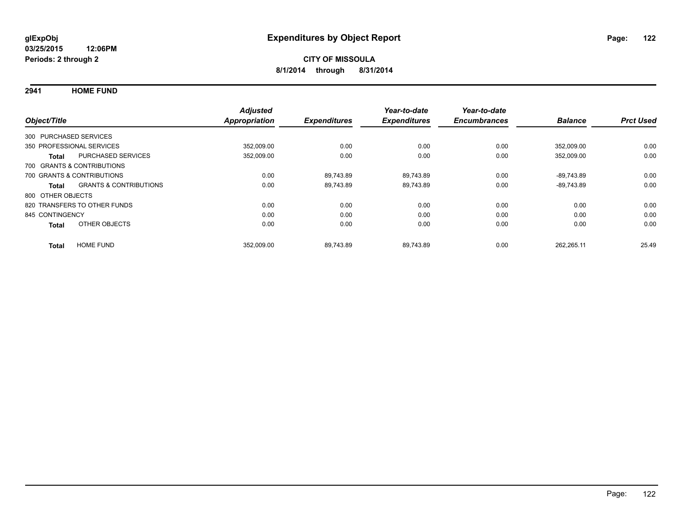**2941 HOME FUND**

| Object/Title           |                                   | <b>Adjusted</b><br><b>Appropriation</b> | <b>Expenditures</b> | Year-to-date<br><b>Expenditures</b> | Year-to-date<br><b>Encumbrances</b> | <b>Balance</b> | <b>Prct Used</b> |
|------------------------|-----------------------------------|-----------------------------------------|---------------------|-------------------------------------|-------------------------------------|----------------|------------------|
| 300 PURCHASED SERVICES |                                   |                                         |                     |                                     |                                     |                |                  |
|                        | 350 PROFESSIONAL SERVICES         | 352,009.00                              | 0.00                | 0.00                                | 0.00                                | 352.009.00     | 0.00             |
| <b>Total</b>           | <b>PURCHASED SERVICES</b>         | 352,009.00                              | 0.00                | 0.00                                | 0.00                                | 352,009.00     | 0.00             |
|                        | 700 GRANTS & CONTRIBUTIONS        |                                         |                     |                                     |                                     |                |                  |
|                        | 700 GRANTS & CONTRIBUTIONS        | 0.00                                    | 89.743.89           | 89.743.89                           | 0.00                                | $-89.743.89$   | 0.00             |
| Total                  | <b>GRANTS &amp; CONTRIBUTIONS</b> | 0.00                                    | 89.743.89           | 89,743.89                           | 0.00                                | $-89,743.89$   | 0.00             |
| 800 OTHER OBJECTS      |                                   |                                         |                     |                                     |                                     |                |                  |
|                        | 820 TRANSFERS TO OTHER FUNDS      | 0.00                                    | 0.00                | 0.00                                | 0.00                                | 0.00           | 0.00             |
| 845 CONTINGENCY        |                                   | 0.00                                    | 0.00                | 0.00                                | 0.00                                | 0.00           | 0.00             |
| <b>Total</b>           | OTHER OBJECTS                     | 0.00                                    | 0.00                | 0.00                                | 0.00                                | 0.00           | 0.00             |
| <b>Total</b>           | <b>HOME FUND</b>                  | 352,009.00                              | 89.743.89           | 89.743.89                           | 0.00                                | 262.265.11     | 25.49            |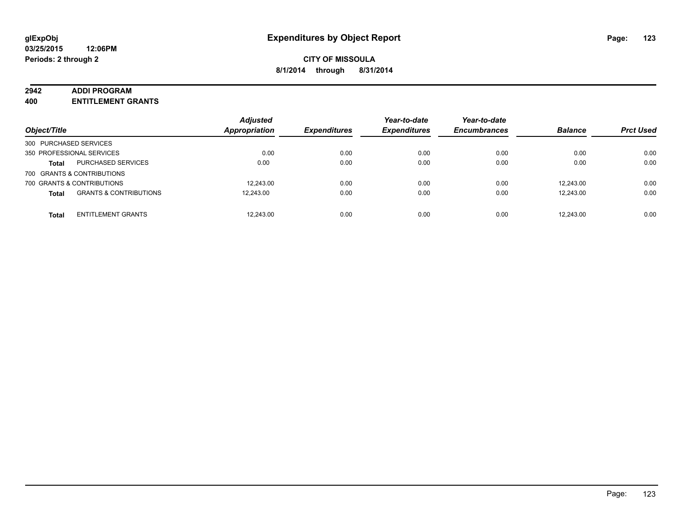#### **2942 ADDI PROGRAM**

**400 ENTITLEMENT GRANTS**

| Object/Title           |                                   | <b>Adjusted</b><br><b>Appropriation</b> | <b>Expenditures</b> | Year-to-date<br><b>Expenditures</b> | Year-to-date<br><b>Encumbrances</b> | <b>Balance</b> | <b>Prct Used</b> |
|------------------------|-----------------------------------|-----------------------------------------|---------------------|-------------------------------------|-------------------------------------|----------------|------------------|
| 300 PURCHASED SERVICES |                                   |                                         |                     |                                     |                                     |                |                  |
|                        | 350 PROFESSIONAL SERVICES         | 0.00                                    | 0.00                | 0.00                                | 0.00                                | 0.00           | 0.00             |
| <b>Total</b>           | <b>PURCHASED SERVICES</b>         | 0.00                                    | 0.00                | 0.00                                | 0.00                                | 0.00           | 0.00             |
|                        | 700 GRANTS & CONTRIBUTIONS        |                                         |                     |                                     |                                     |                |                  |
|                        | 700 GRANTS & CONTRIBUTIONS        | 12.243.00                               | 0.00                | 0.00                                | 0.00                                | 12.243.00      | 0.00             |
| <b>Total</b>           | <b>GRANTS &amp; CONTRIBUTIONS</b> | 12.243.00                               | 0.00                | 0.00                                | 0.00                                | 12.243.00      | 0.00             |
| <b>Total</b>           | <b>ENTITLEMENT GRANTS</b>         | 12.243.00                               | 0.00                | 0.00                                | 0.00                                | 12.243.00      | 0.00             |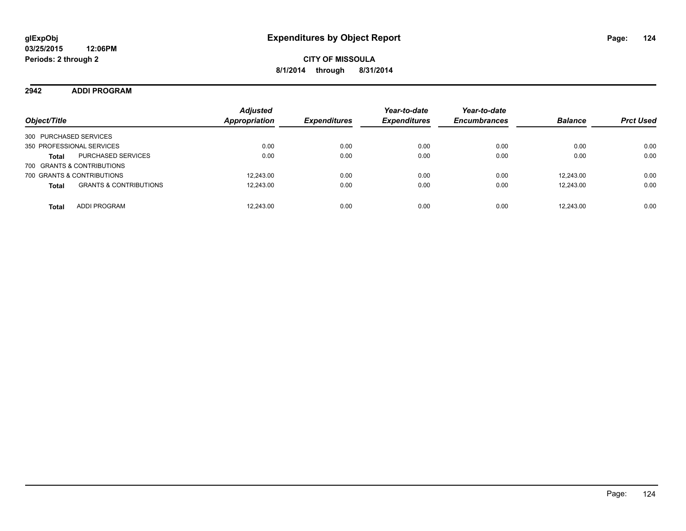**2942 ADDI PROGRAM**

| Object/Title                                      | <b>Adjusted</b><br><b>Appropriation</b> | <b>Expenditures</b> | Year-to-date<br><b>Expenditures</b> | Year-to-date<br><b>Encumbrances</b> | <b>Balance</b> | <b>Prct Used</b> |
|---------------------------------------------------|-----------------------------------------|---------------------|-------------------------------------|-------------------------------------|----------------|------------------|
| 300 PURCHASED SERVICES                            |                                         |                     |                                     |                                     |                |                  |
| 350 PROFESSIONAL SERVICES                         | 0.00                                    | 0.00                | 0.00                                | 0.00                                | 0.00           | 0.00             |
| <b>PURCHASED SERVICES</b><br><b>Total</b>         | 0.00                                    | 0.00                | 0.00                                | 0.00                                | 0.00           | 0.00             |
| 700 GRANTS & CONTRIBUTIONS                        |                                         |                     |                                     |                                     |                |                  |
| 700 GRANTS & CONTRIBUTIONS                        | 12.243.00                               | 0.00                | 0.00                                | 0.00                                | 12.243.00      | 0.00             |
| <b>GRANTS &amp; CONTRIBUTIONS</b><br><b>Total</b> | 12,243.00                               | 0.00                | 0.00                                | 0.00                                | 12,243.00      | 0.00             |
| <b>ADDI PROGRAM</b><br><b>Total</b>               | 12.243.00                               | 0.00                | 0.00                                | 0.00                                | 12.243.00      | 0.00             |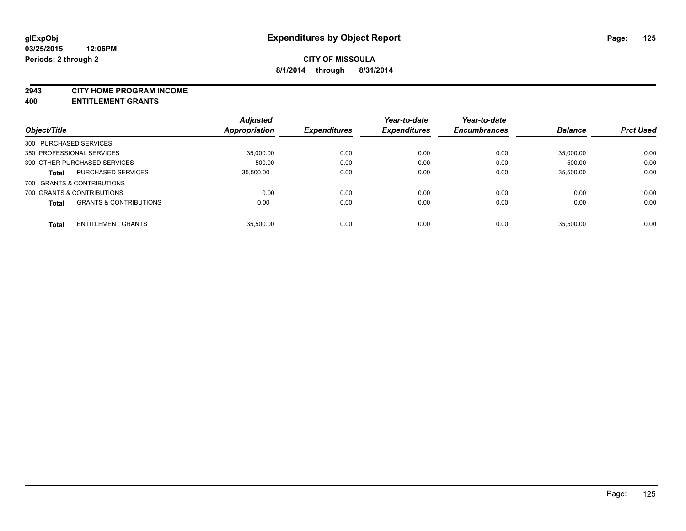#### **2943 CITY HOME PROGRAM INCOME**

**400 ENTITLEMENT GRANTS**

|                            |                                   | <b>Adjusted</b> |                     | Year-to-date        | Year-to-date        |                |                  |
|----------------------------|-----------------------------------|-----------------|---------------------|---------------------|---------------------|----------------|------------------|
| Object/Title               |                                   | Appropriation   | <b>Expenditures</b> | <b>Expenditures</b> | <b>Encumbrances</b> | <b>Balance</b> | <b>Prct Used</b> |
| 300 PURCHASED SERVICES     |                                   |                 |                     |                     |                     |                |                  |
| 350 PROFESSIONAL SERVICES  |                                   | 35,000.00       | 0.00                | 0.00                | 0.00                | 35,000.00      | 0.00             |
|                            | 390 OTHER PURCHASED SERVICES      | 500.00          | 0.00                | 0.00                | 0.00                | 500.00         | 0.00             |
| <b>Total</b>               | <b>PURCHASED SERVICES</b>         | 35.500.00       | 0.00                | 0.00                | 0.00                | 35.500.00      | 0.00             |
| 700 GRANTS & CONTRIBUTIONS |                                   |                 |                     |                     |                     |                |                  |
| 700 GRANTS & CONTRIBUTIONS |                                   | 0.00            | 0.00                | 0.00                | 0.00                | 0.00           | 0.00             |
| <b>Total</b>               | <b>GRANTS &amp; CONTRIBUTIONS</b> | 0.00            | 0.00                | 0.00                | 0.00                | 0.00           | 0.00             |
| <b>Total</b>               | <b>ENTITLEMENT GRANTS</b>         | 35.500.00       | 0.00                | 0.00                | 0.00                | 35.500.00      | 0.00             |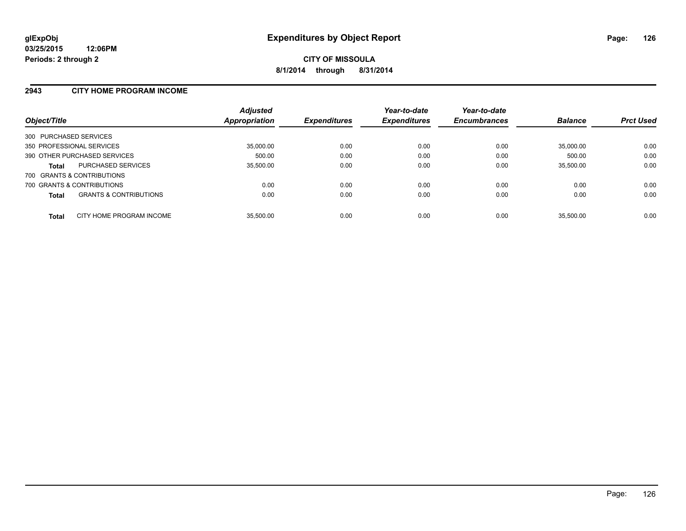#### **2943 CITY HOME PROGRAM INCOME**

| Object/Title           |                                   | <b>Adjusted</b><br>Appropriation | <b>Expenditures</b> | Year-to-date<br><b>Expenditures</b> | Year-to-date<br><b>Encumbrances</b> | <b>Balance</b> | <b>Prct Used</b> |
|------------------------|-----------------------------------|----------------------------------|---------------------|-------------------------------------|-------------------------------------|----------------|------------------|
| 300 PURCHASED SERVICES |                                   |                                  |                     |                                     |                                     |                |                  |
|                        | 350 PROFESSIONAL SERVICES         | 35,000.00                        | 0.00                | 0.00                                | 0.00                                | 35.000.00      | 0.00             |
|                        | 390 OTHER PURCHASED SERVICES      | 500.00                           | 0.00                | 0.00                                | 0.00                                | 500.00         | 0.00             |
| <b>Total</b>           | <b>PURCHASED SERVICES</b>         | 35,500.00                        | 0.00                | 0.00                                | 0.00                                | 35,500.00      | 0.00             |
|                        | 700 GRANTS & CONTRIBUTIONS        |                                  |                     |                                     |                                     |                |                  |
|                        | 700 GRANTS & CONTRIBUTIONS        | 0.00                             | 0.00                | 0.00                                | 0.00                                | 0.00           | 0.00             |
| <b>Total</b>           | <b>GRANTS &amp; CONTRIBUTIONS</b> | 0.00                             | 0.00                | 0.00                                | 0.00                                | 0.00           | 0.00             |
| <b>Total</b>           | CITY HOME PROGRAM INCOME          | 35.500.00                        | 0.00                | 0.00                                | 0.00                                | 35.500.00      | 0.00             |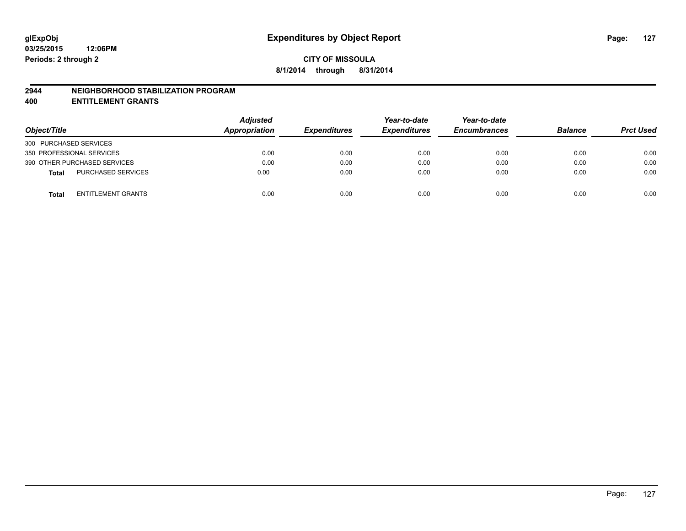#### **2944 NEIGHBORHOOD STABILIZATION PROGRAM**

**400 ENTITLEMENT GRANTS**

| Object/Title                              | <b>Adjusted</b><br>Appropriation | <b>Expenditures</b> | Year-to-date<br><b>Expenditures</b> | Year-to-date<br><b>Encumbrances</b> | <b>Balance</b> | <b>Prct Used</b> |
|-------------------------------------------|----------------------------------|---------------------|-------------------------------------|-------------------------------------|----------------|------------------|
| 300 PURCHASED SERVICES                    |                                  |                     |                                     |                                     |                |                  |
| 350 PROFESSIONAL SERVICES                 | 0.00                             | 0.00                | 0.00                                | 0.00                                | 0.00           | 0.00             |
| 390 OTHER PURCHASED SERVICES              | 0.00                             | 0.00                | 0.00                                | 0.00                                | 0.00           | 0.00             |
| PURCHASED SERVICES<br><b>Total</b>        | 0.00                             | 0.00                | 0.00                                | 0.00                                | 0.00           | 0.00             |
| <b>ENTITLEMENT GRANTS</b><br><b>Total</b> | 0.00                             | 0.00                | 0.00                                | 0.00                                | 0.00           | 0.00             |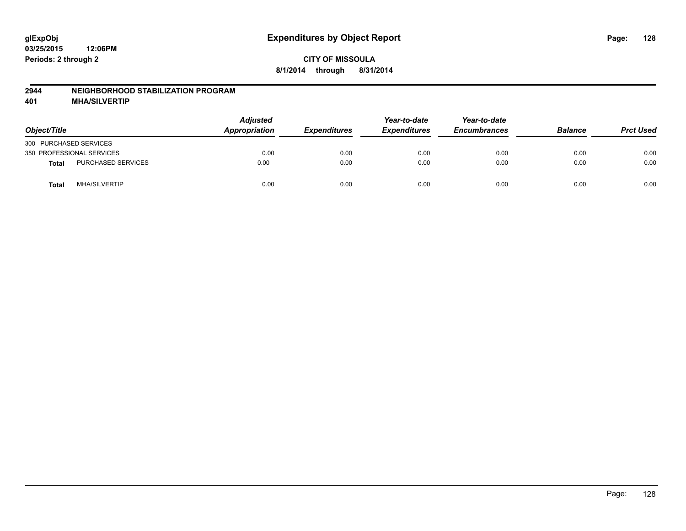#### **2944 NEIGHBORHOOD STABILIZATION PROGRAM**

**401 MHA/SILVERTIP**

| Object/Title                         | <b>Adjusted</b><br><b>Appropriation</b> | <b>Expenditures</b> | Year-to-date<br><b>Expenditures</b> | Year-to-date<br><b>Encumbrances</b> | <b>Balance</b> | <b>Prct Used</b> |
|--------------------------------------|-----------------------------------------|---------------------|-------------------------------------|-------------------------------------|----------------|------------------|
| 300 PURCHASED SERVICES               |                                         |                     |                                     |                                     |                |                  |
| 350 PROFESSIONAL SERVICES            | 0.00                                    | 0.00                | 0.00                                | 0.00                                | 0.00           | 0.00             |
| PURCHASED SERVICES<br>Total          | 0.00                                    | 0.00                | 0.00                                | 0.00                                | 0.00           | 0.00             |
| <b>MHA/SILVERTIP</b><br><b>Total</b> | 0.00                                    | 0.00                | 0.00                                | 0.00                                | 0.00           | 0.00             |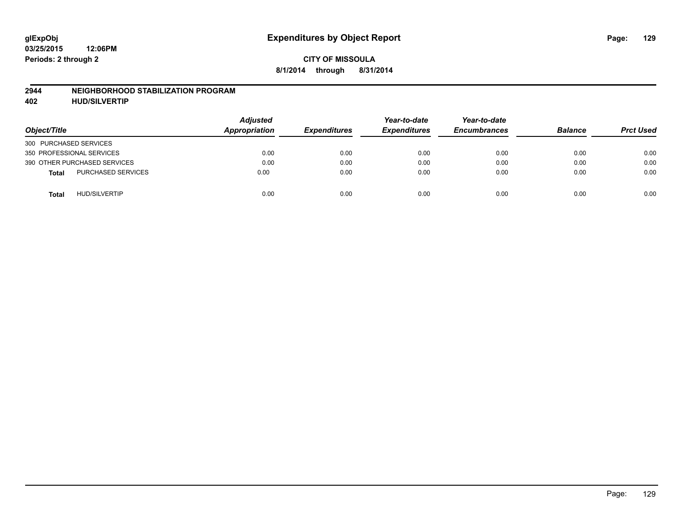#### **2944 NEIGHBORHOOD STABILIZATION PROGRAM**

**402 HUD/SILVERTIP**

| Object/Title                              | <b>Adjusted</b><br>Appropriation | <b>Expenditures</b> | Year-to-date<br><b>Expenditures</b> | Year-to-date<br><b>Encumbrances</b> | <b>Balance</b> | <b>Prct Used</b> |
|-------------------------------------------|----------------------------------|---------------------|-------------------------------------|-------------------------------------|----------------|------------------|
| 300 PURCHASED SERVICES                    |                                  |                     |                                     |                                     |                |                  |
| 350 PROFESSIONAL SERVICES                 | 0.00                             | 0.00                | 0.00                                | 0.00                                | 0.00           | 0.00             |
| 390 OTHER PURCHASED SERVICES              | 0.00                             | 0.00                | 0.00                                | 0.00                                | 0.00           | 0.00             |
| <b>PURCHASED SERVICES</b><br><b>Total</b> | 0.00                             | 0.00                | 0.00                                | 0.00                                | 0.00           | 0.00             |
| <b>HUD/SILVERTIP</b><br><b>Total</b>      | 0.00                             | 0.00                | 0.00                                | 0.00                                | 0.00           | 0.00             |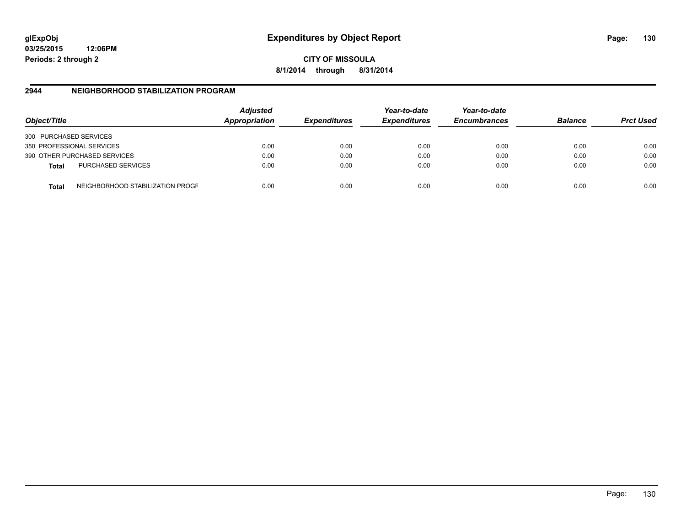**03/25/2015 12:06PM Periods: 2 through 2**

**CITY OF MISSOULA 8/1/2014 through 8/31/2014**

### **2944 NEIGHBORHOOD STABILIZATION PROGRAM**

| Object/Title           |                                  | <b>Adjusted</b><br>Appropriation | <b>Expenditures</b> | Year-to-date<br><b>Expenditures</b> | Year-to-date<br><b>Encumbrances</b> | <b>Balance</b> | <b>Prct Used</b> |
|------------------------|----------------------------------|----------------------------------|---------------------|-------------------------------------|-------------------------------------|----------------|------------------|
| 300 PURCHASED SERVICES |                                  |                                  |                     |                                     |                                     |                |                  |
|                        | 350 PROFESSIONAL SERVICES        | 0.00                             | 0.00                | 0.00                                | 0.00                                | 0.00           | 0.00             |
|                        | 390 OTHER PURCHASED SERVICES     | 0.00                             | 0.00                | 0.00                                | 0.00                                | 0.00           | 0.00             |
| <b>Total</b>           | <b>PURCHASED SERVICES</b>        | 0.00                             | 0.00                | 0.00                                | 0.00                                | 0.00           | 0.00             |
| Total                  | NEIGHBORHOOD STABILIZATION PROGF | 0.00                             | 0.00                | 0.00                                | 0.00                                | 0.00           | 0.00             |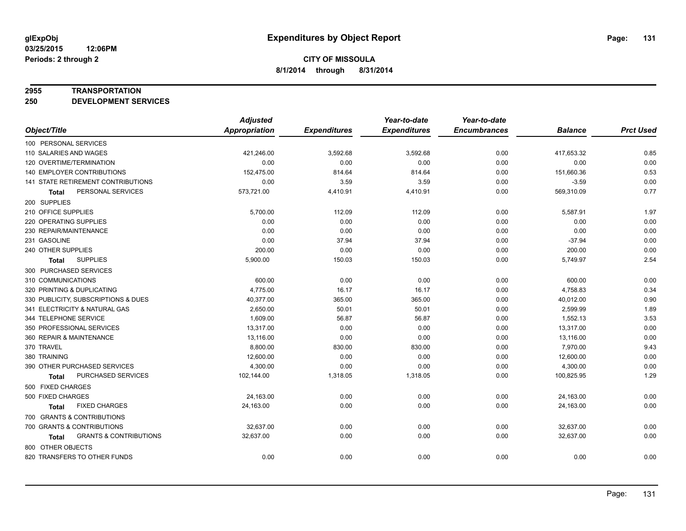#### **2955 TRANSPORTATION**

**250 DEVELOPMENT SERVICES**

|                                            | <b>Adjusted</b>      |                     | Year-to-date        | Year-to-date        |                |                  |
|--------------------------------------------|----------------------|---------------------|---------------------|---------------------|----------------|------------------|
| Object/Title                               | <b>Appropriation</b> | <b>Expenditures</b> | <b>Expenditures</b> | <b>Encumbrances</b> | <b>Balance</b> | <b>Prct Used</b> |
| 100 PERSONAL SERVICES                      |                      |                     |                     |                     |                |                  |
| 110 SALARIES AND WAGES                     | 421,246.00           | 3,592.68            | 3,592.68            | 0.00                | 417,653.32     | 0.85             |
| 120 OVERTIME/TERMINATION                   | 0.00                 | 0.00                | 0.00                | 0.00                | 0.00           | 0.00             |
| 140 EMPLOYER CONTRIBUTIONS                 | 152,475.00           | 814.64              | 814.64              | 0.00                | 151,660.36     | 0.53             |
| 141 STATE RETIREMENT CONTRIBUTIONS         | 0.00                 | 3.59                | 3.59                | 0.00                | $-3.59$        | 0.00             |
| PERSONAL SERVICES<br>Total                 | 573,721.00           | 4,410.91            | 4,410.91            | 0.00                | 569,310.09     | 0.77             |
| 200 SUPPLIES                               |                      |                     |                     |                     |                |                  |
| 210 OFFICE SUPPLIES                        | 5,700.00             | 112.09              | 112.09              | 0.00                | 5,587.91       | 1.97             |
| 220 OPERATING SUPPLIES                     | 0.00                 | 0.00                | 0.00                | 0.00                | 0.00           | 0.00             |
| 230 REPAIR/MAINTENANCE                     | 0.00                 | 0.00                | 0.00                | 0.00                | 0.00           | 0.00             |
| 231 GASOLINE                               | 0.00                 | 37.94               | 37.94               | 0.00                | $-37.94$       | 0.00             |
| 240 OTHER SUPPLIES                         | 200.00               | 0.00                | 0.00                | 0.00                | 200.00         | 0.00             |
| <b>SUPPLIES</b><br><b>Total</b>            | 5,900.00             | 150.03              | 150.03              | 0.00                | 5,749.97       | 2.54             |
| 300 PURCHASED SERVICES                     |                      |                     |                     |                     |                |                  |
| 310 COMMUNICATIONS                         | 600.00               | 0.00                | 0.00                | 0.00                | 600.00         | 0.00             |
| 320 PRINTING & DUPLICATING                 | 4,775.00             | 16.17               | 16.17               | 0.00                | 4,758.83       | 0.34             |
| 330 PUBLICITY, SUBSCRIPTIONS & DUES        | 40,377.00            | 365.00              | 365.00              | 0.00                | 40,012.00      | 0.90             |
| 341 ELECTRICITY & NATURAL GAS              | 2,650.00             | 50.01               | 50.01               | 0.00                | 2,599.99       | 1.89             |
| 344 TELEPHONE SERVICE                      | 1.609.00             | 56.87               | 56.87               | 0.00                | 1,552.13       | 3.53             |
| 350 PROFESSIONAL SERVICES                  | 13,317.00            | 0.00                | 0.00                | 0.00                | 13,317.00      | 0.00             |
| 360 REPAIR & MAINTENANCE                   | 13,116.00            | 0.00                | 0.00                | 0.00                | 13,116.00      | 0.00             |
| 370 TRAVEL                                 | 8,800.00             | 830.00              | 830.00              | 0.00                | 7,970.00       | 9.43             |
| 380 TRAINING                               | 12,600.00            | 0.00                | 0.00                | 0.00                | 12,600.00      | 0.00             |
| 390 OTHER PURCHASED SERVICES               | 4,300.00             | 0.00                | 0.00                | 0.00                | 4,300.00       | 0.00             |
| PURCHASED SERVICES<br>Total                | 102,144.00           | 1,318.05            | 1,318.05            | 0.00                | 100,825.95     | 1.29             |
| 500 FIXED CHARGES                          |                      |                     |                     |                     |                |                  |
| 500 FIXED CHARGES                          | 24,163.00            | 0.00                | 0.00                | 0.00                | 24,163.00      | 0.00             |
| <b>FIXED CHARGES</b><br><b>Total</b>       | 24,163.00            | 0.00                | 0.00                | 0.00                | 24,163.00      | 0.00             |
| 700 GRANTS & CONTRIBUTIONS                 |                      |                     |                     |                     |                |                  |
| 700 GRANTS & CONTRIBUTIONS                 | 32,637.00            | 0.00                | 0.00                | 0.00                | 32,637.00      | 0.00             |
| <b>GRANTS &amp; CONTRIBUTIONS</b><br>Total | 32,637.00            | 0.00                | 0.00                | 0.00                | 32,637.00      | 0.00             |
| 800 OTHER OBJECTS                          |                      |                     |                     |                     |                |                  |
| 820 TRANSFERS TO OTHER FUNDS               | 0.00                 | 0.00                | 0.00                | 0.00                | 0.00           | 0.00             |
|                                            |                      |                     |                     |                     |                |                  |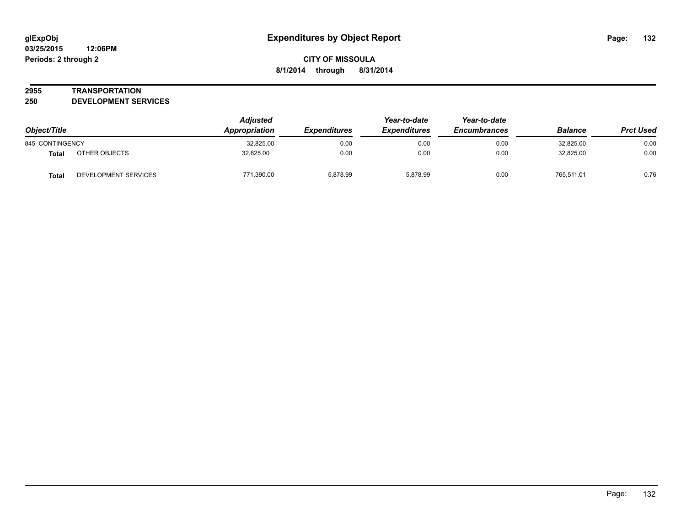#### **2955 TRANSPORTATION**

**250 DEVELOPMENT SERVICES**

| Object/Title    |                      | <b>Adjusted</b><br>Appropriation | <b>Expenditures</b> | Year-to-date<br><b>Expenditures</b> | Year-to-date<br><b>Encumbrances</b> | <b>Balance</b> | <b>Prct Used</b> |
|-----------------|----------------------|----------------------------------|---------------------|-------------------------------------|-------------------------------------|----------------|------------------|
| 845 CONTINGENCY |                      | 32,825.00                        | 0.00                | 0.00                                | 0.00                                | 32,825.00      | 0.00             |
| Total           | OTHER OBJECTS        | 32,825.00                        | 0.00                | 0.00                                | 0.00                                | 32,825.00      | 0.00             |
| <b>Total</b>    | DEVELOPMENT SERVICES | 771,390.00                       | 5,878.99            | 5,878.99                            | 0.00                                | 765,511.01     | 0.76             |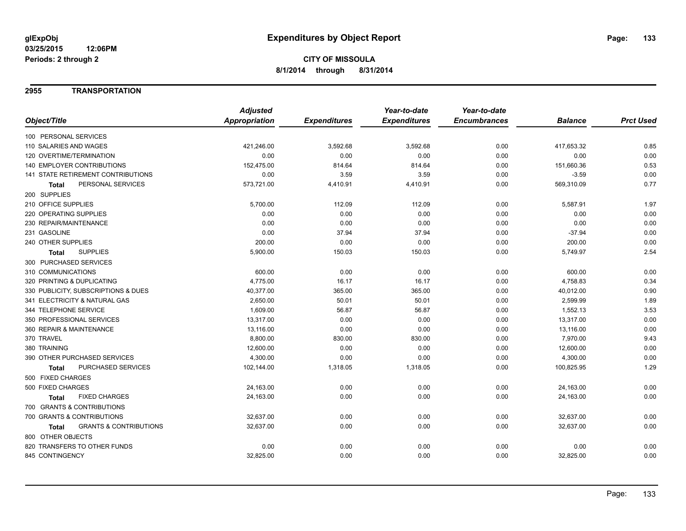### **2955 TRANSPORTATION**

|                                                   | <b>Adjusted</b> |                     | Year-to-date        | Year-to-date        |                |                  |
|---------------------------------------------------|-----------------|---------------------|---------------------|---------------------|----------------|------------------|
| Object/Title                                      | Appropriation   | <b>Expenditures</b> | <b>Expenditures</b> | <b>Encumbrances</b> | <b>Balance</b> | <b>Prct Used</b> |
| 100 PERSONAL SERVICES                             |                 |                     |                     |                     |                |                  |
| 110 SALARIES AND WAGES                            | 421,246.00      | 3,592.68            | 3,592.68            | 0.00                | 417,653.32     | 0.85             |
| 120 OVERTIME/TERMINATION                          | 0.00            | 0.00                | 0.00                | 0.00                | 0.00           | 0.00             |
| <b>140 EMPLOYER CONTRIBUTIONS</b>                 | 152,475.00      | 814.64              | 814.64              | 0.00                | 151,660.36     | 0.53             |
| <b>141 STATE RETIREMENT CONTRIBUTIONS</b>         | 0.00            | 3.59                | 3.59                | 0.00                | $-3.59$        | 0.00             |
| PERSONAL SERVICES<br><b>Total</b>                 | 573,721.00      | 4,410.91            | 4,410.91            | 0.00                | 569,310.09     | 0.77             |
| 200 SUPPLIES                                      |                 |                     |                     |                     |                |                  |
| 210 OFFICE SUPPLIES                               | 5,700.00        | 112.09              | 112.09              | 0.00                | 5,587.91       | 1.97             |
| 220 OPERATING SUPPLIES                            | 0.00            | 0.00                | 0.00                | 0.00                | 0.00           | 0.00             |
| 230 REPAIR/MAINTENANCE                            | 0.00            | 0.00                | 0.00                | 0.00                | 0.00           | 0.00             |
| 231 GASOLINE                                      | 0.00            | 37.94               | 37.94               | 0.00                | $-37.94$       | 0.00             |
| 240 OTHER SUPPLIES                                | 200.00          | 0.00                | 0.00                | 0.00                | 200.00         | 0.00             |
| <b>SUPPLIES</b><br><b>Total</b>                   | 5,900.00        | 150.03              | 150.03              | 0.00                | 5,749.97       | 2.54             |
| 300 PURCHASED SERVICES                            |                 |                     |                     |                     |                |                  |
| 310 COMMUNICATIONS                                | 600.00          | 0.00                | 0.00                | 0.00                | 600.00         | 0.00             |
| 320 PRINTING & DUPLICATING                        | 4,775.00        | 16.17               | 16.17               | 0.00                | 4,758.83       | 0.34             |
| 330 PUBLICITY, SUBSCRIPTIONS & DUES               | 40,377.00       | 365.00              | 365.00              | 0.00                | 40,012.00      | 0.90             |
| 341 ELECTRICITY & NATURAL GAS                     | 2,650.00        | 50.01               | 50.01               | 0.00                | 2,599.99       | 1.89             |
| 344 TELEPHONE SERVICE                             | 1,609.00        | 56.87               | 56.87               | 0.00                | 1,552.13       | 3.53             |
| 350 PROFESSIONAL SERVICES                         | 13,317.00       | 0.00                | 0.00                | 0.00                | 13,317.00      | 0.00             |
| 360 REPAIR & MAINTENANCE                          | 13,116.00       | 0.00                | 0.00                | 0.00                | 13,116.00      | 0.00             |
| 370 TRAVEL                                        | 8,800.00        | 830.00              | 830.00              | 0.00                | 7,970.00       | 9.43             |
| 380 TRAINING                                      | 12,600.00       | 0.00                | 0.00                | 0.00                | 12,600.00      | 0.00             |
| 390 OTHER PURCHASED SERVICES                      | 4,300.00        | 0.00                | 0.00                | 0.00                | 4,300.00       | 0.00             |
| PURCHASED SERVICES<br><b>Total</b>                | 102,144.00      | 1,318.05            | 1,318.05            | 0.00                | 100,825.95     | 1.29             |
| 500 FIXED CHARGES                                 |                 |                     |                     |                     |                |                  |
| 500 FIXED CHARGES                                 | 24,163.00       | 0.00                | 0.00                | 0.00                | 24,163.00      | 0.00             |
| <b>FIXED CHARGES</b><br>Total                     | 24,163.00       | 0.00                | 0.00                | 0.00                | 24,163.00      | 0.00             |
| 700 GRANTS & CONTRIBUTIONS                        |                 |                     |                     |                     |                |                  |
| 700 GRANTS & CONTRIBUTIONS                        | 32,637.00       | 0.00                | 0.00                | 0.00                | 32,637.00      | 0.00             |
| <b>GRANTS &amp; CONTRIBUTIONS</b><br><b>Total</b> | 32,637.00       | 0.00                | 0.00                | 0.00                | 32,637.00      | 0.00             |
| 800 OTHER OBJECTS                                 |                 |                     |                     |                     |                |                  |
| 820 TRANSFERS TO OTHER FUNDS                      | 0.00            | 0.00                | 0.00                | 0.00                | 0.00           | 0.00             |
| 845 CONTINGENCY                                   | 32,825.00       | 0.00                | 0.00                | 0.00                | 32,825.00      | 0.00             |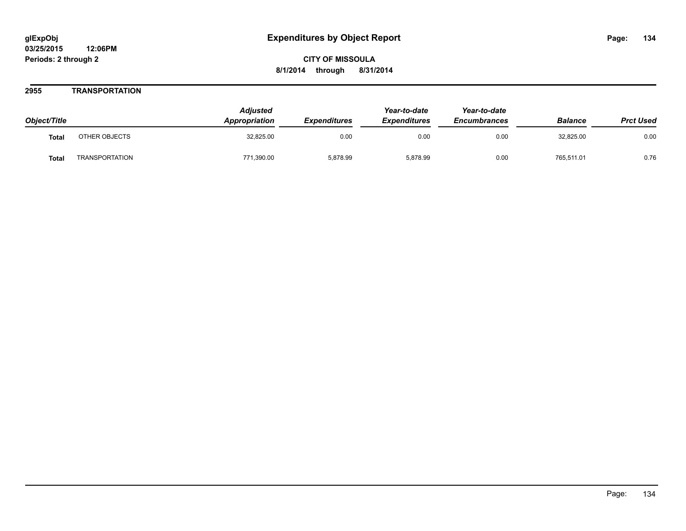### **2955 TRANSPORTATION**

| Object/Title |                       | <b>Adjusted</b><br>Appropriation | <b>Expenditures</b> | Year-to-date<br><b>Expenditures</b> | Year-to-date<br><b>Encumbrances</b> | <b>Balance</b> | <b>Prct Used</b> |
|--------------|-----------------------|----------------------------------|---------------------|-------------------------------------|-------------------------------------|----------------|------------------|
| <b>Total</b> | OTHER OBJECTS         | 32,825.00                        | 0.00                | 0.00                                | 0.00                                | 32.825.00      | 0.00             |
| <b>Total</b> | <b>TRANSPORTATION</b> | 771,390.00                       | 5.878.99            | 5,878.99                            | 0.00                                | 765,511.01     | 0.76             |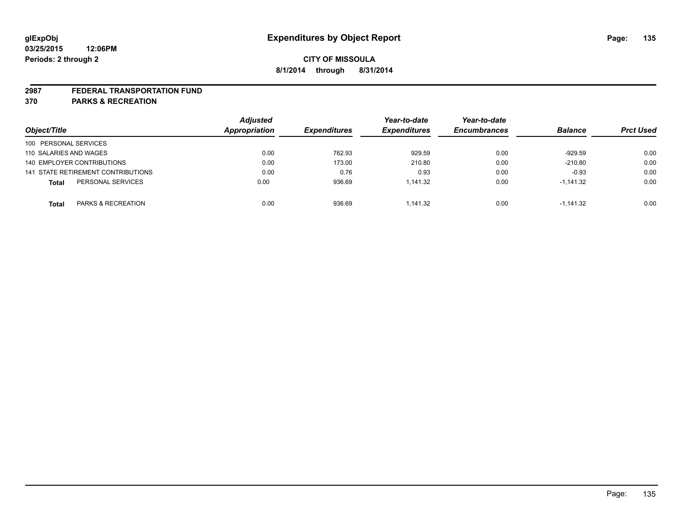#### **2987 FEDERAL TRANSPORTATION FUND**

**370 PARKS & RECREATION**

|                        |                                    | <b>Adjusted</b> |                     | Year-to-date        | Year-to-date        |                |                  |
|------------------------|------------------------------------|-----------------|---------------------|---------------------|---------------------|----------------|------------------|
| Object/Title           |                                    | Appropriation   | <b>Expenditures</b> | <b>Expenditures</b> | <b>Encumbrances</b> | <b>Balance</b> | <b>Prct Used</b> |
| 100 PERSONAL SERVICES  |                                    |                 |                     |                     |                     |                |                  |
| 110 SALARIES AND WAGES |                                    | 0.00            | 762.93              | 929.59              | 0.00                | $-929.59$      | 0.00             |
|                        | 140 EMPLOYER CONTRIBUTIONS         | 0.00            | 173.00              | 210.80              | 0.00                | $-210.80$      | 0.00             |
|                        | 141 STATE RETIREMENT CONTRIBUTIONS | 0.00            | 0.76                | 0.93                | 0.00                | $-0.93$        | 0.00             |
| <b>Total</b>           | PERSONAL SERVICES                  | 0.00            | 936.69              | 1.141.32            | 0.00                | $-1,141.32$    | 0.00             |
| <b>Total</b>           | <b>PARKS &amp; RECREATION</b>      | 0.00            | 936.69              | 1.141.32            | 0.00                | $-1.141.32$    | 0.00             |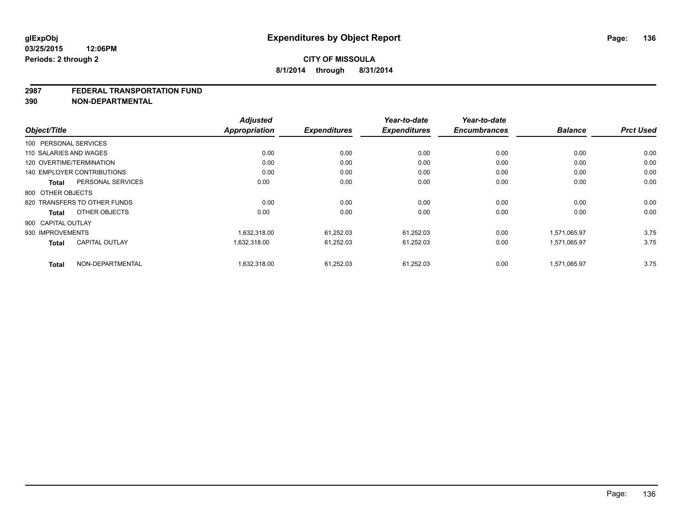#### **2987 FEDERAL TRANSPORTATION FUND**

**390 NON-DEPARTMENTAL**

|                                       | <b>Adjusted</b> |                     | Year-to-date        | Year-to-date        |                |                  |
|---------------------------------------|-----------------|---------------------|---------------------|---------------------|----------------|------------------|
| Object/Title                          | Appropriation   | <b>Expenditures</b> | <b>Expenditures</b> | <b>Encumbrances</b> | <b>Balance</b> | <b>Prct Used</b> |
| 100 PERSONAL SERVICES                 |                 |                     |                     |                     |                |                  |
| 110 SALARIES AND WAGES                | 0.00            | 0.00                | 0.00                | 0.00                | 0.00           | 0.00             |
| 120 OVERTIME/TERMINATION              | 0.00            | 0.00                | 0.00                | 0.00                | 0.00           | 0.00             |
| <b>140 EMPLOYER CONTRIBUTIONS</b>     | 0.00            | 0.00                | 0.00                | 0.00                | 0.00           | 0.00             |
| PERSONAL SERVICES<br><b>Total</b>     | 0.00            | 0.00                | 0.00                | 0.00                | 0.00           | 0.00             |
| 800 OTHER OBJECTS                     |                 |                     |                     |                     |                |                  |
| 820 TRANSFERS TO OTHER FUNDS          | 0.00            | 0.00                | 0.00                | 0.00                | 0.00           | 0.00             |
| OTHER OBJECTS<br><b>Total</b>         | 0.00            | 0.00                | 0.00                | 0.00                | 0.00           | 0.00             |
| 900 CAPITAL OUTLAY                    |                 |                     |                     |                     |                |                  |
| 930 IMPROVEMENTS                      | 1,632,318.00    | 61,252.03           | 61,252.03           | 0.00                | 1,571,065.97   | 3.75             |
| <b>CAPITAL OUTLAY</b><br><b>Total</b> | 1,632,318.00    | 61,252.03           | 61,252.03           | 0.00                | 1,571,065.97   | 3.75             |
| NON-DEPARTMENTAL<br><b>Total</b>      | 1,632,318.00    | 61,252.03           | 61,252.03           | 0.00                | 1,571,065.97   | 3.75             |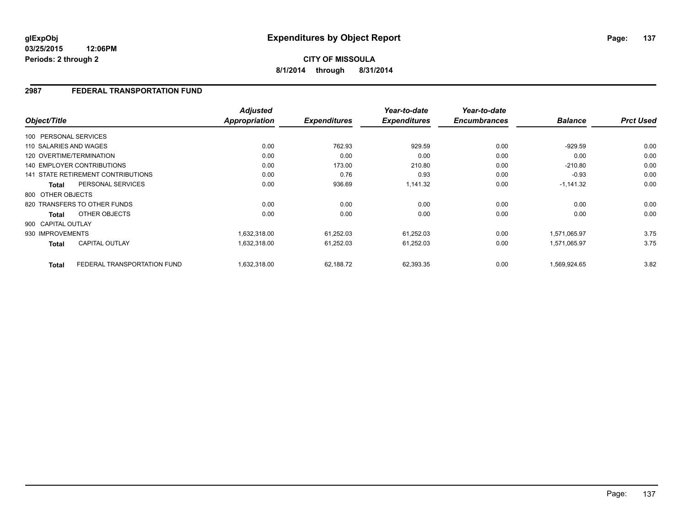**03/25/2015 12:06PM Periods: 2 through 2**

# **CITY OF MISSOULA 8/1/2014 through 8/31/2014**

# **2987 FEDERAL TRANSPORTATION FUND**

|                          |                                    | <b>Adjusted</b> |                     | Year-to-date        | Year-to-date        |                |                  |
|--------------------------|------------------------------------|-----------------|---------------------|---------------------|---------------------|----------------|------------------|
| Object/Title             |                                    | Appropriation   | <b>Expenditures</b> | <b>Expenditures</b> | <b>Encumbrances</b> | <b>Balance</b> | <b>Prct Used</b> |
| 100 PERSONAL SERVICES    |                                    |                 |                     |                     |                     |                |                  |
| 110 SALARIES AND WAGES   |                                    | 0.00            | 762.93              | 929.59              | 0.00                | $-929.59$      | 0.00             |
| 120 OVERTIME/TERMINATION |                                    | 0.00            | 0.00                | 0.00                | 0.00                | 0.00           | 0.00             |
|                          | 140 EMPLOYER CONTRIBUTIONS         | 0.00            | 173.00              | 210.80              | 0.00                | $-210.80$      | 0.00             |
|                          | 141 STATE RETIREMENT CONTRIBUTIONS | 0.00            | 0.76                | 0.93                | 0.00                | $-0.93$        | 0.00             |
| <b>Total</b>             | PERSONAL SERVICES                  | 0.00            | 936.69              | 1.141.32            | 0.00                | $-1,141.32$    | 0.00             |
| 800 OTHER OBJECTS        |                                    |                 |                     |                     |                     |                |                  |
|                          | 820 TRANSFERS TO OTHER FUNDS       | 0.00            | 0.00                | 0.00                | 0.00                | 0.00           | 0.00             |
| <b>Total</b>             | OTHER OBJECTS                      | 0.00            | 0.00                | 0.00                | 0.00                | 0.00           | 0.00             |
| 900 CAPITAL OUTLAY       |                                    |                 |                     |                     |                     |                |                  |
| 930 IMPROVEMENTS         |                                    | 1,632,318.00    | 61,252.03           | 61,252.03           | 0.00                | 1,571,065.97   | 3.75             |
| <b>Total</b>             | CAPITAL OUTLAY                     | 1,632,318.00    | 61,252.03           | 61,252.03           | 0.00                | 1,571,065.97   | 3.75             |
| <b>Total</b>             | FEDERAL TRANSPORTATION FUND        | 1,632,318.00    | 62,188.72           | 62,393.35           | 0.00                | 1,569,924.65   | 3.82             |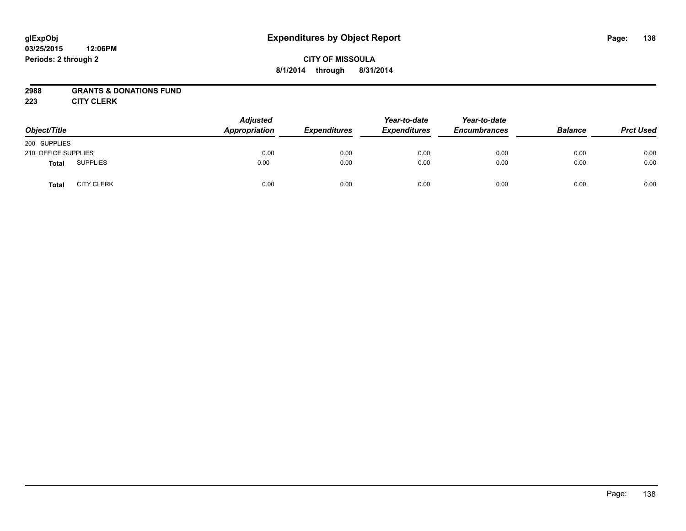#### **03/25/2015 12:06PM Periods: 2 through 2**

# **CITY OF MISSOULA 8/1/2014 through 8/31/2014**

## **2988 GRANTS & DONATIONS FUND**

**223 CITY CLERK**

| Object/Title        |                   | <b>Adjusted</b><br>Appropriation | <b>Expenditures</b> | Year-to-date<br><b>Expenditures</b> | Year-to-date<br><b>Encumbrances</b> | <b>Balance</b> | <b>Prct Used</b> |
|---------------------|-------------------|----------------------------------|---------------------|-------------------------------------|-------------------------------------|----------------|------------------|
| 200 SUPPLIES        |                   |                                  |                     |                                     |                                     |                |                  |
| 210 OFFICE SUPPLIES |                   | 0.00                             | 0.00                | 0.00                                | 0.00                                | 0.00           | 0.00             |
| <b>Total</b>        | <b>SUPPLIES</b>   | 0.00                             | 0.00                | 0.00                                | 0.00                                | 0.00           | 0.00             |
| <b>Total</b>        | <b>CITY CLERK</b> | 0.00                             | 0.00                | 0.00                                | 0.00                                | 0.00           | 0.00             |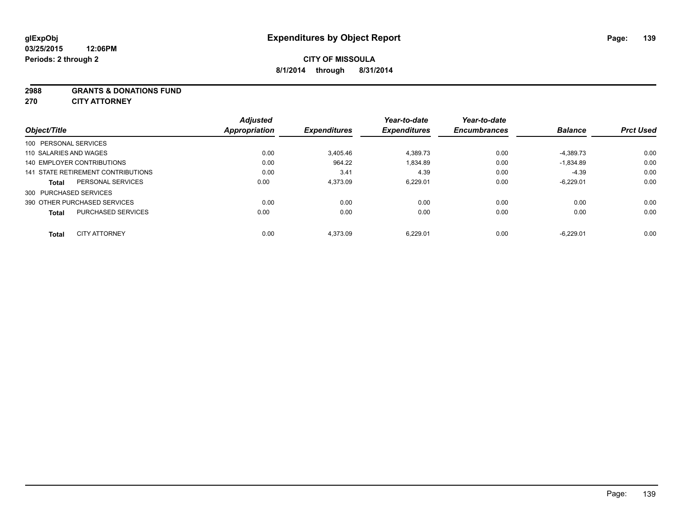#### **2988 GRANTS & DONATIONS FUND**

**270 CITY ATTORNEY**

| Object/Title           |                                    | <b>Adjusted</b><br><b>Appropriation</b> | <b>Expenditures</b> | Year-to-date<br><b>Expenditures</b> | Year-to-date<br><b>Encumbrances</b> | <b>Balance</b> | <b>Prct Used</b> |
|------------------------|------------------------------------|-----------------------------------------|---------------------|-------------------------------------|-------------------------------------|----------------|------------------|
| 100 PERSONAL SERVICES  |                                    |                                         |                     |                                     |                                     |                |                  |
| 110 SALARIES AND WAGES |                                    | 0.00                                    | 3.405.46            | 4,389.73                            | 0.00                                | $-4,389.73$    | 0.00             |
|                        | 140 EMPLOYER CONTRIBUTIONS         | 0.00                                    | 964.22              | 1,834.89                            | 0.00                                | $-1,834.89$    | 0.00             |
|                        | 141 STATE RETIREMENT CONTRIBUTIONS | 0.00                                    | 3.41                | 4.39                                | 0.00                                | $-4.39$        | 0.00             |
| <b>Total</b>           | PERSONAL SERVICES                  | 0.00                                    | 4.373.09            | 6.229.01                            | 0.00                                | $-6.229.01$    | 0.00             |
| 300 PURCHASED SERVICES |                                    |                                         |                     |                                     |                                     |                |                  |
|                        | 390 OTHER PURCHASED SERVICES       | 0.00                                    | 0.00                | 0.00                                | 0.00                                | 0.00           | 0.00             |
| <b>Total</b>           | <b>PURCHASED SERVICES</b>          | 0.00                                    | 0.00                | 0.00                                | 0.00                                | 0.00           | 0.00             |
| <b>Total</b>           | <b>CITY ATTORNEY</b>               | 0.00                                    | 4.373.09            | 6,229.01                            | 0.00                                | $-6.229.01$    | 0.00             |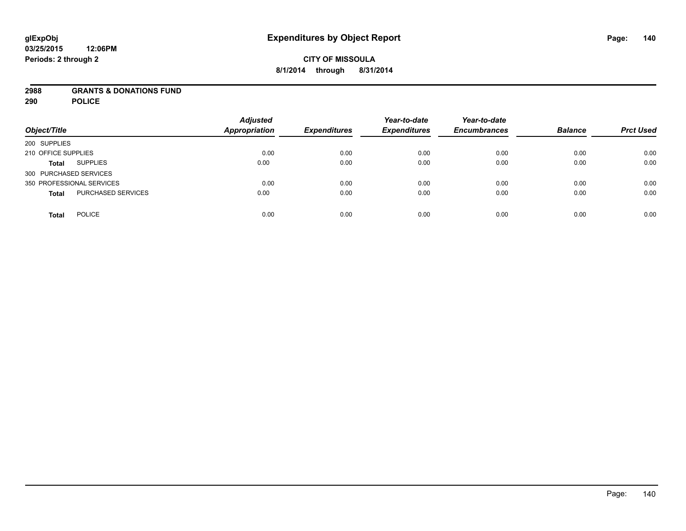### **2988 GRANTS & DONATIONS FUND**

**290 POLICE**

| Object/Title                       | <b>Adjusted</b><br><b>Appropriation</b> | <b>Expenditures</b> | Year-to-date<br><b>Expenditures</b> | Year-to-date<br><b>Encumbrances</b> | <b>Balance</b> | <b>Prct Used</b> |
|------------------------------------|-----------------------------------------|---------------------|-------------------------------------|-------------------------------------|----------------|------------------|
| 200 SUPPLIES                       |                                         |                     |                                     |                                     |                |                  |
| 210 OFFICE SUPPLIES                | 0.00                                    | 0.00                | 0.00                                | 0.00                                | 0.00           | 0.00             |
| <b>SUPPLIES</b><br><b>Total</b>    | 0.00                                    | 0.00                | 0.00                                | 0.00                                | 0.00           | 0.00             |
| 300 PURCHASED SERVICES             |                                         |                     |                                     |                                     |                |                  |
| 350 PROFESSIONAL SERVICES          | 0.00                                    | 0.00                | 0.00                                | 0.00                                | 0.00           | 0.00             |
| PURCHASED SERVICES<br><b>Total</b> | 0.00                                    | 0.00                | 0.00                                | 0.00                                | 0.00           | 0.00             |
| <b>POLICE</b><br><b>Total</b>      | 0.00                                    | 0.00                | 0.00                                | 0.00                                | 0.00           | 0.00             |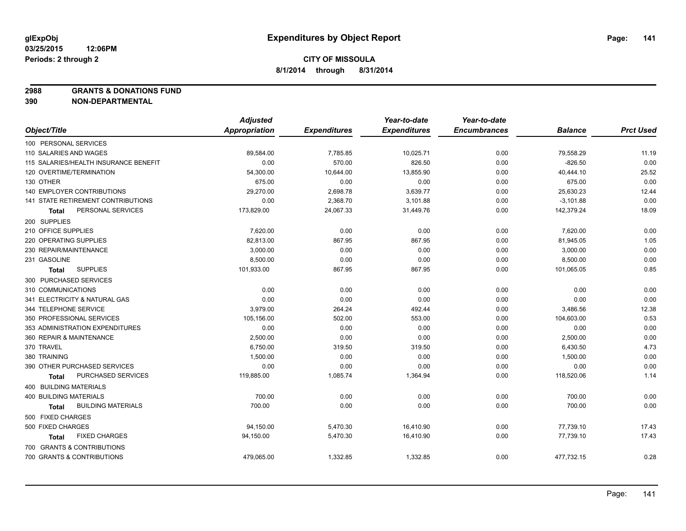**2988 GRANTS & DONATIONS FUND**

**390 NON-DEPARTMENTAL**

|                                           | <b>Adjusted</b>      |                     | Year-to-date        | Year-to-date        |                |                  |
|-------------------------------------------|----------------------|---------------------|---------------------|---------------------|----------------|------------------|
| Object/Title                              | <b>Appropriation</b> | <b>Expenditures</b> | <b>Expenditures</b> | <b>Encumbrances</b> | <b>Balance</b> | <b>Prct Used</b> |
| 100 PERSONAL SERVICES                     |                      |                     |                     |                     |                |                  |
| 110 SALARIES AND WAGES                    | 89,584.00            | 7,785.85            | 10,025.71           | 0.00                | 79,558.29      | 11.19            |
| 115 SALARIES/HEALTH INSURANCE BENEFIT     | 0.00                 | 570.00              | 826.50              | 0.00                | $-826.50$      | 0.00             |
| 120 OVERTIME/TERMINATION                  | 54,300.00            | 10,644.00           | 13,855.90           | 0.00                | 40,444.10      | 25.52            |
| 130 OTHER                                 | 675.00               | 0.00                | 0.00                | 0.00                | 675.00         | 0.00             |
| 140 EMPLOYER CONTRIBUTIONS                | 29,270.00            | 2,698.78            | 3,639.77            | 0.00                | 25,630.23      | 12.44            |
| 141 STATE RETIREMENT CONTRIBUTIONS        | 0.00                 | 2,368.70            | 3,101.88            | 0.00                | $-3,101.88$    | 0.00             |
| PERSONAL SERVICES<br>Total                | 173,829.00           | 24,067.33           | 31,449.76           | 0.00                | 142,379.24     | 18.09            |
| 200 SUPPLIES                              |                      |                     |                     |                     |                |                  |
| 210 OFFICE SUPPLIES                       | 7,620.00             | 0.00                | 0.00                | 0.00                | 7,620.00       | 0.00             |
| 220 OPERATING SUPPLIES                    | 82,813.00            | 867.95              | 867.95              | 0.00                | 81,945.05      | 1.05             |
| 230 REPAIR/MAINTENANCE                    | 3,000.00             | 0.00                | 0.00                | 0.00                | 3,000.00       | 0.00             |
| 231 GASOLINE                              | 8,500.00             | 0.00                | 0.00                | 0.00                | 8,500.00       | 0.00             |
| <b>SUPPLIES</b><br><b>Total</b>           | 101,933.00           | 867.95              | 867.95              | 0.00                | 101,065.05     | 0.85             |
| 300 PURCHASED SERVICES                    |                      |                     |                     |                     |                |                  |
| 310 COMMUNICATIONS                        | 0.00                 | 0.00                | 0.00                | 0.00                | 0.00           | 0.00             |
| 341 ELECTRICITY & NATURAL GAS             | 0.00                 | 0.00                | 0.00                | 0.00                | 0.00           | 0.00             |
| 344 TELEPHONE SERVICE                     | 3,979.00             | 264.24              | 492.44              | 0.00                | 3,486.56       | 12.38            |
| 350 PROFESSIONAL SERVICES                 | 105,156.00           | 502.00              | 553.00              | 0.00                | 104,603.00     | 0.53             |
| 353 ADMINISTRATION EXPENDITURES           | 0.00                 | 0.00                | 0.00                | 0.00                | 0.00           | 0.00             |
| 360 REPAIR & MAINTENANCE                  | 2,500.00             | 0.00                | 0.00                | 0.00                | 2,500.00       | 0.00             |
| 370 TRAVEL                                | 6,750.00             | 319.50              | 319.50              | 0.00                | 6,430.50       | 4.73             |
| 380 TRAINING                              | 1,500.00             | 0.00                | 0.00                | 0.00                | 1,500.00       | 0.00             |
| 390 OTHER PURCHASED SERVICES              | 0.00                 | 0.00                | 0.00                | 0.00                | 0.00           | 0.00             |
| PURCHASED SERVICES<br>Total               | 119,885.00           | 1,085.74            | 1,364.94            | 0.00                | 118,520.06     | 1.14             |
| 400 BUILDING MATERIALS                    |                      |                     |                     |                     |                |                  |
| <b>400 BUILDING MATERIALS</b>             | 700.00               | 0.00                | 0.00                | 0.00                | 700.00         | 0.00             |
| <b>BUILDING MATERIALS</b><br><b>Total</b> | 700.00               | 0.00                | 0.00                | 0.00                | 700.00         | 0.00             |
| 500 FIXED CHARGES                         |                      |                     |                     |                     |                |                  |
| 500 FIXED CHARGES                         | 94,150.00            | 5,470.30            | 16,410.90           | 0.00                | 77,739.10      | 17.43            |
| <b>FIXED CHARGES</b><br>Total             | 94,150.00            | 5,470.30            | 16,410.90           | 0.00                | 77,739.10      | 17.43            |
| 700 GRANTS & CONTRIBUTIONS                |                      |                     |                     |                     |                |                  |
| 700 GRANTS & CONTRIBUTIONS                | 479,065.00           | 1,332.85            | 1,332.85            | 0.00                | 477,732.15     | 0.28             |
|                                           |                      |                     |                     |                     |                |                  |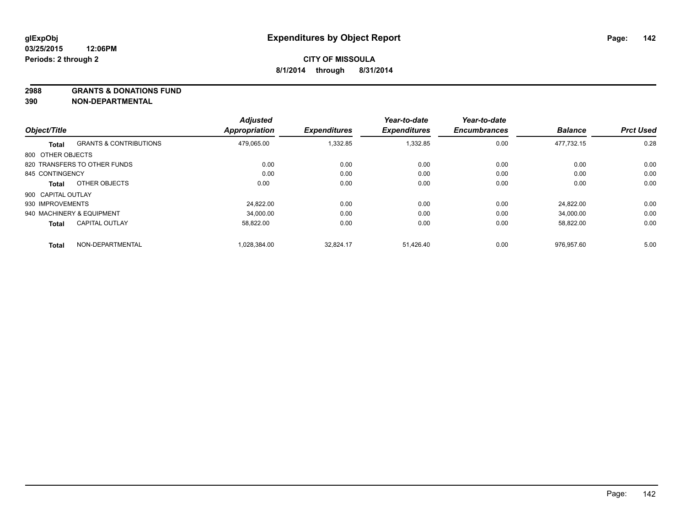**2988 GRANTS & DONATIONS FUND**

**390 NON-DEPARTMENTAL**

| Object/Title       |                                   | <b>Adjusted</b><br><b>Appropriation</b> | <b>Expenditures</b> | Year-to-date<br><b>Expenditures</b> | Year-to-date<br><b>Encumbrances</b> | <b>Balance</b> | <b>Prct Used</b> |
|--------------------|-----------------------------------|-----------------------------------------|---------------------|-------------------------------------|-------------------------------------|----------------|------------------|
|                    |                                   |                                         |                     |                                     |                                     |                |                  |
| <b>Total</b>       | <b>GRANTS &amp; CONTRIBUTIONS</b> | 479,065.00                              | 1,332.85            | 1,332.85                            | 0.00                                | 477.732.15     | 0.28             |
| 800 OTHER OBJECTS  |                                   |                                         |                     |                                     |                                     |                |                  |
|                    | 820 TRANSFERS TO OTHER FUNDS      | 0.00                                    | 0.00                | 0.00                                | 0.00                                | 0.00           | 0.00             |
| 845 CONTINGENCY    |                                   | 0.00                                    | 0.00                | 0.00                                | 0.00                                | 0.00           | 0.00             |
| <b>Total</b>       | OTHER OBJECTS                     | 0.00                                    | 0.00                | 0.00                                | 0.00                                | 0.00           | 0.00             |
| 900 CAPITAL OUTLAY |                                   |                                         |                     |                                     |                                     |                |                  |
| 930 IMPROVEMENTS   |                                   | 24.822.00                               | 0.00                | 0.00                                | 0.00                                | 24.822.00      | 0.00             |
|                    | 940 MACHINERY & EQUIPMENT         | 34.000.00                               | 0.00                | 0.00                                | 0.00                                | 34.000.00      | 0.00             |
| <b>Total</b>       | <b>CAPITAL OUTLAY</b>             | 58,822.00                               | 0.00                | 0.00                                | 0.00                                | 58,822.00      | 0.00             |
| <b>Total</b>       | NON-DEPARTMENTAL                  | 1.028.384.00                            | 32.824.17           | 51.426.40                           | 0.00                                | 976.957.60     | 5.00             |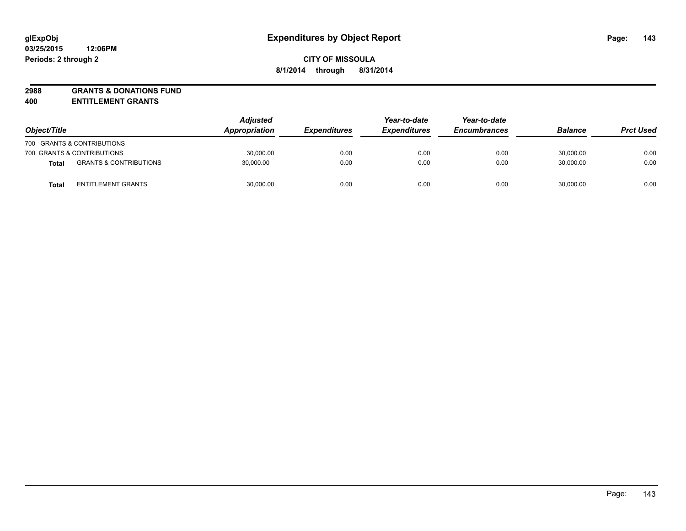# **2988 GRANTS & DONATIONS FUND**

**400 ENTITLEMENT GRANTS**

| Object/Title |                                   | <b>Adjusted</b><br>Appropriation | <b>Expenditures</b> | Year-to-date<br><b>Expenditures</b> | Year-to-date<br><b>Encumbrances</b> | <b>Balance</b> | <b>Prct Used</b> |
|--------------|-----------------------------------|----------------------------------|---------------------|-------------------------------------|-------------------------------------|----------------|------------------|
|              | 700 GRANTS & CONTRIBUTIONS        |                                  |                     |                                     |                                     |                |                  |
|              | 700 GRANTS & CONTRIBUTIONS        | 30,000.00                        | 0.00                | 0.00                                | 0.00                                | 30.000.00      | 0.00             |
| <b>Total</b> | <b>GRANTS &amp; CONTRIBUTIONS</b> | 30,000.00                        | 0.00                | 0.00                                | 0.00                                | 30,000.00      | 0.00             |
| Tota         | <b>ENTITLEMENT GRANTS</b>         | 30,000.00                        | 0.00                | 0.00                                | 0.00                                | 30,000.00      | 0.00             |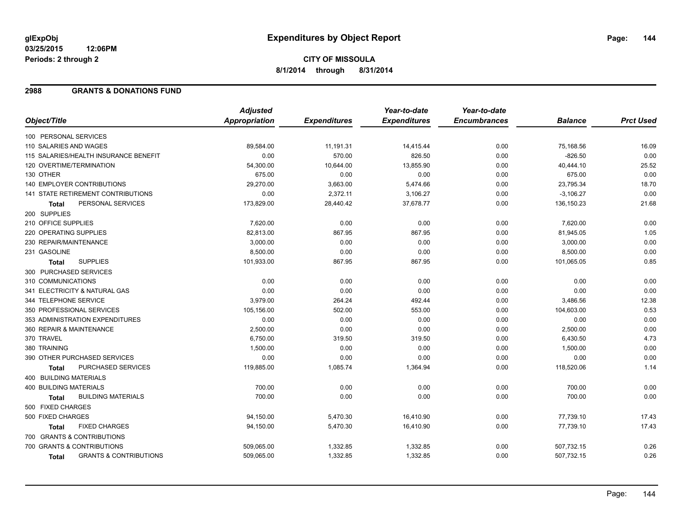**03/25/2015 12:06PM Periods: 2 through 2**

# **CITY OF MISSOULA 8/1/2014 through 8/31/2014**

#### **2988 GRANTS & DONATIONS FUND**

|                                                   | <b>Adjusted</b>      |                     | Year-to-date        | Year-to-date        |                |                  |
|---------------------------------------------------|----------------------|---------------------|---------------------|---------------------|----------------|------------------|
| Object/Title                                      | <b>Appropriation</b> | <b>Expenditures</b> | <b>Expenditures</b> | <b>Encumbrances</b> | <b>Balance</b> | <b>Prct Used</b> |
| 100 PERSONAL SERVICES                             |                      |                     |                     |                     |                |                  |
| 110 SALARIES AND WAGES                            | 89,584.00            | 11,191.31           | 14,415.44           | 0.00                | 75,168.56      | 16.09            |
| 115 SALARIES/HEALTH INSURANCE BENEFIT             | 0.00                 | 570.00              | 826.50              | 0.00                | $-826.50$      | 0.00             |
| 120 OVERTIME/TERMINATION                          | 54,300.00            | 10,644.00           | 13,855.90           | 0.00                | 40,444.10      | 25.52            |
| 130 OTHER                                         | 675.00               | 0.00                | 0.00                | 0.00                | 675.00         | 0.00             |
| <b>140 EMPLOYER CONTRIBUTIONS</b>                 | 29,270.00            | 3,663.00            | 5,474.66            | 0.00                | 23,795.34      | 18.70            |
| <b>141 STATE RETIREMENT CONTRIBUTIONS</b>         | 0.00                 | 2,372.11            | 3,106.27            | 0.00                | $-3,106.27$    | 0.00             |
| PERSONAL SERVICES<br><b>Total</b>                 | 173,829.00           | 28,440.42           | 37,678.77           | 0.00                | 136,150.23     | 21.68            |
| 200 SUPPLIES                                      |                      |                     |                     |                     |                |                  |
| 210 OFFICE SUPPLIES                               | 7,620.00             | 0.00                | 0.00                | 0.00                | 7,620.00       | 0.00             |
| 220 OPERATING SUPPLIES                            | 82,813.00            | 867.95              | 867.95              | 0.00                | 81,945.05      | 1.05             |
| 230 REPAIR/MAINTENANCE                            | 3,000.00             | 0.00                | 0.00                | 0.00                | 3,000.00       | 0.00             |
| 231 GASOLINE                                      | 8,500.00             | 0.00                | 0.00                | 0.00                | 8,500.00       | 0.00             |
| <b>SUPPLIES</b><br><b>Total</b>                   | 101,933.00           | 867.95              | 867.95              | 0.00                | 101,065.05     | 0.85             |
| 300 PURCHASED SERVICES                            |                      |                     |                     |                     |                |                  |
| 310 COMMUNICATIONS                                | 0.00                 | 0.00                | 0.00                | 0.00                | 0.00           | 0.00             |
| 341 ELECTRICITY & NATURAL GAS                     | 0.00                 | 0.00                | 0.00                | 0.00                | 0.00           | 0.00             |
| 344 TELEPHONE SERVICE                             | 3,979.00             | 264.24              | 492.44              | 0.00                | 3,486.56       | 12.38            |
| 350 PROFESSIONAL SERVICES                         | 105,156.00           | 502.00              | 553.00              | 0.00                | 104,603.00     | 0.53             |
| 353 ADMINISTRATION EXPENDITURES                   | 0.00                 | 0.00                | 0.00                | 0.00                | 0.00           | 0.00             |
| 360 REPAIR & MAINTENANCE                          | 2,500.00             | 0.00                | 0.00                | 0.00                | 2,500.00       | 0.00             |
| 370 TRAVEL                                        | 6,750.00             | 319.50              | 319.50              | 0.00                | 6,430.50       | 4.73             |
| 380 TRAINING                                      | 1,500.00             | 0.00                | 0.00                | 0.00                | 1,500.00       | 0.00             |
| 390 OTHER PURCHASED SERVICES                      | 0.00                 | 0.00                | 0.00                | 0.00                | 0.00           | 0.00             |
| <b>PURCHASED SERVICES</b><br><b>Total</b>         | 119,885.00           | 1,085.74            | 1,364.94            | 0.00                | 118,520.06     | 1.14             |
| 400 BUILDING MATERIALS                            |                      |                     |                     |                     |                |                  |
| <b>400 BUILDING MATERIALS</b>                     | 700.00               | 0.00                | 0.00                | 0.00                | 700.00         | 0.00             |
| <b>BUILDING MATERIALS</b><br><b>Total</b>         | 700.00               | 0.00                | 0.00                | 0.00                | 700.00         | 0.00             |
| 500 FIXED CHARGES                                 |                      |                     |                     |                     |                |                  |
| 500 FIXED CHARGES                                 | 94,150.00            | 5,470.30            | 16,410.90           | 0.00                | 77,739.10      | 17.43            |
| <b>FIXED CHARGES</b><br>Total                     | 94,150.00            | 5,470.30            | 16,410.90           | 0.00                | 77,739.10      | 17.43            |
| 700 GRANTS & CONTRIBUTIONS                        |                      |                     |                     |                     |                |                  |
| 700 GRANTS & CONTRIBUTIONS                        | 509,065.00           | 1,332.85            | 1,332.85            | 0.00                | 507,732.15     | 0.26             |
| <b>GRANTS &amp; CONTRIBUTIONS</b><br><b>Total</b> | 509,065.00           | 1,332.85            | 1,332.85            | 0.00                | 507,732.15     | 0.26             |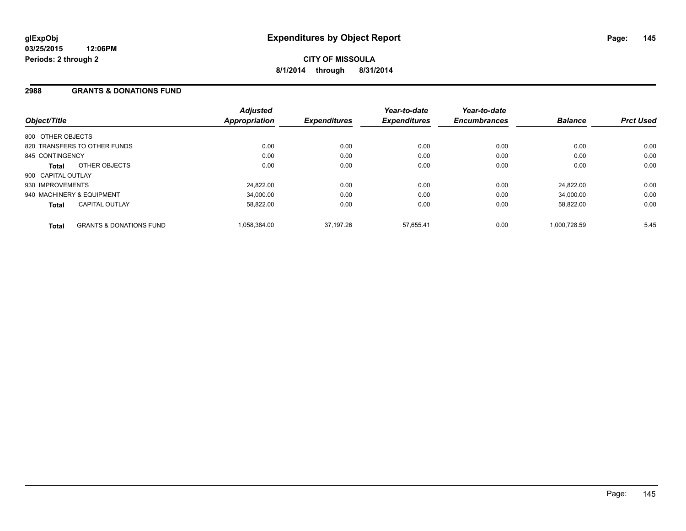#### **2988 GRANTS & DONATIONS FUND**

| Object/Title              |                                    | <b>Adjusted</b><br><b>Appropriation</b> | <b>Expenditures</b> | Year-to-date<br><b>Expenditures</b> | Year-to-date<br><b>Encumbrances</b> | <b>Balance</b> | <b>Prct Used</b> |
|---------------------------|------------------------------------|-----------------------------------------|---------------------|-------------------------------------|-------------------------------------|----------------|------------------|
| 800 OTHER OBJECTS         |                                    |                                         |                     |                                     |                                     |                |                  |
|                           | 820 TRANSFERS TO OTHER FUNDS       | 0.00                                    | 0.00                | 0.00                                | 0.00                                | 0.00           | 0.00             |
| 845 CONTINGENCY           |                                    | 0.00                                    | 0.00                | 0.00                                | 0.00                                | 0.00           | 0.00             |
| Total                     | OTHER OBJECTS                      | 0.00                                    | 0.00                | 0.00                                | 0.00                                | 0.00           | 0.00             |
| 900 CAPITAL OUTLAY        |                                    |                                         |                     |                                     |                                     |                |                  |
| 930 IMPROVEMENTS          |                                    | 24,822.00                               | 0.00                | 0.00                                | 0.00                                | 24.822.00      | 0.00             |
| 940 MACHINERY & EQUIPMENT |                                    | 34.000.00                               | 0.00                | 0.00                                | 0.00                                | 34.000.00      | 0.00             |
| <b>Total</b>              | <b>CAPITAL OUTLAY</b>              | 58.822.00                               | 0.00                | 0.00                                | 0.00                                | 58,822.00      | 0.00             |
| <b>Total</b>              | <b>GRANTS &amp; DONATIONS FUND</b> | 1,058,384.00                            | 37.197.26           | 57.655.41                           | 0.00                                | 1.000.728.59   | 5.45             |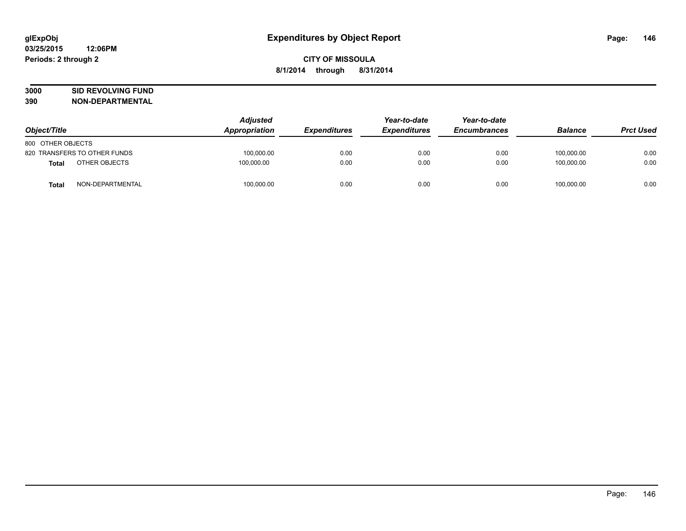# **3000 SID REVOLVING FUND**

| Object/Title      |                              | <b>Adjusted</b><br>Appropriation | <b>Expenditures</b> | Year-to-date<br><b>Expenditures</b> | Year-to-date<br><b>Encumbrances</b> | <b>Balance</b> | <b>Prct Used</b> |
|-------------------|------------------------------|----------------------------------|---------------------|-------------------------------------|-------------------------------------|----------------|------------------|
| 800 OTHER OBJECTS |                              |                                  |                     |                                     |                                     |                |                  |
|                   |                              |                                  |                     |                                     |                                     |                |                  |
|                   | 820 TRANSFERS TO OTHER FUNDS | 100.000.00                       | 0.00                | 0.00                                | 0.00                                | 100.000.00     | 0.00             |
| <b>Total</b>      | OTHER OBJECTS                | 100,000.00                       | 0.00                | 0.00                                | 0.00                                | 100.000.00     | 0.00             |
| <b>Total</b>      | NON-DEPARTMENTAL             | 100,000.00                       | 0.00                | 0.00                                | 0.00                                | 100,000.00     | 0.00             |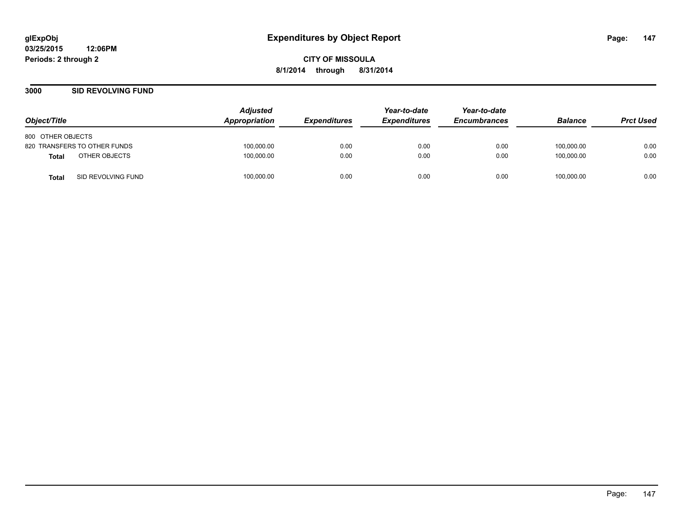#### **3000 SID REVOLVING FUND**

| Object/Title                       | <b>Adjusted</b><br>Appropriation | <i><b>Expenditures</b></i> | Year-to-date<br><b>Expenditures</b> | Year-to-date<br><b>Encumbrances</b> | <b>Balance</b> | <b>Prct Used</b> |
|------------------------------------|----------------------------------|----------------------------|-------------------------------------|-------------------------------------|----------------|------------------|
| 800 OTHER OBJECTS                  |                                  |                            |                                     |                                     |                |                  |
| 820 TRANSFERS TO OTHER FUNDS       | 100,000.00                       | 0.00                       | 0.00                                | 0.00                                | 100,000.00     | 0.00             |
| OTHER OBJECTS<br>Total             | 100,000.00                       | 0.00                       | 0.00                                | 0.00                                | 100.000.00     | 0.00             |
| SID REVOLVING FUND<br><b>Total</b> | 100,000.00                       | 0.00                       | 0.00                                | 0.00                                | 100,000.00     | 0.00             |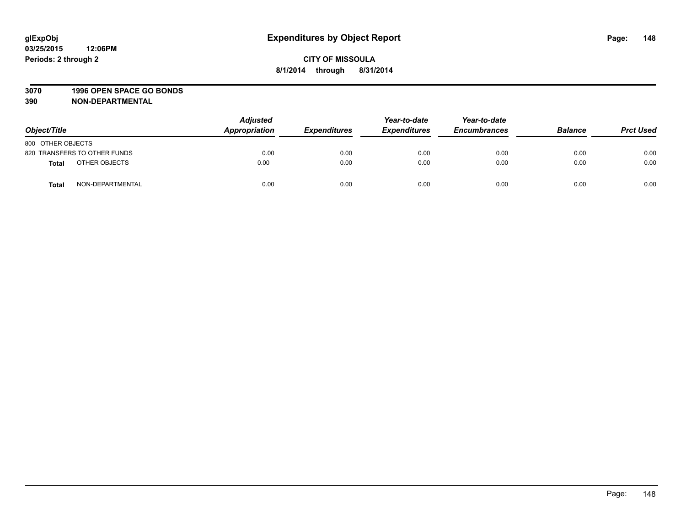#### **3070 1996 OPEN SPACE GO BONDS**

| Object/Title      |                              | <b>Adjusted</b><br>Appropriation | <b>Expenditures</b> | Year-to-date<br><b>Expenditures</b> | Year-to-date<br><b>Encumbrances</b> | <b>Balance</b> | <b>Prct Used</b> |
|-------------------|------------------------------|----------------------------------|---------------------|-------------------------------------|-------------------------------------|----------------|------------------|
| 800 OTHER OBJECTS |                              |                                  |                     |                                     |                                     |                |                  |
|                   | 820 TRANSFERS TO OTHER FUNDS | 0.00                             | 0.00                | 0.00                                | 0.00                                | 0.00           | 0.00             |
| <b>Total</b>      | OTHER OBJECTS                | 0.00                             | 0.00                | 0.00                                | 0.00                                | 0.00           | 0.00             |
| <b>Total</b>      | NON-DEPARTMENTAL             | 0.00                             | 0.00                | 0.00                                | 0.00                                | 0.00           | 0.00             |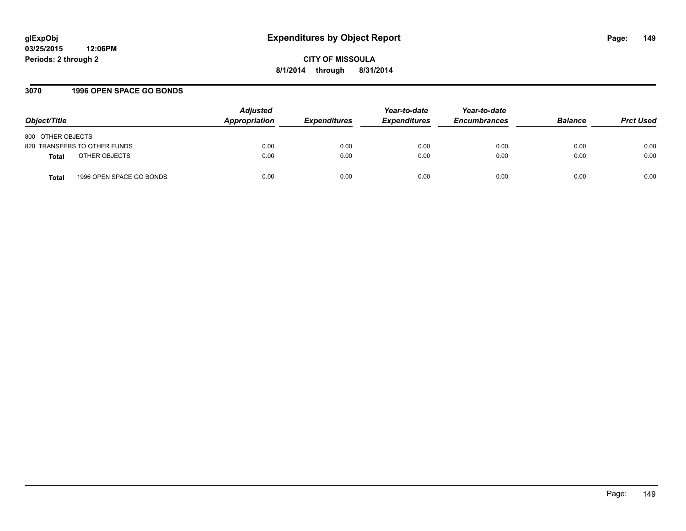# **glExpObj Expenditures by Object Report Page: 149**

**03/25/2015 12:06PM Periods: 2 through 2**

**CITY OF MISSOULA 8/1/2014 through 8/31/2014**

#### **3070 1996 OPEN SPACE GO BONDS**

| Object/Title                             | <b>Adjusted</b><br>Appropriation | <i><b>Expenditures</b></i> | Year-to-date<br><b>Expenditures</b> | Year-to-date<br><b>Encumbrances</b> | <b>Balance</b> | <b>Prct Used</b> |
|------------------------------------------|----------------------------------|----------------------------|-------------------------------------|-------------------------------------|----------------|------------------|
| 800 OTHER OBJECTS                        |                                  |                            |                                     |                                     |                |                  |
| 820 TRANSFERS TO OTHER FUNDS             | 0.00                             | 0.00                       | 0.00                                | 0.00                                | 0.00           | 0.00             |
| OTHER OBJECTS<br><b>Total</b>            | 0.00                             | 0.00                       | 0.00                                | 0.00                                | 0.00           | 0.00             |
| 1996 OPEN SPACE GO BONDS<br><b>Total</b> | 0.00                             | 0.00                       | 0.00                                | 0.00                                | 0.00           | 0.00             |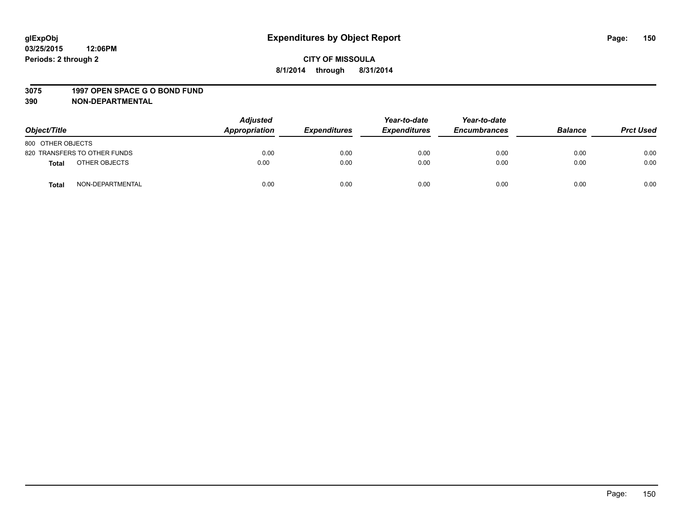#### **3075 1997 OPEN SPACE G O BOND FUND**

| Object/Title      |                              | <b>Adjusted</b><br>Appropriation | <b>Expenditures</b> | Year-to-date<br><b>Expenditures</b> | Year-to-date<br><b>Encumbrances</b> | <b>Balance</b> | <b>Prct Used</b> |
|-------------------|------------------------------|----------------------------------|---------------------|-------------------------------------|-------------------------------------|----------------|------------------|
| 800 OTHER OBJECTS |                              |                                  |                     |                                     |                                     |                |                  |
|                   | 820 TRANSFERS TO OTHER FUNDS | 0.00                             | 0.00                | 0.00                                | 0.00                                | 0.00           | 0.00             |
| <b>Total</b>      | OTHER OBJECTS                | 0.00                             | 0.00                | 0.00                                | 0.00                                | 0.00           | 0.00             |
| <b>Total</b>      | NON-DEPARTMENTAL             | 0.00                             | 0.00                | 0.00                                | 0.00                                | 0.00           | 0.00             |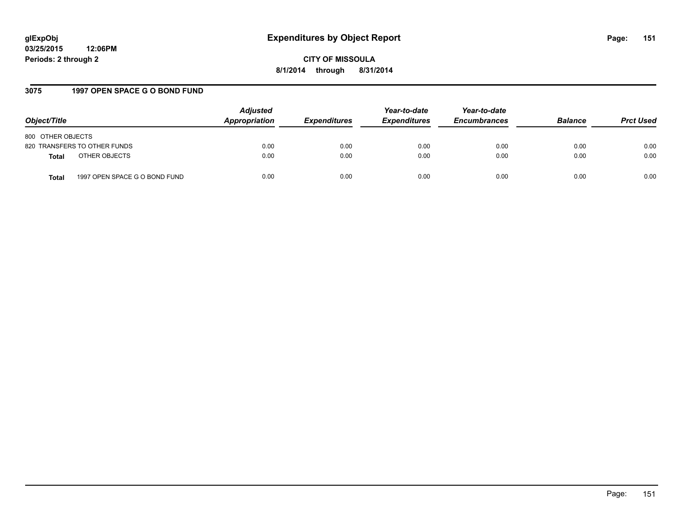# **glExpObj Expenditures by Object Report Page: 151**

**03/25/2015 12:06PM Periods: 2 through 2**

**CITY OF MISSOULA 8/1/2014 through 8/31/2014**

#### **3075 1997 OPEN SPACE G O BOND FUND**

| Object/Title                                  | <b>Adjusted</b><br>Appropriation | <b>Expenditures</b> | Year-to-date<br><b>Expenditures</b> | Year-to-date<br><b>Encumbrances</b> | <b>Balance</b> | <b>Prct Used</b> |
|-----------------------------------------------|----------------------------------|---------------------|-------------------------------------|-------------------------------------|----------------|------------------|
| 800 OTHER OBJECTS                             |                                  |                     |                                     |                                     |                |                  |
| 820 TRANSFERS TO OTHER FUNDS                  | 0.00                             | 0.00                | 0.00                                | 0.00                                | 0.00           | 0.00             |
| OTHER OBJECTS<br><b>Total</b>                 | 0.00                             | 0.00                | 0.00                                | 0.00                                | 0.00           | 0.00             |
| 1997 OPEN SPACE G O BOND FUND<br><b>Total</b> | 0.00                             | 0.00                | 0.00                                | 0.00                                | 0.00           | 0.00             |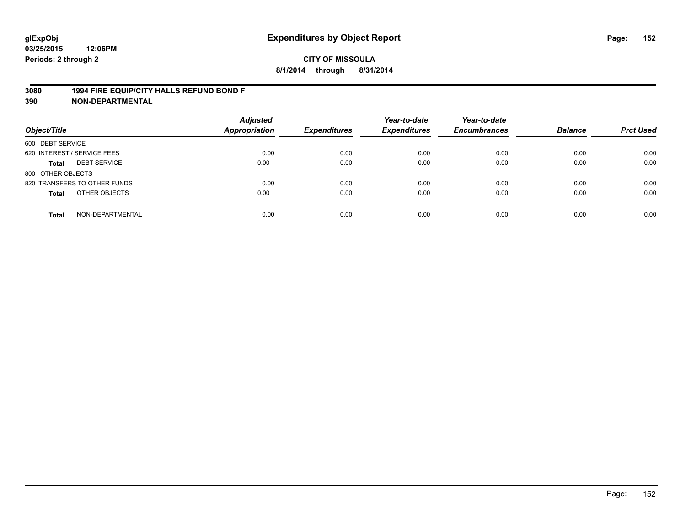#### **3080 1994 FIRE EQUIP/CITY HALLS REFUND BOND F**

| Object/Title                     | <b>Adjusted</b><br><b>Appropriation</b> | <b>Expenditures</b> | Year-to-date<br><b>Expenditures</b> | Year-to-date<br><b>Encumbrances</b> | <b>Balance</b> | <b>Prct Used</b> |
|----------------------------------|-----------------------------------------|---------------------|-------------------------------------|-------------------------------------|----------------|------------------|
| 600 DEBT SERVICE                 |                                         |                     |                                     |                                     |                |                  |
| 620 INTEREST / SERVICE FEES      | 0.00                                    | 0.00                | 0.00                                | 0.00                                | 0.00           | 0.00             |
| <b>DEBT SERVICE</b><br>Total     | 0.00                                    | 0.00                | 0.00                                | 0.00                                | 0.00           | 0.00             |
| 800 OTHER OBJECTS                |                                         |                     |                                     |                                     |                |                  |
| 820 TRANSFERS TO OTHER FUNDS     | 0.00                                    | 0.00                | 0.00                                | 0.00                                | 0.00           | 0.00             |
| OTHER OBJECTS<br><b>Total</b>    | 0.00                                    | 0.00                | 0.00                                | 0.00                                | 0.00           | 0.00             |
| NON-DEPARTMENTAL<br><b>Total</b> | 0.00                                    | 0.00                | 0.00                                | 0.00                                | 0.00           | 0.00             |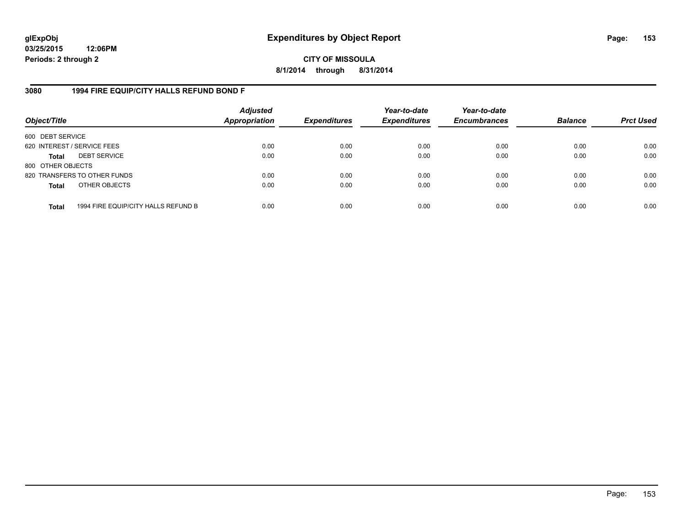**03/25/2015 12:06PM Periods: 2 through 2**

**CITY OF MISSOULA 8/1/2014 through 8/31/2014**

#### **3080 1994 FIRE EQUIP/CITY HALLS REFUND BOND F**

| Object/Title                |                                     | <b>Adjusted</b><br><b>Appropriation</b> | <b>Expenditures</b> | Year-to-date<br><b>Expenditures</b> | Year-to-date<br><b>Encumbrances</b> | <b>Balance</b> | <b>Prct Used</b> |
|-----------------------------|-------------------------------------|-----------------------------------------|---------------------|-------------------------------------|-------------------------------------|----------------|------------------|
| 600 DEBT SERVICE            |                                     |                                         |                     |                                     |                                     |                |                  |
| 620 INTEREST / SERVICE FEES |                                     | 0.00                                    | 0.00                | 0.00                                | 0.00                                | 0.00           | 0.00             |
| <b>Total</b>                | <b>DEBT SERVICE</b>                 | 0.00                                    | 0.00                | 0.00                                | 0.00                                | 0.00           | 0.00             |
| 800 OTHER OBJECTS           |                                     |                                         |                     |                                     |                                     |                |                  |
|                             | 820 TRANSFERS TO OTHER FUNDS        | 0.00                                    | 0.00                | 0.00                                | 0.00                                | 0.00           | 0.00             |
| <b>Total</b>                | OTHER OBJECTS                       | 0.00                                    | 0.00                | 0.00                                | 0.00                                | 0.00           | 0.00             |
| <b>Total</b>                | 1994 FIRE EQUIP/CITY HALLS REFUND B | 0.00                                    | 0.00                | 0.00                                | 0.00                                | 0.00           | 0.00             |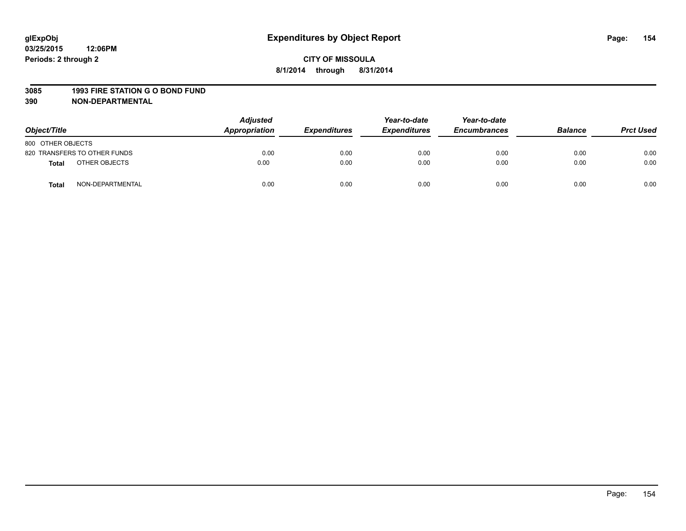#### **3085 1993 FIRE STATION G O BOND FUND**

| Object/Title      |                              | <b>Adjusted</b><br>Appropriation | <b>Expenditures</b> | Year-to-date<br><b>Expenditures</b> | Year-to-date<br><b>Encumbrances</b> | <b>Balance</b> | <b>Prct Used</b> |
|-------------------|------------------------------|----------------------------------|---------------------|-------------------------------------|-------------------------------------|----------------|------------------|
| 800 OTHER OBJECTS |                              |                                  |                     |                                     |                                     |                |                  |
|                   | 820 TRANSFERS TO OTHER FUNDS | 0.00                             | 0.00                | 0.00                                | 0.00                                | 0.00           | 0.00             |
| <b>Total</b>      | OTHER OBJECTS                | 0.00                             | 0.00                | 0.00                                | 0.00                                | 0.00           | 0.00             |
| <b>Total</b>      | NON-DEPARTMENTAL             | 0.00                             | 0.00                | 0.00                                | 0.00                                | 0.00           | 0.00             |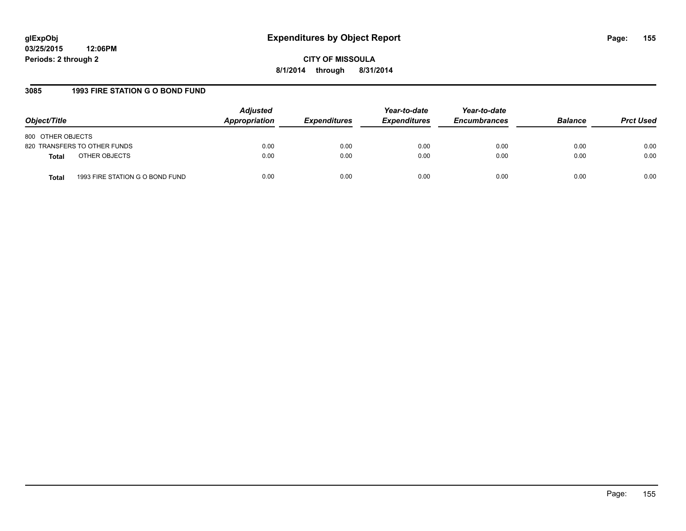#### **3085 1993 FIRE STATION G O BOND FUND**

| Object/Title                                    | <b>Adjusted</b><br>Appropriation | <b>Expenditures</b> | Year-to-date<br><b>Expenditures</b> | Year-to-date<br><b>Encumbrances</b> | <b>Balance</b> | <b>Prct Used</b> |
|-------------------------------------------------|----------------------------------|---------------------|-------------------------------------|-------------------------------------|----------------|------------------|
| 800 OTHER OBJECTS                               |                                  |                     |                                     |                                     |                |                  |
| 820 TRANSFERS TO OTHER FUNDS                    | 0.00                             | 0.00                | 0.00                                | 0.00                                | 0.00           | 0.00             |
| OTHER OBJECTS<br><b>Total</b>                   | 0.00                             | 0.00                | 0.00                                | 0.00                                | 0.00           | 0.00             |
| 1993 FIRE STATION G O BOND FUND<br><b>Total</b> | 0.00                             | 0.00                | 0.00                                | 0.00                                | 0.00           | 0.00             |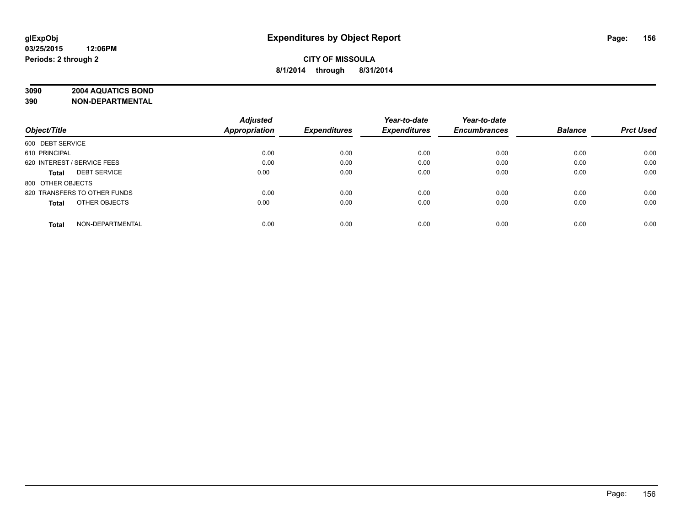## **3090 2004 AQUATICS BOND**

|                                     | <b>Adjusted</b>      |                     | Year-to-date        | Year-to-date        |                |                  |
|-------------------------------------|----------------------|---------------------|---------------------|---------------------|----------------|------------------|
| Object/Title                        | <b>Appropriation</b> | <b>Expenditures</b> | <b>Expenditures</b> | <b>Encumbrances</b> | <b>Balance</b> | <b>Prct Used</b> |
| 600 DEBT SERVICE                    |                      |                     |                     |                     |                |                  |
| 610 PRINCIPAL                       | 0.00                 | 0.00                | 0.00                | 0.00                | 0.00           | 0.00             |
| 620 INTEREST / SERVICE FEES         | 0.00                 | 0.00                | 0.00                | 0.00                | 0.00           | 0.00             |
| <b>DEBT SERVICE</b><br><b>Total</b> | 0.00                 | 0.00                | 0.00                | 0.00                | 0.00           | 0.00             |
| 800 OTHER OBJECTS                   |                      |                     |                     |                     |                |                  |
| 820 TRANSFERS TO OTHER FUNDS        | 0.00                 | 0.00                | 0.00                | 0.00                | 0.00           | 0.00             |
| OTHER OBJECTS<br><b>Total</b>       | 0.00                 | 0.00                | 0.00                | 0.00                | 0.00           | 0.00             |
| NON-DEPARTMENTAL<br><b>Total</b>    | 0.00                 | 0.00                | 0.00                | 0.00                | 0.00           | 0.00             |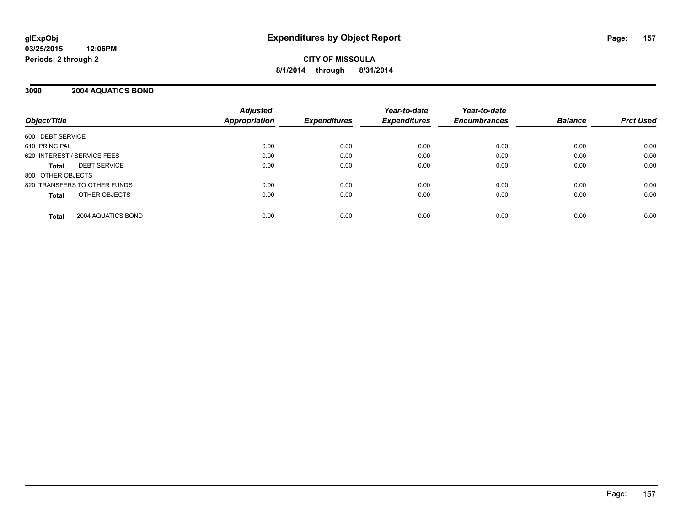#### **3090 2004 AQUATICS BOND**

| Object/Title                       | <b>Adjusted</b><br><b>Appropriation</b> | <b>Expenditures</b> | Year-to-date<br><b>Expenditures</b> | Year-to-date<br><b>Encumbrances</b> | <b>Balance</b> | <b>Prct Used</b> |
|------------------------------------|-----------------------------------------|---------------------|-------------------------------------|-------------------------------------|----------------|------------------|
| 600 DEBT SERVICE                   |                                         |                     |                                     |                                     |                |                  |
| 610 PRINCIPAL                      | 0.00                                    | 0.00                | 0.00                                | 0.00                                | 0.00           | 0.00             |
| 620 INTEREST / SERVICE FEES        | 0.00                                    | 0.00                | 0.00                                | 0.00                                | 0.00           | 0.00             |
| <b>DEBT SERVICE</b><br>Total       | 0.00                                    | 0.00                | 0.00                                | 0.00                                | 0.00           | 0.00             |
| 800 OTHER OBJECTS                  |                                         |                     |                                     |                                     |                |                  |
| 820 TRANSFERS TO OTHER FUNDS       | 0.00                                    | 0.00                | 0.00                                | 0.00                                | 0.00           | 0.00             |
| OTHER OBJECTS<br><b>Total</b>      | 0.00                                    | 0.00                | 0.00                                | 0.00                                | 0.00           | 0.00             |
| 2004 AQUATICS BOND<br><b>Total</b> | 0.00                                    | 0.00                | 0.00                                | 0.00                                | 0.00           | 0.00             |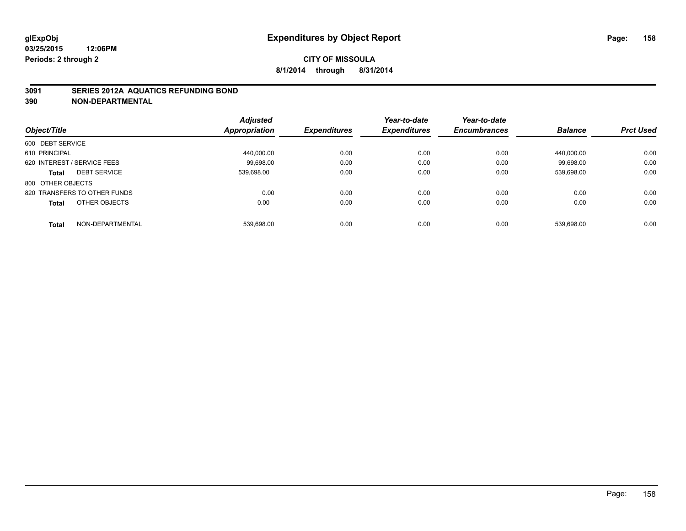#### **3091 SERIES 2012A AQUATICS REFUNDING BOND**

| Object/Title                        | <b>Adjusted</b><br><b>Appropriation</b> | <b>Expenditures</b> | Year-to-date<br><b>Expenditures</b> | Year-to-date<br><b>Encumbrances</b> | <b>Balance</b> | <b>Prct Used</b> |
|-------------------------------------|-----------------------------------------|---------------------|-------------------------------------|-------------------------------------|----------------|------------------|
| 600 DEBT SERVICE                    |                                         |                     |                                     |                                     |                |                  |
| 610 PRINCIPAL                       | 440.000.00                              | 0.00                | 0.00                                | 0.00                                | 440.000.00     | 0.00             |
| 620 INTEREST / SERVICE FEES         | 99.698.00                               | 0.00                | 0.00                                | 0.00                                | 99.698.00      | 0.00             |
| <b>DEBT SERVICE</b><br><b>Total</b> | 539.698.00                              | 0.00                | 0.00                                | 0.00                                | 539.698.00     | 0.00             |
| 800 OTHER OBJECTS                   |                                         |                     |                                     |                                     |                |                  |
| 820 TRANSFERS TO OTHER FUNDS        | 0.00                                    | 0.00                | 0.00                                | 0.00                                | 0.00           | 0.00             |
| OTHER OBJECTS<br><b>Total</b>       | 0.00                                    | 0.00                | 0.00                                | 0.00                                | 0.00           | 0.00             |
| NON-DEPARTMENTAL<br><b>Total</b>    | 539.698.00                              | 0.00                | 0.00                                | 0.00                                | 539.698.00     | 0.00             |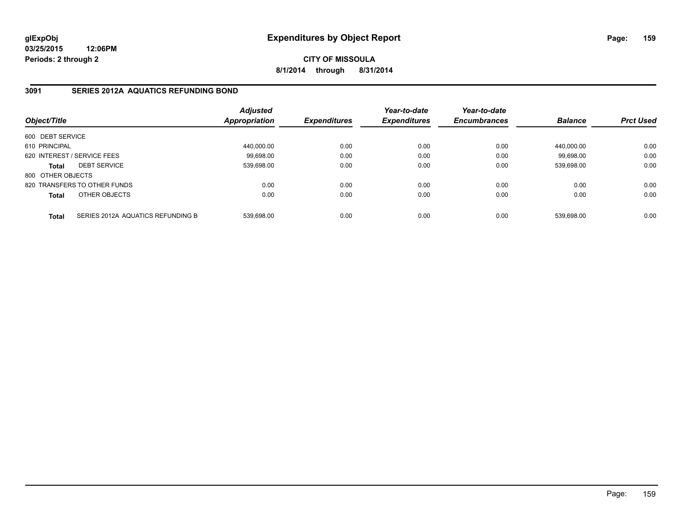**03/25/2015 12:06PM Periods: 2 through 2**

**CITY OF MISSOULA 8/1/2014 through 8/31/2014**

#### **3091 SERIES 2012A AQUATICS REFUNDING BOND**

| Object/Title                |                                   | <b>Adjusted</b><br>Appropriation | <b>Expenditures</b> | Year-to-date<br><b>Expenditures</b> | Year-to-date<br><b>Encumbrances</b> | <b>Balance</b> | <b>Prct Used</b> |
|-----------------------------|-----------------------------------|----------------------------------|---------------------|-------------------------------------|-------------------------------------|----------------|------------------|
| 600 DEBT SERVICE            |                                   |                                  |                     |                                     |                                     |                |                  |
| 610 PRINCIPAL               |                                   | 440.000.00                       | 0.00                | 0.00                                | 0.00                                | 440.000.00     | 0.00             |
| 620 INTEREST / SERVICE FEES |                                   | 99.698.00                        | 0.00                | 0.00                                | 0.00                                | 99.698.00      | 0.00             |
| <b>Total</b>                | <b>DEBT SERVICE</b>               | 539,698.00                       | 0.00                | 0.00                                | 0.00                                | 539,698.00     | 0.00             |
| 800 OTHER OBJECTS           |                                   |                                  |                     |                                     |                                     |                |                  |
|                             | 820 TRANSFERS TO OTHER FUNDS      | 0.00                             | 0.00                | 0.00                                | 0.00                                | 0.00           | 0.00             |
| Total                       | OTHER OBJECTS                     | 0.00                             | 0.00                | 0.00                                | 0.00                                | 0.00           | 0.00             |
| <b>Total</b>                | SERIES 2012A AQUATICS REFUNDING B | 539.698.00                       | 0.00                | 0.00                                | 0.00                                | 539.698.00     | 0.00             |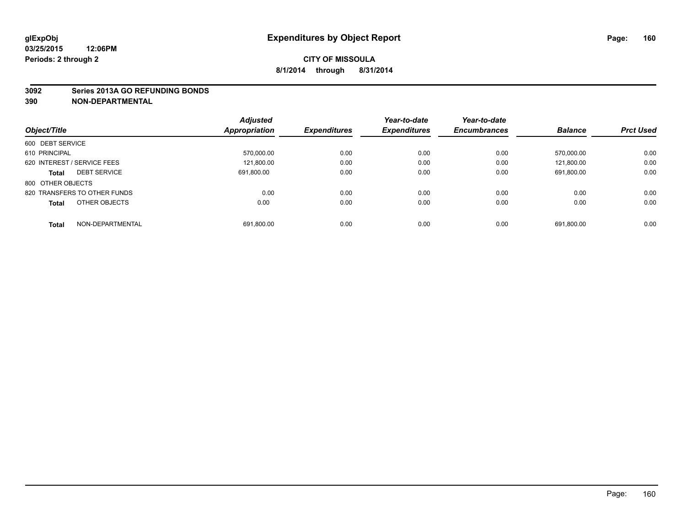#### **3092 Series 2013A GO REFUNDING BONDS**

|                                     | <b>Adjusted</b> |                     | Year-to-date        | Year-to-date        |                |                  |
|-------------------------------------|-----------------|---------------------|---------------------|---------------------|----------------|------------------|
| Object/Title                        | Appropriation   | <b>Expenditures</b> | <b>Expenditures</b> | <b>Encumbrances</b> | <b>Balance</b> | <b>Prct Used</b> |
| 600 DEBT SERVICE                    |                 |                     |                     |                     |                |                  |
| 610 PRINCIPAL                       | 570,000.00      | 0.00                | 0.00                | 0.00                | 570.000.00     | 0.00             |
| 620 INTEREST / SERVICE FEES         | 121,800.00      | 0.00                | 0.00                | 0.00                | 121.800.00     | 0.00             |
| <b>DEBT SERVICE</b><br><b>Total</b> | 691.800.00      | 0.00                | 0.00                | 0.00                | 691,800.00     | 0.00             |
| 800 OTHER OBJECTS                   |                 |                     |                     |                     |                |                  |
| 820 TRANSFERS TO OTHER FUNDS        | 0.00            | 0.00                | 0.00                | 0.00                | 0.00           | 0.00             |
| OTHER OBJECTS<br><b>Total</b>       | 0.00            | 0.00                | 0.00                | 0.00                | 0.00           | 0.00             |
| NON-DEPARTMENTAL<br>Total           | 691,800.00      | 0.00                | 0.00                | 0.00                | 691.800.00     | 0.00             |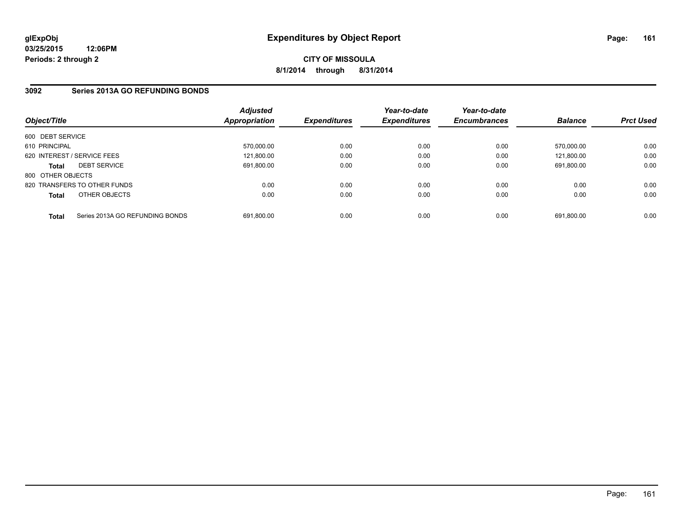**03/25/2015 12:06PM Periods: 2 through 2**

### **CITY OF MISSOULA 8/1/2014 through 8/31/2014**

#### **3092 Series 2013A GO REFUNDING BONDS**

| Object/Title      |                                 | <b>Adjusted</b><br><b>Appropriation</b> | <b>Expenditures</b> | Year-to-date<br><b>Expenditures</b> | Year-to-date<br><b>Encumbrances</b> | <b>Balance</b> | <b>Prct Used</b> |
|-------------------|---------------------------------|-----------------------------------------|---------------------|-------------------------------------|-------------------------------------|----------------|------------------|
| 600 DEBT SERVICE  |                                 |                                         |                     |                                     |                                     |                |                  |
| 610 PRINCIPAL     |                                 | 570.000.00                              | 0.00                | 0.00                                | 0.00                                | 570.000.00     | 0.00             |
|                   | 620 INTEREST / SERVICE FEES     | 121,800.00                              | 0.00                | 0.00                                | 0.00                                | 121.800.00     | 0.00             |
| <b>Total</b>      | <b>DEBT SERVICE</b>             | 691.800.00                              | 0.00                | 0.00                                | 0.00                                | 691.800.00     | 0.00             |
| 800 OTHER OBJECTS |                                 |                                         |                     |                                     |                                     |                |                  |
|                   | 820 TRANSFERS TO OTHER FUNDS    | 0.00                                    | 0.00                | 0.00                                | 0.00                                | 0.00           | 0.00             |
| <b>Total</b>      | OTHER OBJECTS                   | 0.00                                    | 0.00                | 0.00                                | 0.00                                | 0.00           | 0.00             |
| <b>Total</b>      | Series 2013A GO REFUNDING BONDS | 691.800.00                              | 0.00                | 0.00                                | 0.00                                | 691.800.00     | 0.00             |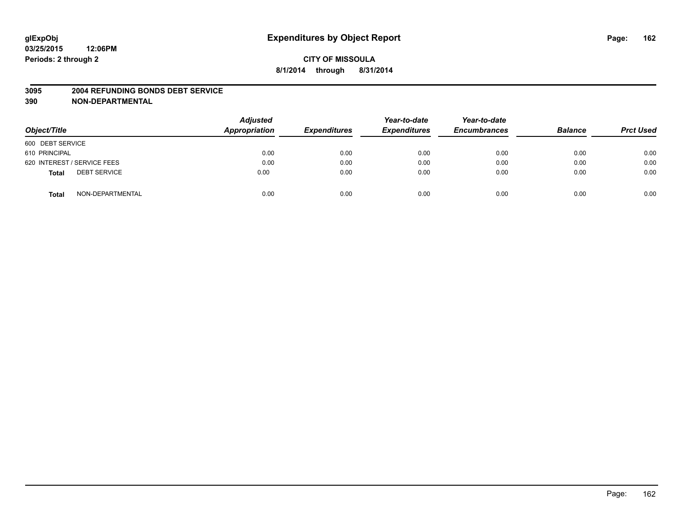#### **3095 2004 REFUNDING BONDS DEBT SERVICE**

| Object/Title                        | <b>Adjusted</b><br>Appropriation | <b>Expenditures</b> | Year-to-date<br><b>Expenditures</b> | Year-to-date<br><b>Encumbrances</b> | <b>Balance</b> | <b>Prct Used</b> |
|-------------------------------------|----------------------------------|---------------------|-------------------------------------|-------------------------------------|----------------|------------------|
| 600 DEBT SERVICE                    |                                  |                     |                                     |                                     |                |                  |
| 610 PRINCIPAL                       | 0.00                             | 0.00                | 0.00                                | 0.00                                | 0.00           | 0.00             |
| 620 INTEREST / SERVICE FEES         | 0.00                             | 0.00                | 0.00                                | 0.00                                | 0.00           | 0.00             |
| <b>DEBT SERVICE</b><br><b>Total</b> | 0.00                             | 0.00                | 0.00                                | 0.00                                | 0.00           | 0.00             |
| NON-DEPARTMENTAL<br><b>Total</b>    | 0.00                             | 0.00                | 0.00                                | 0.00                                | 0.00           | 0.00             |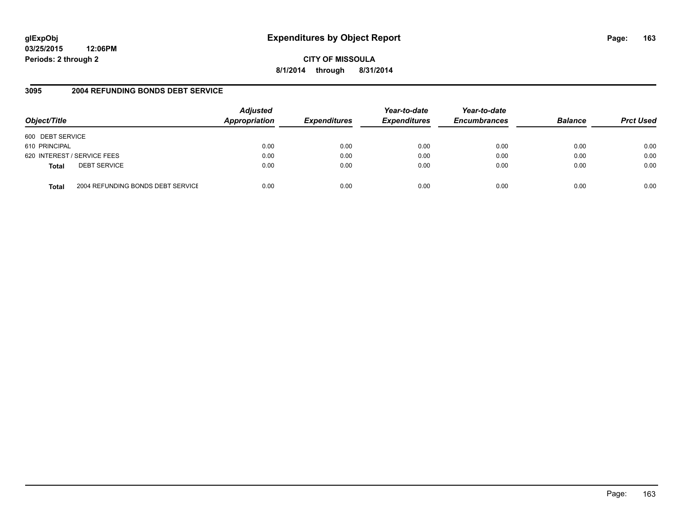# **glExpObj Expenditures by Object Report Page: 163**

**03/25/2015 12:06PM Periods: 2 through 2**

**8/1/2014 through 8/31/2014**

#### **3095 2004 REFUNDING BONDS DEBT SERVICE**

| Object/Title     |                                   | <b>Adjusted</b><br><b>Appropriation</b> | <b>Expenditures</b> | Year-to-date<br><b>Expenditures</b> | Year-to-date<br><b>Encumbrances</b> | <b>Balance</b> | <b>Prct Used</b> |
|------------------|-----------------------------------|-----------------------------------------|---------------------|-------------------------------------|-------------------------------------|----------------|------------------|
| 600 DEBT SERVICE |                                   |                                         |                     |                                     |                                     |                |                  |
| 610 PRINCIPAL    |                                   | 0.00                                    | 0.00                | 0.00                                | 0.00                                | 0.00           | 0.00             |
|                  | 620 INTEREST / SERVICE FEES       | 0.00                                    | 0.00                | 0.00                                | 0.00                                | 0.00           | 0.00             |
| <b>Total</b>     | <b>DEBT SERVICE</b>               | 0.00                                    | 0.00                | 0.00                                | 0.00                                | 0.00           | 0.00             |
| Total            | 2004 REFUNDING BONDS DEBT SERVICE | 0.00                                    | 0.00                | 0.00                                | 0.00                                | 0.00           | 0.00             |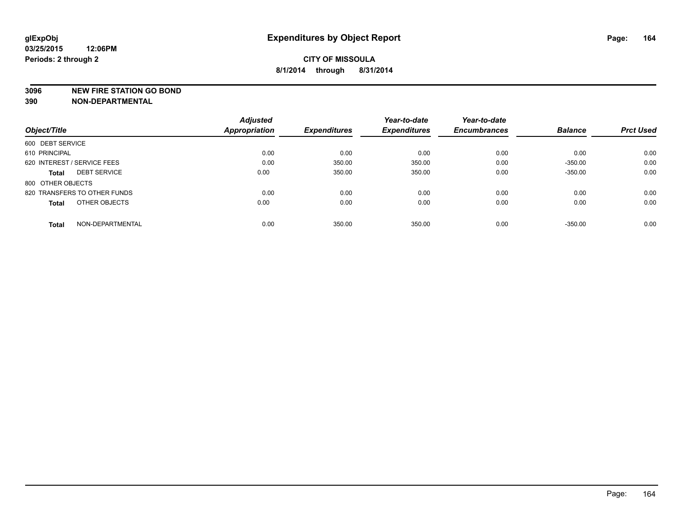#### **3096 NEW FIRE STATION GO BOND**

|                                     | <b>Adjusted</b><br>Appropriation |                     | Year-to-date        | Year-to-date        |                |                  |
|-------------------------------------|----------------------------------|---------------------|---------------------|---------------------|----------------|------------------|
| Object/Title                        |                                  | <b>Expenditures</b> | <b>Expenditures</b> | <b>Encumbrances</b> | <b>Balance</b> | <b>Prct Used</b> |
| 600 DEBT SERVICE                    |                                  |                     |                     |                     |                |                  |
| 610 PRINCIPAL                       | 0.00                             | 0.00                | 0.00                | 0.00                | 0.00           | 0.00             |
| 620 INTEREST / SERVICE FEES         | 0.00                             | 350.00              | 350.00              | 0.00                | $-350.00$      | 0.00             |
| <b>DEBT SERVICE</b><br><b>Total</b> | 0.00                             | 350.00              | 350.00              | 0.00                | $-350.00$      | 0.00             |
| 800 OTHER OBJECTS                   |                                  |                     |                     |                     |                |                  |
| 820 TRANSFERS TO OTHER FUNDS        | 0.00                             | 0.00                | 0.00                | 0.00                | 0.00           | 0.00             |
| OTHER OBJECTS<br><b>Total</b>       | 0.00                             | 0.00                | 0.00                | 0.00                | 0.00           | 0.00             |
| NON-DEPARTMENTAL<br><b>Total</b>    | 0.00                             | 350.00              | 350.00              | 0.00                | $-350.00$      | 0.00             |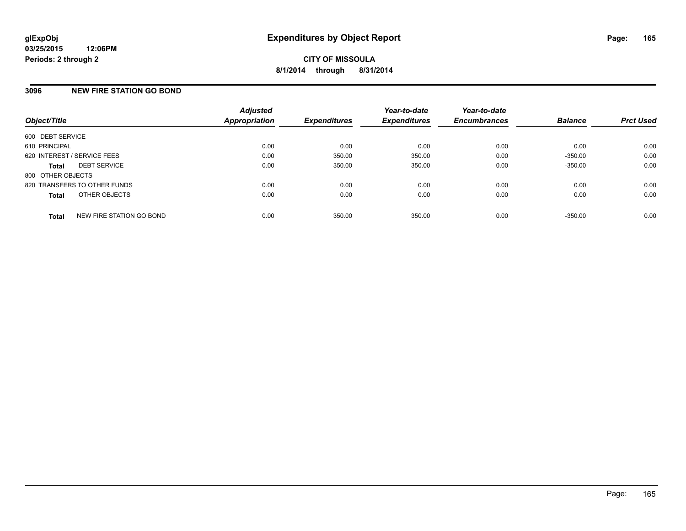#### **3096 NEW FIRE STATION GO BOND**

| Object/Title                             | <b>Adjusted</b><br>Appropriation | <b>Expenditures</b> | Year-to-date<br><b>Expenditures</b> | Year-to-date<br><b>Encumbrances</b> | <b>Balance</b> | <b>Prct Used</b> |
|------------------------------------------|----------------------------------|---------------------|-------------------------------------|-------------------------------------|----------------|------------------|
| 600 DEBT SERVICE                         |                                  |                     |                                     |                                     |                |                  |
| 610 PRINCIPAL                            | 0.00                             | 0.00                | 0.00                                | 0.00                                | 0.00           | 0.00             |
| 620 INTEREST / SERVICE FEES              | 0.00                             | 350.00              | 350.00                              | 0.00                                | $-350.00$      | 0.00             |
| <b>DEBT SERVICE</b><br><b>Total</b>      | 0.00                             | 350.00              | 350.00                              | 0.00                                | $-350.00$      | 0.00             |
| 800 OTHER OBJECTS                        |                                  |                     |                                     |                                     |                |                  |
| 820 TRANSFERS TO OTHER FUNDS             | 0.00                             | 0.00                | 0.00                                | 0.00                                | 0.00           | 0.00             |
| OTHER OBJECTS<br><b>Total</b>            | 0.00                             | 0.00                | 0.00                                | 0.00                                | 0.00           | 0.00             |
| NEW FIRE STATION GO BOND<br><b>Total</b> | 0.00                             | 350.00              | 350.00                              | 0.00                                | $-350.00$      | 0.00             |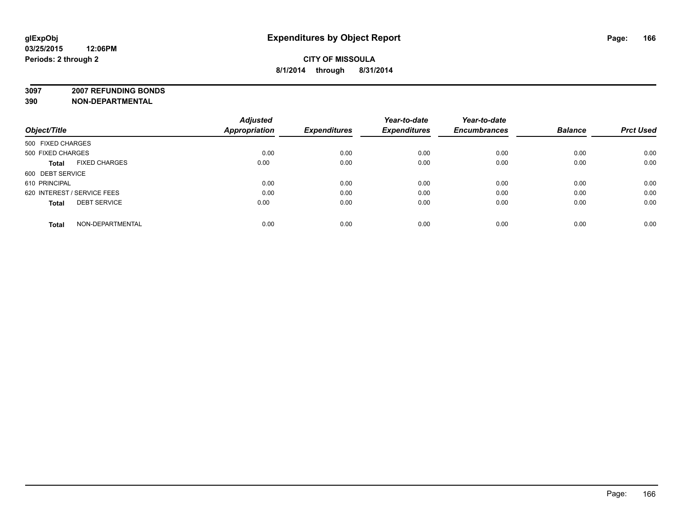**3097 2007 REFUNDING BONDS**

|                                      | <b>Adjusted</b> |                     | Year-to-date        | Year-to-date        |                |                  |
|--------------------------------------|-----------------|---------------------|---------------------|---------------------|----------------|------------------|
| Object/Title                         | Appropriation   | <b>Expenditures</b> | <b>Expenditures</b> | <b>Encumbrances</b> | <b>Balance</b> | <b>Prct Used</b> |
| 500 FIXED CHARGES                    |                 |                     |                     |                     |                |                  |
| 500 FIXED CHARGES                    | 0.00            | 0.00                | 0.00                | 0.00                | 0.00           | 0.00             |
| <b>FIXED CHARGES</b><br><b>Total</b> | 0.00            | 0.00                | 0.00                | 0.00                | 0.00           | 0.00             |
| 600 DEBT SERVICE                     |                 |                     |                     |                     |                |                  |
| 610 PRINCIPAL                        | 0.00            | 0.00                | 0.00                | 0.00                | 0.00           | 0.00             |
| 620 INTEREST / SERVICE FEES          | 0.00            | 0.00                | 0.00                | 0.00                | 0.00           | 0.00             |
| <b>DEBT SERVICE</b><br><b>Total</b>  | 0.00            | 0.00                | 0.00                | 0.00                | 0.00           | 0.00             |
| NON-DEPARTMENTAL<br>Total            | 0.00            | 0.00                | 0.00                | 0.00                | 0.00           | 0.00             |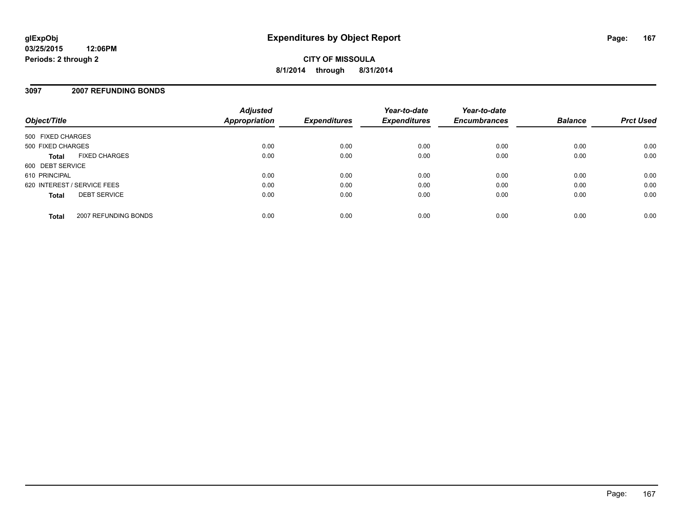#### **3097 2007 REFUNDING BONDS**

| Object/Title                         | <b>Adjusted</b><br><b>Appropriation</b> | <b>Expenditures</b> | Year-to-date<br><b>Expenditures</b> | Year-to-date<br><b>Encumbrances</b> | <b>Balance</b> | <b>Prct Used</b> |
|--------------------------------------|-----------------------------------------|---------------------|-------------------------------------|-------------------------------------|----------------|------------------|
| 500 FIXED CHARGES                    |                                         |                     |                                     |                                     |                |                  |
| 500 FIXED CHARGES                    | 0.00                                    | 0.00                | 0.00                                | 0.00                                | 0.00           | 0.00             |
| <b>FIXED CHARGES</b><br><b>Total</b> | 0.00                                    | 0.00                | 0.00                                | 0.00                                | 0.00           | 0.00             |
| 600 DEBT SERVICE                     |                                         |                     |                                     |                                     |                |                  |
| 610 PRINCIPAL                        | 0.00                                    | 0.00                | 0.00                                | 0.00                                | 0.00           | 0.00             |
| 620 INTEREST / SERVICE FEES          | 0.00                                    | 0.00                | 0.00                                | 0.00                                | 0.00           | 0.00             |
| <b>DEBT SERVICE</b><br><b>Total</b>  | 0.00                                    | 0.00                | 0.00                                | 0.00                                | 0.00           | 0.00             |
| 2007 REFUNDING BONDS<br><b>Total</b> | 0.00                                    | 0.00                | 0.00                                | 0.00                                | 0.00           | 0.00             |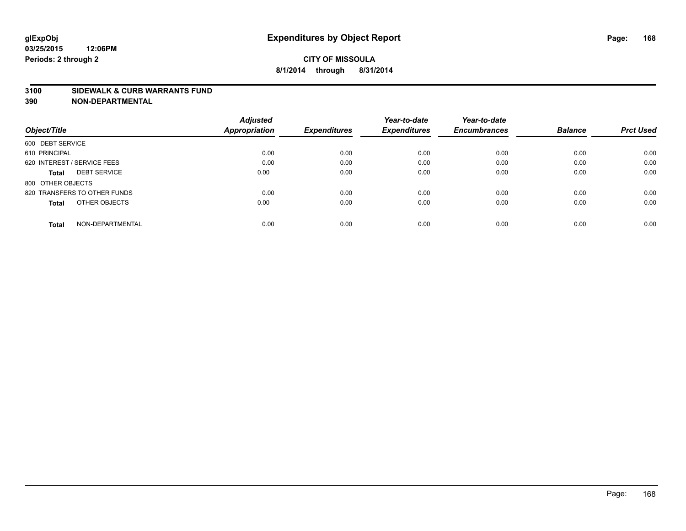#### **3100 SIDEWALK & CURB WARRANTS FUND**

|                                     | <b>Adjusted</b> |                     | Year-to-date        | Year-to-date<br><b>Encumbrances</b> | <b>Balance</b> | <b>Prct Used</b> |
|-------------------------------------|-----------------|---------------------|---------------------|-------------------------------------|----------------|------------------|
| Object/Title                        | Appropriation   | <b>Expenditures</b> | <b>Expenditures</b> |                                     |                |                  |
| 600 DEBT SERVICE                    |                 |                     |                     |                                     |                |                  |
| 610 PRINCIPAL                       | 0.00            | 0.00                | 0.00                | 0.00                                | 0.00           | 0.00             |
| 620 INTEREST / SERVICE FEES         | 0.00            | 0.00                | 0.00                | 0.00                                | 0.00           | 0.00             |
| <b>DEBT SERVICE</b><br><b>Total</b> | 0.00            | 0.00                | 0.00                | 0.00                                | 0.00           | 0.00             |
| 800 OTHER OBJECTS                   |                 |                     |                     |                                     |                |                  |
| 820 TRANSFERS TO OTHER FUNDS        | 0.00            | 0.00                | 0.00                | 0.00                                | 0.00           | 0.00             |
| OTHER OBJECTS<br><b>Total</b>       | 0.00            | 0.00                | 0.00                | 0.00                                | 0.00           | 0.00             |
| NON-DEPARTMENTAL<br>Total           | 0.00            | 0.00                | 0.00                | 0.00                                | 0.00           | 0.00             |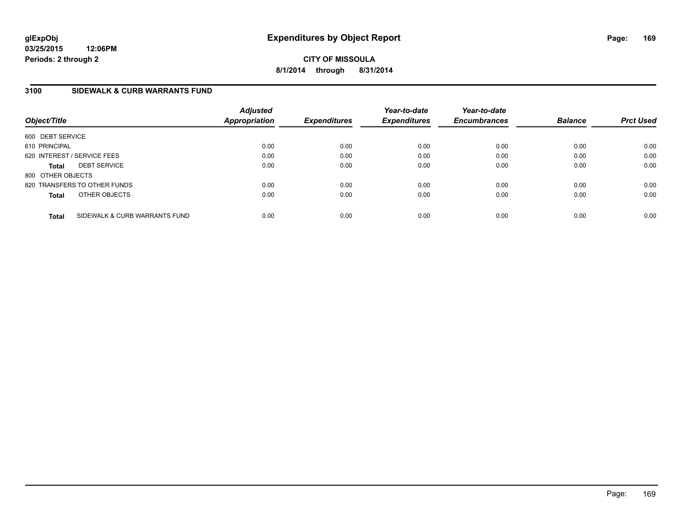**03/25/2015 12:06PM Periods: 2 through 2**

**CITY OF MISSOULA 8/1/2014 through 8/31/2014**

#### **3100 SIDEWALK & CURB WARRANTS FUND**

| Object/Title      |                               | <b>Adjusted</b><br>Appropriation | <b>Expenditures</b> | Year-to-date<br><b>Expenditures</b> | Year-to-date<br><b>Encumbrances</b> | <b>Balance</b> | <b>Prct Used</b> |
|-------------------|-------------------------------|----------------------------------|---------------------|-------------------------------------|-------------------------------------|----------------|------------------|
| 600 DEBT SERVICE  |                               |                                  |                     |                                     |                                     |                |                  |
| 610 PRINCIPAL     |                               | 0.00                             | 0.00                | 0.00                                | 0.00                                | 0.00           | 0.00             |
|                   | 620 INTEREST / SERVICE FEES   | 0.00                             | 0.00                | 0.00                                | 0.00                                | 0.00           | 0.00             |
| <b>Total</b>      | <b>DEBT SERVICE</b>           | 0.00                             | 0.00                | 0.00                                | 0.00                                | 0.00           | 0.00             |
| 800 OTHER OBJECTS |                               |                                  |                     |                                     |                                     |                |                  |
|                   | 820 TRANSFERS TO OTHER FUNDS  | 0.00                             | 0.00                | 0.00                                | 0.00                                | 0.00           | 0.00             |
| <b>Total</b>      | OTHER OBJECTS                 | 0.00                             | 0.00                | 0.00                                | 0.00                                | 0.00           | 0.00             |
| <b>Total</b>      | SIDEWALK & CURB WARRANTS FUND | 0.00                             | 0.00                | 0.00                                | 0.00                                | 0.00           | 0.00             |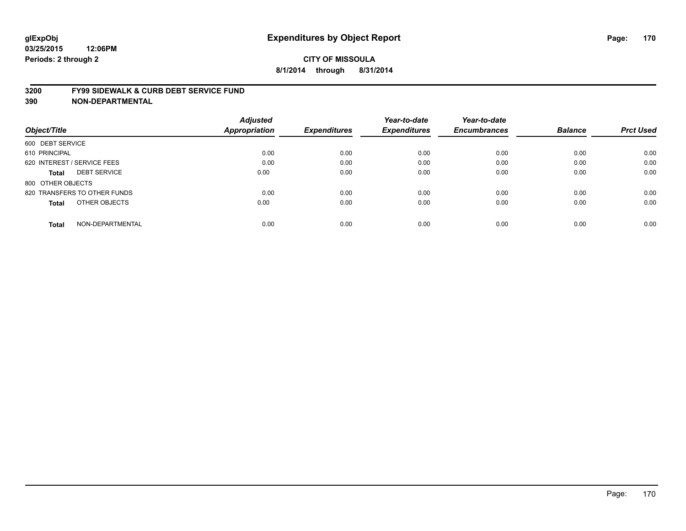#### **3200 FY99 SIDEWALK & CURB DEBT SERVICE FUND**

| Object/Title                        | <b>Adjusted</b><br><b>Appropriation</b> | <b>Expenditures</b> | Year-to-date<br><b>Expenditures</b> | Year-to-date<br><b>Encumbrances</b> | <b>Balance</b> | <b>Prct Used</b> |
|-------------------------------------|-----------------------------------------|---------------------|-------------------------------------|-------------------------------------|----------------|------------------|
|                                     |                                         |                     |                                     |                                     |                |                  |
| 600 DEBT SERVICE                    |                                         |                     |                                     |                                     |                |                  |
| 610 PRINCIPAL                       | 0.00                                    | 0.00                | 0.00                                | 0.00                                | 0.00           | 0.00             |
| 620 INTEREST / SERVICE FEES         | 0.00                                    | 0.00                | 0.00                                | 0.00                                | 0.00           | 0.00             |
| <b>DEBT SERVICE</b><br><b>Total</b> | 0.00                                    | 0.00                | 0.00                                | 0.00                                | 0.00           | 0.00             |
| 800 OTHER OBJECTS                   |                                         |                     |                                     |                                     |                |                  |
| 820 TRANSFERS TO OTHER FUNDS        | 0.00                                    | 0.00                | 0.00                                | 0.00                                | 0.00           | 0.00             |
| OTHER OBJECTS<br><b>Total</b>       | 0.00                                    | 0.00                | 0.00                                | 0.00                                | 0.00           | 0.00             |
| NON-DEPARTMENTAL<br><b>Total</b>    | 0.00                                    | 0.00                | 0.00                                | 0.00                                | 0.00           | 0.00             |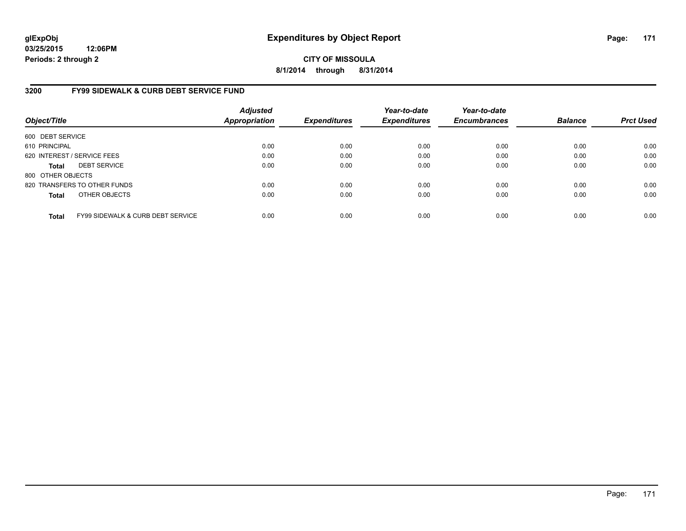**03/25/2015 12:06PM Periods: 2 through 2**

**CITY OF MISSOULA 8/1/2014 through 8/31/2014**

#### **3200 FY99 SIDEWALK & CURB DEBT SERVICE FUND**

| Object/Title      |                                              | <b>Adjusted</b><br><b>Appropriation</b> | <b>Expenditures</b> | Year-to-date<br><b>Expenditures</b> | Year-to-date<br><b>Encumbrances</b> | <b>Balance</b> | <b>Prct Used</b> |
|-------------------|----------------------------------------------|-----------------------------------------|---------------------|-------------------------------------|-------------------------------------|----------------|------------------|
| 600 DEBT SERVICE  |                                              |                                         |                     |                                     |                                     |                |                  |
| 610 PRINCIPAL     |                                              | 0.00                                    | 0.00                | 0.00                                | 0.00                                | 0.00           | 0.00             |
|                   | 620 INTEREST / SERVICE FEES                  | 0.00                                    | 0.00                | 0.00                                | 0.00                                | 0.00           | 0.00             |
| <b>Total</b>      | <b>DEBT SERVICE</b>                          | 0.00                                    | 0.00                | 0.00                                | 0.00                                | 0.00           | 0.00             |
| 800 OTHER OBJECTS |                                              |                                         |                     |                                     |                                     |                |                  |
|                   | 820 TRANSFERS TO OTHER FUNDS                 | 0.00                                    | 0.00                | 0.00                                | 0.00                                | 0.00           | 0.00             |
| <b>Total</b>      | OTHER OBJECTS                                | 0.00                                    | 0.00                | 0.00                                | 0.00                                | 0.00           | 0.00             |
| <b>Total</b>      | <b>FY99 SIDEWALK &amp; CURB DEBT SERVICE</b> | 0.00                                    | 0.00                | 0.00                                | 0.00                                | 0.00           | 0.00             |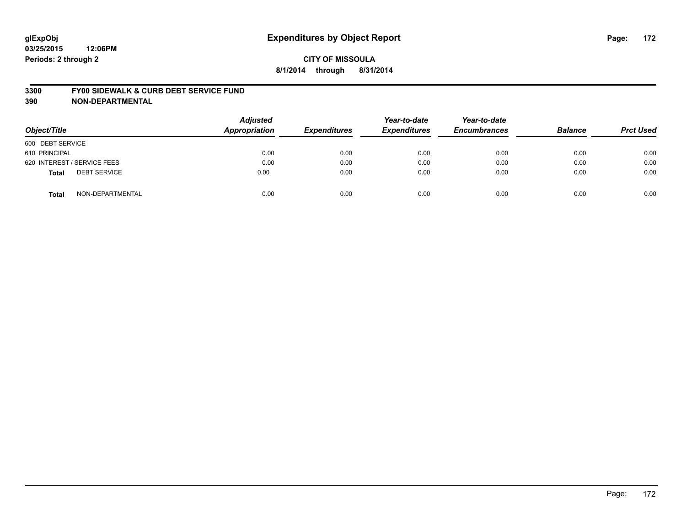#### **3300 FY00 SIDEWALK & CURB DEBT SERVICE FUND**

| Object/Title                        | <b>Adjusted</b><br><b>Appropriation</b> | <b>Expenditures</b> | Year-to-date<br><b>Expenditures</b> | Year-to-date<br><b>Encumbrances</b> | <b>Balance</b> | <b>Prct Used</b> |
|-------------------------------------|-----------------------------------------|---------------------|-------------------------------------|-------------------------------------|----------------|------------------|
| 600 DEBT SERVICE                    |                                         |                     |                                     |                                     |                |                  |
| 610 PRINCIPAL                       | 0.00                                    | 0.00                | 0.00                                | 0.00                                | 0.00           | 0.00             |
| 620 INTEREST / SERVICE FEES         | 0.00                                    | 0.00                | 0.00                                | 0.00                                | 0.00           | 0.00             |
| <b>DEBT SERVICE</b><br><b>Total</b> | 0.00                                    | 0.00                | 0.00                                | 0.00                                | 0.00           | 0.00             |
| NON-DEPARTMENTAL<br><b>Total</b>    | 0.00                                    | 0.00                | 0.00                                | 0.00                                | 0.00           | 0.00             |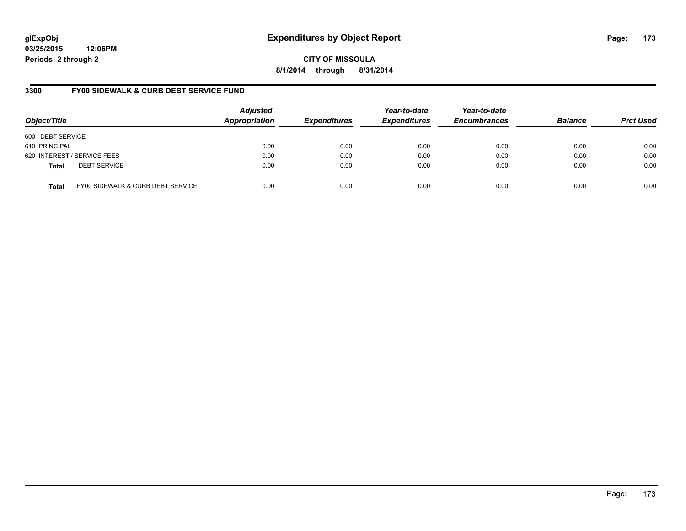# **glExpObj Expenditures by Object Report Page: 173**

**03/25/2015 12:06PM Periods: 2 through 2**

**8/1/2014 through 8/31/2014**

#### **3300 FY00 SIDEWALK & CURB DEBT SERVICE FUND**

| Object/Title     |                                   | <b>Adjusted</b><br><b>Appropriation</b> | <b>Expenditures</b> | Year-to-date<br><b>Expenditures</b> | Year-to-date<br><b>Encumbrances</b> | <b>Balance</b> | <b>Prct Used</b> |
|------------------|-----------------------------------|-----------------------------------------|---------------------|-------------------------------------|-------------------------------------|----------------|------------------|
| 600 DEBT SERVICE |                                   |                                         |                     |                                     |                                     |                |                  |
| 610 PRINCIPAL    |                                   | 0.00                                    | 0.00                | 0.00                                | 0.00                                | 0.00           | 0.00             |
|                  | 620 INTEREST / SERVICE FEES       | 0.00                                    | 0.00                | 0.00                                | 0.00                                | 0.00           | 0.00             |
| <b>Total</b>     | <b>DEBT SERVICE</b>               | 0.00                                    | 0.00                | 0.00                                | 0.00                                | 0.00           | 0.00             |
| <b>Total</b>     | FY00 SIDEWALK & CURB DEBT SERVICE | 0.00                                    | 0.00                | 0.00                                | 0.00                                | 0.00           | 0.00             |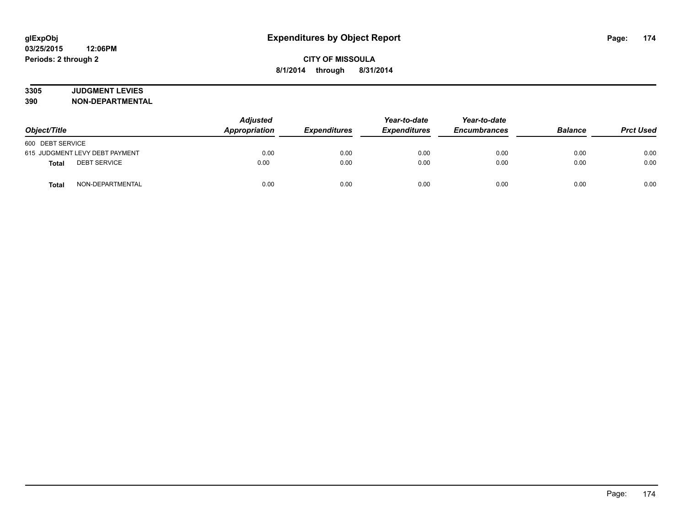# **3305 JUDGMENT LEVIES**

| Object/Title                        | <b>Adjusted</b><br>Appropriation | <b>Expenditures</b> | Year-to-date<br><b>Expenditures</b> | Year-to-date<br><b>Encumbrances</b> | <b>Balance</b> | <b>Prct Used</b> |
|-------------------------------------|----------------------------------|---------------------|-------------------------------------|-------------------------------------|----------------|------------------|
| 600 DEBT SERVICE                    |                                  |                     |                                     |                                     |                |                  |
| 615 JUDGMENT LEVY DEBT PAYMENT      | 0.00                             | 0.00                | 0.00                                | 0.00                                | 0.00           | 0.00             |
| <b>DEBT SERVICE</b><br><b>Total</b> | 0.00                             | 0.00                | 0.00                                | 0.00                                | 0.00           | 0.00             |
| NON-DEPARTMENTAL<br><b>Total</b>    | 0.00                             | 0.00                | 0.00                                | 0.00                                | 0.00           | 0.00             |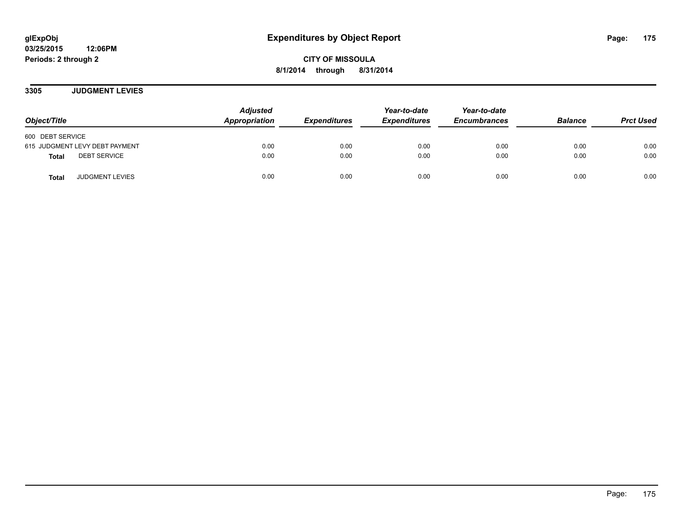**03/25/2015 12:06PM Periods: 2 through 2**

**CITY OF MISSOULA 8/1/2014 through 8/31/2014**

**3305 JUDGMENT LEVIES**

| Object/Title                           | <b>Adjusted</b><br>Appropriation | <b>Expenditures</b> | Year-to-date<br><b>Expenditures</b> | Year-to-date<br><b>Encumbrances</b> | <b>Balance</b> | <b>Prct Used</b> |
|----------------------------------------|----------------------------------|---------------------|-------------------------------------|-------------------------------------|----------------|------------------|
| 600 DEBT SERVICE                       |                                  |                     |                                     |                                     |                |                  |
| 615 JUDGMENT LEVY DEBT PAYMENT         | 0.00                             | 0.00                | 0.00                                | 0.00                                | 0.00           | 0.00             |
| <b>DEBT SERVICE</b><br><b>Total</b>    | 0.00                             | 0.00                | 0.00                                | 0.00                                | 0.00           | 0.00             |
| <b>JUDGMENT LEVIES</b><br><b>Total</b> | 0.00                             | 0.00                | 0.00                                | 0.00                                | 0.00           | 0.00             |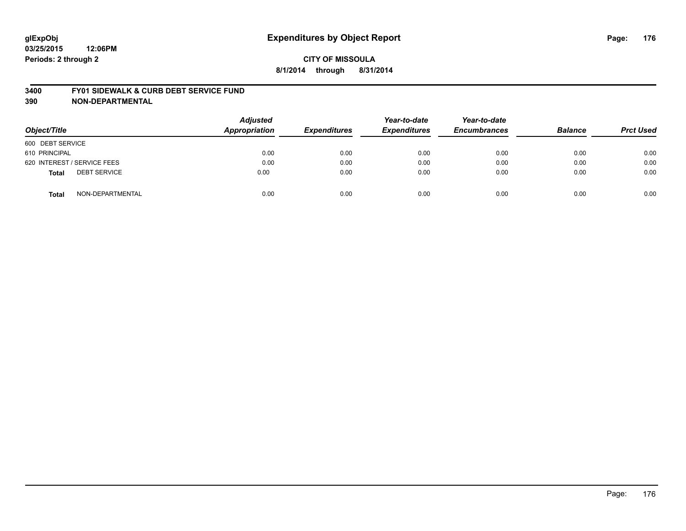#### **3400 FY01 SIDEWALK & CURB DEBT SERVICE FUND**

| Object/Title                        | <b>Adjusted</b><br><b>Appropriation</b> | <b>Expenditures</b> | Year-to-date<br><b>Expenditures</b> | Year-to-date<br><b>Encumbrances</b> | <b>Balance</b> | <b>Prct Used</b> |
|-------------------------------------|-----------------------------------------|---------------------|-------------------------------------|-------------------------------------|----------------|------------------|
| 600 DEBT SERVICE                    |                                         |                     |                                     |                                     |                |                  |
| 610 PRINCIPAL                       | 0.00                                    | 0.00                | 0.00                                | 0.00                                | 0.00           | 0.00             |
| 620 INTEREST / SERVICE FEES         | 0.00                                    | 0.00                | 0.00                                | 0.00                                | 0.00           | 0.00             |
| <b>DEBT SERVICE</b><br><b>Total</b> | 0.00                                    | 0.00                | 0.00                                | 0.00                                | 0.00           | 0.00             |
| NON-DEPARTMENTAL<br><b>Total</b>    | 0.00                                    | 0.00                | 0.00                                | 0.00                                | 0.00           | 0.00             |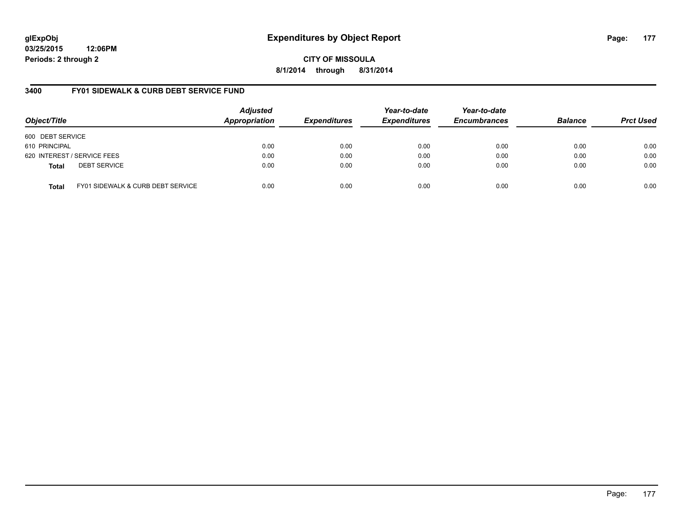# **glExpObj Expenditures by Object Report Page: 177**

**03/25/2015 12:06PM Periods: 2 through 2**

**8/1/2014 through 8/31/2014**

#### **3400 FY01 SIDEWALK & CURB DEBT SERVICE FUND**

| Object/Title     |                                              | <b>Adjusted</b><br>Appropriation | <i><b>Expenditures</b></i> | Year-to-date<br><b>Expenditures</b> | Year-to-date<br><b>Encumbrances</b> | <b>Balance</b> | <b>Prct Used</b> |
|------------------|----------------------------------------------|----------------------------------|----------------------------|-------------------------------------|-------------------------------------|----------------|------------------|
| 600 DEBT SERVICE |                                              |                                  |                            |                                     |                                     |                |                  |
| 610 PRINCIPAL    |                                              | 0.00                             | 0.00                       | 0.00                                | 0.00                                | 0.00           | 0.00             |
|                  | 620 INTEREST / SERVICE FEES                  | 0.00                             | 0.00                       | 0.00                                | 0.00                                | 0.00           | 0.00             |
| <b>Total</b>     | <b>DEBT SERVICE</b>                          | 0.00                             | 0.00                       | 0.00                                | 0.00                                | 0.00           | 0.00             |
| <b>Total</b>     | <b>FY01 SIDEWALK &amp; CURB DEBT SERVICE</b> | 0.00                             | 0.00                       | 0.00                                | 0.00                                | 0.00           | 0.00             |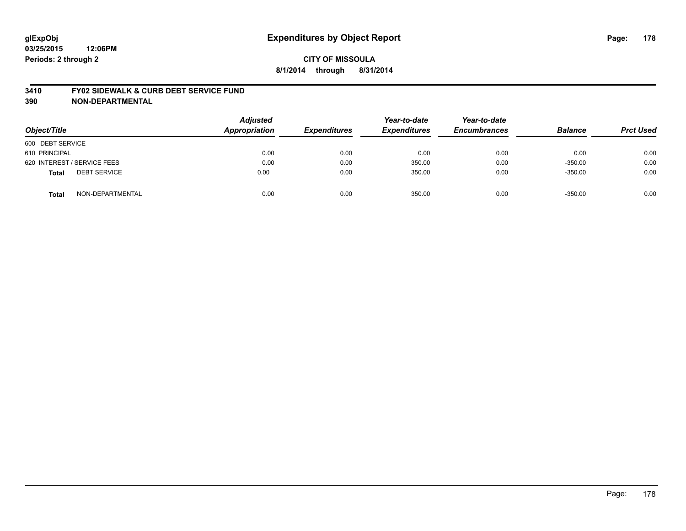#### **3410 FY02 SIDEWALK & CURB DEBT SERVICE FUND**

| Object/Title                        | <b>Adjusted</b><br><b>Appropriation</b> | <b>Expenditures</b> | Year-to-date<br><b>Expenditures</b> | Year-to-date<br><b>Encumbrances</b> | <b>Balance</b> | <b>Prct Used</b> |
|-------------------------------------|-----------------------------------------|---------------------|-------------------------------------|-------------------------------------|----------------|------------------|
| 600 DEBT SERVICE                    |                                         |                     |                                     |                                     |                |                  |
| 610 PRINCIPAL                       | 0.00                                    | 0.00                | 0.00                                | 0.00                                | 0.00           | 0.00             |
| 620 INTEREST / SERVICE FEES         | 0.00                                    | 0.00                | 350.00                              | 0.00                                | $-350.00$      | 0.00             |
| <b>DEBT SERVICE</b><br><b>Total</b> | 0.00                                    | 0.00                | 350.00                              | 0.00                                | $-350.00$      | 0.00             |
| NON-DEPARTMENTAL<br><b>Total</b>    | 0.00                                    | 0.00                | 350.00                              | 0.00                                | $-350.00$      | 0.00             |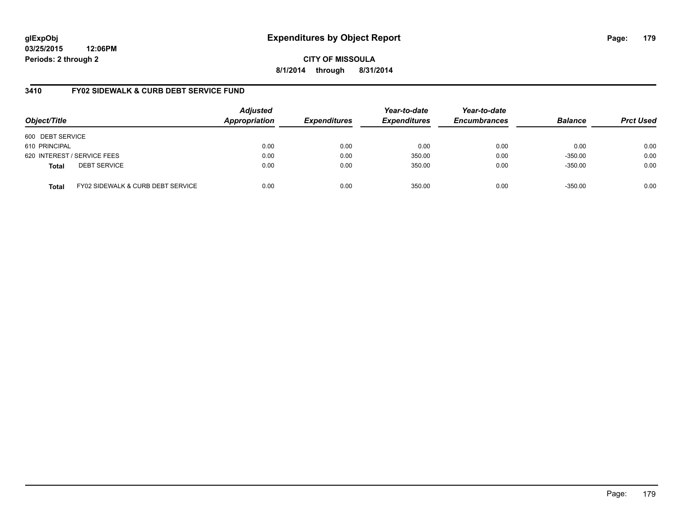**03/25/2015 12:06PM Periods: 2 through 2**

**CITY OF MISSOULA 8/1/2014 through 8/31/2014**

#### **3410 FY02 SIDEWALK & CURB DEBT SERVICE FUND**

| Object/Title     |                                   | <b>Adjusted</b><br>Appropriation | <b>Expenditures</b> | Year-to-date<br><b>Expenditures</b> | Year-to-date<br><b>Encumbrances</b> | <b>Balance</b> | <b>Prct Used</b> |
|------------------|-----------------------------------|----------------------------------|---------------------|-------------------------------------|-------------------------------------|----------------|------------------|
| 600 DEBT SERVICE |                                   |                                  |                     |                                     |                                     |                |                  |
| 610 PRINCIPAL    |                                   | 0.00                             | 0.00                | 0.00                                | 0.00                                | 0.00           | 0.00             |
|                  | 620 INTEREST / SERVICE FEES       | 0.00                             | 0.00                | 350.00                              | 0.00                                | $-350.00$      | 0.00             |
| <b>Total</b>     | <b>DEBT SERVICE</b>               | 0.00                             | 0.00                | 350.00                              | 0.00                                | $-350.00$      | 0.00             |
| <b>Total</b>     | FY02 SIDEWALK & CURB DEBT SERVICE | 0.00                             | 0.00                | 350.00                              | 0.00                                | $-350.00$      | 0.00             |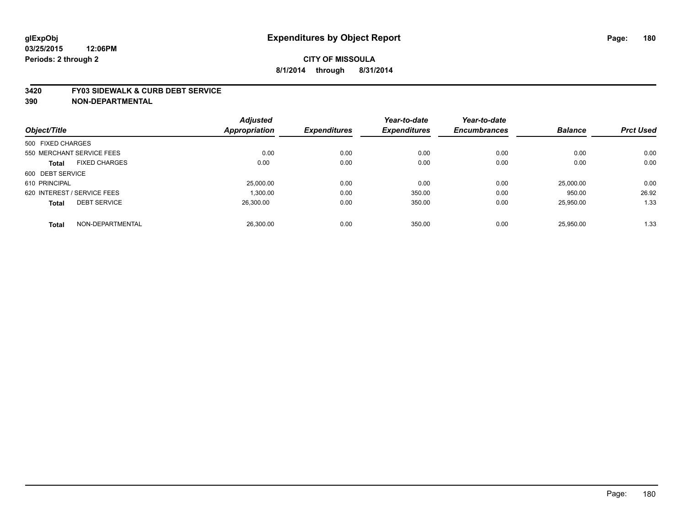#### **3420 FY03 SIDEWALK & CURB DEBT SERVICE**

|                   |                             | <b>Adjusted</b> |                     | Year-to-date        | Year-to-date        |                |                  |
|-------------------|-----------------------------|-----------------|---------------------|---------------------|---------------------|----------------|------------------|
| Object/Title      |                             | Appropriation   | <b>Expenditures</b> | <b>Expenditures</b> | <b>Encumbrances</b> | <b>Balance</b> | <b>Prct Used</b> |
| 500 FIXED CHARGES |                             |                 |                     |                     |                     |                |                  |
|                   | 550 MERCHANT SERVICE FEES   | 0.00            | 0.00                | 0.00                | 0.00                | 0.00           | 0.00             |
| <b>Total</b>      | <b>FIXED CHARGES</b>        | 0.00            | 0.00                | 0.00                | 0.00                | 0.00           | 0.00             |
| 600 DEBT SERVICE  |                             |                 |                     |                     |                     |                |                  |
| 610 PRINCIPAL     |                             | 25,000.00       | 0.00                | 0.00                | 0.00                | 25,000.00      | 0.00             |
|                   | 620 INTEREST / SERVICE FEES | 1,300.00        | 0.00                | 350.00              | 0.00                | 950.00         | 26.92            |
| <b>Total</b>      | <b>DEBT SERVICE</b>         | 26.300.00       | 0.00                | 350.00              | 0.00                | 25.950.00      | 1.33             |
| <b>Total</b>      | NON-DEPARTMENTAL            | 26,300.00       | 0.00                | 350.00              | 0.00                | 25.950.00      | 1.33             |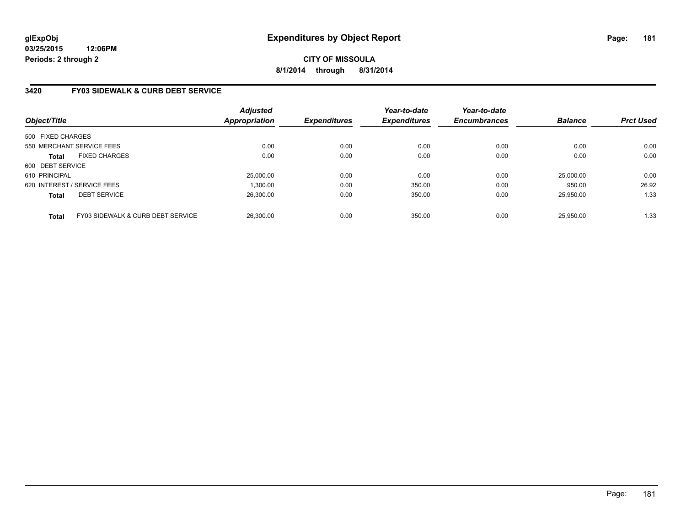## **3420 FY03 SIDEWALK & CURB DEBT SERVICE**

| Object/Title                |                                   | <b>Adjusted</b><br><b>Appropriation</b> | <b>Expenditures</b> | Year-to-date<br><b>Expenditures</b> | Year-to-date<br><b>Encumbrances</b> | <b>Balance</b> | <b>Prct Used</b> |
|-----------------------------|-----------------------------------|-----------------------------------------|---------------------|-------------------------------------|-------------------------------------|----------------|------------------|
| 500 FIXED CHARGES           |                                   |                                         |                     |                                     |                                     |                |                  |
| 550 MERCHANT SERVICE FEES   |                                   | 0.00                                    | 0.00                | 0.00                                | 0.00                                | 0.00           | 0.00             |
| <b>Total</b>                | <b>FIXED CHARGES</b>              | 0.00                                    | 0.00                | 0.00                                | 0.00                                | 0.00           | 0.00             |
| 600 DEBT SERVICE            |                                   |                                         |                     |                                     |                                     |                |                  |
| 610 PRINCIPAL               |                                   | 25,000.00                               | 0.00                | 0.00                                | 0.00                                | 25,000.00      | 0.00             |
| 620 INTEREST / SERVICE FEES |                                   | 1.300.00                                | 0.00                | 350.00                              | 0.00                                | 950.00         | 26.92            |
| <b>Total</b>                | <b>DEBT SERVICE</b>               | 26.300.00                               | 0.00                | 350.00                              | 0.00                                | 25.950.00      | 1.33             |
| <b>Total</b>                | FY03 SIDEWALK & CURB DEBT SERVICE | 26.300.00                               | 0.00                | 350.00                              | 0.00                                | 25.950.00      | 1.33             |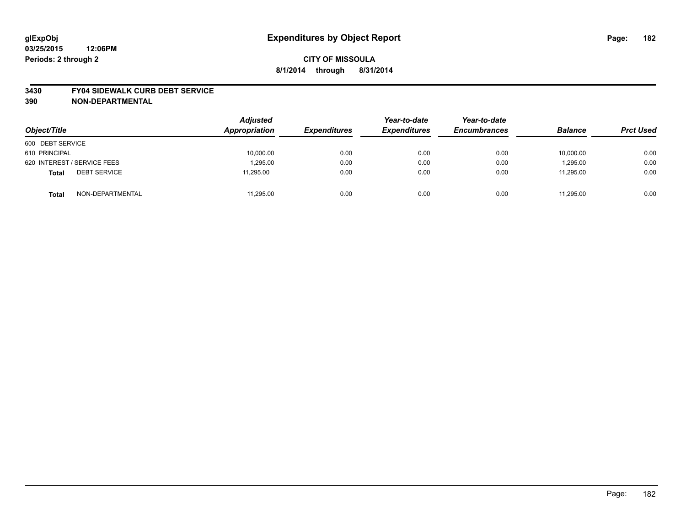#### **3430 FY04 SIDEWALK CURB DEBT SERVICE**

| Object/Title                        | <b>Adjusted</b><br>Appropriation | <b>Expenditures</b> | Year-to-date<br><b>Expenditures</b> | Year-to-date<br><b>Encumbrances</b> | <b>Balance</b> | <b>Prct Used</b> |
|-------------------------------------|----------------------------------|---------------------|-------------------------------------|-------------------------------------|----------------|------------------|
| 600 DEBT SERVICE                    |                                  |                     |                                     |                                     |                |                  |
| 610 PRINCIPAL                       | 10,000.00                        | 0.00                | 0.00                                | 0.00                                | 10,000.00      | 0.00             |
| 620 INTEREST / SERVICE FEES         | 1,295.00                         | 0.00                | 0.00                                | 0.00                                | 1,295.00       | 0.00             |
| <b>DEBT SERVICE</b><br><b>Total</b> | 11.295.00                        | 0.00                | 0.00                                | 0.00                                | 11.295.00      | 0.00             |
| NON-DEPARTMENTAL<br><b>Total</b>    | 11,295.00                        | 0.00                | 0.00                                | 0.00                                | 11,295.00      | 0.00             |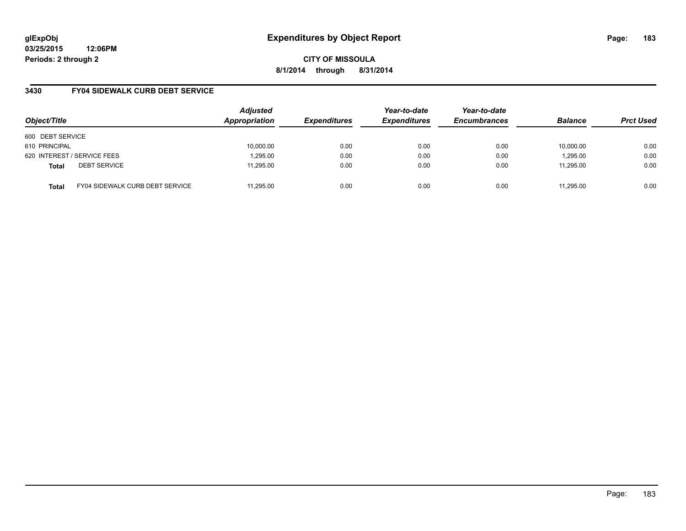**03/25/2015 12:06PM Periods: 2 through 2**

**CITY OF MISSOULA 8/1/2014 through 8/31/2014**

## **3430 FY04 SIDEWALK CURB DEBT SERVICE**

| Object/Title                                    | <b>Adjusted</b><br>Appropriation | <b>Expenditures</b> | Year-to-date<br><b>Expenditures</b> | Year-to-date<br><b>Encumbrances</b> | <b>Balance</b> | <b>Prct Used</b> |
|-------------------------------------------------|----------------------------------|---------------------|-------------------------------------|-------------------------------------|----------------|------------------|
| 600 DEBT SERVICE                                |                                  |                     |                                     |                                     |                |                  |
| 610 PRINCIPAL                                   | 10,000.00                        | 0.00                | 0.00                                | 0.00                                | 10,000.00      | 0.00             |
| 620 INTEREST / SERVICE FEES                     | 1,295.00                         | 0.00                | 0.00                                | 0.00                                | 1,295.00       | 0.00             |
| <b>DEBT SERVICE</b><br><b>Total</b>             | 11.295.00                        | 0.00                | 0.00                                | 0.00                                | 11.295.00      | 0.00             |
| FY04 SIDEWALK CURB DEBT SERVICE<br><b>Total</b> | 11.295.00                        | 0.00                | 0.00                                | 0.00                                | 11.295.00      | 0.00             |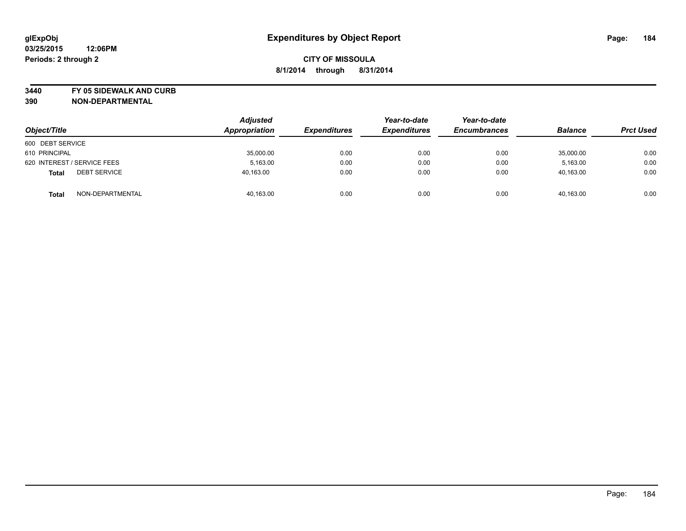**3440 FY 05 SIDEWALK AND CURB**

| Object/Title                        | Adjusted<br>Appropriation | <b>Expenditures</b> | Year-to-date<br><b>Expenditures</b> | Year-to-date<br><b>Encumbrances</b> | <b>Balance</b> | <b>Prct Used</b> |
|-------------------------------------|---------------------------|---------------------|-------------------------------------|-------------------------------------|----------------|------------------|
| 600 DEBT SERVICE                    |                           |                     |                                     |                                     |                |                  |
| 610 PRINCIPAL                       | 35,000.00                 | 0.00                | 0.00                                | 0.00                                | 35,000.00      | 0.00             |
| 620 INTEREST / SERVICE FEES         | 5,163.00                  | 0.00                | 0.00                                | 0.00                                | 5,163.00       | 0.00             |
| <b>DEBT SERVICE</b><br><b>Total</b> | 40,163.00                 | 0.00                | 0.00                                | 0.00                                | 40,163.00      | 0.00             |
| NON-DEPARTMENTAL<br><b>Total</b>    | 40,163.00                 | 0.00                | 0.00                                | 0.00                                | 40,163.00      | 0.00             |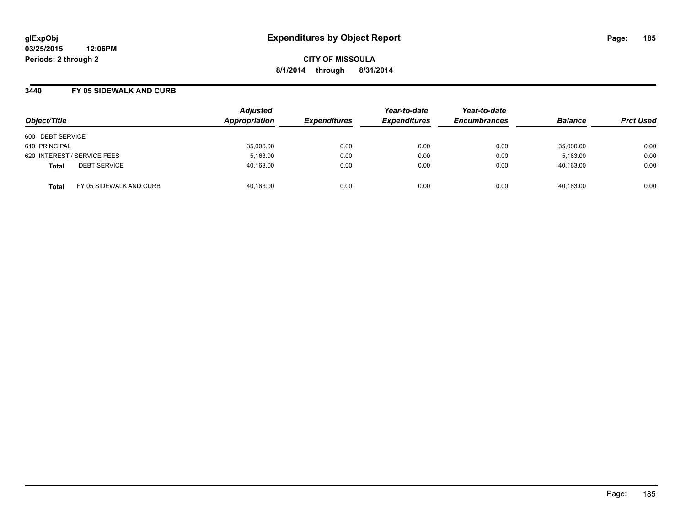#### **3440 FY 05 SIDEWALK AND CURB**

| Object/Title                            | <b>Adjusted</b><br>Appropriation | <b>Expenditures</b> | Year-to-date<br><b>Expenditures</b> | Year-to-date<br><b>Encumbrances</b> | <b>Balance</b> | <b>Prct Used</b> |
|-----------------------------------------|----------------------------------|---------------------|-------------------------------------|-------------------------------------|----------------|------------------|
| 600 DEBT SERVICE                        |                                  |                     |                                     |                                     |                |                  |
| 610 PRINCIPAL                           | 35,000.00                        | 0.00                | 0.00                                | 0.00                                | 35,000.00      | 0.00             |
| 620 INTEREST / SERVICE FEES             | 5,163.00                         | 0.00                | 0.00                                | 0.00                                | 5,163.00       | 0.00             |
| <b>DEBT SERVICE</b><br><b>Total</b>     | 40,163.00                        | 0.00                | 0.00                                | 0.00                                | 40,163.00      | 0.00             |
| FY 05 SIDEWALK AND CURB<br><b>Total</b> | 40,163.00                        | 0.00                | 0.00                                | 0.00                                | 40,163.00      | 0.00             |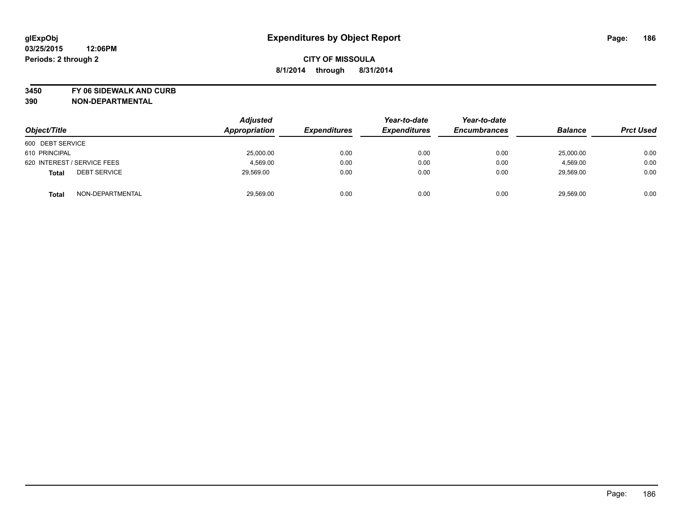**3450 FY 06 SIDEWALK AND CURB**

| Object/Title                        | <b>Adjusted</b><br>Appropriation | <b>Expenditures</b> | Year-to-date<br><b>Expenditures</b> | Year-to-date<br><b>Encumbrances</b> | <b>Balance</b> | <b>Prct Used</b> |
|-------------------------------------|----------------------------------|---------------------|-------------------------------------|-------------------------------------|----------------|------------------|
| 600 DEBT SERVICE                    |                                  |                     |                                     |                                     |                |                  |
| 610 PRINCIPAL                       | 25,000.00                        | 0.00                | 0.00                                | 0.00                                | 25,000.00      | 0.00             |
| 620 INTEREST / SERVICE FEES         | 4,569.00                         | 0.00                | 0.00                                | 0.00                                | 4,569.00       | 0.00             |
| <b>DEBT SERVICE</b><br><b>Total</b> | 29,569.00                        | 0.00                | 0.00                                | 0.00                                | 29,569.00      | 0.00             |
| NON-DEPARTMENTAL<br><b>Total</b>    | 29,569.00                        | 0.00                | 0.00                                | 0.00                                | 29,569.00      | 0.00             |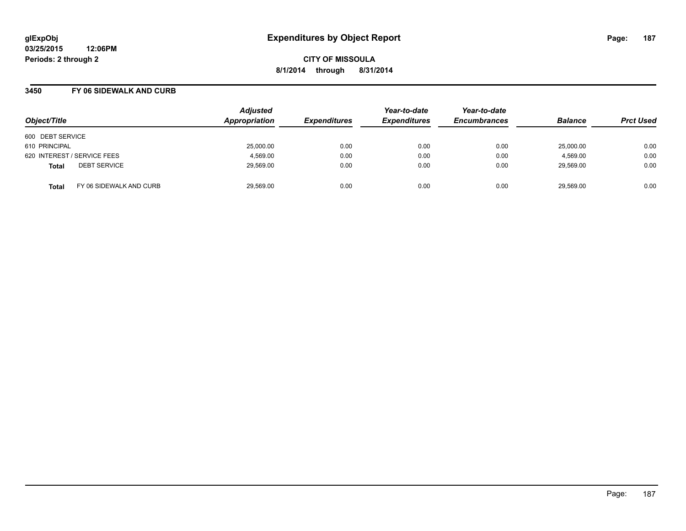### **3450 FY 06 SIDEWALK AND CURB**

| Object/Title                            | <b>Adjusted</b><br>Appropriation | <b>Expenditures</b> | Year-to-date<br><b>Expenditures</b> | Year-to-date<br><b>Encumbrances</b> | <b>Balance</b> | <b>Prct Used</b> |
|-----------------------------------------|----------------------------------|---------------------|-------------------------------------|-------------------------------------|----------------|------------------|
| 600 DEBT SERVICE                        |                                  |                     |                                     |                                     |                |                  |
| 610 PRINCIPAL                           | 25,000.00                        | 0.00                | 0.00                                | 0.00                                | 25,000.00      | 0.00             |
| 620 INTEREST / SERVICE FEES             | 4,569.00                         | 0.00                | 0.00                                | 0.00                                | 4,569.00       | 0.00             |
| <b>DEBT SERVICE</b><br><b>Total</b>     | 29,569.00                        | 0.00                | 0.00                                | 0.00                                | 29,569.00      | 0.00             |
| FY 06 SIDEWALK AND CURB<br><b>Total</b> | 29,569.00                        | 0.00                | 0.00                                | 0.00                                | 29,569.00      | 0.00             |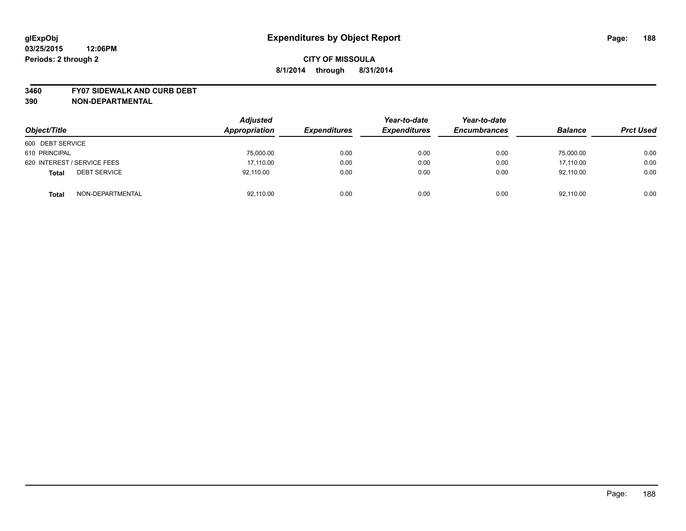#### **3460 FY07 SIDEWALK AND CURB DEBT**

| Object/Title                        | <b>Adjusted</b><br>Appropriation | <b>Expenditures</b> | Year-to-date<br><b>Expenditures</b> | Year-to-date<br><b>Encumbrances</b> | <b>Balance</b> | <b>Prct Used</b> |
|-------------------------------------|----------------------------------|---------------------|-------------------------------------|-------------------------------------|----------------|------------------|
| 600 DEBT SERVICE                    |                                  |                     |                                     |                                     |                |                  |
| 610 PRINCIPAL                       | 75,000.00                        | 0.00                | 0.00                                | 0.00                                | 75,000.00      | 0.00             |
| 620 INTEREST / SERVICE FEES         | 17,110.00                        | 0.00                | 0.00                                | 0.00                                | 17.110.00      | 0.00             |
| <b>DEBT SERVICE</b><br><b>Total</b> | 92.110.00                        | 0.00                | 0.00                                | 0.00                                | 92.110.00      | 0.00             |
| NON-DEPARTMENTAL<br><b>Total</b>    | 92,110.00                        | 0.00                | 0.00                                | 0.00                                | 92,110.00      | 0.00             |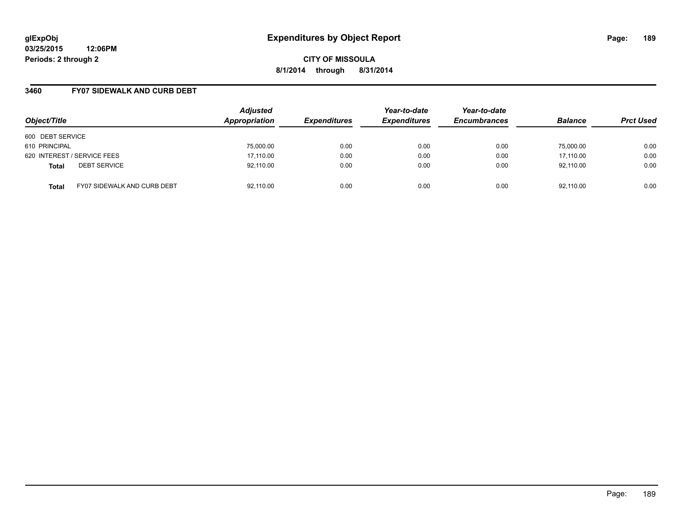### **3460 FY07 SIDEWALK AND CURB DEBT**

| Object/Title                                       | <b>Adjusted</b><br>Appropriation | <b>Expenditures</b> | Year-to-date<br><b>Expenditures</b> | Year-to-date<br><b>Encumbrances</b> | <b>Balance</b> | <b>Prct Used</b> |
|----------------------------------------------------|----------------------------------|---------------------|-------------------------------------|-------------------------------------|----------------|------------------|
| 600 DEBT SERVICE                                   |                                  |                     |                                     |                                     |                |                  |
| 610 PRINCIPAL                                      | 75,000.00                        | 0.00                | 0.00                                | 0.00                                | 75.000.00      | 0.00             |
| 620 INTEREST / SERVICE FEES                        | 17,110.00                        | 0.00                | 0.00                                | 0.00                                | 17,110.00      | 0.00             |
| <b>DEBT SERVICE</b><br><b>Total</b>                | 92,110.00                        | 0.00                | 0.00                                | 0.00                                | 92,110.00      | 0.00             |
| <b>FY07 SIDEWALK AND CURB DEBT</b><br><b>Total</b> | 92,110.00                        | 0.00                | 0.00                                | 0.00                                | 92,110.00      | 0.00             |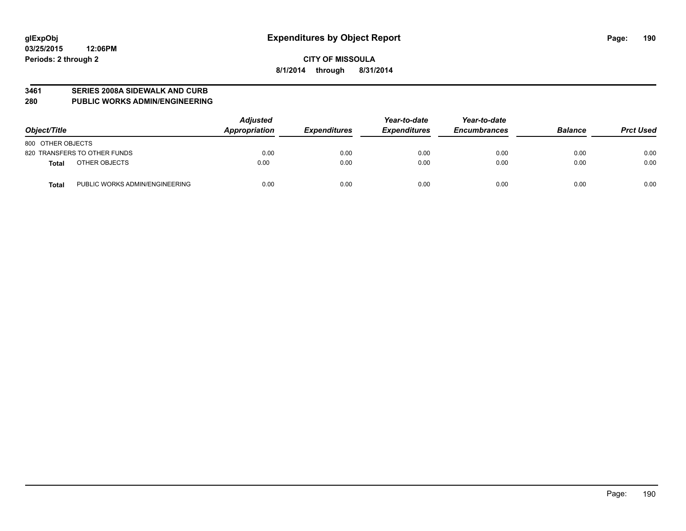#### **3461 SERIES 2008A SIDEWALK AND CURB**

**280 PUBLIC WORKS ADMIN/ENGINEERING**

| Object/Title                                   | <b>Adjusted</b><br>Appropriation | <b>Expenditures</b> | Year-to-date<br><b>Expenditures</b> | Year-to-date<br><b>Encumbrances</b> | <b>Balance</b> | <b>Prct Used</b> |
|------------------------------------------------|----------------------------------|---------------------|-------------------------------------|-------------------------------------|----------------|------------------|
| 800 OTHER OBJECTS                              |                                  |                     |                                     |                                     |                |                  |
| 820 TRANSFERS TO OTHER FUNDS                   | 0.00                             | 0.00                | 0.00                                | 0.00                                | 0.00           | 0.00             |
| OTHER OBJECTS<br>Total                         | 0.00                             | 0.00                | 0.00                                | 0.00                                | 0.00           | 0.00             |
| PUBLIC WORKS ADMIN/ENGINEERING<br><b>Total</b> | 0.00                             | 0.00                | 0.00                                | 0.00                                | 0.00           | 0.00             |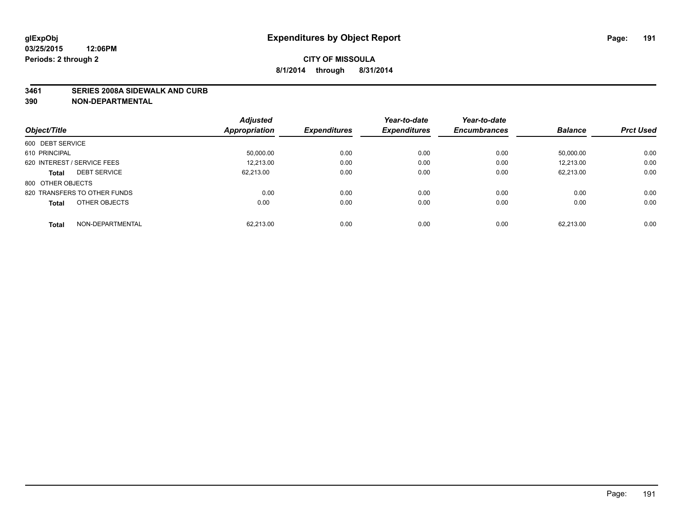#### **3461 SERIES 2008A SIDEWALK AND CURB**

|                                     | <b>Adjusted</b>      |                     | Year-to-date        | Year-to-date        |                |                  |
|-------------------------------------|----------------------|---------------------|---------------------|---------------------|----------------|------------------|
| Object/Title                        | <b>Appropriation</b> | <b>Expenditures</b> | <b>Expenditures</b> | <b>Encumbrances</b> | <b>Balance</b> | <b>Prct Used</b> |
| 600 DEBT SERVICE                    |                      |                     |                     |                     |                |                  |
| 610 PRINCIPAL                       | 50.000.00            | 0.00                | 0.00                | 0.00                | 50.000.00      | 0.00             |
| 620 INTEREST / SERVICE FEES         | 12.213.00            | 0.00                | 0.00                | 0.00                | 12.213.00      | 0.00             |
| <b>DEBT SERVICE</b><br><b>Total</b> | 62.213.00            | 0.00                | 0.00                | 0.00                | 62.213.00      | 0.00             |
| 800 OTHER OBJECTS                   |                      |                     |                     |                     |                |                  |
| 820 TRANSFERS TO OTHER FUNDS        | 0.00                 | 0.00                | 0.00                | 0.00                | 0.00           | 0.00             |
| OTHER OBJECTS<br><b>Total</b>       | 0.00                 | 0.00                | 0.00                | 0.00                | 0.00           | 0.00             |
| NON-DEPARTMENTAL<br>Total           | 62.213.00            | 0.00                | 0.00                | 0.00                | 62,213.00      | 0.00             |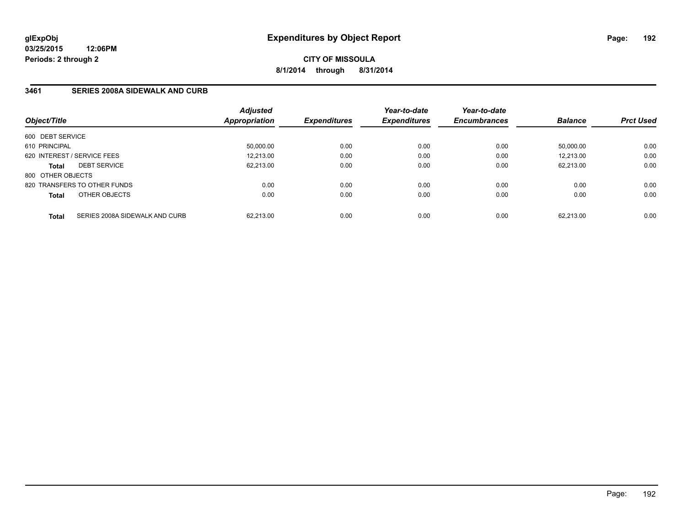### **3461 SERIES 2008A SIDEWALK AND CURB**

| Object/Title      |                                | <b>Adjusted</b><br>Appropriation | <b>Expenditures</b> | Year-to-date<br><b>Expenditures</b> | Year-to-date<br><b>Encumbrances</b> | <b>Balance</b> | <b>Prct Used</b> |
|-------------------|--------------------------------|----------------------------------|---------------------|-------------------------------------|-------------------------------------|----------------|------------------|
| 600 DEBT SERVICE  |                                |                                  |                     |                                     |                                     |                |                  |
| 610 PRINCIPAL     |                                | 50,000.00                        | 0.00                | 0.00                                | 0.00                                | 50.000.00      | 0.00             |
|                   | 620 INTEREST / SERVICE FEES    | 12,213.00                        | 0.00                | 0.00                                | 0.00                                | 12.213.00      | 0.00             |
| <b>Total</b>      | <b>DEBT SERVICE</b>            | 62.213.00                        | 0.00                | 0.00                                | 0.00                                | 62.213.00      | 0.00             |
| 800 OTHER OBJECTS |                                |                                  |                     |                                     |                                     |                |                  |
|                   | 820 TRANSFERS TO OTHER FUNDS   | 0.00                             | 0.00                | 0.00                                | 0.00                                | 0.00           | 0.00             |
| <b>Total</b>      | OTHER OBJECTS                  | 0.00                             | 0.00                | 0.00                                | 0.00                                | 0.00           | 0.00             |
| <b>Total</b>      | SERIES 2008A SIDEWALK AND CURB | 62.213.00                        | 0.00                | 0.00                                | 0.00                                | 62.213.00      | 0.00             |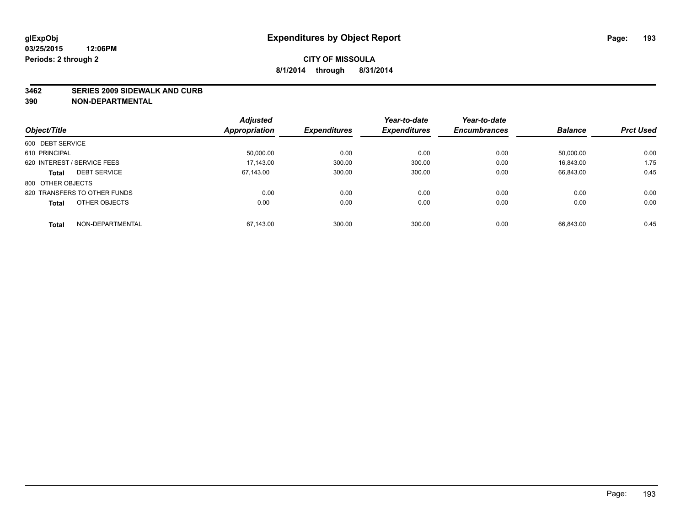#### **3462 SERIES 2009 SIDEWALK AND CURB**

|                                     | <b>Adjusted</b>      |                     | Year-to-date        | Year-to-date        |                |                  |
|-------------------------------------|----------------------|---------------------|---------------------|---------------------|----------------|------------------|
| Object/Title                        | <b>Appropriation</b> | <b>Expenditures</b> | <b>Expenditures</b> | <b>Encumbrances</b> | <b>Balance</b> | <b>Prct Used</b> |
| 600 DEBT SERVICE                    |                      |                     |                     |                     |                |                  |
| 610 PRINCIPAL                       | 50,000.00            | 0.00                | 0.00                | 0.00                | 50.000.00      | 0.00             |
| 620 INTEREST / SERVICE FEES         | 17.143.00            | 300.00              | 300.00              | 0.00                | 16,843.00      | 1.75             |
| <b>DEBT SERVICE</b><br><b>Total</b> | 67.143.00            | 300.00              | 300.00              | 0.00                | 66,843.00      | 0.45             |
| 800 OTHER OBJECTS                   |                      |                     |                     |                     |                |                  |
| 820 TRANSFERS TO OTHER FUNDS        | 0.00                 | 0.00                | 0.00                | 0.00                | 0.00           | 0.00             |
| OTHER OBJECTS<br><b>Total</b>       | 0.00                 | 0.00                | 0.00                | 0.00                | 0.00           | 0.00             |
| NON-DEPARTMENTAL<br>Total           | 67,143.00            | 300.00              | 300.00              | 0.00                | 66.843.00      | 0.45             |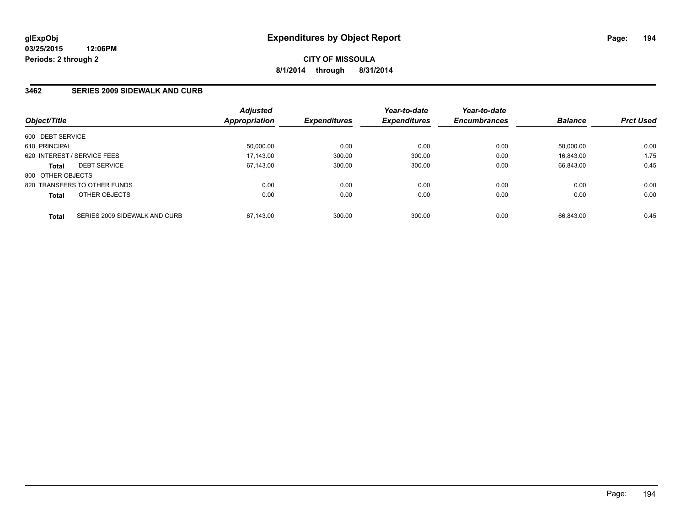### **3462 SERIES 2009 SIDEWALK AND CURB**

| Object/Title      |                               | <b>Adjusted</b><br>Appropriation | <b>Expenditures</b> | Year-to-date<br><b>Expenditures</b> | Year-to-date<br><b>Encumbrances</b> | <b>Balance</b> | <b>Prct Used</b> |
|-------------------|-------------------------------|----------------------------------|---------------------|-------------------------------------|-------------------------------------|----------------|------------------|
| 600 DEBT SERVICE  |                               |                                  |                     |                                     |                                     |                |                  |
| 610 PRINCIPAL     |                               | 50.000.00                        | 0.00                | 0.00                                | 0.00                                | 50.000.00      | 0.00             |
|                   | 620 INTEREST / SERVICE FEES   | 17,143.00                        | 300.00              | 300.00                              | 0.00                                | 16.843.00      | 1.75             |
| <b>Total</b>      | <b>DEBT SERVICE</b>           | 67.143.00                        | 300.00              | 300.00                              | 0.00                                | 66.843.00      | 0.45             |
| 800 OTHER OBJECTS |                               |                                  |                     |                                     |                                     |                |                  |
|                   | 820 TRANSFERS TO OTHER FUNDS  | 0.00                             | 0.00                | 0.00                                | 0.00                                | 0.00           | 0.00             |
| <b>Total</b>      | OTHER OBJECTS                 | 0.00                             | 0.00                | 0.00                                | 0.00                                | 0.00           | 0.00             |
| <b>Total</b>      | SERIES 2009 SIDEWALK AND CURB | 67.143.00                        | 300.00              | 300.00                              | 0.00                                | 66.843.00      | 0.45             |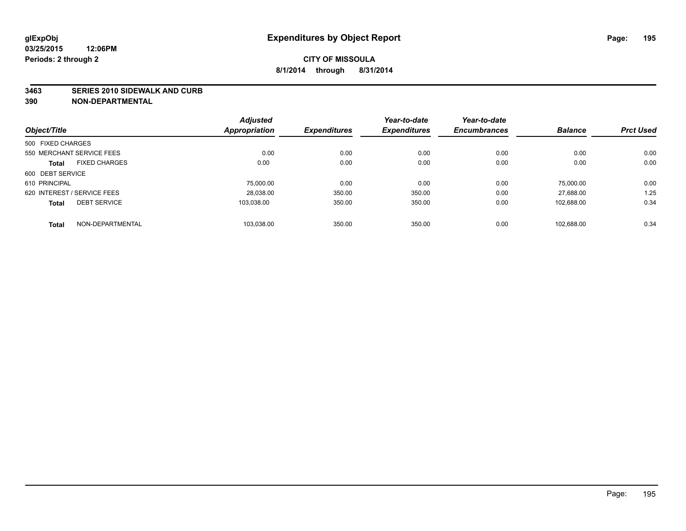#### **3463 SERIES 2010 SIDEWALK AND CURB**

|                             |                      | <b>Adjusted</b> |                     | Year-to-date        | Year-to-date        |                |                  |
|-----------------------------|----------------------|-----------------|---------------------|---------------------|---------------------|----------------|------------------|
| Object/Title                |                      | Appropriation   | <b>Expenditures</b> | <b>Expenditures</b> | <b>Encumbrances</b> | <b>Balance</b> | <b>Prct Used</b> |
| 500 FIXED CHARGES           |                      |                 |                     |                     |                     |                |                  |
| 550 MERCHANT SERVICE FEES   |                      | 0.00            | 0.00                | 0.00                | 0.00                | 0.00           | 0.00             |
| <b>Total</b>                | <b>FIXED CHARGES</b> | 0.00            | 0.00                | 0.00                | 0.00                | 0.00           | 0.00             |
| 600 DEBT SERVICE            |                      |                 |                     |                     |                     |                |                  |
| 610 PRINCIPAL               |                      | 75,000.00       | 0.00                | 0.00                | 0.00                | 75,000.00      | 0.00             |
| 620 INTEREST / SERVICE FEES |                      | 28,038.00       | 350.00              | 350.00              | 0.00                | 27,688.00      | 1.25             |
| <b>Total</b>                | <b>DEBT SERVICE</b>  | 103.038.00      | 350.00              | 350.00              | 0.00                | 102.688.00     | 0.34             |
| <b>Total</b>                | NON-DEPARTMENTAL     | 103,038.00      | 350.00              | 350.00              | 0.00                | 102.688.00     | 0.34             |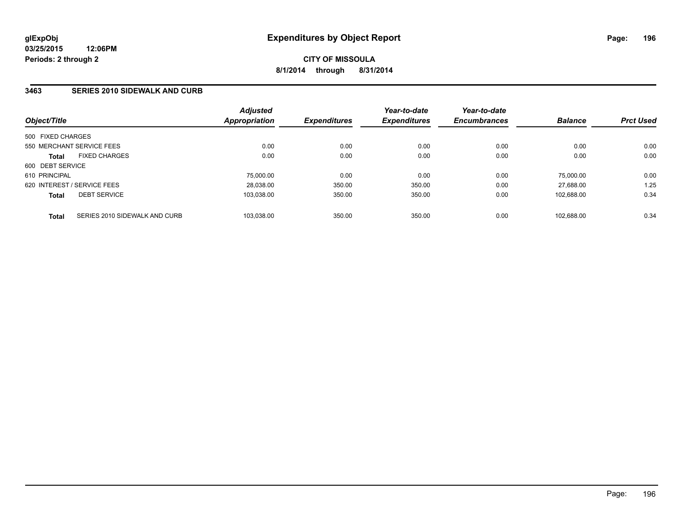### **3463 SERIES 2010 SIDEWALK AND CURB**

| Object/Title                |                               | <b>Adjusted</b><br>Appropriation | <b>Expenditures</b> | Year-to-date<br><b>Expenditures</b> | Year-to-date<br><b>Encumbrances</b> | <b>Balance</b> | <b>Prct Used</b> |
|-----------------------------|-------------------------------|----------------------------------|---------------------|-------------------------------------|-------------------------------------|----------------|------------------|
| 500 FIXED CHARGES           |                               |                                  |                     |                                     |                                     |                |                  |
| 550 MERCHANT SERVICE FEES   |                               | 0.00                             | 0.00                | 0.00                                | 0.00                                | 0.00           | 0.00             |
| <b>Total</b>                | <b>FIXED CHARGES</b>          | 0.00                             | 0.00                | 0.00                                | 0.00                                | 0.00           | 0.00             |
| 600 DEBT SERVICE            |                               |                                  |                     |                                     |                                     |                |                  |
| 610 PRINCIPAL               |                               | 75,000.00                        | 0.00                | 0.00                                | 0.00                                | 75,000.00      | 0.00             |
| 620 INTEREST / SERVICE FEES |                               | 28.038.00                        | 350.00              | 350.00                              | 0.00                                | 27.688.00      | 1.25             |
| <b>Total</b>                | <b>DEBT SERVICE</b>           | 103,038.00                       | 350.00              | 350.00                              | 0.00                                | 102.688.00     | 0.34             |
| <b>Total</b>                | SERIES 2010 SIDEWALK AND CURB | 103.038.00                       | 350.00              | 350.00                              | 0.00                                | 102.688.00     | 0.34             |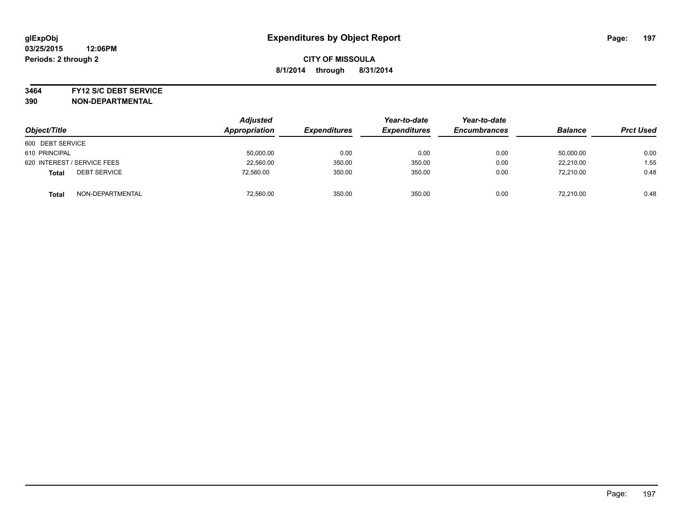#### **3464 FY12 S/C DEBT SERVICE**

| Object/Title                        | <b>Adjusted</b><br>Appropriation | <b>Expenditures</b> | Year-to-date<br><b>Expenditures</b> | Year-to-date<br><b>Encumbrances</b> | <b>Balance</b> | <b>Prct Used</b> |
|-------------------------------------|----------------------------------|---------------------|-------------------------------------|-------------------------------------|----------------|------------------|
| 600 DEBT SERVICE                    |                                  |                     |                                     |                                     |                |                  |
| 610 PRINCIPAL                       | 50,000.00                        | 0.00                | 0.00                                | 0.00                                | 50,000.00      | 0.00             |
| 620 INTEREST / SERVICE FEES         | 22,560.00                        | 350.00              | 350.00                              | 0.00                                | 22.210.00      | 1.55             |
| <b>DEBT SERVICE</b><br><b>Total</b> | 72,560.00                        | 350.00              | 350.00                              | 0.00                                | 72.210.00      | 0.48             |
| NON-DEPARTMENTAL<br><b>Total</b>    | 72,560.00                        | 350.00              | 350.00                              | 0.00                                | 72.210.00      | 0.48             |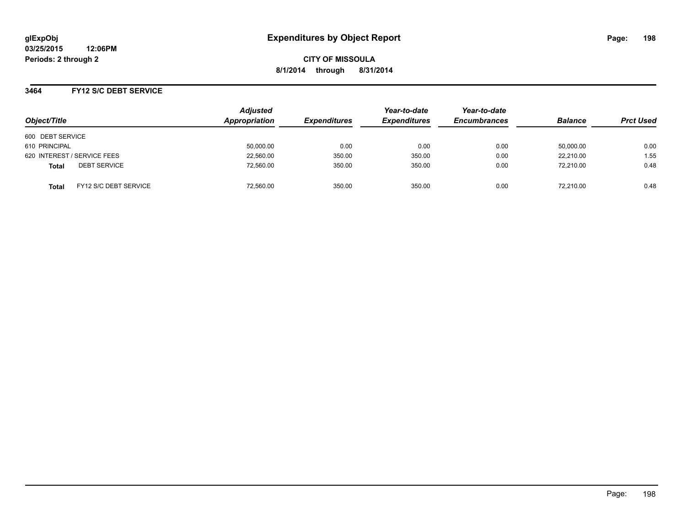**03/25/2015 12:06PM Periods: 2 through 2**

**CITY OF MISSOULA 8/1/2014 through 8/31/2014**

### **3464 FY12 S/C DEBT SERVICE**

|                                       | <b>Adjusted</b><br>Appropriation |                     | Year-to-date        | Year-to-date<br><b>Encumbrances</b> |                |                  |
|---------------------------------------|----------------------------------|---------------------|---------------------|-------------------------------------|----------------|------------------|
| Object/Title                          |                                  | <b>Expenditures</b> | <b>Expenditures</b> |                                     | <b>Balance</b> | <b>Prct Used</b> |
| 600 DEBT SERVICE                      |                                  |                     |                     |                                     |                |                  |
| 610 PRINCIPAL                         | 50,000.00                        | 0.00                | 0.00                | 0.00                                | 50,000.00      | 0.00             |
| 620 INTEREST / SERVICE FEES           | 22,560.00                        | 350.00              | 350.00              | 0.00                                | 22,210.00      | 1.55             |
| <b>DEBT SERVICE</b><br><b>Total</b>   | 72,560.00                        | 350.00              | 350.00              | 0.00                                | 72,210.00      | 0.48             |
| FY12 S/C DEBT SERVICE<br><b>Total</b> | 72,560.00                        | 350.00              | 350.00              | 0.00                                | 72.210.00      | 0.48             |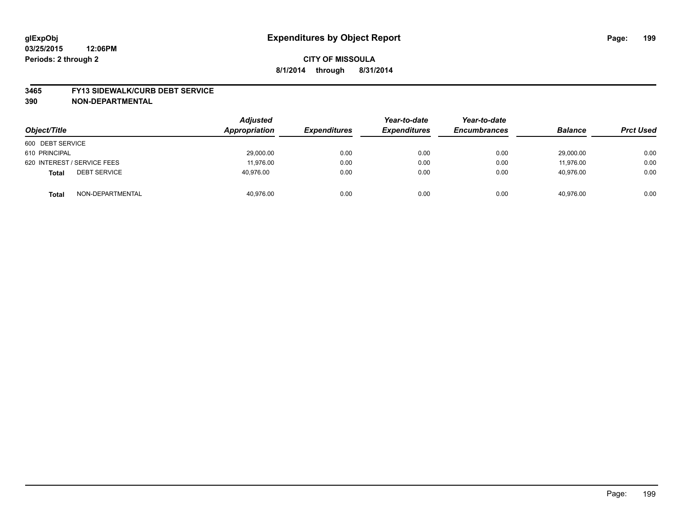#### **3465 FY13 SIDEWALK/CURB DEBT SERVICE**

| Object/Title                        | <b>Adjusted</b><br>Appropriation | <b>Expenditures</b> | Year-to-date<br><b>Expenditures</b> | Year-to-date<br><b>Encumbrances</b> | <b>Balance</b> | <b>Prct Used</b> |
|-------------------------------------|----------------------------------|---------------------|-------------------------------------|-------------------------------------|----------------|------------------|
| 600 DEBT SERVICE                    |                                  |                     |                                     |                                     |                |                  |
| 610 PRINCIPAL                       | 29,000.00                        | 0.00                | 0.00                                | 0.00                                | 29,000.00      | 0.00             |
| 620 INTEREST / SERVICE FEES         | 11,976.00                        | 0.00                | 0.00                                | 0.00                                | 11,976.00      | 0.00             |
| <b>DEBT SERVICE</b><br><b>Total</b> | 40.976.00                        | 0.00                | 0.00                                | 0.00                                | 40.976.00      | 0.00             |
| NON-DEPARTMENTAL<br><b>Total</b>    | 40,976.00                        | 0.00                | 0.00                                | 0.00                                | 40,976.00      | 0.00             |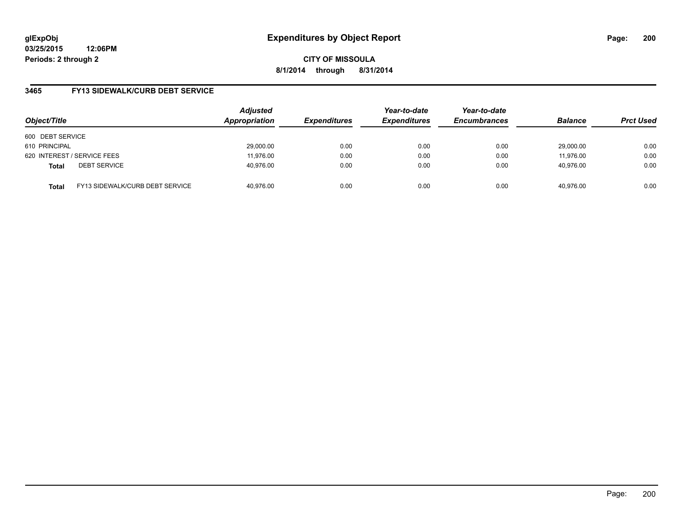**03/25/2015 12:06PM Periods: 2 through 2**

**CITY OF MISSOULA 8/1/2014 through 8/31/2014**

### **3465 FY13 SIDEWALK/CURB DEBT SERVICE**

| Object/Title     |                                 | <b>Adjusted</b><br>Appropriation | <b>Expenditures</b> | Year-to-date<br><b>Expenditures</b> | Year-to-date<br><b>Encumbrances</b> | <b>Balance</b> | <b>Prct Used</b> |
|------------------|---------------------------------|----------------------------------|---------------------|-------------------------------------|-------------------------------------|----------------|------------------|
| 600 DEBT SERVICE |                                 |                                  |                     |                                     |                                     |                |                  |
| 610 PRINCIPAL    |                                 | 29,000.00                        | 0.00                | 0.00                                | 0.00                                | 29.000.00      | 0.00             |
|                  | 620 INTEREST / SERVICE FEES     | 11,976.00                        | 0.00                | 0.00                                | 0.00                                | 11,976.00      | 0.00             |
| <b>Total</b>     | <b>DEBT SERVICE</b>             | 40,976.00                        | 0.00                | 0.00                                | 0.00                                | 40.976.00      | 0.00             |
| <b>Total</b>     | FY13 SIDEWALK/CURB DEBT SERVICE | 40,976.00                        | 0.00                | 0.00                                | 0.00                                | 40.976.00      | 0.00             |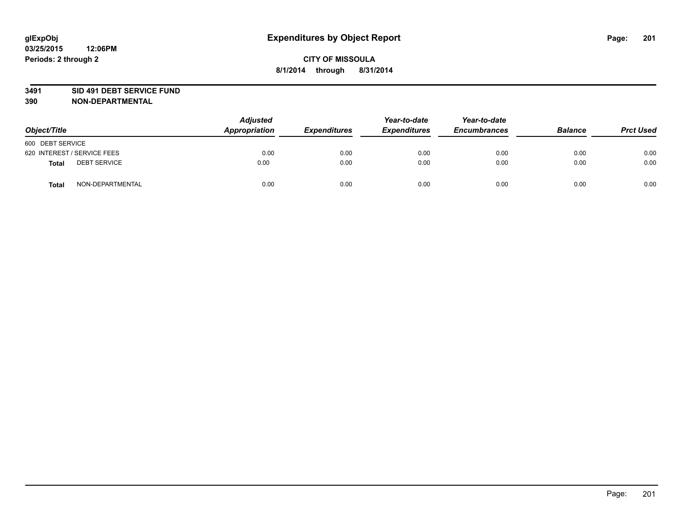#### **3491 SID 491 DEBT SERVICE FUND**

| Object/Title                 | <b>Adjusted</b><br>Appropriation | <b>Expenditures</b> | Year-to-date<br><b>Expenditures</b> | Year-to-date<br><b>Encumbrances</b> | <b>Balance</b> | <b>Prct Used</b> |
|------------------------------|----------------------------------|---------------------|-------------------------------------|-------------------------------------|----------------|------------------|
| 600 DEBT SERVICE             |                                  |                     |                                     |                                     |                |                  |
| 620 INTEREST / SERVICE FEES  | 0.00                             | 0.00                | 0.00                                | 0.00                                | 0.00           | 0.00             |
| <b>DEBT SERVICE</b><br>Total | 0.00                             | 0.00                | 0.00                                | 0.00                                | 0.00           | 0.00             |
| NON-DEPARTMENTAL<br>Total    | 0.00                             | 0.00                | 0.00                                | 0.00                                | 0.00           | 0.00             |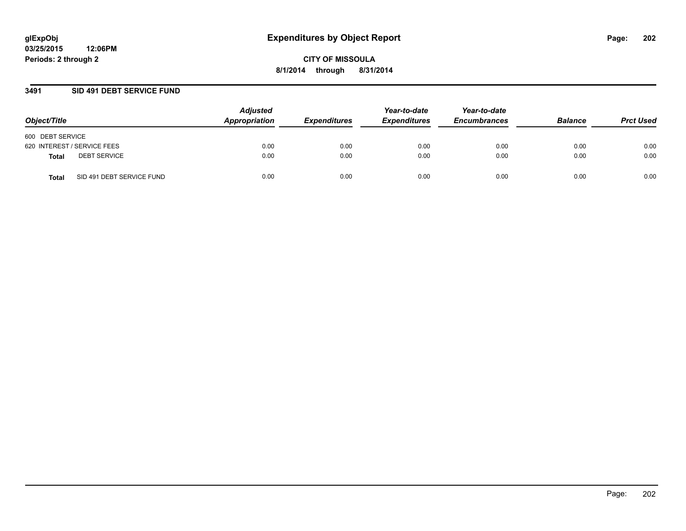### **3491 SID 491 DEBT SERVICE FUND**

| Object/Title                       | <b>Adjusted</b><br>Appropriation | <b>Expenditures</b> | Year-to-date<br><b>Expenditures</b> | Year-to-date<br><b>Encumbrances</b> | <b>Balance</b> | <b>Prct Used</b> |
|------------------------------------|----------------------------------|---------------------|-------------------------------------|-------------------------------------|----------------|------------------|
| 600 DEBT SERVICE                   |                                  |                     |                                     |                                     |                |                  |
| 620 INTEREST / SERVICE FEES        | 0.00                             | 0.00                | 0.00                                | 0.00                                | 0.00           | 0.00             |
| <b>DEBT SERVICE</b><br>Total       | 0.00                             | 0.00                | 0.00                                | 0.00                                | 0.00           | 0.00             |
| SID 491 DEBT SERVICE FUND<br>Total | 0.00                             | 0.00                | 0.00                                | 0.00                                | 0.00           | 0.00             |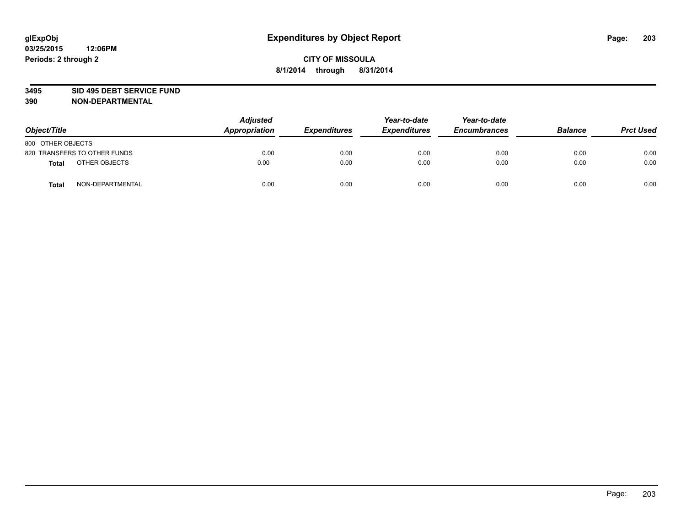#### **3495 SID 495 DEBT SERVICE FUND**

| Object/Title                     | <b>Adjusted</b><br>Appropriation | <b>Expenditures</b> | Year-to-date<br><b>Expenditures</b> | Year-to-date<br><b>Encumbrances</b> | <b>Balance</b> | <b>Prct Used</b> |
|----------------------------------|----------------------------------|---------------------|-------------------------------------|-------------------------------------|----------------|------------------|
| 800 OTHER OBJECTS                |                                  |                     |                                     |                                     |                |                  |
| 820 TRANSFERS TO OTHER FUNDS     | 0.00                             | 0.00                | 0.00                                | 0.00                                | 0.00           | 0.00             |
| OTHER OBJECTS<br><b>Total</b>    | 0.00                             | 0.00                | 0.00                                | 0.00                                | 0.00           | 0.00             |
| NON-DEPARTMENTAL<br><b>Total</b> | 0.00                             | 0.00                | 0.00                                | 0.00                                | 0.00           | 0.00             |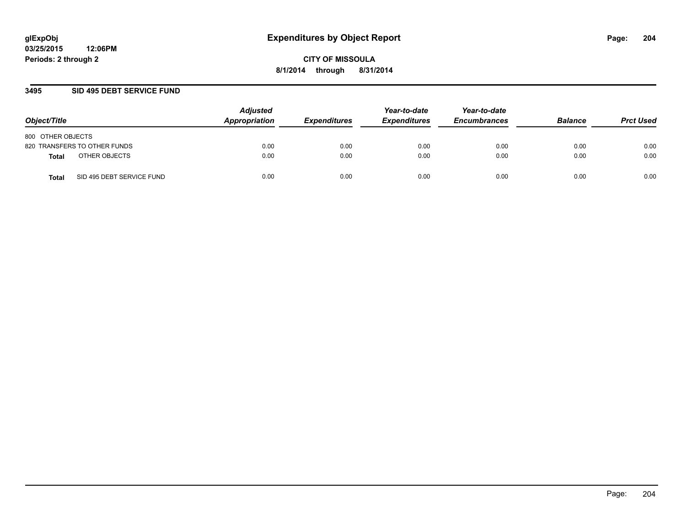### **3495 SID 495 DEBT SERVICE FUND**

| Object/Title                       | <b>Adjusted</b><br>Appropriation | <b>Expenditures</b> | Year-to-date<br><b>Expenditures</b> | Year-to-date<br><b>Encumbrances</b> | <b>Balance</b> | <b>Prct Used</b> |
|------------------------------------|----------------------------------|---------------------|-------------------------------------|-------------------------------------|----------------|------------------|
| 800 OTHER OBJECTS                  |                                  |                     |                                     |                                     |                |                  |
| 820 TRANSFERS TO OTHER FUNDS       | 0.00                             | 0.00                | 0.00                                | 0.00                                | 0.00           | 0.00             |
| OTHER OBJECTS<br>Total             | 0.00                             | 0.00                | 0.00                                | 0.00                                | 0.00           | 0.00             |
| SID 495 DEBT SERVICE FUND<br>Total | 0.00                             | 0.00                | 0.00                                | 0.00                                | 0.00           | 0.00             |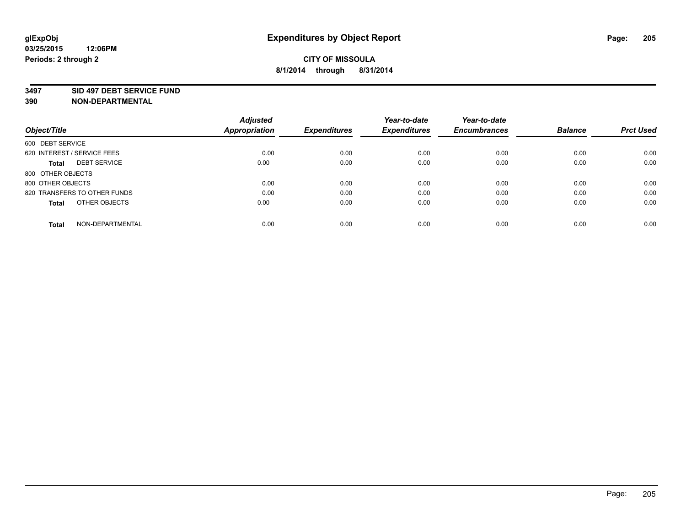#### **3497 SID 497 DEBT SERVICE FUND**

|                                     | <b>Adjusted</b>      |                     | Year-to-date        | Year-to-date        |                |                  |
|-------------------------------------|----------------------|---------------------|---------------------|---------------------|----------------|------------------|
| Object/Title                        | <b>Appropriation</b> | <b>Expenditures</b> | <b>Expenditures</b> | <b>Encumbrances</b> | <b>Balance</b> | <b>Prct Used</b> |
| 600 DEBT SERVICE                    |                      |                     |                     |                     |                |                  |
| 620 INTEREST / SERVICE FEES         | 0.00                 | 0.00                | 0.00                | 0.00                | 0.00           | 0.00             |
| <b>DEBT SERVICE</b><br><b>Total</b> | 0.00                 | 0.00                | 0.00                | 0.00                | 0.00           | 0.00             |
| 800 OTHER OBJECTS                   |                      |                     |                     |                     |                |                  |
| 800 OTHER OBJECTS                   | 0.00                 | 0.00                | 0.00                | 0.00                | 0.00           | 0.00             |
| 820 TRANSFERS TO OTHER FUNDS        | 0.00                 | 0.00                | 0.00                | 0.00                | 0.00           | 0.00             |
| OTHER OBJECTS<br><b>Total</b>       | 0.00                 | 0.00                | 0.00                | 0.00                | 0.00           | 0.00             |
| NON-DEPARTMENTAL<br>Total           | 0.00                 | 0.00                | 0.00                | 0.00                | 0.00           | 0.00             |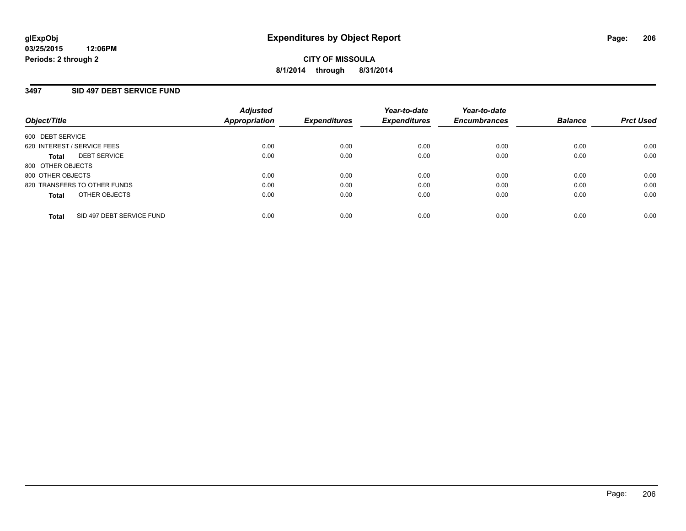## **3497 SID 497 DEBT SERVICE FUND**

| Object/Title                              | <b>Adjusted</b><br>Appropriation | <b>Expenditures</b> | Year-to-date<br><b>Expenditures</b> | Year-to-date<br><b>Encumbrances</b> | <b>Balance</b> | <b>Prct Used</b> |
|-------------------------------------------|----------------------------------|---------------------|-------------------------------------|-------------------------------------|----------------|------------------|
| 600 DEBT SERVICE                          |                                  |                     |                                     |                                     |                |                  |
| 620 INTEREST / SERVICE FEES               | 0.00                             | 0.00                | 0.00                                | 0.00                                | 0.00           | 0.00             |
| <b>DEBT SERVICE</b><br><b>Total</b>       | 0.00                             | 0.00                | 0.00                                | 0.00                                | 0.00           | 0.00             |
| 800 OTHER OBJECTS                         |                                  |                     |                                     |                                     |                |                  |
| 800 OTHER OBJECTS                         | 0.00                             | 0.00                | 0.00                                | 0.00                                | 0.00           | 0.00             |
| 820 TRANSFERS TO OTHER FUNDS              | 0.00                             | 0.00                | 0.00                                | 0.00                                | 0.00           | 0.00             |
| OTHER OBJECTS<br><b>Total</b>             | 0.00                             | 0.00                | 0.00                                | 0.00                                | 0.00           | 0.00             |
| SID 497 DEBT SERVICE FUND<br><b>Total</b> | 0.00                             | 0.00                | 0.00                                | 0.00                                | 0.00           | 0.00             |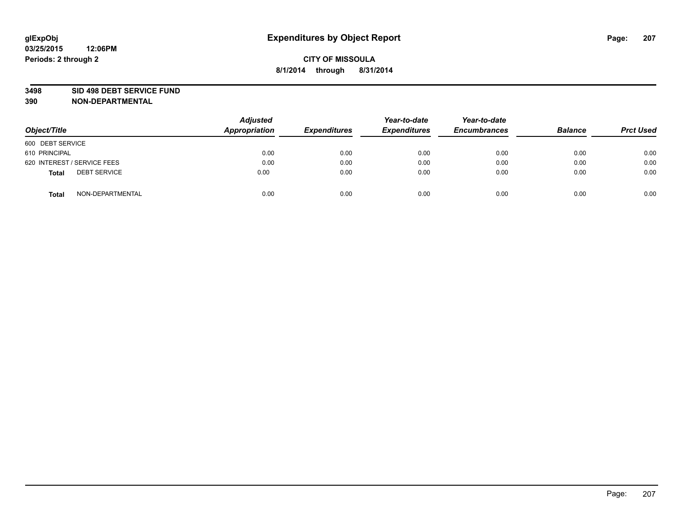#### **3498 SID 498 DEBT SERVICE FUND**

| Object/Title                        | <b>Adjusted</b><br>Appropriation | <b>Expenditures</b> | Year-to-date<br><b>Expenditures</b> | Year-to-date<br><b>Encumbrances</b> | <b>Balance</b> | <b>Prct Used</b> |
|-------------------------------------|----------------------------------|---------------------|-------------------------------------|-------------------------------------|----------------|------------------|
| 600 DEBT SERVICE                    |                                  |                     |                                     |                                     |                |                  |
| 610 PRINCIPAL                       | 0.00                             | 0.00                | 0.00                                | 0.00                                | 0.00           | 0.00             |
| 620 INTEREST / SERVICE FEES         | 0.00                             | 0.00                | 0.00                                | 0.00                                | 0.00           | 0.00             |
| <b>DEBT SERVICE</b><br><b>Total</b> | 0.00                             | 0.00                | 0.00                                | 0.00                                | 0.00           | 0.00             |
| NON-DEPARTMENTAL<br><b>Total</b>    | 0.00                             | 0.00                | 0.00                                | 0.00                                | 0.00           | 0.00             |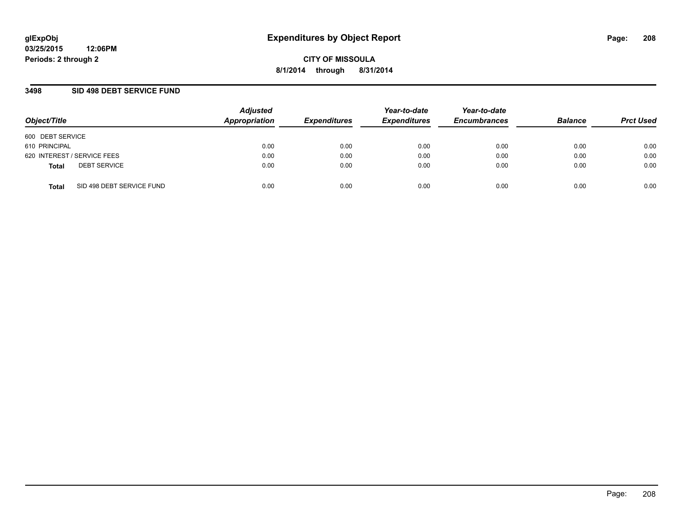### **3498 SID 498 DEBT SERVICE FUND**

| Object/Title                              | <b>Adjusted</b><br>Appropriation | <b>Expenditures</b> | Year-to-date<br><b>Expenditures</b> | Year-to-date<br><b>Encumbrances</b> | <b>Balance</b> | <b>Prct Used</b> |
|-------------------------------------------|----------------------------------|---------------------|-------------------------------------|-------------------------------------|----------------|------------------|
| 600 DEBT SERVICE                          |                                  |                     |                                     |                                     |                |                  |
| 610 PRINCIPAL                             | 0.00                             | 0.00                | 0.00                                | 0.00                                | 0.00           | 0.00             |
| 620 INTEREST / SERVICE FEES               | 0.00                             | 0.00                | 0.00                                | 0.00                                | 0.00           | 0.00             |
| <b>DEBT SERVICE</b><br><b>Total</b>       | 0.00                             | 0.00                | 0.00                                | 0.00                                | 0.00           | 0.00             |
| SID 498 DEBT SERVICE FUND<br><b>Total</b> | 0.00                             | 0.00                | 0.00                                | 0.00                                | 0.00           | 0.00             |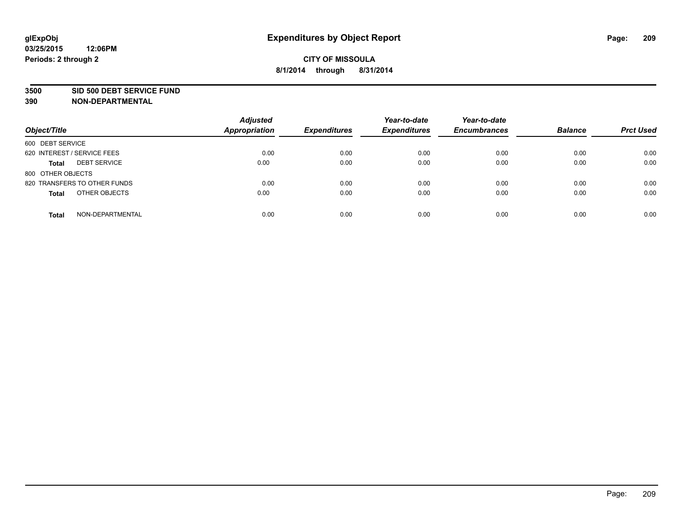#### **3500 SID 500 DEBT SERVICE FUND**

| Object/Title                        | <b>Adjusted</b><br><b>Appropriation</b> | <b>Expenditures</b> | Year-to-date<br><b>Expenditures</b> | Year-to-date<br><b>Encumbrances</b> | <b>Balance</b> | <b>Prct Used</b> |
|-------------------------------------|-----------------------------------------|---------------------|-------------------------------------|-------------------------------------|----------------|------------------|
| 600 DEBT SERVICE                    |                                         |                     |                                     |                                     |                |                  |
| 620 INTEREST / SERVICE FEES         | 0.00                                    | 0.00                | 0.00                                | 0.00                                | 0.00           | 0.00             |
| <b>DEBT SERVICE</b><br><b>Total</b> | 0.00                                    | 0.00                | 0.00                                | 0.00                                | 0.00           | 0.00             |
| 800 OTHER OBJECTS                   |                                         |                     |                                     |                                     |                |                  |
| 820 TRANSFERS TO OTHER FUNDS        | 0.00                                    | 0.00                | 0.00                                | 0.00                                | 0.00           | 0.00             |
| OTHER OBJECTS<br><b>Total</b>       | 0.00                                    | 0.00                | 0.00                                | 0.00                                | 0.00           | 0.00             |
| NON-DEPARTMENTAL<br><b>Total</b>    | 0.00                                    | 0.00                | 0.00                                | 0.00                                | 0.00           | 0.00             |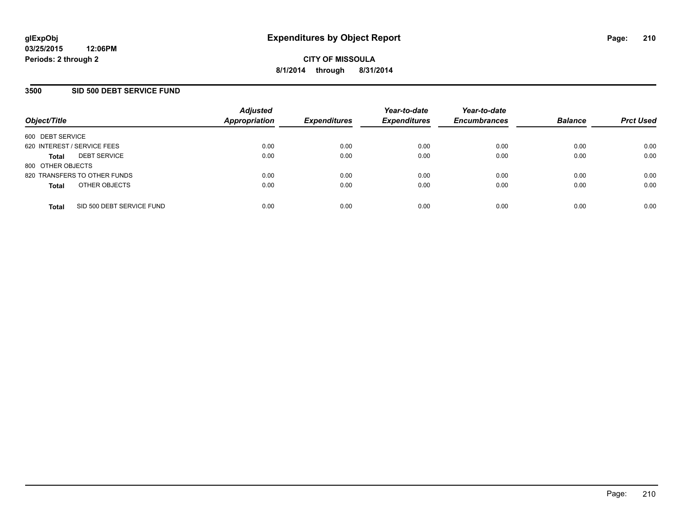## **3500 SID 500 DEBT SERVICE FUND**

| Object/Title                              | <b>Adjusted</b><br><b>Appropriation</b> | <b>Expenditures</b> | Year-to-date<br><b>Expenditures</b> | Year-to-date<br><b>Encumbrances</b> | <b>Balance</b> | <b>Prct Used</b> |
|-------------------------------------------|-----------------------------------------|---------------------|-------------------------------------|-------------------------------------|----------------|------------------|
| 600 DEBT SERVICE                          |                                         |                     |                                     |                                     |                |                  |
| 620 INTEREST / SERVICE FEES               | 0.00                                    | 0.00                | 0.00                                | 0.00                                | 0.00           | 0.00             |
| <b>DEBT SERVICE</b><br><b>Total</b>       | 0.00                                    | 0.00                | 0.00                                | 0.00                                | 0.00           | 0.00             |
| 800 OTHER OBJECTS                         |                                         |                     |                                     |                                     |                |                  |
| 820 TRANSFERS TO OTHER FUNDS              | 0.00                                    | 0.00                | 0.00                                | 0.00                                | 0.00           | 0.00             |
| OTHER OBJECTS<br><b>Total</b>             | 0.00                                    | 0.00                | 0.00                                | 0.00                                | 0.00           | 0.00             |
| SID 500 DEBT SERVICE FUND<br><b>Total</b> | 0.00                                    | 0.00                | 0.00                                | 0.00                                | 0.00           | 0.00             |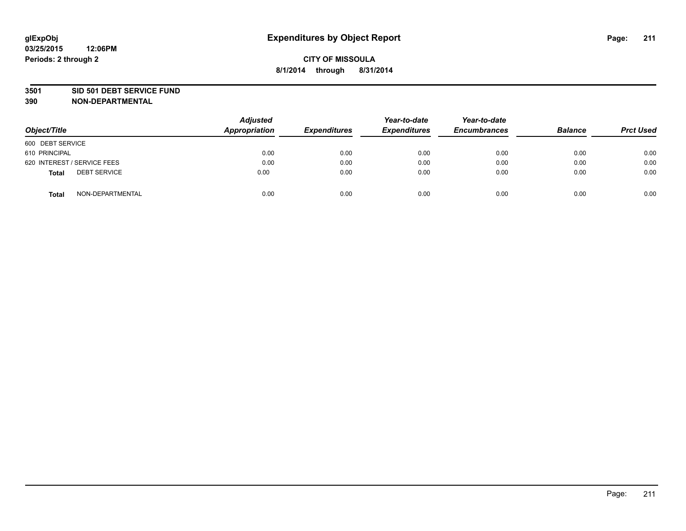#### **3501 SID 501 DEBT SERVICE FUND**

| Object/Title                 | <b>Adjusted</b><br><b>Appropriation</b> | <b>Expenditures</b> | Year-to-date<br><b>Expenditures</b> | Year-to-date<br><b>Encumbrances</b> | <b>Balance</b> | <b>Prct Used</b> |
|------------------------------|-----------------------------------------|---------------------|-------------------------------------|-------------------------------------|----------------|------------------|
| 600 DEBT SERVICE             |                                         |                     |                                     |                                     |                |                  |
| 610 PRINCIPAL                | 0.00                                    | 0.00                | 0.00                                | 0.00                                | 0.00           | 0.00             |
| 620 INTEREST / SERVICE FEES  | 0.00                                    | 0.00                | 0.00                                | 0.00                                | 0.00           | 0.00             |
| <b>DEBT SERVICE</b><br>Total | 0.00                                    | 0.00                | 0.00                                | 0.00                                | 0.00           | 0.00             |
| NON-DEPARTMENTAL<br>Total    | 0.00                                    | 0.00                | 0.00                                | 0.00                                | 0.00           | 0.00             |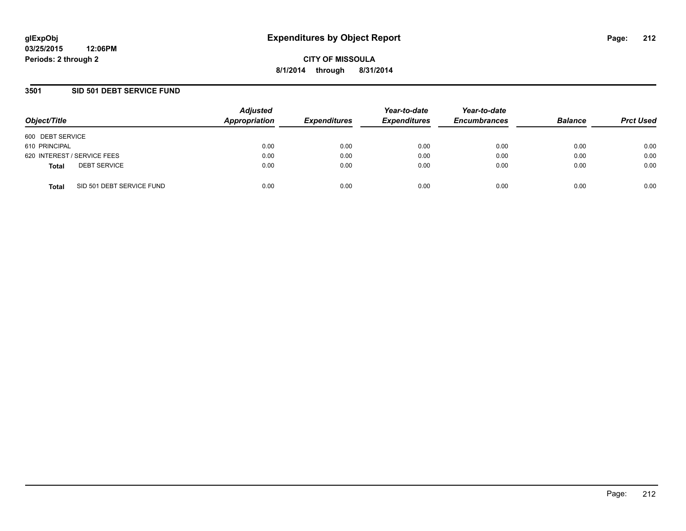### **3501 SID 501 DEBT SERVICE FUND**

| Object/Title                |                           | <b>Adjusted</b><br>Appropriation | <b>Expenditures</b> | Year-to-date<br><b>Expenditures</b> | Year-to-date<br><b>Encumbrances</b> | <b>Balance</b> | <b>Prct Used</b> |
|-----------------------------|---------------------------|----------------------------------|---------------------|-------------------------------------|-------------------------------------|----------------|------------------|
| 600 DEBT SERVICE            |                           |                                  |                     |                                     |                                     |                |                  |
| 610 PRINCIPAL               |                           | 0.00                             | 0.00                | 0.00                                | 0.00                                | 0.00           | 0.00             |
| 620 INTEREST / SERVICE FEES |                           | 0.00                             | 0.00                | 0.00                                | 0.00                                | 0.00           | 0.00             |
| <b>Total</b>                | <b>DEBT SERVICE</b>       | 0.00                             | 0.00                | 0.00                                | 0.00                                | 0.00           | 0.00             |
| <b>Total</b>                | SID 501 DEBT SERVICE FUND | 0.00                             | 0.00                | 0.00                                | 0.00                                | 0.00           | 0.00             |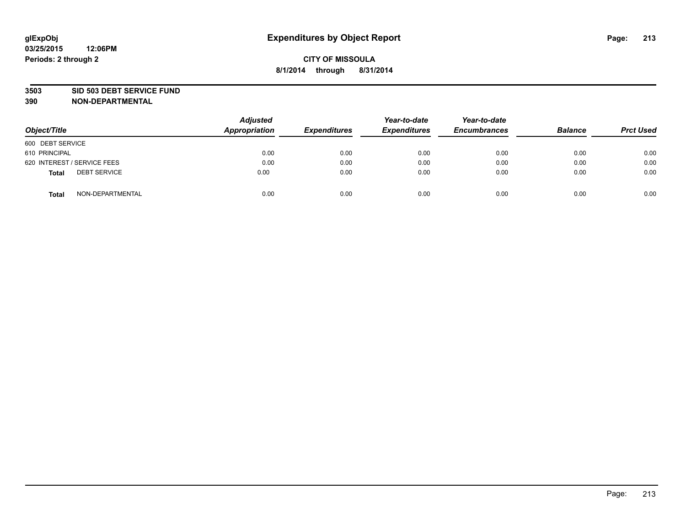#### **3503 SID 503 DEBT SERVICE FUND**

| Object/Title                        | <b>Adjusted</b><br>Appropriation | <b>Expenditures</b> | Year-to-date<br><b>Expenditures</b> | Year-to-date<br><b>Encumbrances</b> | <b>Balance</b> | <b>Prct Used</b> |
|-------------------------------------|----------------------------------|---------------------|-------------------------------------|-------------------------------------|----------------|------------------|
| 600 DEBT SERVICE                    |                                  |                     |                                     |                                     |                |                  |
| 610 PRINCIPAL                       | 0.00                             | 0.00                | 0.00                                | 0.00                                | 0.00           | 0.00             |
| 620 INTEREST / SERVICE FEES         | 0.00                             | 0.00                | 0.00                                | 0.00                                | 0.00           | 0.00             |
| <b>DEBT SERVICE</b><br><b>Total</b> | 0.00                             | 0.00                | 0.00                                | 0.00                                | 0.00           | 0.00             |
| NON-DEPARTMENTAL<br><b>Total</b>    | 0.00                             | 0.00                | 0.00                                | 0.00                                | 0.00           | 0.00             |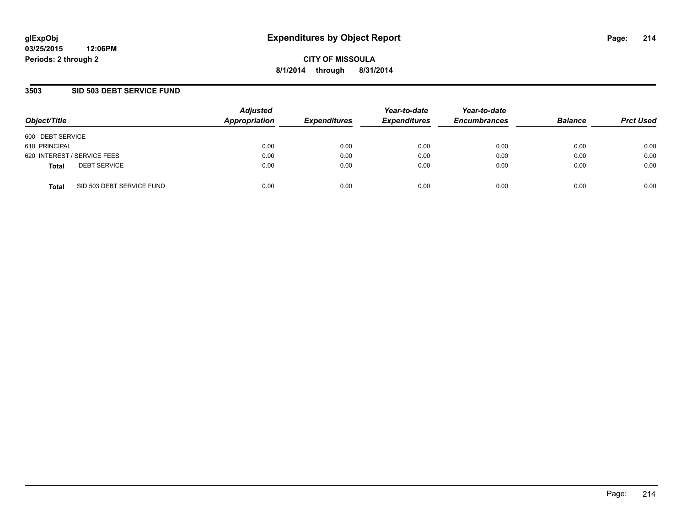### **3503 SID 503 DEBT SERVICE FUND**

| Object/Title                        |                           | <b>Adjusted</b><br>Appropriation | <b>Expenditures</b> | Year-to-date<br><b>Expenditures</b> | Year-to-date<br><b>Encumbrances</b> | <b>Balance</b> | <b>Prct Used</b> |
|-------------------------------------|---------------------------|----------------------------------|---------------------|-------------------------------------|-------------------------------------|----------------|------------------|
| 600 DEBT SERVICE                    |                           |                                  |                     |                                     |                                     |                |                  |
| 610 PRINCIPAL                       |                           | 0.00                             | 0.00                | 0.00                                | 0.00                                | 0.00           | 0.00             |
| 620 INTEREST / SERVICE FEES         |                           | 0.00                             | 0.00                | 0.00                                | 0.00                                | 0.00           | 0.00             |
| <b>DEBT SERVICE</b><br><b>Total</b> |                           | 0.00                             | 0.00                | 0.00                                | 0.00                                | 0.00           | 0.00             |
| <b>Total</b>                        | SID 503 DEBT SERVICE FUND | 0.00                             | 0.00                | 0.00                                | 0.00                                | 0.00           | 0.00             |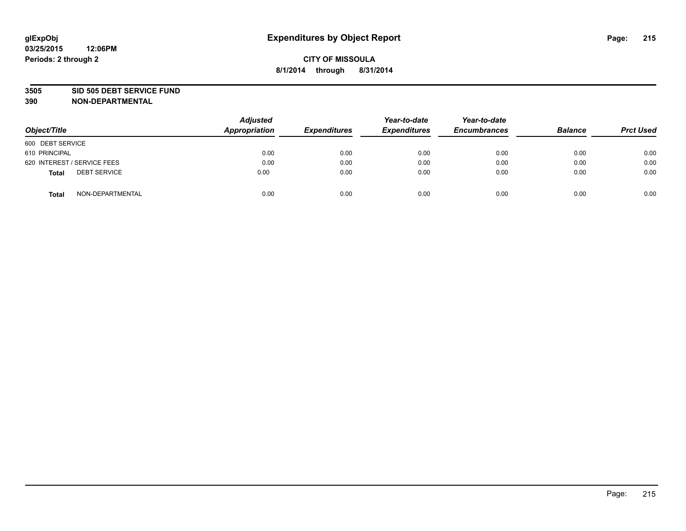#### **3505 SID 505 DEBT SERVICE FUND**

| Object/Title                        | <b>Adjusted</b><br>Appropriation | <b>Expenditures</b> | Year-to-date<br><b>Expenditures</b> | Year-to-date<br><b>Encumbrances</b> | <b>Balance</b> | <b>Prct Used</b> |
|-------------------------------------|----------------------------------|---------------------|-------------------------------------|-------------------------------------|----------------|------------------|
| 600 DEBT SERVICE                    |                                  |                     |                                     |                                     |                |                  |
| 610 PRINCIPAL                       | 0.00                             | 0.00                | 0.00                                | 0.00                                | 0.00           | 0.00             |
| 620 INTEREST / SERVICE FEES         | 0.00                             | 0.00                | 0.00                                | 0.00                                | 0.00           | 0.00             |
| <b>DEBT SERVICE</b><br><b>Total</b> | 0.00                             | 0.00                | 0.00                                | 0.00                                | 0.00           | 0.00             |
| NON-DEPARTMENTAL<br><b>Total</b>    | 0.00                             | 0.00                | 0.00                                | 0.00                                | 0.00           | 0.00             |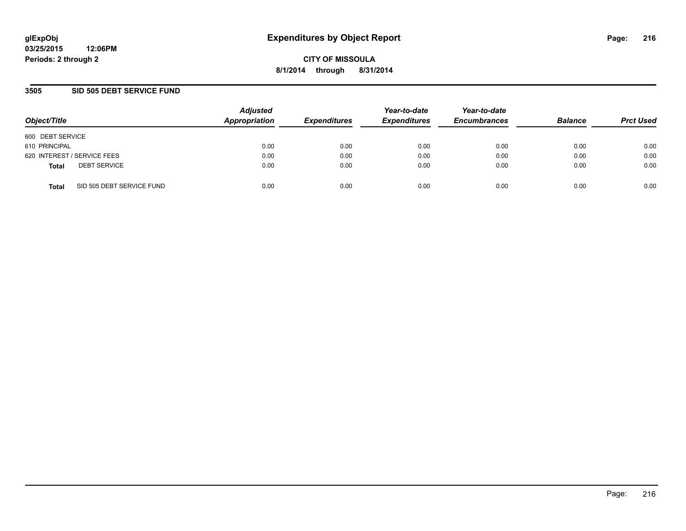**03/25/2015 12:06PM Periods: 2 through 2**

**CITY OF MISSOULA 8/1/2014 through 8/31/2014**

### **3505 SID 505 DEBT SERVICE FUND**

| Object/Title                              | <b>Adjusted</b><br>Appropriation | <b>Expenditures</b> | Year-to-date<br><b>Expenditures</b> | Year-to-date<br><b>Encumbrances</b> | <b>Balance</b> | <b>Prct Used</b> |
|-------------------------------------------|----------------------------------|---------------------|-------------------------------------|-------------------------------------|----------------|------------------|
| 600 DEBT SERVICE                          |                                  |                     |                                     |                                     |                |                  |
| 610 PRINCIPAL                             | 0.00                             | 0.00                | 0.00                                | 0.00                                | 0.00           | 0.00             |
| 620 INTEREST / SERVICE FEES               | 0.00                             | 0.00                | 0.00                                | 0.00                                | 0.00           | 0.00             |
| <b>DEBT SERVICE</b><br><b>Total</b>       | 0.00                             | 0.00                | 0.00                                | 0.00                                | 0.00           | 0.00             |
| SID 505 DEBT SERVICE FUND<br><b>Total</b> | 0.00                             | 0.00                | 0.00                                | 0.00                                | 0.00           | 0.00             |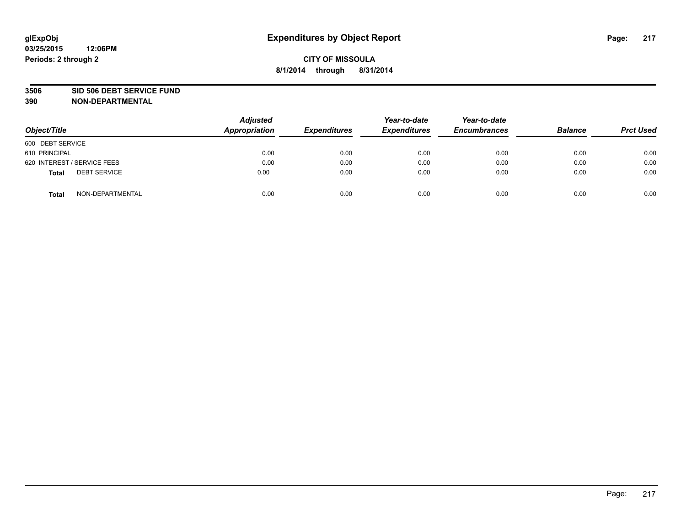#### **3506 SID 506 DEBT SERVICE FUND**

| Object/Title                        | <b>Adjusted</b><br>Appropriation | <b>Expenditures</b> | Year-to-date<br><b>Expenditures</b> | Year-to-date<br><b>Encumbrances</b> | <b>Balance</b> | <b>Prct Used</b> |
|-------------------------------------|----------------------------------|---------------------|-------------------------------------|-------------------------------------|----------------|------------------|
| 600 DEBT SERVICE                    |                                  |                     |                                     |                                     |                |                  |
| 610 PRINCIPAL                       | 0.00                             | 0.00                | 0.00                                | 0.00                                | 0.00           | 0.00             |
| 620 INTEREST / SERVICE FEES         | 0.00                             | 0.00                | 0.00                                | 0.00                                | 0.00           | 0.00             |
| <b>DEBT SERVICE</b><br><b>Total</b> | 0.00                             | 0.00                | 0.00                                | 0.00                                | 0.00           | 0.00             |
| NON-DEPARTMENTAL<br><b>Total</b>    | 0.00                             | 0.00                | 0.00                                | 0.00                                | 0.00           | 0.00             |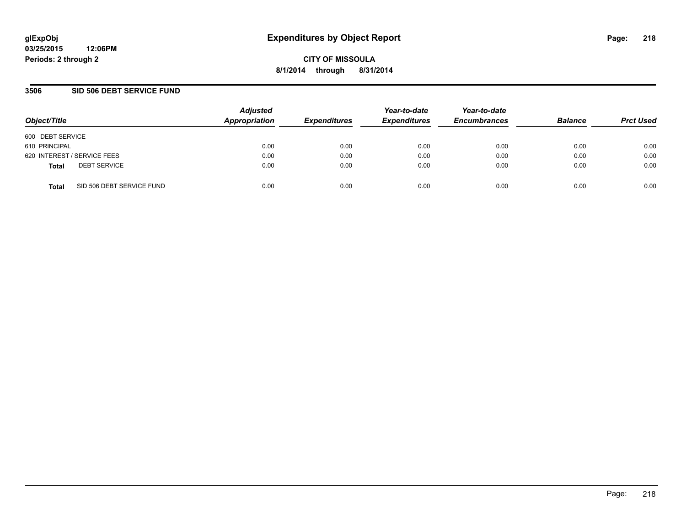**03/25/2015 12:06PM Periods: 2 through 2**

**CITY OF MISSOULA 8/1/2014 through 8/31/2014**

### **3506 SID 506 DEBT SERVICE FUND**

| Object/Title                              | <b>Adjusted</b><br>Appropriation | <b>Expenditures</b> | Year-to-date<br><b>Expenditures</b> | Year-to-date<br><b>Encumbrances</b> | <b>Balance</b> | <b>Prct Used</b> |
|-------------------------------------------|----------------------------------|---------------------|-------------------------------------|-------------------------------------|----------------|------------------|
| 600 DEBT SERVICE                          |                                  |                     |                                     |                                     |                |                  |
| 610 PRINCIPAL                             | 0.00                             | 0.00                | 0.00                                | 0.00                                | 0.00           | 0.00             |
| 620 INTEREST / SERVICE FEES               | 0.00                             | 0.00                | 0.00                                | 0.00                                | 0.00           | 0.00             |
| <b>DEBT SERVICE</b><br><b>Total</b>       | 0.00                             | 0.00                | 0.00                                | 0.00                                | 0.00           | 0.00             |
| SID 506 DEBT SERVICE FUND<br><b>Total</b> | 0.00                             | 0.00                | 0.00                                | 0.00                                | 0.00           | 0.00             |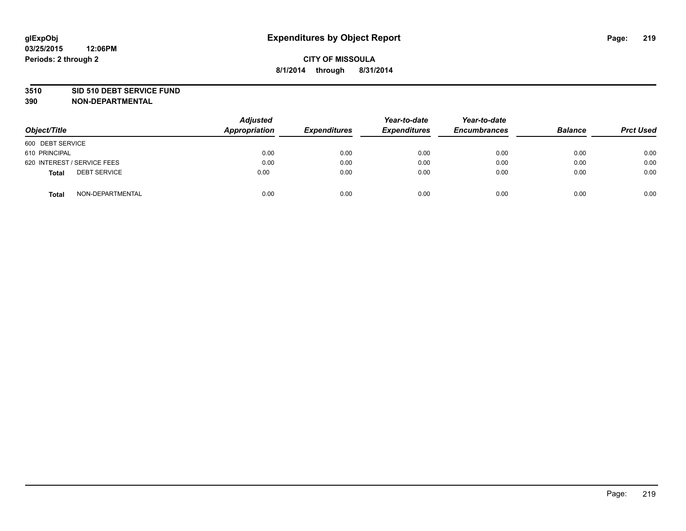#### **3510 SID 510 DEBT SERVICE FUND**

| Object/Title                        | <b>Adjusted</b><br>Appropriation | <b>Expenditures</b> | Year-to-date<br><b>Expenditures</b> | Year-to-date<br><b>Encumbrances</b> | <b>Balance</b> | <b>Prct Used</b> |
|-------------------------------------|----------------------------------|---------------------|-------------------------------------|-------------------------------------|----------------|------------------|
| 600 DEBT SERVICE                    |                                  |                     |                                     |                                     |                |                  |
| 610 PRINCIPAL                       | 0.00                             | 0.00                | 0.00                                | 0.00                                | 0.00           | 0.00             |
| 620 INTEREST / SERVICE FEES         | 0.00                             | 0.00                | 0.00                                | 0.00                                | 0.00           | 0.00             |
| <b>DEBT SERVICE</b><br><b>Total</b> | 0.00                             | 0.00                | 0.00                                | 0.00                                | 0.00           | 0.00             |
| NON-DEPARTMENTAL<br><b>Total</b>    | 0.00                             | 0.00                | 0.00                                | 0.00                                | 0.00           | 0.00             |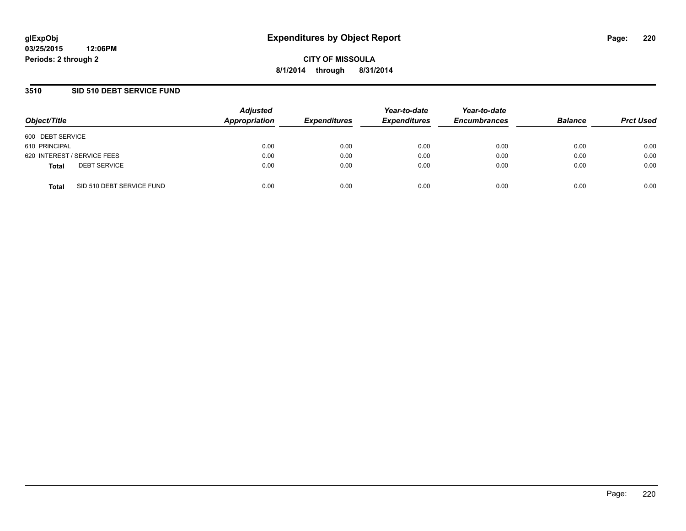### **3510 SID 510 DEBT SERVICE FUND**

| Object/Title                              | <b>Adjusted</b><br>Appropriation | <b>Expenditures</b> | Year-to-date<br><b>Expenditures</b> | Year-to-date<br><b>Encumbrances</b> | <b>Balance</b> | <b>Prct Used</b> |
|-------------------------------------------|----------------------------------|---------------------|-------------------------------------|-------------------------------------|----------------|------------------|
| 600 DEBT SERVICE                          |                                  |                     |                                     |                                     |                |                  |
| 610 PRINCIPAL                             | 0.00                             | 0.00                | 0.00                                | 0.00                                | 0.00           | 0.00             |
| 620 INTEREST / SERVICE FEES               | 0.00                             | 0.00                | 0.00                                | 0.00                                | 0.00           | 0.00             |
| <b>DEBT SERVICE</b><br><b>Total</b>       | 0.00                             | 0.00                | 0.00                                | 0.00                                | 0.00           | 0.00             |
| SID 510 DEBT SERVICE FUND<br><b>Total</b> | 0.00                             | 0.00                | 0.00                                | 0.00                                | 0.00           | 0.00             |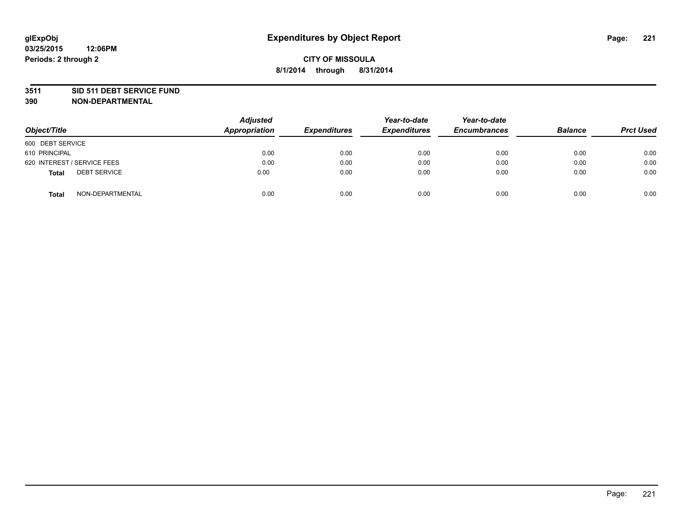#### **3511 SID 511 DEBT SERVICE FUND**

| Object/Title                 | Adjusted<br><b>Appropriation</b> | <b>Expenditures</b> | Year-to-date<br><b>Expenditures</b> | Year-to-date<br><b>Encumbrances</b> | <b>Balance</b> | <b>Prct Used</b> |
|------------------------------|----------------------------------|---------------------|-------------------------------------|-------------------------------------|----------------|------------------|
| 600 DEBT SERVICE             |                                  |                     |                                     |                                     |                |                  |
| 610 PRINCIPAL                | 0.00                             | 0.00                | 0.00                                | 0.00                                | 0.00           | 0.00             |
| 620 INTEREST / SERVICE FEES  | 0.00                             | 0.00                | 0.00                                | 0.00                                | 0.00           | 0.00             |
| <b>DEBT SERVICE</b><br>Total | 0.00                             | 0.00                | 0.00                                | 0.00                                | 0.00           | 0.00             |
| NON-DEPARTMENTAL<br>Total    | 0.00                             | 0.00                | 0.00                                | 0.00                                | 0.00           | 0.00             |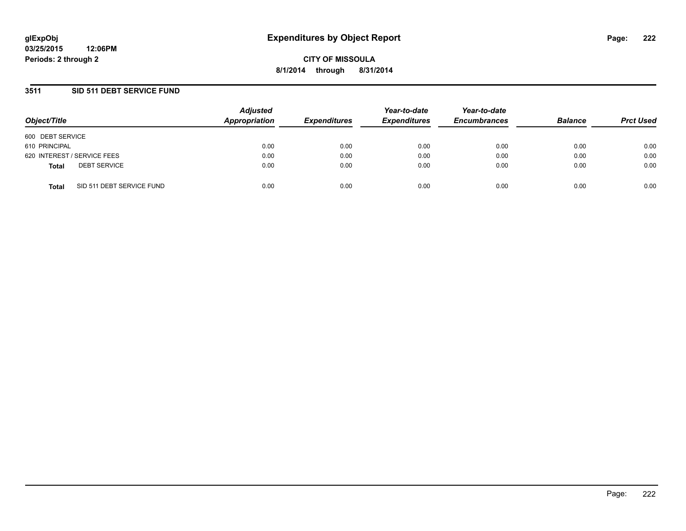**03/25/2015 12:06PM Periods: 2 through 2**

**CITY OF MISSOULA 8/1/2014 through 8/31/2014**

### **3511 SID 511 DEBT SERVICE FUND**

| Object/Title                              | <b>Adjusted</b><br>Appropriation | <b>Expenditures</b> | Year-to-date<br><b>Expenditures</b> | Year-to-date<br><b>Encumbrances</b> | <b>Balance</b> | <b>Prct Used</b> |
|-------------------------------------------|----------------------------------|---------------------|-------------------------------------|-------------------------------------|----------------|------------------|
| 600 DEBT SERVICE                          |                                  |                     |                                     |                                     |                |                  |
| 610 PRINCIPAL                             | 0.00                             | 0.00                | 0.00                                | 0.00                                | 0.00           | 0.00             |
| 620 INTEREST / SERVICE FEES               | 0.00                             | 0.00                | 0.00                                | 0.00                                | 0.00           | 0.00             |
| <b>DEBT SERVICE</b><br><b>Total</b>       | 0.00                             | 0.00                | 0.00                                | 0.00                                | 0.00           | 0.00             |
| SID 511 DEBT SERVICE FUND<br><b>Total</b> | 0.00                             | 0.00                | 0.00                                | 0.00                                | 0.00           | 0.00             |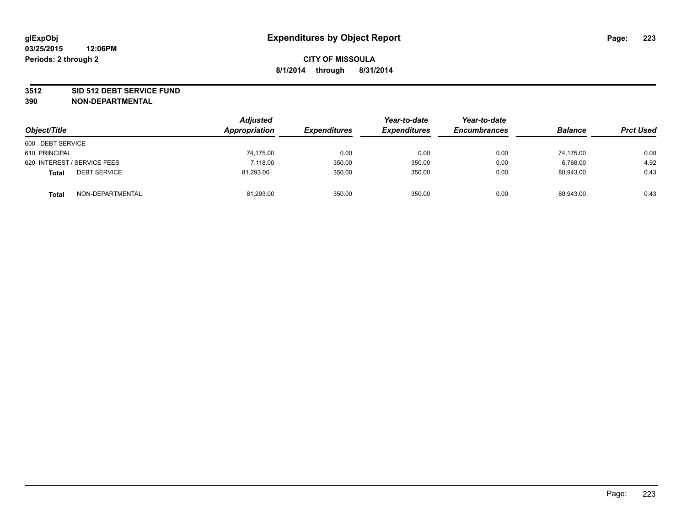#### **3512 SID 512 DEBT SERVICE FUND**

| Object/Title                        | <b>Adjusted</b><br>Appropriation | <b>Expenditures</b> | Year-to-date<br><b>Expenditures</b> | Year-to-date<br><b>Encumbrances</b> | <b>Balance</b> | <b>Prct Used</b> |
|-------------------------------------|----------------------------------|---------------------|-------------------------------------|-------------------------------------|----------------|------------------|
| 600 DEBT SERVICE                    |                                  |                     |                                     |                                     |                |                  |
| 610 PRINCIPAL                       | 74,175.00                        | 0.00                | 0.00                                | 0.00                                | 74.175.00      | 0.00             |
| 620 INTEREST / SERVICE FEES         | 7.118.00                         | 350.00              | 350.00                              | 0.00                                | 6.768.00       | 4.92             |
| <b>DEBT SERVICE</b><br><b>Total</b> | 81,293.00                        | 350.00              | 350.00                              | 0.00                                | 80,943.00      | 0.43             |
| NON-DEPARTMENTAL<br><b>Total</b>    | 81,293.00                        | 350.00              | 350.00                              | 0.00                                | 80,943.00      | 0.43             |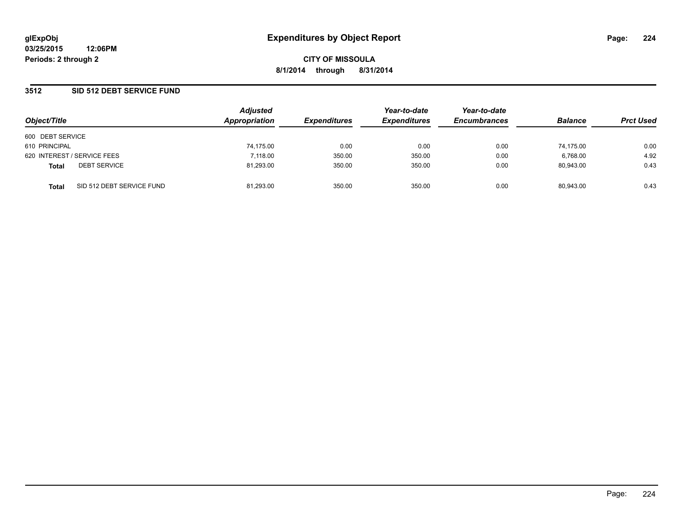### **3512 SID 512 DEBT SERVICE FUND**

| Object/Title                |                           | <b>Adjusted</b><br>Appropriation | <b>Expenditures</b> | Year-to-date<br><b>Expenditures</b> | Year-to-date<br><b>Encumbrances</b> | <b>Balance</b> | <b>Prct Used</b> |
|-----------------------------|---------------------------|----------------------------------|---------------------|-------------------------------------|-------------------------------------|----------------|------------------|
| 600 DEBT SERVICE            |                           |                                  |                     |                                     |                                     |                |                  |
| 610 PRINCIPAL               |                           | 74,175.00                        | 0.00                | 0.00                                | 0.00                                | 74.175.00      | 0.00             |
| 620 INTEREST / SERVICE FEES |                           | 7,118.00                         | 350.00              | 350.00                              | 0.00                                | 6,768.00       | 4.92             |
| <b>Total</b>                | <b>DEBT SERVICE</b>       | 81,293.00                        | 350.00              | 350.00                              | 0.00                                | 80.943.00      | 0.43             |
| <b>Total</b>                | SID 512 DEBT SERVICE FUND | 81,293.00                        | 350.00              | 350.00                              | 0.00                                | 80,943.00      | 0.43             |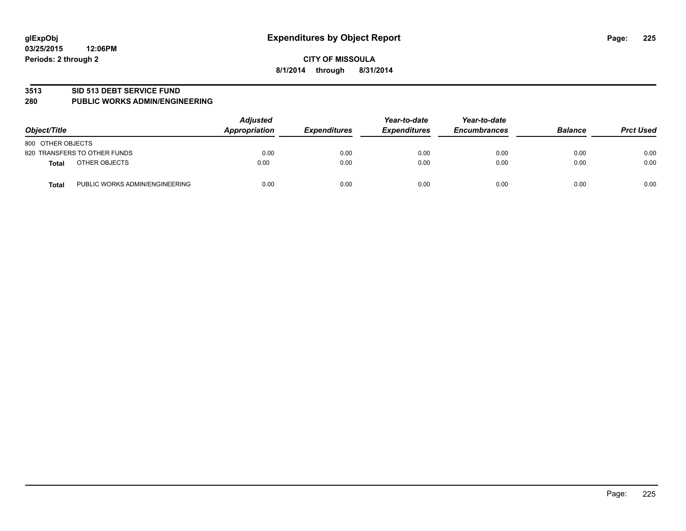#### **3513 SID 513 DEBT SERVICE FUND**

#### **280 PUBLIC WORKS ADMIN/ENGINEERING**

| Object/Title                                   | <b>Adjusted</b><br>Appropriation | <b>Expenditures</b> | Year-to-date<br><b>Expenditures</b> | Year-to-date<br><b>Encumbrances</b> | <b>Balance</b> | <b>Prct Used</b> |
|------------------------------------------------|----------------------------------|---------------------|-------------------------------------|-------------------------------------|----------------|------------------|
| 800 OTHER OBJECTS                              |                                  |                     |                                     |                                     |                |                  |
| 820 TRANSFERS TO OTHER FUNDS                   | 0.00                             | 0.00                | 0.00                                | 0.00                                | 0.00           | 0.00             |
| OTHER OBJECTS<br><b>Total</b>                  | 0.00                             | 0.00                | 0.00                                | 0.00                                | 0.00           | 0.00             |
| PUBLIC WORKS ADMIN/ENGINEERING<br><b>Total</b> | 0.00                             | 0.00                | 0.00                                | 0.00                                | 0.00           | 0.00             |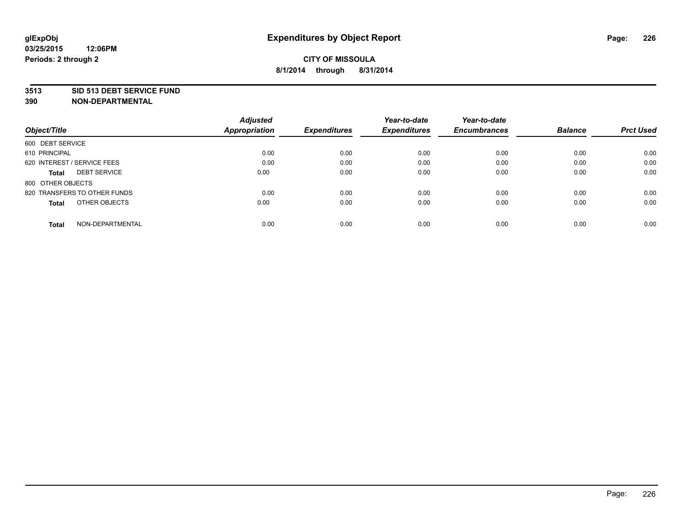#### **3513 SID 513 DEBT SERVICE FUND**

|                                     | <b>Adjusted</b>      |                     | Year-to-date        | Year-to-date        |                |                  |
|-------------------------------------|----------------------|---------------------|---------------------|---------------------|----------------|------------------|
| Object/Title                        | <b>Appropriation</b> | <b>Expenditures</b> | <b>Expenditures</b> | <b>Encumbrances</b> | <b>Balance</b> | <b>Prct Used</b> |
| 600 DEBT SERVICE                    |                      |                     |                     |                     |                |                  |
| 610 PRINCIPAL                       | 0.00                 | 0.00                | 0.00                | 0.00                | 0.00           | 0.00             |
| 620 INTEREST / SERVICE FEES         | 0.00                 | 0.00                | 0.00                | 0.00                | 0.00           | 0.00             |
| <b>DEBT SERVICE</b><br><b>Total</b> | 0.00                 | 0.00                | 0.00                | 0.00                | 0.00           | 0.00             |
| 800 OTHER OBJECTS                   |                      |                     |                     |                     |                |                  |
| 820 TRANSFERS TO OTHER FUNDS        | 0.00                 | 0.00                | 0.00                | 0.00                | 0.00           | 0.00             |
| OTHER OBJECTS<br><b>Total</b>       | 0.00                 | 0.00                | 0.00                | 0.00                | 0.00           | 0.00             |
| NON-DEPARTMENTAL<br><b>Total</b>    | 0.00                 | 0.00                | 0.00                | 0.00                | 0.00           | 0.00             |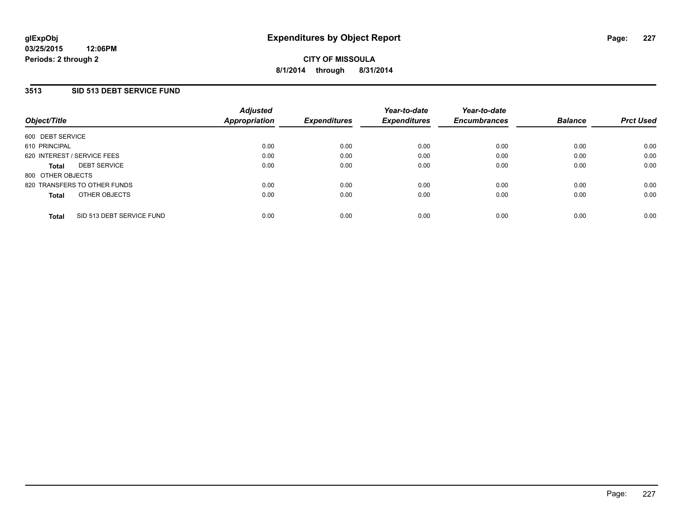### **3513 SID 513 DEBT SERVICE FUND**

| Object/Title      |                              | <b>Adjusted</b><br><b>Appropriation</b> | <b>Expenditures</b> | Year-to-date<br><b>Expenditures</b> | Year-to-date<br><b>Encumbrances</b> | <b>Balance</b> | <b>Prct Used</b> |
|-------------------|------------------------------|-----------------------------------------|---------------------|-------------------------------------|-------------------------------------|----------------|------------------|
| 600 DEBT SERVICE  |                              |                                         |                     |                                     |                                     |                |                  |
| 610 PRINCIPAL     |                              | 0.00                                    | 0.00                | 0.00                                | 0.00                                | 0.00           | 0.00             |
|                   | 620 INTEREST / SERVICE FEES  | 0.00                                    | 0.00                | 0.00                                | 0.00                                | 0.00           | 0.00             |
| <b>Total</b>      | <b>DEBT SERVICE</b>          | 0.00                                    | 0.00                | 0.00                                | 0.00                                | 0.00           | 0.00             |
| 800 OTHER OBJECTS |                              |                                         |                     |                                     |                                     |                |                  |
|                   | 820 TRANSFERS TO OTHER FUNDS | 0.00                                    | 0.00                | 0.00                                | 0.00                                | 0.00           | 0.00             |
| <b>Total</b>      | OTHER OBJECTS                | 0.00                                    | 0.00                | 0.00                                | 0.00                                | 0.00           | 0.00             |
| <b>Total</b>      | SID 513 DEBT SERVICE FUND    | 0.00                                    | 0.00                | 0.00                                | 0.00                                | 0.00           | 0.00             |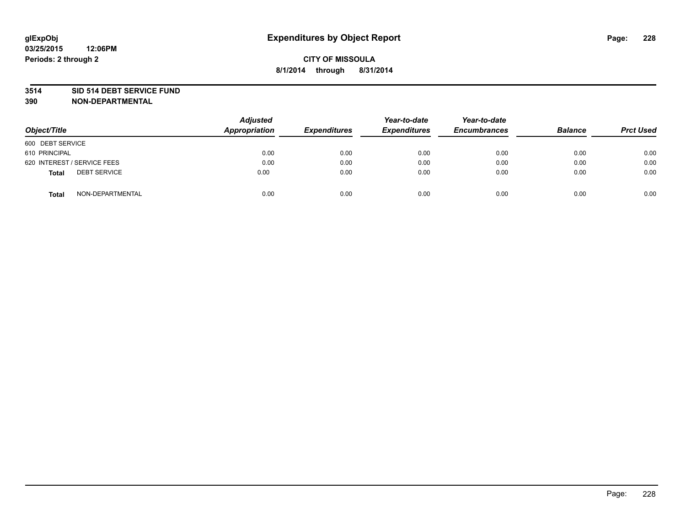#### **3514 SID 514 DEBT SERVICE FUND**

| Object/Title                        | <b>Adjusted</b><br>Appropriation | <b>Expenditures</b> | Year-to-date<br><b>Expenditures</b> | Year-to-date<br><b>Encumbrances</b> | <b>Balance</b> | <b>Prct Used</b> |
|-------------------------------------|----------------------------------|---------------------|-------------------------------------|-------------------------------------|----------------|------------------|
| 600 DEBT SERVICE                    |                                  |                     |                                     |                                     |                |                  |
| 610 PRINCIPAL                       | 0.00                             | 0.00                | 0.00                                | 0.00                                | 0.00           | 0.00             |
| 620 INTEREST / SERVICE FEES         | 0.00                             | 0.00                | 0.00                                | 0.00                                | 0.00           | 0.00             |
| <b>DEBT SERVICE</b><br><b>Total</b> | 0.00                             | 0.00                | 0.00                                | 0.00                                | 0.00           | 0.00             |
| NON-DEPARTMENTAL<br><b>Total</b>    | 0.00                             | 0.00                | 0.00                                | 0.00                                | 0.00           | 0.00             |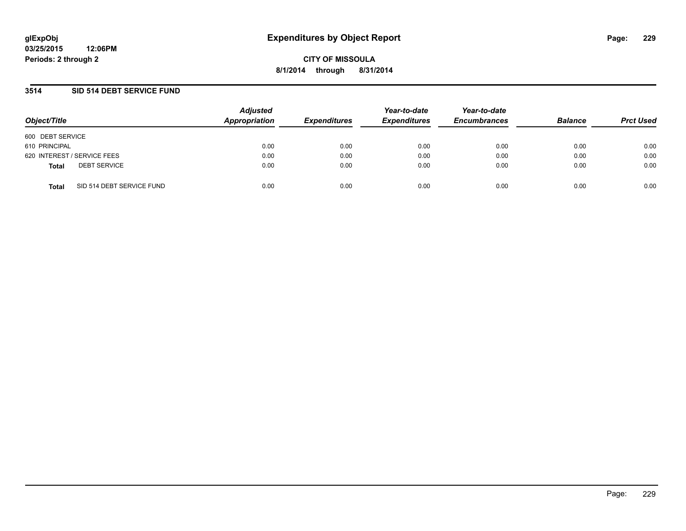### **3514 SID 514 DEBT SERVICE FUND**

| Object/Title                              | Adjusted<br><b>Appropriation</b> | <b>Expenditures</b> | Year-to-date<br><b>Expenditures</b> | Year-to-date<br><b>Encumbrances</b> | <b>Balance</b> | <b>Prct Used</b> |
|-------------------------------------------|----------------------------------|---------------------|-------------------------------------|-------------------------------------|----------------|------------------|
| 600 DEBT SERVICE                          |                                  |                     |                                     |                                     |                |                  |
| 610 PRINCIPAL                             | 0.00                             | 0.00                | 0.00                                | 0.00                                | 0.00           | 0.00             |
| 620 INTEREST / SERVICE FEES               | 0.00                             | 0.00                | 0.00                                | 0.00                                | 0.00           | 0.00             |
| <b>DEBT SERVICE</b><br><b>Total</b>       | 0.00                             | 0.00                | 0.00                                | 0.00                                | 0.00           | 0.00             |
| SID 514 DEBT SERVICE FUND<br><b>Total</b> | 0.00                             | 0.00                | 0.00                                | 0.00                                | 0.00           | 0.00             |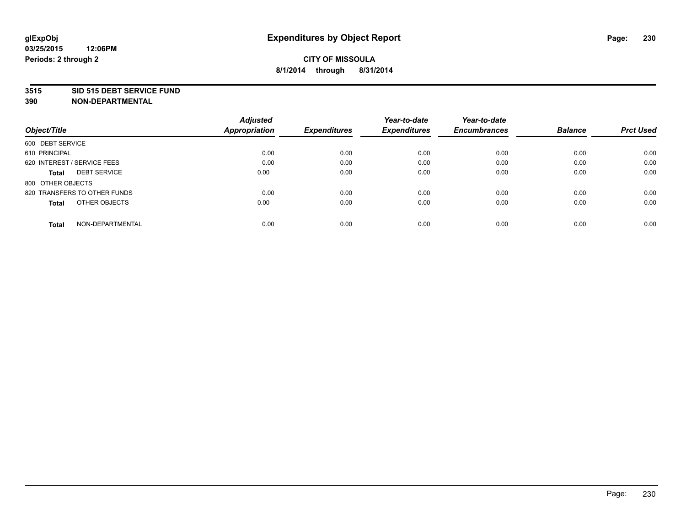#### **3515 SID 515 DEBT SERVICE FUND**

|                                     | <b>Adjusted</b>      |                     | Year-to-date        | Year-to-date        |                |                  |
|-------------------------------------|----------------------|---------------------|---------------------|---------------------|----------------|------------------|
| Object/Title                        | <b>Appropriation</b> | <b>Expenditures</b> | <b>Expenditures</b> | <b>Encumbrances</b> | <b>Balance</b> | <b>Prct Used</b> |
| 600 DEBT SERVICE                    |                      |                     |                     |                     |                |                  |
| 610 PRINCIPAL                       | 0.00                 | 0.00                | 0.00                | 0.00                | 0.00           | 0.00             |
| 620 INTEREST / SERVICE FEES         | 0.00                 | 0.00                | 0.00                | 0.00                | 0.00           | 0.00             |
| <b>DEBT SERVICE</b><br><b>Total</b> | 0.00                 | 0.00                | 0.00                | 0.00                | 0.00           | 0.00             |
| 800 OTHER OBJECTS                   |                      |                     |                     |                     |                |                  |
| 820 TRANSFERS TO OTHER FUNDS        | 0.00                 | 0.00                | 0.00                | 0.00                | 0.00           | 0.00             |
| OTHER OBJECTS<br><b>Total</b>       | 0.00                 | 0.00                | 0.00                | 0.00                | 0.00           | 0.00             |
| NON-DEPARTMENTAL<br>Total           | 0.00                 | 0.00                | 0.00                | 0.00                | 0.00           | 0.00             |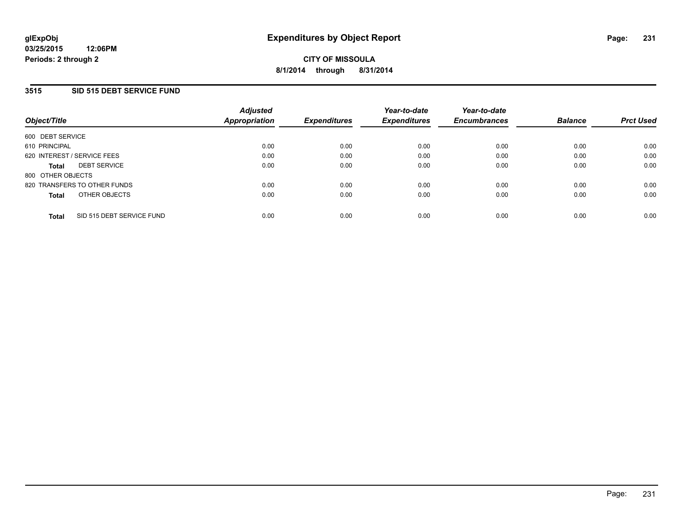### **3515 SID 515 DEBT SERVICE FUND**

| Object/Title                |                              | <b>Adjusted</b><br><b>Appropriation</b> | <b>Expenditures</b> | Year-to-date<br><b>Expenditures</b> | Year-to-date<br><b>Encumbrances</b> | <b>Balance</b> | <b>Prct Used</b> |
|-----------------------------|------------------------------|-----------------------------------------|---------------------|-------------------------------------|-------------------------------------|----------------|------------------|
| 600 DEBT SERVICE            |                              |                                         |                     |                                     |                                     |                |                  |
| 610 PRINCIPAL               |                              | 0.00                                    | 0.00                | 0.00                                | 0.00                                | 0.00           | 0.00             |
| 620 INTEREST / SERVICE FEES |                              | 0.00                                    | 0.00                | 0.00                                | 0.00                                | 0.00           | 0.00             |
| <b>Total</b>                | <b>DEBT SERVICE</b>          | 0.00                                    | 0.00                | 0.00                                | 0.00                                | 0.00           | 0.00             |
| 800 OTHER OBJECTS           |                              |                                         |                     |                                     |                                     |                |                  |
|                             | 820 TRANSFERS TO OTHER FUNDS | 0.00                                    | 0.00                | 0.00                                | 0.00                                | 0.00           | 0.00             |
| <b>Total</b>                | OTHER OBJECTS                | 0.00                                    | 0.00                | 0.00                                | 0.00                                | 0.00           | 0.00             |
| <b>Total</b>                | SID 515 DEBT SERVICE FUND    | 0.00                                    | 0.00                | 0.00                                | 0.00                                | 0.00           | 0.00             |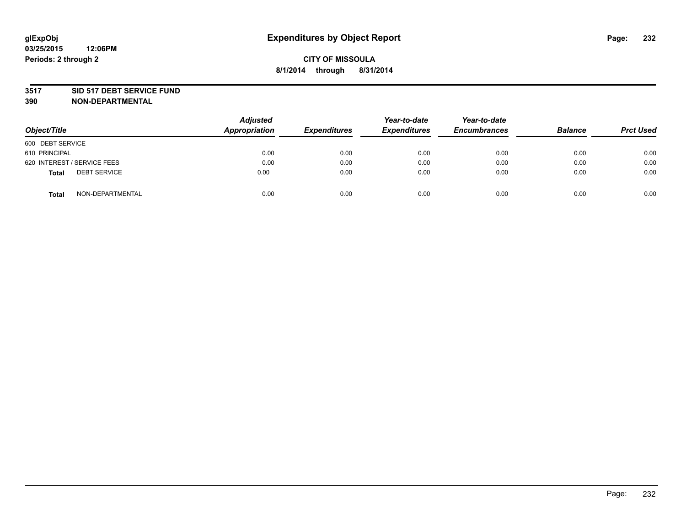#### **3517 SID 517 DEBT SERVICE FUND**

| Object/Title                        | <b>Adjusted</b><br>Appropriation | <b>Expenditures</b> | Year-to-date<br><b>Expenditures</b> | Year-to-date<br><b>Encumbrances</b> | <b>Balance</b> | <b>Prct Used</b> |
|-------------------------------------|----------------------------------|---------------------|-------------------------------------|-------------------------------------|----------------|------------------|
| 600 DEBT SERVICE                    |                                  |                     |                                     |                                     |                |                  |
| 610 PRINCIPAL                       | 0.00                             | 0.00                | 0.00                                | 0.00                                | 0.00           | 0.00             |
| 620 INTEREST / SERVICE FEES         | 0.00                             | 0.00                | 0.00                                | 0.00                                | 0.00           | 0.00             |
| <b>DEBT SERVICE</b><br><b>Total</b> | 0.00                             | 0.00                | 0.00                                | 0.00                                | 0.00           | 0.00             |
| NON-DEPARTMENTAL<br><b>Total</b>    | 0.00                             | 0.00                | 0.00                                | 0.00                                | 0.00           | 0.00             |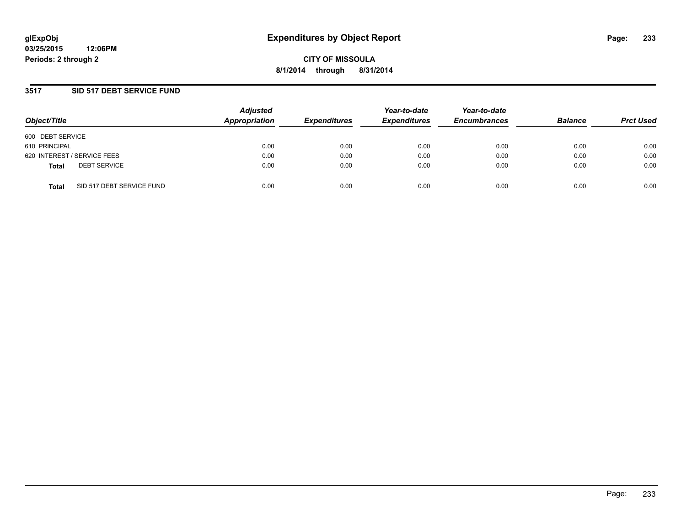### **3517 SID 517 DEBT SERVICE FUND**

| Object/Title                              | <b>Adjusted</b><br>Appropriation | <b>Expenditures</b> | Year-to-date<br><b>Expenditures</b> | Year-to-date<br><b>Encumbrances</b> | <b>Balance</b> | <b>Prct Used</b> |
|-------------------------------------------|----------------------------------|---------------------|-------------------------------------|-------------------------------------|----------------|------------------|
| 600 DEBT SERVICE                          |                                  |                     |                                     |                                     |                |                  |
| 610 PRINCIPAL                             | 0.00                             | 0.00                | 0.00                                | 0.00                                | 0.00           | 0.00             |
| 620 INTEREST / SERVICE FEES               | 0.00                             | 0.00                | 0.00                                | 0.00                                | 0.00           | 0.00             |
| <b>DEBT SERVICE</b><br><b>Total</b>       | 0.00                             | 0.00                | 0.00                                | 0.00                                | 0.00           | 0.00             |
| SID 517 DEBT SERVICE FUND<br><b>Total</b> | 0.00                             | 0.00                | 0.00                                | 0.00                                | 0.00           | 0.00             |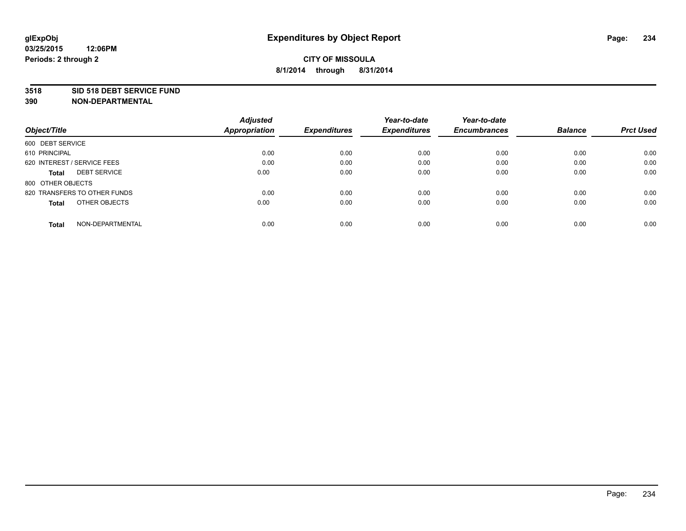#### **3518 SID 518 DEBT SERVICE FUND**

|                                     | <b>Adjusted</b>      |                     | Year-to-date        | Year-to-date        |                |                  |
|-------------------------------------|----------------------|---------------------|---------------------|---------------------|----------------|------------------|
| Object/Title                        | <b>Appropriation</b> | <b>Expenditures</b> | <b>Expenditures</b> | <b>Encumbrances</b> | <b>Balance</b> | <b>Prct Used</b> |
| 600 DEBT SERVICE                    |                      |                     |                     |                     |                |                  |
| 610 PRINCIPAL                       | 0.00                 | 0.00                | 0.00                | 0.00                | 0.00           | 0.00             |
| 620 INTEREST / SERVICE FEES         | 0.00                 | 0.00                | 0.00                | 0.00                | 0.00           | 0.00             |
| <b>DEBT SERVICE</b><br><b>Total</b> | 0.00                 | 0.00                | 0.00                | 0.00                | 0.00           | 0.00             |
| 800 OTHER OBJECTS                   |                      |                     |                     |                     |                |                  |
| 820 TRANSFERS TO OTHER FUNDS        | 0.00                 | 0.00                | 0.00                | 0.00                | 0.00           | 0.00             |
| OTHER OBJECTS<br><b>Total</b>       | 0.00                 | 0.00                | 0.00                | 0.00                | 0.00           | 0.00             |
| NON-DEPARTMENTAL<br>Total           | 0.00                 | 0.00                | 0.00                | 0.00                | 0.00           | 0.00             |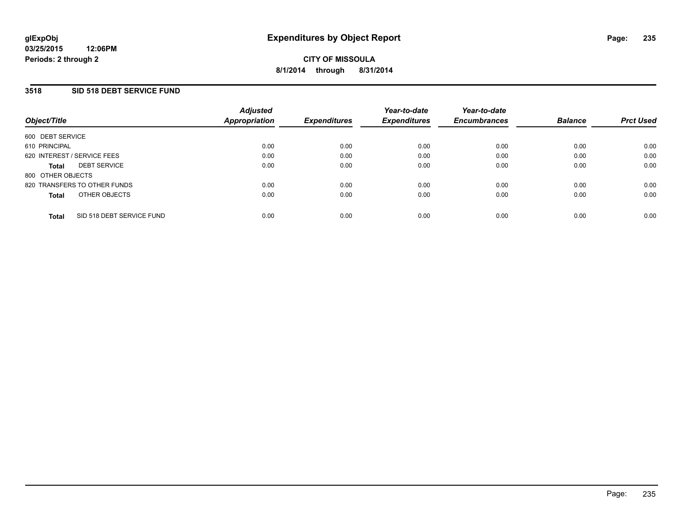### **3518 SID 518 DEBT SERVICE FUND**

| Object/Title                        |                           | <b>Adjusted</b><br>Appropriation | <b>Expenditures</b> | Year-to-date<br><b>Expenditures</b> | Year-to-date<br><b>Encumbrances</b> | <b>Balance</b> | <b>Prct Used</b> |
|-------------------------------------|---------------------------|----------------------------------|---------------------|-------------------------------------|-------------------------------------|----------------|------------------|
| 600 DEBT SERVICE                    |                           |                                  |                     |                                     |                                     |                |                  |
| 610 PRINCIPAL                       |                           | 0.00                             | 0.00                | 0.00                                | 0.00                                | 0.00           | 0.00             |
| 620 INTEREST / SERVICE FEES         |                           | 0.00                             | 0.00                | 0.00                                | 0.00                                | 0.00           | 0.00             |
| <b>DEBT SERVICE</b><br><b>Total</b> |                           | 0.00                             | 0.00                | 0.00                                | 0.00                                | 0.00           | 0.00             |
| 800 OTHER OBJECTS                   |                           |                                  |                     |                                     |                                     |                |                  |
| 820 TRANSFERS TO OTHER FUNDS        |                           | 0.00                             | 0.00                | 0.00                                | 0.00                                | 0.00           | 0.00             |
| <b>Total</b>                        | OTHER OBJECTS             | 0.00                             | 0.00                | 0.00                                | 0.00                                | 0.00           | 0.00             |
| <b>Total</b>                        | SID 518 DEBT SERVICE FUND | 0.00                             | 0.00                | 0.00                                | 0.00                                | 0.00           | 0.00             |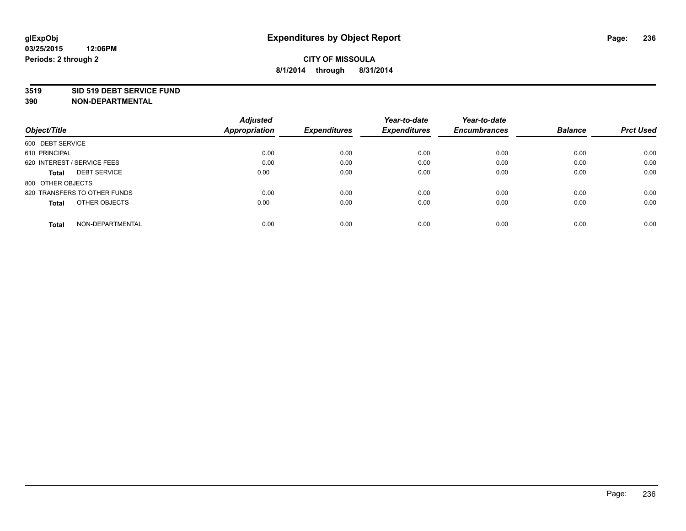#### **3519 SID 519 DEBT SERVICE FUND**

|                                     | <b>Adjusted</b> |                     | Year-to-date        | Year-to-date        |                |                  |
|-------------------------------------|-----------------|---------------------|---------------------|---------------------|----------------|------------------|
| Object/Title                        | Appropriation   | <b>Expenditures</b> | <b>Expenditures</b> | <b>Encumbrances</b> | <b>Balance</b> | <b>Prct Used</b> |
| 600 DEBT SERVICE                    |                 |                     |                     |                     |                |                  |
| 610 PRINCIPAL                       | 0.00            | 0.00                | 0.00                | 0.00                | 0.00           | 0.00             |
| 620 INTEREST / SERVICE FEES         | 0.00            | 0.00                | 0.00                | 0.00                | 0.00           | 0.00             |
| <b>DEBT SERVICE</b><br><b>Total</b> | 0.00            | 0.00                | 0.00                | 0.00                | 0.00           | 0.00             |
| 800 OTHER OBJECTS                   |                 |                     |                     |                     |                |                  |
| 820 TRANSFERS TO OTHER FUNDS        | 0.00            | 0.00                | 0.00                | 0.00                | 0.00           | 0.00             |
| OTHER OBJECTS<br><b>Total</b>       | 0.00            | 0.00                | 0.00                | 0.00                | 0.00           | 0.00             |
| NON-DEPARTMENTAL<br>Total           | 0.00            | 0.00                | 0.00                | 0.00                | 0.00           | 0.00             |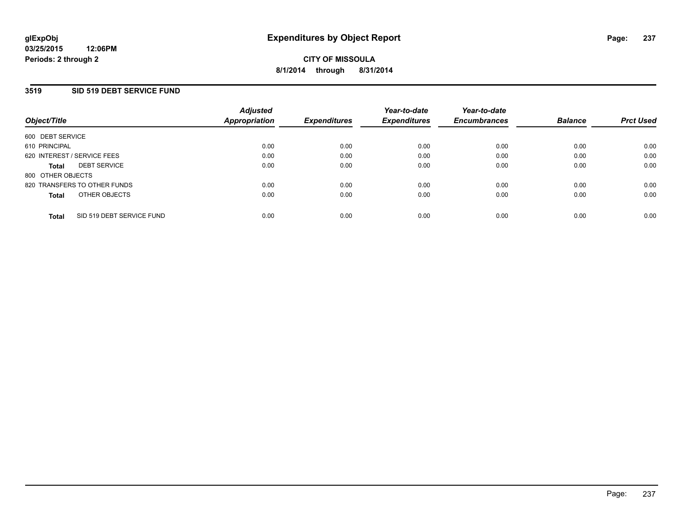### **3519 SID 519 DEBT SERVICE FUND**

| Object/Title                              | <b>Adjusted</b><br>Appropriation | <b>Expenditures</b> | Year-to-date<br><b>Expenditures</b> | Year-to-date<br><b>Encumbrances</b> | <b>Balance</b> | <b>Prct Used</b> |
|-------------------------------------------|----------------------------------|---------------------|-------------------------------------|-------------------------------------|----------------|------------------|
| 600 DEBT SERVICE                          |                                  |                     |                                     |                                     |                |                  |
| 610 PRINCIPAL                             | 0.00                             | 0.00                | 0.00                                | 0.00                                | 0.00           | 0.00             |
| 620 INTEREST / SERVICE FEES               | 0.00                             | 0.00                | 0.00                                | 0.00                                | 0.00           | 0.00             |
| <b>DEBT SERVICE</b><br><b>Total</b>       | 0.00                             | 0.00                | 0.00                                | 0.00                                | 0.00           | 0.00             |
| 800 OTHER OBJECTS                         |                                  |                     |                                     |                                     |                |                  |
| 820 TRANSFERS TO OTHER FUNDS              | 0.00                             | 0.00                | 0.00                                | 0.00                                | 0.00           | 0.00             |
| OTHER OBJECTS<br><b>Total</b>             | 0.00                             | 0.00                | 0.00                                | 0.00                                | 0.00           | 0.00             |
| SID 519 DEBT SERVICE FUND<br><b>Total</b> | 0.00                             | 0.00                | 0.00                                | 0.00                                | 0.00           | 0.00             |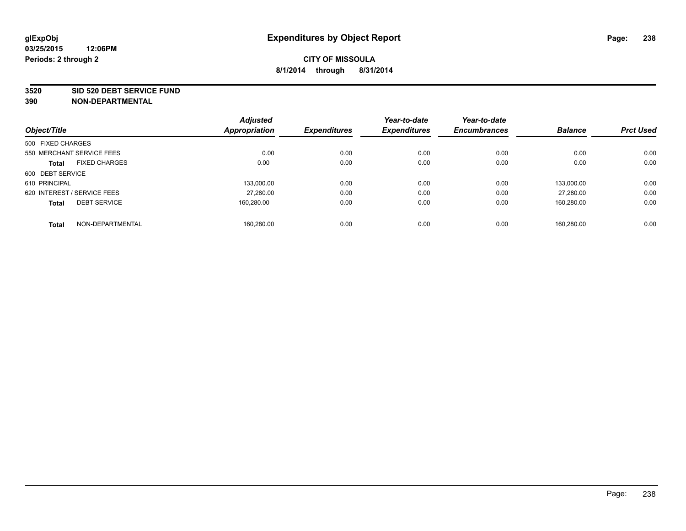#### **3520 SID 520 DEBT SERVICE FUND**

| <b>Adjusted</b> |                      | Year-to-date        | Year-to-date        |                     | <b>Prct Used</b> |
|-----------------|----------------------|---------------------|---------------------|---------------------|------------------|
|                 |                      |                     |                     |                     |                  |
|                 |                      |                     |                     |                     |                  |
| 0.00            | 0.00                 | 0.00                | 0.00                | 0.00                | 0.00             |
| 0.00            | 0.00                 | 0.00                | 0.00                | 0.00                | 0.00             |
|                 |                      |                     |                     |                     |                  |
| 133.000.00      | 0.00                 | 0.00                | 0.00                | 133.000.00          | 0.00             |
| 27,280.00       | 0.00                 | 0.00                | 0.00                | 27.280.00           | 0.00             |
| 160.280.00      | 0.00                 | 0.00                | 0.00                | 160.280.00          | 0.00             |
| 160,280.00      | 0.00                 | 0.00                | 0.00                | 160.280.00          | 0.00             |
|                 | <b>Appropriation</b> | <b>Expenditures</b> | <b>Expenditures</b> | <b>Encumbrances</b> | <b>Balance</b>   |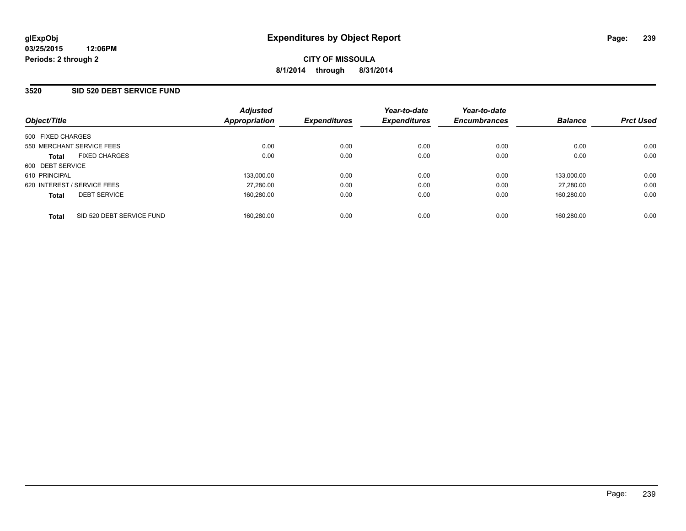### **3520 SID 520 DEBT SERVICE FUND**

| Object/Title                              | <b>Adjusted</b><br>Appropriation | <b>Expenditures</b> | Year-to-date<br><b>Expenditures</b> | Year-to-date<br><b>Encumbrances</b> | <b>Balance</b> | <b>Prct Used</b> |
|-------------------------------------------|----------------------------------|---------------------|-------------------------------------|-------------------------------------|----------------|------------------|
| 500 FIXED CHARGES                         |                                  |                     |                                     |                                     |                |                  |
| 550 MERCHANT SERVICE FEES                 | 0.00                             | 0.00                | 0.00                                | 0.00                                | 0.00           | 0.00             |
| <b>FIXED CHARGES</b><br><b>Total</b>      | 0.00                             | 0.00                | 0.00                                | 0.00                                | 0.00           | 0.00             |
| 600 DEBT SERVICE                          |                                  |                     |                                     |                                     |                |                  |
| 610 PRINCIPAL                             | 133.000.00                       | 0.00                | 0.00                                | 0.00                                | 133,000.00     | 0.00             |
| 620 INTEREST / SERVICE FEES               | 27,280.00                        | 0.00                | 0.00                                | 0.00                                | 27.280.00      | 0.00             |
| <b>DEBT SERVICE</b><br><b>Total</b>       | 160,280.00                       | 0.00                | 0.00                                | 0.00                                | 160.280.00     | 0.00             |
| SID 520 DEBT SERVICE FUND<br><b>Total</b> | 160.280.00                       | 0.00                | 0.00                                | 0.00                                | 160.280.00     | 0.00             |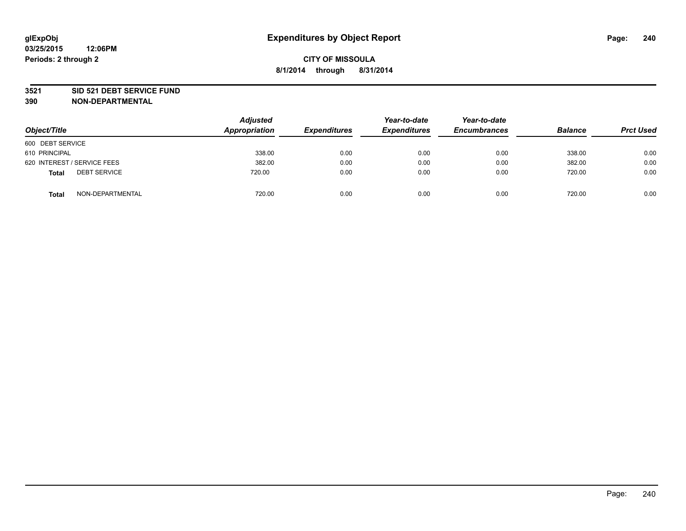#### **3521 SID 521 DEBT SERVICE FUND**

| Object/Title                        | <b>Adjusted</b><br>Appropriation | <b>Expenditures</b> | Year-to-date<br><b>Expenditures</b> | Year-to-date<br><b>Encumbrances</b> | <b>Balance</b> | <b>Prct Used</b> |
|-------------------------------------|----------------------------------|---------------------|-------------------------------------|-------------------------------------|----------------|------------------|
| 600 DEBT SERVICE                    |                                  |                     |                                     |                                     |                |                  |
| 610 PRINCIPAL                       | 338.00                           | 0.00                | 0.00                                | 0.00                                | 338.00         | 0.00             |
| 620 INTEREST / SERVICE FEES         | 382.00                           | 0.00                | 0.00                                | 0.00                                | 382.00         | 0.00             |
| <b>DEBT SERVICE</b><br><b>Total</b> | 720.00                           | 0.00                | 0.00                                | 0.00                                | 720.00         | 0.00             |
| NON-DEPARTMENTAL<br><b>Total</b>    | 720.00                           | 0.00                | 0.00                                | 0.00                                | 720.00         | 0.00             |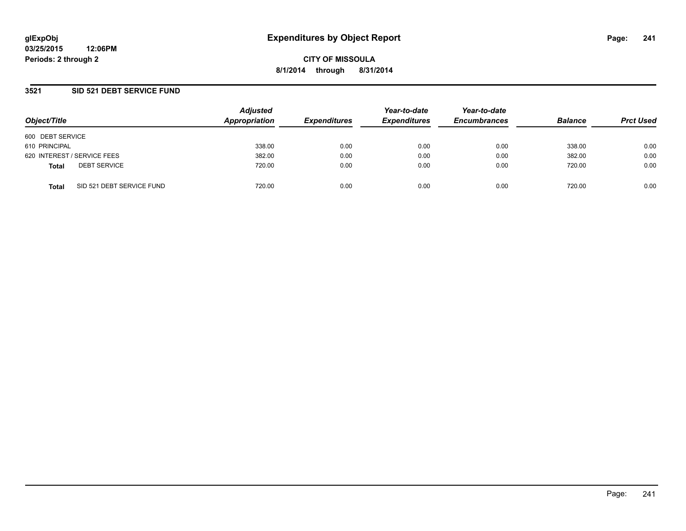### **3521 SID 521 DEBT SERVICE FUND**

| Object/Title     |                             | <b>Adjusted</b><br>Appropriation | <b>Expenditures</b> | Year-to-date<br><b>Expenditures</b> | Year-to-date<br><b>Encumbrances</b> | <b>Balance</b> | <b>Prct Used</b> |
|------------------|-----------------------------|----------------------------------|---------------------|-------------------------------------|-------------------------------------|----------------|------------------|
|                  |                             |                                  |                     |                                     |                                     |                |                  |
| 600 DEBT SERVICE |                             |                                  |                     |                                     |                                     |                |                  |
| 610 PRINCIPAL    |                             | 338.00                           | 0.00                | 0.00                                | 0.00                                | 338.00         | 0.00             |
|                  | 620 INTEREST / SERVICE FEES | 382.00                           | 0.00                | 0.00                                | 0.00                                | 382.00         | 0.00             |
| <b>Total</b>     | <b>DEBT SERVICE</b>         | 720.00                           | 0.00                | 0.00                                | 0.00                                | 720.00         | 0.00             |
| <b>Total</b>     | SID 521 DEBT SERVICE FUND   | 720.00                           | 0.00                | 0.00                                | 0.00                                | 720.00         | 0.00             |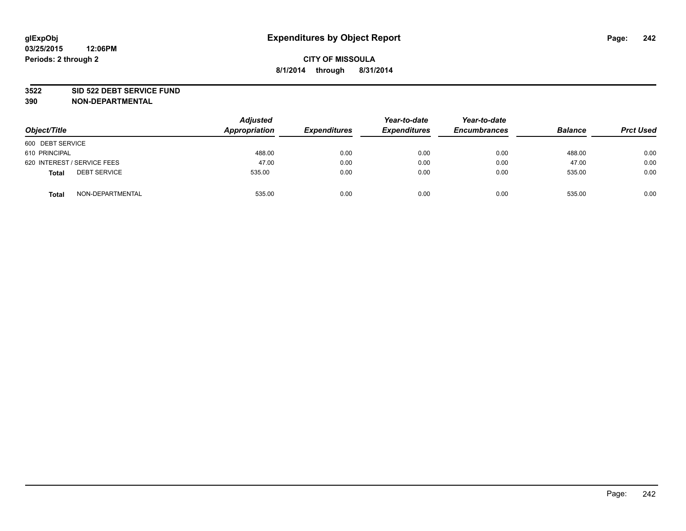#### **3522 SID 522 DEBT SERVICE FUND**

| Object/Title                        | <b>Adjusted</b><br>Appropriation | <b>Expenditures</b> | Year-to-date<br><b>Expenditures</b> | Year-to-date<br><b>Encumbrances</b> | <b>Balance</b> | <b>Prct Used</b> |
|-------------------------------------|----------------------------------|---------------------|-------------------------------------|-------------------------------------|----------------|------------------|
| 600 DEBT SERVICE                    |                                  |                     |                                     |                                     |                |                  |
| 610 PRINCIPAL                       | 488.00                           | 0.00                | 0.00                                | 0.00                                | 488.00         | 0.00             |
| 620 INTEREST / SERVICE FEES         | 47.00                            | 0.00                | 0.00                                | 0.00                                | 47.00          | 0.00             |
| <b>DEBT SERVICE</b><br><b>Total</b> | 535.00                           | 0.00                | 0.00                                | 0.00                                | 535.00         | 0.00             |
| NON-DEPARTMENTAL<br><b>Total</b>    | 535.00                           | 0.00                | 0.00                                | 0.00                                | 535.00         | 0.00             |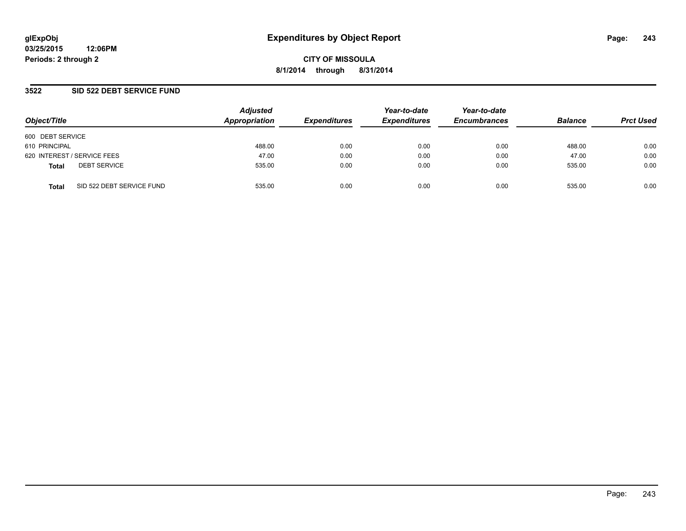**03/25/2015 12:06PM Periods: 2 through 2**

**CITY OF MISSOULA 8/1/2014 through 8/31/2014**

### **3522 SID 522 DEBT SERVICE FUND**

| Object/Title                              | <b>Adjusted</b><br>Appropriation | <b>Expenditures</b> | Year-to-date<br><b>Expenditures</b> | Year-to-date<br><b>Encumbrances</b> | <b>Balance</b> | <b>Prct Used</b> |
|-------------------------------------------|----------------------------------|---------------------|-------------------------------------|-------------------------------------|----------------|------------------|
| 600 DEBT SERVICE                          |                                  |                     |                                     |                                     |                |                  |
| 610 PRINCIPAL                             | 488.00                           | 0.00                | 0.00                                | 0.00                                | 488.00         | 0.00             |
| 620 INTEREST / SERVICE FEES               | 47.00                            | 0.00                | 0.00                                | 0.00                                | 47.00          | 0.00             |
| <b>DEBT SERVICE</b><br><b>Total</b>       | 535.00                           | 0.00                | 0.00                                | 0.00                                | 535.00         | 0.00             |
| SID 522 DEBT SERVICE FUND<br><b>Total</b> | 535.00                           | 0.00                | 0.00                                | 0.00                                | 535.00         | 0.00             |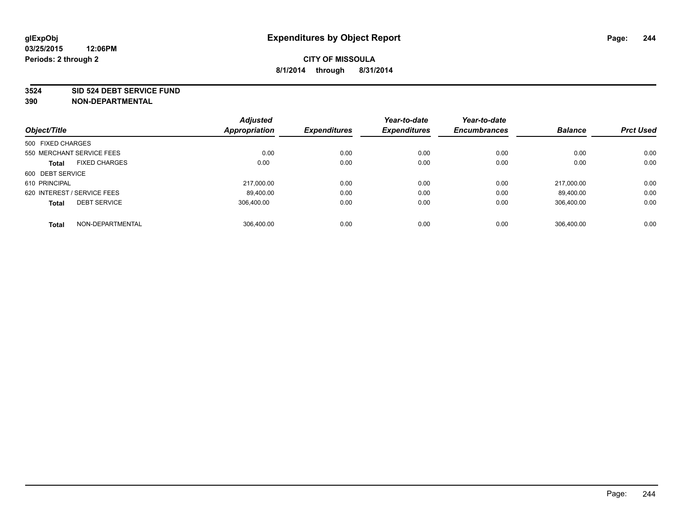#### **3524 SID 524 DEBT SERVICE FUND**

|                                      | <b>Adjusted</b>      |                     | Year-to-date        | Year-to-date        |                |                  |
|--------------------------------------|----------------------|---------------------|---------------------|---------------------|----------------|------------------|
| Object/Title                         | <b>Appropriation</b> | <b>Expenditures</b> | <b>Expenditures</b> | <b>Encumbrances</b> | <b>Balance</b> | <b>Prct Used</b> |
| 500 FIXED CHARGES                    |                      |                     |                     |                     |                |                  |
| 550 MERCHANT SERVICE FEES            | 0.00                 | 0.00                | 0.00                | 0.00                | 0.00           | 0.00             |
| <b>FIXED CHARGES</b><br><b>Total</b> | 0.00                 | 0.00                | 0.00                | 0.00                | 0.00           | 0.00             |
| 600 DEBT SERVICE                     |                      |                     |                     |                     |                |                  |
| 610 PRINCIPAL                        | 217.000.00           | 0.00                | 0.00                | 0.00                | 217.000.00     | 0.00             |
| 620 INTEREST / SERVICE FEES          | 89,400.00            | 0.00                | 0.00                | 0.00                | 89.400.00      | 0.00             |
| <b>DEBT SERVICE</b><br><b>Total</b>  | 306.400.00           | 0.00                | 0.00                | 0.00                | 306,400.00     | 0.00             |
| NON-DEPARTMENTAL<br><b>Total</b>     | 306.400.00           | 0.00                | 0.00                | 0.00                | 306.400.00     | 0.00             |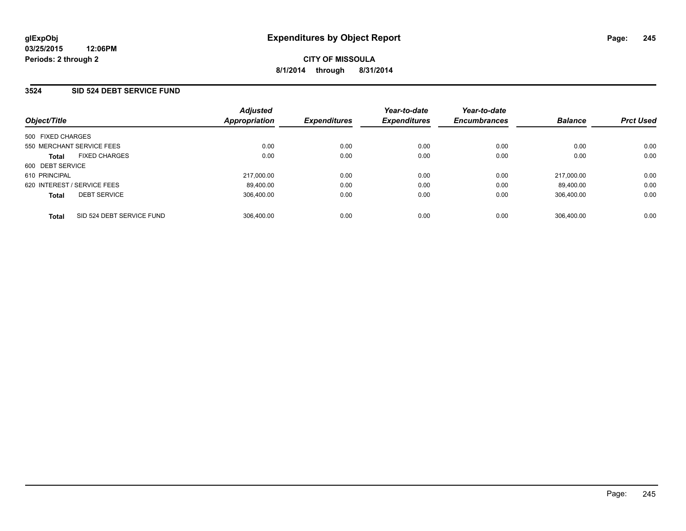### **3524 SID 524 DEBT SERVICE FUND**

| Object/Title                              | <b>Adjusted</b><br>Appropriation | <b>Expenditures</b> | Year-to-date<br><b>Expenditures</b> | Year-to-date<br><b>Encumbrances</b> | <b>Balance</b> | <b>Prct Used</b> |
|-------------------------------------------|----------------------------------|---------------------|-------------------------------------|-------------------------------------|----------------|------------------|
| 500 FIXED CHARGES                         |                                  |                     |                                     |                                     |                |                  |
| 550 MERCHANT SERVICE FEES                 | 0.00                             | 0.00                | 0.00                                | 0.00                                | 0.00           | 0.00             |
| <b>FIXED CHARGES</b><br><b>Total</b>      | 0.00                             | 0.00                | 0.00                                | 0.00                                | 0.00           | 0.00             |
| 600 DEBT SERVICE                          |                                  |                     |                                     |                                     |                |                  |
| 610 PRINCIPAL                             | 217.000.00                       | 0.00                | 0.00                                | 0.00                                | 217.000.00     | 0.00             |
| 620 INTEREST / SERVICE FEES               | 89.400.00                        | 0.00                | 0.00                                | 0.00                                | 89.400.00      | 0.00             |
| <b>DEBT SERVICE</b><br><b>Total</b>       | 306.400.00                       | 0.00                | 0.00                                | 0.00                                | 306.400.00     | 0.00             |
| SID 524 DEBT SERVICE FUND<br><b>Total</b> | 306.400.00                       | 0.00                | 0.00                                | 0.00                                | 306.400.00     | 0.00             |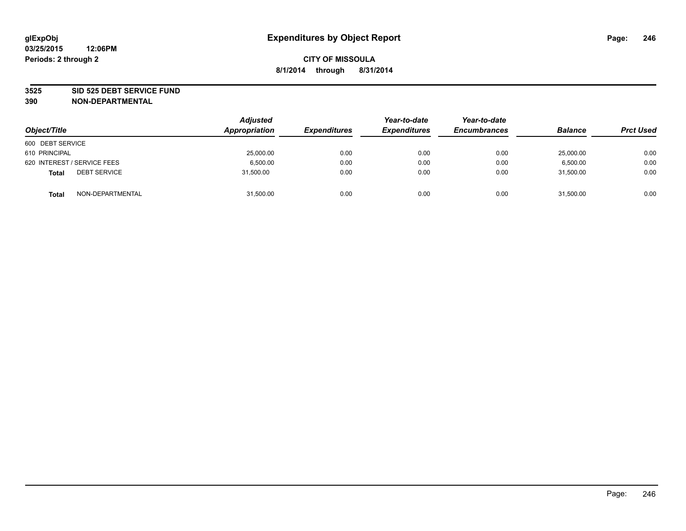#### **3525 SID 525 DEBT SERVICE FUND**

| Object/Title                        | <b>Adjusted</b><br>Appropriation | <b>Expenditures</b> | Year-to-date<br><b>Expenditures</b> | Year-to-date<br><b>Encumbrances</b> | <b>Balance</b> | <b>Prct Used</b> |
|-------------------------------------|----------------------------------|---------------------|-------------------------------------|-------------------------------------|----------------|------------------|
| 600 DEBT SERVICE                    |                                  |                     |                                     |                                     |                |                  |
| 610 PRINCIPAL                       | 25,000.00                        | 0.00                | 0.00                                | 0.00                                | 25,000.00      | 0.00             |
| 620 INTEREST / SERVICE FEES         | 6.500.00                         | 0.00                | 0.00                                | 0.00                                | 6.500.00       | 0.00             |
| <b>DEBT SERVICE</b><br><b>Total</b> | 31,500.00                        | 0.00                | 0.00                                | 0.00                                | 31,500.00      | 0.00             |
| NON-DEPARTMENTAL<br><b>Total</b>    | 31,500.00                        | 0.00                | 0.00                                | 0.00                                | 31,500.00      | 0.00             |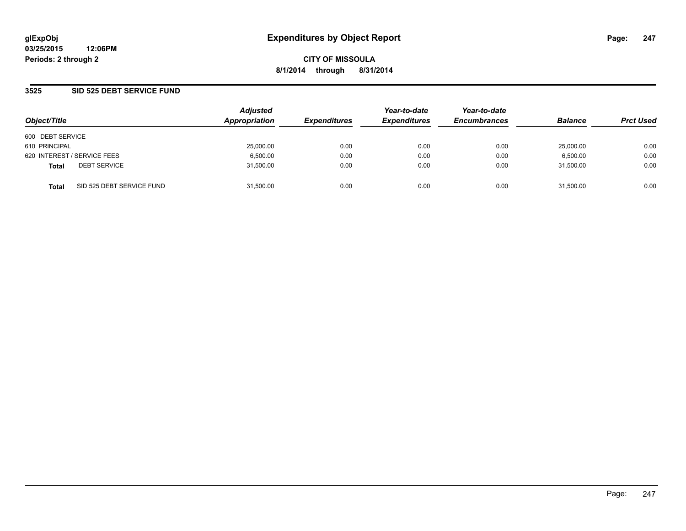### **3525 SID 525 DEBT SERVICE FUND**

| Object/Title                              | <b>Adjusted</b><br>Appropriation | <b>Expenditures</b> | Year-to-date<br><b>Expenditures</b> | Year-to-date<br><b>Encumbrances</b> | <b>Balance</b> | <b>Prct Used</b> |
|-------------------------------------------|----------------------------------|---------------------|-------------------------------------|-------------------------------------|----------------|------------------|
| 600 DEBT SERVICE                          |                                  |                     |                                     |                                     |                |                  |
| 610 PRINCIPAL                             | 25,000.00                        | 0.00                | 0.00                                | 0.00                                | 25,000.00      | 0.00             |
| 620 INTEREST / SERVICE FEES               | 6,500.00                         | 0.00                | 0.00                                | 0.00                                | 6,500.00       | 0.00             |
| <b>DEBT SERVICE</b><br><b>Total</b>       | 31,500.00                        | 0.00                | 0.00                                | 0.00                                | 31,500.00      | 0.00             |
| SID 525 DEBT SERVICE FUND<br><b>Total</b> | 31,500.00                        | 0.00                | 0.00                                | 0.00                                | 31,500.00      | 0.00             |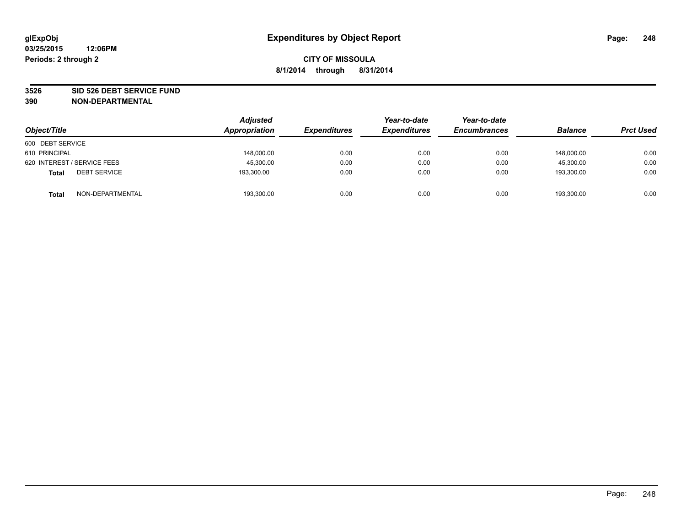#### **3526 SID 526 DEBT SERVICE FUND**

| Object/Title                        | <b>Adjusted</b><br>Appropriation | <b>Expenditures</b> | Year-to-date<br><b>Expenditures</b> | Year-to-date<br><b>Encumbrances</b> | <b>Balance</b> | <b>Prct Used</b> |
|-------------------------------------|----------------------------------|---------------------|-------------------------------------|-------------------------------------|----------------|------------------|
| 600 DEBT SERVICE                    |                                  |                     |                                     |                                     |                |                  |
| 610 PRINCIPAL                       | 148,000.00                       | 0.00                | 0.00                                | 0.00                                | 148.000.00     | 0.00             |
| 620 INTEREST / SERVICE FEES         | 45,300.00                        | 0.00                | 0.00                                | 0.00                                | 45,300.00      | 0.00             |
| <b>DEBT SERVICE</b><br><b>Total</b> | 193,300.00                       | 0.00                | 0.00                                | 0.00                                | 193,300.00     | 0.00             |
| NON-DEPARTMENTAL<br><b>Total</b>    | 193,300.00                       | 0.00                | 0.00                                | 0.00                                | 193,300.00     | 0.00             |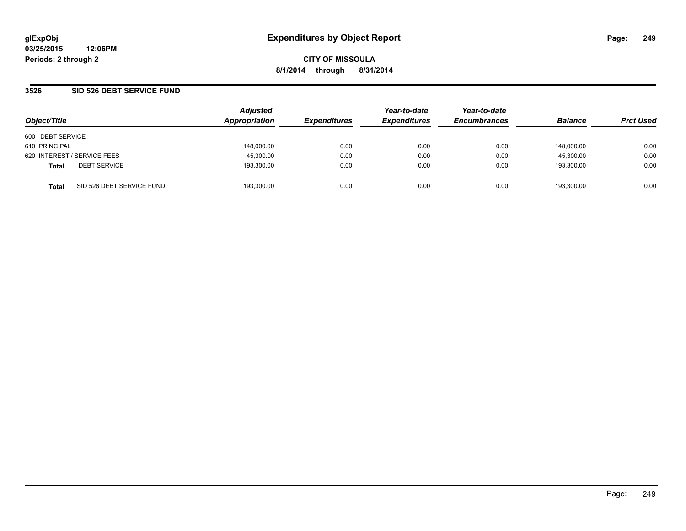**03/25/2015 12:06PM Periods: 2 through 2**

**CITY OF MISSOULA 8/1/2014 through 8/31/2014**

### **3526 SID 526 DEBT SERVICE FUND**

| Object/Title                              | <b>Adjusted</b><br>Appropriation | <b>Expenditures</b> | Year-to-date<br><b>Expenditures</b> | Year-to-date<br><b>Encumbrances</b> | <b>Balance</b> | <b>Prct Used</b> |
|-------------------------------------------|----------------------------------|---------------------|-------------------------------------|-------------------------------------|----------------|------------------|
| 600 DEBT SERVICE                          |                                  |                     |                                     |                                     |                |                  |
| 610 PRINCIPAL                             | 148,000.00                       | 0.00                | 0.00                                | 0.00                                | 148.000.00     | 0.00             |
| 620 INTEREST / SERVICE FEES               | 45,300.00                        | 0.00                | 0.00                                | 0.00                                | 45.300.00      | 0.00             |
| <b>DEBT SERVICE</b><br><b>Total</b>       | 193,300.00                       | 0.00                | 0.00                                | 0.00                                | 193.300.00     | 0.00             |
| SID 526 DEBT SERVICE FUND<br><b>Total</b> | 193.300.00                       | 0.00                | 0.00                                | 0.00                                | 193.300.00     | 0.00             |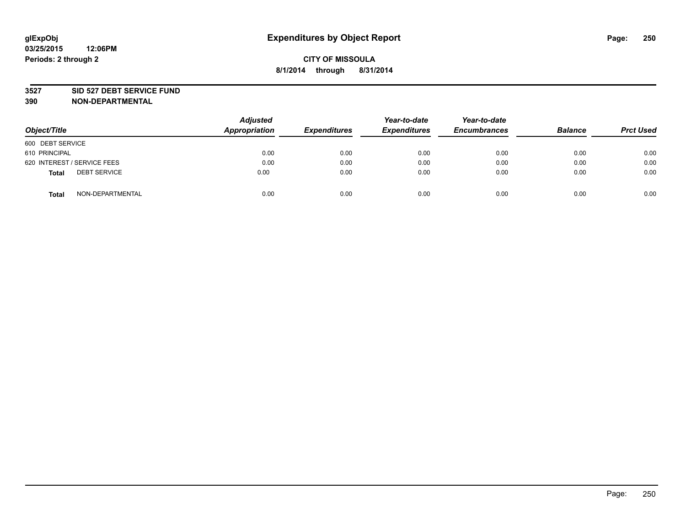#### **3527 SID 527 DEBT SERVICE FUND**

| Object/Title                        | <b>Adjusted</b><br>Appropriation | <b>Expenditures</b> | Year-to-date<br><b>Expenditures</b> | Year-to-date<br><b>Encumbrances</b> | <b>Balance</b> | <b>Prct Used</b> |
|-------------------------------------|----------------------------------|---------------------|-------------------------------------|-------------------------------------|----------------|------------------|
| 600 DEBT SERVICE                    |                                  |                     |                                     |                                     |                |                  |
| 610 PRINCIPAL                       | 0.00                             | 0.00                | 0.00                                | 0.00                                | 0.00           | 0.00             |
| 620 INTEREST / SERVICE FEES         | 0.00                             | 0.00                | 0.00                                | 0.00                                | 0.00           | 0.00             |
| <b>DEBT SERVICE</b><br><b>Total</b> | 0.00                             | 0.00                | 0.00                                | 0.00                                | 0.00           | 0.00             |
| NON-DEPARTMENTAL<br><b>Total</b>    | 0.00                             | 0.00                | 0.00                                | 0.00                                | 0.00           | 0.00             |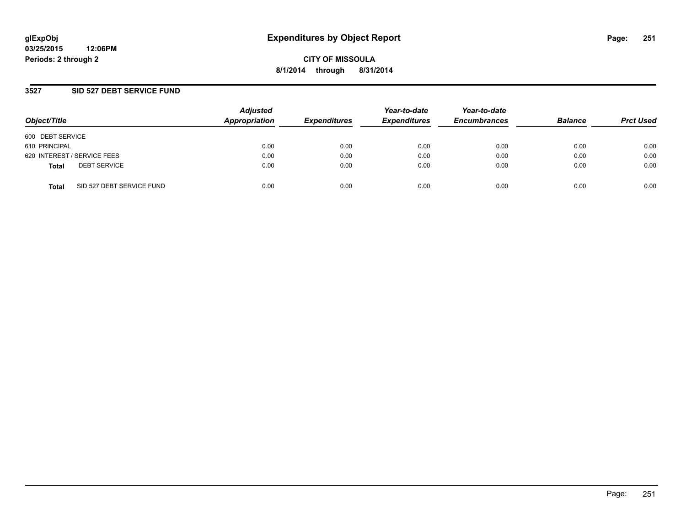**03/25/2015 12:06PM Periods: 2 through 2**

**CITY OF MISSOULA 8/1/2014 through 8/31/2014**

### **3527 SID 527 DEBT SERVICE FUND**

| Object/Title                              | <b>Adjusted</b><br>Appropriation | <b>Expenditures</b> | Year-to-date<br><b>Expenditures</b> | Year-to-date<br><b>Encumbrances</b> | <b>Balance</b> | <b>Prct Used</b> |
|-------------------------------------------|----------------------------------|---------------------|-------------------------------------|-------------------------------------|----------------|------------------|
| 600 DEBT SERVICE                          |                                  |                     |                                     |                                     |                |                  |
| 610 PRINCIPAL                             | 0.00                             | 0.00                | 0.00                                | 0.00                                | 0.00           | 0.00             |
| 620 INTEREST / SERVICE FEES               | 0.00                             | 0.00                | 0.00                                | 0.00                                | 0.00           | 0.00             |
| <b>DEBT SERVICE</b><br><b>Total</b>       | 0.00                             | 0.00                | 0.00                                | 0.00                                | 0.00           | 0.00             |
| SID 527 DEBT SERVICE FUND<br><b>Total</b> | 0.00                             | 0.00                | 0.00                                | 0.00                                | 0.00           | 0.00             |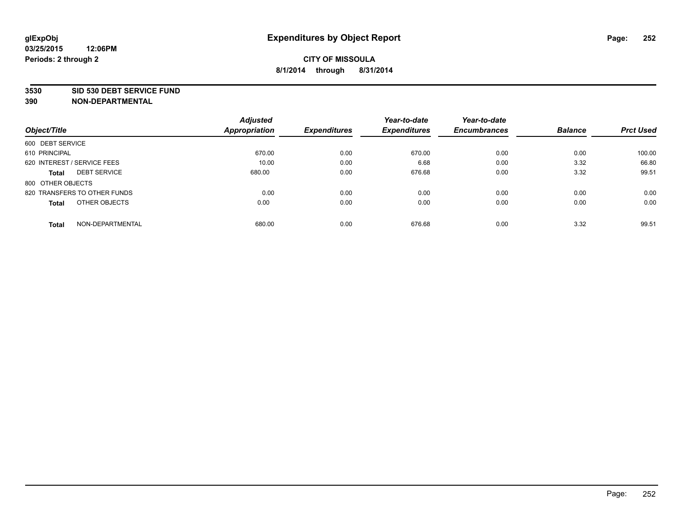#### **3530 SID 530 DEBT SERVICE FUND**

|                                     | <b>Adjusted</b> |                     | Year-to-date        | Year-to-date        |                |                  |
|-------------------------------------|-----------------|---------------------|---------------------|---------------------|----------------|------------------|
| Object/Title                        | Appropriation   | <b>Expenditures</b> | <b>Expenditures</b> | <b>Encumbrances</b> | <b>Balance</b> | <b>Prct Used</b> |
| 600 DEBT SERVICE                    |                 |                     |                     |                     |                |                  |
| 610 PRINCIPAL                       | 670.00          | 0.00                | 670.00              | 0.00                | 0.00           | 100.00           |
| 620 INTEREST / SERVICE FEES         | 10.00           | 0.00                | 6.68                | 0.00                | 3.32           | 66.80            |
| <b>DEBT SERVICE</b><br><b>Total</b> | 680.00          | 0.00                | 676.68              | 0.00                | 3.32           | 99.51            |
| 800 OTHER OBJECTS                   |                 |                     |                     |                     |                |                  |
| 820 TRANSFERS TO OTHER FUNDS        | 0.00            | 0.00                | 0.00                | 0.00                | 0.00           | 0.00             |
| OTHER OBJECTS<br><b>Total</b>       | 0.00            | 0.00                | 0.00                | 0.00                | 0.00           | 0.00             |
| NON-DEPARTMENTAL<br><b>Total</b>    | 680.00          | 0.00                | 676.68              | 0.00                | 3.32           | 99.51            |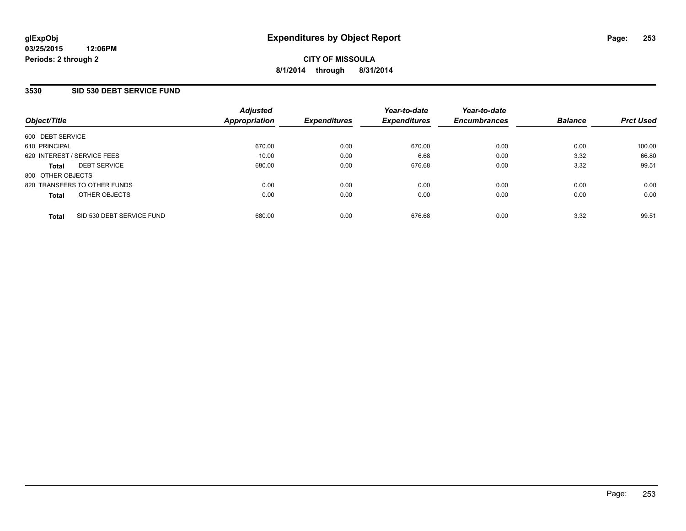### **3530 SID 530 DEBT SERVICE FUND**

| Object/Title      |                              | <b>Adjusted</b><br><b>Appropriation</b> | <b>Expenditures</b> | Year-to-date<br><b>Expenditures</b> | Year-to-date<br><b>Encumbrances</b> | <b>Balance</b> | <b>Prct Used</b> |
|-------------------|------------------------------|-----------------------------------------|---------------------|-------------------------------------|-------------------------------------|----------------|------------------|
| 600 DEBT SERVICE  |                              |                                         |                     |                                     |                                     |                |                  |
| 610 PRINCIPAL     |                              | 670.00                                  | 0.00                | 670.00                              | 0.00                                | 0.00           | 100.00           |
|                   | 620 INTEREST / SERVICE FEES  | 10.00                                   | 0.00                | 6.68                                | 0.00                                | 3.32           | 66.80            |
| <b>Total</b>      | <b>DEBT SERVICE</b>          | 680.00                                  | 0.00                | 676.68                              | 0.00                                | 3.32           | 99.51            |
| 800 OTHER OBJECTS |                              |                                         |                     |                                     |                                     |                |                  |
|                   | 820 TRANSFERS TO OTHER FUNDS | 0.00                                    | 0.00                | 0.00                                | 0.00                                | 0.00           | 0.00             |
| <b>Total</b>      | OTHER OBJECTS                | 0.00                                    | 0.00                | 0.00                                | 0.00                                | 0.00           | 0.00             |
| <b>Total</b>      | SID 530 DEBT SERVICE FUND    | 680.00                                  | 0.00                | 676.68                              | 0.00                                | 3.32           | 99.51            |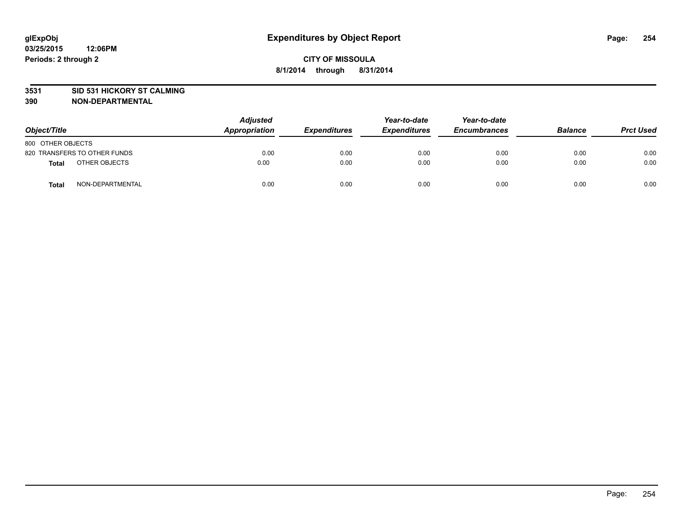### **3531 SID 531 HICKORY ST CALMING**

| Object/Title                     | <b>Adjusted</b><br>Appropriation | <b>Expenditures</b> | Year-to-date<br><b>Expenditures</b> | Year-to-date<br><b>Encumbrances</b> | <b>Balance</b> | <b>Prct Used</b> |
|----------------------------------|----------------------------------|---------------------|-------------------------------------|-------------------------------------|----------------|------------------|
| 800 OTHER OBJECTS                |                                  |                     |                                     |                                     |                |                  |
| 820 TRANSFERS TO OTHER FUNDS     | 0.00                             | 0.00                | 0.00                                | 0.00                                | 0.00           | 0.00             |
| OTHER OBJECTS<br><b>Total</b>    | 0.00                             | 0.00                | 0.00                                | 0.00                                | 0.00           | 0.00             |
| NON-DEPARTMENTAL<br><b>Total</b> | 0.00                             | 0.00                | 0.00                                | 0.00                                | 0.00           | 0.00             |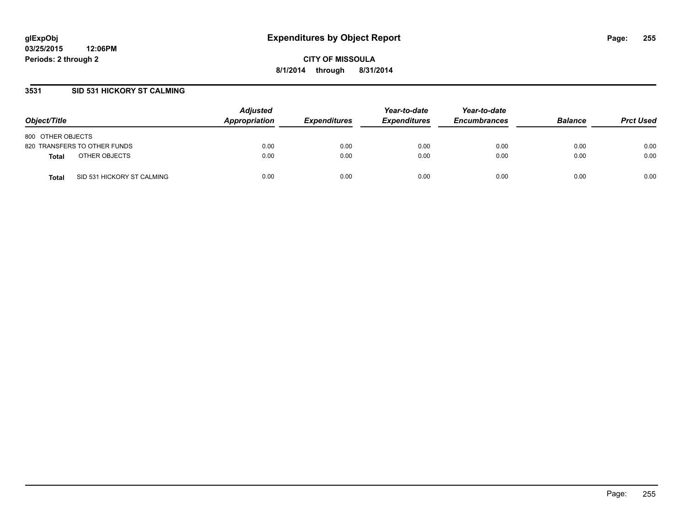## **3531 SID 531 HICKORY ST CALMING**

| Object/Title                               | <b>Adjusted</b><br>Appropriation | <b>Expenditures</b> | Year-to-date<br><b>Expenditures</b> | Year-to-date<br><b>Encumbrances</b> | <b>Balance</b> | <b>Prct Used</b> |
|--------------------------------------------|----------------------------------|---------------------|-------------------------------------|-------------------------------------|----------------|------------------|
| 800 OTHER OBJECTS                          |                                  |                     |                                     |                                     |                |                  |
| 820 TRANSFERS TO OTHER FUNDS               | 0.00                             | 0.00                | 0.00                                | 0.00                                | 0.00           | 0.00             |
| OTHER OBJECTS<br><b>Total</b>              | 0.00                             | 0.00                | 0.00                                | 0.00                                | 0.00           | 0.00             |
| SID 531 HICKORY ST CALMING<br><b>Total</b> | 0.00                             | 0.00                | 0.00                                | 0.00                                | 0.00           | 0.00             |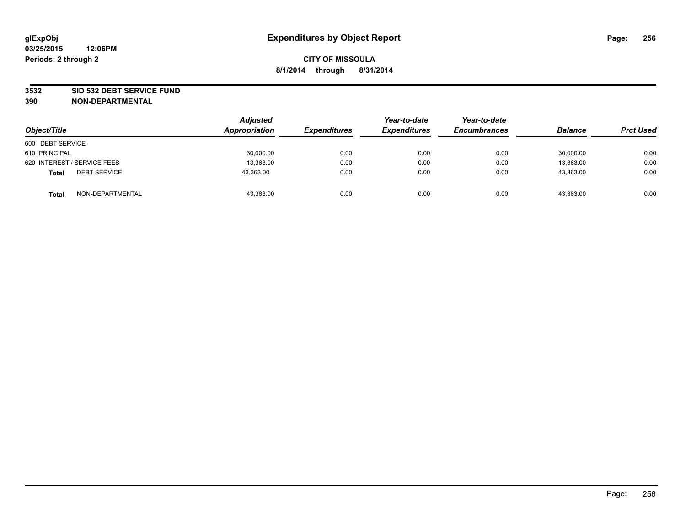#### **3532 SID 532 DEBT SERVICE FUND**

| Object/Title                        | <b>Adjusted</b><br>Appropriation | <b>Expenditures</b> | Year-to-date<br><b>Expenditures</b> | Year-to-date<br><b>Encumbrances</b> | <b>Balance</b> | <b>Prct Used</b> |
|-------------------------------------|----------------------------------|---------------------|-------------------------------------|-------------------------------------|----------------|------------------|
| 600 DEBT SERVICE                    |                                  |                     |                                     |                                     |                |                  |
| 610 PRINCIPAL                       | 30,000.00                        | 0.00                | 0.00                                | 0.00                                | 30,000.00      | 0.00             |
| 620 INTEREST / SERVICE FEES         | 13,363.00                        | 0.00                | 0.00                                | 0.00                                | 13,363.00      | 0.00             |
| <b>DEBT SERVICE</b><br><b>Total</b> | 43,363.00                        | 0.00                | 0.00                                | 0.00                                | 43,363.00      | 0.00             |
| NON-DEPARTMENTAL<br><b>Total</b>    | 43,363.00                        | 0.00                | 0.00                                | 0.00                                | 43,363.00      | 0.00             |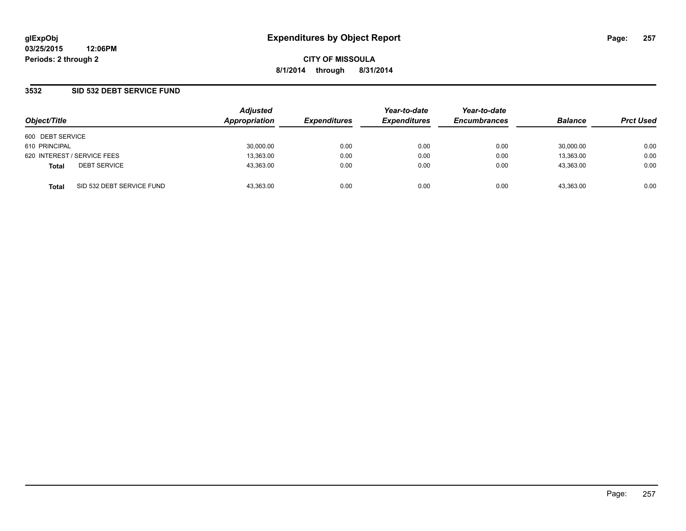### **3532 SID 532 DEBT SERVICE FUND**

| Object/Title     |                             | <b>Adjusted</b><br>Appropriation | <b>Expenditures</b> | Year-to-date<br><b>Expenditures</b> | Year-to-date<br><b>Encumbrances</b> | <b>Balance</b> | <b>Prct Used</b> |
|------------------|-----------------------------|----------------------------------|---------------------|-------------------------------------|-------------------------------------|----------------|------------------|
| 600 DEBT SERVICE |                             |                                  |                     |                                     |                                     |                |                  |
| 610 PRINCIPAL    |                             | 30,000.00                        | 0.00                | 0.00                                | 0.00                                | 30.000.00      | 0.00             |
|                  | 620 INTEREST / SERVICE FEES | 13,363.00                        | 0.00                | 0.00                                | 0.00                                | 13,363.00      | 0.00             |
| <b>Total</b>     | <b>DEBT SERVICE</b>         | 43,363.00                        | 0.00                | 0.00                                | 0.00                                | 43,363.00      | 0.00             |
| <b>Total</b>     | SID 532 DEBT SERVICE FUND   | 43,363.00                        | 0.00                | 0.00                                | 0.00                                | 43,363.00      | 0.00             |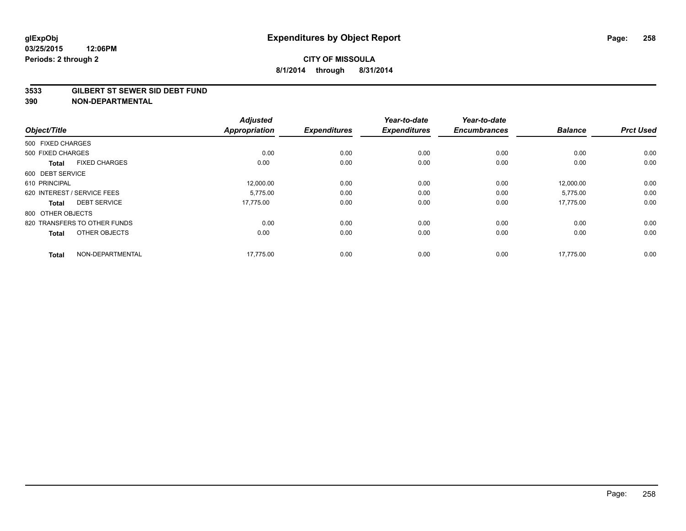#### **3533 GILBERT ST SEWER SID DEBT FUND**

| Object/Title      |                              | <b>Adjusted</b><br><b>Appropriation</b> | <b>Expenditures</b> | Year-to-date<br><b>Expenditures</b> | Year-to-date<br><b>Encumbrances</b> | <b>Balance</b> | <b>Prct Used</b> |
|-------------------|------------------------------|-----------------------------------------|---------------------|-------------------------------------|-------------------------------------|----------------|------------------|
| 500 FIXED CHARGES |                              |                                         |                     |                                     |                                     |                |                  |
| 500 FIXED CHARGES |                              | 0.00                                    | 0.00                | 0.00                                | 0.00                                | 0.00           | 0.00             |
| <b>Total</b>      | <b>FIXED CHARGES</b>         | 0.00                                    | 0.00                | 0.00                                | 0.00                                | 0.00           | 0.00             |
| 600 DEBT SERVICE  |                              |                                         |                     |                                     |                                     |                |                  |
| 610 PRINCIPAL     |                              | 12,000.00                               | 0.00                | 0.00                                | 0.00                                | 12,000.00      | 0.00             |
|                   | 620 INTEREST / SERVICE FEES  | 5.775.00                                | 0.00                | 0.00                                | 0.00                                | 5,775.00       | 0.00             |
| <b>Total</b>      | <b>DEBT SERVICE</b>          | 17,775.00                               | 0.00                | 0.00                                | 0.00                                | 17,775.00      | 0.00             |
| 800 OTHER OBJECTS |                              |                                         |                     |                                     |                                     |                |                  |
|                   | 820 TRANSFERS TO OTHER FUNDS | 0.00                                    | 0.00                | 0.00                                | 0.00                                | 0.00           | 0.00             |
| <b>Total</b>      | OTHER OBJECTS                | 0.00                                    | 0.00                | 0.00                                | 0.00                                | 0.00           | 0.00             |
| <b>Total</b>      | NON-DEPARTMENTAL             | 17,775.00                               | 0.00                | 0.00                                | 0.00                                | 17,775.00      | 0.00             |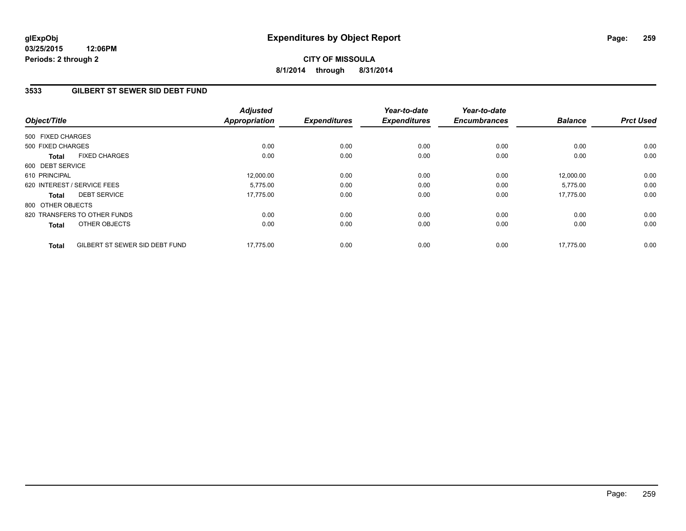**03/25/2015 12:06PM Periods: 2 through 2**

# **CITY OF MISSOULA 8/1/2014 through 8/31/2014**

## **3533 GILBERT ST SEWER SID DEBT FUND**

| Object/Title      |                                | <b>Adjusted</b><br><b>Appropriation</b> | <b>Expenditures</b> | Year-to-date<br><b>Expenditures</b> | Year-to-date<br><b>Encumbrances</b> | <b>Balance</b> | <b>Prct Used</b> |
|-------------------|--------------------------------|-----------------------------------------|---------------------|-------------------------------------|-------------------------------------|----------------|------------------|
| 500 FIXED CHARGES |                                |                                         |                     |                                     |                                     |                |                  |
| 500 FIXED CHARGES |                                | 0.00                                    | 0.00                | 0.00                                | 0.00                                | 0.00           | 0.00             |
| <b>Total</b>      | <b>FIXED CHARGES</b>           | 0.00                                    | 0.00                | 0.00                                | 0.00                                | 0.00           | 0.00             |
| 600 DEBT SERVICE  |                                |                                         |                     |                                     |                                     |                |                  |
| 610 PRINCIPAL     |                                | 12,000.00                               | 0.00                | 0.00                                | 0.00                                | 12,000.00      | 0.00             |
|                   | 620 INTEREST / SERVICE FEES    | 5,775.00                                | 0.00                | 0.00                                | 0.00                                | 5,775.00       | 0.00             |
| <b>Total</b>      | <b>DEBT SERVICE</b>            | 17,775.00                               | 0.00                | 0.00                                | 0.00                                | 17.775.00      | 0.00             |
| 800 OTHER OBJECTS |                                |                                         |                     |                                     |                                     |                |                  |
|                   | 820 TRANSFERS TO OTHER FUNDS   | 0.00                                    | 0.00                | 0.00                                | 0.00                                | 0.00           | 0.00             |
| <b>Total</b>      | <b>OTHER OBJECTS</b>           | 0.00                                    | 0.00                | 0.00                                | 0.00                                | 0.00           | 0.00             |
| <b>Total</b>      | GILBERT ST SEWER SID DEBT FUND | 17.775.00                               | 0.00                | 0.00                                | 0.00                                | 17.775.00      | 0.00             |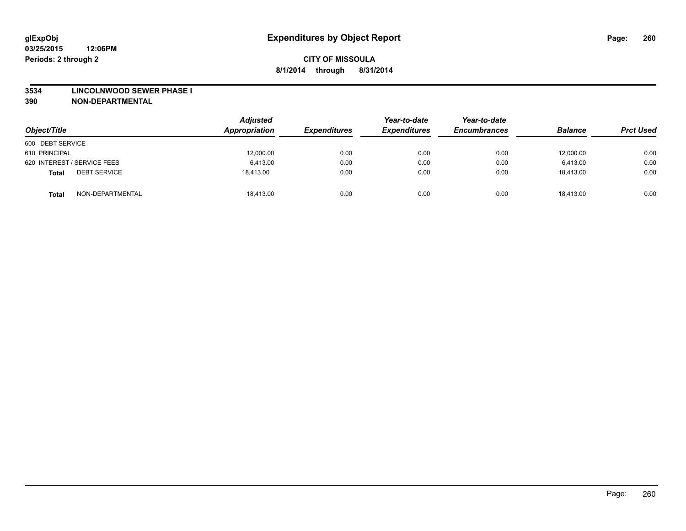#### **3534 LINCOLNWOOD SEWER PHASE I**

| Object/Title                        | <b>Adjusted</b><br>Appropriation | <b>Expenditures</b> | Year-to-date<br><b>Expenditures</b> | Year-to-date<br><b>Encumbrances</b> | <b>Balance</b> | <b>Prct Used</b> |
|-------------------------------------|----------------------------------|---------------------|-------------------------------------|-------------------------------------|----------------|------------------|
| 600 DEBT SERVICE                    |                                  |                     |                                     |                                     |                |                  |
| 610 PRINCIPAL                       | 12,000.00                        | 0.00                | 0.00                                | 0.00                                | 12,000.00      | 0.00             |
| 620 INTEREST / SERVICE FEES         | 6.413.00                         | 0.00                | 0.00                                | 0.00                                | 6.413.00       | 0.00             |
| <b>DEBT SERVICE</b><br><b>Total</b> | 18.413.00                        | 0.00                | 0.00                                | 0.00                                | 18.413.00      | 0.00             |
| NON-DEPARTMENTAL<br><b>Total</b>    | 18,413.00                        | 0.00                | 0.00                                | 0.00                                | 18.413.00      | 0.00             |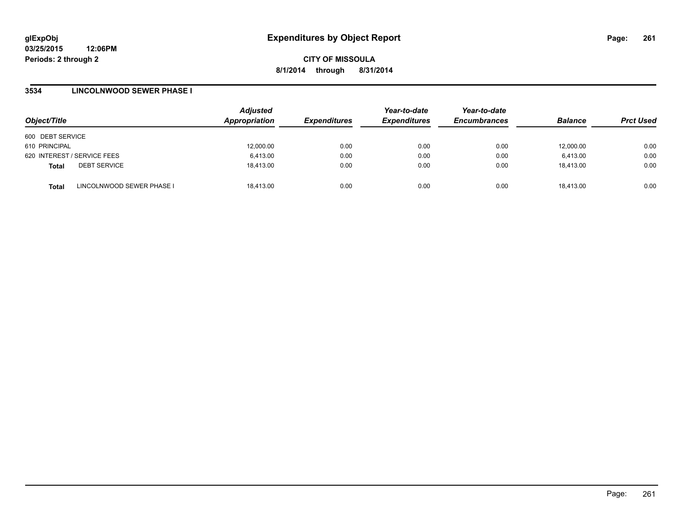### **3534 LINCOLNWOOD SEWER PHASE I**

| Object/Title                              | <b>Adjusted</b><br>Appropriation | <b>Expenditures</b> | Year-to-date<br><b>Expenditures</b> | Year-to-date<br><b>Encumbrances</b> | <b>Balance</b> | <b>Prct Used</b> |
|-------------------------------------------|----------------------------------|---------------------|-------------------------------------|-------------------------------------|----------------|------------------|
| 600 DEBT SERVICE                          |                                  |                     |                                     |                                     |                |                  |
| 610 PRINCIPAL                             | 12,000.00                        | 0.00                | 0.00                                | 0.00                                | 12,000.00      | 0.00             |
| 620 INTEREST / SERVICE FEES               | 6,413.00                         | 0.00                | 0.00                                | 0.00                                | 6,413.00       | 0.00             |
| <b>DEBT SERVICE</b><br><b>Total</b>       | 18.413.00                        | 0.00                | 0.00                                | 0.00                                | 18.413.00      | 0.00             |
| LINCOLNWOOD SEWER PHASE I<br><b>Total</b> | 18.413.00                        | 0.00                | 0.00                                | 0.00                                | 18.413.00      | 0.00             |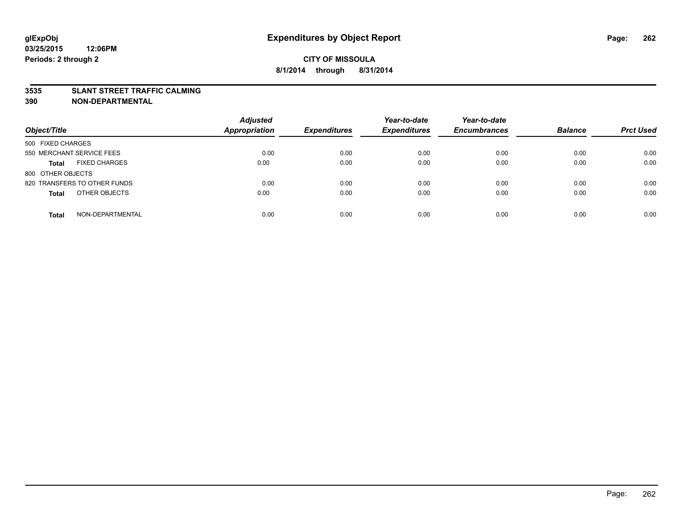#### **3535 SLANT STREET TRAFFIC CALMING**

| Object/Title                         | <b>Adjusted</b><br><b>Appropriation</b> | <b>Expenditures</b> | Year-to-date<br><b>Expenditures</b> | Year-to-date<br><b>Encumbrances</b> | <b>Balance</b> | <b>Prct Used</b> |
|--------------------------------------|-----------------------------------------|---------------------|-------------------------------------|-------------------------------------|----------------|------------------|
| 500 FIXED CHARGES                    |                                         |                     |                                     |                                     |                |                  |
| 550 MERCHANT SERVICE FEES            | 0.00                                    | 0.00                | 0.00                                | 0.00                                | 0.00           | 0.00             |
| <b>FIXED CHARGES</b><br><b>Total</b> | 0.00                                    | 0.00                | 0.00                                | 0.00                                | 0.00           | 0.00             |
| 800 OTHER OBJECTS                    |                                         |                     |                                     |                                     |                |                  |
| 820 TRANSFERS TO OTHER FUNDS         | 0.00                                    | 0.00                | 0.00                                | 0.00                                | 0.00           | 0.00             |
| OTHER OBJECTS<br><b>Total</b>        | 0.00                                    | 0.00                | 0.00                                | 0.00                                | 0.00           | 0.00             |
| NON-DEPARTMENTAL<br><b>Total</b>     | 0.00                                    | 0.00                | 0.00                                | 0.00                                | 0.00           | 0.00             |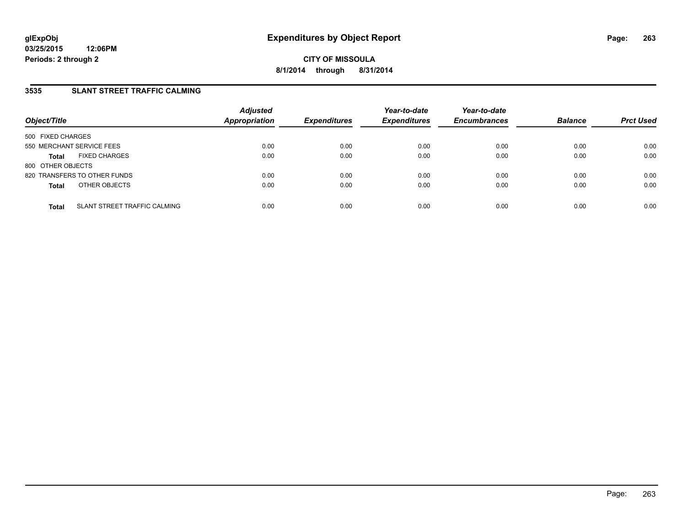## **3535 SLANT STREET TRAFFIC CALMING**

| Object/Title              |                              | <b>Adjusted</b><br>Appropriation | <b>Expenditures</b> | Year-to-date<br><b>Expenditures</b> | Year-to-date<br><b>Encumbrances</b> | <b>Balance</b> | <b>Prct Used</b> |
|---------------------------|------------------------------|----------------------------------|---------------------|-------------------------------------|-------------------------------------|----------------|------------------|
| 500 FIXED CHARGES         |                              |                                  |                     |                                     |                                     |                |                  |
| 550 MERCHANT SERVICE FEES |                              | 0.00                             | 0.00                | 0.00                                | 0.00                                | 0.00           | 0.00             |
| <b>Total</b>              | <b>FIXED CHARGES</b>         | 0.00                             | 0.00                | 0.00                                | 0.00                                | 0.00           | 0.00             |
| 800 OTHER OBJECTS         |                              |                                  |                     |                                     |                                     |                |                  |
|                           | 820 TRANSFERS TO OTHER FUNDS | 0.00                             | 0.00                | 0.00                                | 0.00                                | 0.00           | 0.00             |
| <b>Total</b>              | OTHER OBJECTS                | 0.00                             | 0.00                | 0.00                                | 0.00                                | 0.00           | 0.00             |
| <b>Total</b>              | SLANT STREET TRAFFIC CALMING | 0.00                             | 0.00                | 0.00                                | 0.00                                | 0.00           | 0.00             |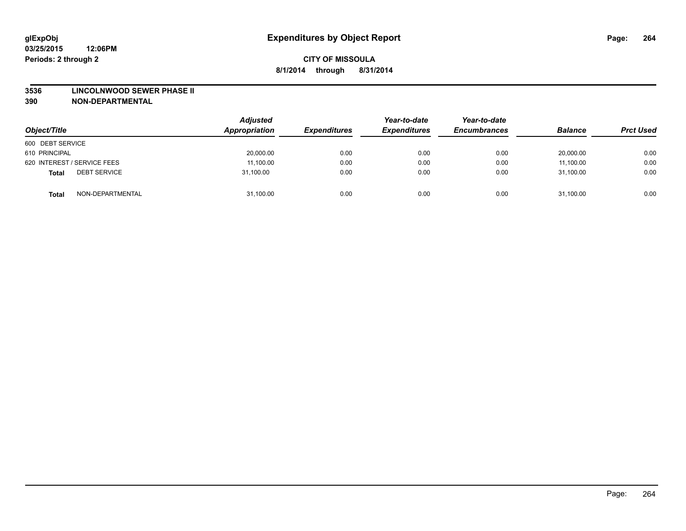#### **3536 LINCOLNWOOD SEWER PHASE II**

| Object/Title                        | <b>Adjusted</b><br>Appropriation | <b>Expenditures</b> | Year-to-date<br><b>Expenditures</b> | Year-to-date<br><b>Encumbrances</b> | <b>Balance</b> | <b>Prct Used</b> |
|-------------------------------------|----------------------------------|---------------------|-------------------------------------|-------------------------------------|----------------|------------------|
| 600 DEBT SERVICE                    |                                  |                     |                                     |                                     |                |                  |
| 610 PRINCIPAL                       | 20,000.00                        | 0.00                | 0.00                                | 0.00                                | 20,000.00      | 0.00             |
| 620 INTEREST / SERVICE FEES         | 11,100.00                        | 0.00                | 0.00                                | 0.00                                | 11,100.00      | 0.00             |
| <b>DEBT SERVICE</b><br><b>Total</b> | 31,100.00                        | 0.00                | 0.00                                | 0.00                                | 31,100.00      | 0.00             |
| NON-DEPARTMENTAL<br><b>Total</b>    | 31,100.00                        | 0.00                | 0.00                                | 0.00                                | 31,100.00      | 0.00             |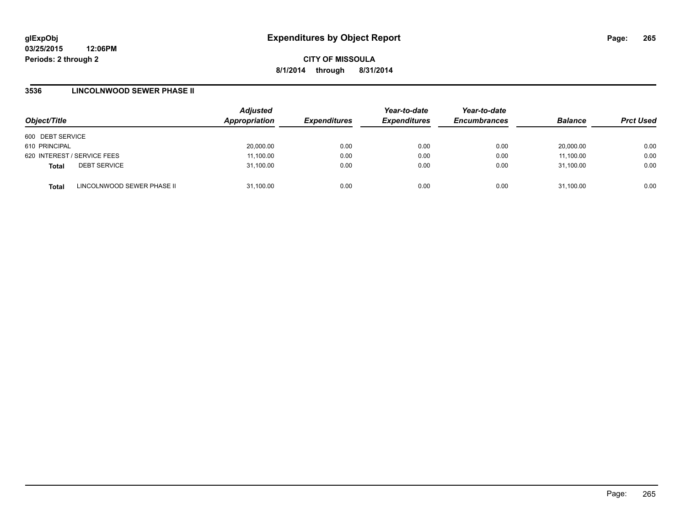### **3536 LINCOLNWOOD SEWER PHASE II**

| Object/Title                |                            | <b>Adjusted</b><br>Appropriation | <b>Expenditures</b> | Year-to-date<br><b>Expenditures</b> | Year-to-date<br><b>Encumbrances</b> | <b>Balance</b> | <b>Prct Used</b> |
|-----------------------------|----------------------------|----------------------------------|---------------------|-------------------------------------|-------------------------------------|----------------|------------------|
| 600 DEBT SERVICE            |                            |                                  |                     |                                     |                                     |                |                  |
| 610 PRINCIPAL               |                            | 20,000.00                        | 0.00                | 0.00                                | 0.00                                | 20.000.00      | 0.00             |
| 620 INTEREST / SERVICE FEES |                            | 11,100.00                        | 0.00                | 0.00                                | 0.00                                | 11,100.00      | 0.00             |
| <b>Total</b>                | <b>DEBT SERVICE</b>        | 31,100.00                        | 0.00                | 0.00                                | 0.00                                | 31.100.00      | 0.00             |
| <b>Total</b>                | LINCOLNWOOD SEWER PHASE II | 31,100.00                        | 0.00                | 0.00                                | 0.00                                | 31,100.00      | 0.00             |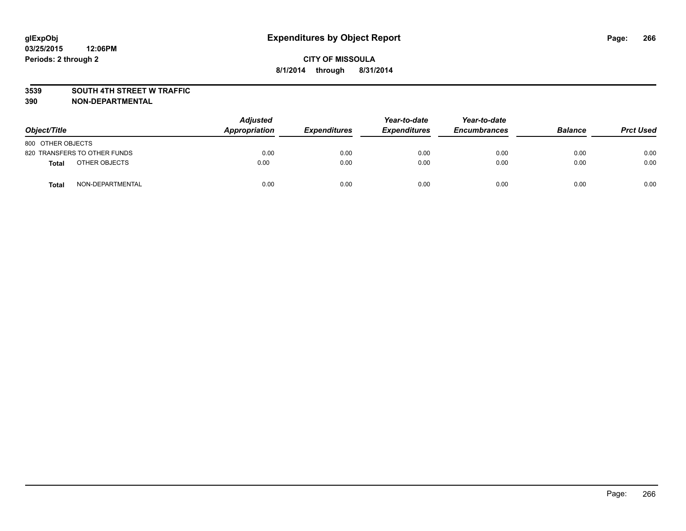#### **3539 SOUTH 4TH STREET W TRAFFIC**

| Object/Title      |                              | <b>Adjusted</b><br>Appropriation | <b>Expenditures</b> | Year-to-date<br><b>Expenditures</b> | Year-to-date<br><b>Encumbrances</b> | <b>Balance</b> | <b>Prct Used</b> |
|-------------------|------------------------------|----------------------------------|---------------------|-------------------------------------|-------------------------------------|----------------|------------------|
| 800 OTHER OBJECTS |                              |                                  |                     |                                     |                                     |                |                  |
|                   | 820 TRANSFERS TO OTHER FUNDS | 0.00                             | 0.00                | 0.00                                | 0.00                                | 0.00           | 0.00             |
| <b>Total</b>      | OTHER OBJECTS                | 0.00                             | 0.00                | 0.00                                | 0.00                                | 0.00           | 0.00             |
| <b>Total</b>      | NON-DEPARTMENTAL             | 0.00                             | 0.00                | 0.00                                | 0.00                                | 0.00           | 0.00             |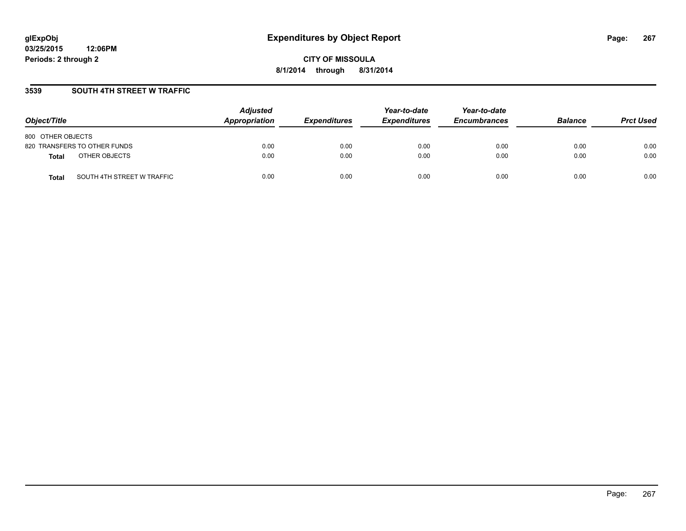### **3539 SOUTH 4TH STREET W TRAFFIC**

| Object/Title                               | <b>Adjusted</b><br>Appropriation | <b>Expenditures</b> | Year-to-date<br><b>Expenditures</b> | Year-to-date<br><b>Encumbrances</b> | <b>Balance</b> | <b>Prct Used</b> |
|--------------------------------------------|----------------------------------|---------------------|-------------------------------------|-------------------------------------|----------------|------------------|
| 800 OTHER OBJECTS                          |                                  |                     |                                     |                                     |                |                  |
| 820 TRANSFERS TO OTHER FUNDS               | 0.00                             | 0.00                | 0.00                                | 0.00                                | 0.00           | 0.00             |
| OTHER OBJECTS<br><b>Total</b>              | 0.00                             | 0.00                | 0.00                                | 0.00                                | 0.00           | 0.00             |
| SOUTH 4TH STREET W TRAFFIC<br><b>Total</b> | 0.00                             | 0.00                | 0.00                                | 0.00                                | 0.00           | 0.00             |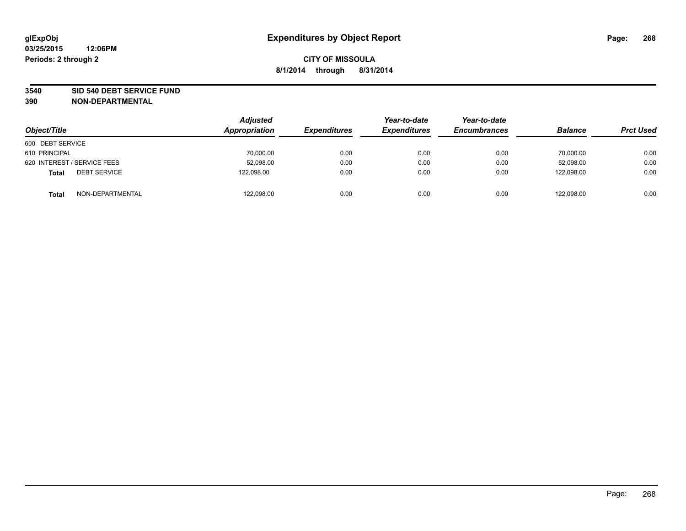#### **3540 SID 540 DEBT SERVICE FUND**

| Object/Title                        | <b>Adjusted</b><br>Appropriation | <b>Expenditures</b> | Year-to-date<br><b>Expenditures</b> | Year-to-date<br><b>Encumbrances</b> | <b>Balance</b> | <b>Prct Used</b> |
|-------------------------------------|----------------------------------|---------------------|-------------------------------------|-------------------------------------|----------------|------------------|
| 600 DEBT SERVICE                    |                                  |                     |                                     |                                     |                |                  |
| 610 PRINCIPAL                       | 70,000.00                        | 0.00                | 0.00                                | 0.00                                | 70,000.00      | 0.00             |
| 620 INTEREST / SERVICE FEES         | 52,098.00                        | 0.00                | 0.00                                | 0.00                                | 52,098.00      | 0.00             |
| <b>DEBT SERVICE</b><br><b>Total</b> | 122,098.00                       | 0.00                | 0.00                                | 0.00                                | 122,098.00     | 0.00             |
| NON-DEPARTMENTAL<br><b>Total</b>    | 122,098.00                       | 0.00                | 0.00                                | 0.00                                | 122,098.00     | 0.00             |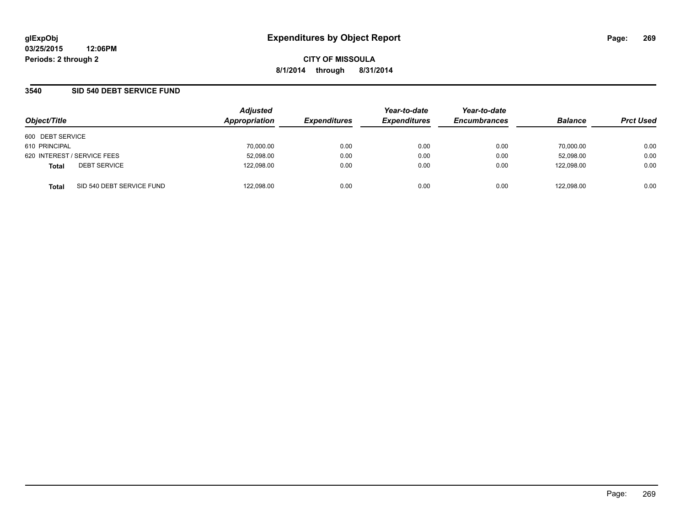## **3540 SID 540 DEBT SERVICE FUND**

| Object/Title                              | <b>Adjusted</b><br>Appropriation | <b>Expenditures</b> | Year-to-date<br><b>Expenditures</b> | Year-to-date<br><b>Encumbrances</b> | <b>Balance</b> | <b>Prct Used</b> |
|-------------------------------------------|----------------------------------|---------------------|-------------------------------------|-------------------------------------|----------------|------------------|
| 600 DEBT SERVICE                          |                                  |                     |                                     |                                     |                |                  |
| 610 PRINCIPAL                             | 70,000.00                        | 0.00                | 0.00                                | 0.00                                | 70.000.00      | 0.00             |
| 620 INTEREST / SERVICE FEES               | 52,098.00                        | 0.00                | 0.00                                | 0.00                                | 52,098.00      | 0.00             |
| <b>DEBT SERVICE</b><br><b>Total</b>       | 122,098.00                       | 0.00                | 0.00                                | 0.00                                | 122.098.00     | 0.00             |
| SID 540 DEBT SERVICE FUND<br><b>Total</b> | 122,098.00                       | 0.00                | 0.00                                | 0.00                                | 122.098.00     | 0.00             |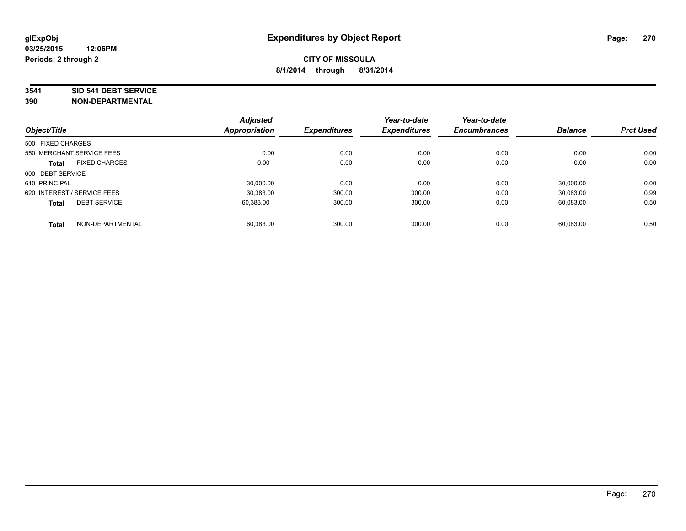#### **3541 SID 541 DEBT SERVICE**

| Object/Title                |                           | <b>Adjusted</b><br><b>Appropriation</b> | <b>Expenditures</b> | Year-to-date<br><b>Expenditures</b> | Year-to-date<br><b>Encumbrances</b> | <b>Balance</b> | <b>Prct Used</b> |
|-----------------------------|---------------------------|-----------------------------------------|---------------------|-------------------------------------|-------------------------------------|----------------|------------------|
|                             |                           |                                         |                     |                                     |                                     |                |                  |
| 500 FIXED CHARGES           |                           |                                         |                     |                                     |                                     |                |                  |
|                             | 550 MERCHANT SERVICE FEES | 0.00                                    | 0.00                | 0.00                                | 0.00                                | 0.00           | 0.00             |
| <b>Total</b>                | <b>FIXED CHARGES</b>      | 0.00                                    | 0.00                | 0.00                                | 0.00                                | 0.00           | 0.00             |
| 600 DEBT SERVICE            |                           |                                         |                     |                                     |                                     |                |                  |
| 610 PRINCIPAL               |                           | 30.000.00                               | 0.00                | 0.00                                | 0.00                                | 30.000.00      | 0.00             |
| 620 INTEREST / SERVICE FEES |                           | 30,383.00                               | 300.00              | 300.00                              | 0.00                                | 30,083.00      | 0.99             |
| <b>Total</b>                | <b>DEBT SERVICE</b>       | 60,383.00                               | 300.00              | 300.00                              | 0.00                                | 60.083.00      | 0.50             |
|                             |                           |                                         |                     |                                     |                                     |                |                  |
| <b>Total</b>                | NON-DEPARTMENTAL          | 60.383.00                               | 300.00              | 300.00                              | 0.00                                | 60,083.00      | 0.50             |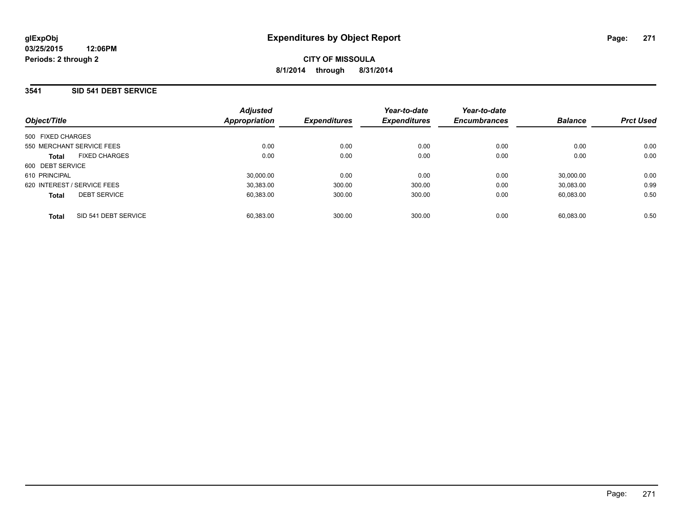### **3541 SID 541 DEBT SERVICE**

| Object/Title                         | <b>Adjusted</b><br>Appropriation | <b>Expenditures</b> | Year-to-date<br><b>Expenditures</b> | Year-to-date<br><b>Encumbrances</b> | <b>Balance</b> | <b>Prct Used</b> |
|--------------------------------------|----------------------------------|---------------------|-------------------------------------|-------------------------------------|----------------|------------------|
| 500 FIXED CHARGES                    |                                  |                     |                                     |                                     |                |                  |
| 550 MERCHANT SERVICE FEES            | 0.00                             | 0.00                | 0.00                                | 0.00                                | 0.00           | 0.00             |
| <b>FIXED CHARGES</b><br><b>Total</b> | 0.00                             | 0.00                | 0.00                                | 0.00                                | 0.00           | 0.00             |
| 600 DEBT SERVICE                     |                                  |                     |                                     |                                     |                |                  |
| 610 PRINCIPAL                        | 30.000.00                        | 0.00                | 0.00                                | 0.00                                | 30.000.00      | 0.00             |
| 620 INTEREST / SERVICE FEES          | 30.383.00                        | 300.00              | 300.00                              | 0.00                                | 30.083.00      | 0.99             |
| <b>DEBT SERVICE</b><br><b>Total</b>  | 60.383.00                        | 300.00              | 300.00                              | 0.00                                | 60.083.00      | 0.50             |
| SID 541 DEBT SERVICE<br><b>Total</b> | 60.383.00                        | 300.00              | 300.00                              | 0.00                                | 60.083.00      | 0.50             |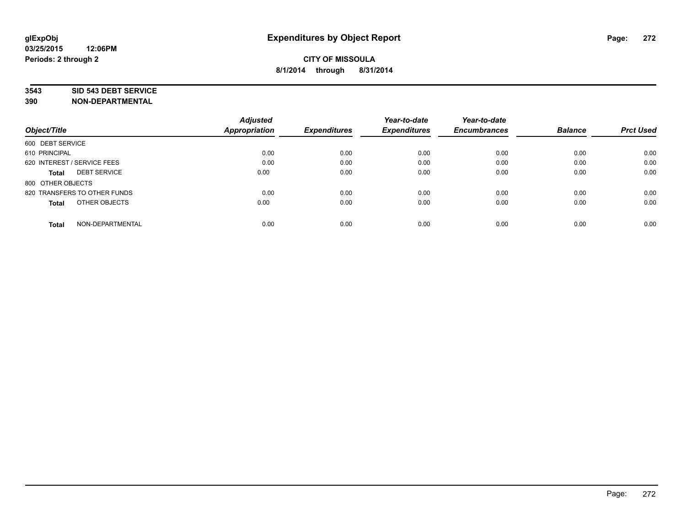#### **3543 SID 543 DEBT SERVICE**

|                                     | <b>Adjusted</b>      |                     | Year-to-date        | Year-to-date        |                |                  |
|-------------------------------------|----------------------|---------------------|---------------------|---------------------|----------------|------------------|
| Object/Title                        | <b>Appropriation</b> | <b>Expenditures</b> | <b>Expenditures</b> | <b>Encumbrances</b> | <b>Balance</b> | <b>Prct Used</b> |
| 600 DEBT SERVICE                    |                      |                     |                     |                     |                |                  |
| 610 PRINCIPAL                       | 0.00                 | 0.00                | 0.00                | 0.00                | 0.00           | 0.00             |
| 620 INTEREST / SERVICE FEES         | 0.00                 | 0.00                | 0.00                | 0.00                | 0.00           | 0.00             |
| <b>DEBT SERVICE</b><br><b>Total</b> | 0.00                 | 0.00                | 0.00                | 0.00                | 0.00           | 0.00             |
| 800 OTHER OBJECTS                   |                      |                     |                     |                     |                |                  |
| 820 TRANSFERS TO OTHER FUNDS        | 0.00                 | 0.00                | 0.00                | 0.00                | 0.00           | 0.00             |
| OTHER OBJECTS<br><b>Total</b>       | 0.00                 | 0.00                | 0.00                | 0.00                | 0.00           | 0.00             |
| NON-DEPARTMENTAL<br>Total           | 0.00                 | 0.00                | 0.00                | 0.00                | 0.00           | 0.00             |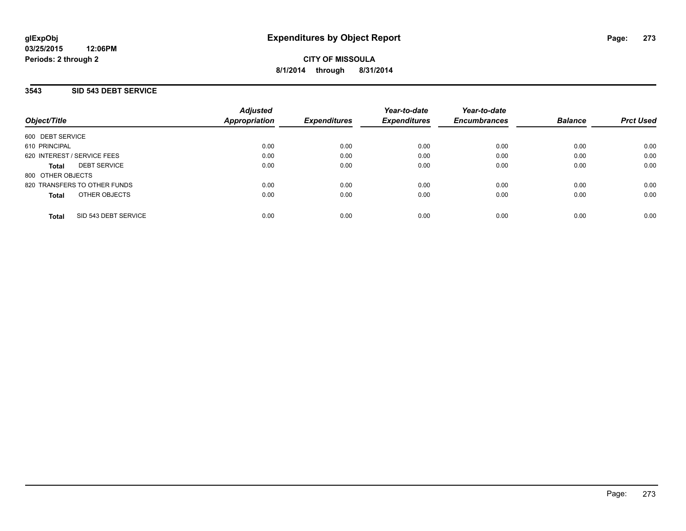### **3543 SID 543 DEBT SERVICE**

| Object/Title                         | <b>Adjusted</b><br><b>Appropriation</b> | <b>Expenditures</b> | Year-to-date<br><b>Expenditures</b> | Year-to-date<br><b>Encumbrances</b> | <b>Balance</b> | <b>Prct Used</b> |
|--------------------------------------|-----------------------------------------|---------------------|-------------------------------------|-------------------------------------|----------------|------------------|
| 600 DEBT SERVICE                     |                                         |                     |                                     |                                     |                |                  |
| 610 PRINCIPAL                        | 0.00                                    | 0.00                | 0.00                                | 0.00                                | 0.00           | 0.00             |
| 620 INTEREST / SERVICE FEES          | 0.00                                    | 0.00                | 0.00                                | 0.00                                | 0.00           | 0.00             |
| <b>DEBT SERVICE</b><br><b>Total</b>  | 0.00                                    | 0.00                | 0.00                                | 0.00                                | 0.00           | 0.00             |
| 800 OTHER OBJECTS                    |                                         |                     |                                     |                                     |                |                  |
| 820 TRANSFERS TO OTHER FUNDS         | 0.00                                    | 0.00                | 0.00                                | 0.00                                | 0.00           | 0.00             |
| OTHER OBJECTS<br><b>Total</b>        | 0.00                                    | 0.00                | 0.00                                | 0.00                                | 0.00           | 0.00             |
| SID 543 DEBT SERVICE<br><b>Total</b> | 0.00                                    | 0.00                | 0.00                                | 0.00                                | 0.00           | 0.00             |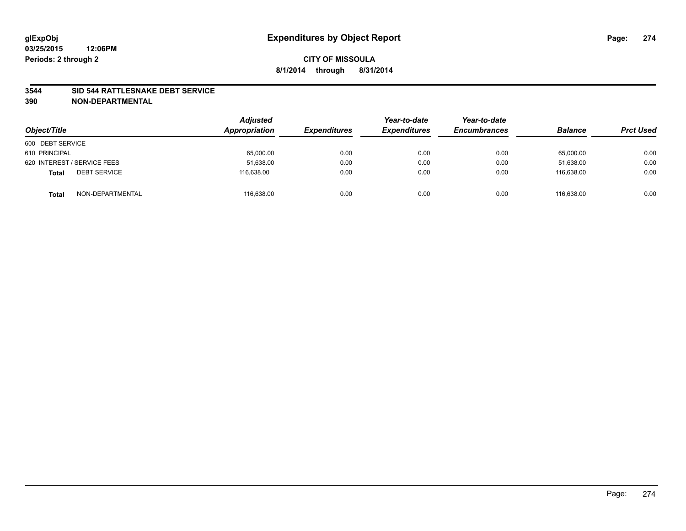#### **3544 SID 544 RATTLESNAKE DEBT SERVICE**

| Object/Title                        | <b>Adjusted</b><br>Appropriation | <b>Expenditures</b> | Year-to-date<br><b>Expenditures</b> | Year-to-date<br><b>Encumbrances</b> | <b>Balance</b> | <b>Prct Used</b> |
|-------------------------------------|----------------------------------|---------------------|-------------------------------------|-------------------------------------|----------------|------------------|
| 600 DEBT SERVICE                    |                                  |                     |                                     |                                     |                |                  |
| 610 PRINCIPAL                       | 65,000.00                        | 0.00                | 0.00                                | 0.00                                | 65,000.00      | 0.00             |
| 620 INTEREST / SERVICE FEES         | 51,638.00                        | 0.00                | 0.00                                | 0.00                                | 51,638.00      | 0.00             |
| <b>DEBT SERVICE</b><br><b>Total</b> | 116.638.00                       | 0.00                | 0.00                                | 0.00                                | 116.638.00     | 0.00             |
| NON-DEPARTMENTAL<br><b>Total</b>    | 116,638.00                       | 0.00                | 0.00                                | 0.00                                | 116.638.00     | 0.00             |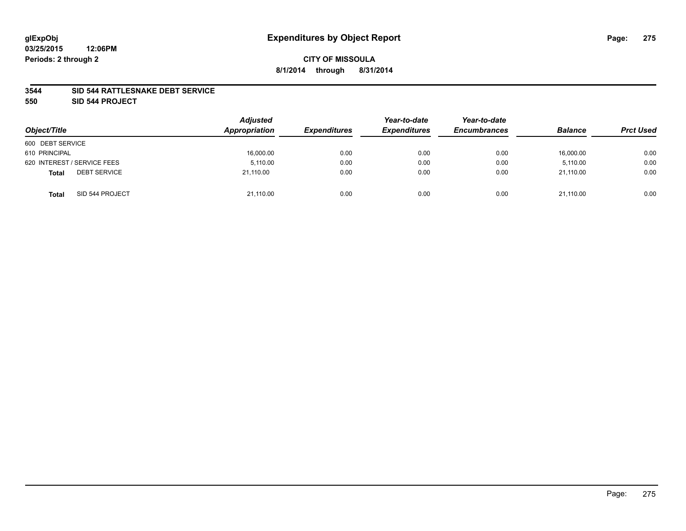### **3544 SID 544 RATTLESNAKE DEBT SERVICE**

**550 SID 544 PROJECT**

| Object/Title                        | <b>Adjusted</b><br>Appropriation | <b>Expenditures</b> | Year-to-date<br><b>Expenditures</b> | Year-to-date<br><b>Encumbrances</b> | <b>Balance</b> | <b>Prct Used</b> |
|-------------------------------------|----------------------------------|---------------------|-------------------------------------|-------------------------------------|----------------|------------------|
| 600 DEBT SERVICE                    |                                  |                     |                                     |                                     |                |                  |
| 610 PRINCIPAL                       | 16,000.00                        | 0.00                | 0.00                                | 0.00                                | 16,000.00      | 0.00             |
| 620 INTEREST / SERVICE FEES         | 5,110.00                         | 0.00                | 0.00                                | 0.00                                | 5,110.00       | 0.00             |
| <b>DEBT SERVICE</b><br><b>Total</b> | 21.110.00                        | 0.00                | 0.00                                | 0.00                                | 21.110.00      | 0.00             |
| SID 544 PROJECT<br><b>Total</b>     | 21,110.00                        | 0.00                | 0.00                                | 0.00                                | 21,110.00      | 0.00             |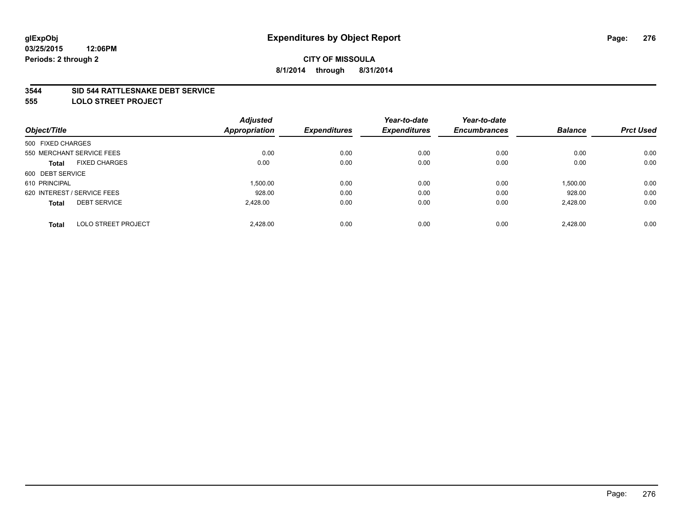#### **3544 SID 544 RATTLESNAKE DEBT SERVICE**

**555 LOLO STREET PROJECT**

|                                            | <b>Adjusted</b>      |                     | Year-to-date        | Year-to-date        |                |                  |
|--------------------------------------------|----------------------|---------------------|---------------------|---------------------|----------------|------------------|
| Object/Title                               | <b>Appropriation</b> | <b>Expenditures</b> | <b>Expenditures</b> | <b>Encumbrances</b> | <b>Balance</b> | <b>Prct Used</b> |
| 500 FIXED CHARGES                          |                      |                     |                     |                     |                |                  |
| 550 MERCHANT SERVICE FEES                  | 0.00                 | 0.00                | 0.00                | 0.00                | 0.00           | 0.00             |
| <b>FIXED CHARGES</b><br><b>Total</b>       | 0.00                 | 0.00                | 0.00                | 0.00                | 0.00           | 0.00             |
| 600 DEBT SERVICE                           |                      |                     |                     |                     |                |                  |
| 610 PRINCIPAL                              | 1.500.00             | 0.00                | 0.00                | 0.00                | 1,500.00       | 0.00             |
| 620 INTEREST / SERVICE FEES                | 928.00               | 0.00                | 0.00                | 0.00                | 928.00         | 0.00             |
| <b>DEBT SERVICE</b><br><b>Total</b>        | 2.428.00             | 0.00                | 0.00                | 0.00                | 2,428.00       | 0.00             |
| <b>LOLO STREET PROJECT</b><br><b>Total</b> | 2.428.00             | 0.00                | 0.00                | 0.00                | 2.428.00       | 0.00             |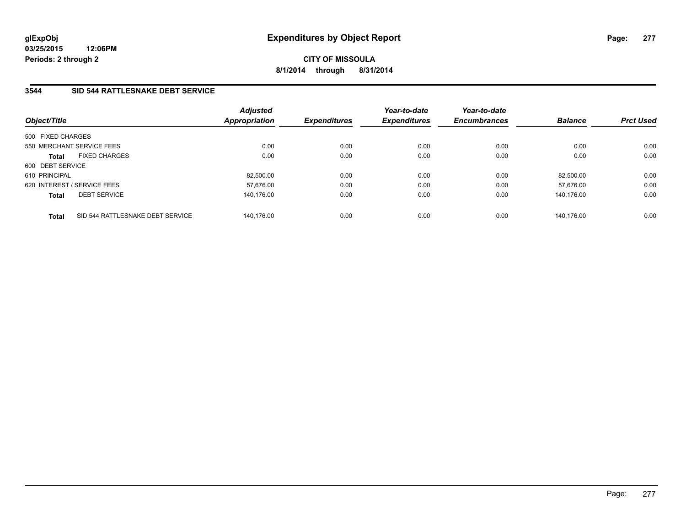**03/25/2015 12:06PM Periods: 2 through 2**

# **CITY OF MISSOULA 8/1/2014 through 8/31/2014**

# **3544 SID 544 RATTLESNAKE DEBT SERVICE**

| Object/Title                                     | <b>Adjusted</b><br><b>Appropriation</b> | <b>Expenditures</b> | Year-to-date<br><b>Expenditures</b> | Year-to-date<br><b>Encumbrances</b> | <b>Balance</b> | <b>Prct Used</b> |
|--------------------------------------------------|-----------------------------------------|---------------------|-------------------------------------|-------------------------------------|----------------|------------------|
| 500 FIXED CHARGES                                |                                         |                     |                                     |                                     |                |                  |
| 550 MERCHANT SERVICE FEES                        | 0.00                                    | 0.00                | 0.00                                | 0.00                                | 0.00           | 0.00             |
| <b>FIXED CHARGES</b><br><b>Total</b>             |                                         | 0.00<br>0.00        | 0.00                                | 0.00                                | 0.00           | 0.00             |
| 600 DEBT SERVICE                                 |                                         |                     |                                     |                                     |                |                  |
| 610 PRINCIPAL                                    | 82.500.00                               | 0.00                | 0.00                                | 0.00                                | 82.500.00      | 0.00             |
| 620 INTEREST / SERVICE FEES                      | 57.676.00                               | 0.00                | 0.00                                | 0.00                                | 57.676.00      | 0.00             |
| <b>DEBT SERVICE</b><br><b>Total</b>              | 140.176.00                              | 0.00                | 0.00                                | 0.00                                | 140.176.00     | 0.00             |
| SID 544 RATTLESNAKE DEBT SERVICE<br><b>Total</b> | 140.176.00                              | 0.00                | 0.00                                | 0.00                                | 140.176.00     | 0.00             |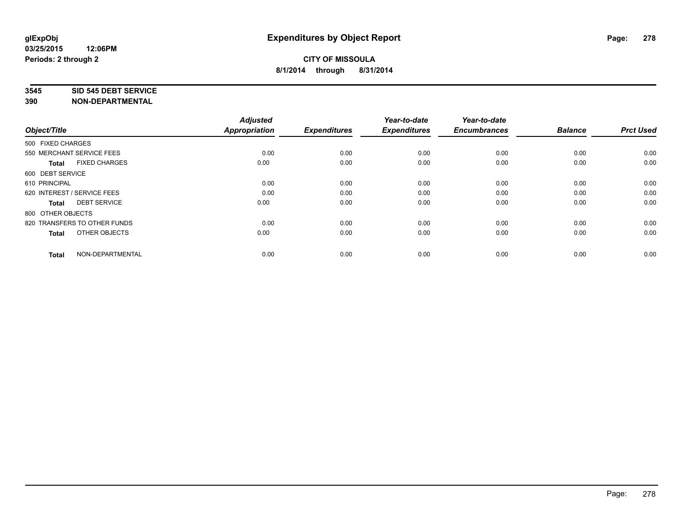#### **3545 SID 545 DEBT SERVICE**

| Object/Title                         | <b>Adjusted</b><br><b>Appropriation</b> | <b>Expenditures</b> | Year-to-date<br><b>Expenditures</b> | Year-to-date<br><b>Encumbrances</b> | <b>Balance</b> | <b>Prct Used</b> |
|--------------------------------------|-----------------------------------------|---------------------|-------------------------------------|-------------------------------------|----------------|------------------|
| 500 FIXED CHARGES                    |                                         |                     |                                     |                                     |                |                  |
| 550 MERCHANT SERVICE FEES            | 0.00                                    | 0.00                | 0.00                                | 0.00                                | 0.00           | 0.00             |
| <b>FIXED CHARGES</b><br><b>Total</b> | 0.00                                    | 0.00                | 0.00                                | 0.00                                | 0.00           | 0.00             |
| 600 DEBT SERVICE                     |                                         |                     |                                     |                                     |                |                  |
| 610 PRINCIPAL                        | 0.00                                    | 0.00                | 0.00                                | 0.00                                | 0.00           | 0.00             |
| 620 INTEREST / SERVICE FEES          | 0.00                                    | 0.00                | 0.00                                | 0.00                                | 0.00           | 0.00             |
| <b>DEBT SERVICE</b><br><b>Total</b>  | 0.00                                    | 0.00                | 0.00                                | 0.00                                | 0.00           | 0.00             |
| 800 OTHER OBJECTS                    |                                         |                     |                                     |                                     |                |                  |
| 820 TRANSFERS TO OTHER FUNDS         | 0.00                                    | 0.00                | 0.00                                | 0.00                                | 0.00           | 0.00             |
| OTHER OBJECTS<br><b>Total</b>        | 0.00                                    | 0.00                | 0.00                                | 0.00                                | 0.00           | 0.00             |
|                                      |                                         |                     |                                     |                                     |                |                  |
| NON-DEPARTMENTAL<br><b>Total</b>     | 0.00                                    | 0.00                | 0.00                                | 0.00                                | 0.00           | 0.00             |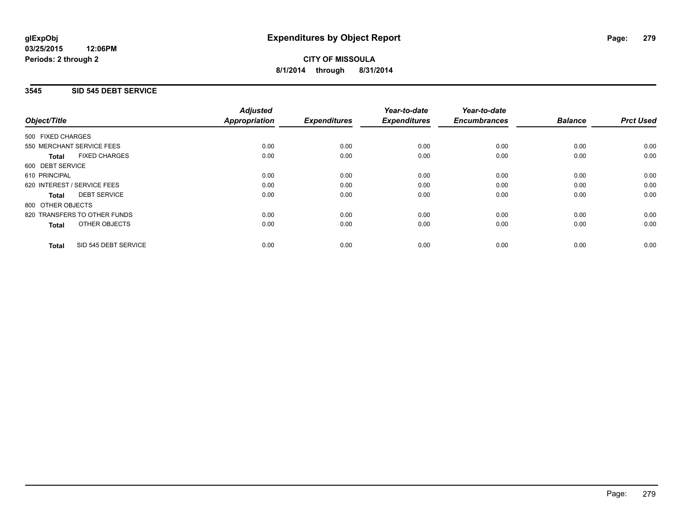## **3545 SID 545 DEBT SERVICE**

|                                      | <b>Adjusted</b>      |                     | Year-to-date        | Year-to-date<br><b>Encumbrances</b> | <b>Balance</b> | <b>Prct Used</b> |
|--------------------------------------|----------------------|---------------------|---------------------|-------------------------------------|----------------|------------------|
| Object/Title                         | <b>Appropriation</b> | <b>Expenditures</b> | <b>Expenditures</b> |                                     |                |                  |
| 500 FIXED CHARGES                    |                      |                     |                     |                                     |                |                  |
| 550 MERCHANT SERVICE FEES            | 0.00                 | 0.00                | 0.00                | 0.00                                | 0.00           | 0.00             |
| <b>FIXED CHARGES</b><br><b>Total</b> | 0.00                 | 0.00                | 0.00                | 0.00                                | 0.00           | 0.00             |
| 600 DEBT SERVICE                     |                      |                     |                     |                                     |                |                  |
| 610 PRINCIPAL                        | 0.00                 | 0.00                | 0.00                | 0.00                                | 0.00           | 0.00             |
| 620 INTEREST / SERVICE FEES          | 0.00                 | 0.00                | 0.00                | 0.00                                | 0.00           | 0.00             |
| <b>DEBT SERVICE</b><br><b>Total</b>  | 0.00                 | 0.00                | 0.00                | 0.00                                | 0.00           | 0.00             |
| 800 OTHER OBJECTS                    |                      |                     |                     |                                     |                |                  |
| 820 TRANSFERS TO OTHER FUNDS         | 0.00                 | 0.00                | 0.00                | 0.00                                | 0.00           | 0.00             |
| <b>OTHER OBJECTS</b><br><b>Total</b> | 0.00                 | 0.00                | 0.00                | 0.00                                | 0.00           | 0.00             |
| SID 545 DEBT SERVICE<br><b>Total</b> | 0.00                 | 0.00                | 0.00                | 0.00                                | 0.00           | 0.00             |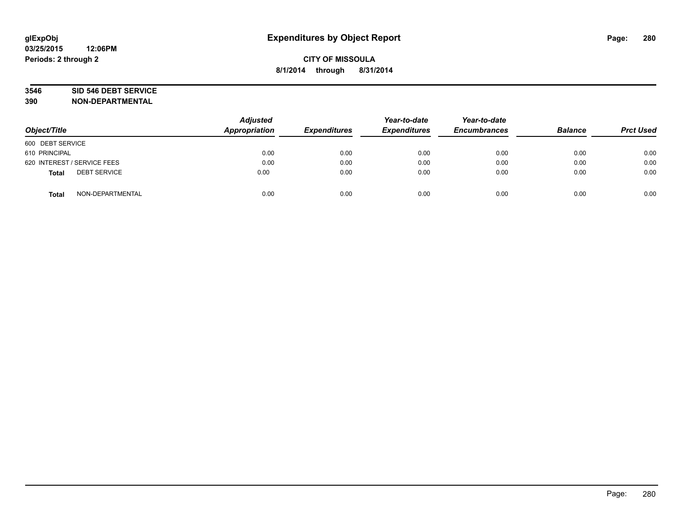# **3546 SID 546 DEBT SERVICE**

| Object/Title                        | <b>Adjusted</b><br><b>Appropriation</b> | <b>Expenditures</b> | Year-to-date<br><b>Expenditures</b> | Year-to-date<br><b>Encumbrances</b> | <b>Balance</b> | <b>Prct Used</b> |
|-------------------------------------|-----------------------------------------|---------------------|-------------------------------------|-------------------------------------|----------------|------------------|
| 600 DEBT SERVICE                    |                                         |                     |                                     |                                     |                |                  |
| 610 PRINCIPAL                       | 0.00                                    | 0.00                | 0.00                                | 0.00                                | 0.00           | 0.00             |
| 620 INTEREST / SERVICE FEES         | 0.00                                    | 0.00                | 0.00                                | 0.00                                | 0.00           | 0.00             |
| <b>DEBT SERVICE</b><br><b>Total</b> | 0.00                                    | 0.00                | 0.00                                | 0.00                                | 0.00           | 0.00             |
| NON-DEPARTMENTAL<br><b>Total</b>    | 0.00                                    | 0.00                | 0.00                                | 0.00                                | 0.00           | 0.00             |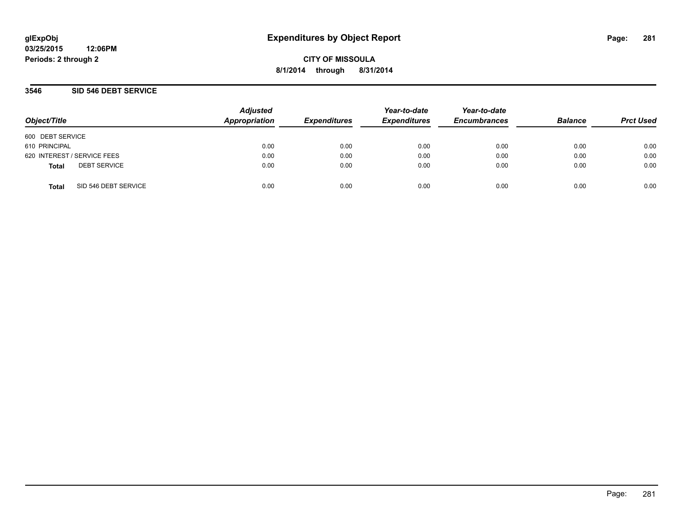**03/25/2015 12:06PM Periods: 2 through 2**

**CITY OF MISSOULA 8/1/2014 through 8/31/2014**

### **3546 SID 546 DEBT SERVICE**

| Object/Title     |                             | <b>Adjusted</b><br>Appropriation | <b>Expenditures</b> | Year-to-date<br><b>Expenditures</b> | Year-to-date<br><b>Encumbrances</b> | <b>Balance</b> | <b>Prct Used</b> |
|------------------|-----------------------------|----------------------------------|---------------------|-------------------------------------|-------------------------------------|----------------|------------------|
| 600 DEBT SERVICE |                             |                                  |                     |                                     |                                     |                |                  |
| 610 PRINCIPAL    |                             | 0.00                             | 0.00                | 0.00                                | 0.00                                | 0.00           | 0.00             |
|                  | 620 INTEREST / SERVICE FEES | 0.00                             | 0.00                | 0.00                                | 0.00                                | 0.00           | 0.00             |
| <b>Total</b>     | <b>DEBT SERVICE</b>         | 0.00                             | 0.00                | 0.00                                | 0.00                                | 0.00           | 0.00             |
| <b>Total</b>     | SID 546 DEBT SERVICE        | 0.00                             | 0.00                | 0.00                                | 0.00                                | 0.00           | 0.00             |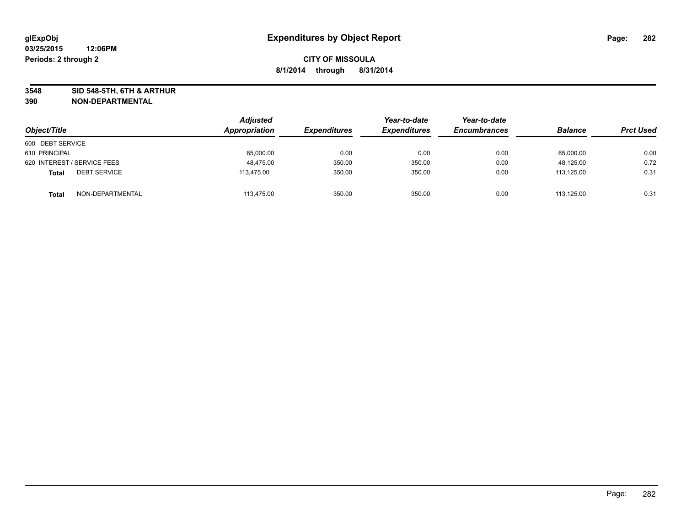**3548 SID 548-5TH, 6TH & ARTHUR**

| Object/Title                        | Adjusted<br>Appropriation | <b>Expenditures</b> | Year-to-date<br><b>Expenditures</b> | Year-to-date<br><b>Encumbrances</b> | <b>Balance</b> | <b>Prct Used</b> |
|-------------------------------------|---------------------------|---------------------|-------------------------------------|-------------------------------------|----------------|------------------|
| 600 DEBT SERVICE                    |                           |                     |                                     |                                     |                |                  |
| 610 PRINCIPAL                       | 65,000.00                 | 0.00                | 0.00                                | 0.00                                | 65,000.00      | 0.00             |
| 620 INTEREST / SERVICE FEES         | 48.475.00                 | 350.00              | 350.00                              | 0.00                                | 48,125.00      | 0.72             |
| <b>DEBT SERVICE</b><br><b>Total</b> | 113,475.00                | 350.00              | 350.00                              | 0.00                                | 113,125.00     | 0.31             |
| NON-DEPARTMENTAL<br><b>Total</b>    | 113,475.00                | 350.00              | 350.00                              | 0.00                                | 113.125.00     | 0.31             |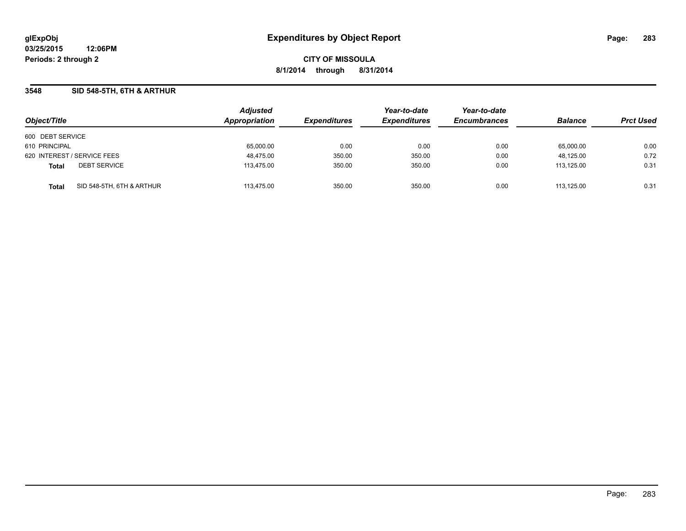**03/25/2015 12:06PM Periods: 2 through 2**

**CITY OF MISSOULA 8/1/2014 through 8/31/2014**

### **3548 SID 548-5TH, 6TH & ARTHUR**

| Object/Title                              | <b>Adjusted</b><br>Appropriation | <b>Expenditures</b> | Year-to-date<br><b>Expenditures</b> | Year-to-date<br><b>Encumbrances</b> | <b>Balance</b> | <b>Prct Used</b> |
|-------------------------------------------|----------------------------------|---------------------|-------------------------------------|-------------------------------------|----------------|------------------|
| 600 DEBT SERVICE                          |                                  |                     |                                     |                                     |                |                  |
| 610 PRINCIPAL                             | 65,000.00                        | 0.00                | 0.00                                | 0.00                                | 65,000.00      | 0.00             |
| 620 INTEREST / SERVICE FEES               | 48,475.00                        | 350.00              | 350.00                              | 0.00                                | 48,125.00      | 0.72             |
| <b>DEBT SERVICE</b><br><b>Total</b>       | 113,475.00                       | 350.00              | 350.00                              | 0.00                                | 113.125.00     | 0.31             |
| SID 548-5TH, 6TH & ARTHUR<br><b>Total</b> | 113.475.00                       | 350.00              | 350.00                              | 0.00                                | 113.125.00     | 0.31             |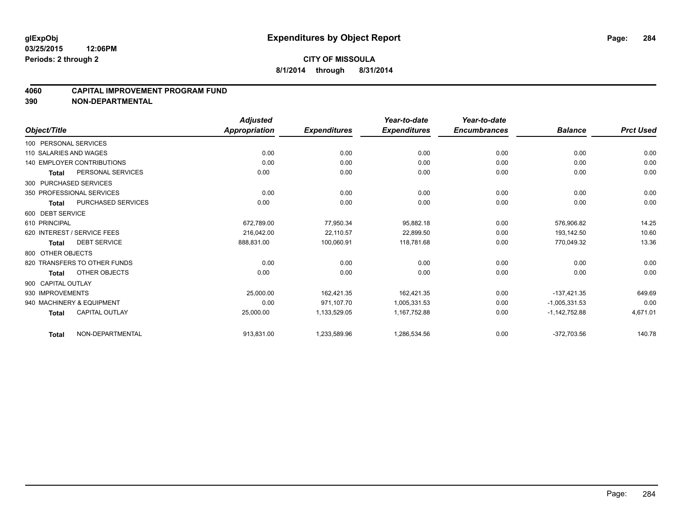#### **4060 CAPITAL IMPROVEMENT PROGRAM FUND**

|                        |                                   | <b>Adjusted</b>      |                     | Year-to-date        | Year-to-date        |                 |                  |
|------------------------|-----------------------------------|----------------------|---------------------|---------------------|---------------------|-----------------|------------------|
| Object/Title           |                                   | <b>Appropriation</b> | <b>Expenditures</b> | <b>Expenditures</b> | <b>Encumbrances</b> | <b>Balance</b>  | <b>Prct Used</b> |
| 100 PERSONAL SERVICES  |                                   |                      |                     |                     |                     |                 |                  |
| 110 SALARIES AND WAGES |                                   | 0.00                 | 0.00                | 0.00                | 0.00                | 0.00            | 0.00             |
|                        | <b>140 EMPLOYER CONTRIBUTIONS</b> | 0.00                 | 0.00                | 0.00                | 0.00                | 0.00            | 0.00             |
| <b>Total</b>           | PERSONAL SERVICES                 | 0.00                 | 0.00                | 0.00                | 0.00                | 0.00            | 0.00             |
| 300 PURCHASED SERVICES |                                   |                      |                     |                     |                     |                 |                  |
|                        | 350 PROFESSIONAL SERVICES         | 0.00                 | 0.00                | 0.00                | 0.00                | 0.00            | 0.00             |
| <b>Total</b>           | <b>PURCHASED SERVICES</b>         | 0.00                 | 0.00                | 0.00                | 0.00                | 0.00            | 0.00             |
| 600 DEBT SERVICE       |                                   |                      |                     |                     |                     |                 |                  |
| 610 PRINCIPAL          |                                   | 672,789.00           | 77,950.34           | 95,882.18           | 0.00                | 576,906.82      | 14.25            |
|                        | 620 INTEREST / SERVICE FEES       | 216,042.00           | 22,110.57           | 22,899.50           | 0.00                | 193,142.50      | 10.60            |
| <b>Total</b>           | <b>DEBT SERVICE</b>               | 888,831.00           | 100,060.91          | 118,781.68          | 0.00                | 770,049.32      | 13.36            |
| 800 OTHER OBJECTS      |                                   |                      |                     |                     |                     |                 |                  |
|                        | 820 TRANSFERS TO OTHER FUNDS      | 0.00                 | 0.00                | 0.00                | 0.00                | 0.00            | 0.00             |
| <b>Total</b>           | OTHER OBJECTS                     | 0.00                 | 0.00                | 0.00                | 0.00                | 0.00            | 0.00             |
| 900 CAPITAL OUTLAY     |                                   |                      |                     |                     |                     |                 |                  |
| 930 IMPROVEMENTS       |                                   | 25,000.00            | 162,421.35          | 162,421.35          | 0.00                | $-137,421.35$   | 649.69           |
|                        | 940 MACHINERY & EQUIPMENT         | 0.00                 | 971,107.70          | 1,005,331.53        | 0.00                | $-1,005,331.53$ | 0.00             |
| <b>Total</b>           | <b>CAPITAL OUTLAY</b>             | 25,000.00            | 1,133,529.05        | 1,167,752.88        | 0.00                | $-1,142,752.88$ | 4,671.01         |
| <b>Total</b>           | NON-DEPARTMENTAL                  | 913,831.00           | 1,233,589.96        | 1,286,534.56        | 0.00                | $-372,703.56$   | 140.78           |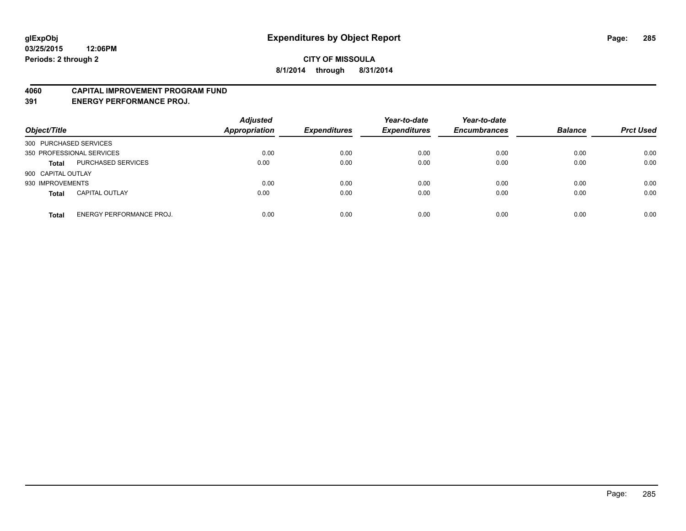#### **4060 CAPITAL IMPROVEMENT PROGRAM FUND**

**391 ENERGY PERFORMANCE PROJ.**

| Object/Title           |                                 | <b>Adjusted</b><br><b>Appropriation</b> | <b>Expenditures</b> | Year-to-date<br><b>Expenditures</b> | Year-to-date<br><b>Encumbrances</b> | <b>Balance</b> | <b>Prct Used</b> |
|------------------------|---------------------------------|-----------------------------------------|---------------------|-------------------------------------|-------------------------------------|----------------|------------------|
| 300 PURCHASED SERVICES |                                 |                                         |                     |                                     |                                     |                |                  |
|                        | 350 PROFESSIONAL SERVICES       | 0.00                                    | 0.00                | 0.00                                | 0.00                                | 0.00           | 0.00             |
| <b>Total</b>           | PURCHASED SERVICES              | 0.00                                    | 0.00                | 0.00                                | 0.00                                | 0.00           | 0.00             |
| 900 CAPITAL OUTLAY     |                                 |                                         |                     |                                     |                                     |                |                  |
| 930 IMPROVEMENTS       |                                 | 0.00                                    | 0.00                | 0.00                                | 0.00                                | 0.00           | 0.00             |
| <b>Total</b>           | <b>CAPITAL OUTLAY</b>           | 0.00                                    | 0.00                | 0.00                                | 0.00                                | 0.00           | 0.00             |
| <b>Total</b>           | <b>ENERGY PERFORMANCE PROJ.</b> | 0.00                                    | 0.00                | 0.00                                | 0.00                                | 0.00           | 0.00             |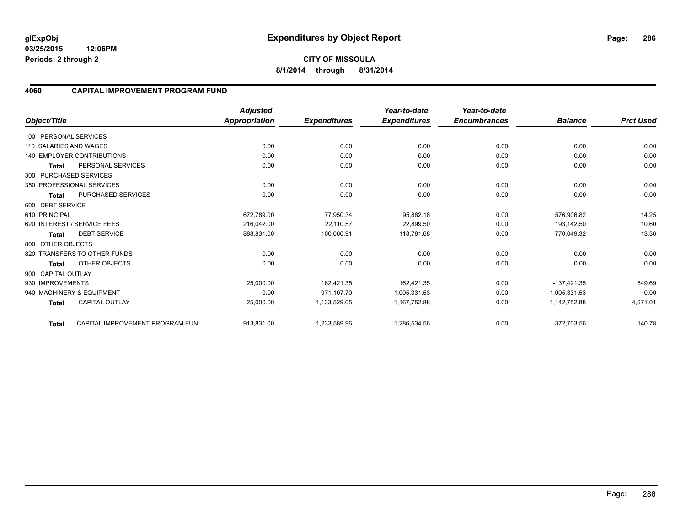**03/25/2015 12:06PM Periods: 2 through 2**

#### **4060 CAPITAL IMPROVEMENT PROGRAM FUND**

|                        |                                   | <b>Adjusted</b>      |                     | Year-to-date        | Year-to-date        |                 |                  |
|------------------------|-----------------------------------|----------------------|---------------------|---------------------|---------------------|-----------------|------------------|
| Object/Title           |                                   | <b>Appropriation</b> | <b>Expenditures</b> | <b>Expenditures</b> | <b>Encumbrances</b> | <b>Balance</b>  | <b>Prct Used</b> |
| 100 PERSONAL SERVICES  |                                   |                      |                     |                     |                     |                 |                  |
| 110 SALARIES AND WAGES |                                   | 0.00                 | 0.00                | 0.00                | 0.00                | 0.00            | 0.00             |
|                        | <b>140 EMPLOYER CONTRIBUTIONS</b> | 0.00                 | 0.00                | 0.00                | 0.00                | 0.00            | 0.00             |
| <b>Total</b>           | PERSONAL SERVICES                 | 0.00                 | 0.00                | 0.00                | 0.00                | 0.00            | 0.00             |
| 300 PURCHASED SERVICES |                                   |                      |                     |                     |                     |                 |                  |
|                        | 350 PROFESSIONAL SERVICES         | 0.00                 | 0.00                | 0.00                | 0.00                | 0.00            | 0.00             |
| <b>Total</b>           | <b>PURCHASED SERVICES</b>         | 0.00                 | 0.00                | 0.00                | 0.00                | 0.00            | 0.00             |
| 600 DEBT SERVICE       |                                   |                      |                     |                     |                     |                 |                  |
| 610 PRINCIPAL          |                                   | 672,789.00           | 77,950.34           | 95,882.18           | 0.00                | 576.906.82      | 14.25            |
|                        | 620 INTEREST / SERVICE FEES       | 216.042.00           | 22,110.57           | 22.899.50           | 0.00                | 193,142.50      | 10.60            |
| Total                  | <b>DEBT SERVICE</b>               | 888,831.00           | 100,060.91          | 118,781.68          | 0.00                | 770,049.32      | 13.36            |
| 800 OTHER OBJECTS      |                                   |                      |                     |                     |                     |                 |                  |
|                        | 820 TRANSFERS TO OTHER FUNDS      | 0.00                 | 0.00                | 0.00                | 0.00                | 0.00            | 0.00             |
| <b>Total</b>           | OTHER OBJECTS                     | 0.00                 | 0.00                | 0.00                | 0.00                | 0.00            | 0.00             |
| 900 CAPITAL OUTLAY     |                                   |                      |                     |                     |                     |                 |                  |
| 930 IMPROVEMENTS       |                                   | 25,000.00            | 162,421.35          | 162,421.35          | 0.00                | $-137,421.35$   | 649.69           |
|                        | 940 MACHINERY & EQUIPMENT         | 0.00                 | 971,107.70          | 1,005,331.53        | 0.00                | $-1,005,331.53$ | 0.00             |
| <b>Total</b>           | <b>CAPITAL OUTLAY</b>             | 25,000.00            | 1,133,529.05        | 1,167,752.88        | 0.00                | $-1,142,752.88$ | 4,671.01         |
| Total                  | CAPITAL IMPROVEMENT PROGRAM FUN   | 913,831.00           | 1,233,589.96        | 1,286,534.56        | 0.00                | $-372,703.56$   | 140.78           |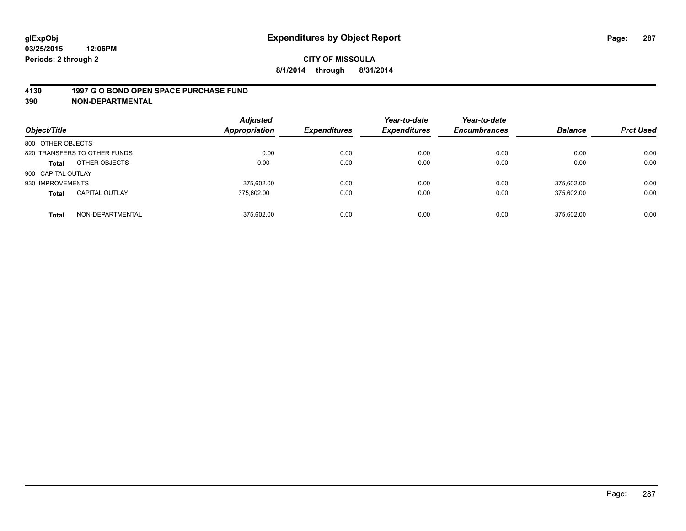#### **4130 1997 G O BOND OPEN SPACE PURCHASE FUND**

| Object/Title       |                              | <b>Adjusted</b><br>Appropriation | <b>Expenditures</b> | Year-to-date<br><b>Expenditures</b> | Year-to-date<br><b>Encumbrances</b> | <b>Balance</b> | <b>Prct Used</b> |
|--------------------|------------------------------|----------------------------------|---------------------|-------------------------------------|-------------------------------------|----------------|------------------|
| 800 OTHER OBJECTS  |                              |                                  |                     |                                     |                                     |                |                  |
|                    | 820 TRANSFERS TO OTHER FUNDS | 0.00                             | 0.00                | 0.00                                | 0.00                                | 0.00           | 0.00             |
| <b>Total</b>       | OTHER OBJECTS                | 0.00                             | 0.00                | 0.00                                | 0.00                                | 0.00           | 0.00             |
| 900 CAPITAL OUTLAY |                              |                                  |                     |                                     |                                     |                |                  |
| 930 IMPROVEMENTS   |                              | 375.602.00                       | 0.00                | 0.00                                | 0.00                                | 375.602.00     | 0.00             |
| <b>Total</b>       | <b>CAPITAL OUTLAY</b>        | 375.602.00                       | 0.00                | 0.00                                | 0.00                                | 375.602.00     | 0.00             |
| <b>Total</b>       | NON-DEPARTMENTAL             | 375.602.00                       | 0.00                | 0.00                                | 0.00                                | 375.602.00     | 0.00             |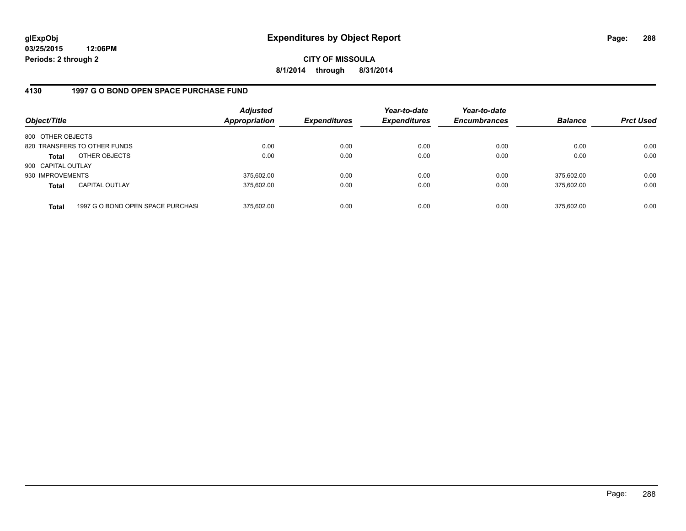**03/25/2015 12:06PM Periods: 2 through 2**

**CITY OF MISSOULA 8/1/2014 through 8/31/2014**

## **4130 1997 G O BOND OPEN SPACE PURCHASE FUND**

| Object/Title       |                                   | <b>Adjusted</b><br>Appropriation | <b>Expenditures</b> | Year-to-date<br><b>Expenditures</b> | Year-to-date<br><b>Encumbrances</b> | <b>Balance</b> | <b>Prct Used</b> |
|--------------------|-----------------------------------|----------------------------------|---------------------|-------------------------------------|-------------------------------------|----------------|------------------|
| 800 OTHER OBJECTS  |                                   |                                  |                     |                                     |                                     |                |                  |
|                    | 820 TRANSFERS TO OTHER FUNDS      | 0.00                             | 0.00                | 0.00                                | 0.00                                | 0.00           | 0.00             |
| Total              | OTHER OBJECTS                     | 0.00                             | 0.00                | 0.00                                | 0.00                                | 0.00           | 0.00             |
| 900 CAPITAL OUTLAY |                                   |                                  |                     |                                     |                                     |                |                  |
| 930 IMPROVEMENTS   |                                   | 375,602.00                       | 0.00                | 0.00                                | 0.00                                | 375.602.00     | 0.00             |
| <b>Total</b>       | <b>CAPITAL OUTLAY</b>             | 375.602.00                       | 0.00                | 0.00                                | 0.00                                | 375.602.00     | 0.00             |
| <b>Total</b>       | 1997 G O BOND OPEN SPACE PURCHASI | 375.602.00                       | 0.00                | 0.00                                | 0.00                                | 375,602.00     | 0.00             |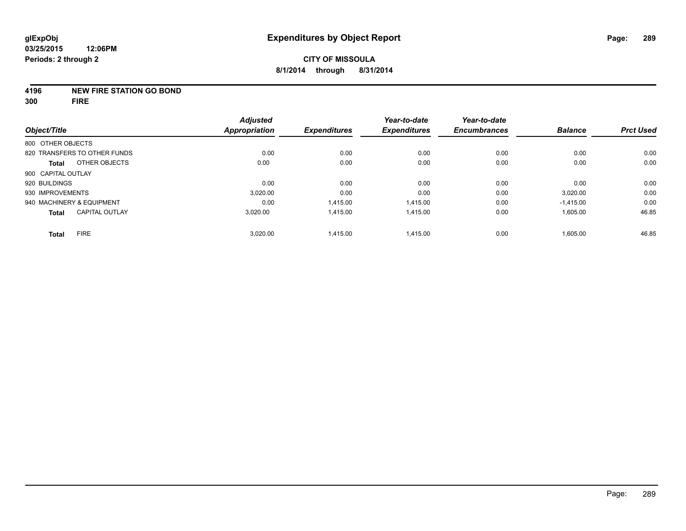## **4196 NEW FIRE STATION GO BOND**

**300 FIRE**

| Object/Title                          | <b>Adjusted</b><br><b>Appropriation</b> | <b>Expenditures</b> | Year-to-date<br><b>Expenditures</b> | Year-to-date<br><b>Encumbrances</b> | <b>Balance</b> | <b>Prct Used</b> |
|---------------------------------------|-----------------------------------------|---------------------|-------------------------------------|-------------------------------------|----------------|------------------|
| 800 OTHER OBJECTS                     |                                         |                     |                                     |                                     |                |                  |
| 820 TRANSFERS TO OTHER FUNDS          | 0.00                                    | 0.00                | 0.00                                | 0.00                                | 0.00           | 0.00             |
| OTHER OBJECTS<br><b>Total</b>         | 0.00                                    | 0.00                | 0.00                                | 0.00                                | 0.00           | 0.00             |
| 900 CAPITAL OUTLAY                    |                                         |                     |                                     |                                     |                |                  |
| 920 BUILDINGS                         | 0.00                                    | 0.00                | 0.00                                | 0.00                                | 0.00           | 0.00             |
| 930 IMPROVEMENTS                      | 3.020.00                                | 0.00                | 0.00                                | 0.00                                | 3,020.00       | 0.00             |
| 940 MACHINERY & EQUIPMENT             | 0.00                                    | 1,415.00            | 1,415.00                            | 0.00                                | $-1,415.00$    | 0.00             |
| <b>CAPITAL OUTLAY</b><br><b>Total</b> | 3.020.00                                | 1,415.00            | 1.415.00                            | 0.00                                | 1,605.00       | 46.85            |
| <b>FIRE</b><br><b>Total</b>           | 3,020.00                                | 1,415.00            | 1,415.00                            | 0.00                                | 1,605.00       | 46.85            |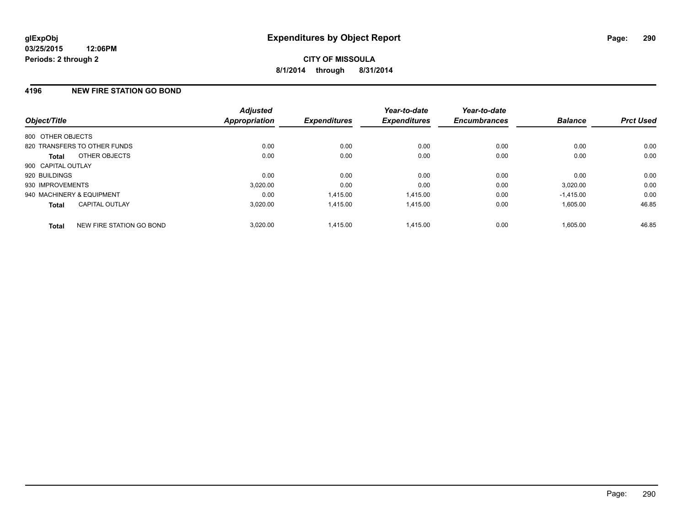# **4196 NEW FIRE STATION GO BOND**

| Object/Title              |                              | <b>Adjusted</b><br><b>Appropriation</b> | <b>Expenditures</b> | Year-to-date<br><b>Expenditures</b> | Year-to-date<br><b>Encumbrances</b> | <b>Balance</b> | <b>Prct Used</b> |
|---------------------------|------------------------------|-----------------------------------------|---------------------|-------------------------------------|-------------------------------------|----------------|------------------|
| 800 OTHER OBJECTS         |                              |                                         |                     |                                     |                                     |                |                  |
|                           | 820 TRANSFERS TO OTHER FUNDS | 0.00                                    | 0.00                | 0.00                                | 0.00                                | 0.00           | 0.00             |
| <b>Total</b>              | OTHER OBJECTS                | 0.00                                    | 0.00                | 0.00                                | 0.00                                | 0.00           | 0.00             |
| 900 CAPITAL OUTLAY        |                              |                                         |                     |                                     |                                     |                |                  |
| 920 BUILDINGS             |                              | 0.00                                    | 0.00                | 0.00                                | 0.00                                | 0.00           | 0.00             |
| 930 IMPROVEMENTS          |                              | 3,020.00                                | 0.00                | 0.00                                | 0.00                                | 3,020.00       | 0.00             |
| 940 MACHINERY & EQUIPMENT |                              | 0.00                                    | 1.415.00            | 1.415.00                            | 0.00                                | $-1,415.00$    | 0.00             |
| <b>Total</b>              | <b>CAPITAL OUTLAY</b>        | 3,020.00                                | 1,415.00            | 1,415.00                            | 0.00                                | 1,605.00       | 46.85            |
| <b>Total</b>              | NEW FIRE STATION GO BOND     | 3.020.00                                | 1.415.00            | 1.415.00                            | 0.00                                | 1.605.00       | 46.85            |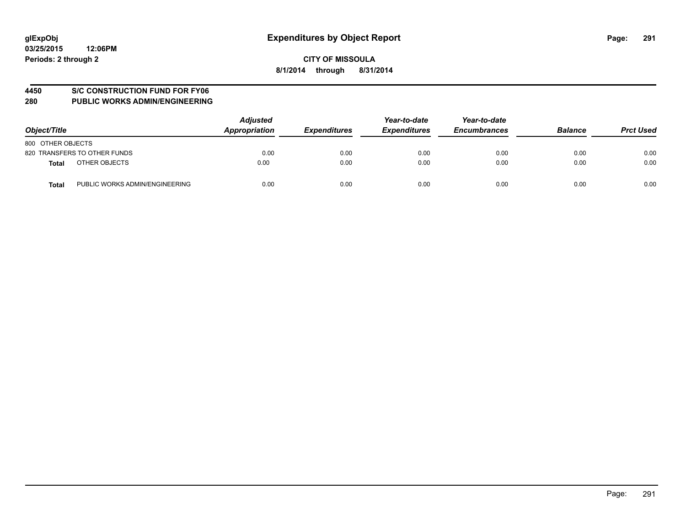## **4450 S/C CONSTRUCTION FUND FOR FY06**

| Object/Title                                   | <b>Adjusted</b><br>Appropriation | <b>Expenditures</b> | Year-to-date<br><b>Expenditures</b> | Year-to-date<br><b>Encumbrances</b> | <b>Balance</b> | <b>Prct Used</b> |
|------------------------------------------------|----------------------------------|---------------------|-------------------------------------|-------------------------------------|----------------|------------------|
| 800 OTHER OBJECTS                              |                                  |                     |                                     |                                     |                |                  |
| 820 TRANSFERS TO OTHER FUNDS                   | 0.00                             | 0.00                | 0.00                                | 0.00                                | 0.00           | 0.00             |
| OTHER OBJECTS<br><b>Total</b>                  | 0.00                             | 0.00                | 0.00                                | 0.00                                | 0.00           | 0.00             |
| PUBLIC WORKS ADMIN/ENGINEERING<br><b>Total</b> | 0.00                             | 0.00                | 0.00                                | 0.00                                | 0.00           | 0.00             |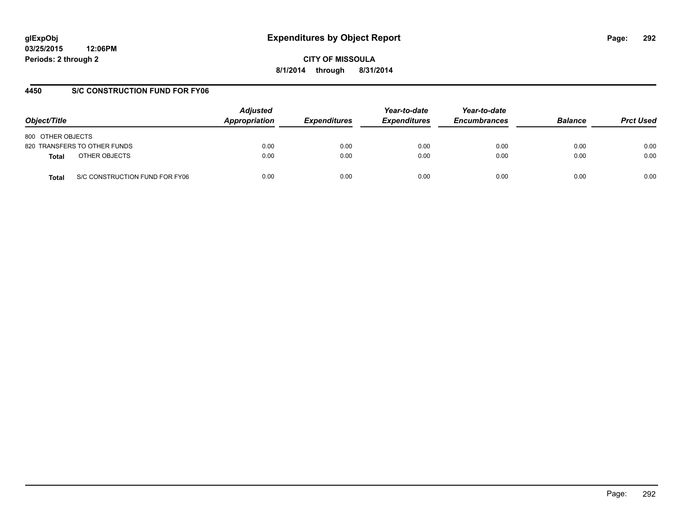# **glExpObj Expenditures by Object Report Page: 292**

**03/25/2015 12:06PM Periods: 2 through 2**

**CITY OF MISSOULA 8/1/2014 through 8/31/2014**

# **4450 S/C CONSTRUCTION FUND FOR FY06**

| Object/Title                            | <b>Adjusted</b><br>Appropriation | <b>Expenditures</b> | Year-to-date<br><b>Expenditures</b> | Year-to-date<br><b>Encumbrances</b> | <b>Balance</b> | <b>Prct Used</b> |
|-----------------------------------------|----------------------------------|---------------------|-------------------------------------|-------------------------------------|----------------|------------------|
| 800 OTHER OBJECTS                       |                                  |                     |                                     |                                     |                |                  |
| 820 TRANSFERS TO OTHER FUNDS            | 0.00                             | 0.00                | 0.00                                | 0.00                                | 0.00           | 0.00             |
| OTHER OBJECTS<br>Total                  | 0.00                             | 0.00                | 0.00                                | 0.00                                | 0.00           | 0.00             |
| S/C CONSTRUCTION FUND FOR FY06<br>Total | 0.00                             | 0.00                | 0.00                                | 0.00                                | 0.00           | 0.00             |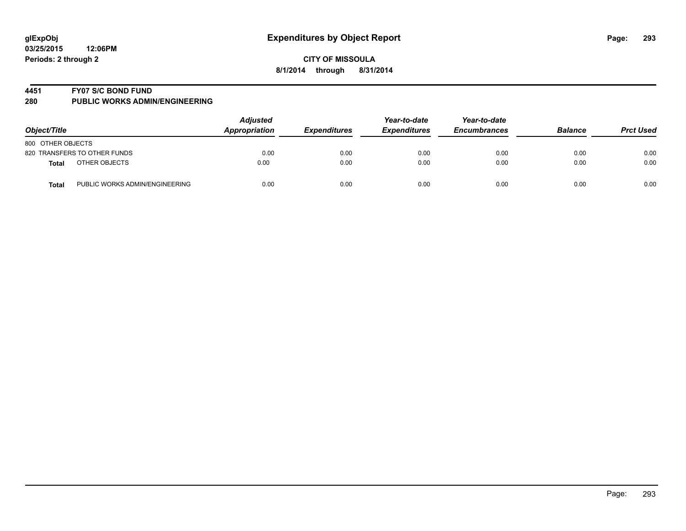## **4451 FY07 S/C BOND FUND**

| Object/Title                                   | <b>Adjusted</b><br>Appropriation | <b>Expenditures</b> | Year-to-date<br><b>Expenditures</b> | Year-to-date<br><b>Encumbrances</b> | <b>Balance</b> | <b>Prct Used</b> |
|------------------------------------------------|----------------------------------|---------------------|-------------------------------------|-------------------------------------|----------------|------------------|
| 800 OTHER OBJECTS                              |                                  |                     |                                     |                                     |                |                  |
| 820 TRANSFERS TO OTHER FUNDS                   | 0.00                             | 0.00                | 0.00                                | 0.00                                | 0.00           | 0.00             |
| OTHER OBJECTS<br><b>Total</b>                  | 0.00                             | 0.00                | 0.00                                | 0.00                                | 0.00           | 0.00             |
| PUBLIC WORKS ADMIN/ENGINEERING<br><b>Total</b> | 0.00                             | 0.00                | 0.00                                | 0.00                                | 0.00           | 0.00             |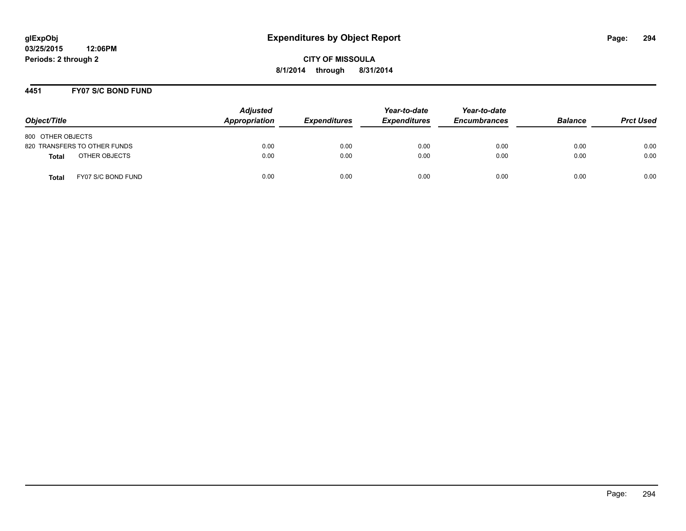## **4451 FY07 S/C BOND FUND**

| Object/Title                       | <b>Adjusted</b><br>Appropriation | <b>Expenditures</b> | Year-to-date<br><b>Expenditures</b> | Year-to-date<br><b>Encumbrances</b> | <b>Balance</b> | <b>Prct Used</b> |
|------------------------------------|----------------------------------|---------------------|-------------------------------------|-------------------------------------|----------------|------------------|
| 800 OTHER OBJECTS                  |                                  |                     |                                     |                                     |                |                  |
| 820 TRANSFERS TO OTHER FUNDS       | 0.00                             | 0.00                | 0.00                                | 0.00                                | 0.00           | 0.00             |
| OTHER OBJECTS<br><b>Total</b>      | 0.00                             | 0.00                | 0.00                                | 0.00                                | 0.00           | 0.00             |
| FY07 S/C BOND FUND<br><b>Total</b> | 0.00                             | 0.00                | 0.00                                | 0.00                                | 0.00           | 0.00             |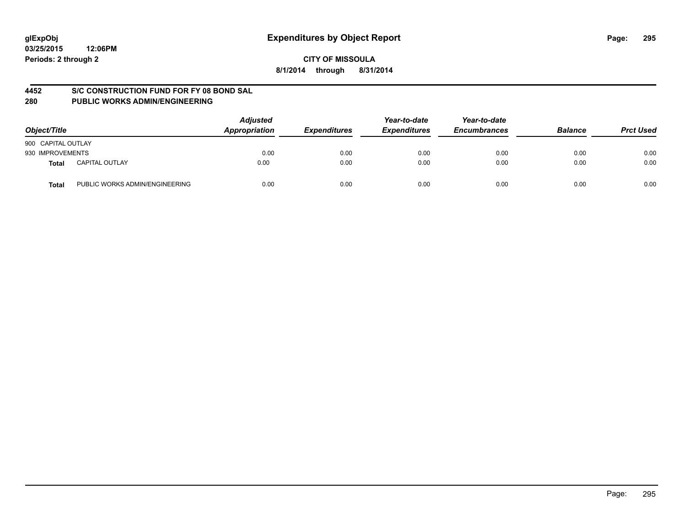## **4452 S/C CONSTRUCTION FUND FOR FY 08 BOND SAL**

| Object/Title                            | <b>Adjusted</b><br>Appropriation | <b>Expenditures</b> | Year-to-date<br><b>Expenditures</b> | Year-to-date<br><b>Encumbrances</b> | <b>Balance</b> | <b>Prct Used</b> |
|-----------------------------------------|----------------------------------|---------------------|-------------------------------------|-------------------------------------|----------------|------------------|
| 900 CAPITAL OUTLAY                      |                                  |                     |                                     |                                     |                |                  |
| 930 IMPROVEMENTS                        | 0.00                             | 0.00                | 0.00                                | 0.00                                | 0.00           | 0.00             |
| <b>CAPITAL OUTLAY</b><br>Total          | 0.00                             | 0.00                | 0.00                                | 0.00                                | 0.00           | 0.00             |
| PUBLIC WORKS ADMIN/ENGINEERING<br>Total | 0.00                             | 0.00                | 0.00                                | 0.00                                | 0.00           | 0.00             |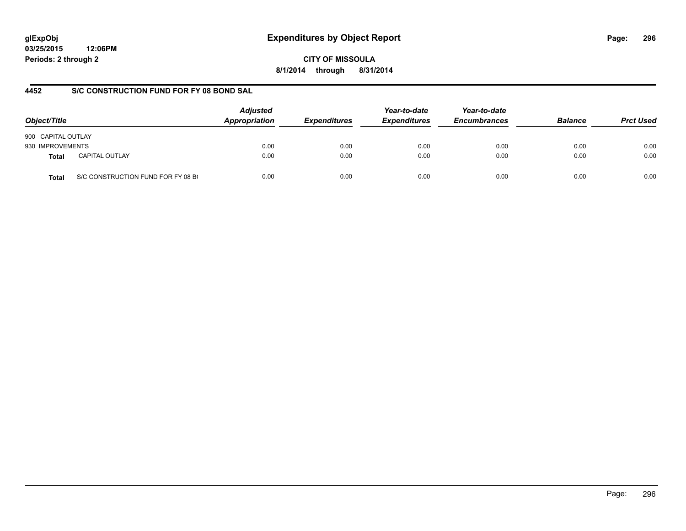# **glExpObj Expenditures by Object Report Page: 296**

**03/25/2015 12:06PM Periods: 2 through 2**

# **4452 S/C CONSTRUCTION FUND FOR FY 08 BOND SAL**

| Object/Title       |                                    | <b>Adjusted</b><br>Appropriation | <b>Expenditures</b> | Year-to-date<br><b>Expenditures</b> | Year-to-date<br><b>Encumbrances</b> | <b>Balance</b> | <b>Prct Used</b> |
|--------------------|------------------------------------|----------------------------------|---------------------|-------------------------------------|-------------------------------------|----------------|------------------|
| 900 CAPITAL OUTLAY |                                    |                                  |                     |                                     |                                     |                |                  |
| 930 IMPROVEMENTS   |                                    | 0.00                             | 0.00                | 0.00                                | 0.00                                | 0.00           | 0.00             |
| <b>Total</b>       | <b>CAPITAL OUTLAY</b>              | 0.00                             | 0.00                | 0.00                                | 0.00                                | 0.00           | 0.00             |
| <b>Total</b>       | S/C CONSTRUCTION FUND FOR FY 08 BO | 0.00                             | 0.00                | 0.00                                | 0.00                                | 0.00           | 0.00             |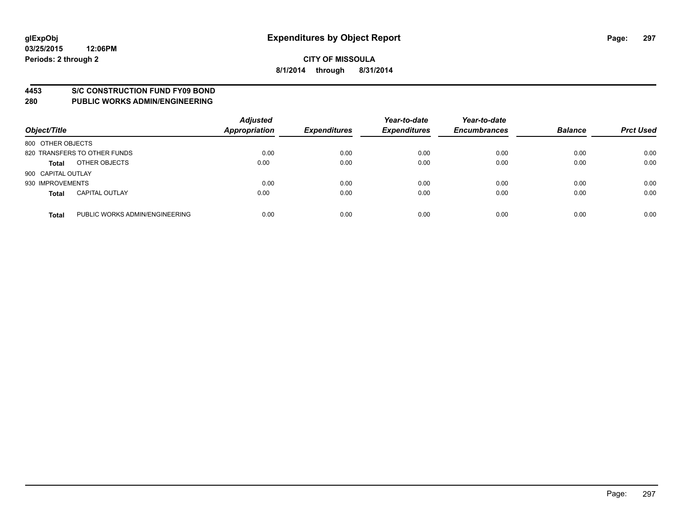## **4453 S/C CONSTRUCTION FUND FY09 BOND**

| Object/Title       |                                | <b>Adjusted</b><br><b>Appropriation</b> | <b>Expenditures</b> | Year-to-date<br><b>Expenditures</b> | Year-to-date<br><b>Encumbrances</b> | <b>Balance</b> | <b>Prct Used</b> |
|--------------------|--------------------------------|-----------------------------------------|---------------------|-------------------------------------|-------------------------------------|----------------|------------------|
| 800 OTHER OBJECTS  |                                |                                         |                     |                                     |                                     |                |                  |
|                    | 820 TRANSFERS TO OTHER FUNDS   | 0.00                                    | 0.00                | 0.00                                | 0.00                                | 0.00           | 0.00             |
| <b>Total</b>       | OTHER OBJECTS                  | 0.00                                    | 0.00                | 0.00                                | 0.00                                | 0.00           | 0.00             |
| 900 CAPITAL OUTLAY |                                |                                         |                     |                                     |                                     |                |                  |
| 930 IMPROVEMENTS   |                                | 0.00                                    | 0.00                | 0.00                                | 0.00                                | 0.00           | 0.00             |
| <b>Total</b>       | <b>CAPITAL OUTLAY</b>          | 0.00                                    | 0.00                | 0.00                                | 0.00                                | 0.00           | 0.00             |
| <b>Total</b>       | PUBLIC WORKS ADMIN/ENGINEERING | 0.00                                    | 0.00                | 0.00                                | 0.00                                | 0.00           | 0.00             |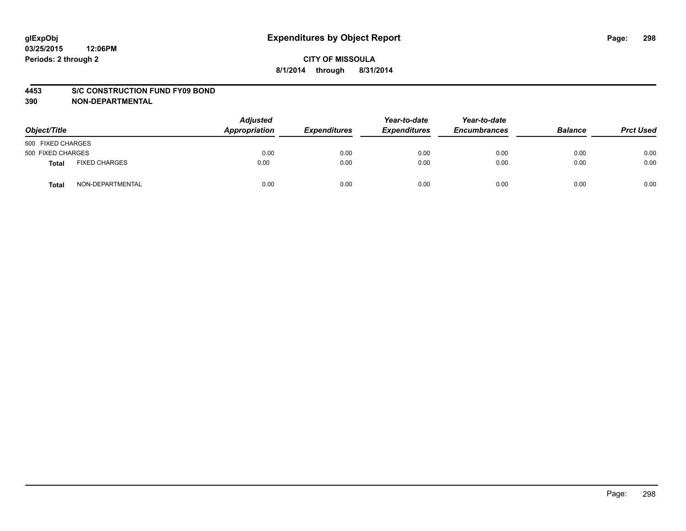## **4453 S/C CONSTRUCTION FUND FY09 BOND**

| Object/Title      |                      | <b>Adjusted</b><br>Appropriation | <b>Expenditures</b> | Year-to-date<br><b>Expenditures</b> | Year-to-date<br><b>Encumbrances</b> | <b>Balance</b> | <b>Prct Used</b> |
|-------------------|----------------------|----------------------------------|---------------------|-------------------------------------|-------------------------------------|----------------|------------------|
| 500 FIXED CHARGES |                      |                                  |                     |                                     |                                     |                |                  |
| 500 FIXED CHARGES |                      | 0.00                             | 0.00                | 0.00                                | 0.00                                | 0.00           | 0.00             |
| <b>Total</b>      | <b>FIXED CHARGES</b> | 0.00                             | 0.00                | 0.00                                | 0.00                                | 0.00           | 0.00             |
| Total             | NON-DEPARTMENTAL     | 0.00                             | 0.00                | 0.00                                | 0.00                                | 0.00           | 0.00             |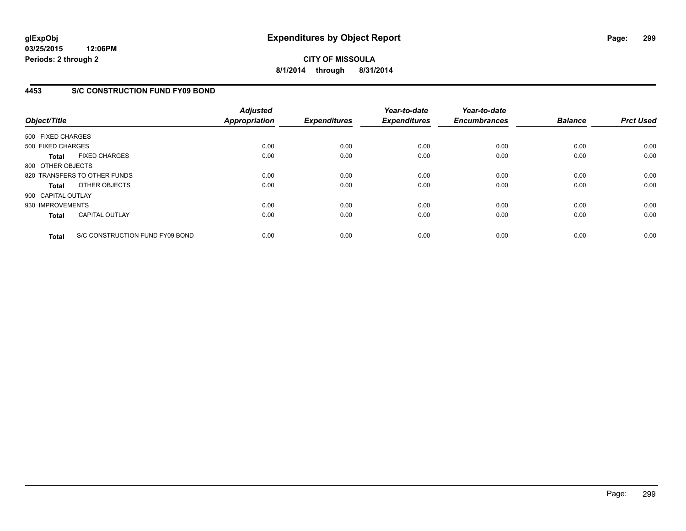**03/25/2015 12:06PM Periods: 2 through 2**

# **CITY OF MISSOULA 8/1/2014 through 8/31/2014**

# **4453 S/C CONSTRUCTION FUND FY09 BOND**

| Object/Title       |                                 | <b>Adjusted</b><br><b>Appropriation</b> | <b>Expenditures</b> | Year-to-date<br><b>Expenditures</b> | Year-to-date<br><b>Encumbrances</b> | <b>Balance</b> | <b>Prct Used</b> |
|--------------------|---------------------------------|-----------------------------------------|---------------------|-------------------------------------|-------------------------------------|----------------|------------------|
| 500 FIXED CHARGES  |                                 |                                         |                     |                                     |                                     |                |                  |
| 500 FIXED CHARGES  |                                 | 0.00                                    | 0.00                | 0.00                                | 0.00                                | 0.00           | 0.00             |
| <b>Total</b>       | <b>FIXED CHARGES</b>            | 0.00                                    | 0.00                | 0.00                                | 0.00                                | 0.00           | 0.00             |
| 800 OTHER OBJECTS  |                                 |                                         |                     |                                     |                                     |                |                  |
|                    | 820 TRANSFERS TO OTHER FUNDS    | 0.00                                    | 0.00                | 0.00                                | 0.00                                | 0.00           | 0.00             |
| <b>Total</b>       | OTHER OBJECTS                   | 0.00                                    | 0.00                | 0.00                                | 0.00                                | 0.00           | 0.00             |
| 900 CAPITAL OUTLAY |                                 |                                         |                     |                                     |                                     |                |                  |
| 930 IMPROVEMENTS   |                                 | 0.00                                    | 0.00                | 0.00                                | 0.00                                | 0.00           | 0.00             |
| <b>Total</b>       | <b>CAPITAL OUTLAY</b>           | 0.00                                    | 0.00                | 0.00                                | 0.00                                | 0.00           | 0.00             |
| <b>Total</b>       | S/C CONSTRUCTION FUND FY09 BOND | 0.00                                    | 0.00                | 0.00                                | 0.00                                | 0.00           | 0.00             |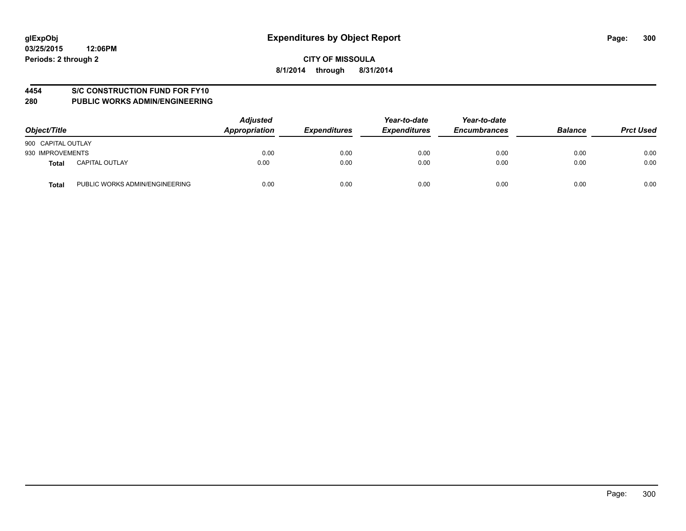# **4454 S/C CONSTRUCTION FUND FOR FY10**

| Object/Title                            | <b>Adjusted</b><br>Appropriation | <b>Expenditures</b> | Year-to-date<br><b>Expenditures</b> | Year-to-date<br><b>Encumbrances</b> | <b>Balance</b> | <b>Prct Used</b> |
|-----------------------------------------|----------------------------------|---------------------|-------------------------------------|-------------------------------------|----------------|------------------|
| 900 CAPITAL OUTLAY                      |                                  |                     |                                     |                                     |                |                  |
| 930 IMPROVEMENTS                        | 0.00                             | 0.00                | 0.00                                | 0.00                                | 0.00           | 0.00             |
| <b>CAPITAL OUTLAY</b><br>Total          | 0.00                             | 0.00                | 0.00                                | 0.00                                | 0.00           | 0.00             |
| PUBLIC WORKS ADMIN/ENGINEERING<br>Total | 0.00                             | 0.00                | 0.00                                | 0.00                                | 0.00           | 0.00             |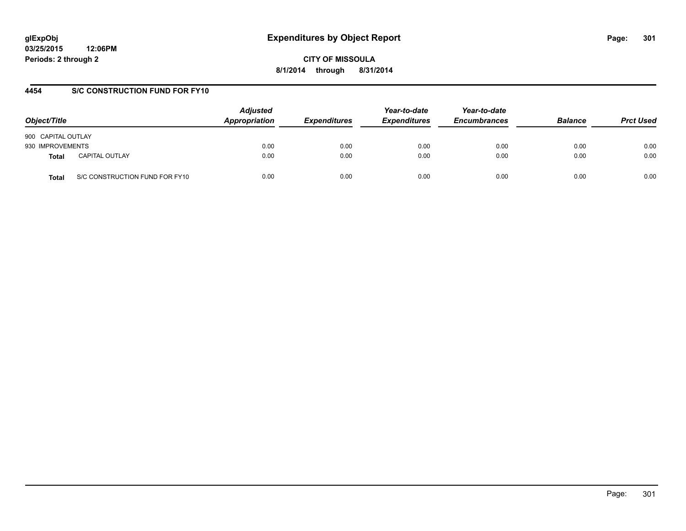# **glExpObj Expenditures by Object Report Page: 301**

**03/25/2015 12:06PM Periods: 2 through 2**

**CITY OF MISSOULA 8/1/2014 through 8/31/2014**

# **4454 S/C CONSTRUCTION FUND FOR FY10**

| Object/Title       |                                | <b>Adjusted</b><br>Appropriation | <b>Expenditures</b> | Year-to-date<br><b>Expenditures</b> | Year-to-date<br><b>Encumbrances</b> | <b>Balance</b> | <b>Prct Used</b> |
|--------------------|--------------------------------|----------------------------------|---------------------|-------------------------------------|-------------------------------------|----------------|------------------|
| 900 CAPITAL OUTLAY |                                |                                  |                     |                                     |                                     |                |                  |
| 930 IMPROVEMENTS   |                                | 0.00                             | 0.00                | 0.00                                | 0.00                                | 0.00           | 0.00             |
| Total              | <b>CAPITAL OUTLAY</b>          | 0.00                             | 0.00                | 0.00                                | 0.00                                | 0.00           | 0.00             |
| Total              | S/C CONSTRUCTION FUND FOR FY10 | 0.00                             | 0.00                | 0.00                                | 0.00                                | 0.00           | 0.00             |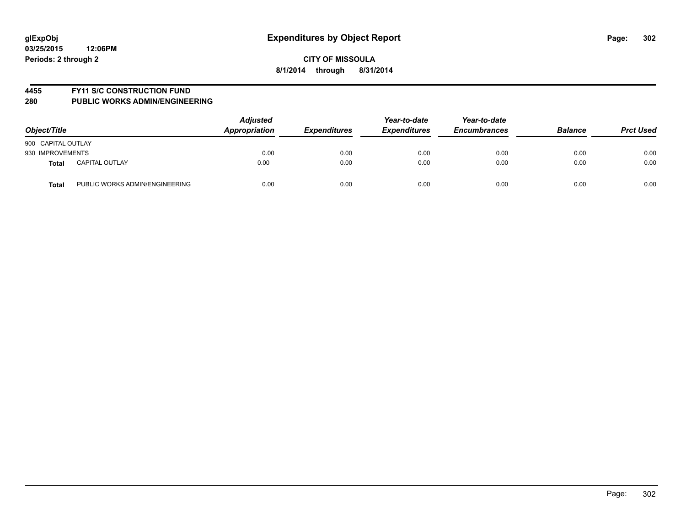## **4455 FY11 S/C CONSTRUCTION FUND**

| Object/Title       |                                | <b>Adjusted</b><br>Appropriation | <b>Expenditures</b> | Year-to-date<br><b>Expenditures</b> | Year-to-date<br><b>Encumbrances</b> | <b>Balance</b> | <b>Prct Used</b> |
|--------------------|--------------------------------|----------------------------------|---------------------|-------------------------------------|-------------------------------------|----------------|------------------|
| 900 CAPITAL OUTLAY |                                |                                  |                     |                                     |                                     |                |                  |
| 930 IMPROVEMENTS   |                                | 0.00                             | 0.00                | 0.00                                | 0.00                                | 0.00           | 0.00             |
| <b>Total</b>       | <b>CAPITAL OUTLAY</b>          | 0.00                             | 0.00                | 0.00                                | 0.00                                | 0.00           | 0.00             |
| <b>Total</b>       | PUBLIC WORKS ADMIN/ENGINEERING | 0.00                             | 0.00                | 0.00                                | 0.00                                | 0.00           | 0.00             |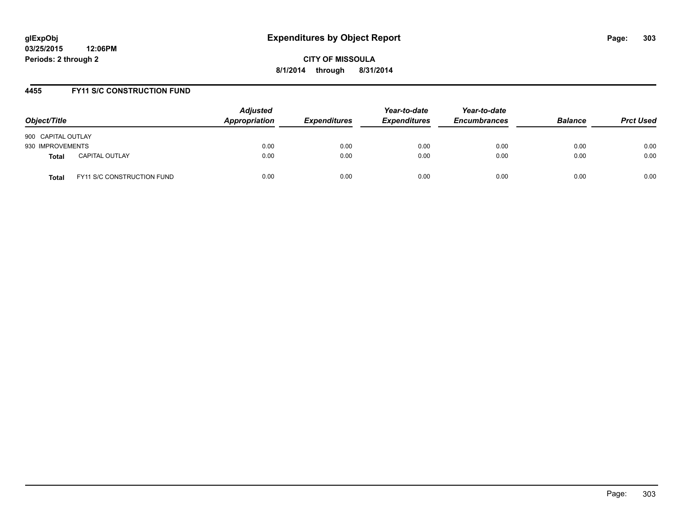## **4455 FY11 S/C CONSTRUCTION FUND**

| Object/Title       |                            | <b>Adjusted</b><br>Appropriation | <b>Expenditures</b> | Year-to-date<br><b>Expenditures</b> | Year-to-date<br><b>Encumbrances</b> | <b>Balance</b> | <b>Prct Used</b> |
|--------------------|----------------------------|----------------------------------|---------------------|-------------------------------------|-------------------------------------|----------------|------------------|
| 900 CAPITAL OUTLAY |                            |                                  |                     |                                     |                                     |                |                  |
| 930 IMPROVEMENTS   |                            | 0.00                             | 0.00                | 0.00                                | 0.00                                | 0.00           | 0.00             |
| <b>Total</b>       | <b>CAPITAL OUTLAY</b>      | 0.00                             | 0.00                | 0.00                                | 0.00                                | 0.00           | 0.00             |
| Total              | FY11 S/C CONSTRUCTION FUND | 0.00                             | 0.00                | 0.00                                | 0.00                                | 0.00           | 0.00             |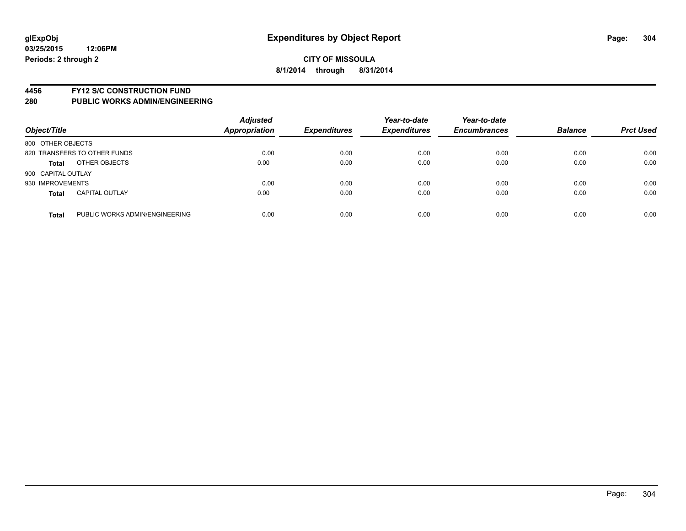## **4456 FY12 S/C CONSTRUCTION FUND**

| Object/Title       |                                | <b>Adjusted</b><br>Appropriation | <b>Expenditures</b> | Year-to-date<br><b>Expenditures</b> | Year-to-date<br><b>Encumbrances</b> | <b>Balance</b> | <b>Prct Used</b> |
|--------------------|--------------------------------|----------------------------------|---------------------|-------------------------------------|-------------------------------------|----------------|------------------|
| 800 OTHER OBJECTS  |                                |                                  |                     |                                     |                                     |                |                  |
|                    | 820 TRANSFERS TO OTHER FUNDS   | 0.00                             | 0.00                | 0.00                                | 0.00                                | 0.00           | 0.00             |
| <b>Total</b>       | OTHER OBJECTS                  | 0.00                             | 0.00                | 0.00                                | 0.00                                | 0.00           | 0.00             |
| 900 CAPITAL OUTLAY |                                |                                  |                     |                                     |                                     |                |                  |
| 930 IMPROVEMENTS   |                                | 0.00                             | 0.00                | 0.00                                | 0.00                                | 0.00           | 0.00             |
| <b>Total</b>       | <b>CAPITAL OUTLAY</b>          | 0.00                             | 0.00                | 0.00                                | 0.00                                | 0.00           | 0.00             |
| <b>Total</b>       | PUBLIC WORKS ADMIN/ENGINEERING | 0.00                             | 0.00                | 0.00                                | 0.00                                | 0.00           | 0.00             |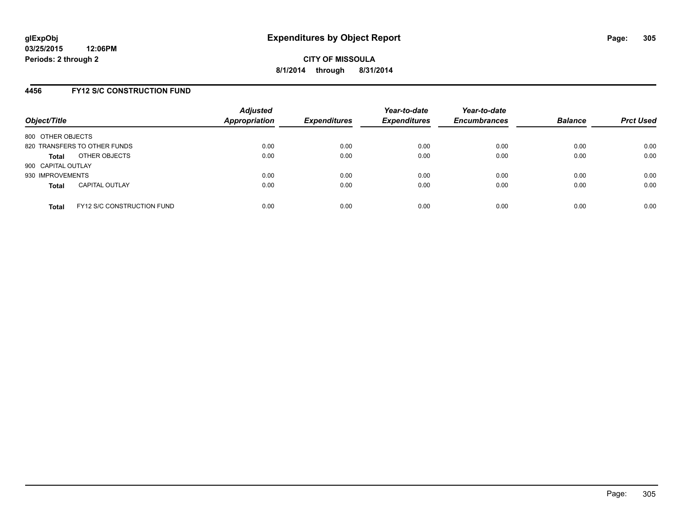# **4456 FY12 S/C CONSTRUCTION FUND**

| Object/Title       |                                   | <b>Adjusted</b><br>Appropriation | <b>Expenditures</b> | Year-to-date<br><b>Expenditures</b> | Year-to-date<br><b>Encumbrances</b> | <b>Balance</b> | <b>Prct Used</b> |
|--------------------|-----------------------------------|----------------------------------|---------------------|-------------------------------------|-------------------------------------|----------------|------------------|
| 800 OTHER OBJECTS  |                                   |                                  |                     |                                     |                                     |                |                  |
|                    | 820 TRANSFERS TO OTHER FUNDS      | 0.00                             | 0.00                | 0.00                                | 0.00                                | 0.00           | 0.00             |
| <b>Total</b>       | OTHER OBJECTS                     | 0.00                             | 0.00                | 0.00                                | 0.00                                | 0.00           | 0.00             |
| 900 CAPITAL OUTLAY |                                   |                                  |                     |                                     |                                     |                |                  |
| 930 IMPROVEMENTS   |                                   | 0.00                             | 0.00                | 0.00                                | 0.00                                | 0.00           | 0.00             |
| <b>Total</b>       | <b>CAPITAL OUTLAY</b>             | 0.00                             | 0.00                | 0.00                                | 0.00                                | 0.00           | 0.00             |
| <b>Total</b>       | <b>FY12 S/C CONSTRUCTION FUND</b> | 0.00                             | 0.00                | 0.00                                | 0.00                                | 0.00           | 0.00             |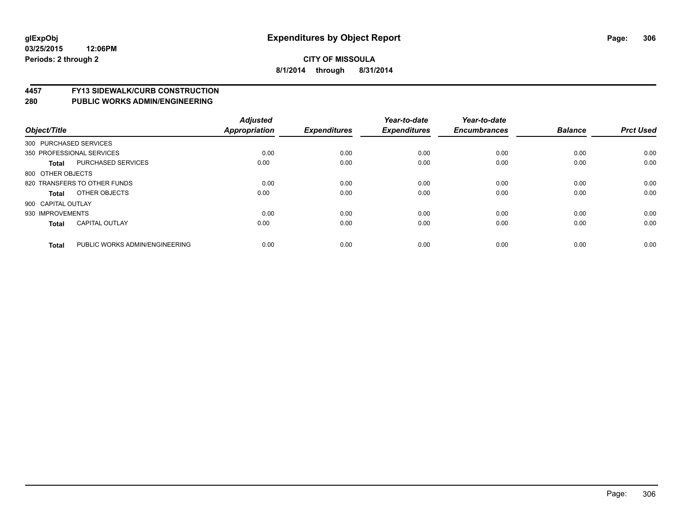# **4457 FY13 SIDEWALK/CURB CONSTRUCTION**

| Object/Title           |                                | <b>Adjusted</b><br><b>Appropriation</b> | <b>Expenditures</b> | Year-to-date<br><b>Expenditures</b> | Year-to-date<br><b>Encumbrances</b> | <b>Balance</b> | <b>Prct Used</b> |
|------------------------|--------------------------------|-----------------------------------------|---------------------|-------------------------------------|-------------------------------------|----------------|------------------|
| 300 PURCHASED SERVICES |                                |                                         |                     |                                     |                                     |                |                  |
|                        | 350 PROFESSIONAL SERVICES      | 0.00                                    | 0.00                | 0.00                                | 0.00                                | 0.00           | 0.00             |
| <b>Total</b>           | <b>PURCHASED SERVICES</b>      | 0.00                                    | 0.00                | 0.00                                | 0.00                                | 0.00           | 0.00             |
| 800 OTHER OBJECTS      |                                |                                         |                     |                                     |                                     |                |                  |
|                        | 820 TRANSFERS TO OTHER FUNDS   | 0.00                                    | 0.00                | 0.00                                | 0.00                                | 0.00           | 0.00             |
| Total                  | OTHER OBJECTS                  | 0.00                                    | 0.00                | 0.00                                | 0.00                                | 0.00           | 0.00             |
| 900 CAPITAL OUTLAY     |                                |                                         |                     |                                     |                                     |                |                  |
| 930 IMPROVEMENTS       |                                | 0.00                                    | 0.00                | 0.00                                | 0.00                                | 0.00           | 0.00             |
| Total                  | <b>CAPITAL OUTLAY</b>          | 0.00                                    | 0.00                | 0.00                                | 0.00                                | 0.00           | 0.00             |
| <b>Total</b>           | PUBLIC WORKS ADMIN/ENGINEERING | 0.00                                    | 0.00                | 0.00                                | 0.00                                | 0.00           | 0.00             |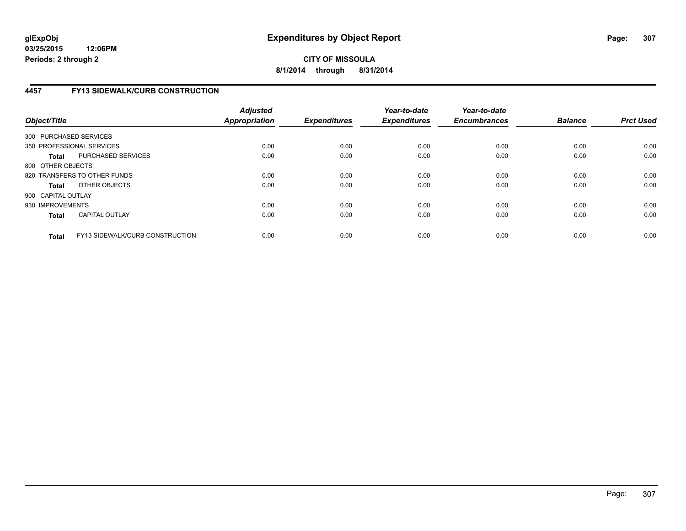**03/25/2015 12:06PM Periods: 2 through 2**

# **CITY OF MISSOULA 8/1/2014 through 8/31/2014**

# **4457 FY13 SIDEWALK/CURB CONSTRUCTION**

| Object/Title           |                                        | <b>Adjusted</b><br><b>Appropriation</b> | <b>Expenditures</b> | Year-to-date<br><b>Expenditures</b> | Year-to-date<br><b>Encumbrances</b> | <b>Balance</b> | <b>Prct Used</b> |
|------------------------|----------------------------------------|-----------------------------------------|---------------------|-------------------------------------|-------------------------------------|----------------|------------------|
| 300 PURCHASED SERVICES |                                        |                                         |                     |                                     |                                     |                |                  |
|                        | 350 PROFESSIONAL SERVICES              | 0.00                                    | 0.00                | 0.00                                | 0.00                                | 0.00           | 0.00             |
| <b>Total</b>           | PURCHASED SERVICES                     | 0.00                                    | 0.00                | 0.00                                | 0.00                                | 0.00           | 0.00             |
| 800 OTHER OBJECTS      |                                        |                                         |                     |                                     |                                     |                |                  |
|                        | 820 TRANSFERS TO OTHER FUNDS           | 0.00                                    | 0.00                | 0.00                                | 0.00                                | 0.00           | 0.00             |
| <b>Total</b>           | OTHER OBJECTS                          | 0.00                                    | 0.00                | 0.00                                | 0.00                                | 0.00           | 0.00             |
| 900 CAPITAL OUTLAY     |                                        |                                         |                     |                                     |                                     |                |                  |
| 930 IMPROVEMENTS       |                                        | 0.00                                    | 0.00                | 0.00                                | 0.00                                | 0.00           | 0.00             |
| <b>Total</b>           | <b>CAPITAL OUTLAY</b>                  | 0.00                                    | 0.00                | 0.00                                | 0.00                                | 0.00           | 0.00             |
| <b>Total</b>           | <b>FY13 SIDEWALK/CURB CONSTRUCTION</b> | 0.00                                    | 0.00                | 0.00                                | 0.00                                | 0.00           | 0.00             |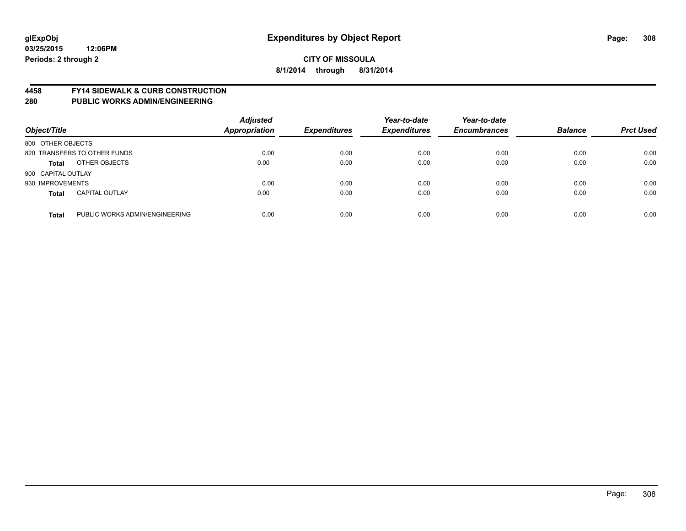## **4458 FY14 SIDEWALK & CURB CONSTRUCTION**

| Object/Title       |                                | <b>Adjusted</b><br>Appropriation | <b>Expenditures</b> | Year-to-date<br><b>Expenditures</b> | Year-to-date<br><b>Encumbrances</b> | <b>Balance</b> | <b>Prct Used</b> |
|--------------------|--------------------------------|----------------------------------|---------------------|-------------------------------------|-------------------------------------|----------------|------------------|
| 800 OTHER OBJECTS  |                                |                                  |                     |                                     |                                     |                |                  |
|                    | 820 TRANSFERS TO OTHER FUNDS   | 0.00                             | 0.00                | 0.00                                | 0.00                                | 0.00           | 0.00             |
| <b>Total</b>       | OTHER OBJECTS                  | 0.00                             | 0.00                | 0.00                                | 0.00                                | 0.00           | 0.00             |
| 900 CAPITAL OUTLAY |                                |                                  |                     |                                     |                                     |                |                  |
| 930 IMPROVEMENTS   |                                | 0.00                             | 0.00                | 0.00                                | 0.00                                | 0.00           | 0.00             |
| <b>Total</b>       | <b>CAPITAL OUTLAY</b>          | 0.00                             | 0.00                | 0.00                                | 0.00                                | 0.00           | 0.00             |
| <b>Total</b>       | PUBLIC WORKS ADMIN/ENGINEERING | 0.00                             | 0.00                | 0.00                                | 0.00                                | 0.00           | 0.00             |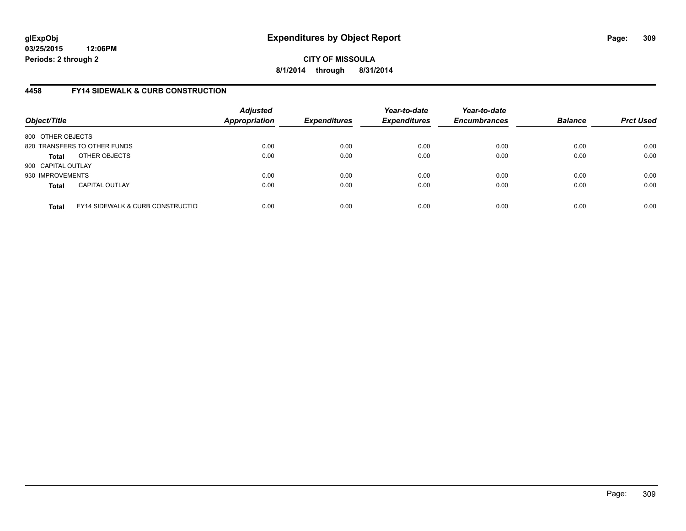**03/25/2015 12:06PM Periods: 2 through 2**

**CITY OF MISSOULA 8/1/2014 through 8/31/2014**

# **4458 FY14 SIDEWALK & CURB CONSTRUCTION**

| Object/Title       |                                              | <b>Adjusted</b><br><b>Appropriation</b> | <b>Expenditures</b> | Year-to-date<br><b>Expenditures</b> | Year-to-date<br><b>Encumbrances</b> | <b>Balance</b> | <b>Prct Used</b> |
|--------------------|----------------------------------------------|-----------------------------------------|---------------------|-------------------------------------|-------------------------------------|----------------|------------------|
| 800 OTHER OBJECTS  |                                              |                                         |                     |                                     |                                     |                |                  |
|                    | 820 TRANSFERS TO OTHER FUNDS                 | 0.00                                    | 0.00                | 0.00                                | 0.00                                | 0.00           | 0.00             |
| Total              | OTHER OBJECTS                                | 0.00                                    | 0.00                | 0.00                                | 0.00                                | 0.00           | 0.00             |
| 900 CAPITAL OUTLAY |                                              |                                         |                     |                                     |                                     |                |                  |
| 930 IMPROVEMENTS   |                                              | 0.00                                    | 0.00                | 0.00                                | 0.00                                | 0.00           | 0.00             |
| <b>Total</b>       | <b>CAPITAL OUTLAY</b>                        | 0.00                                    | 0.00                | 0.00                                | 0.00                                | 0.00           | 0.00             |
| <b>Total</b>       | <b>FY14 SIDEWALK &amp; CURB CONSTRUCTIOL</b> | 0.00                                    | 0.00                | 0.00                                | 0.00                                | 0.00           | 0.00             |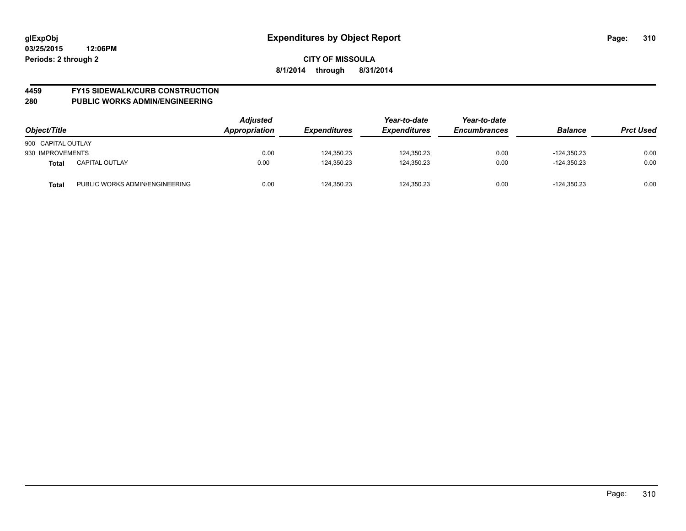# **4459 FY15 SIDEWALK/CURB CONSTRUCTION**

| Object/Title       |                                | <b>Adjusted</b><br>Appropriation | <b>Expenditures</b> | Year-to-date<br><b>Expenditures</b> | Year-to-date<br><b>Encumbrances</b> | <b>Balance</b> | <b>Prct Used</b> |
|--------------------|--------------------------------|----------------------------------|---------------------|-------------------------------------|-------------------------------------|----------------|------------------|
| 900 CAPITAL OUTLAY |                                |                                  |                     |                                     |                                     |                |                  |
| 930 IMPROVEMENTS   |                                | 0.00                             | 124.350.23          | 124,350.23                          | 0.00                                | $-124.350.23$  | 0.00             |
| <b>Total</b>       | <b>CAPITAL OUTLAY</b>          | 0.00                             | 124,350.23          | 124,350.23                          | 0.00                                | $-124.350.23$  | 0.00             |
| <b>Total</b>       | PUBLIC WORKS ADMIN/ENGINEERING | 0.00                             | 124.350.23          | 124,350.23                          | 0.00                                | $-124.350.23$  | 0.00             |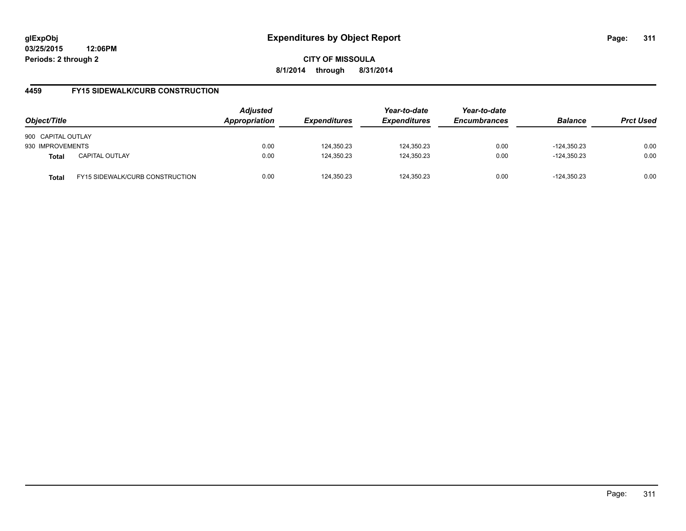**03/25/2015 12:06PM Periods: 2 through 2**

**CITY OF MISSOULA 8/1/2014 through 8/31/2014**

# **4459 FY15 SIDEWALK/CURB CONSTRUCTION**

| Object/Title       |                                        | <b>Adjusted</b><br>Appropriation | <b>Expenditures</b> | Year-to-date<br><b>Expenditures</b> | Year-to-date<br><b>Encumbrances</b> | <b>Balance</b> | <b>Prct Used</b> |
|--------------------|----------------------------------------|----------------------------------|---------------------|-------------------------------------|-------------------------------------|----------------|------------------|
| 900 CAPITAL OUTLAY |                                        |                                  |                     |                                     |                                     |                |                  |
| 930 IMPROVEMENTS   |                                        | 0.00                             | 124,350.23          | 124,350.23                          | 0.00                                | $-124.350.23$  | 0.00             |
| <b>Total</b>       | <b>CAPITAL OUTLAY</b>                  | 0.00                             | 124,350.23          | 124,350.23                          | 0.00                                | $-124.350.23$  | 0.00             |
| Total              | <b>FY15 SIDEWALK/CURB CONSTRUCTION</b> | 0.00                             | 124,350.23          | 124.350.23                          | 0.00                                | $-124.350.23$  | 0.00             |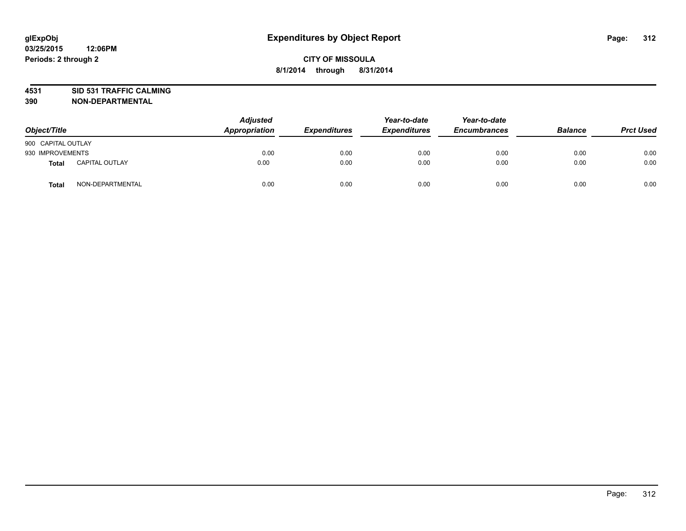# **4531 SID 531 TRAFFIC CALMING**

| Object/Title       |                       | <b>Adjusted</b><br><b>Appropriation</b> | <b>Expenditures</b> | Year-to-date<br><b>Expenditures</b> | Year-to-date<br><b>Encumbrances</b> | <b>Balance</b> | <b>Prct Used</b> |
|--------------------|-----------------------|-----------------------------------------|---------------------|-------------------------------------|-------------------------------------|----------------|------------------|
| 900 CAPITAL OUTLAY |                       |                                         |                     |                                     |                                     |                |                  |
| 930 IMPROVEMENTS   |                       | 0.00                                    | 0.00                | 0.00                                | 0.00                                | 0.00           | 0.00             |
| <b>Total</b>       | <b>CAPITAL OUTLAY</b> | 0.00                                    | 0.00                | 0.00                                | 0.00                                | 0.00           | 0.00             |
| Total              | NON-DEPARTMENTAL      | 0.00                                    | 0.00                | 0.00                                | 0.00                                | 0.00           | 0.00             |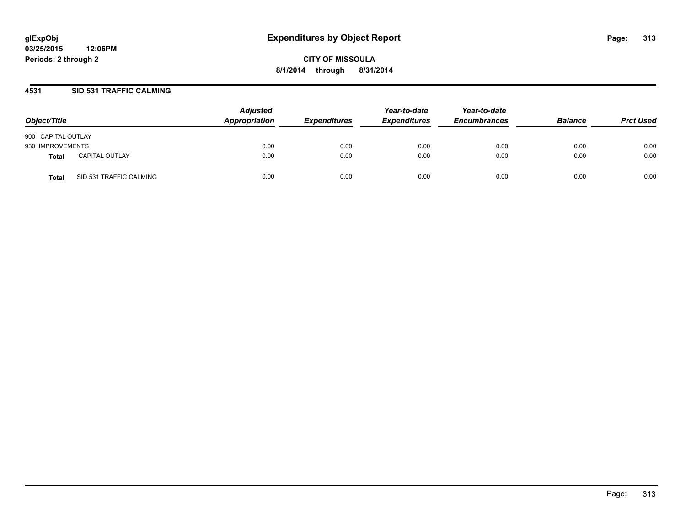# **4531 SID 531 TRAFFIC CALMING**

| Object/Title       |                         | <b>Adjusted</b><br>Appropriation | <b>Expenditures</b> | Year-to-date<br><b>Expenditures</b> | Year-to-date<br><b>Encumbrances</b> | <b>Balance</b> | <b>Prct Used</b> |
|--------------------|-------------------------|----------------------------------|---------------------|-------------------------------------|-------------------------------------|----------------|------------------|
| 900 CAPITAL OUTLAY |                         |                                  |                     |                                     |                                     |                |                  |
| 930 IMPROVEMENTS   |                         | 0.00                             | 0.00                | 0.00                                | 0.00                                | 0.00           | 0.00             |
| Total              | <b>CAPITAL OUTLAY</b>   | 0.00                             | 0.00                | 0.00                                | 0.00                                | 0.00           | 0.00             |
| Total              | SID 531 TRAFFIC CALMING | 0.00                             | 0.00                | 0.00                                | 0.00                                | 0.00           | 0.00             |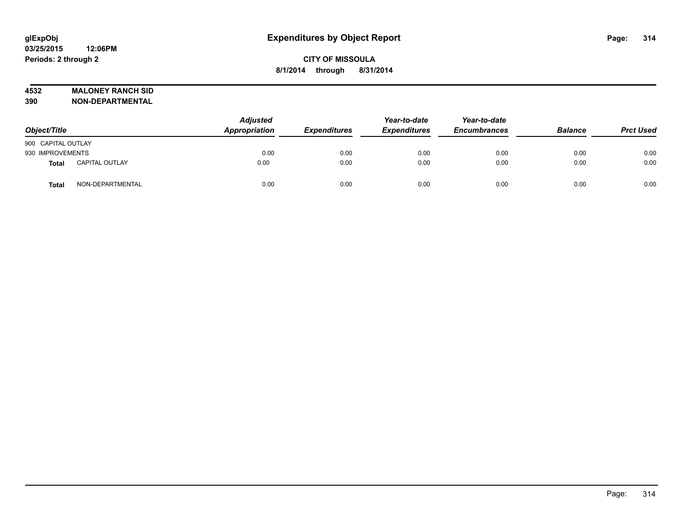# **4532 MALONEY RANCH SID**

| Object/Title       |                       | <b>Adjusted</b><br>Appropriation | <b>Expenditures</b> | Year-to-date<br><b>Expenditures</b> | Year-to-date<br><b>Encumbrances</b> | <b>Balance</b> | <b>Prct Used</b> |
|--------------------|-----------------------|----------------------------------|---------------------|-------------------------------------|-------------------------------------|----------------|------------------|
| 900 CAPITAL OUTLAY |                       |                                  |                     |                                     |                                     |                |                  |
| 930 IMPROVEMENTS   |                       | 0.00                             | 0.00                | 0.00                                | 0.00                                | 0.00           | 0.00             |
| Total              | <b>CAPITAL OUTLAY</b> | 0.00                             | 0.00                | 0.00                                | 0.00                                | 0.00           | 0.00             |
| <b>Total</b>       | NON-DEPARTMENTAL      | 0.00                             | 0.00                | 0.00                                | 0.00                                | 0.00           | 0.00             |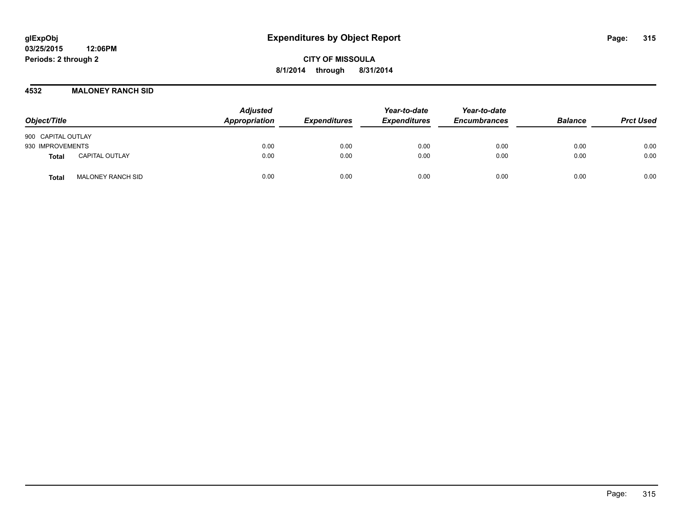## **4532 MALONEY RANCH SID**

| Object/Title                             | <b>Adjusted</b><br>Appropriation | <b>Expenditures</b> | Year-to-date<br><b>Expenditures</b> | Year-to-date<br><b>Encumbrances</b> | <b>Balance</b> | <b>Prct Used</b> |
|------------------------------------------|----------------------------------|---------------------|-------------------------------------|-------------------------------------|----------------|------------------|
| 900 CAPITAL OUTLAY                       |                                  |                     |                                     |                                     |                |                  |
| 930 IMPROVEMENTS                         | 0.00                             | 0.00                | 0.00                                | 0.00                                | 0.00           | 0.00             |
| <b>CAPITAL OUTLAY</b><br>Total           | 0.00                             | 0.00                | 0.00                                | 0.00                                | 0.00           | 0.00             |
| <b>MALONEY RANCH SID</b><br><b>Total</b> | 0.00                             | 0.00                | 0.00                                | 0.00                                | 0.00           | 0.00             |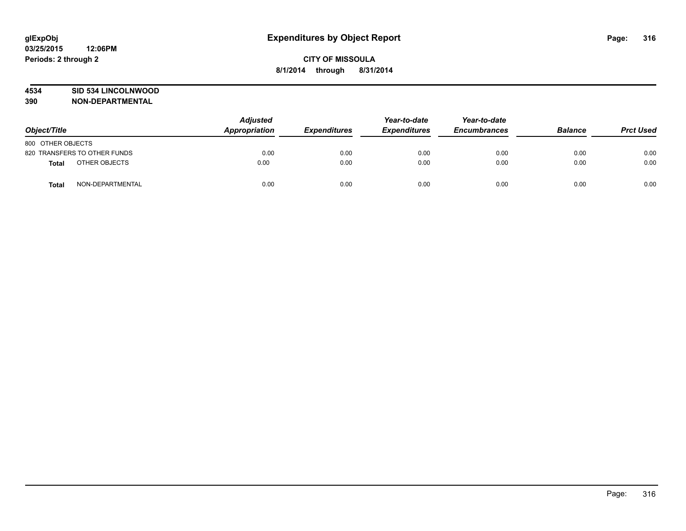# **4534 SID 534 LINCOLNWOOD**

| Object/Title      |                              | <b>Adjusted</b><br><b>Appropriation</b> | <b>Expenditures</b> | Year-to-date<br><b>Expenditures</b> | Year-to-date<br><b>Encumbrances</b> | <b>Balance</b> | <b>Prct Used</b> |
|-------------------|------------------------------|-----------------------------------------|---------------------|-------------------------------------|-------------------------------------|----------------|------------------|
| 800 OTHER OBJECTS |                              |                                         |                     |                                     |                                     |                |                  |
|                   | 820 TRANSFERS TO OTHER FUNDS | 0.00                                    | 0.00                | 0.00                                | 0.00                                | 0.00           | 0.00             |
| Total             | OTHER OBJECTS                | 0.00                                    | 0.00                | 0.00                                | 0.00                                | 0.00           | 0.00             |
| <b>Total</b>      | NON-DEPARTMENTAL             | 0.00                                    | 0.00                | 0.00                                | 0.00                                | 0.00           | 0.00             |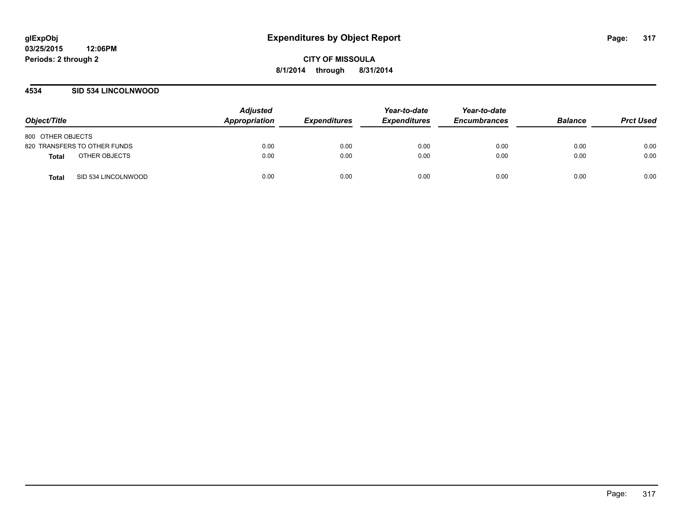# **4534 SID 534 LINCOLNWOOD**

| Object/Title                        | <b>Adjusted</b><br><b>Appropriation</b> | <b>Expenditures</b> | Year-to-date<br><b>Expenditures</b> | Year-to-date<br><b>Encumbrances</b> | <b>Balance</b> | <b>Prct Used</b> |
|-------------------------------------|-----------------------------------------|---------------------|-------------------------------------|-------------------------------------|----------------|------------------|
| 800 OTHER OBJECTS                   |                                         |                     |                                     |                                     |                |                  |
| 820 TRANSFERS TO OTHER FUNDS        | 0.00                                    | 0.00                | 0.00                                | 0.00                                | 0.00           | 0.00             |
| OTHER OBJECTS<br><b>Total</b>       | 0.00                                    | 0.00                | 0.00                                | 0.00                                | 0.00           | 0.00             |
| SID 534 LINCOLNWOOD<br><b>Total</b> | 0.00                                    | 0.00                | 0.00                                | 0.00                                | 0.00           | 0.00             |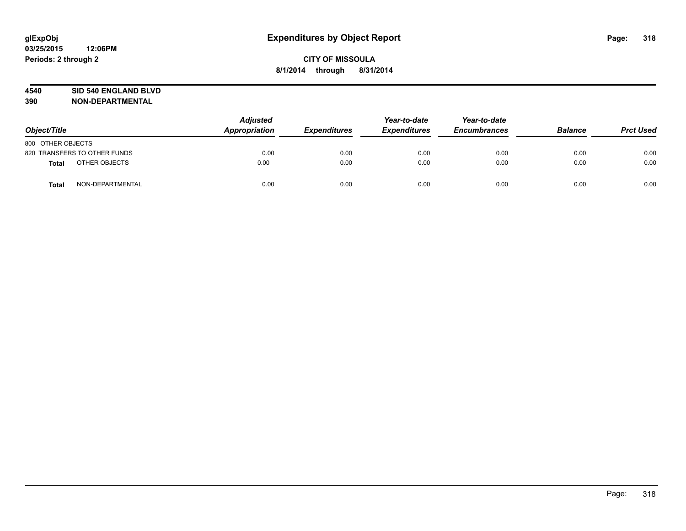## **4540 SID 540 ENGLAND BLVD**

| Object/Title      |                              | <b>Adjusted</b><br><b>Appropriation</b> | <b>Expenditures</b> | Year-to-date<br><b>Expenditures</b> | Year-to-date<br><b>Encumbrances</b> | <b>Balance</b> | <b>Prct Used</b> |
|-------------------|------------------------------|-----------------------------------------|---------------------|-------------------------------------|-------------------------------------|----------------|------------------|
| 800 OTHER OBJECTS |                              |                                         |                     |                                     |                                     |                |                  |
|                   | 820 TRANSFERS TO OTHER FUNDS | 0.00                                    | 0.00                | 0.00                                | 0.00                                | 0.00           | 0.00             |
| Total             | OTHER OBJECTS                | 0.00                                    | 0.00                | 0.00                                | 0.00                                | 0.00           | 0.00             |
| <b>Total</b>      | NON-DEPARTMENTAL             | 0.00                                    | 0.00                | 0.00                                | 0.00                                | 0.00           | 0.00             |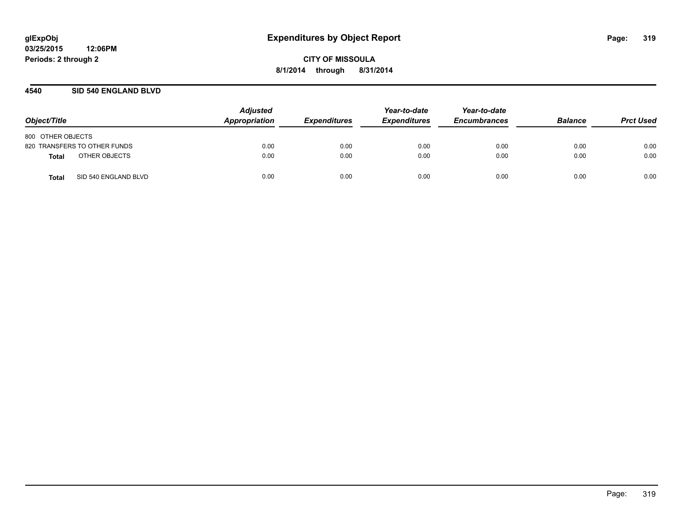# **4540 SID 540 ENGLAND BLVD**

| Object/Title                  | <b>Adjusted</b><br>Appropriation | <b>Expenditures</b> | Year-to-date<br><b>Expenditures</b> | Year-to-date<br><b>Encumbrances</b> | <b>Balance</b> | <b>Prct Used</b> |
|-------------------------------|----------------------------------|---------------------|-------------------------------------|-------------------------------------|----------------|------------------|
| 800 OTHER OBJECTS             |                                  |                     |                                     |                                     |                |                  |
| 820 TRANSFERS TO OTHER FUNDS  | 0.00                             | 0.00                | 0.00                                | 0.00                                | 0.00           | 0.00             |
| OTHER OBJECTS<br>Total        | 0.00                             | 0.00                | 0.00                                | 0.00                                | 0.00           | 0.00             |
| SID 540 ENGLAND BLVD<br>Total | 0.00                             | 0.00                | 0.00                                | 0.00                                | 0.00           | 0.00             |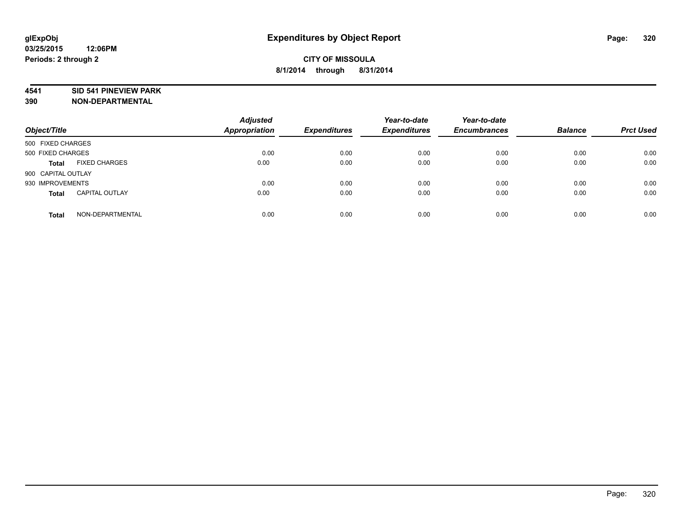## **4541 SID 541 PINEVIEW PARK**

| Object/Title       |                       | <b>Adjusted</b><br><b>Appropriation</b> | <b>Expenditures</b> | Year-to-date<br><b>Expenditures</b> | Year-to-date<br><b>Encumbrances</b> | <b>Balance</b> | <b>Prct Used</b> |
|--------------------|-----------------------|-----------------------------------------|---------------------|-------------------------------------|-------------------------------------|----------------|------------------|
| 500 FIXED CHARGES  |                       |                                         |                     |                                     |                                     |                |                  |
| 500 FIXED CHARGES  |                       | 0.00                                    | 0.00                | 0.00                                | 0.00                                | 0.00           | 0.00             |
| <b>Total</b>       | <b>FIXED CHARGES</b>  | 0.00                                    | 0.00                | 0.00                                | 0.00                                | 0.00           | 0.00             |
| 900 CAPITAL OUTLAY |                       |                                         |                     |                                     |                                     |                |                  |
| 930 IMPROVEMENTS   |                       | 0.00                                    | 0.00                | 0.00                                | 0.00                                | 0.00           | 0.00             |
| <b>Total</b>       | <b>CAPITAL OUTLAY</b> | 0.00                                    | 0.00                | 0.00                                | 0.00                                | 0.00           | 0.00             |
| <b>Total</b>       | NON-DEPARTMENTAL      | 0.00                                    | 0.00                | 0.00                                | 0.00                                | 0.00           | 0.00             |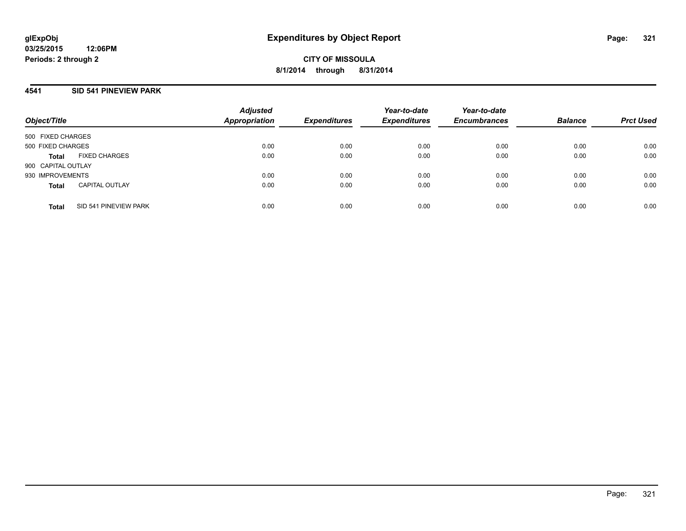# **4541 SID 541 PINEVIEW PARK**

| Object/Title       |                       | <b>Adjusted</b><br><b>Appropriation</b> | <b>Expenditures</b> | Year-to-date<br><b>Expenditures</b> | Year-to-date<br><b>Encumbrances</b> | <b>Balance</b> | <b>Prct Used</b> |
|--------------------|-----------------------|-----------------------------------------|---------------------|-------------------------------------|-------------------------------------|----------------|------------------|
| 500 FIXED CHARGES  |                       |                                         |                     |                                     |                                     |                |                  |
| 500 FIXED CHARGES  |                       | 0.00                                    | 0.00                | 0.00                                | 0.00                                | 0.00           | 0.00             |
| Total              | <b>FIXED CHARGES</b>  | 0.00                                    | 0.00                | 0.00                                | 0.00                                | 0.00           | 0.00             |
| 900 CAPITAL OUTLAY |                       |                                         |                     |                                     |                                     |                |                  |
| 930 IMPROVEMENTS   |                       | 0.00                                    | 0.00                | 0.00                                | 0.00                                | 0.00           | 0.00             |
| <b>Total</b>       | <b>CAPITAL OUTLAY</b> | 0.00                                    | 0.00                | 0.00                                | 0.00                                | 0.00           | 0.00             |
| <b>Total</b>       | SID 541 PINEVIEW PARK | 0.00                                    | 0.00                | 0.00                                | 0.00                                | 0.00           | 0.00             |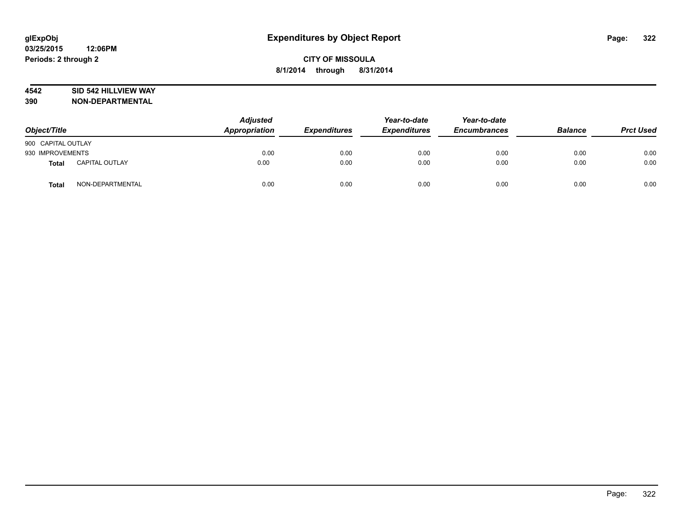# **4542 SID 542 HILLVIEW WAY**

| Object/Title       |                       | <b>Adjusted</b><br>Appropriation | <b>Expenditures</b> | Year-to-date<br><b>Expenditures</b> | Year-to-date<br><b>Encumbrances</b> | <b>Balance</b> | <b>Prct Used</b> |
|--------------------|-----------------------|----------------------------------|---------------------|-------------------------------------|-------------------------------------|----------------|------------------|
| 900 CAPITAL OUTLAY |                       |                                  |                     |                                     |                                     |                |                  |
| 930 IMPROVEMENTS   |                       | 0.00                             | 0.00                | 0.00                                | 0.00                                | 0.00           | 0.00             |
| <b>Total</b>       | <b>CAPITAL OUTLAY</b> | 0.00                             | 0.00                | 0.00                                | 0.00                                | 0.00           | 0.00             |
| <b>Total</b>       | NON-DEPARTMENTAL      | 0.00                             | 0.00                | 0.00                                | 0.00                                | 0.00           | 0.00             |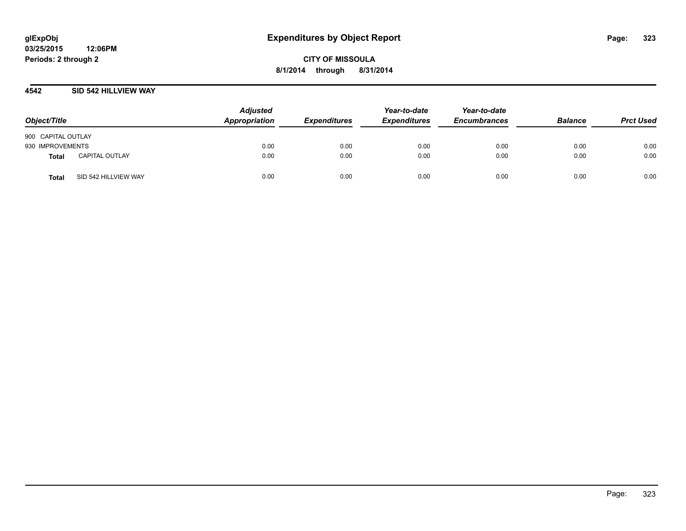## **4542 SID 542 HILLVIEW WAY**

| Object/Title                          | <b>Adjusted</b><br>Appropriation | <b>Expenditures</b> | Year-to-date<br><b>Expenditures</b> | Year-to-date<br><b>Encumbrances</b> | <b>Balance</b> | <b>Prct Used</b> |
|---------------------------------------|----------------------------------|---------------------|-------------------------------------|-------------------------------------|----------------|------------------|
| 900 CAPITAL OUTLAY                    |                                  |                     |                                     |                                     |                |                  |
| 930 IMPROVEMENTS                      | 0.00                             | 0.00                | 0.00                                | 0.00                                | 0.00           | 0.00             |
| <b>CAPITAL OUTLAY</b><br><b>Total</b> | 0.00                             | 0.00                | 0.00                                | 0.00                                | 0.00           | 0.00             |
| SID 542 HILLVIEW WAY<br><b>Total</b>  | 0.00                             | 0.00                | 0.00                                | 0.00                                | 0.00           | 0.00             |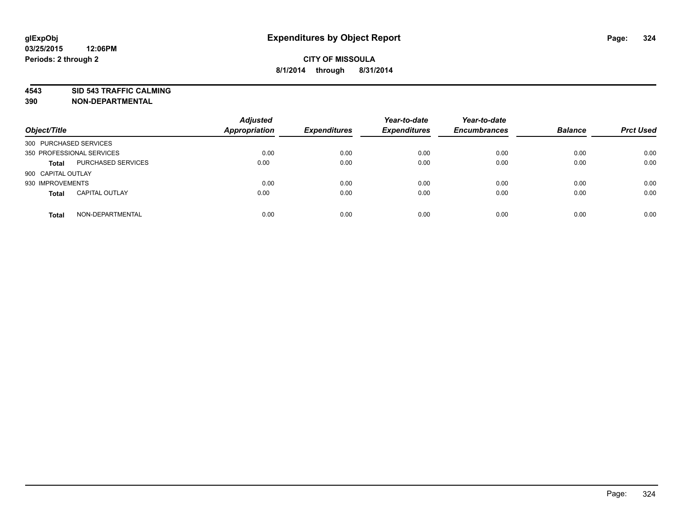**4543 SID 543 TRAFFIC CALMING**

| Object/Title              |                           | <b>Adjusted</b><br><b>Appropriation</b> | <b>Expenditures</b> | Year-to-date<br><b>Expenditures</b> | Year-to-date<br><b>Encumbrances</b> | <b>Balance</b> | <b>Prct Used</b> |
|---------------------------|---------------------------|-----------------------------------------|---------------------|-------------------------------------|-------------------------------------|----------------|------------------|
| 300 PURCHASED SERVICES    |                           |                                         |                     |                                     |                                     |                |                  |
| 350 PROFESSIONAL SERVICES |                           | 0.00                                    | 0.00                | 0.00                                | 0.00                                | 0.00           | 0.00             |
| <b>Total</b>              | <b>PURCHASED SERVICES</b> | 0.00                                    | 0.00                | 0.00                                | 0.00                                | 0.00           | 0.00             |
| 900 CAPITAL OUTLAY        |                           |                                         |                     |                                     |                                     |                |                  |
| 930 IMPROVEMENTS          |                           | 0.00                                    | 0.00                | 0.00                                | 0.00                                | 0.00           | 0.00             |
| <b>Total</b>              | <b>CAPITAL OUTLAY</b>     | 0.00                                    | 0.00                | 0.00                                | 0.00                                | 0.00           | 0.00             |
| <b>Total</b>              | NON-DEPARTMENTAL          | 0.00                                    | 0.00                | 0.00                                | 0.00                                | 0.00           | 0.00             |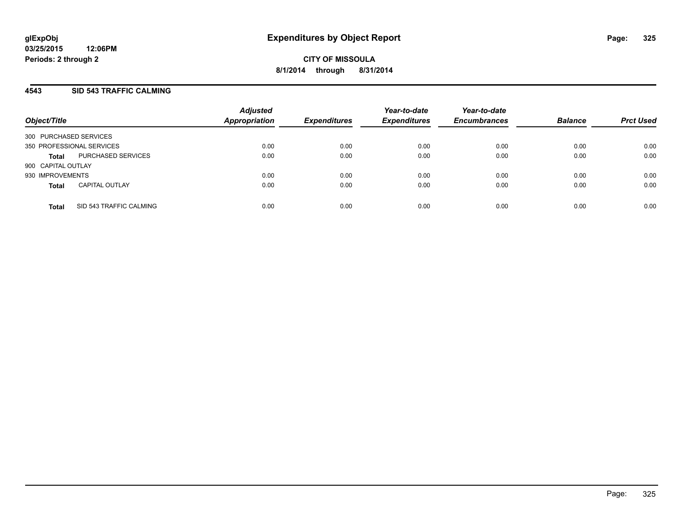## **4543 SID 543 TRAFFIC CALMING**

| Object/Title              |                         | <b>Adjusted</b><br><b>Appropriation</b> | <i><b>Expenditures</b></i> | Year-to-date<br><b>Expenditures</b> | Year-to-date<br><b>Encumbrances</b> | <b>Balance</b> | <b>Prct Used</b> |
|---------------------------|-------------------------|-----------------------------------------|----------------------------|-------------------------------------|-------------------------------------|----------------|------------------|
| 300 PURCHASED SERVICES    |                         |                                         |                            |                                     |                                     |                |                  |
| 350 PROFESSIONAL SERVICES |                         | 0.00                                    | 0.00                       | 0.00                                | 0.00                                | 0.00           | 0.00             |
| <b>Total</b>              | PURCHASED SERVICES      | 0.00                                    | 0.00                       | 0.00                                | 0.00                                | 0.00           | 0.00             |
| 900 CAPITAL OUTLAY        |                         |                                         |                            |                                     |                                     |                |                  |
| 930 IMPROVEMENTS          |                         | 0.00                                    | 0.00                       | 0.00                                | 0.00                                | 0.00           | 0.00             |
| <b>Total</b>              | <b>CAPITAL OUTLAY</b>   | 0.00                                    | 0.00                       | 0.00                                | 0.00                                | 0.00           | 0.00             |
| <b>Total</b>              | SID 543 TRAFFIC CALMING | 0.00                                    | 0.00                       | 0.00                                | 0.00                                | 0.00           | 0.00             |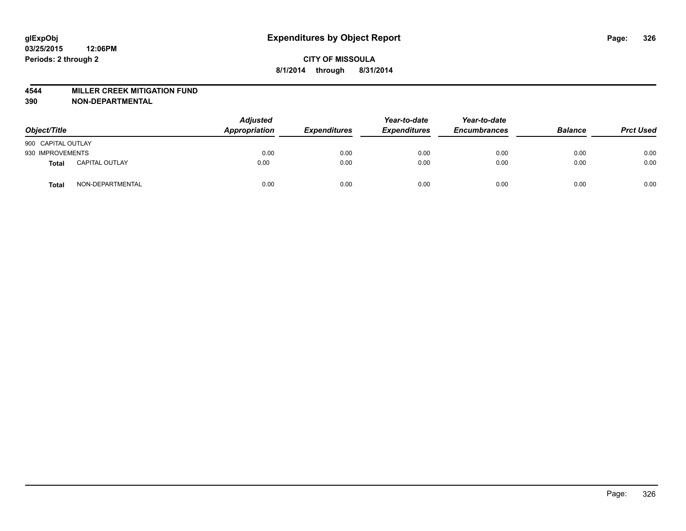#### **4544 MILLER CREEK MITIGATION FUND**

| Object/Title       |                       | <b>Adjusted</b><br>Appropriation | <b>Expenditures</b> | Year-to-date<br><b>Expenditures</b> | Year-to-date<br><b>Encumbrances</b> | <b>Balance</b> | <b>Prct Used</b> |
|--------------------|-----------------------|----------------------------------|---------------------|-------------------------------------|-------------------------------------|----------------|------------------|
| 900 CAPITAL OUTLAY |                       |                                  |                     |                                     |                                     |                |                  |
| 930 IMPROVEMENTS   |                       | 0.00                             | 0.00                | 0.00                                | 0.00                                | 0.00           | 0.00             |
| Total              | <b>CAPITAL OUTLAY</b> | 0.00                             | 0.00                | 0.00                                | 0.00                                | 0.00           | 0.00             |
| Total              | NON-DEPARTMENTAL      | 0.00                             | 0.00                | 0.00                                | 0.00                                | 0.00           | 0.00             |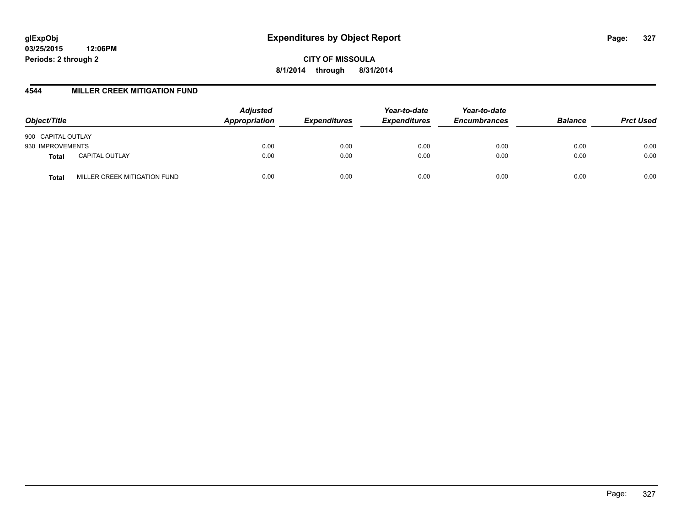**CITY OF MISSOULA 8/1/2014 through 8/31/2014**

### **4544 MILLER CREEK MITIGATION FUND**

| Object/Title                          | <b>Adjusted</b><br>Appropriation | <b>Expenditures</b> | Year-to-date<br><b>Expenditures</b> | Year-to-date<br><b>Encumbrances</b> | <b>Balance</b> | <b>Prct Used</b> |
|---------------------------------------|----------------------------------|---------------------|-------------------------------------|-------------------------------------|----------------|------------------|
| 900 CAPITAL OUTLAY                    |                                  |                     |                                     |                                     |                |                  |
| 930 IMPROVEMENTS                      | 0.00                             | 0.00                | 0.00                                | 0.00                                | 0.00           | 0.00             |
| <b>CAPITAL OUTLAY</b><br><b>Total</b> | 0.00                             | 0.00                | 0.00                                | 0.00                                | 0.00           | 0.00             |
| MILLER CREEK MITIGATION FUND<br>Total | 0.00                             | 0.00                | 0.00                                | 0.00                                | 0.00           | 0.00             |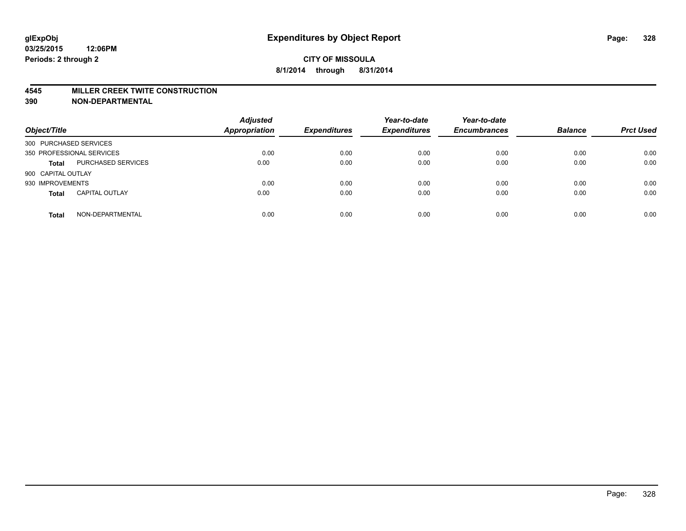#### **4545 MILLER CREEK TWITE CONSTRUCTION**

| Object/Title              |                       | <b>Adjusted</b><br><b>Appropriation</b> | <b>Expenditures</b> | Year-to-date<br><b>Expenditures</b> | Year-to-date<br><b>Encumbrances</b> | <b>Balance</b> | <b>Prct Used</b> |
|---------------------------|-----------------------|-----------------------------------------|---------------------|-------------------------------------|-------------------------------------|----------------|------------------|
| 300 PURCHASED SERVICES    |                       |                                         |                     |                                     |                                     |                |                  |
| 350 PROFESSIONAL SERVICES |                       | 0.00                                    | 0.00                | 0.00                                | 0.00                                | 0.00           | 0.00             |
| <b>Total</b>              | PURCHASED SERVICES    | 0.00                                    | 0.00                | 0.00                                | 0.00                                | 0.00           | 0.00             |
| 900 CAPITAL OUTLAY        |                       |                                         |                     |                                     |                                     |                |                  |
| 930 IMPROVEMENTS          |                       | 0.00                                    | 0.00                | 0.00                                | 0.00                                | 0.00           | 0.00             |
| <b>Total</b>              | <b>CAPITAL OUTLAY</b> | 0.00                                    | 0.00                | 0.00                                | 0.00                                | 0.00           | 0.00             |
| <b>Total</b>              | NON-DEPARTMENTAL      | 0.00                                    | 0.00                | 0.00                                | 0.00                                | 0.00           | 0.00             |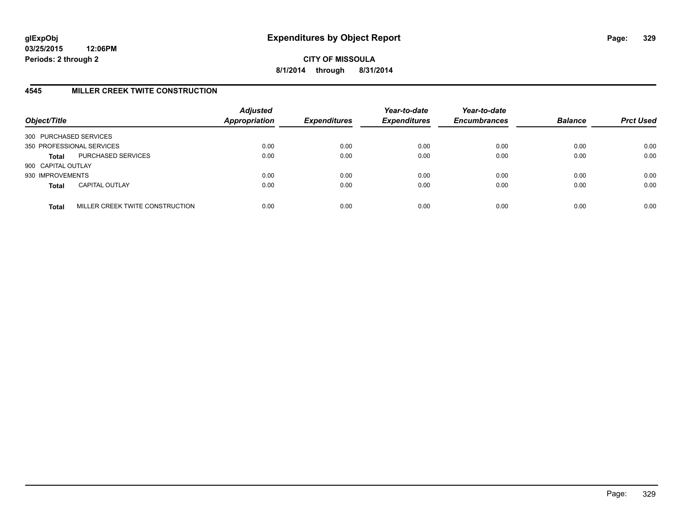**CITY OF MISSOULA 8/1/2014 through 8/31/2014**

## **4545 MILLER CREEK TWITE CONSTRUCTION**

| Object/Title           |                                 | <b>Adjusted</b><br><b>Appropriation</b> | <b>Expenditures</b> | Year-to-date<br><b>Expenditures</b> | Year-to-date<br><b>Encumbrances</b> | <b>Balance</b> | <b>Prct Used</b> |
|------------------------|---------------------------------|-----------------------------------------|---------------------|-------------------------------------|-------------------------------------|----------------|------------------|
| 300 PURCHASED SERVICES |                                 |                                         |                     |                                     |                                     |                |                  |
|                        | 350 PROFESSIONAL SERVICES       | 0.00                                    | 0.00                | 0.00                                | 0.00                                | 0.00           | 0.00             |
| <b>Total</b>           | PURCHASED SERVICES              | 0.00                                    | 0.00                | 0.00                                | 0.00                                | 0.00           | 0.00             |
| 900 CAPITAL OUTLAY     |                                 |                                         |                     |                                     |                                     |                |                  |
| 930 IMPROVEMENTS       |                                 | 0.00                                    | 0.00                | 0.00                                | 0.00                                | 0.00           | 0.00             |
| <b>Total</b>           | <b>CAPITAL OUTLAY</b>           | 0.00                                    | 0.00                | 0.00                                | 0.00                                | 0.00           | 0.00             |
| <b>Total</b>           | MILLER CREEK TWITE CONSTRUCTION | 0.00                                    | 0.00                | 0.00                                | 0.00                                | 0.00           | 0.00             |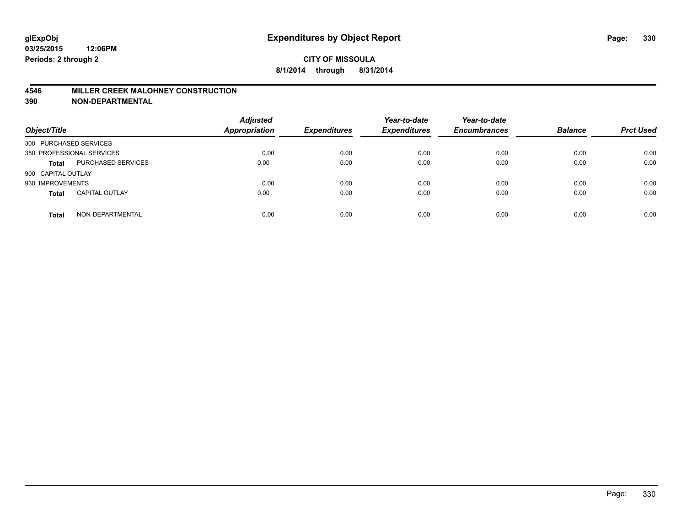#### **4546 MILLER CREEK MALOHNEY CONSTRUCTION**

| Object/Title           |                           | <b>Adjusted</b><br><b>Appropriation</b> | <b>Expenditures</b> | Year-to-date<br><b>Expenditures</b> | Year-to-date<br><b>Encumbrances</b> | <b>Balance</b> | <b>Prct Used</b> |
|------------------------|---------------------------|-----------------------------------------|---------------------|-------------------------------------|-------------------------------------|----------------|------------------|
| 300 PURCHASED SERVICES |                           |                                         |                     |                                     |                                     |                |                  |
|                        | 350 PROFESSIONAL SERVICES | 0.00                                    | 0.00                | 0.00                                | 0.00                                | 0.00           | 0.00             |
| <b>Total</b>           | PURCHASED SERVICES        | 0.00                                    | 0.00                | 0.00                                | 0.00                                | 0.00           | 0.00             |
| 900 CAPITAL OUTLAY     |                           |                                         |                     |                                     |                                     |                |                  |
| 930 IMPROVEMENTS       |                           | 0.00                                    | 0.00                | 0.00                                | 0.00                                | 0.00           | 0.00             |
| <b>Total</b>           | <b>CAPITAL OUTLAY</b>     | 0.00                                    | 0.00                | 0.00                                | 0.00                                | 0.00           | 0.00             |
| <b>Total</b>           | NON-DEPARTMENTAL          | 0.00                                    | 0.00                | 0.00                                | 0.00                                | 0.00           | 0.00             |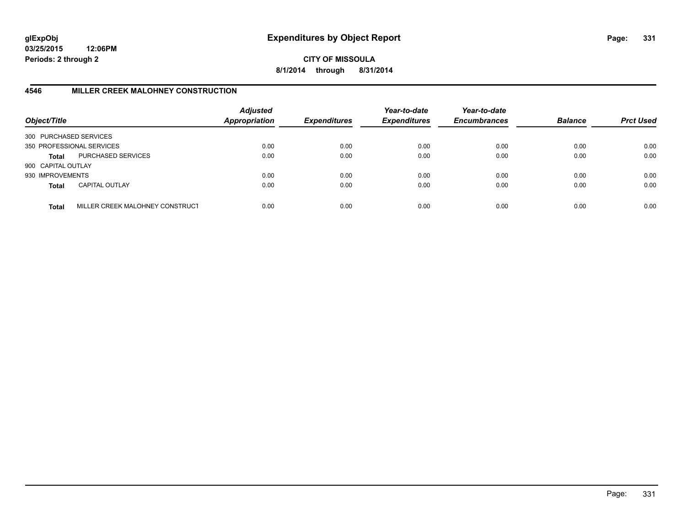**CITY OF MISSOULA 8/1/2014 through 8/31/2014**

# **4546 MILLER CREEK MALOHNEY CONSTRUCTION**

| Object/Title           |                                 | <b>Adjusted</b><br><b>Appropriation</b> | <b>Expenditures</b> | Year-to-date<br><b>Expenditures</b> | Year-to-date<br><b>Encumbrances</b> | <b>Balance</b> | <b>Prct Used</b> |
|------------------------|---------------------------------|-----------------------------------------|---------------------|-------------------------------------|-------------------------------------|----------------|------------------|
| 300 PURCHASED SERVICES |                                 |                                         |                     |                                     |                                     |                |                  |
|                        | 350 PROFESSIONAL SERVICES       | 0.00                                    | 0.00                | 0.00                                | 0.00                                | 0.00           | 0.00             |
| Total                  | PURCHASED SERVICES              | 0.00                                    | 0.00                | 0.00                                | 0.00                                | 0.00           | 0.00             |
| 900 CAPITAL OUTLAY     |                                 |                                         |                     |                                     |                                     |                |                  |
| 930 IMPROVEMENTS       |                                 | 0.00                                    | 0.00                | 0.00                                | 0.00                                | 0.00           | 0.00             |
| <b>Total</b>           | <b>CAPITAL OUTLAY</b>           | 0.00                                    | 0.00                | 0.00                                | 0.00                                | 0.00           | 0.00             |
| <b>Total</b>           | MILLER CREEK MALOHNEY CONSTRUCT | 0.00                                    | 0.00                | 0.00                                | 0.00                                | 0.00           | 0.00             |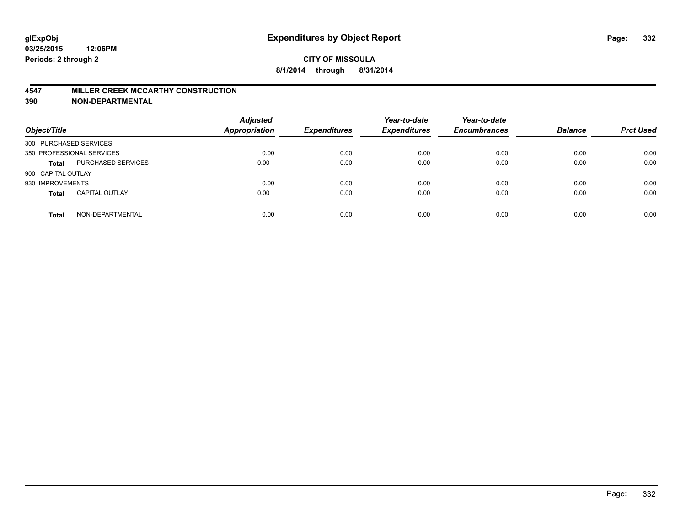#### **4547 MILLER CREEK MCCARTHY CONSTRUCTION**

| Object/Title           |                           | <b>Adjusted</b><br><b>Appropriation</b> | <b>Expenditures</b> | Year-to-date<br><b>Expenditures</b> | Year-to-date<br><b>Encumbrances</b> | <b>Balance</b> | <b>Prct Used</b> |
|------------------------|---------------------------|-----------------------------------------|---------------------|-------------------------------------|-------------------------------------|----------------|------------------|
| 300 PURCHASED SERVICES |                           |                                         |                     |                                     |                                     |                |                  |
|                        | 350 PROFESSIONAL SERVICES | 0.00                                    | 0.00                | 0.00                                | 0.00                                | 0.00           | 0.00             |
| <b>Total</b>           | PURCHASED SERVICES        | 0.00                                    | 0.00                | 0.00                                | 0.00                                | 0.00           | 0.00             |
| 900 CAPITAL OUTLAY     |                           |                                         |                     |                                     |                                     |                |                  |
| 930 IMPROVEMENTS       |                           | 0.00                                    | 0.00                | 0.00                                | 0.00                                | 0.00           | 0.00             |
| <b>Total</b>           | <b>CAPITAL OUTLAY</b>     | 0.00                                    | 0.00                | 0.00                                | 0.00                                | 0.00           | 0.00             |
| <b>Total</b>           | NON-DEPARTMENTAL          | 0.00                                    | 0.00                | 0.00                                | 0.00                                | 0.00           | 0.00             |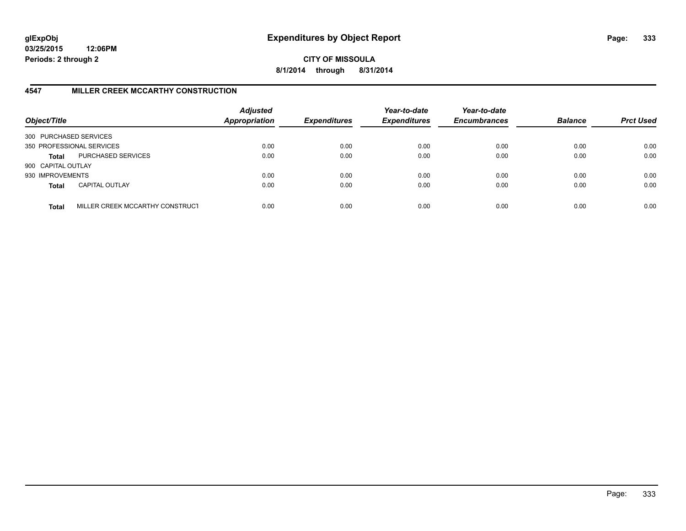**CITY OF MISSOULA 8/1/2014 through 8/31/2014**

# **4547 MILLER CREEK MCCARTHY CONSTRUCTION**

| Object/Title           |                                 | <b>Adjusted</b><br><b>Appropriation</b> | <b>Expenditures</b> | Year-to-date<br><b>Expenditures</b> | Year-to-date<br><b>Encumbrances</b> | <b>Balance</b> | <b>Prct Used</b> |
|------------------------|---------------------------------|-----------------------------------------|---------------------|-------------------------------------|-------------------------------------|----------------|------------------|
| 300 PURCHASED SERVICES |                                 |                                         |                     |                                     |                                     |                |                  |
|                        | 350 PROFESSIONAL SERVICES       | 0.00                                    | 0.00                | 0.00                                | 0.00                                | 0.00           | 0.00             |
| Total                  | PURCHASED SERVICES              | 0.00                                    | 0.00                | 0.00                                | 0.00                                | 0.00           | 0.00             |
| 900 CAPITAL OUTLAY     |                                 |                                         |                     |                                     |                                     |                |                  |
| 930 IMPROVEMENTS       |                                 | 0.00                                    | 0.00                | 0.00                                | 0.00                                | 0.00           | 0.00             |
| <b>Total</b>           | <b>CAPITAL OUTLAY</b>           | 0.00                                    | 0.00                | 0.00                                | 0.00                                | 0.00           | 0.00             |
| <b>Total</b>           | MILLER CREEK MCCARTHY CONSTRUCT | 0.00                                    | 0.00                | 0.00                                | 0.00                                | 0.00           | 0.00             |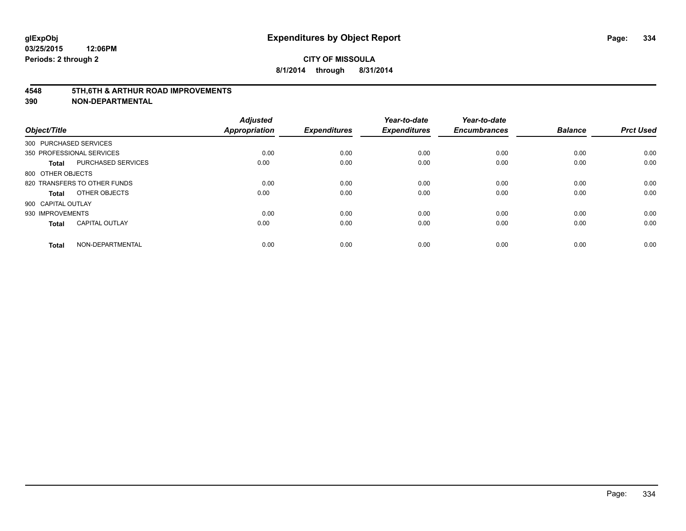#### **4548 5TH,6TH & ARTHUR ROAD IMPROVEMENTS**

| Object/Title                              | <b>Adjusted</b><br><b>Appropriation</b> | <b>Expenditures</b> | Year-to-date<br><b>Expenditures</b> | Year-to-date<br><b>Encumbrances</b> | <b>Balance</b> | <b>Prct Used</b> |
|-------------------------------------------|-----------------------------------------|---------------------|-------------------------------------|-------------------------------------|----------------|------------------|
| 300 PURCHASED SERVICES                    |                                         |                     |                                     |                                     |                |                  |
| 350 PROFESSIONAL SERVICES                 | 0.00                                    | 0.00                | 0.00                                | 0.00                                | 0.00           | 0.00             |
| <b>PURCHASED SERVICES</b><br><b>Total</b> | 0.00                                    | 0.00                | 0.00                                | 0.00                                | 0.00           | 0.00             |
| 800 OTHER OBJECTS                         |                                         |                     |                                     |                                     |                |                  |
| 820 TRANSFERS TO OTHER FUNDS              | 0.00                                    | 0.00                | 0.00                                | 0.00                                | 0.00           | 0.00             |
| OTHER OBJECTS<br>Total                    | 0.00                                    | 0.00                | 0.00                                | 0.00                                | 0.00           | 0.00             |
| 900 CAPITAL OUTLAY                        |                                         |                     |                                     |                                     |                |                  |
| 930 IMPROVEMENTS                          | 0.00                                    | 0.00                | 0.00                                | 0.00                                | 0.00           | 0.00             |
| <b>CAPITAL OUTLAY</b><br>Total            | 0.00                                    | 0.00                | 0.00                                | 0.00                                | 0.00           | 0.00             |
|                                           |                                         |                     |                                     |                                     |                |                  |
| NON-DEPARTMENTAL<br><b>Total</b>          | 0.00                                    | 0.00                | 0.00                                | 0.00                                | 0.00           | 0.00             |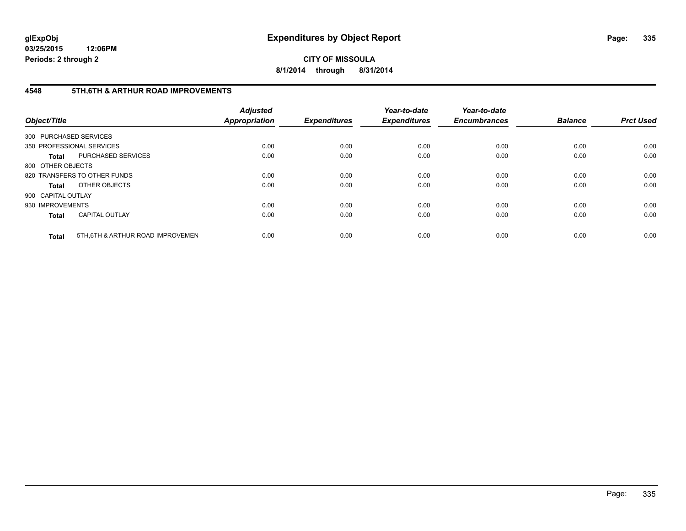**CITY OF MISSOULA 8/1/2014 through 8/31/2014**

# **4548 5TH,6TH & ARTHUR ROAD IMPROVEMENTS**

| Object/Title           |                                  | <b>Adjusted</b><br><b>Appropriation</b> | <b>Expenditures</b> | Year-to-date<br><b>Expenditures</b> | Year-to-date<br><b>Encumbrances</b> | <b>Balance</b> | <b>Prct Used</b> |
|------------------------|----------------------------------|-----------------------------------------|---------------------|-------------------------------------|-------------------------------------|----------------|------------------|
| 300 PURCHASED SERVICES |                                  |                                         |                     |                                     |                                     |                |                  |
|                        | 350 PROFESSIONAL SERVICES        | 0.00                                    | 0.00                | 0.00                                | 0.00                                | 0.00           | 0.00             |
| Total                  | <b>PURCHASED SERVICES</b>        | 0.00                                    | 0.00                | 0.00                                | 0.00                                | 0.00           | 0.00             |
| 800 OTHER OBJECTS      |                                  |                                         |                     |                                     |                                     |                |                  |
|                        | 820 TRANSFERS TO OTHER FUNDS     | 0.00                                    | 0.00                | 0.00                                | 0.00                                | 0.00           | 0.00             |
| Total                  | OTHER OBJECTS                    | 0.00                                    | 0.00                | 0.00                                | 0.00                                | 0.00           | 0.00             |
| 900 CAPITAL OUTLAY     |                                  |                                         |                     |                                     |                                     |                |                  |
| 930 IMPROVEMENTS       |                                  | 0.00                                    | 0.00                | 0.00                                | 0.00                                | 0.00           | 0.00             |
| <b>Total</b>           | <b>CAPITAL OUTLAY</b>            | 0.00                                    | 0.00                | 0.00                                | 0.00                                | 0.00           | 0.00             |
| <b>Total</b>           | 5TH.6TH & ARTHUR ROAD IMPROVEMEN | 0.00                                    | 0.00                | 0.00                                | 0.00                                | 0.00           | 0.00             |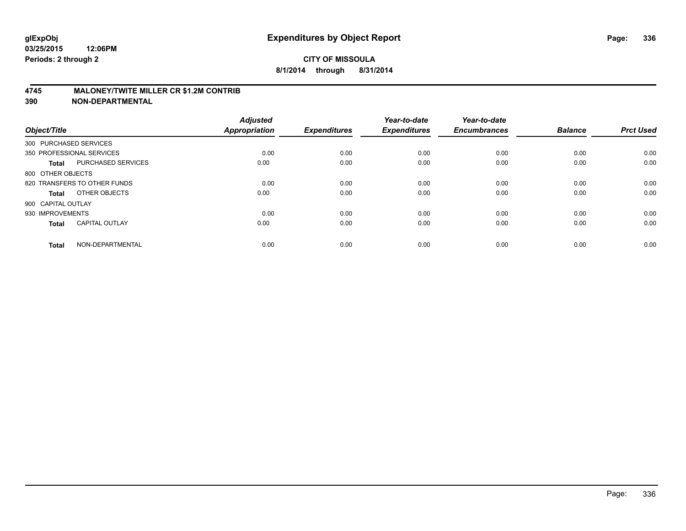## **4745 MALONEY/TWITE MILLER CR \$1.2M CONTRIB**

| Object/Title                 |                           | <b>Adjusted</b><br><b>Appropriation</b> | <b>Expenditures</b> | Year-to-date<br><b>Expenditures</b> | Year-to-date<br><b>Encumbrances</b> | <b>Balance</b> | <b>Prct Used</b> |
|------------------------------|---------------------------|-----------------------------------------|---------------------|-------------------------------------|-------------------------------------|----------------|------------------|
| 300 PURCHASED SERVICES       |                           |                                         |                     |                                     |                                     |                |                  |
| 350 PROFESSIONAL SERVICES    |                           | 0.00                                    | 0.00                | 0.00                                | 0.00                                | 0.00           | 0.00             |
| <b>Total</b>                 | <b>PURCHASED SERVICES</b> | 0.00                                    | 0.00                | 0.00                                | 0.00                                | 0.00           | 0.00             |
| 800 OTHER OBJECTS            |                           |                                         |                     |                                     |                                     |                |                  |
| 820 TRANSFERS TO OTHER FUNDS |                           | 0.00                                    | 0.00                | 0.00                                | 0.00                                | 0.00           | 0.00             |
| Total                        | OTHER OBJECTS             | 0.00                                    | 0.00                | 0.00                                | 0.00                                | 0.00           | 0.00             |
| 900 CAPITAL OUTLAY           |                           |                                         |                     |                                     |                                     |                |                  |
| 930 IMPROVEMENTS             |                           | 0.00                                    | 0.00                | 0.00                                | 0.00                                | 0.00           | 0.00             |
| <b>Total</b>                 | <b>CAPITAL OUTLAY</b>     | 0.00                                    | 0.00                | 0.00                                | 0.00                                | 0.00           | 0.00             |
| <b>Total</b>                 | NON-DEPARTMENTAL          | 0.00                                    | 0.00                | 0.00                                | 0.00                                | 0.00           | 0.00             |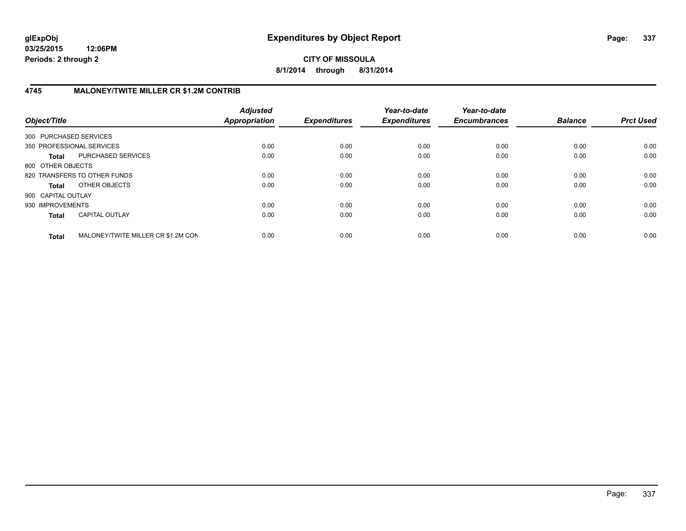**CITY OF MISSOULA 8/1/2014 through 8/31/2014**

# **4745 MALONEY/TWITE MILLER CR \$1.2M CONTRIB**

| Object/Title           |                                    | <b>Adjusted</b><br>Appropriation | <b>Expenditures</b> | Year-to-date<br><b>Expenditures</b> | Year-to-date<br><b>Encumbrances</b> | <b>Balance</b> | <b>Prct Used</b> |
|------------------------|------------------------------------|----------------------------------|---------------------|-------------------------------------|-------------------------------------|----------------|------------------|
| 300 PURCHASED SERVICES |                                    |                                  |                     |                                     |                                     |                |                  |
|                        | 350 PROFESSIONAL SERVICES          | 0.00                             | 0.00                | 0.00                                | 0.00                                | 0.00           | 0.00             |
| <b>Total</b>           | PURCHASED SERVICES                 | 0.00                             | 0.00                | 0.00                                | 0.00                                | 0.00           | 0.00             |
| 800 OTHER OBJECTS      |                                    |                                  |                     |                                     |                                     |                |                  |
|                        | 820 TRANSFERS TO OTHER FUNDS       | 0.00                             | 0.00                | 0.00                                | 0.00                                | 0.00           | 0.00             |
| <b>Total</b>           | OTHER OBJECTS                      | 0.00                             | 0.00                | 0.00                                | 0.00                                | 0.00           | 0.00             |
| 900 CAPITAL OUTLAY     |                                    |                                  |                     |                                     |                                     |                |                  |
| 930 IMPROVEMENTS       |                                    | 0.00                             | 0.00                | 0.00                                | 0.00                                | 0.00           | 0.00             |
| <b>Total</b>           | <b>CAPITAL OUTLAY</b>              | 0.00                             | 0.00                | 0.00                                | 0.00                                | 0.00           | 0.00             |
| <b>Total</b>           | MALONEY/TWITE MILLER CR \$1.2M CON | 0.00                             | 0.00                | 0.00                                | 0.00                                | 0.00           | 0.00             |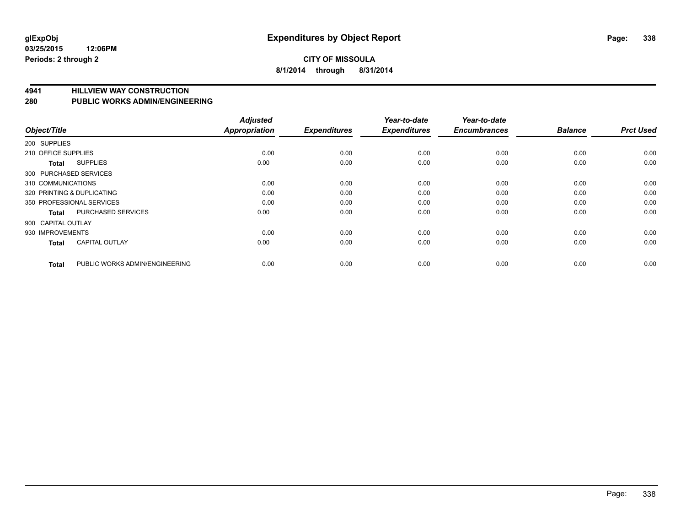**4941 HILLVIEW WAY CONSTRUCTION**

**280 PUBLIC WORKS ADMIN/ENGINEERING**

| Object/Title               |                                | <b>Adjusted</b><br><b>Appropriation</b> | <b>Expenditures</b> | Year-to-date<br><b>Expenditures</b> | Year-to-date<br><b>Encumbrances</b> | <b>Balance</b> | <b>Prct Used</b> |
|----------------------------|--------------------------------|-----------------------------------------|---------------------|-------------------------------------|-------------------------------------|----------------|------------------|
| 200 SUPPLIES               |                                |                                         |                     |                                     |                                     |                |                  |
| 210 OFFICE SUPPLIES        |                                | 0.00                                    | 0.00                | 0.00                                | 0.00                                | 0.00           | 0.00             |
| <b>Total</b>               | <b>SUPPLIES</b>                | 0.00                                    | 0.00                | 0.00                                | 0.00                                | 0.00           | 0.00             |
| 300 PURCHASED SERVICES     |                                |                                         |                     |                                     |                                     |                |                  |
| 310 COMMUNICATIONS         |                                | 0.00                                    | 0.00                | 0.00                                | 0.00                                | 0.00           | 0.00             |
| 320 PRINTING & DUPLICATING |                                | 0.00                                    | 0.00                | 0.00                                | 0.00                                | 0.00           | 0.00             |
| 350 PROFESSIONAL SERVICES  |                                | 0.00                                    | 0.00                | 0.00                                | 0.00                                | 0.00           | 0.00             |
| <b>Total</b>               | <b>PURCHASED SERVICES</b>      | 0.00                                    | 0.00                | 0.00                                | 0.00                                | 0.00           | 0.00             |
| 900 CAPITAL OUTLAY         |                                |                                         |                     |                                     |                                     |                |                  |
| 930 IMPROVEMENTS           |                                | 0.00                                    | 0.00                | 0.00                                | 0.00                                | 0.00           | 0.00             |
| <b>Total</b>               | <b>CAPITAL OUTLAY</b>          | 0.00                                    | 0.00                | 0.00                                | 0.00                                | 0.00           | 0.00             |
| <b>Total</b>               | PUBLIC WORKS ADMIN/ENGINEERING | 0.00                                    | 0.00                | 0.00                                | 0.00                                | 0.00           | 0.00             |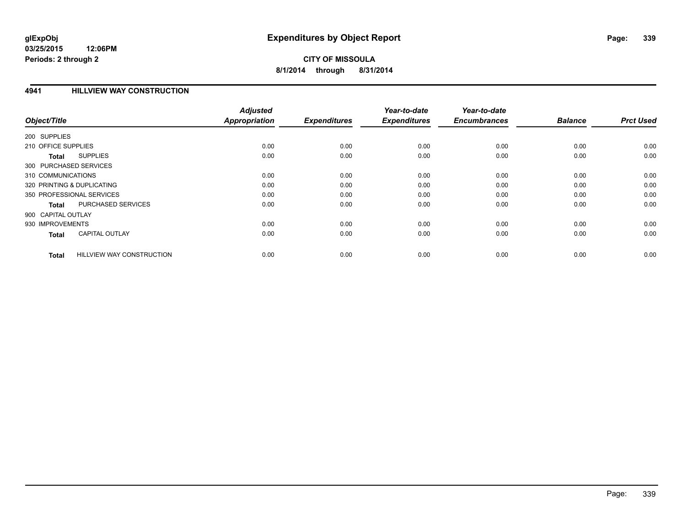## **4941 HILLVIEW WAY CONSTRUCTION**

| Object/Title                                     | <b>Adjusted</b><br><b>Appropriation</b> | <b>Expenditures</b> | Year-to-date<br><b>Expenditures</b> | Year-to-date<br><b>Encumbrances</b> | <b>Balance</b> | <b>Prct Used</b> |
|--------------------------------------------------|-----------------------------------------|---------------------|-------------------------------------|-------------------------------------|----------------|------------------|
| 200 SUPPLIES                                     |                                         |                     |                                     |                                     |                |                  |
| 210 OFFICE SUPPLIES                              | 0.00                                    | 0.00                | 0.00                                | 0.00                                | 0.00           | 0.00             |
| <b>SUPPLIES</b><br><b>Total</b>                  | 0.00                                    | 0.00                | 0.00                                | 0.00                                | 0.00           | 0.00             |
| 300 PURCHASED SERVICES                           |                                         |                     |                                     |                                     |                |                  |
| 310 COMMUNICATIONS                               | 0.00                                    | 0.00                | 0.00                                | 0.00                                | 0.00           | 0.00             |
| 320 PRINTING & DUPLICATING                       | 0.00                                    | 0.00                | 0.00                                | 0.00                                | 0.00           | 0.00             |
| 350 PROFESSIONAL SERVICES                        | 0.00                                    | 0.00                | 0.00                                | 0.00                                | 0.00           | 0.00             |
| PURCHASED SERVICES<br><b>Total</b>               | 0.00                                    | 0.00                | 0.00                                | 0.00                                | 0.00           | 0.00             |
| 900 CAPITAL OUTLAY                               |                                         |                     |                                     |                                     |                |                  |
| 930 IMPROVEMENTS                                 | 0.00                                    | 0.00                | 0.00                                | 0.00                                | 0.00           | 0.00             |
| <b>CAPITAL OUTLAY</b><br><b>Total</b>            | 0.00                                    | 0.00                | 0.00                                | 0.00                                | 0.00           | 0.00             |
| <b>HILLVIEW WAY CONSTRUCTION</b><br><b>Total</b> | 0.00                                    | 0.00                | 0.00                                | 0.00                                | 0.00           | 0.00             |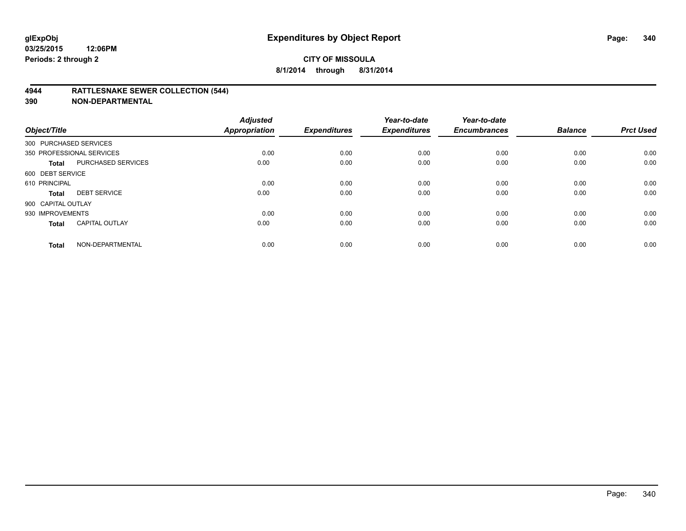## **4944 RATTLESNAKE SEWER COLLECTION (544)**

| Object/Title           |                           | <b>Adjusted</b><br><b>Appropriation</b> | <b>Expenditures</b> | Year-to-date<br><b>Expenditures</b> | Year-to-date<br><b>Encumbrances</b> | <b>Balance</b> | <b>Prct Used</b> |
|------------------------|---------------------------|-----------------------------------------|---------------------|-------------------------------------|-------------------------------------|----------------|------------------|
| 300 PURCHASED SERVICES |                           |                                         |                     |                                     |                                     |                |                  |
|                        | 350 PROFESSIONAL SERVICES | 0.00                                    | 0.00                | 0.00                                | 0.00                                | 0.00           | 0.00             |
| <b>Total</b>           | <b>PURCHASED SERVICES</b> | 0.00                                    | 0.00                | 0.00                                | 0.00                                | 0.00           | 0.00             |
| 600 DEBT SERVICE       |                           |                                         |                     |                                     |                                     |                |                  |
| 610 PRINCIPAL          |                           | 0.00                                    | 0.00                | 0.00                                | 0.00                                | 0.00           | 0.00             |
| <b>Total</b>           | <b>DEBT SERVICE</b>       | 0.00                                    | 0.00                | 0.00                                | 0.00                                | 0.00           | 0.00             |
| 900 CAPITAL OUTLAY     |                           |                                         |                     |                                     |                                     |                |                  |
| 930 IMPROVEMENTS       |                           | 0.00                                    | 0.00                | 0.00                                | 0.00                                | 0.00           | 0.00             |
| Total                  | <b>CAPITAL OUTLAY</b>     | 0.00                                    | 0.00                | 0.00                                | 0.00                                | 0.00           | 0.00             |
| <b>Total</b>           | NON-DEPARTMENTAL          | 0.00                                    | 0.00                | 0.00                                | 0.00                                | 0.00           | 0.00             |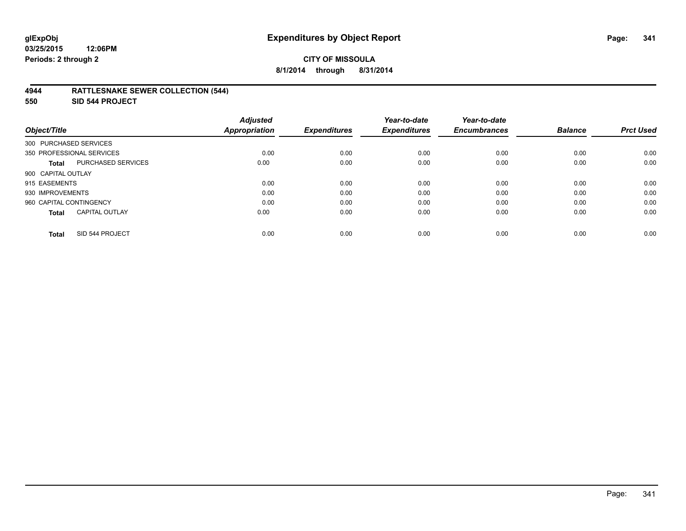# **CITY OF MISSOULA 8/1/2014 through 8/31/2014**

## **4944 RATTLESNAKE SEWER COLLECTION (544)**

**550 SID 544 PROJECT**

|                                       | <b>Adjusted</b> |                     | Year-to-date        | Year-to-date        |                |                  |
|---------------------------------------|-----------------|---------------------|---------------------|---------------------|----------------|------------------|
| Object/Title                          | Appropriation   | <b>Expenditures</b> | <b>Expenditures</b> | <b>Encumbrances</b> | <b>Balance</b> | <b>Prct Used</b> |
| 300 PURCHASED SERVICES                |                 |                     |                     |                     |                |                  |
| 350 PROFESSIONAL SERVICES             | 0.00            | 0.00                | 0.00                | 0.00                | 0.00           | 0.00             |
| <b>PURCHASED SERVICES</b><br>Total    | 0.00            | 0.00                | 0.00                | 0.00                | 0.00           | 0.00             |
| 900 CAPITAL OUTLAY                    |                 |                     |                     |                     |                |                  |
| 915 EASEMENTS                         | 0.00            | 0.00                | 0.00                | 0.00                | 0.00           | 0.00             |
| 930 IMPROVEMENTS                      | 0.00            | 0.00                | 0.00                | 0.00                | 0.00           | 0.00             |
| 960 CAPITAL CONTINGENCY               | 0.00            | 0.00                | 0.00                | 0.00                | 0.00           | 0.00             |
| <b>CAPITAL OUTLAY</b><br><b>Total</b> | 0.00            | 0.00                | 0.00                | 0.00                | 0.00           | 0.00             |
| SID 544 PROJECT<br><b>Total</b>       | 0.00            | 0.00                | 0.00                | 0.00                | 0.00           | 0.00             |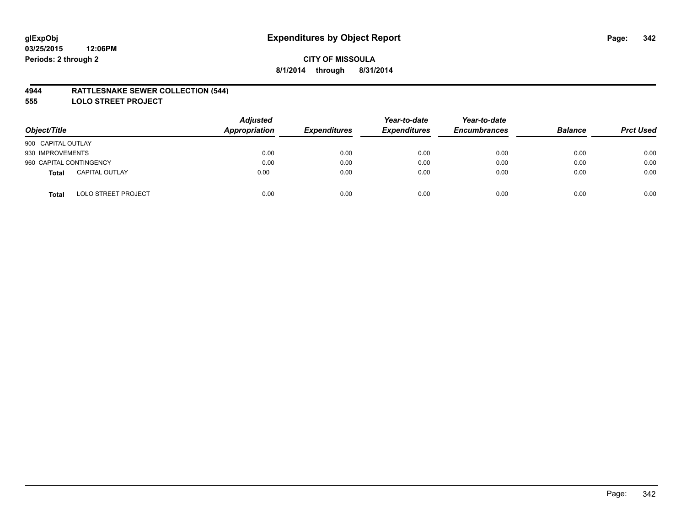## **4944 RATTLESNAKE SEWER COLLECTION (544)**

**555 LOLO STREET PROJECT**

| Object/Title                          | <b>Adjusted</b><br>Appropriation | <b>Expenditures</b> | Year-to-date<br><b>Expenditures</b> | Year-to-date<br><b>Encumbrances</b> | <b>Balance</b> | <b>Prct Used</b> |
|---------------------------------------|----------------------------------|---------------------|-------------------------------------|-------------------------------------|----------------|------------------|
| 900 CAPITAL OUTLAY                    |                                  |                     |                                     |                                     |                |                  |
| 930 IMPROVEMENTS                      | 0.00                             | 0.00                | 0.00                                | 0.00                                | 0.00           | 0.00             |
| 960 CAPITAL CONTINGENCY               | 0.00                             | 0.00                | 0.00                                | 0.00                                | 0.00           | 0.00             |
| <b>CAPITAL OUTLAY</b><br><b>Total</b> | 0.00                             | 0.00                | 0.00                                | 0.00                                | 0.00           | 0.00             |
| <b>LOLO STREET PROJECT</b><br>Total   | 0.00                             | 0.00                | 0.00                                | 0.00                                | 0.00           | 0.00             |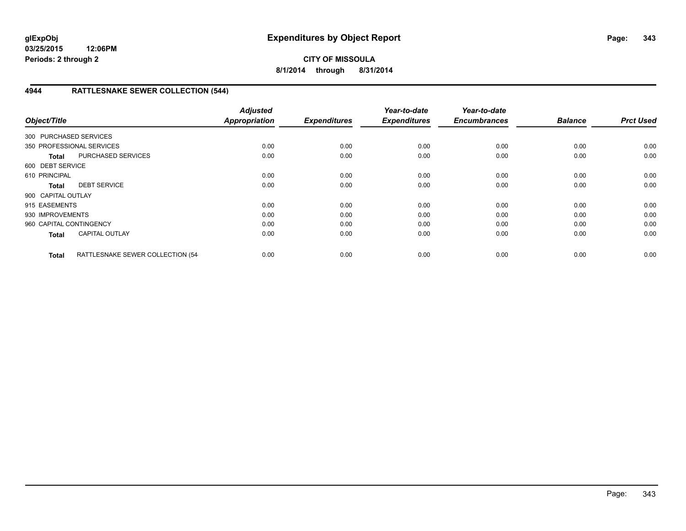# **CITY OF MISSOULA 8/1/2014 through 8/31/2014**

# **4944 RATTLESNAKE SEWER COLLECTION (544)**

| Object/Title            |                                  | <b>Adjusted</b><br><b>Appropriation</b> | <b>Expenditures</b> | Year-to-date<br><b>Expenditures</b> | Year-to-date<br><b>Encumbrances</b> | <b>Balance</b> | <b>Prct Used</b> |
|-------------------------|----------------------------------|-----------------------------------------|---------------------|-------------------------------------|-------------------------------------|----------------|------------------|
| 300 PURCHASED SERVICES  |                                  |                                         |                     |                                     |                                     |                |                  |
|                         | 350 PROFESSIONAL SERVICES        | 0.00                                    | 0.00                | 0.00                                | 0.00                                | 0.00           | 0.00             |
| <b>Total</b>            | <b>PURCHASED SERVICES</b>        | 0.00                                    | 0.00                | 0.00                                | 0.00                                | 0.00           | 0.00             |
| 600 DEBT SERVICE        |                                  |                                         |                     |                                     |                                     |                |                  |
| 610 PRINCIPAL           |                                  | 0.00                                    | 0.00                | 0.00                                | 0.00                                | 0.00           | 0.00             |
| <b>Total</b>            | <b>DEBT SERVICE</b>              | 0.00                                    | 0.00                | 0.00                                | 0.00                                | 0.00           | 0.00             |
| 900 CAPITAL OUTLAY      |                                  |                                         |                     |                                     |                                     |                |                  |
| 915 EASEMENTS           |                                  | 0.00                                    | 0.00                | 0.00                                | 0.00                                | 0.00           | 0.00             |
| 930 IMPROVEMENTS        |                                  | 0.00                                    | 0.00                | 0.00                                | 0.00                                | 0.00           | 0.00             |
| 960 CAPITAL CONTINGENCY |                                  | 0.00                                    | 0.00                | 0.00                                | 0.00                                | 0.00           | 0.00             |
| <b>Total</b>            | <b>CAPITAL OUTLAY</b>            | 0.00                                    | 0.00                | 0.00                                | 0.00                                | 0.00           | 0.00             |
| <b>Total</b>            | RATTLESNAKE SEWER COLLECTION (54 | 0.00                                    | 0.00                | 0.00                                | 0.00                                | 0.00           | 0.00             |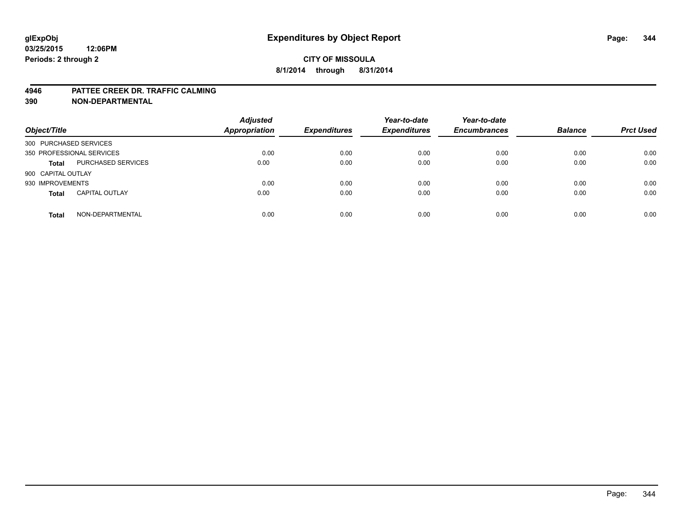#### **4946 PATTEE CREEK DR. TRAFFIC CALMING**

| Object/Title              |                           | <b>Adjusted</b><br><b>Appropriation</b> | <b>Expenditures</b> | Year-to-date<br><b>Expenditures</b> | Year-to-date<br><b>Encumbrances</b> | <b>Balance</b> | <b>Prct Used</b> |
|---------------------------|---------------------------|-----------------------------------------|---------------------|-------------------------------------|-------------------------------------|----------------|------------------|
| 300 PURCHASED SERVICES    |                           |                                         |                     |                                     |                                     |                |                  |
| 350 PROFESSIONAL SERVICES |                           | 0.00                                    | 0.00                | 0.00                                | 0.00                                | 0.00           | 0.00             |
| <b>Total</b>              | <b>PURCHASED SERVICES</b> | 0.00                                    | 0.00                | 0.00                                | 0.00                                | 0.00           | 0.00             |
| 900 CAPITAL OUTLAY        |                           |                                         |                     |                                     |                                     |                |                  |
| 930 IMPROVEMENTS          |                           | 0.00                                    | 0.00                | 0.00                                | 0.00                                | 0.00           | 0.00             |
| <b>Total</b>              | <b>CAPITAL OUTLAY</b>     | 0.00                                    | 0.00                | 0.00                                | 0.00                                | 0.00           | 0.00             |
| <b>Total</b>              | NON-DEPARTMENTAL          | 0.00                                    | 0.00                | 0.00                                | 0.00                                | 0.00           | 0.00             |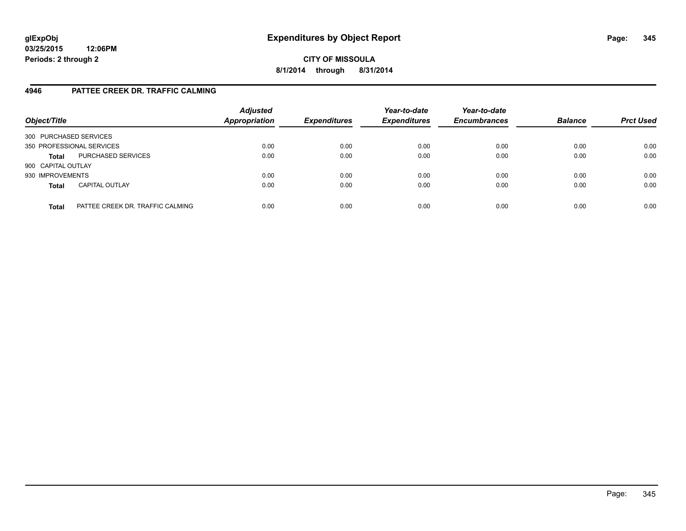# **CITY OF MISSOULA 8/1/2014 through 8/31/2014**

# **4946 PATTEE CREEK DR. TRAFFIC CALMING**

| Object/Title           |                                  | <b>Adjusted</b><br><b>Appropriation</b> | <b>Expenditures</b> | Year-to-date<br><b>Expenditures</b> | Year-to-date<br><b>Encumbrances</b> | <b>Balance</b> | <b>Prct Used</b> |
|------------------------|----------------------------------|-----------------------------------------|---------------------|-------------------------------------|-------------------------------------|----------------|------------------|
| 300 PURCHASED SERVICES |                                  |                                         |                     |                                     |                                     |                |                  |
|                        | 350 PROFESSIONAL SERVICES        | 0.00                                    | 0.00                | 0.00                                | 0.00                                | 0.00           | 0.00             |
| <b>Total</b>           | PURCHASED SERVICES               | 0.00                                    | 0.00                | 0.00                                | 0.00                                | 0.00           | 0.00             |
| 900 CAPITAL OUTLAY     |                                  |                                         |                     |                                     |                                     |                |                  |
| 930 IMPROVEMENTS       |                                  | 0.00                                    | 0.00                | 0.00                                | 0.00                                | 0.00           | 0.00             |
| <b>Total</b>           | <b>CAPITAL OUTLAY</b>            | 0.00                                    | 0.00                | 0.00                                | 0.00                                | 0.00           | 0.00             |
| <b>Total</b>           | PATTEE CREEK DR. TRAFFIC CALMING | 0.00                                    | 0.00                | 0.00                                | 0.00                                | 0.00           | 0.00             |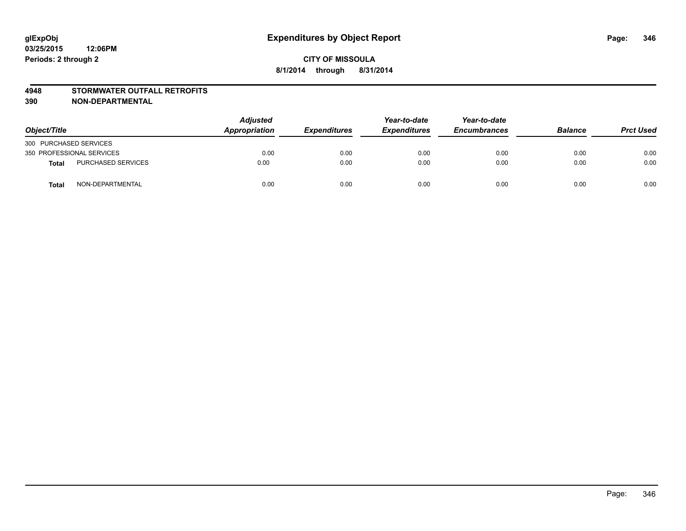### **4948 STORMWATER OUTFALL RETROFITS**

| Object/Title              |                           | Adjusted<br>Appropriation | <b>Expenditures</b> | Year-to-date<br><b>Expenditures</b> | Year-to-date<br><b>Encumbrances</b> | <b>Balance</b> | <b>Prct Used</b> |
|---------------------------|---------------------------|---------------------------|---------------------|-------------------------------------|-------------------------------------|----------------|------------------|
| 300 PURCHASED SERVICES    |                           |                           |                     |                                     |                                     |                |                  |
| 350 PROFESSIONAL SERVICES |                           | 0.00                      | 0.00                | 0.00                                | 0.00                                | 0.00           | 0.00             |
| <b>Total</b>              | <b>PURCHASED SERVICES</b> | 0.00                      | 0.00                | 0.00                                | 0.00                                | 0.00           | 0.00             |
| <b>Total</b>              | NON-DEPARTMENTAL          | 0.00                      | 0.00                | 0.00                                | 0.00                                | 0.00           | 0.00             |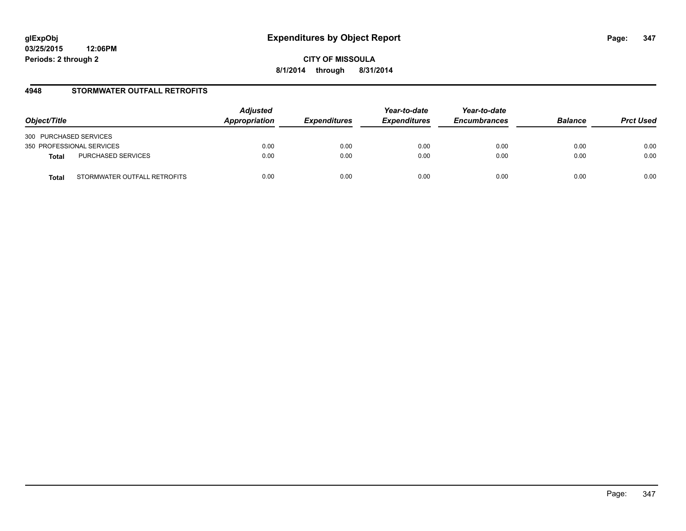**CITY OF MISSOULA 8/1/2014 through 8/31/2014**

## **4948 STORMWATER OUTFALL RETROFITS**

| Object/Title              |                              | <b>Adjusted</b><br>Appropriation | <i><b>Expenditures</b></i> | Year-to-date<br><b>Expenditures</b> | Year-to-date<br><b>Encumbrances</b> | <b>Balance</b> | <b>Prct Used</b> |
|---------------------------|------------------------------|----------------------------------|----------------------------|-------------------------------------|-------------------------------------|----------------|------------------|
| 300 PURCHASED SERVICES    |                              |                                  |                            |                                     |                                     |                |                  |
| 350 PROFESSIONAL SERVICES |                              | 0.00                             | 0.00                       | 0.00                                | 0.00                                | 0.00           | 0.00             |
| <b>Total</b>              | PURCHASED SERVICES           | 0.00                             | 0.00                       | 0.00                                | 0.00                                | 0.00           | 0.00             |
| <b>Total</b>              | STORMWATER OUTFALL RETROFITS | 0.00                             | 0.00                       | 0.00                                | 0.00                                | 0.00           | 0.00             |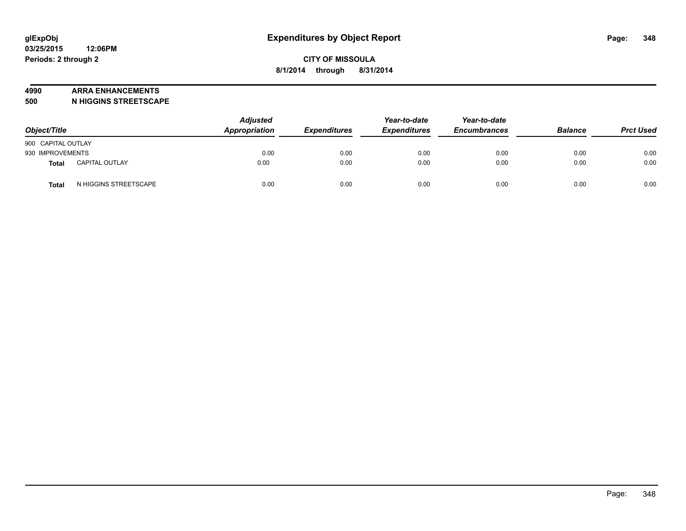#### **4990 ARRA ENHANCEMENTS**

**500 N HIGGINS STREETSCAPE**

| Object/Title       |                       | <b>Adjusted</b><br><b>Appropriation</b> | <b>Expenditures</b> | Year-to-date<br><b>Expenditures</b> | Year-to-date<br><b>Encumbrances</b> | <b>Balance</b> | <b>Prct Used</b> |
|--------------------|-----------------------|-----------------------------------------|---------------------|-------------------------------------|-------------------------------------|----------------|------------------|
| 900 CAPITAL OUTLAY |                       |                                         |                     |                                     |                                     |                |                  |
| 930 IMPROVEMENTS   |                       | 0.00                                    | 0.00                | 0.00                                | 0.00                                | 0.00           | 0.00             |
| <b>Total</b>       | <b>CAPITAL OUTLAY</b> | 0.00                                    | 0.00                | 0.00                                | 0.00                                | 0.00           | 0.00             |
| Total              | N HIGGINS STREETSCAPE | 0.00                                    | 0.00                | 0.00                                | 0.00                                | 0.00           | 0.00             |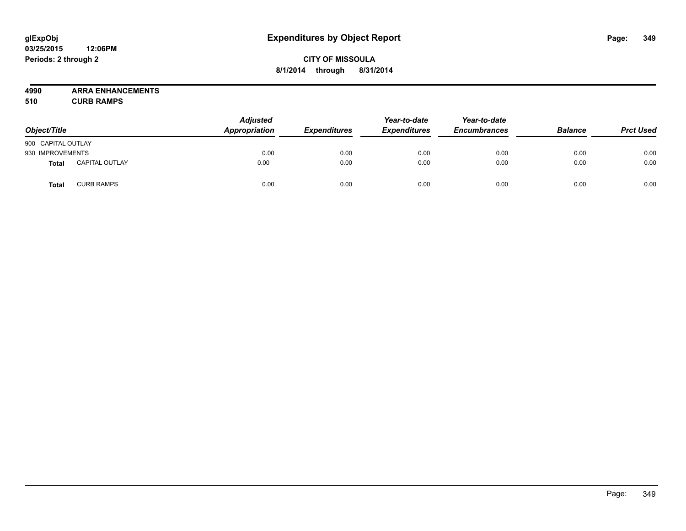# **CITY OF MISSOULA 8/1/2014 through 8/31/2014**

**4990 ARRA ENHANCEMENTS**

**510 CURB RAMPS**

| Object/Title       |                       | <b>Adjusted</b><br>Appropriation | <b>Expenditures</b> | Year-to-date<br><b>Expenditures</b> | Year-to-date<br><b>Encumbrances</b> | <b>Balance</b> | <b>Prct Used</b> |
|--------------------|-----------------------|----------------------------------|---------------------|-------------------------------------|-------------------------------------|----------------|------------------|
| 900 CAPITAL OUTLAY |                       |                                  |                     |                                     |                                     |                |                  |
| 930 IMPROVEMENTS   |                       | 0.00                             | 0.00                | 0.00                                | 0.00                                | 0.00           | 0.00             |
| Total              | <b>CAPITAL OUTLAY</b> | 0.00                             | 0.00                | 0.00                                | 0.00                                | 0.00           | 0.00             |
| Total              | <b>CURB RAMPS</b>     | 0.00                             | 0.00                | 0.00                                | 0.00                                | 0.00           | 0.00             |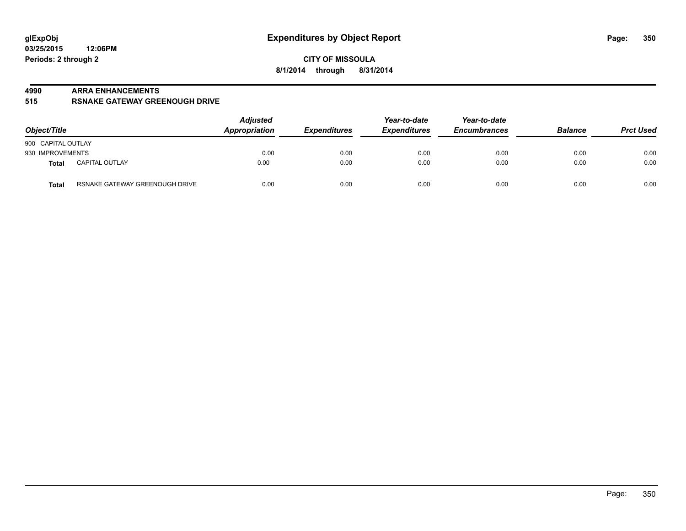#### **4990 ARRA ENHANCEMENTS**

**515 RSNAKE GATEWAY GREENOUGH DRIVE**

| Object/Title       |                                | <b>Adjusted</b><br>Appropriation | <b>Expenditures</b> | Year-to-date<br><b>Expenditures</b> | Year-to-date<br><b>Encumbrances</b> | <b>Balance</b> | <b>Prct Used</b> |
|--------------------|--------------------------------|----------------------------------|---------------------|-------------------------------------|-------------------------------------|----------------|------------------|
| 900 CAPITAL OUTLAY |                                |                                  |                     |                                     |                                     |                |                  |
| 930 IMPROVEMENTS   |                                | 0.00                             | 0.00                | 0.00                                | 0.00                                | 0.00           | 0.00             |
| Total              | <b>CAPITAL OUTLAY</b>          | 0.00                             | 0.00                | 0.00                                | 0.00                                | 0.00           | 0.00             |
| <b>Total</b>       | RSNAKE GATEWAY GREENOUGH DRIVE | 0.00                             | 0.00                | 0.00                                | 0.00                                | 0.00           | 0.00             |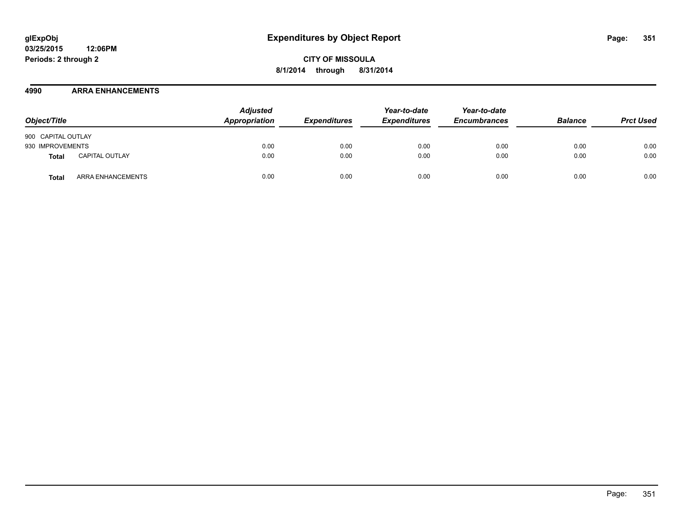## **4990 ARRA ENHANCEMENTS**

| Object/Title                   | <b>Adjusted</b><br>Appropriation | <b>Expenditures</b> | Year-to-date<br><b>Expenditures</b> | Year-to-date<br><b>Encumbrances</b> | <b>Balance</b> | <b>Prct Used</b> |
|--------------------------------|----------------------------------|---------------------|-------------------------------------|-------------------------------------|----------------|------------------|
| 900 CAPITAL OUTLAY             |                                  |                     |                                     |                                     |                |                  |
| 930 IMPROVEMENTS               | 0.00                             | 0.00                | 0.00                                | 0.00                                | 0.00           | 0.00             |
| <b>CAPITAL OUTLAY</b><br>Total | 0.00                             | 0.00                | 0.00                                | 0.00                                | 0.00           | 0.00             |
| ARRA ENHANCEMENTS<br>Total     | 0.00                             | 0.00                | 0.00                                | 0.00                                | 0.00           | 0.00             |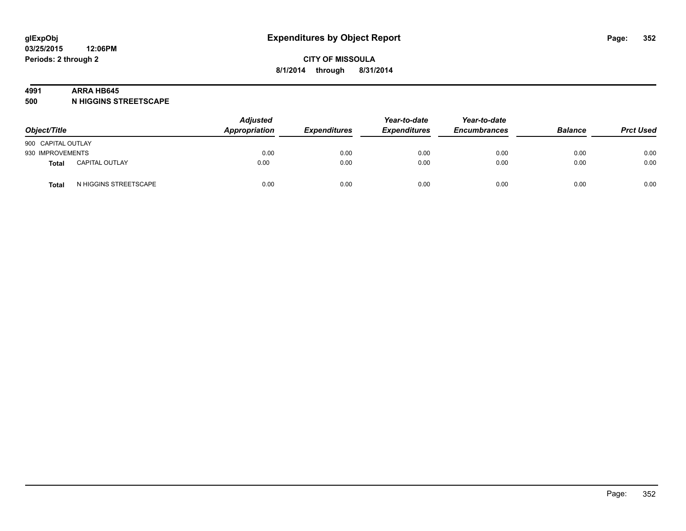#### **4991 ARRA HB645**

**500 N HIGGINS STREETSCAPE**

| Object/Title       |                       | <b>Adjusted</b><br>Appropriation | <b>Expenditures</b> | Year-to-date<br><b>Expenditures</b> | Year-to-date<br><b>Encumbrances</b> | <b>Balance</b> | <b>Prct Used</b> |
|--------------------|-----------------------|----------------------------------|---------------------|-------------------------------------|-------------------------------------|----------------|------------------|
| 900 CAPITAL OUTLAY |                       |                                  |                     |                                     |                                     |                |                  |
| 930 IMPROVEMENTS   |                       | 0.00                             | 0.00                | 0.00                                | 0.00                                | 0.00           | 0.00             |
| <b>Total</b>       | <b>CAPITAL OUTLAY</b> | 0.00                             | 0.00                | 0.00                                | 0.00                                | 0.00           | 0.00             |
| Total              | N HIGGINS STREETSCAPE | 0.00                             | 0.00                | 0.00                                | 0.00                                | 0.00           | 0.00             |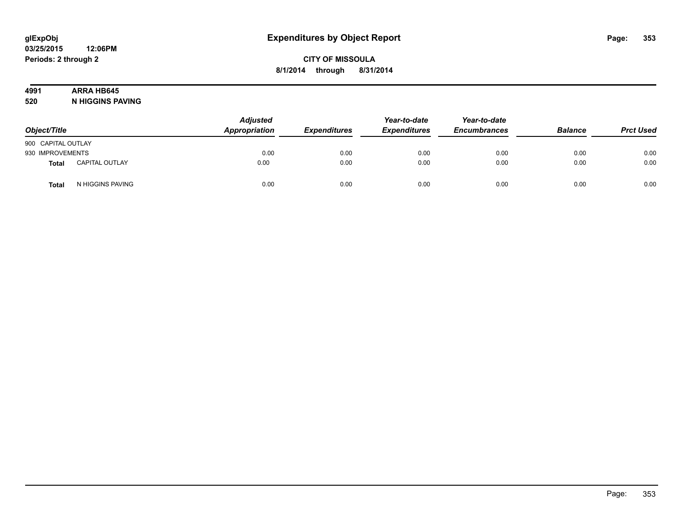# **4991 ARRA HB645**

**520 N HIGGINS PAVING**

| Object/Title       |                       | Adjusted<br>Appropriation | <b>Expenditures</b> | Year-to-date<br><b>Expenditures</b> | Year-to-date<br><b>Encumbrances</b> | <b>Balance</b> | <b>Prct Used</b> |
|--------------------|-----------------------|---------------------------|---------------------|-------------------------------------|-------------------------------------|----------------|------------------|
| 900 CAPITAL OUTLAY |                       |                           |                     |                                     |                                     |                |                  |
| 930 IMPROVEMENTS   |                       | 0.00                      | 0.00                | 0.00                                | 0.00                                | 0.00           | 0.00             |
| Total              | <b>CAPITAL OUTLAY</b> | 0.00                      | 0.00                | 0.00                                | 0.00                                | 0.00           | 0.00             |
| <b>Total</b>       | N HIGGINS PAVING      | 0.00                      | 0.00                | 0.00                                | 0.00                                | 0.00           | 0.00             |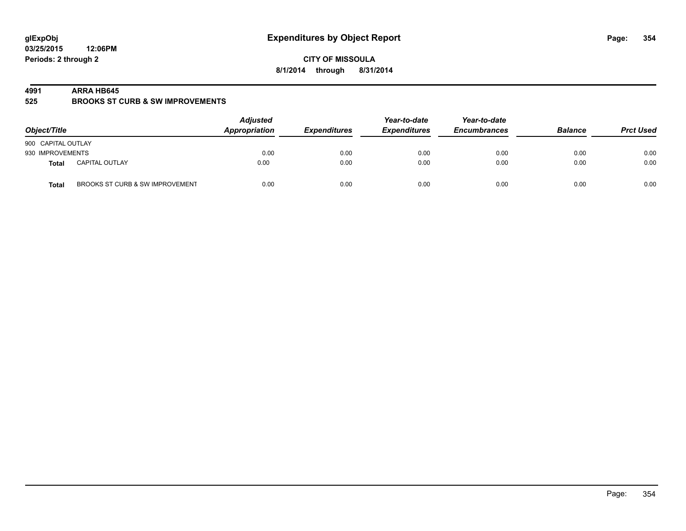**CITY OF MISSOULA 8/1/2014 through 8/31/2014**

#### **4991 ARRA HB645**

**525 BROOKS ST CURB & SW IMPROVEMENTS**

| Object/Title       |                                 | <b>Adjusted</b><br>Appropriation | <b>Expenditures</b> | Year-to-date<br><b>Expenditures</b> | Year-to-date<br><b>Encumbrances</b> | <b>Balance</b> | <b>Prct Used</b> |
|--------------------|---------------------------------|----------------------------------|---------------------|-------------------------------------|-------------------------------------|----------------|------------------|
| 900 CAPITAL OUTLAY |                                 |                                  |                     |                                     |                                     |                |                  |
| 930 IMPROVEMENTS   |                                 | 0.00                             | 0.00                | 0.00                                | 0.00                                | 0.00           | 0.00             |
| Total              | <b>CAPITAL OUTLAY</b>           | 0.00                             | 0.00                | 0.00                                | 0.00                                | 0.00           | 0.00             |
| <b>Total</b>       | BROOKS ST CURB & SW IMPROVEMENT | 0.00                             | 0.00                | 0.00                                | 0.00                                | 0.00           | 0.00             |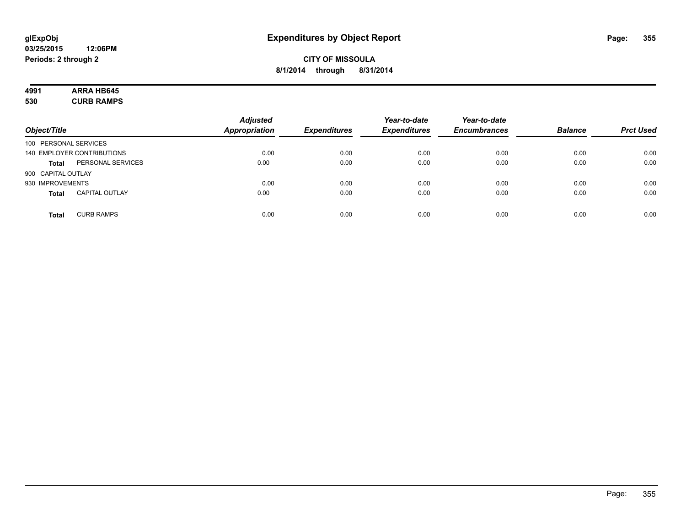# **4991 ARRA HB645**

**530 CURB RAMPS**

| Object/Title          |                            | <b>Adjusted</b><br><b>Appropriation</b> | <b>Expenditures</b> | Year-to-date<br><b>Expenditures</b> | Year-to-date<br><b>Encumbrances</b> | <b>Balance</b> | <b>Prct Used</b> |
|-----------------------|----------------------------|-----------------------------------------|---------------------|-------------------------------------|-------------------------------------|----------------|------------------|
| 100 PERSONAL SERVICES |                            |                                         |                     |                                     |                                     |                |                  |
|                       | 140 EMPLOYER CONTRIBUTIONS | 0.00                                    | 0.00                | 0.00                                | 0.00                                | 0.00           | 0.00             |
| <b>Total</b>          | PERSONAL SERVICES          | 0.00                                    | 0.00                | 0.00                                | 0.00                                | 0.00           | 0.00             |
| 900 CAPITAL OUTLAY    |                            |                                         |                     |                                     |                                     |                |                  |
| 930 IMPROVEMENTS      |                            | 0.00                                    | 0.00                | 0.00                                | 0.00                                | 0.00           | 0.00             |
| <b>Total</b>          | <b>CAPITAL OUTLAY</b>      | 0.00                                    | 0.00                | 0.00                                | 0.00                                | 0.00           | 0.00             |
| <b>Total</b>          | <b>CURB RAMPS</b>          | 0.00                                    | 0.00                | 0.00                                | 0.00                                | 0.00           | 0.00             |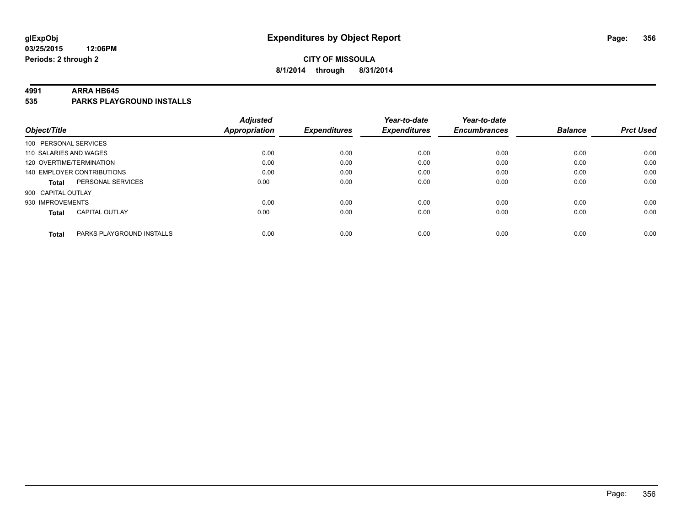# **CITY OF MISSOULA 8/1/2014 through 8/31/2014**

#### **4991 ARRA HB645**

**535 PARKS PLAYGROUND INSTALLS**

| Object/Title                              | <b>Adjusted</b><br>Appropriation | <b>Expenditures</b> | Year-to-date<br><b>Expenditures</b> | Year-to-date<br><b>Encumbrances</b> | <b>Balance</b> | <b>Prct Used</b> |
|-------------------------------------------|----------------------------------|---------------------|-------------------------------------|-------------------------------------|----------------|------------------|
| 100 PERSONAL SERVICES                     |                                  |                     |                                     |                                     |                |                  |
| 110 SALARIES AND WAGES                    | 0.00                             | 0.00                | 0.00                                | 0.00                                | 0.00           | 0.00             |
| 120 OVERTIME/TERMINATION                  | 0.00                             | 0.00                | 0.00                                | 0.00                                | 0.00           | 0.00             |
| 140 EMPLOYER CONTRIBUTIONS                | 0.00                             | 0.00                | 0.00                                | 0.00                                | 0.00           | 0.00             |
| PERSONAL SERVICES<br><b>Total</b>         | 0.00                             | 0.00                | 0.00                                | 0.00                                | 0.00           | 0.00             |
| 900 CAPITAL OUTLAY                        |                                  |                     |                                     |                                     |                |                  |
| 930 IMPROVEMENTS                          | 0.00                             | 0.00                | 0.00                                | 0.00                                | 0.00           | 0.00             |
| <b>CAPITAL OUTLAY</b><br><b>Total</b>     | 0.00                             | 0.00                | 0.00                                | 0.00                                | 0.00           | 0.00             |
|                                           |                                  |                     |                                     |                                     |                |                  |
| PARKS PLAYGROUND INSTALLS<br><b>Total</b> | 0.00                             | 0.00                | 0.00                                | 0.00                                | 0.00           | 0.00             |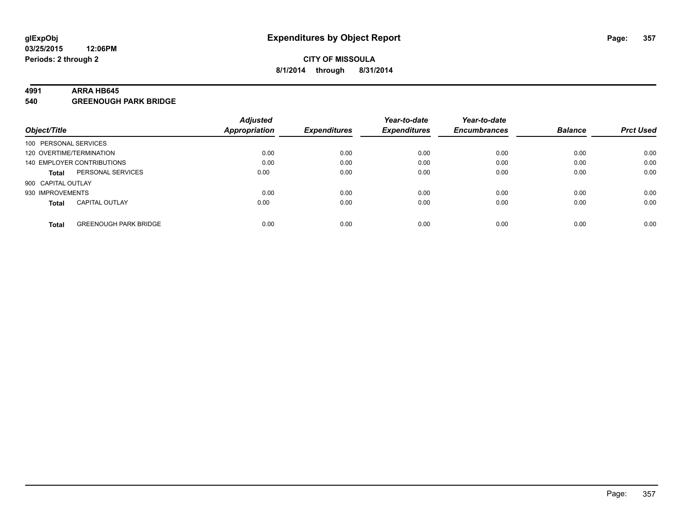#### **4991 ARRA HB645**

**540 GREENOUGH PARK BRIDGE**

|                          |                              | <b>Adjusted</b> |                     | Year-to-date        | Year-to-date        |                |                  |
|--------------------------|------------------------------|-----------------|---------------------|---------------------|---------------------|----------------|------------------|
| Object/Title             |                              | Appropriation   | <b>Expenditures</b> | <b>Expenditures</b> | <b>Encumbrances</b> | <b>Balance</b> | <b>Prct Used</b> |
| 100 PERSONAL SERVICES    |                              |                 |                     |                     |                     |                |                  |
| 120 OVERTIME/TERMINATION |                              | 0.00            | 0.00                | 0.00                | 0.00                | 0.00           | 0.00             |
|                          | 140 EMPLOYER CONTRIBUTIONS   | 0.00            | 0.00                | 0.00                | 0.00                | 0.00           | 0.00             |
| <b>Total</b>             | PERSONAL SERVICES            | 0.00            | 0.00                | 0.00                | 0.00                | 0.00           | 0.00             |
| 900 CAPITAL OUTLAY       |                              |                 |                     |                     |                     |                |                  |
| 930 IMPROVEMENTS         |                              | 0.00            | 0.00                | 0.00                | 0.00                | 0.00           | 0.00             |
| <b>Total</b>             | <b>CAPITAL OUTLAY</b>        | 0.00            | 0.00                | 0.00                | 0.00                | 0.00           | 0.00             |
| <b>Total</b>             | <b>GREENOUGH PARK BRIDGE</b> | 0.00            | 0.00                | 0.00                | 0.00                | 0.00           | 0.00             |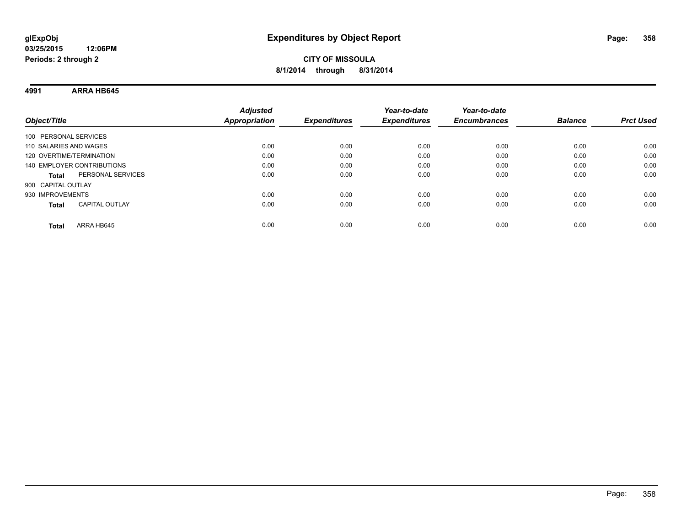**4991 ARRA HB645**

| Object/Title               |                       | <b>Adjusted</b><br><b>Appropriation</b> | <b>Expenditures</b> | Year-to-date<br><b>Expenditures</b> | Year-to-date<br><b>Encumbrances</b> | <b>Balance</b> | <b>Prct Used</b> |
|----------------------------|-----------------------|-----------------------------------------|---------------------|-------------------------------------|-------------------------------------|----------------|------------------|
| 100 PERSONAL SERVICES      |                       |                                         |                     |                                     |                                     |                |                  |
| 110 SALARIES AND WAGES     |                       | 0.00                                    | 0.00                | 0.00                                | 0.00                                | 0.00           | 0.00             |
| 120 OVERTIME/TERMINATION   |                       | 0.00                                    | 0.00                | 0.00                                | 0.00                                | 0.00           | 0.00             |
| 140 EMPLOYER CONTRIBUTIONS |                       | 0.00                                    | 0.00                | 0.00                                | 0.00                                | 0.00           | 0.00             |
| Total                      | PERSONAL SERVICES     | 0.00                                    | 0.00                | 0.00                                | 0.00                                | 0.00           | 0.00             |
| 900 CAPITAL OUTLAY         |                       |                                         |                     |                                     |                                     |                |                  |
| 930 IMPROVEMENTS           |                       | 0.00                                    | 0.00                | 0.00                                | 0.00                                | 0.00           | 0.00             |
| <b>Total</b>               | <b>CAPITAL OUTLAY</b> | 0.00                                    | 0.00                | 0.00                                | 0.00                                | 0.00           | 0.00             |
| Total                      | ARRA HB645            | 0.00                                    | 0.00                | 0.00                                | 0.00                                | 0.00           | 0.00             |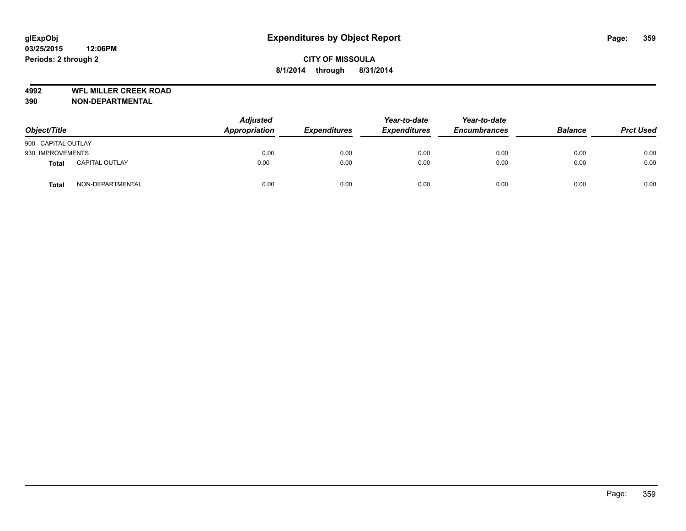**4992 WFL MILLER CREEK ROAD**

| Object/Title       |                       | <b>Adjusted</b><br>Appropriation | <b>Expenditures</b> | Year-to-date<br><b>Expenditures</b> | Year-to-date<br><b>Encumbrances</b> | <b>Balance</b> | <b>Prct Used</b> |
|--------------------|-----------------------|----------------------------------|---------------------|-------------------------------------|-------------------------------------|----------------|------------------|
| 900 CAPITAL OUTLAY |                       |                                  |                     |                                     |                                     |                |                  |
| 930 IMPROVEMENTS   |                       | 0.00                             | 0.00                | 0.00                                | 0.00                                | 0.00           | 0.00             |
| <b>Total</b>       | <b>CAPITAL OUTLAY</b> | 0.00                             | 0.00                | 0.00                                | 0.00                                | 0.00           | 0.00             |
| <b>Total</b>       | NON-DEPARTMENTAL      | 0.00                             | 0.00                | 0.00                                | 0.00                                | 0.00           | 0.00             |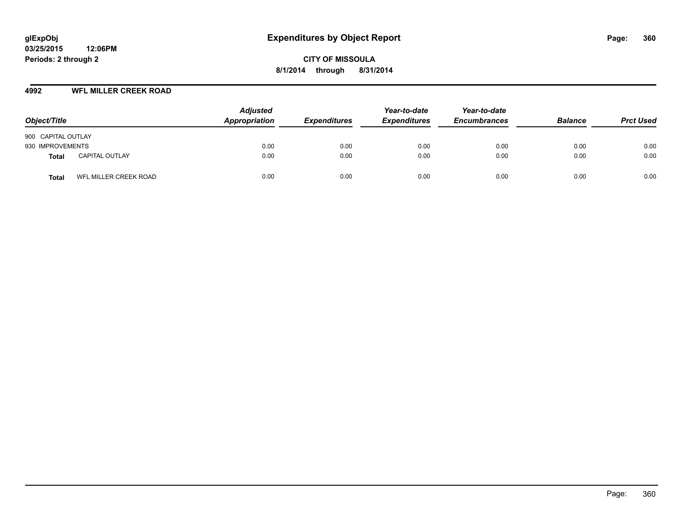## **4992 WFL MILLER CREEK ROAD**

| Object/Title       |                       | <b>Adjusted</b><br>Appropriation | <b>Expenditures</b> | Year-to-date<br><b>Expenditures</b> | Year-to-date<br><b>Encumbrances</b> | <b>Balance</b> | <b>Prct Used</b> |
|--------------------|-----------------------|----------------------------------|---------------------|-------------------------------------|-------------------------------------|----------------|------------------|
| 900 CAPITAL OUTLAY |                       |                                  |                     |                                     |                                     |                |                  |
| 930 IMPROVEMENTS   |                       | 0.00                             | 0.00                | 0.00                                | 0.00                                | 0.00           | 0.00             |
| Total              | <b>CAPITAL OUTLAY</b> | 0.00                             | 0.00                | 0.00                                | 0.00                                | 0.00           | 0.00             |
| Total              | WFL MILLER CREEK ROAD | 0.00                             | 0.00                | 0.00                                | 0.00                                | 0.00           | 0.00             |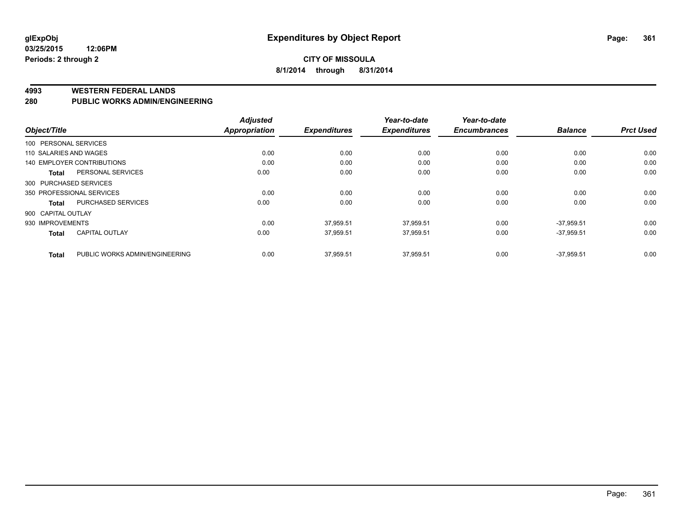### **CITY OF MISSOULA 8/1/2014 through 8/31/2014**

#### **4993 WESTERN FEDERAL LANDS**

#### **280 PUBLIC WORKS ADMIN/ENGINEERING**

|                        |                                | <b>Adjusted</b> |                     | Year-to-date        | Year-to-date        |                |                  |
|------------------------|--------------------------------|-----------------|---------------------|---------------------|---------------------|----------------|------------------|
| Object/Title           |                                | Appropriation   | <b>Expenditures</b> | <b>Expenditures</b> | <b>Encumbrances</b> | <b>Balance</b> | <b>Prct Used</b> |
| 100 PERSONAL SERVICES  |                                |                 |                     |                     |                     |                |                  |
| 110 SALARIES AND WAGES |                                | 0.00            | 0.00                | 0.00                | 0.00                | 0.00           | 0.00             |
|                        | 140 EMPLOYER CONTRIBUTIONS     | 0.00            | 0.00                | 0.00                | 0.00                | 0.00           | 0.00             |
| <b>Total</b>           | PERSONAL SERVICES              | 0.00            | 0.00                | 0.00                | 0.00                | 0.00           | 0.00             |
| 300 PURCHASED SERVICES |                                |                 |                     |                     |                     |                |                  |
|                        | 350 PROFESSIONAL SERVICES      | 0.00            | 0.00                | 0.00                | 0.00                | 0.00           | 0.00             |
| Total                  | PURCHASED SERVICES             | 0.00            | 0.00                | 0.00                | 0.00                | 0.00           | 0.00             |
| 900 CAPITAL OUTLAY     |                                |                 |                     |                     |                     |                |                  |
| 930 IMPROVEMENTS       |                                | 0.00            | 37,959.51           | 37,959.51           | 0.00                | $-37.959.51$   | 0.00             |
| <b>Total</b>           | CAPITAL OUTLAY                 | 0.00            | 37,959.51           | 37.959.51           | 0.00                | $-37.959.51$   | 0.00             |
| <b>Total</b>           | PUBLIC WORKS ADMIN/ENGINEERING | 0.00            | 37,959.51           | 37,959.51           | 0.00                | $-37,959.51$   | 0.00             |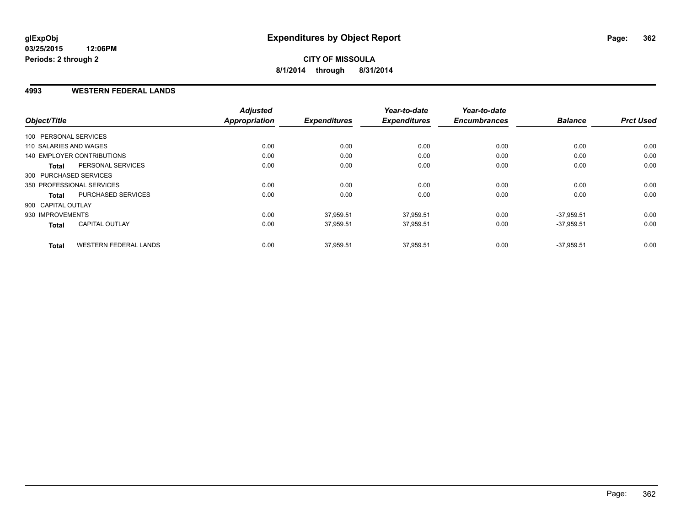### **4993 WESTERN FEDERAL LANDS**

| Object/Title                                 | <b>Adjusted</b><br><b>Appropriation</b> | <b>Expenditures</b> | Year-to-date<br><b>Expenditures</b> | Year-to-date<br><b>Encumbrances</b> | <b>Balance</b> | <b>Prct Used</b> |
|----------------------------------------------|-----------------------------------------|---------------------|-------------------------------------|-------------------------------------|----------------|------------------|
|                                              |                                         |                     |                                     |                                     |                |                  |
| 100 PERSONAL SERVICES                        |                                         |                     |                                     |                                     |                |                  |
| 110 SALARIES AND WAGES                       | 0.00                                    | 0.00                | 0.00                                | 0.00                                | 0.00           | 0.00             |
| 140 EMPLOYER CONTRIBUTIONS                   | 0.00                                    | 0.00                | 0.00                                | 0.00                                | 0.00           | 0.00             |
| PERSONAL SERVICES<br><b>Total</b>            | 0.00                                    | 0.00                | 0.00                                | 0.00                                | 0.00           | 0.00             |
| 300 PURCHASED SERVICES                       |                                         |                     |                                     |                                     |                |                  |
| 350 PROFESSIONAL SERVICES                    | 0.00                                    | 0.00                | 0.00                                | 0.00                                | 0.00           | 0.00             |
| PURCHASED SERVICES<br>Total                  | 0.00                                    | 0.00                | 0.00                                | 0.00                                | 0.00           | 0.00             |
| 900 CAPITAL OUTLAY                           |                                         |                     |                                     |                                     |                |                  |
| 930 IMPROVEMENTS                             | 0.00                                    | 37.959.51           | 37,959.51                           | 0.00                                | $-37.959.51$   | 0.00             |
| <b>CAPITAL OUTLAY</b><br><b>Total</b>        | 0.00                                    | 37,959.51           | 37,959.51                           | 0.00                                | $-37,959.51$   | 0.00             |
| <b>WESTERN FEDERAL LANDS</b><br><b>Total</b> | 0.00                                    | 37,959.51           | 37,959.51                           | 0.00                                | $-37.959.51$   | 0.00             |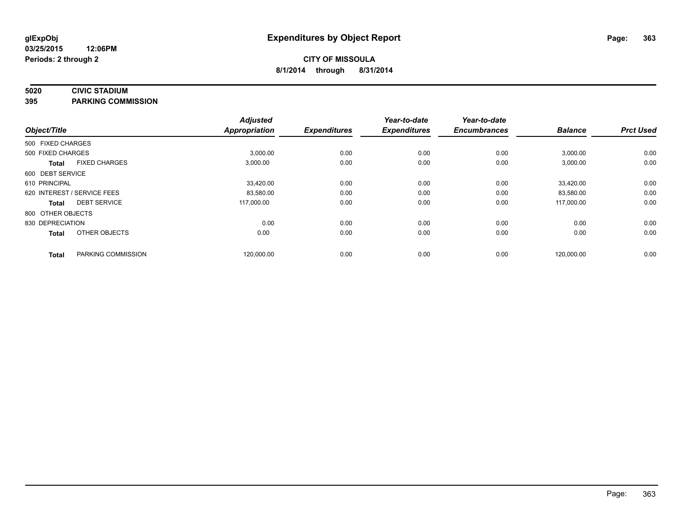## **5020 CIVIC STADIUM**

**395 PARKING COMMISSION**

| Object/Title      |                             | <b>Adjusted</b><br><b>Appropriation</b> | <b>Expenditures</b> | Year-to-date<br><b>Expenditures</b> | Year-to-date<br><b>Encumbrances</b> | <b>Balance</b> | <b>Prct Used</b> |
|-------------------|-----------------------------|-----------------------------------------|---------------------|-------------------------------------|-------------------------------------|----------------|------------------|
| 500 FIXED CHARGES |                             |                                         |                     |                                     |                                     |                |                  |
| 500 FIXED CHARGES |                             | 3,000.00                                | 0.00                | 0.00                                | 0.00                                | 3,000.00       | 0.00             |
| <b>Total</b>      | <b>FIXED CHARGES</b>        | 3,000.00                                | 0.00                | 0.00                                | 0.00                                | 3,000.00       | 0.00             |
| 600 DEBT SERVICE  |                             |                                         |                     |                                     |                                     |                |                  |
| 610 PRINCIPAL     |                             | 33,420.00                               | 0.00                | 0.00                                | 0.00                                | 33,420.00      | 0.00             |
|                   | 620 INTEREST / SERVICE FEES | 83,580.00                               | 0.00                | 0.00                                | 0.00                                | 83,580.00      | 0.00             |
| <b>Total</b>      | <b>DEBT SERVICE</b>         | 117,000.00                              | 0.00                | 0.00                                | 0.00                                | 117.000.00     | 0.00             |
| 800 OTHER OBJECTS |                             |                                         |                     |                                     |                                     |                |                  |
| 830 DEPRECIATION  |                             | 0.00                                    | 0.00                | 0.00                                | 0.00                                | 0.00           | 0.00             |
| <b>Total</b>      | OTHER OBJECTS               | 0.00                                    | 0.00                | 0.00                                | 0.00                                | 0.00           | 0.00             |
| <b>Total</b>      | PARKING COMMISSION          | 120,000.00                              | 0.00                | 0.00                                | 0.00                                | 120,000.00     | 0.00             |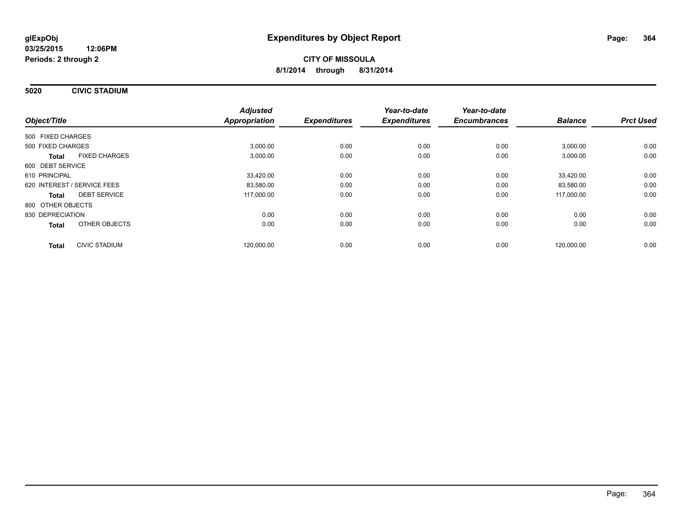**5020 CIVIC STADIUM**

| Object/Title                |                      | <b>Adjusted</b><br><b>Appropriation</b> | <b>Expenditures</b> | Year-to-date<br><b>Expenditures</b> | Year-to-date<br><b>Encumbrances</b> | <b>Balance</b> | <b>Prct Used</b> |
|-----------------------------|----------------------|-----------------------------------------|---------------------|-------------------------------------|-------------------------------------|----------------|------------------|
|                             |                      |                                         |                     |                                     |                                     |                |                  |
| 500 FIXED CHARGES           |                      |                                         |                     |                                     |                                     |                |                  |
| 500 FIXED CHARGES           |                      | 3,000.00                                | 0.00                | 0.00                                | 0.00                                | 3,000.00       | 0.00             |
| <b>Total</b>                | <b>FIXED CHARGES</b> | 3,000.00                                | 0.00                | 0.00                                | 0.00                                | 3,000.00       | 0.00             |
| 600 DEBT SERVICE            |                      |                                         |                     |                                     |                                     |                |                  |
| 610 PRINCIPAL               |                      | 33,420.00                               | 0.00                | 0.00                                | 0.00                                | 33,420.00      | 0.00             |
| 620 INTEREST / SERVICE FEES |                      | 83,580.00                               | 0.00                | 0.00                                | 0.00                                | 83,580.00      | 0.00             |
| Total                       | <b>DEBT SERVICE</b>  | 117,000.00                              | 0.00                | 0.00                                | 0.00                                | 117,000.00     | 0.00             |
| 800 OTHER OBJECTS           |                      |                                         |                     |                                     |                                     |                |                  |
| 830 DEPRECIATION            |                      | 0.00                                    | 0.00                | 0.00                                | 0.00                                | 0.00           | 0.00             |
| <b>Total</b>                | OTHER OBJECTS        | 0.00                                    | 0.00                | 0.00                                | 0.00                                | 0.00           | 0.00             |
| <b>Total</b>                | <b>CIVIC STADIUM</b> | 120,000.00                              | 0.00                | 0.00                                | 0.00                                | 120,000.00     | 0.00             |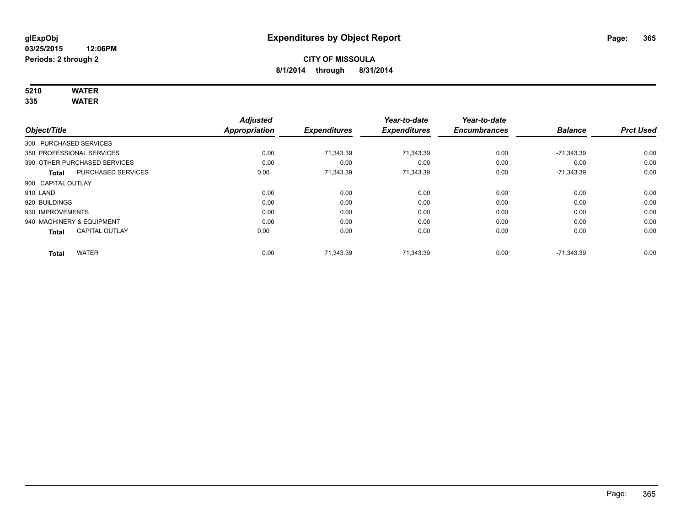# **5210 WATER**

**335 WATER**

|                           |                              | <b>Adjusted</b>      |                     | Year-to-date        | Year-to-date        |                |                  |
|---------------------------|------------------------------|----------------------|---------------------|---------------------|---------------------|----------------|------------------|
| Object/Title              |                              | <b>Appropriation</b> | <b>Expenditures</b> | <b>Expenditures</b> | <b>Encumbrances</b> | <b>Balance</b> | <b>Prct Used</b> |
| 300 PURCHASED SERVICES    |                              |                      |                     |                     |                     |                |                  |
| 350 PROFESSIONAL SERVICES |                              | 0.00                 | 71,343.39           | 71,343.39           | 0.00                | $-71,343.39$   | 0.00             |
|                           | 390 OTHER PURCHASED SERVICES | 0.00                 | 0.00                | 0.00                | 0.00                | 0.00           | 0.00             |
| <b>Total</b>              | <b>PURCHASED SERVICES</b>    | 0.00                 | 71,343.39           | 71,343.39           | 0.00                | $-71,343.39$   | 0.00             |
| 900 CAPITAL OUTLAY        |                              |                      |                     |                     |                     |                |                  |
| 910 LAND                  |                              | 0.00                 | 0.00                | 0.00                | 0.00                | 0.00           | 0.00             |
| 920 BUILDINGS             |                              | 0.00                 | 0.00                | 0.00                | 0.00                | 0.00           | 0.00             |
| 930 IMPROVEMENTS          |                              | 0.00                 | 0.00                | 0.00                | 0.00                | 0.00           | 0.00             |
| 940 MACHINERY & EQUIPMENT |                              | 0.00                 | 0.00                | 0.00                | 0.00                | 0.00           | 0.00             |
| <b>Total</b>              | <b>CAPITAL OUTLAY</b>        | 0.00                 | 0.00                | 0.00                | 0.00                | 0.00           | 0.00             |
| <b>Total</b>              | <b>WATER</b>                 | 0.00                 | 71,343.39           | 71,343.39           | 0.00                | $-71.343.39$   | 0.00             |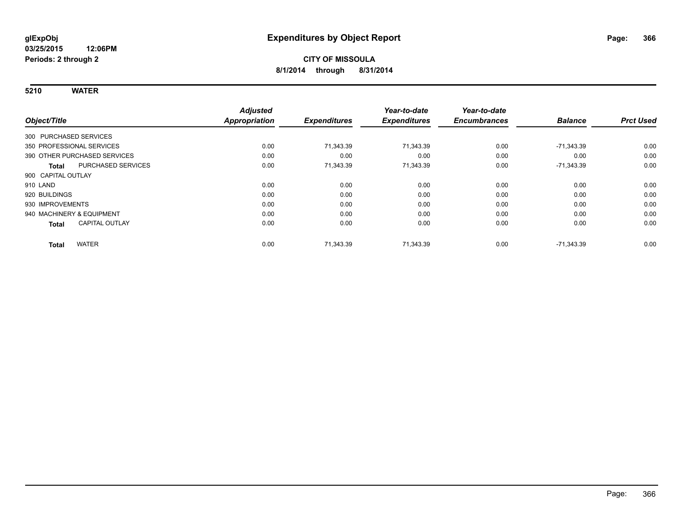**5210 WATER**

|                                       | <b>Adjusted</b>      |                     | Year-to-date        | Year-to-date        |                |                  |
|---------------------------------------|----------------------|---------------------|---------------------|---------------------|----------------|------------------|
| Object/Title                          | <b>Appropriation</b> | <b>Expenditures</b> | <b>Expenditures</b> | <b>Encumbrances</b> | <b>Balance</b> | <b>Prct Used</b> |
| 300 PURCHASED SERVICES                |                      |                     |                     |                     |                |                  |
| 350 PROFESSIONAL SERVICES             | 0.00                 | 71,343.39           | 71,343.39           | 0.00                | -71,343.39     | 0.00             |
| 390 OTHER PURCHASED SERVICES          | 0.00                 | 0.00                | 0.00                | 0.00                | 0.00           | 0.00             |
| PURCHASED SERVICES<br>Total           | 0.00                 | 71,343.39           | 71,343.39           | 0.00                | $-71,343.39$   | 0.00             |
| 900 CAPITAL OUTLAY                    |                      |                     |                     |                     |                |                  |
| 910 LAND                              | 0.00                 | 0.00                | 0.00                | 0.00                | 0.00           | 0.00             |
| 920 BUILDINGS                         | 0.00                 | 0.00                | 0.00                | 0.00                | 0.00           | 0.00             |
| 930 IMPROVEMENTS                      | 0.00                 | 0.00                | 0.00                | 0.00                | 0.00           | 0.00             |
| 940 MACHINERY & EQUIPMENT             | 0.00                 | 0.00                | 0.00                | 0.00                | 0.00           | 0.00             |
| <b>CAPITAL OUTLAY</b><br><b>Total</b> | 0.00                 | 0.00                | 0.00                | 0.00                | 0.00           | 0.00             |
| <b>WATER</b><br><b>Total</b>          | 0.00                 | 71,343.39           | 71,343.39           | 0.00                | -71,343.39     | 0.00             |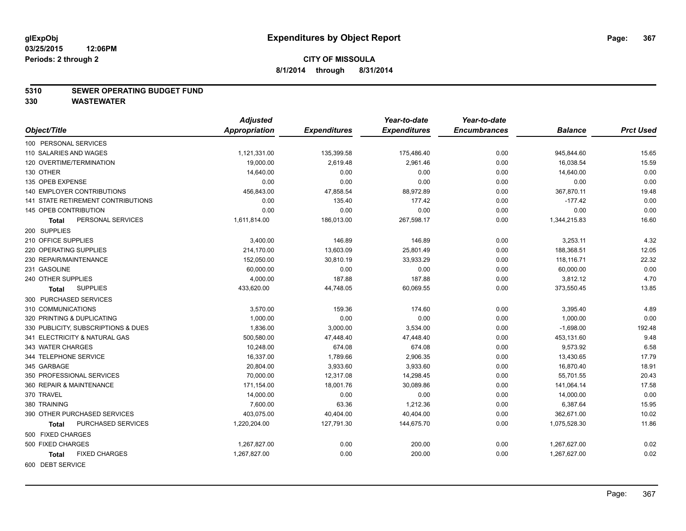#### **5310 SEWER OPERATING BUDGET FUND**

|                                           | <b>Adjusted</b> |                     | Year-to-date        | Year-to-date        |                |                  |
|-------------------------------------------|-----------------|---------------------|---------------------|---------------------|----------------|------------------|
| Object/Title                              | Appropriation   | <b>Expenditures</b> | <b>Expenditures</b> | <b>Encumbrances</b> | <b>Balance</b> | <b>Prct Used</b> |
| 100 PERSONAL SERVICES                     |                 |                     |                     |                     |                |                  |
| 110 SALARIES AND WAGES                    | 1,121,331.00    | 135,399.58          | 175,486.40          | 0.00                | 945,844.60     | 15.65            |
| 120 OVERTIME/TERMINATION                  | 19,000.00       | 2,619.48            | 2,961.46            | 0.00                | 16,038.54      | 15.59            |
| 130 OTHER                                 | 14,640.00       | 0.00                | 0.00                | 0.00                | 14,640.00      | 0.00             |
| 135 OPEB EXPENSE                          | 0.00            | 0.00                | 0.00                | 0.00                | 0.00           | 0.00             |
| 140 EMPLOYER CONTRIBUTIONS                | 456,843.00      | 47,858.54           | 88,972.89           | 0.00                | 367,870.11     | 19.48            |
| <b>141 STATE RETIREMENT CONTRIBUTIONS</b> | 0.00            | 135.40              | 177.42              | 0.00                | $-177.42$      | 0.00             |
| 145 OPEB CONTRIBUTION                     | 0.00            | 0.00                | 0.00                | 0.00                | 0.00           | 0.00             |
| PERSONAL SERVICES<br>Total                | 1,611,814.00    | 186,013.00          | 267,598.17          | 0.00                | 1,344,215.83   | 16.60            |
| 200 SUPPLIES                              |                 |                     |                     |                     |                |                  |
| 210 OFFICE SUPPLIES                       | 3,400.00        | 146.89              | 146.89              | 0.00                | 3,253.11       | 4.32             |
| 220 OPERATING SUPPLIES                    | 214,170.00      | 13,603.09           | 25,801.49           | 0.00                | 188,368.51     | 12.05            |
| 230 REPAIR/MAINTENANCE                    | 152,050.00      | 30,810.19           | 33,933.29           | 0.00                | 118,116.71     | 22.32            |
| 231 GASOLINE                              | 60,000.00       | 0.00                | 0.00                | 0.00                | 60,000.00      | 0.00             |
| 240 OTHER SUPPLIES                        | 4,000.00        | 187.88              | 187.88              | 0.00                | 3,812.12       | 4.70             |
| <b>SUPPLIES</b><br>Total                  | 433,620.00      | 44,748.05           | 60,069.55           | 0.00                | 373,550.45     | 13.85            |
| 300 PURCHASED SERVICES                    |                 |                     |                     |                     |                |                  |
| 310 COMMUNICATIONS                        | 3,570.00        | 159.36              | 174.60              | 0.00                | 3,395.40       | 4.89             |
| 320 PRINTING & DUPLICATING                | 1,000.00        | 0.00                | 0.00                | 0.00                | 1,000.00       | 0.00             |
| 330 PUBLICITY, SUBSCRIPTIONS & DUES       | 1,836.00        | 3,000.00            | 3,534.00            | 0.00                | $-1,698.00$    | 192.48           |
| 341 ELECTRICITY & NATURAL GAS             | 500,580.00      | 47,448.40           | 47,448.40           | 0.00                | 453,131.60     | 9.48             |
| 343 WATER CHARGES                         | 10,248.00       | 674.08              | 674.08              | 0.00                | 9,573.92       | 6.58             |
| 344 TELEPHONE SERVICE                     | 16,337.00       | 1,789.66            | 2,906.35            | 0.00                | 13,430.65      | 17.79            |
| 345 GARBAGE                               | 20,804.00       | 3,933.60            | 3,933.60            | 0.00                | 16,870.40      | 18.91            |
| 350 PROFESSIONAL SERVICES                 | 70,000.00       | 12,317.08           | 14,298.45           | 0.00                | 55,701.55      | 20.43            |
| 360 REPAIR & MAINTENANCE                  | 171,154.00      | 18,001.76           | 30,089.86           | 0.00                | 141,064.14     | 17.58            |
| 370 TRAVEL                                | 14,000.00       | 0.00                | 0.00                | 0.00                | 14,000.00      | 0.00             |
| 380 TRAINING                              | 7,600.00        | 63.36               | 1,212.36            | 0.00                | 6,387.64       | 15.95            |
| 390 OTHER PURCHASED SERVICES              | 403,075.00      | 40,404.00           | 40,404.00           | 0.00                | 362,671.00     | 10.02            |
| PURCHASED SERVICES<br><b>Total</b>        | 1,220,204.00    | 127,791.30          | 144,675.70          | 0.00                | 1,075,528.30   | 11.86            |
| 500 FIXED CHARGES                         |                 |                     |                     |                     |                |                  |
| 500 FIXED CHARGES                         | 1,267,827.00    | 0.00                | 200.00              | 0.00                | 1,267,627.00   | 0.02             |
| <b>FIXED CHARGES</b><br><b>Total</b>      | 1.267.827.00    | 0.00                | 200.00              | 0.00                | 1.267.627.00   | 0.02             |
| 600 DEBT SERVICE                          |                 |                     |                     |                     |                |                  |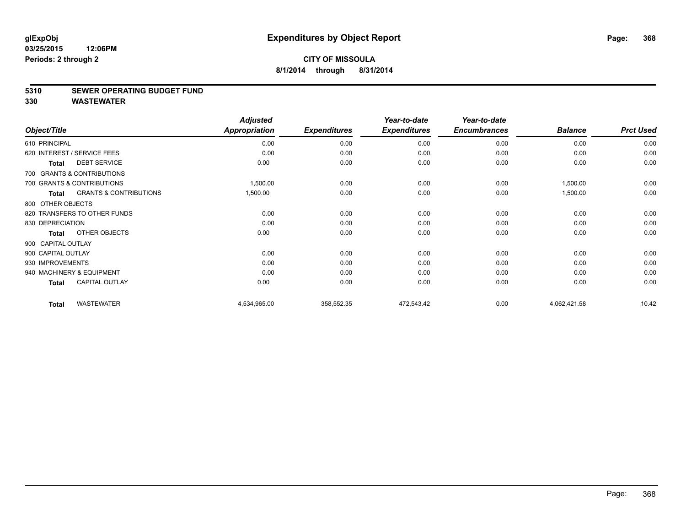#### **5310 SEWER OPERATING BUDGET FUND**

|                    |                                   | <b>Adjusted</b>      |                     | Year-to-date        | Year-to-date        |                |                  |
|--------------------|-----------------------------------|----------------------|---------------------|---------------------|---------------------|----------------|------------------|
| Object/Title       |                                   | <b>Appropriation</b> | <b>Expenditures</b> | <b>Expenditures</b> | <b>Encumbrances</b> | <b>Balance</b> | <b>Prct Used</b> |
| 610 PRINCIPAL      |                                   | 0.00                 | 0.00                | 0.00                | 0.00                | 0.00           | 0.00             |
|                    | 620 INTEREST / SERVICE FEES       | 0.00                 | 0.00                | 0.00                | 0.00                | 0.00           | 0.00             |
| <b>Total</b>       | <b>DEBT SERVICE</b>               | 0.00                 | 0.00                | 0.00                | 0.00                | 0.00           | 0.00             |
|                    | 700 GRANTS & CONTRIBUTIONS        |                      |                     |                     |                     |                |                  |
|                    | 700 GRANTS & CONTRIBUTIONS        | 1,500.00             | 0.00                | 0.00                | 0.00                | 1,500.00       | 0.00             |
| <b>Total</b>       | <b>GRANTS &amp; CONTRIBUTIONS</b> | 1,500.00             | 0.00                | 0.00                | 0.00                | 1,500.00       | 0.00             |
| 800 OTHER OBJECTS  |                                   |                      |                     |                     |                     |                |                  |
|                    | 820 TRANSFERS TO OTHER FUNDS      | 0.00                 | 0.00                | 0.00                | 0.00                | 0.00           | 0.00             |
| 830 DEPRECIATION   |                                   | 0.00                 | 0.00                | 0.00                | 0.00                | 0.00           | 0.00             |
| <b>Total</b>       | OTHER OBJECTS                     | 0.00                 | 0.00                | 0.00                | 0.00                | 0.00           | 0.00             |
| 900 CAPITAL OUTLAY |                                   |                      |                     |                     |                     |                |                  |
| 900 CAPITAL OUTLAY |                                   | 0.00                 | 0.00                | 0.00                | 0.00                | 0.00           | 0.00             |
| 930 IMPROVEMENTS   |                                   | 0.00                 | 0.00                | 0.00                | 0.00                | 0.00           | 0.00             |
|                    | 940 MACHINERY & EQUIPMENT         | 0.00                 | 0.00                | 0.00                | 0.00                | 0.00           | 0.00             |
| <b>Total</b>       | <b>CAPITAL OUTLAY</b>             | 0.00                 | 0.00                | 0.00                | 0.00                | 0.00           | 0.00             |
| <b>Total</b>       | <b>WASTEWATER</b>                 | 4,534,965.00         | 358,552.35          | 472,543.42          | 0.00                | 4,062,421.58   | 10.42            |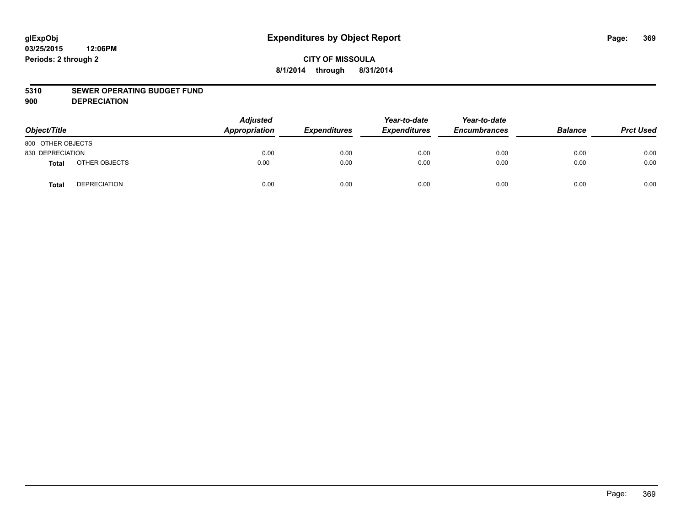#### **5310 SEWER OPERATING BUDGET FUND**

**900 DEPRECIATION**

| Object/Title      |                     | <b>Adjusted</b><br>Appropriation | <b>Expenditures</b> | Year-to-date<br><b>Expenditures</b> | Year-to-date<br><b>Encumbrances</b> | <b>Balance</b> | <b>Prct Used</b> |
|-------------------|---------------------|----------------------------------|---------------------|-------------------------------------|-------------------------------------|----------------|------------------|
| 800 OTHER OBJECTS |                     |                                  |                     |                                     |                                     |                |                  |
| 830 DEPRECIATION  |                     | 0.00                             | 0.00                | 0.00                                | 0.00                                | 0.00           | 0.00             |
| <b>Total</b>      | OTHER OBJECTS       | 0.00                             | 0.00                | 0.00                                | 0.00                                | 0.00           | 0.00             |
| Total             | <b>DEPRECIATION</b> | 0.00                             | 0.00                | 0.00                                | 0.00                                | 0.00           | 0.00             |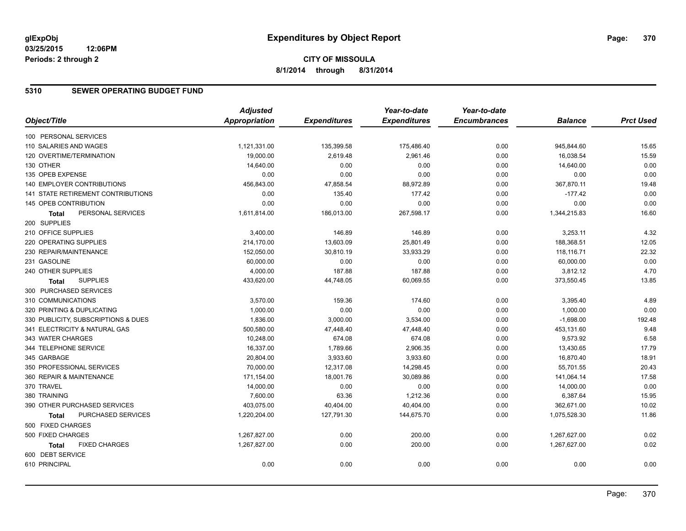# **CITY OF MISSOULA 8/1/2014 through 8/31/2014**

### **5310 SEWER OPERATING BUDGET FUND**

|                                      | <b>Adjusted</b> |                     | Year-to-date        | Year-to-date        |                |                  |
|--------------------------------------|-----------------|---------------------|---------------------|---------------------|----------------|------------------|
| Object/Title                         | Appropriation   | <b>Expenditures</b> | <b>Expenditures</b> | <b>Encumbrances</b> | <b>Balance</b> | <b>Prct Used</b> |
| 100 PERSONAL SERVICES                |                 |                     |                     |                     |                |                  |
| 110 SALARIES AND WAGES               | 1,121,331.00    | 135,399.58          | 175,486.40          | 0.00                | 945,844.60     | 15.65            |
| 120 OVERTIME/TERMINATION             | 19,000.00       | 2,619.48            | 2,961.46            | 0.00                | 16,038.54      | 15.59            |
| 130 OTHER                            | 14,640.00       | 0.00                | 0.00                | 0.00                | 14,640.00      | 0.00             |
| 135 OPEB EXPENSE                     | 0.00            | 0.00                | 0.00                | 0.00                | 0.00           | 0.00             |
| <b>140 EMPLOYER CONTRIBUTIONS</b>    | 456,843.00      | 47,858.54           | 88,972.89           | 0.00                | 367,870.11     | 19.48            |
| 141 STATE RETIREMENT CONTRIBUTIONS   | 0.00            | 135.40              | 177.42              | 0.00                | $-177.42$      | 0.00             |
| 145 OPEB CONTRIBUTION                | 0.00            | 0.00                | 0.00                | 0.00                | 0.00           | 0.00             |
| PERSONAL SERVICES<br>Total           | 1,611,814.00    | 186,013.00          | 267,598.17          | 0.00                | 1,344,215.83   | 16.60            |
| 200 SUPPLIES                         |                 |                     |                     |                     |                |                  |
| 210 OFFICE SUPPLIES                  | 3,400.00        | 146.89              | 146.89              | 0.00                | 3,253.11       | 4.32             |
| 220 OPERATING SUPPLIES               | 214,170.00      | 13,603.09           | 25,801.49           | 0.00                | 188,368.51     | 12.05            |
| 230 REPAIR/MAINTENANCE               | 152,050.00      | 30,810.19           | 33,933.29           | 0.00                | 118,116.71     | 22.32            |
| 231 GASOLINE                         | 60,000.00       | 0.00                | 0.00                | 0.00                | 60,000.00      | 0.00             |
| 240 OTHER SUPPLIES                   | 4,000.00        | 187.88              | 187.88              | 0.00                | 3,812.12       | 4.70             |
| <b>SUPPLIES</b><br>Total             | 433,620.00      | 44,748.05           | 60,069.55           | 0.00                | 373,550.45     | 13.85            |
| 300 PURCHASED SERVICES               |                 |                     |                     |                     |                |                  |
| 310 COMMUNICATIONS                   | 3,570.00        | 159.36              | 174.60              | 0.00                | 3,395.40       | 4.89             |
| 320 PRINTING & DUPLICATING           | 1,000.00        | 0.00                | 0.00                | 0.00                | 1,000.00       | 0.00             |
| 330 PUBLICITY, SUBSCRIPTIONS & DUES  | 1,836.00        | 3,000.00            | 3,534.00            | 0.00                | $-1,698.00$    | 192.48           |
| 341 ELECTRICITY & NATURAL GAS        | 500,580.00      | 47,448.40           | 47,448.40           | 0.00                | 453,131.60     | 9.48             |
| 343 WATER CHARGES                    | 10,248.00       | 674.08              | 674.08              | 0.00                | 9,573.92       | 6.58             |
| 344 TELEPHONE SERVICE                | 16,337.00       | 1,789.66            | 2,906.35            | 0.00                | 13,430.65      | 17.79            |
| 345 GARBAGE                          | 20,804.00       | 3,933.60            | 3,933.60            | 0.00                | 16,870.40      | 18.91            |
| 350 PROFESSIONAL SERVICES            | 70,000.00       | 12,317.08           | 14,298.45           | 0.00                | 55,701.55      | 20.43            |
| 360 REPAIR & MAINTENANCE             | 171,154.00      | 18,001.76           | 30,089.86           | 0.00                | 141,064.14     | 17.58            |
| 370 TRAVEL                           | 14,000.00       | 0.00                | 0.00                | 0.00                | 14,000.00      | 0.00             |
| 380 TRAINING                         | 7,600.00        | 63.36               | 1,212.36            | 0.00                | 6,387.64       | 15.95            |
| 390 OTHER PURCHASED SERVICES         | 403,075.00      | 40,404.00           | 40,404.00           | 0.00                | 362,671.00     | 10.02            |
| PURCHASED SERVICES<br><b>Total</b>   | 1,220,204.00    | 127,791.30          | 144,675.70          | 0.00                | 1,075,528.30   | 11.86            |
| 500 FIXED CHARGES                    |                 |                     |                     |                     |                |                  |
| 500 FIXED CHARGES                    | 1,267,827.00    | 0.00                | 200.00              | 0.00                | 1,267,627.00   | 0.02             |
| <b>FIXED CHARGES</b><br><b>Total</b> | 1,267,827.00    | 0.00                | 200.00              | 0.00                | 1,267,627.00   | 0.02             |
| 600 DEBT SERVICE                     |                 |                     |                     |                     |                |                  |
| 610 PRINCIPAL                        | 0.00            | 0.00                | 0.00                | 0.00                | 0.00           | 0.00             |
|                                      |                 |                     |                     |                     |                |                  |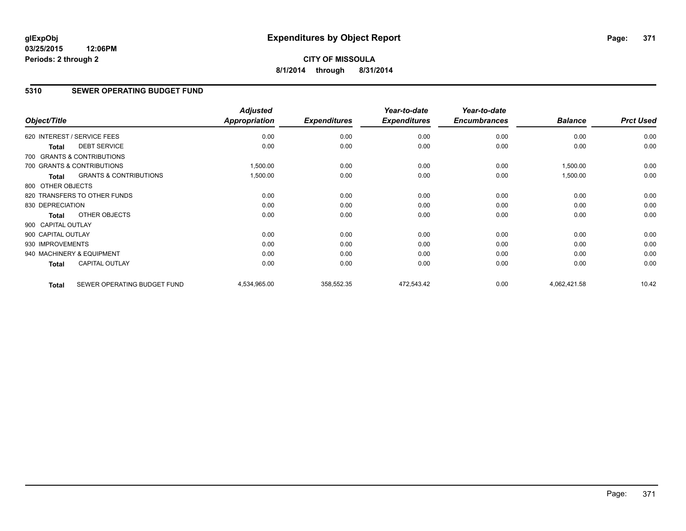# **CITY OF MISSOULA 8/1/2014 through 8/31/2014**

# **5310 SEWER OPERATING BUDGET FUND**

| Object/Title       |                                   | <b>Adjusted</b><br><b>Appropriation</b> | <b>Expenditures</b> | Year-to-date<br><b>Expenditures</b> | Year-to-date<br><b>Encumbrances</b> | <b>Balance</b> | <b>Prct Used</b> |
|--------------------|-----------------------------------|-----------------------------------------|---------------------|-------------------------------------|-------------------------------------|----------------|------------------|
|                    | 620 INTEREST / SERVICE FEES       | 0.00                                    | 0.00                | 0.00                                | 0.00                                | 0.00           | 0.00             |
| <b>Total</b>       | <b>DEBT SERVICE</b>               | 0.00                                    | 0.00                | 0.00                                | 0.00                                | 0.00           | 0.00             |
|                    | 700 GRANTS & CONTRIBUTIONS        |                                         |                     |                                     |                                     |                |                  |
|                    | 700 GRANTS & CONTRIBUTIONS        | 1,500.00                                | 0.00                | 0.00                                | 0.00                                | 1,500.00       | 0.00             |
| <b>Total</b>       | <b>GRANTS &amp; CONTRIBUTIONS</b> | 1,500.00                                | 0.00                | 0.00                                | 0.00                                | 1,500.00       | 0.00             |
| 800 OTHER OBJECTS  |                                   |                                         |                     |                                     |                                     |                |                  |
|                    | 820 TRANSFERS TO OTHER FUNDS      | 0.00                                    | 0.00                | 0.00                                | 0.00                                | 0.00           | 0.00             |
| 830 DEPRECIATION   |                                   | 0.00                                    | 0.00                | 0.00                                | 0.00                                | 0.00           | 0.00             |
| Total              | OTHER OBJECTS                     | 0.00                                    | 0.00                | 0.00                                | 0.00                                | 0.00           | 0.00             |
| 900 CAPITAL OUTLAY |                                   |                                         |                     |                                     |                                     |                |                  |
| 900 CAPITAL OUTLAY |                                   | 0.00                                    | 0.00                | 0.00                                | 0.00                                | 0.00           | 0.00             |
| 930 IMPROVEMENTS   |                                   | 0.00                                    | 0.00                | 0.00                                | 0.00                                | 0.00           | 0.00             |
|                    | 940 MACHINERY & EQUIPMENT         | 0.00                                    | 0.00                | 0.00                                | 0.00                                | 0.00           | 0.00             |
| <b>Total</b>       | <b>CAPITAL OUTLAY</b>             | 0.00                                    | 0.00                | 0.00                                | 0.00                                | 0.00           | 0.00             |
| <b>Total</b>       | SEWER OPERATING BUDGET FUND       | 4,534,965.00                            | 358,552.35          | 472,543.42                          | 0.00                                | 4,062,421.58   | 10.42            |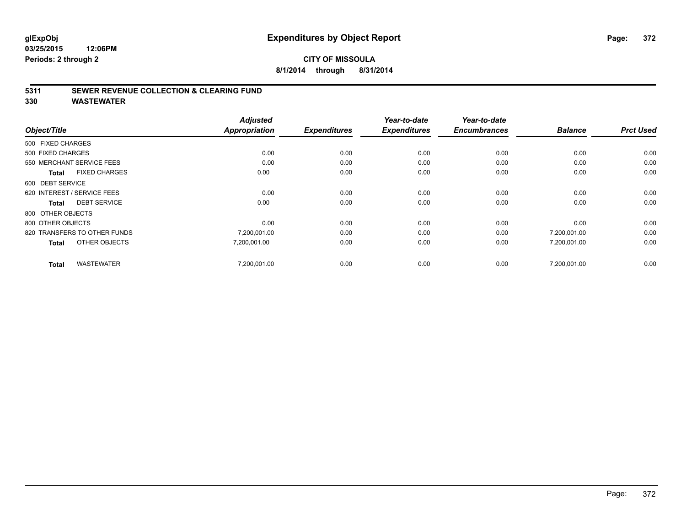## **CITY OF MISSOULA 8/1/2014 through 8/31/2014**

#### **5311 SEWER REVENUE COLLECTION & CLEARING FUND**

|                                      | <b>Adjusted</b><br><b>Appropriation</b> |                     | Year-to-date        | Year-to-date<br><b>Encumbrances</b> | <b>Balance</b> | <b>Prct Used</b> |
|--------------------------------------|-----------------------------------------|---------------------|---------------------|-------------------------------------|----------------|------------------|
| Object/Title                         |                                         | <b>Expenditures</b> | <b>Expenditures</b> |                                     |                |                  |
| 500 FIXED CHARGES                    |                                         |                     |                     |                                     |                |                  |
| 500 FIXED CHARGES                    | 0.00                                    | 0.00                | 0.00                | 0.00                                | 0.00           | 0.00             |
| 550 MERCHANT SERVICE FEES            | 0.00                                    | 0.00                | 0.00                | 0.00                                | 0.00           | 0.00             |
| <b>FIXED CHARGES</b><br><b>Total</b> | 0.00                                    | 0.00                | 0.00                | 0.00                                | 0.00           | 0.00             |
| 600 DEBT SERVICE                     |                                         |                     |                     |                                     |                |                  |
| 620 INTEREST / SERVICE FEES          | 0.00                                    | 0.00                | 0.00                | 0.00                                | 0.00           | 0.00             |
| <b>DEBT SERVICE</b><br><b>Total</b>  | 0.00                                    | 0.00                | 0.00                | 0.00                                | 0.00           | 0.00             |
| 800 OTHER OBJECTS                    |                                         |                     |                     |                                     |                |                  |
| 800 OTHER OBJECTS                    | 0.00                                    | 0.00                | 0.00                | 0.00                                | 0.00           | 0.00             |
| 820 TRANSFERS TO OTHER FUNDS         | 7,200,001.00                            | 0.00                | 0.00                | 0.00                                | 7,200,001.00   | 0.00             |
| OTHER OBJECTS<br><b>Total</b>        | 7,200,001.00                            | 0.00                | 0.00                | 0.00                                | 7,200,001.00   | 0.00             |
| <b>WASTEWATER</b><br><b>Total</b>    | 7,200,001.00                            | 0.00                | 0.00                | 0.00                                | 7,200,001.00   | 0.00             |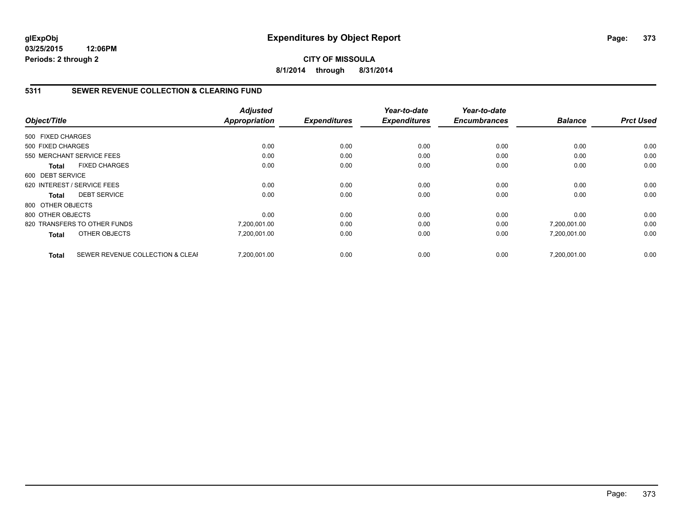**CITY OF MISSOULA 8/1/2014 through 8/31/2014**

## **5311 SEWER REVENUE COLLECTION & CLEARING FUND**

|                   |                                  | <b>Adjusted</b> |                     | Year-to-date        | Year-to-date<br><b>Encumbrances</b> |                | <b>Prct Used</b> |
|-------------------|----------------------------------|-----------------|---------------------|---------------------|-------------------------------------|----------------|------------------|
| Object/Title      |                                  | Appropriation   | <b>Expenditures</b> | <b>Expenditures</b> |                                     | <b>Balance</b> |                  |
| 500 FIXED CHARGES |                                  |                 |                     |                     |                                     |                |                  |
| 500 FIXED CHARGES |                                  | 0.00            | 0.00                | 0.00                | 0.00                                | 0.00           | 0.00             |
|                   | 550 MERCHANT SERVICE FEES        | 0.00            | 0.00                | 0.00                | 0.00                                | 0.00           | 0.00             |
| Total             | <b>FIXED CHARGES</b>             | 0.00            | 0.00                | 0.00                | 0.00                                | 0.00           | 0.00             |
| 600 DEBT SERVICE  |                                  |                 |                     |                     |                                     |                |                  |
|                   | 620 INTEREST / SERVICE FEES      | 0.00            | 0.00                | 0.00                | 0.00                                | 0.00           | 0.00             |
| Total             | <b>DEBT SERVICE</b>              | 0.00            | 0.00                | 0.00                | 0.00                                | 0.00           | 0.00             |
| 800 OTHER OBJECTS |                                  |                 |                     |                     |                                     |                |                  |
| 800 OTHER OBJECTS |                                  | 0.00            | 0.00                | 0.00                | 0.00                                | 0.00           | 0.00             |
|                   | 820 TRANSFERS TO OTHER FUNDS     | 7,200,001.00    | 0.00                | 0.00                | 0.00                                | 7,200,001.00   | 0.00             |
| <b>Total</b>      | OTHER OBJECTS                    | 7,200,001.00    | 0.00                | 0.00                | 0.00                                | 7,200,001.00   | 0.00             |
| <b>Total</b>      | SEWER REVENUE COLLECTION & CLEAF | 7.200.001.00    | 0.00                | 0.00                | 0.00                                | 7.200.001.00   | 0.00             |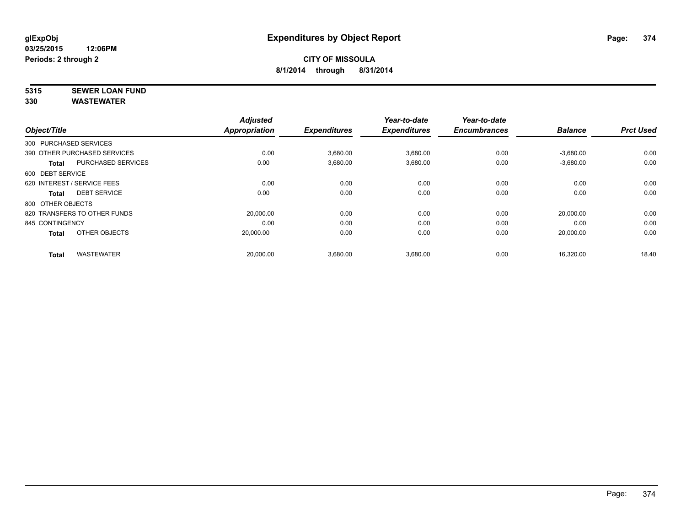# **5315 SEWER LOAN FUND**

| <b>Appropriation</b><br>0.00 | <b>Expenditures</b><br>3,680.00             | <b>Expenditures</b><br>3,680.00 | <b>Encumbrances</b><br>0.00 | <b>Balance</b><br>$-3,680.00$ | <b>Prct Used</b> |
|------------------------------|---------------------------------------------|---------------------------------|-----------------------------|-------------------------------|------------------|
|                              |                                             |                                 |                             |                               |                  |
|                              |                                             |                                 |                             |                               |                  |
|                              |                                             |                                 |                             |                               | 0.00             |
|                              |                                             | 3,680.00                        | 0.00                        | $-3,680.00$                   | 0.00             |
|                              |                                             |                                 |                             |                               |                  |
| 0.00                         | 0.00                                        | 0.00                            | 0.00                        | 0.00                          | 0.00             |
|                              | 0.00                                        | 0.00                            | 0.00                        | 0.00                          | 0.00             |
|                              |                                             |                                 |                             |                               |                  |
|                              | 0.00                                        | 0.00                            | 0.00                        | 20.000.00                     | 0.00             |
| 0.00                         | 0.00                                        | 0.00                            | 0.00                        | 0.00                          | 0.00             |
|                              | 0.00                                        | 0.00                            | 0.00                        | 20,000.00                     | 0.00             |
|                              |                                             |                                 |                             |                               | 18.40            |
|                              | 0.00<br>20,000.00<br>20,000.00<br>20,000.00 | 0.00<br>3,680.00<br>3,680.00    | 3,680.00                    | 0.00                          | 16,320.00        |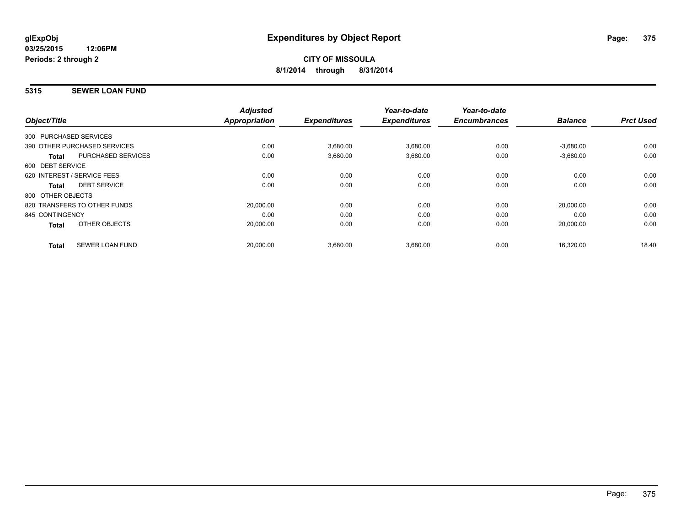## **5315 SEWER LOAN FUND**

|                              |                           | <b>Adjusted</b>      |                     | Year-to-date        | Year-to-date        |                |                  |
|------------------------------|---------------------------|----------------------|---------------------|---------------------|---------------------|----------------|------------------|
| Object/Title                 |                           | <b>Appropriation</b> | <b>Expenditures</b> | <b>Expenditures</b> | <b>Encumbrances</b> | <b>Balance</b> | <b>Prct Used</b> |
| 300 PURCHASED SERVICES       |                           |                      |                     |                     |                     |                |                  |
| 390 OTHER PURCHASED SERVICES |                           | 0.00                 | 3,680.00            | 3,680.00            | 0.00                | $-3,680.00$    | 0.00             |
| <b>Total</b>                 | <b>PURCHASED SERVICES</b> | 0.00                 | 3,680.00            | 3,680.00            | 0.00                | $-3,680.00$    | 0.00             |
| 600 DEBT SERVICE             |                           |                      |                     |                     |                     |                |                  |
| 620 INTEREST / SERVICE FEES  |                           | 0.00                 | 0.00                | 0.00                | 0.00                | 0.00           | 0.00             |
| Total                        | <b>DEBT SERVICE</b>       | 0.00                 | 0.00                | 0.00                | 0.00                | 0.00           | 0.00             |
| 800 OTHER OBJECTS            |                           |                      |                     |                     |                     |                |                  |
| 820 TRANSFERS TO OTHER FUNDS |                           | 20.000.00            | 0.00                | 0.00                | 0.00                | 20.000.00      | 0.00             |
| 845 CONTINGENCY              |                           | 0.00                 | 0.00                | 0.00                | 0.00                | 0.00           | 0.00             |
| <b>Total</b>                 | OTHER OBJECTS             | 20,000.00            | 0.00                | 0.00                | 0.00                | 20,000.00      | 0.00             |
| <b>Total</b>                 | <b>SEWER LOAN FUND</b>    | 20,000.00            | 3,680.00            | 3,680.00            | 0.00                | 16.320.00      | 18.40            |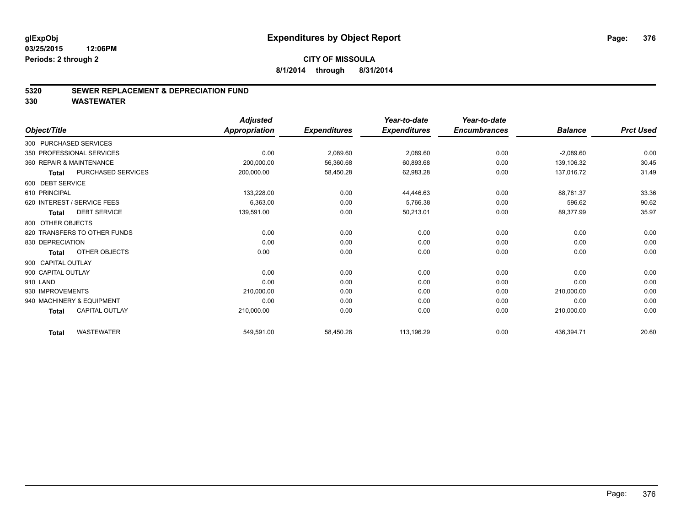#### **5320 SEWER REPLACEMENT & DEPRECIATION FUND**

|                          |                              | <b>Adjusted</b> |                     | Year-to-date        | Year-to-date        |                |                  |
|--------------------------|------------------------------|-----------------|---------------------|---------------------|---------------------|----------------|------------------|
| Object/Title             |                              | Appropriation   | <b>Expenditures</b> | <b>Expenditures</b> | <b>Encumbrances</b> | <b>Balance</b> | <b>Prct Used</b> |
| 300 PURCHASED SERVICES   |                              |                 |                     |                     |                     |                |                  |
|                          | 350 PROFESSIONAL SERVICES    | 0.00            | 2,089.60            | 2,089.60            | 0.00                | $-2,089.60$    | 0.00             |
| 360 REPAIR & MAINTENANCE |                              | 200,000.00      | 56,360.68           | 60,893.68           | 0.00                | 139,106.32     | 30.45            |
| <b>Total</b>             | <b>PURCHASED SERVICES</b>    | 200,000.00      | 58,450.28           | 62,983.28           | 0.00                | 137,016.72     | 31.49            |
| 600 DEBT SERVICE         |                              |                 |                     |                     |                     |                |                  |
| 610 PRINCIPAL            |                              | 133,228.00      | 0.00                | 44,446.63           | 0.00                | 88,781.37      | 33.36            |
|                          | 620 INTEREST / SERVICE FEES  | 6,363.00        | 0.00                | 5,766.38            | 0.00                | 596.62         | 90.62            |
| <b>Total</b>             | <b>DEBT SERVICE</b>          | 139,591.00      | 0.00                | 50,213.01           | 0.00                | 89,377.99      | 35.97            |
| 800 OTHER OBJECTS        |                              |                 |                     |                     |                     |                |                  |
|                          | 820 TRANSFERS TO OTHER FUNDS | 0.00            | 0.00                | 0.00                | 0.00                | 0.00           | 0.00             |
| 830 DEPRECIATION         |                              | 0.00            | 0.00                | 0.00                | 0.00                | 0.00           | 0.00             |
| <b>Total</b>             | OTHER OBJECTS                | 0.00            | 0.00                | 0.00                | 0.00                | 0.00           | 0.00             |
| 900 CAPITAL OUTLAY       |                              |                 |                     |                     |                     |                |                  |
| 900 CAPITAL OUTLAY       |                              | 0.00            | 0.00                | 0.00                | 0.00                | 0.00           | 0.00             |
| 910 LAND                 |                              | 0.00            | 0.00                | 0.00                | 0.00                | 0.00           | 0.00             |
| 930 IMPROVEMENTS         |                              | 210,000.00      | 0.00                | 0.00                | 0.00                | 210,000.00     | 0.00             |
|                          | 940 MACHINERY & EQUIPMENT    | 0.00            | 0.00                | 0.00                | 0.00                | 0.00           | 0.00             |
| <b>Total</b>             | <b>CAPITAL OUTLAY</b>        | 210,000.00      | 0.00                | 0.00                | 0.00                | 210,000.00     | 0.00             |
| <b>Total</b>             | <b>WASTEWATER</b>            | 549,591.00      | 58,450.28           | 113,196.29          | 0.00                | 436,394.71     | 20.60            |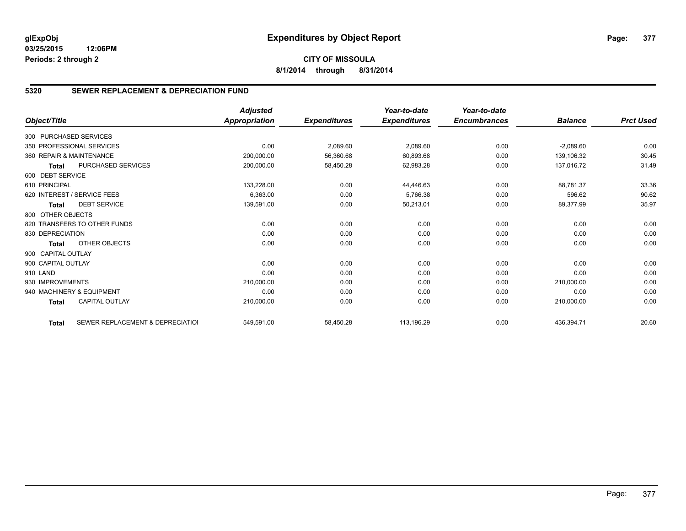# **CITY OF MISSOULA 8/1/2014 through 8/31/2014**

# **5320 SEWER REPLACEMENT & DEPRECIATION FUND**

|                        |                                  | <b>Adjusted</b>      |                     | Year-to-date        | Year-to-date        |                |                  |
|------------------------|----------------------------------|----------------------|---------------------|---------------------|---------------------|----------------|------------------|
| Object/Title           |                                  | <b>Appropriation</b> | <b>Expenditures</b> | <b>Expenditures</b> | <b>Encumbrances</b> | <b>Balance</b> | <b>Prct Used</b> |
| 300 PURCHASED SERVICES |                                  |                      |                     |                     |                     |                |                  |
|                        | 350 PROFESSIONAL SERVICES        | 0.00                 | 2,089.60            | 2,089.60            | 0.00                | $-2,089.60$    | 0.00             |
|                        | 360 REPAIR & MAINTENANCE         | 200,000.00           | 56,360.68           | 60,893.68           | 0.00                | 139,106.32     | 30.45            |
| <b>Total</b>           | PURCHASED SERVICES               | 200,000.00           | 58,450.28           | 62,983.28           | 0.00                | 137,016.72     | 31.49            |
| 600 DEBT SERVICE       |                                  |                      |                     |                     |                     |                |                  |
| 610 PRINCIPAL          |                                  | 133,228.00           | 0.00                | 44,446.63           | 0.00                | 88,781.37      | 33.36            |
|                        | 620 INTEREST / SERVICE FEES      | 6,363.00             | 0.00                | 5,766.38            | 0.00                | 596.62         | 90.62            |
| <b>Total</b>           | <b>DEBT SERVICE</b>              | 139,591.00           | 0.00                | 50,213.01           | 0.00                | 89,377.99      | 35.97            |
| 800 OTHER OBJECTS      |                                  |                      |                     |                     |                     |                |                  |
|                        | 820 TRANSFERS TO OTHER FUNDS     | 0.00                 | 0.00                | 0.00                | 0.00                | 0.00           | 0.00             |
| 830 DEPRECIATION       |                                  | 0.00                 | 0.00                | 0.00                | 0.00                | 0.00           | 0.00             |
| <b>Total</b>           | OTHER OBJECTS                    | 0.00                 | 0.00                | 0.00                | 0.00                | 0.00           | 0.00             |
| 900 CAPITAL OUTLAY     |                                  |                      |                     |                     |                     |                |                  |
| 900 CAPITAL OUTLAY     |                                  | 0.00                 | 0.00                | 0.00                | 0.00                | 0.00           | 0.00             |
| 910 LAND               |                                  | 0.00                 | 0.00                | 0.00                | 0.00                | 0.00           | 0.00             |
| 930 IMPROVEMENTS       |                                  | 210,000.00           | 0.00                | 0.00                | 0.00                | 210,000.00     | 0.00             |
|                        | 940 MACHINERY & EQUIPMENT        | 0.00                 | 0.00                | 0.00                | 0.00                | 0.00           | 0.00             |
| <b>Total</b>           | <b>CAPITAL OUTLAY</b>            | 210,000.00           | 0.00                | 0.00                | 0.00                | 210,000.00     | 0.00             |
| <b>Total</b>           | SEWER REPLACEMENT & DEPRECIATION | 549,591.00           | 58,450.28           | 113,196.29          | 0.00                | 436,394.71     | 20.60            |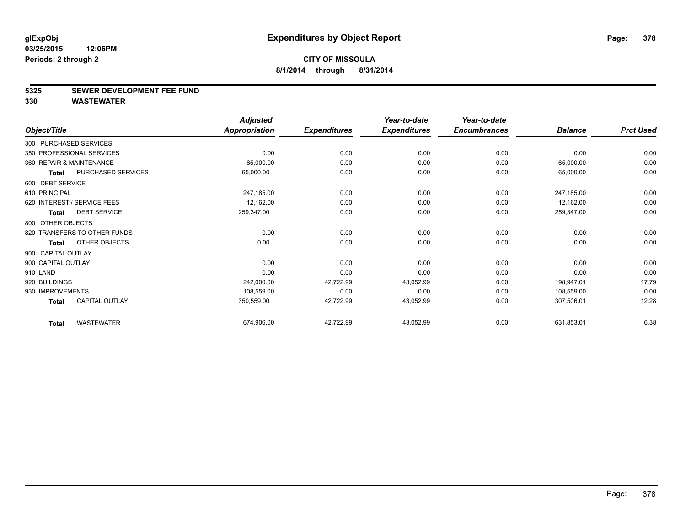#### **5325 SEWER DEVELOPMENT FEE FUND**

|                              |                       | <b>Adjusted</b> |                     | Year-to-date        | Year-to-date        |                |                  |
|------------------------------|-----------------------|-----------------|---------------------|---------------------|---------------------|----------------|------------------|
| Object/Title                 |                       | Appropriation   | <b>Expenditures</b> | <b>Expenditures</b> | <b>Encumbrances</b> | <b>Balance</b> | <b>Prct Used</b> |
| 300 PURCHASED SERVICES       |                       |                 |                     |                     |                     |                |                  |
| 350 PROFESSIONAL SERVICES    |                       | 0.00            | 0.00                | 0.00                | 0.00                | 0.00           | 0.00             |
| 360 REPAIR & MAINTENANCE     |                       | 65,000.00       | 0.00                | 0.00                | 0.00                | 65,000.00      | 0.00             |
| <b>Total</b>                 | PURCHASED SERVICES    | 65,000.00       | 0.00                | 0.00                | 0.00                | 65,000.00      | 0.00             |
| 600 DEBT SERVICE             |                       |                 |                     |                     |                     |                |                  |
| 610 PRINCIPAL                |                       | 247,185.00      | 0.00                | 0.00                | 0.00                | 247,185.00     | 0.00             |
| 620 INTEREST / SERVICE FEES  |                       | 12,162.00       | 0.00                | 0.00                | 0.00                | 12,162.00      | 0.00             |
| <b>Total</b>                 | <b>DEBT SERVICE</b>   | 259,347.00      | 0.00                | 0.00                | 0.00                | 259,347.00     | 0.00             |
| 800 OTHER OBJECTS            |                       |                 |                     |                     |                     |                |                  |
| 820 TRANSFERS TO OTHER FUNDS |                       | 0.00            | 0.00                | 0.00                | 0.00                | 0.00           | 0.00             |
| <b>Total</b>                 | OTHER OBJECTS         | 0.00            | 0.00                | 0.00                | 0.00                | 0.00           | 0.00             |
| 900 CAPITAL OUTLAY           |                       |                 |                     |                     |                     |                |                  |
| 900 CAPITAL OUTLAY           |                       | 0.00            | 0.00                | 0.00                | 0.00                | 0.00           | 0.00             |
| 910 LAND                     |                       | 0.00            | 0.00                | 0.00                | 0.00                | 0.00           | 0.00             |
| 920 BUILDINGS                |                       | 242,000.00      | 42,722.99           | 43,052.99           | 0.00                | 198,947.01     | 17.79            |
| 930 IMPROVEMENTS             |                       | 108,559.00      | 0.00                | 0.00                | 0.00                | 108,559.00     | 0.00             |
| <b>Total</b>                 | <b>CAPITAL OUTLAY</b> | 350,559.00      | 42,722.99           | 43,052.99           | 0.00                | 307,506.01     | 12.28            |
| <b>Total</b>                 | <b>WASTEWATER</b>     | 674,906.00      | 42,722.99           | 43,052.99           | 0.00                | 631,853.01     | 6.38             |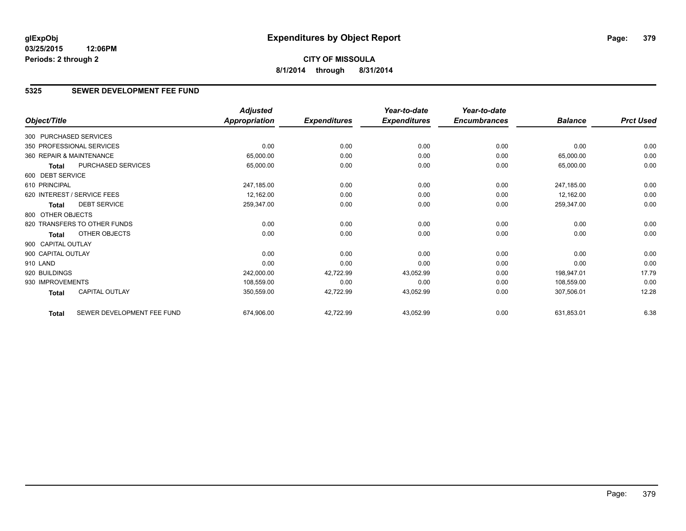# **CITY OF MISSOULA 8/1/2014 through 8/31/2014**

## **5325 SEWER DEVELOPMENT FEE FUND**

|                          |                              | <b>Adjusted</b>      |                     | Year-to-date        | Year-to-date        |                |                  |
|--------------------------|------------------------------|----------------------|---------------------|---------------------|---------------------|----------------|------------------|
| Object/Title             |                              | <b>Appropriation</b> | <b>Expenditures</b> | <b>Expenditures</b> | <b>Encumbrances</b> | <b>Balance</b> | <b>Prct Used</b> |
| 300 PURCHASED SERVICES   |                              |                      |                     |                     |                     |                |                  |
|                          | 350 PROFESSIONAL SERVICES    | 0.00                 | 0.00                | 0.00                | 0.00                | 0.00           | 0.00             |
| 360 REPAIR & MAINTENANCE |                              | 65,000.00            | 0.00                | 0.00                | 0.00                | 65,000.00      | 0.00             |
| Total                    | PURCHASED SERVICES           | 65,000.00            | 0.00                | 0.00                | 0.00                | 65,000.00      | 0.00             |
| 600 DEBT SERVICE         |                              |                      |                     |                     |                     |                |                  |
| 610 PRINCIPAL            |                              | 247,185.00           | 0.00                | 0.00                | 0.00                | 247,185.00     | 0.00             |
|                          | 620 INTEREST / SERVICE FEES  | 12,162.00            | 0.00                | 0.00                | 0.00                | 12,162.00      | 0.00             |
| Total                    | <b>DEBT SERVICE</b>          | 259,347.00           | 0.00                | 0.00                | 0.00                | 259,347.00     | 0.00             |
| 800 OTHER OBJECTS        |                              |                      |                     |                     |                     |                |                  |
|                          | 820 TRANSFERS TO OTHER FUNDS | 0.00                 | 0.00                | 0.00                | 0.00                | 0.00           | 0.00             |
| Total                    | OTHER OBJECTS                | 0.00                 | 0.00                | 0.00                | 0.00                | 0.00           | 0.00             |
| 900 CAPITAL OUTLAY       |                              |                      |                     |                     |                     |                |                  |
| 900 CAPITAL OUTLAY       |                              | 0.00                 | 0.00                | 0.00                | 0.00                | 0.00           | 0.00             |
| 910 LAND                 |                              | 0.00                 | 0.00                | 0.00                | 0.00                | 0.00           | 0.00             |
| 920 BUILDINGS            |                              | 242,000.00           | 42,722.99           | 43,052.99           | 0.00                | 198,947.01     | 17.79            |
| 930 IMPROVEMENTS         |                              | 108,559.00           | 0.00                | 0.00                | 0.00                | 108,559.00     | 0.00             |
| Total                    | <b>CAPITAL OUTLAY</b>        | 350,559.00           | 42,722.99           | 43,052.99           | 0.00                | 307,506.01     | 12.28            |
| <b>Total</b>             | SEWER DEVELOPMENT FEE FUND   | 674,906.00           | 42,722.99           | 43,052.99           | 0.00                | 631,853.01     | 6.38             |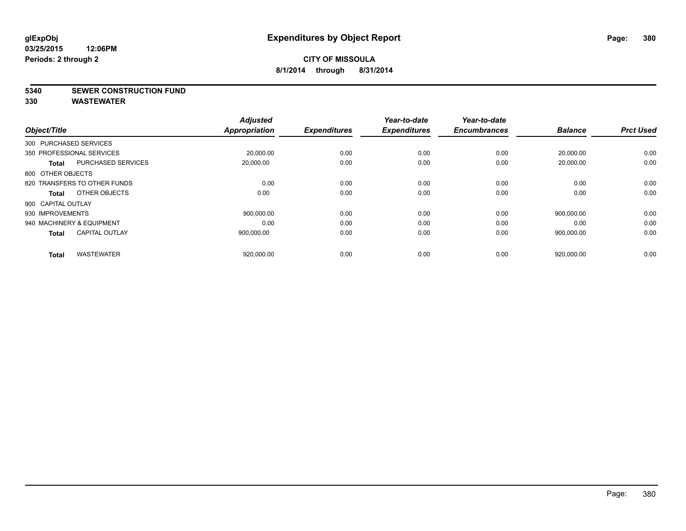#### **5340 SEWER CONSTRUCTION FUND**

| Object/Title                              | <b>Adjusted</b><br><b>Appropriation</b> | <b>Expenditures</b> | Year-to-date<br><b>Expenditures</b> | Year-to-date<br><b>Encumbrances</b> | <b>Balance</b> | <b>Prct Used</b> |
|-------------------------------------------|-----------------------------------------|---------------------|-------------------------------------|-------------------------------------|----------------|------------------|
| 300 PURCHASED SERVICES                    |                                         |                     |                                     |                                     |                |                  |
| 350 PROFESSIONAL SERVICES                 | 20,000.00                               | 0.00                | 0.00                                | 0.00                                | 20,000.00      | 0.00             |
| <b>PURCHASED SERVICES</b><br><b>Total</b> | 20,000.00                               | 0.00                | 0.00                                | 0.00                                | 20,000.00      | 0.00             |
| 800 OTHER OBJECTS                         |                                         |                     |                                     |                                     |                |                  |
| 820 TRANSFERS TO OTHER FUNDS              | 0.00                                    | 0.00                | 0.00                                | 0.00                                | 0.00           | 0.00             |
| OTHER OBJECTS<br>Total                    | 0.00                                    | 0.00                | 0.00                                | 0.00                                | 0.00           | 0.00             |
| 900 CAPITAL OUTLAY                        |                                         |                     |                                     |                                     |                |                  |
| 930 IMPROVEMENTS                          | 900.000.00                              | 0.00                | 0.00                                | 0.00                                | 900,000.00     | 0.00             |
| 940 MACHINERY & EQUIPMENT                 | 0.00                                    | 0.00                | 0.00                                | 0.00                                | 0.00           | 0.00             |
| <b>CAPITAL OUTLAY</b><br><b>Total</b>     | 900.000.00                              | 0.00                | 0.00                                | 0.00                                | 900.000.00     | 0.00             |
|                                           |                                         |                     |                                     |                                     |                |                  |
| <b>WASTEWATER</b><br><b>Total</b>         | 920,000.00                              | 0.00                | 0.00                                | 0.00                                | 920,000.00     | 0.00             |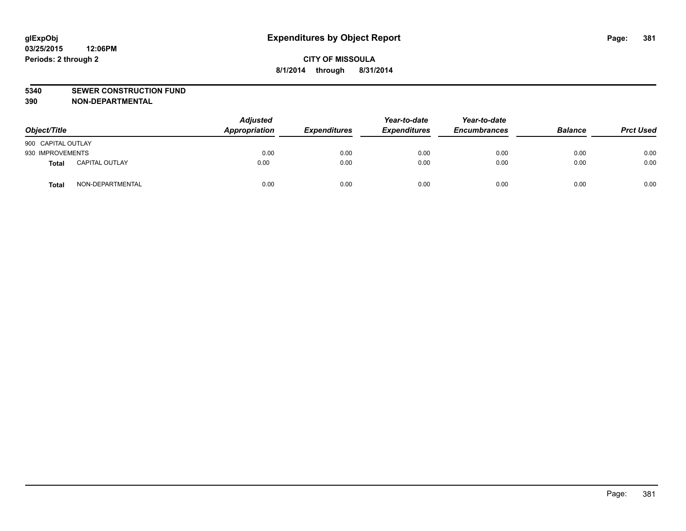#### **5340 SEWER CONSTRUCTION FUND**

**390 NON-DEPARTMENTAL**

| Object/Title       |                       | <b>Adjusted</b><br>Appropriation | <b>Expenditures</b> | Year-to-date<br><b>Expenditures</b> | Year-to-date<br><b>Encumbrances</b> | <b>Balance</b> | <b>Prct Used</b> |
|--------------------|-----------------------|----------------------------------|---------------------|-------------------------------------|-------------------------------------|----------------|------------------|
| 900 CAPITAL OUTLAY |                       |                                  |                     |                                     |                                     |                |                  |
| 930 IMPROVEMENTS   |                       | 0.00                             | 0.00                | 0.00                                | 0.00                                | 0.00           | 0.00             |
| <b>Total</b>       | <b>CAPITAL OUTLAY</b> | 0.00                             | 0.00                | 0.00                                | 0.00                                | 0.00           | 0.00             |
| <b>Total</b>       | NON-DEPARTMENTAL      | 0.00                             | 0.00                | 0.00                                | 0.00                                | 0.00           | 0.00             |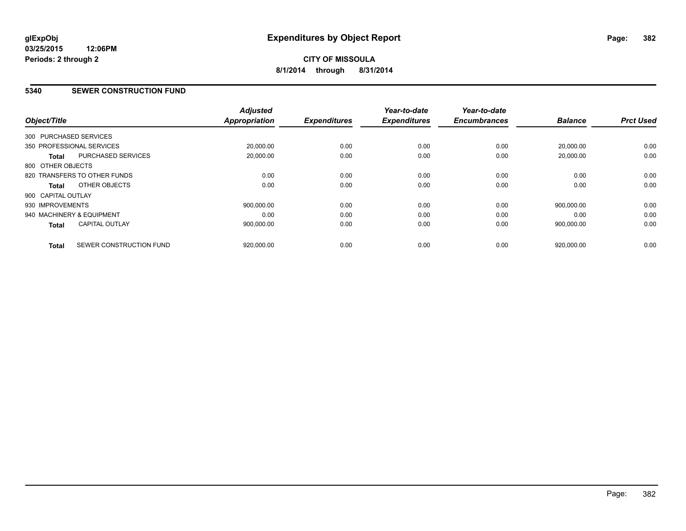# **CITY OF MISSOULA 8/1/2014 through 8/31/2014**

### **5340 SEWER CONSTRUCTION FUND**

| Object/Title                 |                           | <b>Adjusted</b><br><b>Appropriation</b> | <b>Expenditures</b> | Year-to-date<br><b>Expenditures</b> | Year-to-date<br><b>Encumbrances</b> | <b>Balance</b> | <b>Prct Used</b> |
|------------------------------|---------------------------|-----------------------------------------|---------------------|-------------------------------------|-------------------------------------|----------------|------------------|
| 300 PURCHASED SERVICES       |                           |                                         |                     |                                     |                                     |                |                  |
| 350 PROFESSIONAL SERVICES    |                           | 20,000.00                               | 0.00                | 0.00                                | 0.00                                | 20,000.00      | 0.00             |
| <b>Total</b>                 | <b>PURCHASED SERVICES</b> | 20,000.00                               | 0.00                | 0.00                                | 0.00                                | 20,000.00      | 0.00             |
| 800 OTHER OBJECTS            |                           |                                         |                     |                                     |                                     |                |                  |
| 820 TRANSFERS TO OTHER FUNDS |                           | 0.00                                    | 0.00                | 0.00                                | 0.00                                | 0.00           | 0.00             |
| Total                        | OTHER OBJECTS             | 0.00                                    | 0.00                | 0.00                                | 0.00                                | 0.00           | 0.00             |
| 900 CAPITAL OUTLAY           |                           |                                         |                     |                                     |                                     |                |                  |
| 930 IMPROVEMENTS             |                           | 900.000.00                              | 0.00                | 0.00                                | 0.00                                | 900.000.00     | 0.00             |
| 940 MACHINERY & EQUIPMENT    |                           | 0.00                                    | 0.00                | 0.00                                | 0.00                                | 0.00           | 0.00             |
| <b>Total</b>                 | <b>CAPITAL OUTLAY</b>     | 900,000.00                              | 0.00                | 0.00                                | 0.00                                | 900,000.00     | 0.00             |
| <b>Total</b>                 | SEWER CONSTRUCTION FUND   | 920,000.00                              | 0.00                | 0.00                                | 0.00                                | 920,000.00     | 0.00             |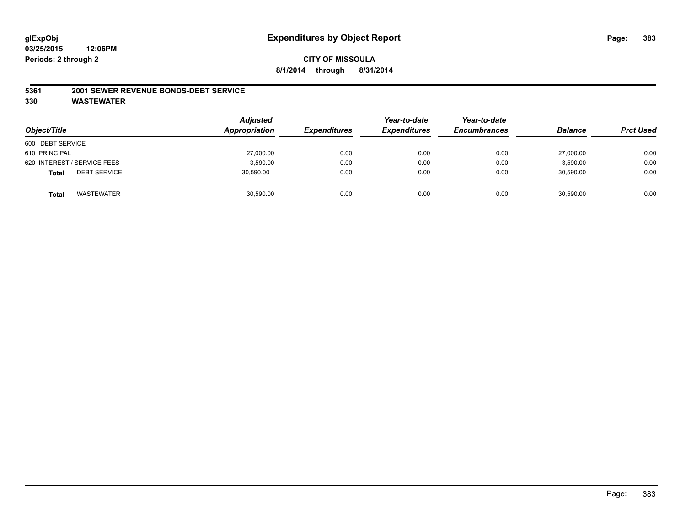## **CITY OF MISSOULA 8/1/2014 through 8/31/2014**

#### **5361 2001 SEWER REVENUE BONDS-DEBT SERVICE**

| Object/Title                        | <b>Adjusted</b><br>Appropriation | <b>Expenditures</b> | Year-to-date<br><b>Expenditures</b> | Year-to-date<br><b>Encumbrances</b> | <b>Balance</b> | <b>Prct Used</b> |
|-------------------------------------|----------------------------------|---------------------|-------------------------------------|-------------------------------------|----------------|------------------|
| 600 DEBT SERVICE                    |                                  |                     |                                     |                                     |                |                  |
| 610 PRINCIPAL                       | 27,000.00                        | 0.00                | 0.00                                | 0.00                                | 27,000.00      | 0.00             |
| 620 INTEREST / SERVICE FEES         | 3,590.00                         | 0.00                | 0.00                                | 0.00                                | 3,590.00       | 0.00             |
| <b>DEBT SERVICE</b><br><b>Total</b> | 30,590.00                        | 0.00                | 0.00                                | 0.00                                | 30,590.00      | 0.00             |
| WASTEWATER<br><b>Total</b>          | 30,590.00                        | 0.00                | 0.00                                | 0.00                                | 30,590.00      | 0.00             |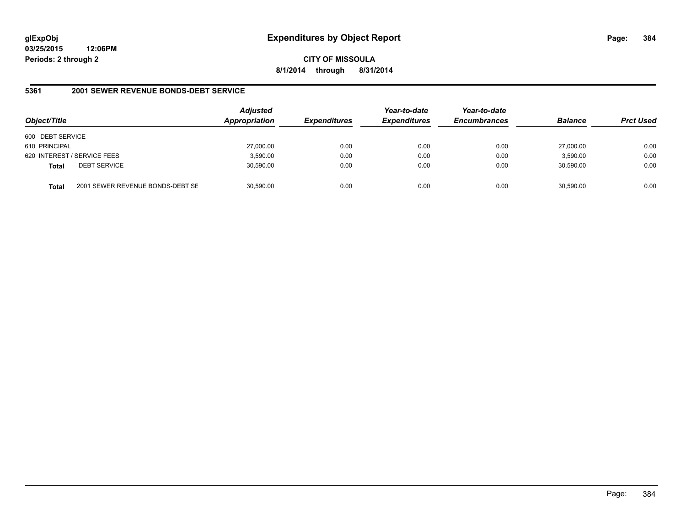**CITY OF MISSOULA 8/1/2014 through 8/31/2014**

### **5361 2001 SEWER REVENUE BONDS-DEBT SERVICE**

| Object/Title     |                                  | <b>Adjusted</b><br>Appropriation | <b>Expenditures</b> | Year-to-date<br><b>Expenditures</b> | Year-to-date<br><b>Encumbrances</b> | <b>Balance</b> | <b>Prct Used</b> |
|------------------|----------------------------------|----------------------------------|---------------------|-------------------------------------|-------------------------------------|----------------|------------------|
| 600 DEBT SERVICE |                                  |                                  |                     |                                     |                                     |                |                  |
| 610 PRINCIPAL    |                                  | 27,000.00                        | 0.00                | 0.00                                | 0.00                                | 27.000.00      | 0.00             |
|                  | 620 INTEREST / SERVICE FEES      | 3,590.00                         | 0.00                | 0.00                                | 0.00                                | 3,590.00       | 0.00             |
| <b>Total</b>     | <b>DEBT SERVICE</b>              | 30,590.00                        | 0.00                | 0.00                                | 0.00                                | 30.590.00      | 0.00             |
| Total            | 2001 SEWER REVENUE BONDS-DEBT SE | 30,590.00                        | 0.00                | 0.00                                | 0.00                                | 30,590.00      | 0.00             |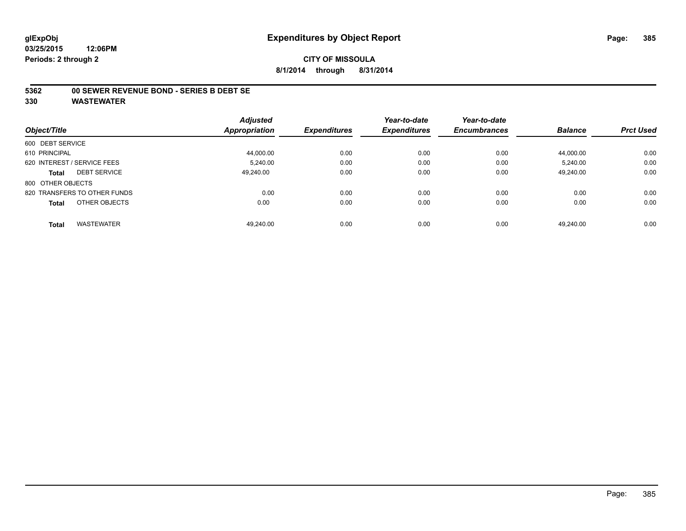### **5362 00 SEWER REVENUE BOND - SERIES B DEBT SE**

**330 WASTEWATER**

**Periods: 2 through 2**

**03/25/2015**

|                                     | <b>Adjusted</b>      |                     | Year-to-date        | Year-to-date        |                |                  |
|-------------------------------------|----------------------|---------------------|---------------------|---------------------|----------------|------------------|
| Object/Title                        | <b>Appropriation</b> | <b>Expenditures</b> | <b>Expenditures</b> | <b>Encumbrances</b> | <b>Balance</b> | <b>Prct Used</b> |
| 600 DEBT SERVICE                    |                      |                     |                     |                     |                |                  |
| 610 PRINCIPAL                       | 44.000.00            | 0.00                | 0.00                | 0.00                | 44.000.00      | 0.00             |
| 620 INTEREST / SERVICE FEES         | 5.240.00             | 0.00                | 0.00                | 0.00                | 5.240.00       | 0.00             |
| <b>DEBT SERVICE</b><br><b>Total</b> | 49.240.00            | 0.00                | 0.00                | 0.00                | 49.240.00      | 0.00             |
| 800 OTHER OBJECTS                   |                      |                     |                     |                     |                |                  |
| 820 TRANSFERS TO OTHER FUNDS        | 0.00                 | 0.00                | 0.00                | 0.00                | 0.00           | 0.00             |
| OTHER OBJECTS<br><b>Total</b>       | 0.00                 | 0.00                | 0.00                | 0.00                | 0.00           | 0.00             |
| <b>WASTEWATER</b><br><b>Total</b>   | 49.240.00            | 0.00                | 0.00                | 0.00                | 49.240.00      | 0.00             |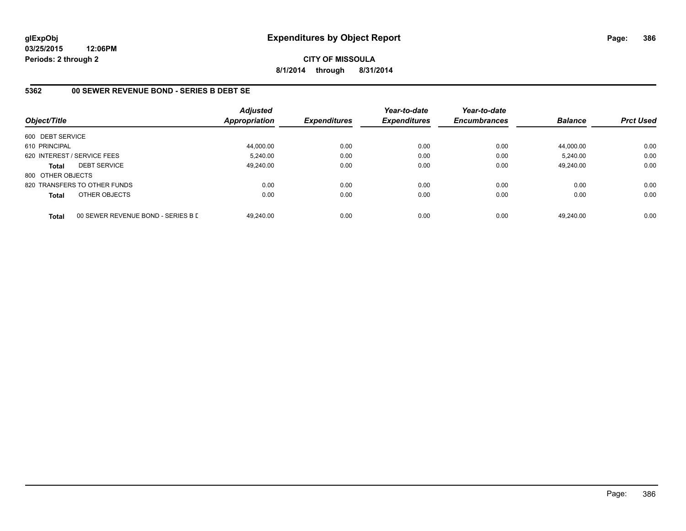**CITY OF MISSOULA 8/1/2014 through 8/31/2014**

## **5362 00 SEWER REVENUE BOND - SERIES B DEBT SE**

| Object/Title                |                                    | <b>Adjusted</b><br><b>Appropriation</b> | <b>Expenditures</b> | Year-to-date<br><b>Expenditures</b> | Year-to-date<br><b>Encumbrances</b> | <b>Balance</b> | <b>Prct Used</b> |
|-----------------------------|------------------------------------|-----------------------------------------|---------------------|-------------------------------------|-------------------------------------|----------------|------------------|
| 600 DEBT SERVICE            |                                    |                                         |                     |                                     |                                     |                |                  |
| 610 PRINCIPAL               |                                    | 44,000.00                               | 0.00                | 0.00                                | 0.00                                | 44.000.00      | 0.00             |
| 620 INTEREST / SERVICE FEES |                                    | 5,240.00                                | 0.00                | 0.00                                | 0.00                                | 5,240.00       | 0.00             |
| <b>Total</b>                | <b>DEBT SERVICE</b>                | 49.240.00                               | 0.00                | 0.00                                | 0.00                                | 49.240.00      | 0.00             |
| 800 OTHER OBJECTS           |                                    |                                         |                     |                                     |                                     |                |                  |
|                             | 820 TRANSFERS TO OTHER FUNDS       | 0.00                                    | 0.00                | 0.00                                | 0.00                                | 0.00           | 0.00             |
| <b>Total</b>                | OTHER OBJECTS                      | 0.00                                    | 0.00                | 0.00                                | 0.00                                | 0.00           | 0.00             |
| <b>Total</b>                | 00 SEWER REVENUE BOND - SERIES B D | 49.240.00                               | 0.00                | 0.00                                | 0.00                                | 49.240.00      | 0.00             |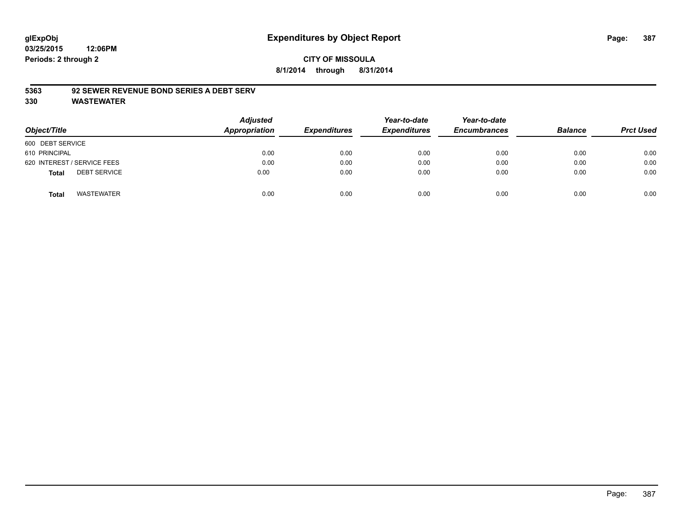## **CITY OF MISSOULA 8/1/2014 through 8/31/2014**

### **5363 92 SEWER REVENUE BOND SERIES A DEBT SERV**

| Object/Title                        | <b>Adjusted</b><br>Appropriation | <b>Expenditures</b> | Year-to-date<br><b>Expenditures</b> | Year-to-date<br><b>Encumbrances</b> | <b>Balance</b> | <b>Prct Used</b> |
|-------------------------------------|----------------------------------|---------------------|-------------------------------------|-------------------------------------|----------------|------------------|
| 600 DEBT SERVICE                    |                                  |                     |                                     |                                     |                |                  |
| 610 PRINCIPAL                       | 0.00                             | 0.00                | 0.00                                | 0.00                                | 0.00           | 0.00             |
| 620 INTEREST / SERVICE FEES         | 0.00                             | 0.00                | 0.00                                | 0.00                                | 0.00           | 0.00             |
| <b>DEBT SERVICE</b><br><b>Total</b> | 0.00                             | 0.00                | 0.00                                | 0.00                                | 0.00           | 0.00             |
| <b>WASTEWATER</b><br><b>Total</b>   | 0.00                             | 0.00                | 0.00                                | 0.00                                | 0.00           | 0.00             |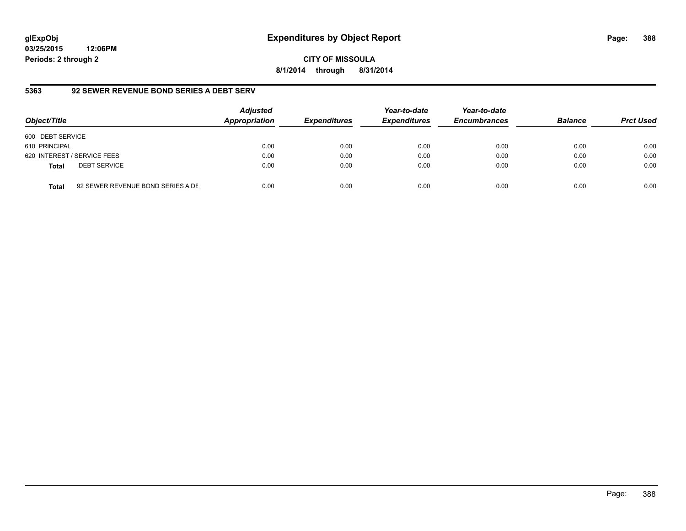**03/25/2015 12:06PM Periods: 2 through 2**

**5363 92 SEWER REVENUE BOND SERIES A DEBT SERV**

| Object/Title     |                                   | <b>Adjusted</b><br><b>Appropriation</b> | <b>Expenditures</b> | Year-to-date<br><b>Expenditures</b> | Year-to-date<br><b>Encumbrances</b> | <b>Balance</b> | <b>Prct Used</b> |
|------------------|-----------------------------------|-----------------------------------------|---------------------|-------------------------------------|-------------------------------------|----------------|------------------|
| 600 DEBT SERVICE |                                   |                                         |                     |                                     |                                     |                |                  |
| 610 PRINCIPAL    |                                   | 0.00                                    | 0.00                | 0.00                                | 0.00                                | 0.00           | 0.00             |
|                  | 620 INTEREST / SERVICE FEES       | 0.00                                    | 0.00                | 0.00                                | 0.00                                | 0.00           | 0.00             |
| <b>Total</b>     | <b>DEBT SERVICE</b>               | 0.00                                    | 0.00                | 0.00                                | 0.00                                | 0.00           | 0.00             |
| Total            | 92 SEWER REVENUE BOND SERIES A DE | 0.00                                    | 0.00                | 0.00                                | 0.00                                | 0.00           | 0.00             |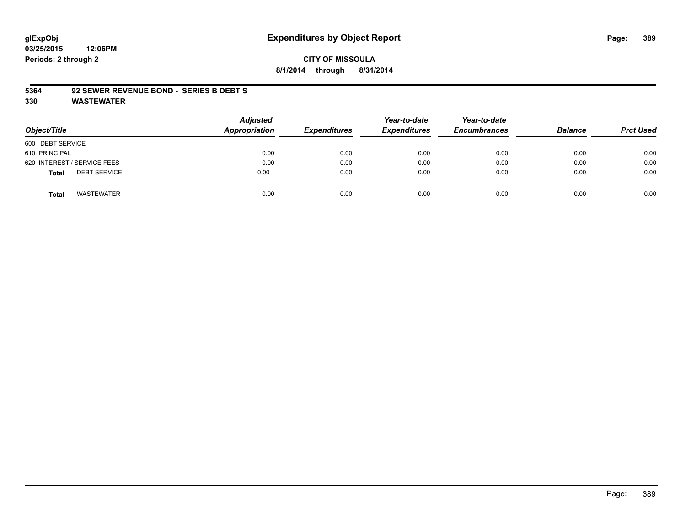**03/25/2015 12:06PM Periods: 2 through 2**

### **CITY OF MISSOULA 8/1/2014 through 8/31/2014**

#### **5364 92 SEWER REVENUE BOND - SERIES B DEBT S**

| Object/Title                        | Adjusted<br>Appropriation | <b>Expenditures</b> | Year-to-date<br><b>Expenditures</b> | Year-to-date<br><b>Encumbrances</b> | <b>Balance</b> | <b>Prct Used</b> |
|-------------------------------------|---------------------------|---------------------|-------------------------------------|-------------------------------------|----------------|------------------|
| 600 DEBT SERVICE                    |                           |                     |                                     |                                     |                |                  |
| 610 PRINCIPAL                       | 0.00                      | 0.00                | 0.00                                | 0.00                                | 0.00           | 0.00             |
| 620 INTEREST / SERVICE FEES         | 0.00                      | 0.00                | 0.00                                | 0.00                                | 0.00           | 0.00             |
| <b>DEBT SERVICE</b><br><b>Total</b> | 0.00                      | 0.00                | 0.00                                | 0.00                                | 0.00           | 0.00             |
| <b>WASTEWATER</b><br><b>Total</b>   | 0.00                      | 0.00                | 0.00                                | 0.00                                | 0.00           | 0.00             |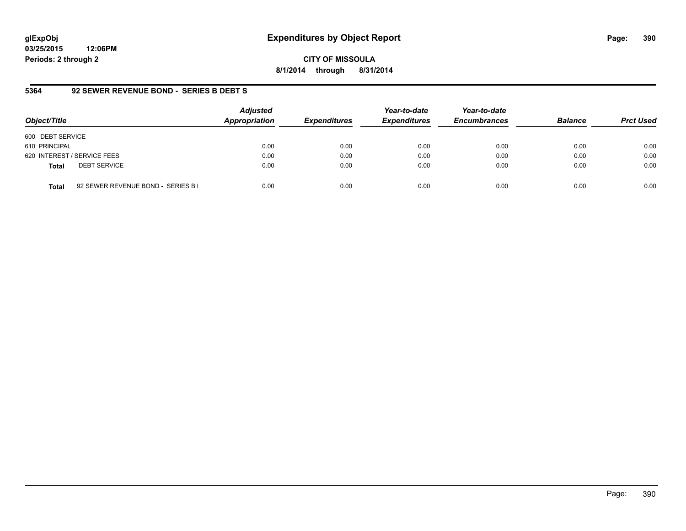**03/25/2015 12:06PM Periods: 2 through 2**

**CITY OF MISSOULA 8/1/2014 through 8/31/2014**

## **5364 92 SEWER REVENUE BOND - SERIES B DEBT S**

| Object/Title                                       | <b>Adjusted</b><br>Appropriation | <b>Expenditures</b> | Year-to-date<br><b>Expenditures</b> | Year-to-date<br><b>Encumbrances</b> | <b>Balance</b> | <b>Prct Used</b> |
|----------------------------------------------------|----------------------------------|---------------------|-------------------------------------|-------------------------------------|----------------|------------------|
| 600 DEBT SERVICE                                   |                                  |                     |                                     |                                     |                |                  |
| 610 PRINCIPAL                                      | 0.00                             | 0.00                | 0.00                                | 0.00                                | 0.00           | 0.00             |
| 620 INTEREST / SERVICE FEES                        | 0.00                             | 0.00                | 0.00                                | 0.00                                | 0.00           | 0.00             |
| <b>DEBT SERVICE</b><br><b>Total</b>                | 0.00                             | 0.00                | 0.00                                | 0.00                                | 0.00           | 0.00             |
| 92 SEWER REVENUE BOND - SERIES B I<br><b>Total</b> | 0.00                             | 0.00                | 0.00                                | 0.00                                | 0.00           | 0.00             |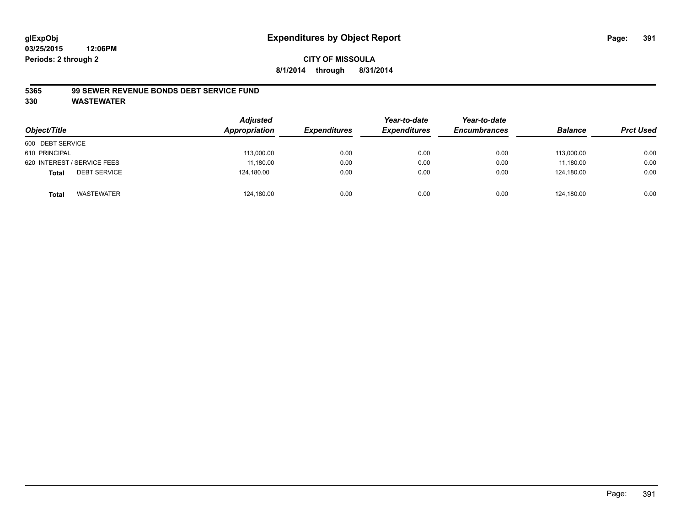## **CITY OF MISSOULA 8/1/2014 through 8/31/2014**

### **5365 99 SEWER REVENUE BONDS DEBT SERVICE FUND**

| Object/Title                        | <b>Adjusted</b><br>Appropriation | <b>Expenditures</b> | Year-to-date<br><b>Expenditures</b> | Year-to-date<br><b>Encumbrances</b> | <b>Balance</b> | <b>Prct Used</b> |
|-------------------------------------|----------------------------------|---------------------|-------------------------------------|-------------------------------------|----------------|------------------|
| 600 DEBT SERVICE                    |                                  |                     |                                     |                                     |                |                  |
| 610 PRINCIPAL                       | 113,000.00                       | 0.00                | 0.00                                | 0.00                                | 113.000.00     | 0.00             |
| 620 INTEREST / SERVICE FEES         | 11,180.00                        | 0.00                | 0.00                                | 0.00                                | 11.180.00      | 0.00             |
| <b>DEBT SERVICE</b><br><b>Total</b> | 124,180.00                       | 0.00                | 0.00                                | 0.00                                | 124.180.00     | 0.00             |
| WASTEWATER<br><b>Total</b>          | 124,180.00                       | 0.00                | 0.00                                | 0.00                                | 124.180.00     | 0.00             |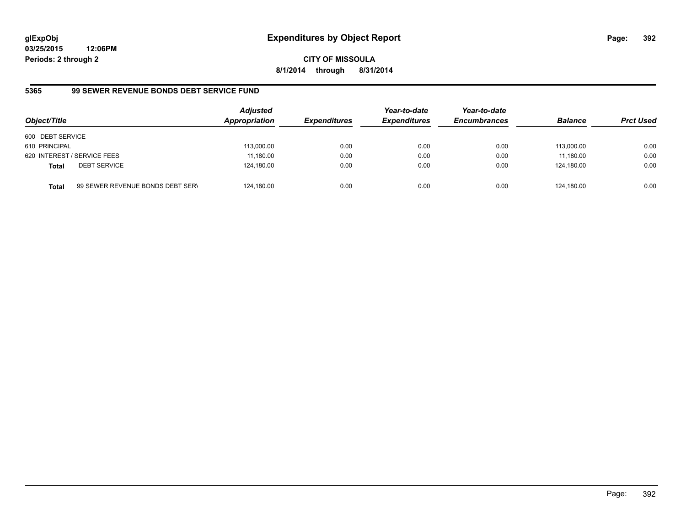**03/25/2015 12:06PM Periods: 2 through 2**

**8/1/2014 through 8/31/2014**

# **5365 99 SEWER REVENUE BONDS DEBT SERVICE FUND**

| Object/Title                |                                  | <b>Adjusted</b><br><b>Appropriation</b> | <b>Expenditures</b> | Year-to-date<br><b>Expenditures</b> | Year-to-date<br><b>Encumbrances</b> | <b>Balance</b> | <b>Prct Used</b> |
|-----------------------------|----------------------------------|-----------------------------------------|---------------------|-------------------------------------|-------------------------------------|----------------|------------------|
| 600 DEBT SERVICE            |                                  |                                         |                     |                                     |                                     |                |                  |
| 610 PRINCIPAL               |                                  | 113,000.00                              | 0.00                | 0.00                                | 0.00                                | 113.000.00     | 0.00             |
| 620 INTEREST / SERVICE FEES |                                  | 11,180.00                               | 0.00                | 0.00                                | 0.00                                | 11.180.00      | 0.00             |
| Total                       | <b>DEBT SERVICE</b>              | 124,180.00                              | 0.00                | 0.00                                | 0.00                                | 124.180.00     | 0.00             |
| Total                       | 99 SEWER REVENUE BONDS DEBT SERN | 124,180.00                              | 0.00                | 0.00                                | 0.00                                | 124.180.00     | 0.00             |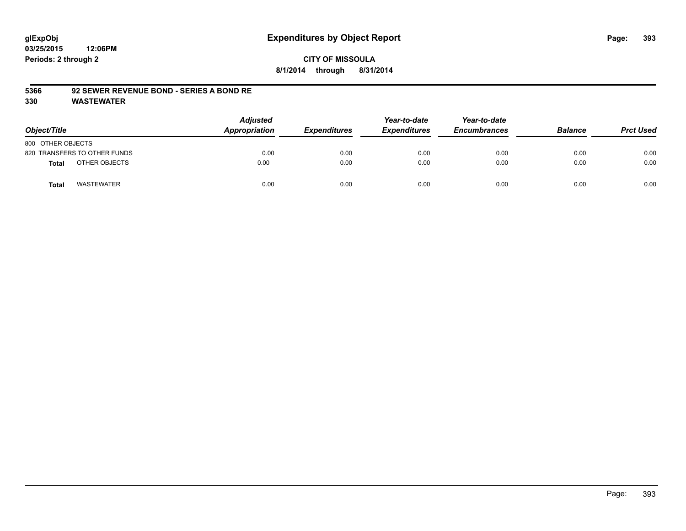## **CITY OF MISSOULA 8/1/2014 through 8/31/2014**

#### **5366 92 SEWER REVENUE BOND - SERIES A BOND RE**

| Object/Title                      | <b>Adjusted</b><br>Appropriation | <b>Expenditures</b> | Year-to-date<br><b>Expenditures</b> | Year-to-date<br><b>Encumbrances</b> | <b>Balance</b> | <b>Prct Used</b> |
|-----------------------------------|----------------------------------|---------------------|-------------------------------------|-------------------------------------|----------------|------------------|
| 800 OTHER OBJECTS                 |                                  |                     |                                     |                                     |                |                  |
| 820 TRANSFERS TO OTHER FUNDS      | 0.00                             | 0.00                | 0.00                                | 0.00                                | 0.00           | 0.00             |
| OTHER OBJECTS<br><b>Total</b>     | 0.00                             | 0.00                | 0.00                                | 0.00                                | 0.00           | 0.00             |
| <b>WASTEWATER</b><br><b>Total</b> | 0.00                             | 0.00                | 0.00                                | 0.00                                | 0.00           | 0.00             |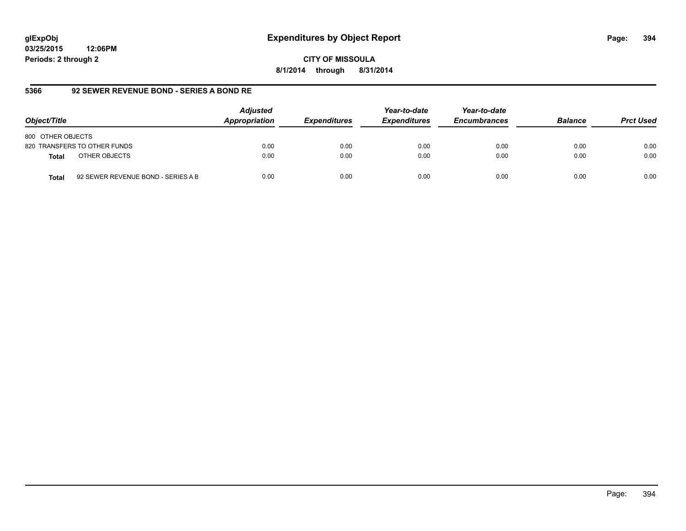**03/25/2015 12:06PM Periods: 2 through 2**

**8/1/2014 through 8/31/2014**

## **5366 92 SEWER REVENUE BOND - SERIES A BOND RE**

| Object/Title                                       | <b>Adjusted</b><br>Appropriation | <b>Expenditures</b> | Year-to-date<br><b>Expenditures</b> | Year-to-date<br><b>Encumbrances</b> | <b>Balance</b> | <b>Prct Used</b> |
|----------------------------------------------------|----------------------------------|---------------------|-------------------------------------|-------------------------------------|----------------|------------------|
| 800 OTHER OBJECTS                                  |                                  |                     |                                     |                                     |                |                  |
| 820 TRANSFERS TO OTHER FUNDS                       | 0.00                             | 0.00                | 0.00                                | 0.00                                | 0.00           | 0.00             |
| OTHER OBJECTS<br><b>Total</b>                      | 0.00                             | 0.00                | 0.00                                | 0.00                                | 0.00           | 0.00             |
| 92 SEWER REVENUE BOND - SERIES A B<br><b>Total</b> | 0.00                             | 0.00                | 0.00                                | 0.00                                | 0.00           | 0.00             |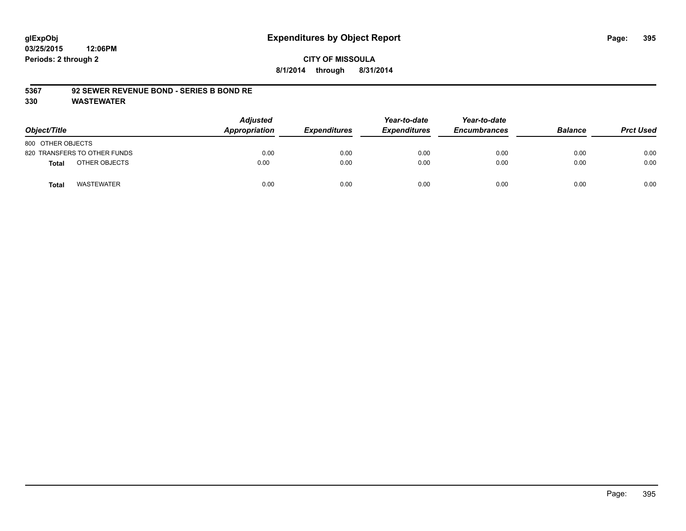## **CITY OF MISSOULA 8/1/2014 through 8/31/2014**

### **5367 92 SEWER REVENUE BOND - SERIES B BOND RE**

| Object/Title                      | <b>Adjusted</b><br>Appropriation | <b>Expenditures</b> | Year-to-date<br><b>Expenditures</b> | Year-to-date<br><b>Encumbrances</b> | <b>Balance</b> | <b>Prct Used</b> |
|-----------------------------------|----------------------------------|---------------------|-------------------------------------|-------------------------------------|----------------|------------------|
| 800 OTHER OBJECTS                 |                                  |                     |                                     |                                     |                |                  |
| 820 TRANSFERS TO OTHER FUNDS      | 0.00                             | 0.00                | 0.00                                | 0.00                                | 0.00           | 0.00             |
| OTHER OBJECTS<br><b>Total</b>     | 0.00                             | 0.00                | 0.00                                | 0.00                                | 0.00           | 0.00             |
| <b>WASTEWATER</b><br><b>Total</b> | 0.00                             | 0.00                | 0.00                                | 0.00                                | 0.00           | 0.00             |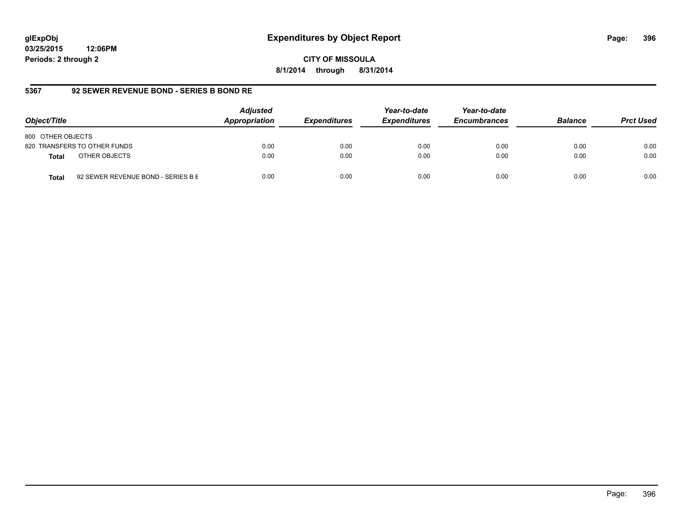**03/25/2015 12:06PM Periods: 2 through 2**

**8/1/2014 through 8/31/2014**

# **5367 92 SEWER REVENUE BOND - SERIES B BOND RE**

| Object/Title                                | <b>Adjusted</b><br>Appropriation | <b>Expenditures</b> | Year-to-date<br><b>Expenditures</b> | Year-to-date<br><b>Encumbrances</b> | <b>Balance</b> | <b>Prct Used</b> |
|---------------------------------------------|----------------------------------|---------------------|-------------------------------------|-------------------------------------|----------------|------------------|
| 800 OTHER OBJECTS                           |                                  |                     |                                     |                                     |                |                  |
| 820 TRANSFERS TO OTHER FUNDS                | 0.00                             | 0.00                | 0.00                                | 0.00                                | 0.00           | 0.00             |
| OTHER OBJECTS<br>Total                      | 0.00                             | 0.00                | 0.00                                | 0.00                                | 0.00           | 0.00             |
| 92 SEWER REVENUE BOND - SERIES B E<br>Total | 0.00                             | 0.00                | 0.00                                | 0.00                                | 0.00           | 0.00             |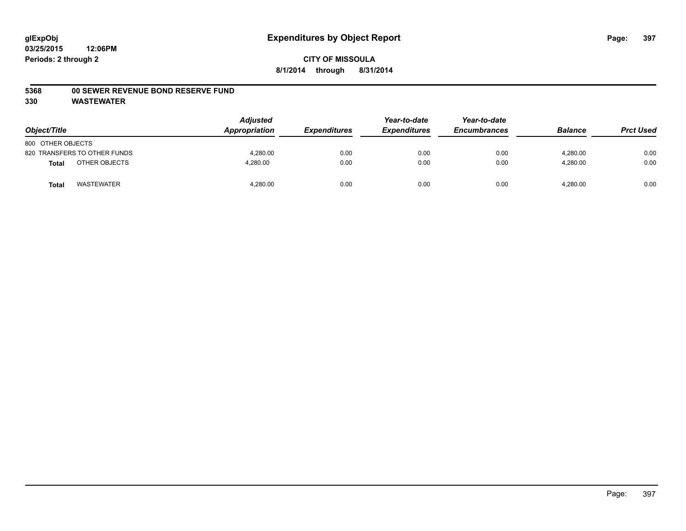#### **5368 00 SEWER REVENUE BOND RESERVE FUND**

| Object/Title      |                              | <b>Adjusted</b><br>Appropriation | <b>Expenditures</b> | Year-to-date<br><b>Expenditures</b> | Year-to-date<br><b>Encumbrances</b> | <b>Balance</b> | <b>Prct Used</b> |
|-------------------|------------------------------|----------------------------------|---------------------|-------------------------------------|-------------------------------------|----------------|------------------|
| 800 OTHER OBJECTS |                              |                                  |                     |                                     |                                     |                |                  |
|                   | 820 TRANSFERS TO OTHER FUNDS | 4.280.00                         | 0.00                | 0.00                                | 0.00                                | 4.280.00       | 0.00             |
| <b>Total</b>      | OTHER OBJECTS                | 4,280.00                         | 0.00                | 0.00                                | 0.00                                | 4,280.00       | 0.00             |
| <b>Total</b>      | <b>WASTEWATER</b>            | 4,280.00                         | 0.00                | 0.00                                | 0.00                                | 4,280.00       | 0.00             |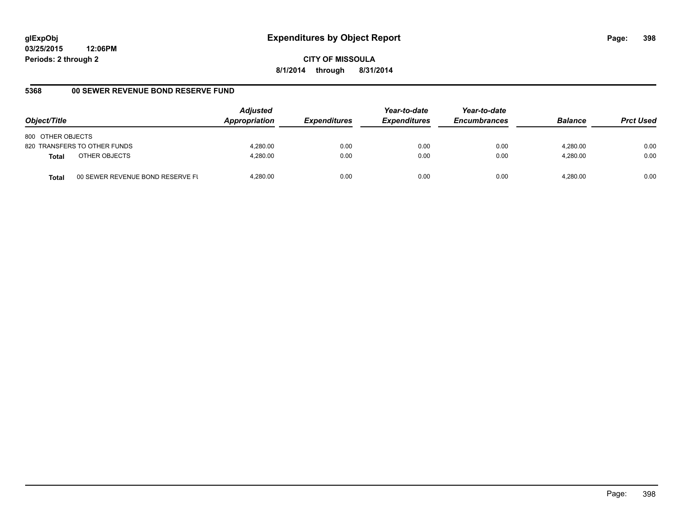**CITY OF MISSOULA 8/1/2014 through 8/31/2014**

# **5368 00 SEWER REVENUE BOND RESERVE FUND**

| Object/Title                  |                                  | <b>Adjusted</b><br>Appropriation | <b>Expenditures</b> | Year-to-date<br><b>Expenditures</b> | Year-to-date<br><b>Encumbrances</b> | <b>Balance</b> | <b>Prct Used</b> |
|-------------------------------|----------------------------------|----------------------------------|---------------------|-------------------------------------|-------------------------------------|----------------|------------------|
| 800 OTHER OBJECTS             |                                  |                                  |                     |                                     |                                     |                |                  |
| 820 TRANSFERS TO OTHER FUNDS  |                                  | 4.280.00                         | 0.00                | 0.00                                | 0.00                                | 4.280.00       | 0.00             |
| OTHER OBJECTS<br><b>Total</b> |                                  | 4.280.00                         | 0.00                | 0.00                                | 0.00                                | 4.280.00       | 0.00             |
| <b>Total</b>                  | 00 SEWER REVENUE BOND RESERVE FL | 4.280.00                         | 0.00                | 0.00                                | 0.00                                | 4.280.00       | 0.00             |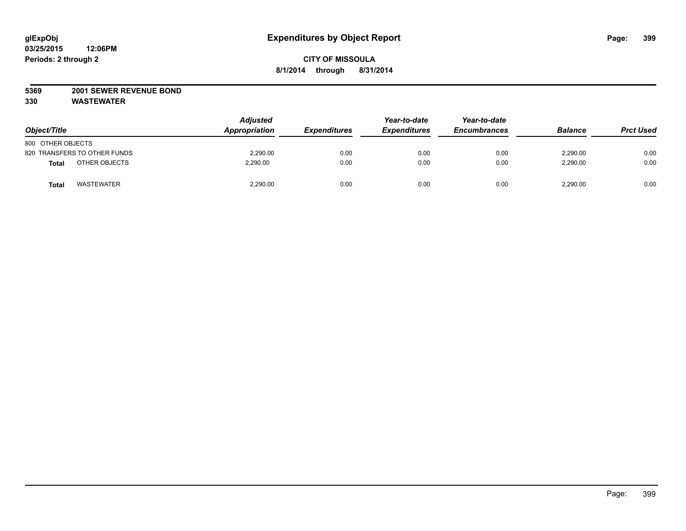### **5369 2001 SEWER REVENUE BOND**

| Object/Title                 | <b>Adjusted</b><br>Appropriation | <b>Expenditures</b> | Year-to-date<br><b>Expenditures</b> | Year-to-date<br><b>Encumbrances</b> | <b>Balance</b> | <b>Prct Used</b> |
|------------------------------|----------------------------------|---------------------|-------------------------------------|-------------------------------------|----------------|------------------|
| 800 OTHER OBJECTS            |                                  |                     |                                     |                                     |                |                  |
| 820 TRANSFERS TO OTHER FUNDS | 2,290.00                         | 0.00                | 0.00                                | 0.00                                | 2,290.00       | 0.00             |
| OTHER OBJECTS<br>Total       | 2.290.00                         | 0.00                | 0.00                                | 0.00                                | 2,290.00       | 0.00             |
| <b>WASTEWATER</b><br>Total   | 2,290.00                         | 0.00                | 0.00                                | 0.00                                | 2,290.00       | 0.00             |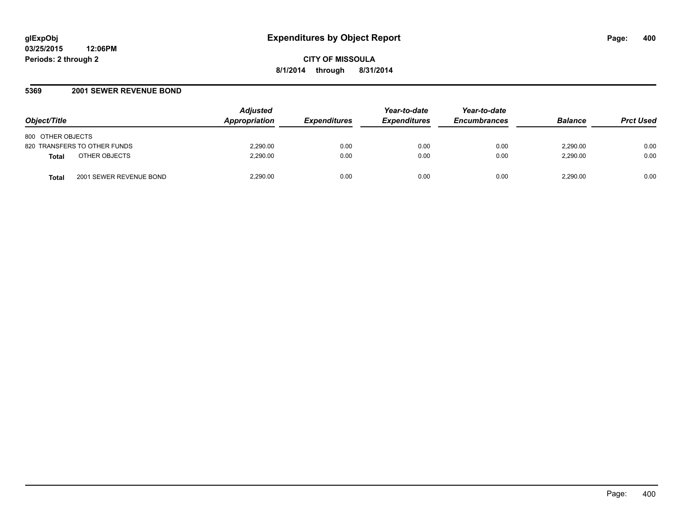#### **5369 2001 SEWER REVENUE BOND**

| Object/Title                                 | <b>Adjusted</b><br>Appropriation | <b>Expenditures</b> | Year-to-date<br><b>Expenditures</b> | Year-to-date<br><b>Encumbrances</b> | <b>Balance</b> | <b>Prct Used</b> |
|----------------------------------------------|----------------------------------|---------------------|-------------------------------------|-------------------------------------|----------------|------------------|
| 800 OTHER OBJECTS                            |                                  |                     |                                     |                                     |                |                  |
| 820 TRANSFERS TO OTHER FUNDS                 | 2,290.00                         | 0.00                | 0.00                                | 0.00                                | 2.290.00       | 0.00             |
| OTHER OBJECTS<br><b>Total</b>                | 2.290.00                         | 0.00                | 0.00                                | 0.00                                | 2,290.00       | 0.00             |
| 2001 SEWER REVENUE BOND<br>Tota <sub>i</sub> | 2,290.00                         | 0.00                | 0.00                                | 0.00                                | 2,290.00       | 0.00             |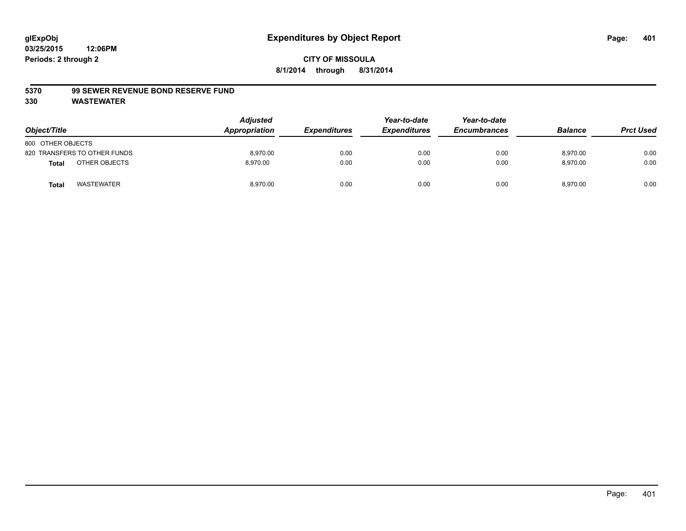#### **5370 99 SEWER REVENUE BOND RESERVE FUND**

| Object/Title                  | <b>Adjusted</b><br>Appropriation | <b>Expenditures</b> | Year-to-date<br><b>Expenditures</b> | Year-to-date<br><b>Encumbrances</b> | <b>Balance</b> | <b>Prct Used</b> |
|-------------------------------|----------------------------------|---------------------|-------------------------------------|-------------------------------------|----------------|------------------|
| 800 OTHER OBJECTS             |                                  |                     |                                     |                                     |                |                  |
| 820 TRANSFERS TO OTHER FUNDS  | 8,970.00                         | 0.00                | 0.00                                | 0.00                                | 8,970.00       | 0.00             |
| OTHER OBJECTS<br><b>Total</b> | 8,970.00                         | 0.00                | 0.00                                | 0.00                                | 8,970.00       | 0.00             |
| <b>WASTEWATER</b><br>Tota     | 8,970.00                         | 0.00                | 0.00                                | 0.00                                | 8,970.00       | 0.00             |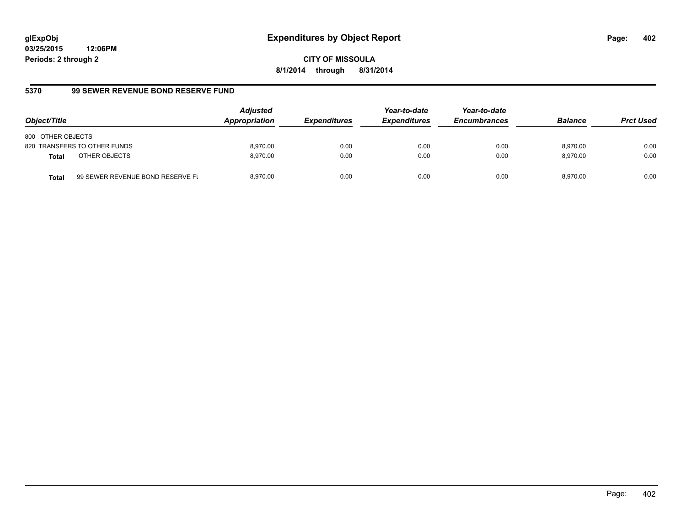**CITY OF MISSOULA 8/1/2014 through 8/31/2014**

# **5370 99 SEWER REVENUE BOND RESERVE FUND**

| Object/Title                  |                                  | <b>Adjusted</b><br>Appropriation | <b>Expenditures</b> | Year-to-date<br><b>Expenditures</b> | Year-to-date<br><b>Encumbrances</b> | <b>Balance</b> | <b>Prct Used</b> |
|-------------------------------|----------------------------------|----------------------------------|---------------------|-------------------------------------|-------------------------------------|----------------|------------------|
| 800 OTHER OBJECTS             |                                  |                                  |                     |                                     |                                     |                |                  |
| 820 TRANSFERS TO OTHER FUNDS  |                                  | 8.970.00                         | 0.00                | 0.00                                | 0.00                                | 8.970.00       | 0.00             |
| OTHER OBJECTS<br><b>Total</b> |                                  | 8.970.00                         | 0.00                | 0.00                                | 0.00                                | 8.970.00       | 0.00             |
| <b>Total</b>                  | 99 SEWER REVENUE BOND RESERVE FL | 8.970.00                         | 0.00                | 0.00                                | 0.00                                | 8.970.00       | 0.00             |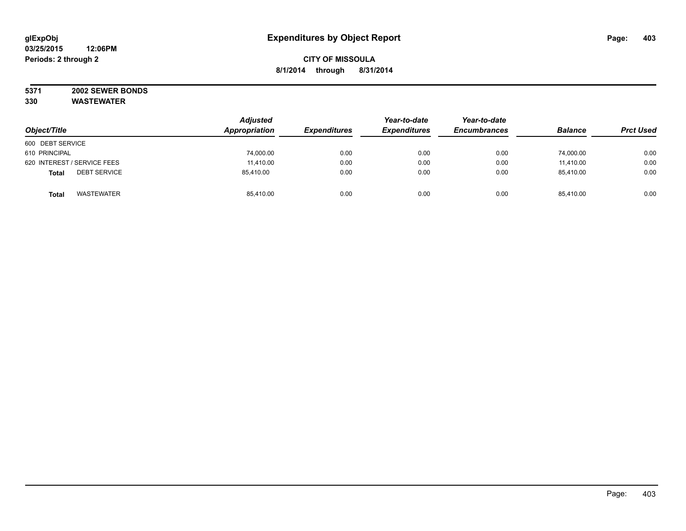#### **5371 2002 SEWER BONDS 330 WASTEWATER**

|                                     | <b>Adjusted</b><br>Appropriation | <b>Expenditures</b> | Year-to-date<br><b>Expenditures</b> | Year-to-date<br><b>Encumbrances</b> | <b>Balance</b> |                  |
|-------------------------------------|----------------------------------|---------------------|-------------------------------------|-------------------------------------|----------------|------------------|
| Object/Title                        |                                  |                     |                                     |                                     |                | <b>Prct Used</b> |
| 600 DEBT SERVICE                    |                                  |                     |                                     |                                     |                |                  |
| 610 PRINCIPAL                       | 74,000.00                        | 0.00                | 0.00                                | 0.00                                | 74,000.00      | 0.00             |
| 620 INTEREST / SERVICE FEES         | 11,410.00                        | 0.00                | 0.00                                | 0.00                                | 11,410.00      | 0.00             |
| <b>DEBT SERVICE</b><br><b>Total</b> | 85,410.00                        | 0.00                | 0.00                                | 0.00                                | 85,410.00      | 0.00             |
| WASTEWATER<br><b>Total</b>          | 85,410.00                        | 0.00                | 0.00                                | 0.00                                | 85.410.00      | 0.00             |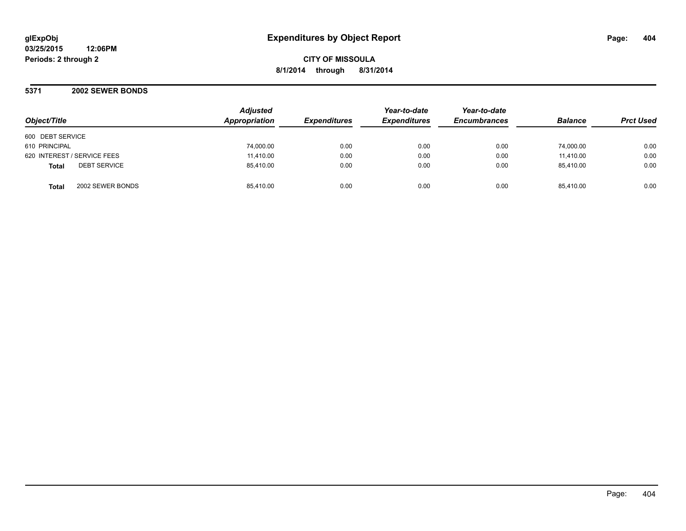**CITY OF MISSOULA 8/1/2014 through 8/31/2014**

**5371 2002 SEWER BONDS**

| Object/Title                        | <b>Adjusted</b><br>Appropriation | <b>Expenditures</b> | Year-to-date<br><b>Expenditures</b> | Year-to-date<br><b>Encumbrances</b> | <b>Balance</b> | <b>Prct Used</b> |
|-------------------------------------|----------------------------------|---------------------|-------------------------------------|-------------------------------------|----------------|------------------|
| 600 DEBT SERVICE                    |                                  |                     |                                     |                                     |                |                  |
| 610 PRINCIPAL                       | 74,000.00                        | 0.00                | 0.00                                | 0.00                                | 74.000.00      | 0.00             |
| 620 INTEREST / SERVICE FEES         | 11,410.00                        | 0.00                | 0.00                                | 0.00                                | 11.410.00      | 0.00             |
| <b>DEBT SERVICE</b><br><b>Total</b> | 85,410.00                        | 0.00                | 0.00                                | 0.00                                | 85.410.00      | 0.00             |
| 2002 SEWER BONDS<br><b>Total</b>    | 85.410.00                        | 0.00                | 0.00                                | 0.00                                | 85.410.00      | 0.00             |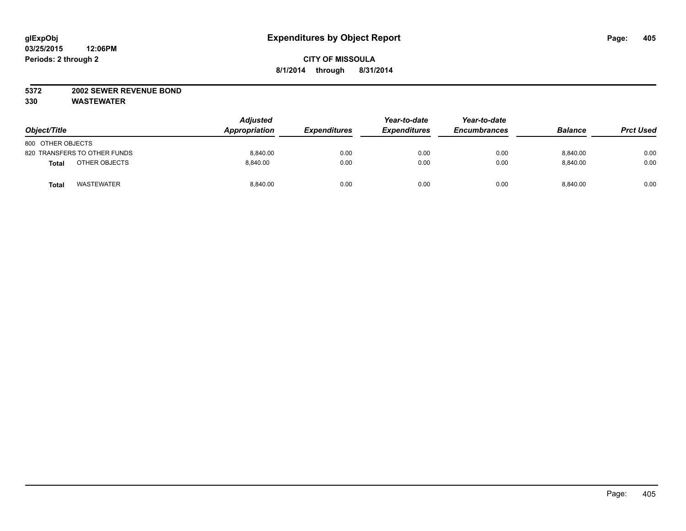#### **5372 2002 SEWER REVENUE BOND**

| Object/Title                      | <b>Adjusted</b><br>Appropriation | <b>Expenditures</b> | Year-to-date<br><b>Expenditures</b> | Year-to-date<br><b>Encumbrances</b> | <b>Balance</b> | <b>Prct Used</b> |
|-----------------------------------|----------------------------------|---------------------|-------------------------------------|-------------------------------------|----------------|------------------|
| 800 OTHER OBJECTS                 |                                  |                     |                                     |                                     |                |                  |
| 820 TRANSFERS TO OTHER FUNDS      | 8.840.00                         | 0.00                | 0.00                                | 0.00                                | 8.840.00       | 0.00             |
| OTHER OBJECTS<br><b>Total</b>     | 8.840.00                         | 0.00                | 0.00                                | 0.00                                | 8.840.00       | 0.00             |
| <b>WASTEWATER</b><br><b>Total</b> | 8,840.00                         | 0.00                | 0.00                                | 0.00                                | 8,840.00       | 0.00             |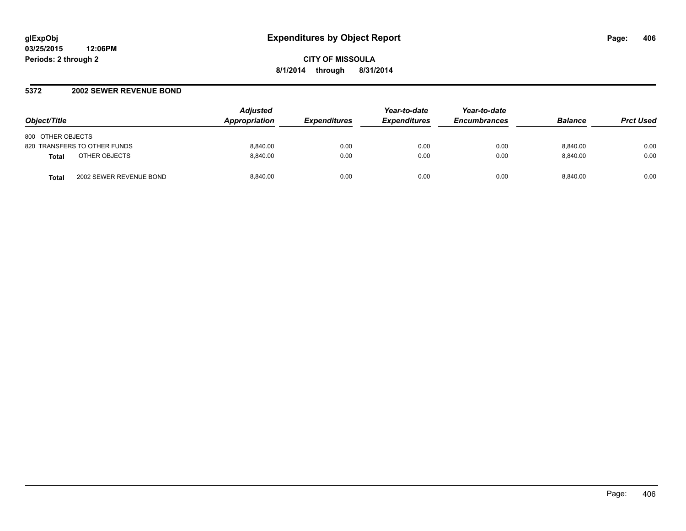#### **5372 2002 SEWER REVENUE BOND**

| Object/Title                            | <b>Adjusted</b><br><b>Appropriation</b> | <b>Expenditures</b> | Year-to-date<br><b>Expenditures</b> | Year-to-date<br><b>Encumbrances</b> | <b>Balance</b> | <b>Prct Used</b> |
|-----------------------------------------|-----------------------------------------|---------------------|-------------------------------------|-------------------------------------|----------------|------------------|
| 800 OTHER OBJECTS                       |                                         |                     |                                     |                                     |                |                  |
| 820 TRANSFERS TO OTHER FUNDS            | 8.840.00                                | 0.00                | 0.00                                | 0.00                                | 8.840.00       | 0.00             |
| OTHER OBJECTS<br><b>Total</b>           | 8.840.00                                | 0.00                | 0.00                                | 0.00                                | 8.840.00       | 0.00             |
| 2002 SEWER REVENUE BOND<br><b>Total</b> | 8.840.00                                | 0.00                | 0.00                                | 0.00                                | 8.840.00       | 0.00             |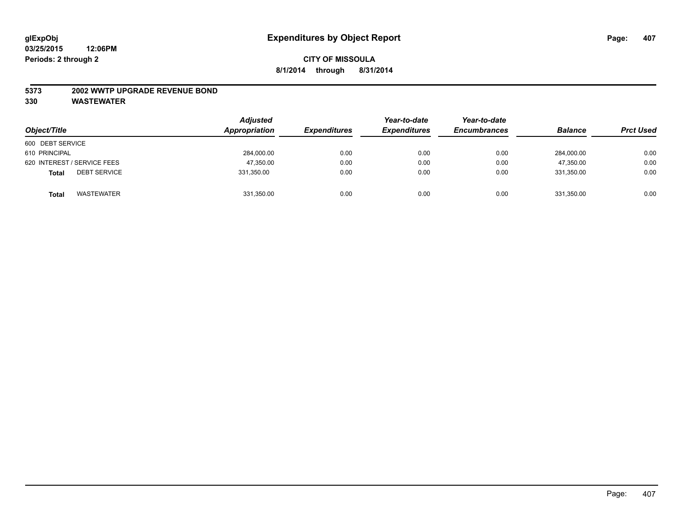#### **5373 2002 WWTP UPGRADE REVENUE BOND**

| Object/Title                        | <b>Adjusted</b><br>Appropriation | <b>Expenditures</b> | Year-to-date<br><b>Expenditures</b> | Year-to-date<br><b>Encumbrances</b> | <b>Balance</b> | <b>Prct Used</b> |
|-------------------------------------|----------------------------------|---------------------|-------------------------------------|-------------------------------------|----------------|------------------|
| 600 DEBT SERVICE                    |                                  |                     |                                     |                                     |                |                  |
| 610 PRINCIPAL                       | 284,000.00                       | 0.00                | 0.00                                | 0.00                                | 284,000.00     | 0.00             |
| 620 INTEREST / SERVICE FEES         | 47,350.00                        | 0.00                | 0.00                                | 0.00                                | 47.350.00      | 0.00             |
| <b>DEBT SERVICE</b><br><b>Total</b> | 331,350.00                       | 0.00                | 0.00                                | 0.00                                | 331.350.00     | 0.00             |
| <b>WASTEWATER</b><br><b>Total</b>   | 331,350.00                       | 0.00                | 0.00                                | 0.00                                | 331,350.00     | 0.00             |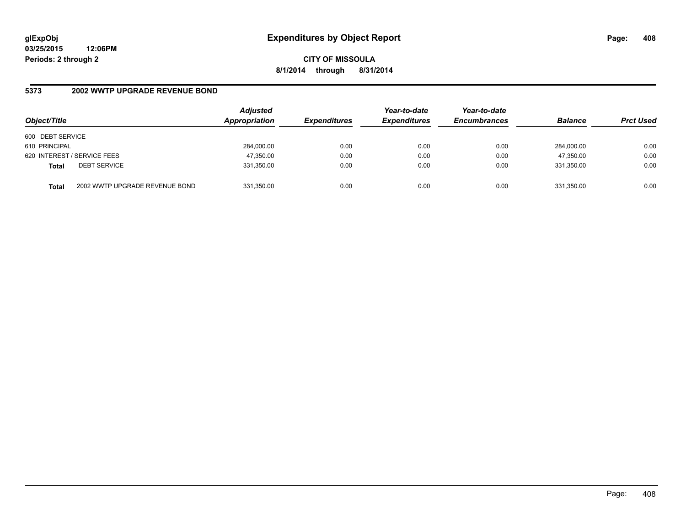**CITY OF MISSOULA 8/1/2014 through 8/31/2014**

### **5373 2002 WWTP UPGRADE REVENUE BOND**

| Object/Title     |                                | <b>Adjusted</b><br>Appropriation | <b>Expenditures</b> | Year-to-date<br><b>Expenditures</b> | Year-to-date<br><b>Encumbrances</b> | <b>Balance</b> | <b>Prct Used</b> |
|------------------|--------------------------------|----------------------------------|---------------------|-------------------------------------|-------------------------------------|----------------|------------------|
| 600 DEBT SERVICE |                                |                                  |                     |                                     |                                     |                |                  |
| 610 PRINCIPAL    |                                | 284,000.00                       | 0.00                | 0.00                                | 0.00                                | 284.000.00     | 0.00             |
|                  | 620 INTEREST / SERVICE FEES    | 47,350.00                        | 0.00                | 0.00                                | 0.00                                | 47,350.00      | 0.00             |
| <b>Total</b>     | <b>DEBT SERVICE</b>            | 331,350.00                       | 0.00                | 0.00                                | 0.00                                | 331.350.00     | 0.00             |
| <b>Total</b>     | 2002 WWTP UPGRADE REVENUE BOND | 331,350.00                       | 0.00                | 0.00                                | 0.00                                | 331,350.00     | 0.00             |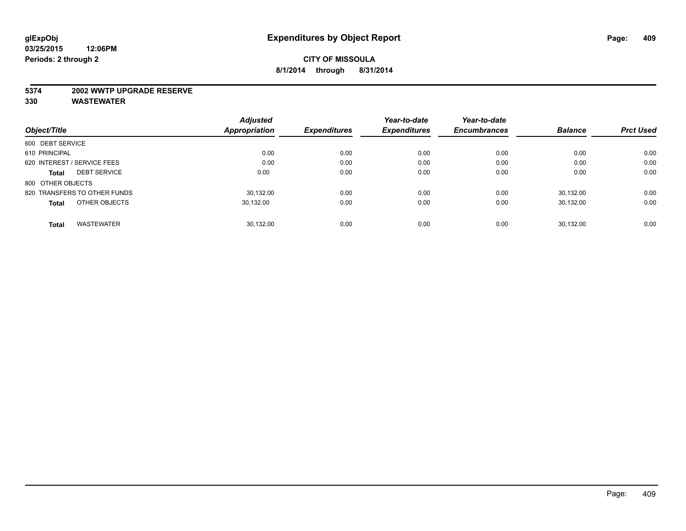#### **5374 2002 WWTP UPGRADE RESERVE**

|                                     | <b>Adjusted</b>      |                     | Year-to-date        | Year-to-date        |                |                  |
|-------------------------------------|----------------------|---------------------|---------------------|---------------------|----------------|------------------|
| Object/Title                        | <b>Appropriation</b> | <b>Expenditures</b> | <b>Expenditures</b> | <b>Encumbrances</b> | <b>Balance</b> | <b>Prct Used</b> |
| 600 DEBT SERVICE                    |                      |                     |                     |                     |                |                  |
| 610 PRINCIPAL                       | 0.00                 | 0.00                | 0.00                | 0.00                | 0.00           | 0.00             |
| 620 INTEREST / SERVICE FEES         | 0.00                 | 0.00                | 0.00                | 0.00                | 0.00           | 0.00             |
| <b>DEBT SERVICE</b><br><b>Total</b> | 0.00                 | 0.00                | 0.00                | 0.00                | 0.00           | 0.00             |
| 800 OTHER OBJECTS                   |                      |                     |                     |                     |                |                  |
| 820 TRANSFERS TO OTHER FUNDS        | 30.132.00            | 0.00                | 0.00                | 0.00                | 30.132.00      | 0.00             |
| OTHER OBJECTS<br><b>Total</b>       | 30,132.00            | 0.00                | 0.00                | 0.00                | 30,132.00      | 0.00             |
| <b>WASTEWATER</b><br><b>Total</b>   | 30.132.00            | 0.00                | 0.00                | 0.00                | 30.132.00      | 0.00             |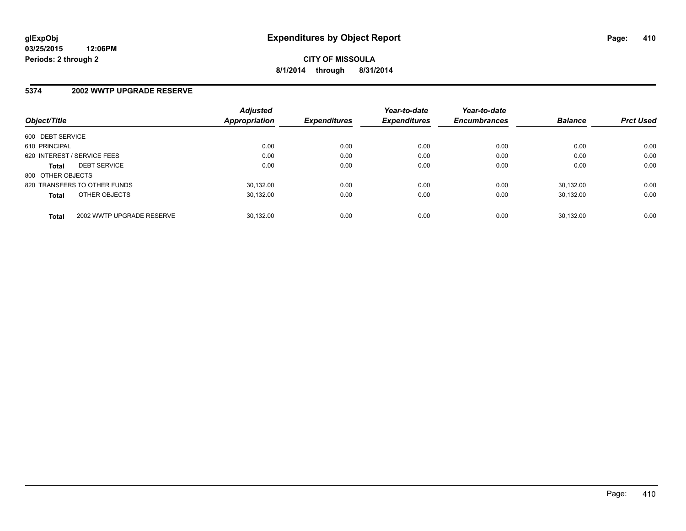### **5374 2002 WWTP UPGRADE RESERVE**

|                             |                              | <b>Adjusted</b> |                     | Year-to-date        | Year-to-date        |                |                  |
|-----------------------------|------------------------------|-----------------|---------------------|---------------------|---------------------|----------------|------------------|
| Object/Title                |                              | Appropriation   | <b>Expenditures</b> | <b>Expenditures</b> | <b>Encumbrances</b> | <b>Balance</b> | <b>Prct Used</b> |
| 600 DEBT SERVICE            |                              |                 |                     |                     |                     |                |                  |
| 610 PRINCIPAL               |                              | 0.00            | 0.00                | 0.00                | 0.00                | 0.00           | 0.00             |
| 620 INTEREST / SERVICE FEES |                              | 0.00            | 0.00                | 0.00                | 0.00                | 0.00           | 0.00             |
| <b>Total</b>                | <b>DEBT SERVICE</b>          | 0.00            | 0.00                | 0.00                | 0.00                | 0.00           | 0.00             |
| 800 OTHER OBJECTS           |                              |                 |                     |                     |                     |                |                  |
|                             | 820 TRANSFERS TO OTHER FUNDS | 30.132.00       | 0.00                | 0.00                | 0.00                | 30.132.00      | 0.00             |
| <b>Total</b>                | OTHER OBJECTS                | 30.132.00       | 0.00                | 0.00                | 0.00                | 30.132.00      | 0.00             |
| <b>Total</b>                | 2002 WWTP UPGRADE RESERVE    | 30.132.00       | 0.00                | 0.00                | 0.00                | 30.132.00      | 0.00             |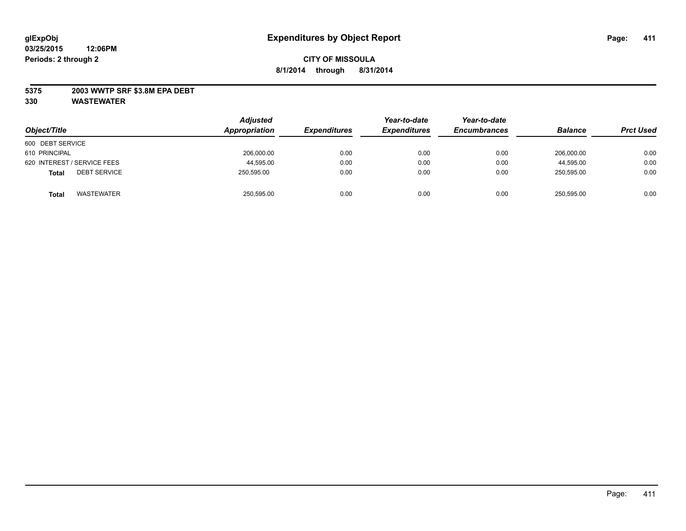### **5375 2003 WWTP SRF \$3.8M EPA DEBT**

| Object/Title                        | <b>Adjusted</b><br>Appropriation | <b>Expenditures</b> | Year-to-date<br><b>Expenditures</b> | Year-to-date<br><b>Encumbrances</b> | <b>Balance</b> | <b>Prct Used</b> |
|-------------------------------------|----------------------------------|---------------------|-------------------------------------|-------------------------------------|----------------|------------------|
| 600 DEBT SERVICE                    |                                  |                     |                                     |                                     |                |                  |
| 610 PRINCIPAL                       | 206,000.00                       | 0.00                | 0.00                                | 0.00                                | 206.000.00     | 0.00             |
| 620 INTEREST / SERVICE FEES         | 44,595.00                        | 0.00                | 0.00                                | 0.00                                | 44,595.00      | 0.00             |
| <b>DEBT SERVICE</b><br><b>Total</b> | 250.595.00                       | 0.00                | 0.00                                | 0.00                                | 250.595.00     | 0.00             |
| <b>WASTEWATER</b><br><b>Total</b>   | 250,595.00                       | 0.00                | 0.00                                | 0.00                                | 250,595.00     | 0.00             |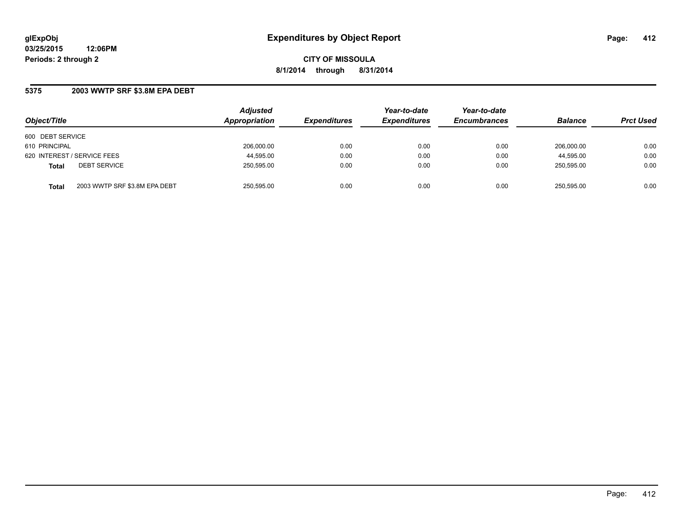**CITY OF MISSOULA 8/1/2014 through 8/31/2014**

### **5375 2003 WWTP SRF \$3.8M EPA DEBT**

| Object/Title                                  | <b>Adjusted</b><br>Appropriation | <b>Expenditures</b> | Year-to-date<br><b>Expenditures</b> | Year-to-date<br><b>Encumbrances</b> | <b>Balance</b> | <b>Prct Used</b> |
|-----------------------------------------------|----------------------------------|---------------------|-------------------------------------|-------------------------------------|----------------|------------------|
| 600 DEBT SERVICE                              |                                  |                     |                                     |                                     |                |                  |
| 610 PRINCIPAL                                 | 206.000.00                       | 0.00                | 0.00                                | 0.00                                | 206.000.00     | 0.00             |
| 620 INTEREST / SERVICE FEES                   | 44,595.00                        | 0.00                | 0.00                                | 0.00                                | 44,595.00      | 0.00             |
| <b>DEBT SERVICE</b><br><b>Total</b>           | 250,595.00                       | 0.00                | 0.00                                | 0.00                                | 250.595.00     | 0.00             |
| 2003 WWTP SRF \$3.8M EPA DEBT<br><b>Total</b> | 250,595.00                       | 0.00                | 0.00                                | 0.00                                | 250,595.00     | 0.00             |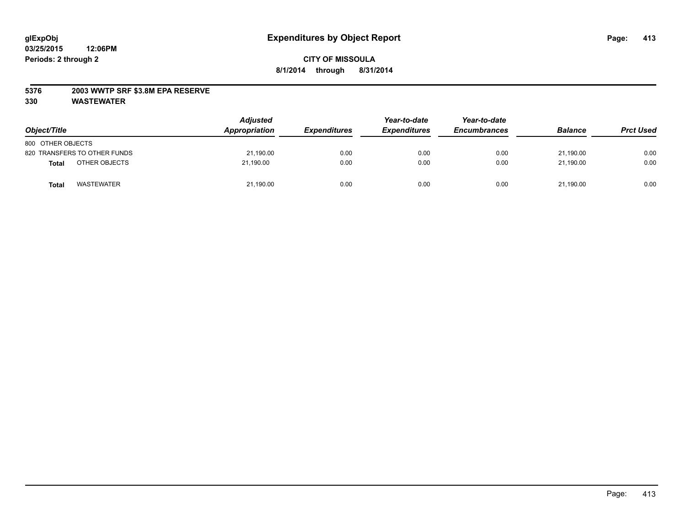### **5376 2003 WWTP SRF \$3.8M EPA RESERVE**

| Object/Title                 | <b>Adjusted</b><br>Appropriation | <b>Expenditures</b> | Year-to-date<br><b>Expenditures</b> | Year-to-date<br><b>Encumbrances</b> | <b>Balance</b> | <b>Prct Used</b> |
|------------------------------|----------------------------------|---------------------|-------------------------------------|-------------------------------------|----------------|------------------|
| 800 OTHER OBJECTS            |                                  |                     |                                     |                                     |                |                  |
| 820 TRANSFERS TO OTHER FUNDS | 21,190.00                        | 0.00                | 0.00                                | 0.00                                | 21,190.00      | 0.00             |
| OTHER OBJECTS<br>Total       | 21.190.00                        | 0.00                | 0.00                                | 0.00                                | 21.190.00      | 0.00             |
| <b>WASTEWATER</b><br>Total   | 21,190.00                        | 0.00                | 0.00                                | 0.00                                | 21,190.00      | 0.00             |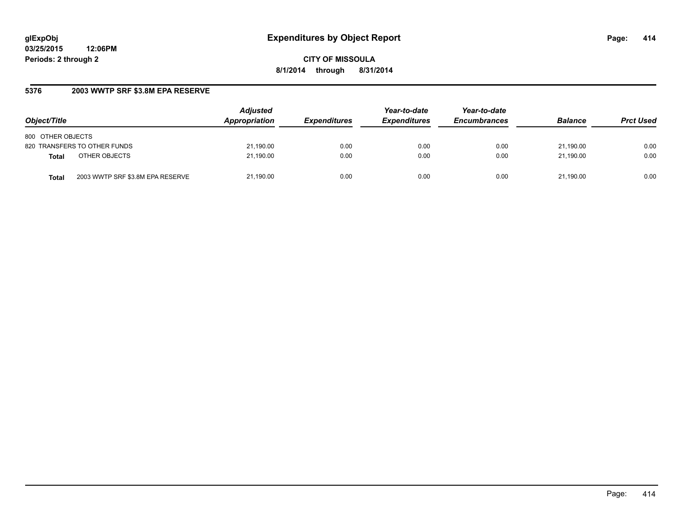**CITY OF MISSOULA 8/1/2014 through 8/31/2014**

# **5376 2003 WWTP SRF \$3.8M EPA RESERVE**

| Object/Title                              | <b>Adjusted</b><br>Appropriation | <b>Expenditures</b> | Year-to-date<br><b>Expenditures</b> | Year-to-date<br><b>Encumbrances</b> | <b>Balance</b> | <b>Prct Used</b> |
|-------------------------------------------|----------------------------------|---------------------|-------------------------------------|-------------------------------------|----------------|------------------|
| 800 OTHER OBJECTS                         |                                  |                     |                                     |                                     |                |                  |
| 820 TRANSFERS TO OTHER FUNDS              | 21,190.00                        | 0.00                | 0.00                                | 0.00                                | 21.190.00      | 0.00             |
| OTHER OBJECTS<br><b>Total</b>             | 21,190.00                        | 0.00                | 0.00                                | 0.00                                | 21.190.00      | 0.00             |
| 2003 WWTP SRF \$3.8M EPA RESERVE<br>Total | 21,190.00                        | 0.00                | 0.00                                | 0.00                                | 21.190.00      | 0.00             |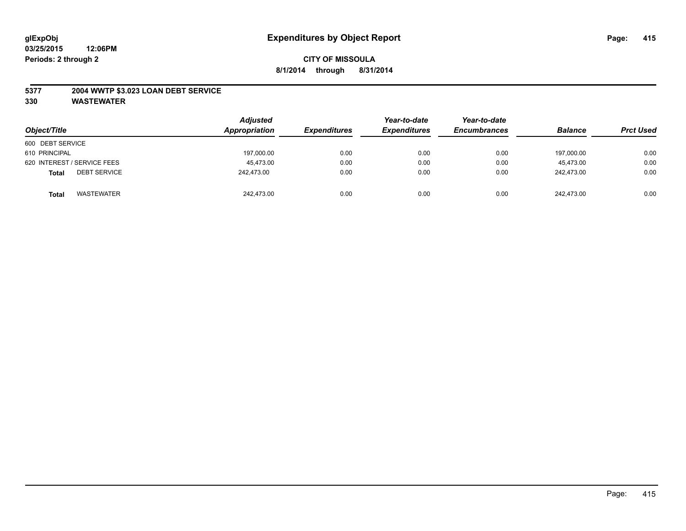### **5377 2004 WWTP \$3.023 LOAN DEBT SERVICE**

| Object/Title                        | <b>Adjusted</b><br>Appropriation | <b>Expenditures</b> | Year-to-date<br><b>Expenditures</b> | Year-to-date<br><b>Encumbrances</b> | <b>Balance</b> | <b>Prct Used</b> |
|-------------------------------------|----------------------------------|---------------------|-------------------------------------|-------------------------------------|----------------|------------------|
| 600 DEBT SERVICE                    |                                  |                     |                                     |                                     |                |                  |
| 610 PRINCIPAL                       | 197,000.00                       | 0.00                | 0.00                                | 0.00                                | 197.000.00     | 0.00             |
| 620 INTEREST / SERVICE FEES         | 45.473.00                        | 0.00                | 0.00                                | 0.00                                | 45.473.00      | 0.00             |
| <b>DEBT SERVICE</b><br><b>Total</b> | 242.473.00                       | 0.00                | 0.00                                | 0.00                                | 242.473.00     | 0.00             |
| <b>WASTEWATER</b><br><b>Total</b>   | 242,473.00                       | 0.00                | 0.00                                | 0.00                                | 242,473.00     | 0.00             |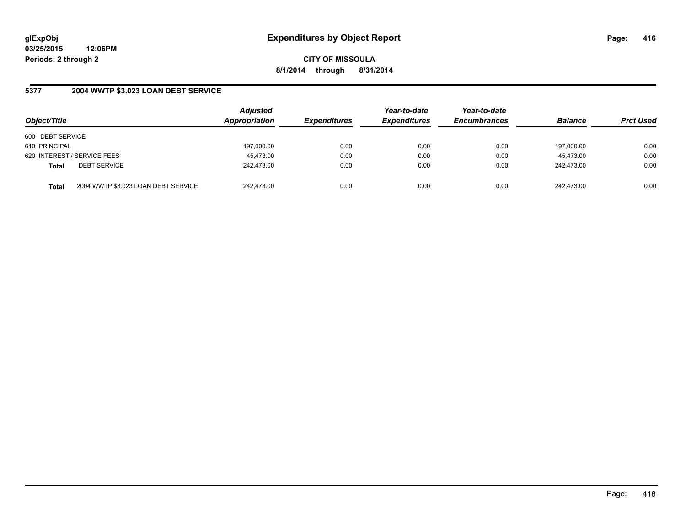**CITY OF MISSOULA 8/1/2014 through 8/31/2014**

### **5377 2004 WWTP \$3.023 LOAN DEBT SERVICE**

| Object/Title                        |                                     | <b>Adjusted</b><br>Appropriation | <b>Expenditures</b> | Year-to-date<br><b>Expenditures</b> | Year-to-date<br><b>Encumbrances</b> | <b>Balance</b> | <b>Prct Used</b> |
|-------------------------------------|-------------------------------------|----------------------------------|---------------------|-------------------------------------|-------------------------------------|----------------|------------------|
| 600 DEBT SERVICE                    |                                     |                                  |                     |                                     |                                     |                |                  |
| 610 PRINCIPAL                       |                                     | 197,000.00                       | 0.00                | 0.00                                | 0.00                                | 197,000.00     | 0.00             |
| 620 INTEREST / SERVICE FEES         |                                     | 45,473.00                        | 0.00                | 0.00                                | 0.00                                | 45.473.00      | 0.00             |
| <b>DEBT SERVICE</b><br><b>Total</b> |                                     | 242.473.00                       | 0.00                | 0.00                                | 0.00                                | 242.473.00     | 0.00             |
| <b>Total</b>                        | 2004 WWTP \$3.023 LOAN DEBT SERVICE | 242.473.00                       | 0.00                | 0.00                                | 0.00                                | 242.473.00     | 0.00             |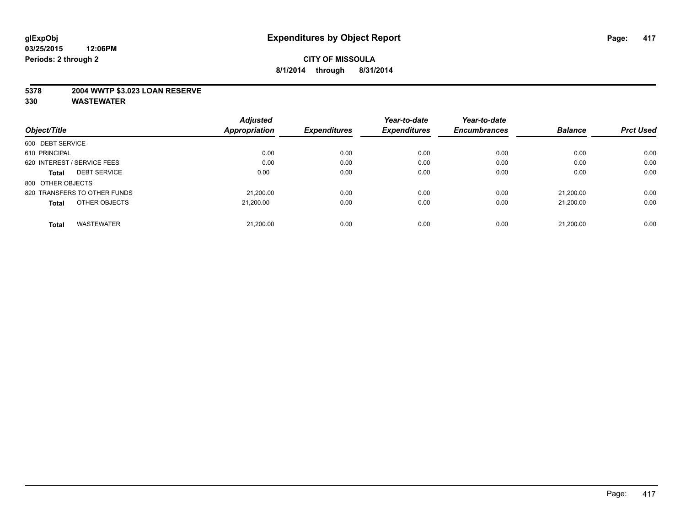### **5378 2004 WWTP \$3.023 LOAN RESERVE**

|                                     | <b>Adjusted</b> |                     | Year-to-date        | Year-to-date        |                |                  |
|-------------------------------------|-----------------|---------------------|---------------------|---------------------|----------------|------------------|
| Object/Title                        | Appropriation   | <b>Expenditures</b> | <b>Expenditures</b> | <b>Encumbrances</b> | <b>Balance</b> | <b>Prct Used</b> |
| 600 DEBT SERVICE                    |                 |                     |                     |                     |                |                  |
| 610 PRINCIPAL                       | 0.00            | 0.00                | 0.00                | 0.00                | 0.00           | 0.00             |
| 620 INTEREST / SERVICE FEES         | 0.00            | 0.00                | 0.00                | 0.00                | 0.00           | 0.00             |
| <b>DEBT SERVICE</b><br><b>Total</b> | 0.00            | 0.00                | 0.00                | 0.00                | 0.00           | 0.00             |
| 800 OTHER OBJECTS                   |                 |                     |                     |                     |                |                  |
| 820 TRANSFERS TO OTHER FUNDS        | 21.200.00       | 0.00                | 0.00                | 0.00                | 21.200.00      | 0.00             |
| OTHER OBJECTS<br><b>Total</b>       | 21.200.00       | 0.00                | 0.00                | 0.00                | 21.200.00      | 0.00             |
| <b>WASTEWATER</b><br>Total          | 21.200.00       | 0.00                | 0.00                | 0.00                | 21,200.00      | 0.00             |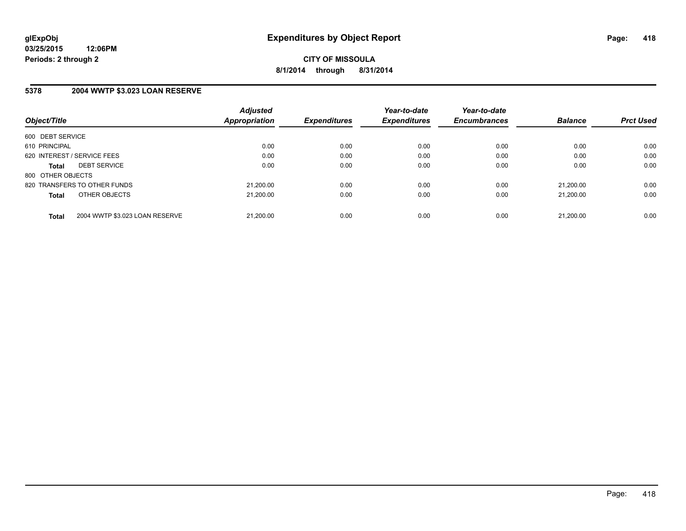**CITY OF MISSOULA 8/1/2014 through 8/31/2014**

### **5378 2004 WWTP \$3.023 LOAN RESERVE**

| Object/Title      |                                | <b>Adjusted</b><br>Appropriation | <b>Expenditures</b> | Year-to-date<br><b>Expenditures</b> | Year-to-date<br><b>Encumbrances</b> | <b>Balance</b> | <b>Prct Used</b> |
|-------------------|--------------------------------|----------------------------------|---------------------|-------------------------------------|-------------------------------------|----------------|------------------|
|                   |                                |                                  |                     |                                     |                                     |                |                  |
| 600 DEBT SERVICE  |                                |                                  |                     |                                     |                                     |                |                  |
| 610 PRINCIPAL     |                                | 0.00                             | 0.00                | 0.00                                | 0.00                                | 0.00           | 0.00             |
|                   | 620 INTEREST / SERVICE FEES    | 0.00                             | 0.00                | 0.00                                | 0.00                                | 0.00           | 0.00             |
| <b>Total</b>      | <b>DEBT SERVICE</b>            | 0.00                             | 0.00                | 0.00                                | 0.00                                | 0.00           | 0.00             |
| 800 OTHER OBJECTS |                                |                                  |                     |                                     |                                     |                |                  |
|                   | 820 TRANSFERS TO OTHER FUNDS   | 21,200.00                        | 0.00                | 0.00                                | 0.00                                | 21.200.00      | 0.00             |
| <b>Total</b>      | OTHER OBJECTS                  | 21.200.00                        | 0.00                | 0.00                                | 0.00                                | 21.200.00      | 0.00             |
|                   |                                |                                  |                     |                                     |                                     |                |                  |
| <b>Total</b>      | 2004 WWTP \$3.023 LOAN RESERVE | 21.200.00                        | 0.00                | 0.00                                | 0.00                                | 21.200.00      | 0.00             |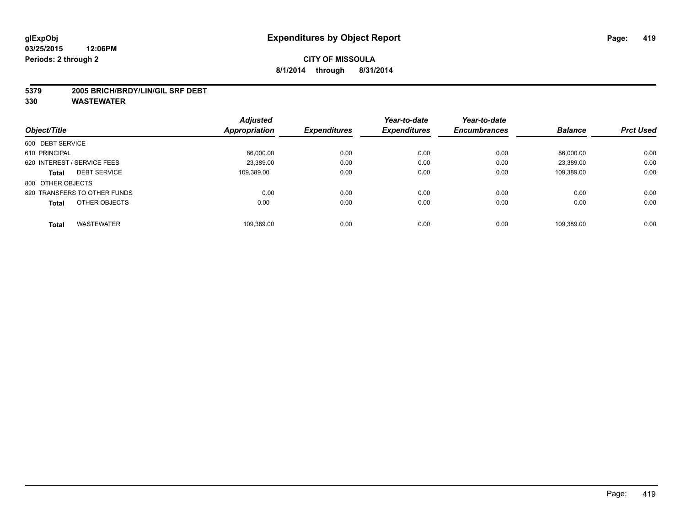#### **5379 2005 BRICH/BRDY/LIN/GIL SRF DEBT**

|                                     | <b>Adjusted</b> |                     | Year-to-date        | Year-to-date        |                |                  |
|-------------------------------------|-----------------|---------------------|---------------------|---------------------|----------------|------------------|
| Object/Title                        | Appropriation   | <b>Expenditures</b> | <b>Expenditures</b> | <b>Encumbrances</b> | <b>Balance</b> | <b>Prct Used</b> |
| 600 DEBT SERVICE                    |                 |                     |                     |                     |                |                  |
| 610 PRINCIPAL                       | 86,000.00       | 0.00                | 0.00                | 0.00                | 86.000.00      | 0.00             |
| 620 INTEREST / SERVICE FEES         | 23.389.00       | 0.00                | 0.00                | 0.00                | 23.389.00      | 0.00             |
| <b>DEBT SERVICE</b><br><b>Total</b> | 109.389.00      | 0.00                | 0.00                | 0.00                | 109,389.00     | 0.00             |
| 800 OTHER OBJECTS                   |                 |                     |                     |                     |                |                  |
| 820 TRANSFERS TO OTHER FUNDS        | 0.00            | 0.00                | 0.00                | 0.00                | 0.00           | 0.00             |
| OTHER OBJECTS<br><b>Total</b>       | 0.00            | 0.00                | 0.00                | 0.00                | 0.00           | 0.00             |
| <b>WASTEWATER</b><br>Total          | 109,389.00      | 0.00                | 0.00                | 0.00                | 109.389.00     | 0.00             |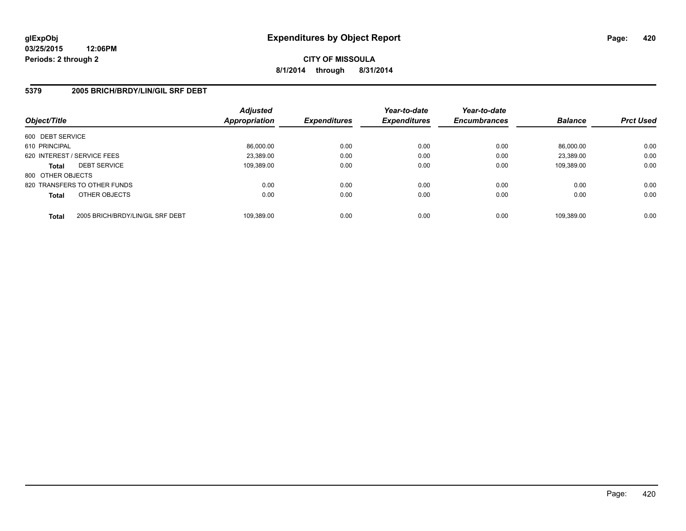**CITY OF MISSOULA 8/1/2014 through 8/31/2014**

### **5379 2005 BRICH/BRDY/LIN/GIL SRF DEBT**

| Object/Title      |                                  | <b>Adjusted</b><br><b>Appropriation</b> | <i><b>Expenditures</b></i> | Year-to-date<br><b>Expenditures</b> | Year-to-date<br><b>Encumbrances</b> | <b>Balance</b> | <b>Prct Used</b> |
|-------------------|----------------------------------|-----------------------------------------|----------------------------|-------------------------------------|-------------------------------------|----------------|------------------|
|                   |                                  |                                         |                            |                                     |                                     |                |                  |
| 600 DEBT SERVICE  |                                  |                                         |                            |                                     |                                     |                |                  |
| 610 PRINCIPAL     |                                  | 86,000.00                               | 0.00                       | 0.00                                | 0.00                                | 86.000.00      | 0.00             |
|                   | 620 INTEREST / SERVICE FEES      | 23.389.00                               | 0.00                       | 0.00                                | 0.00                                | 23.389.00      | 0.00             |
| <b>Total</b>      | <b>DEBT SERVICE</b>              | 109,389.00                              | 0.00                       | 0.00                                | 0.00                                | 109.389.00     | 0.00             |
| 800 OTHER OBJECTS |                                  |                                         |                            |                                     |                                     |                |                  |
|                   | 820 TRANSFERS TO OTHER FUNDS     | 0.00                                    | 0.00                       | 0.00                                | 0.00                                | 0.00           | 0.00             |
| <b>Total</b>      | OTHER OBJECTS                    | 0.00                                    | 0.00                       | 0.00                                | 0.00                                | 0.00           | 0.00             |
| <b>Total</b>      | 2005 BRICH/BRDY/LIN/GIL SRF DEBT | 109.389.00                              | 0.00                       | 0.00                                | 0.00                                | 109.389.00     | 0.00             |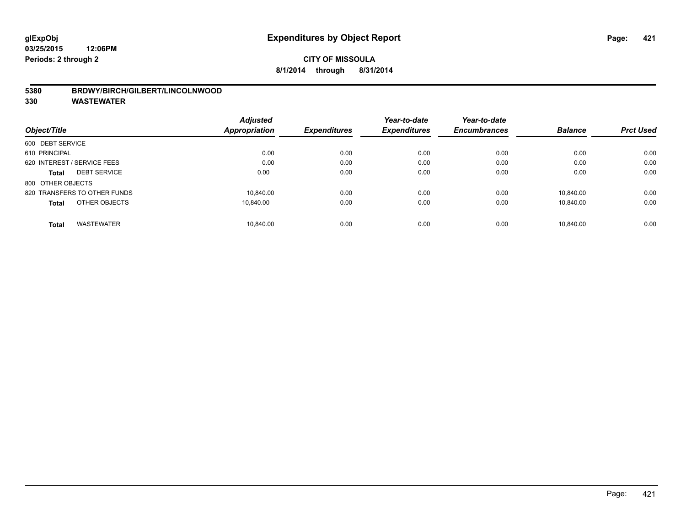#### **5380 BRDWY/BIRCH/GILBERT/LINCOLNWOOD**

|                                   | <b>Adjusted</b> |                     | Year-to-date<br><b>Expenditures</b> | Year-to-date        |                |                  |
|-----------------------------------|-----------------|---------------------|-------------------------------------|---------------------|----------------|------------------|
| Object/Title                      | Appropriation   | <b>Expenditures</b> |                                     | <b>Encumbrances</b> | <b>Balance</b> | <b>Prct Used</b> |
| 600 DEBT SERVICE                  |                 |                     |                                     |                     |                |                  |
| 610 PRINCIPAL                     | 0.00            | 0.00                | 0.00                                | 0.00                | 0.00           | 0.00             |
| 620 INTEREST / SERVICE FEES       | 0.00            | 0.00                | 0.00                                | 0.00                | 0.00           | 0.00             |
| <b>DEBT SERVICE</b><br>Total      | 0.00            | 0.00                | 0.00                                | 0.00                | 0.00           | 0.00             |
| 800 OTHER OBJECTS                 |                 |                     |                                     |                     |                |                  |
| 820 TRANSFERS TO OTHER FUNDS      | 10.840.00       | 0.00                | 0.00                                | 0.00                | 10.840.00      | 0.00             |
| OTHER OBJECTS<br><b>Total</b>     | 10.840.00       | 0.00                | 0.00                                | 0.00                | 10.840.00      | 0.00             |
| <b>WASTEWATER</b><br><b>Total</b> | 10.840.00       | 0.00                | 0.00                                | 0.00                | 10.840.00      | 0.00             |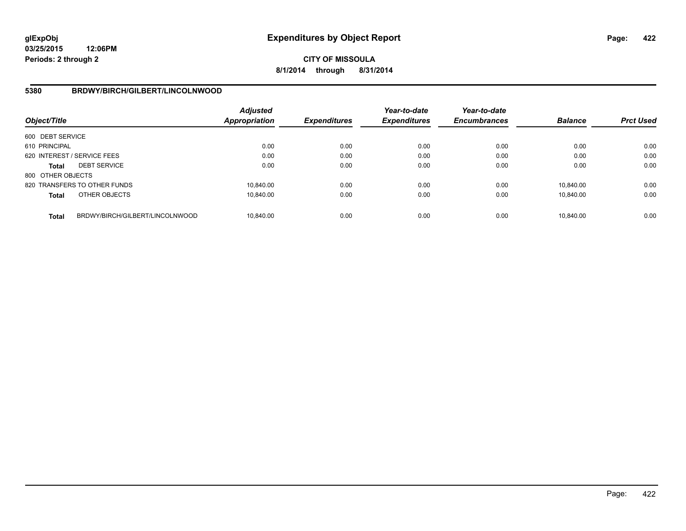# **CITY OF MISSOULA 8/1/2014 through 8/31/2014**

### **5380 BRDWY/BIRCH/GILBERT/LINCOLNWOOD**

| Object/Title      |                                 | Adjusted<br><b>Appropriation</b> | <b>Expenditures</b> | Year-to-date<br><b>Expenditures</b> | Year-to-date<br><b>Encumbrances</b> | <b>Balance</b> | <b>Prct Used</b> |
|-------------------|---------------------------------|----------------------------------|---------------------|-------------------------------------|-------------------------------------|----------------|------------------|
| 600 DEBT SERVICE  |                                 |                                  |                     |                                     |                                     |                |                  |
| 610 PRINCIPAL     |                                 | 0.00                             | 0.00                | 0.00                                | 0.00                                | 0.00           | 0.00             |
|                   | 620 INTEREST / SERVICE FEES     | 0.00                             | 0.00                | 0.00                                | 0.00                                | 0.00           | 0.00             |
| <b>Total</b>      | <b>DEBT SERVICE</b>             | 0.00                             | 0.00                | 0.00                                | 0.00                                | 0.00           | 0.00             |
| 800 OTHER OBJECTS |                                 |                                  |                     |                                     |                                     |                |                  |
|                   | 820 TRANSFERS TO OTHER FUNDS    | 10.840.00                        | 0.00                | 0.00                                | 0.00                                | 10.840.00      | 0.00             |
| <b>Total</b>      | OTHER OBJECTS                   | 10.840.00                        | 0.00                | 0.00                                | 0.00                                | 10.840.00      | 0.00             |
| <b>Total</b>      | BRDWY/BIRCH/GILBERT/LINCOLNWOOD | 10.840.00                        | 0.00                | 0.00                                | 0.00                                | 10.840.00      | 0.00             |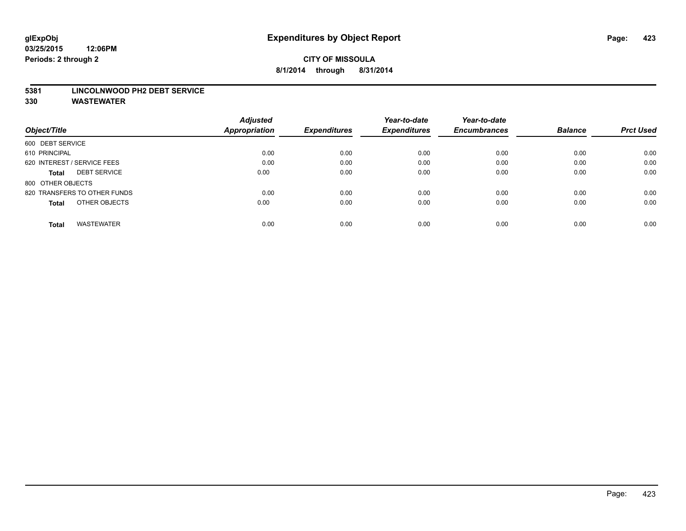#### **5381 LINCOLNWOOD PH2 DEBT SERVICE**

|                                     | <b>Adjusted</b>      |                     | Year-to-date        | Year-to-date        |                |                  |
|-------------------------------------|----------------------|---------------------|---------------------|---------------------|----------------|------------------|
| Object/Title                        | <b>Appropriation</b> | <b>Expenditures</b> | <b>Expenditures</b> | <b>Encumbrances</b> | <b>Balance</b> | <b>Prct Used</b> |
| 600 DEBT SERVICE                    |                      |                     |                     |                     |                |                  |
| 610 PRINCIPAL                       | 0.00                 | 0.00                | 0.00                | 0.00                | 0.00           | 0.00             |
| 620 INTEREST / SERVICE FEES         | 0.00                 | 0.00                | 0.00                | 0.00                | 0.00           | 0.00             |
| <b>DEBT SERVICE</b><br><b>Total</b> | 0.00                 | 0.00                | 0.00                | 0.00                | 0.00           | 0.00             |
| 800 OTHER OBJECTS                   |                      |                     |                     |                     |                |                  |
| 820 TRANSFERS TO OTHER FUNDS        | 0.00                 | 0.00                | 0.00                | 0.00                | 0.00           | 0.00             |
| OTHER OBJECTS<br><b>Total</b>       | 0.00                 | 0.00                | 0.00                | 0.00                | 0.00           | 0.00             |
| <b>WASTEWATER</b><br>Total          | 0.00                 | 0.00                | 0.00                | 0.00                | 0.00           | 0.00             |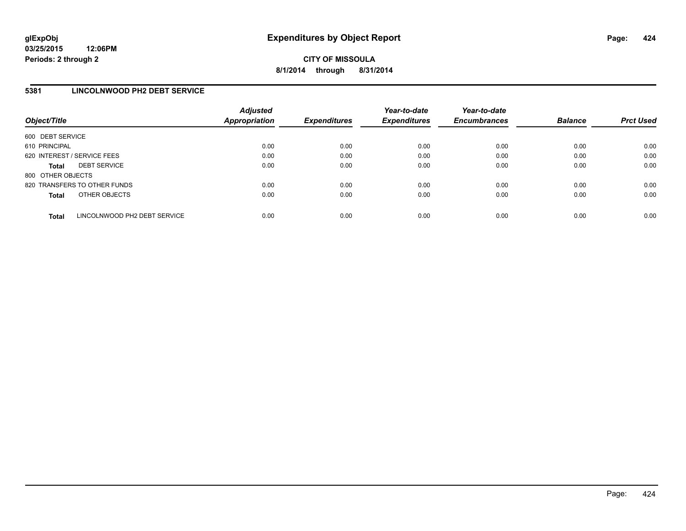### **5381 LINCOLNWOOD PH2 DEBT SERVICE**

| Object/Title      |                              | <b>Adjusted</b><br><b>Appropriation</b> | <b>Expenditures</b> | Year-to-date<br><b>Expenditures</b> | Year-to-date<br><b>Encumbrances</b> | <b>Balance</b> | <b>Prct Used</b> |
|-------------------|------------------------------|-----------------------------------------|---------------------|-------------------------------------|-------------------------------------|----------------|------------------|
| 600 DEBT SERVICE  |                              |                                         |                     |                                     |                                     |                |                  |
| 610 PRINCIPAL     |                              | 0.00                                    | 0.00                | 0.00                                | 0.00                                | 0.00           | 0.00             |
|                   | 620 INTEREST / SERVICE FEES  | 0.00                                    | 0.00                | 0.00                                | 0.00                                | 0.00           | 0.00             |
| <b>Total</b>      | <b>DEBT SERVICE</b>          | 0.00                                    | 0.00                | 0.00                                | 0.00                                | 0.00           | 0.00             |
| 800 OTHER OBJECTS |                              |                                         |                     |                                     |                                     |                |                  |
|                   | 820 TRANSFERS TO OTHER FUNDS | 0.00                                    | 0.00                | 0.00                                | 0.00                                | 0.00           | 0.00             |
| <b>Total</b>      | OTHER OBJECTS                | 0.00                                    | 0.00                | 0.00                                | 0.00                                | 0.00           | 0.00             |
| <b>Total</b>      | LINCOLNWOOD PH2 DEBT SERVICE | 0.00                                    | 0.00                | 0.00                                | 0.00                                | 0.00           | 0.00             |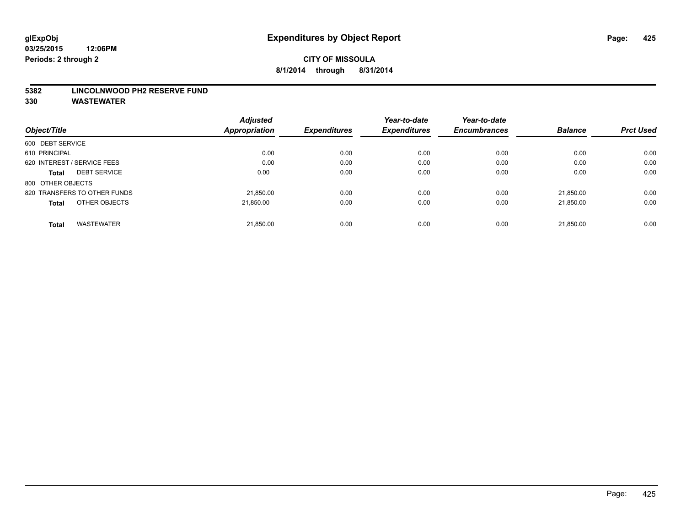#### **5382 LINCOLNWOOD PH2 RESERVE FUND**

|                                   | <b>Adjusted</b>      |                     | Year-to-date        | Year-to-date        |                |                  |
|-----------------------------------|----------------------|---------------------|---------------------|---------------------|----------------|------------------|
| Object/Title                      | <b>Appropriation</b> | <b>Expenditures</b> | <b>Expenditures</b> | <b>Encumbrances</b> | <b>Balance</b> | <b>Prct Used</b> |
| 600 DEBT SERVICE                  |                      |                     |                     |                     |                |                  |
| 610 PRINCIPAL                     | 0.00                 | 0.00                | 0.00                | 0.00                | 0.00           | 0.00             |
| 620 INTEREST / SERVICE FEES       | 0.00                 | 0.00                | 0.00                | 0.00                | 0.00           | 0.00             |
| <b>DEBT SERVICE</b><br>Total      | 0.00                 | 0.00                | 0.00                | 0.00                | 0.00           | 0.00             |
| 800 OTHER OBJECTS                 |                      |                     |                     |                     |                |                  |
| 820 TRANSFERS TO OTHER FUNDS      | 21,850.00            | 0.00                | 0.00                | 0.00                | 21.850.00      | 0.00             |
| OTHER OBJECTS<br><b>Total</b>     | 21.850.00            | 0.00                | 0.00                | 0.00                | 21.850.00      | 0.00             |
| <b>WASTEWATER</b><br><b>Total</b> | 21,850.00            | 0.00                | 0.00                | 0.00                | 21,850.00      | 0.00             |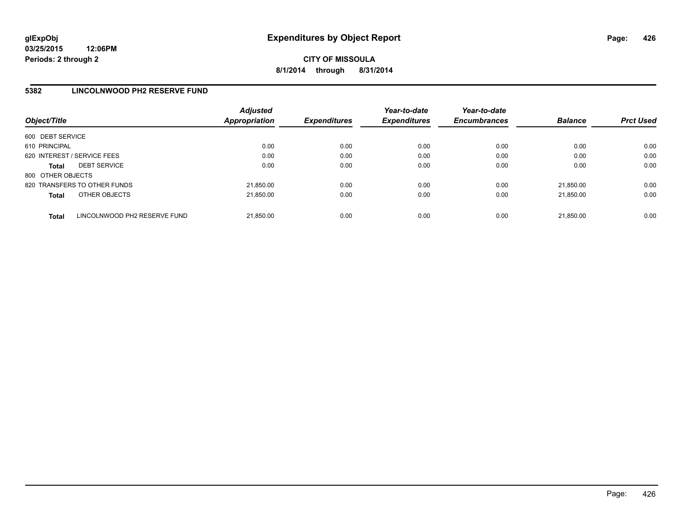**CITY OF MISSOULA 8/1/2014 through 8/31/2014**

### **5382 LINCOLNWOOD PH2 RESERVE FUND**

| Object/Title      |                              | <b>Adjusted</b><br>Appropriation | <b>Expenditures</b> | Year-to-date<br><b>Expenditures</b> | Year-to-date<br><b>Encumbrances</b> | <b>Balance</b> | <b>Prct Used</b> |
|-------------------|------------------------------|----------------------------------|---------------------|-------------------------------------|-------------------------------------|----------------|------------------|
| 600 DEBT SERVICE  |                              |                                  |                     |                                     |                                     |                |                  |
| 610 PRINCIPAL     |                              | 0.00                             | 0.00                | 0.00                                | 0.00                                | 0.00           | 0.00             |
|                   | 620 INTEREST / SERVICE FEES  | 0.00                             | 0.00                | 0.00                                | 0.00                                | 0.00           | 0.00             |
| <b>Total</b>      | <b>DEBT SERVICE</b>          | 0.00                             | 0.00                | 0.00                                | 0.00                                | 0.00           | 0.00             |
| 800 OTHER OBJECTS |                              |                                  |                     |                                     |                                     |                |                  |
|                   | 820 TRANSFERS TO OTHER FUNDS | 21,850.00                        | 0.00                | 0.00                                | 0.00                                | 21.850.00      | 0.00             |
| <b>Total</b>      | OTHER OBJECTS                | 21,850.00                        | 0.00                | 0.00                                | 0.00                                | 21.850.00      | 0.00             |
| <b>Total</b>      | LINCOLNWOOD PH2 RESERVE FUND | 21,850.00                        | 0.00                | 0.00                                | 0.00                                | 21.850.00      | 0.00             |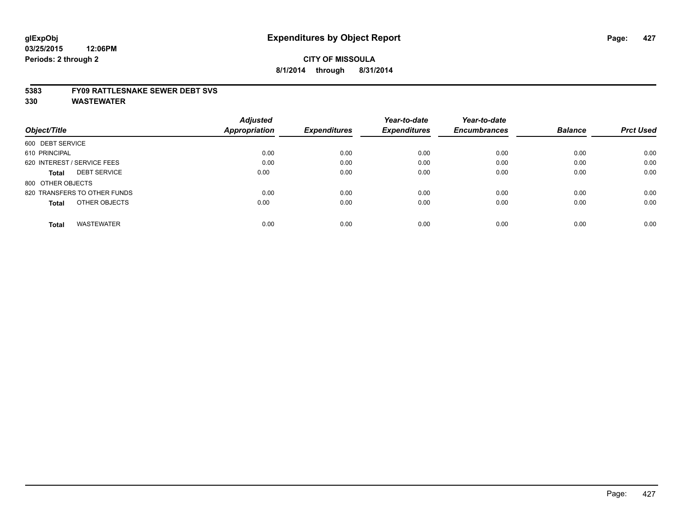#### **5383 FY09 RATTLESNAKE SEWER DEBT SVS**

|                                     | <b>Adjusted</b> |                     | Year-to-date        | Year-to-date        |                |                  |
|-------------------------------------|-----------------|---------------------|---------------------|---------------------|----------------|------------------|
| Object/Title                        | Appropriation   | <b>Expenditures</b> | <b>Expenditures</b> | <b>Encumbrances</b> | <b>Balance</b> | <b>Prct Used</b> |
| 600 DEBT SERVICE                    |                 |                     |                     |                     |                |                  |
| 610 PRINCIPAL                       | 0.00            | 0.00                | 0.00                | 0.00                | 0.00           | 0.00             |
| 620 INTEREST / SERVICE FEES         | 0.00            | 0.00                | 0.00                | 0.00                | 0.00           | 0.00             |
| <b>DEBT SERVICE</b><br><b>Total</b> | 0.00            | 0.00                | 0.00                | 0.00                | 0.00           | 0.00             |
| 800 OTHER OBJECTS                   |                 |                     |                     |                     |                |                  |
| 820 TRANSFERS TO OTHER FUNDS        | 0.00            | 0.00                | 0.00                | 0.00                | 0.00           | 0.00             |
| OTHER OBJECTS<br><b>Total</b>       | 0.00            | 0.00                | 0.00                | 0.00                | 0.00           | 0.00             |
| <b>WASTEWATER</b><br>Total          | 0.00            | 0.00                | 0.00                | 0.00                | 0.00           | 0.00             |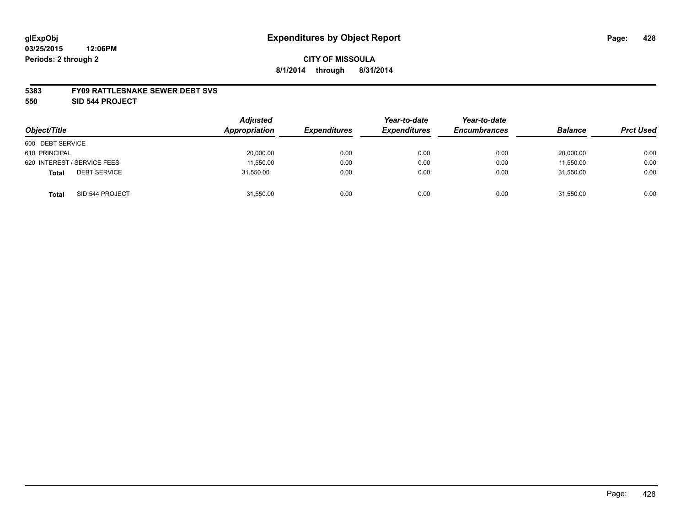#### **5383 FY09 RATTLESNAKE SEWER DEBT SVS**

**550 SID 544 PROJECT**

|                                     | <b>Adjusted</b> |                     | Year-to-date        | Year-to-date        |                |                  |
|-------------------------------------|-----------------|---------------------|---------------------|---------------------|----------------|------------------|
| Object/Title                        | Appropriation   | <b>Expenditures</b> | <b>Expenditures</b> | <b>Encumbrances</b> | <b>Balance</b> | <b>Prct Used</b> |
| 600 DEBT SERVICE                    |                 |                     |                     |                     |                |                  |
| 610 PRINCIPAL                       | 20,000.00       | 0.00                | 0.00                | 0.00                | 20,000.00      | 0.00             |
| 620 INTEREST / SERVICE FEES         | 11,550.00       | 0.00                | 0.00                | 0.00                | 11,550.00      | 0.00             |
| <b>DEBT SERVICE</b><br><b>Total</b> | 31,550.00       | 0.00                | 0.00                | 0.00                | 31,550.00      | 0.00             |
| SID 544 PROJECT<br><b>Total</b>     | 31,550.00       | 0.00                | 0.00                | 0.00                | 31,550.00      | 0.00             |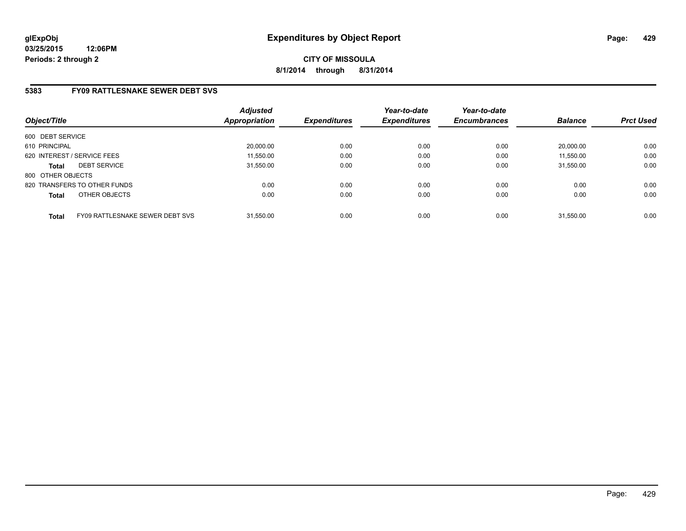# **5383 FY09 RATTLESNAKE SEWER DEBT SVS**

| Object/Title      |                                 | <b>Adjusted</b><br><b>Appropriation</b> | <b>Expenditures</b> | Year-to-date<br><b>Expenditures</b> | Year-to-date<br><b>Encumbrances</b> | <b>Balance</b> | <b>Prct Used</b> |
|-------------------|---------------------------------|-----------------------------------------|---------------------|-------------------------------------|-------------------------------------|----------------|------------------|
| 600 DEBT SERVICE  |                                 |                                         |                     |                                     |                                     |                |                  |
| 610 PRINCIPAL     |                                 | 20,000.00                               | 0.00                | 0.00                                | 0.00                                | 20.000.00      | 0.00             |
|                   | 620 INTEREST / SERVICE FEES     | 11,550.00                               | 0.00                | 0.00                                | 0.00                                | 11,550.00      | 0.00             |
| <b>Total</b>      | <b>DEBT SERVICE</b>             | 31,550.00                               | 0.00                | 0.00                                | 0.00                                | 31.550.00      | 0.00             |
| 800 OTHER OBJECTS |                                 |                                         |                     |                                     |                                     |                |                  |
|                   | 820 TRANSFERS TO OTHER FUNDS    | 0.00                                    | 0.00                | 0.00                                | 0.00                                | 0.00           | 0.00             |
| <b>Total</b>      | OTHER OBJECTS                   | 0.00                                    | 0.00                | 0.00                                | 0.00                                | 0.00           | 0.00             |
| <b>Total</b>      | FY09 RATTLESNAKE SEWER DEBT SVS | 31.550.00                               | 0.00                | 0.00                                | 0.00                                | 31.550.00      | 0.00             |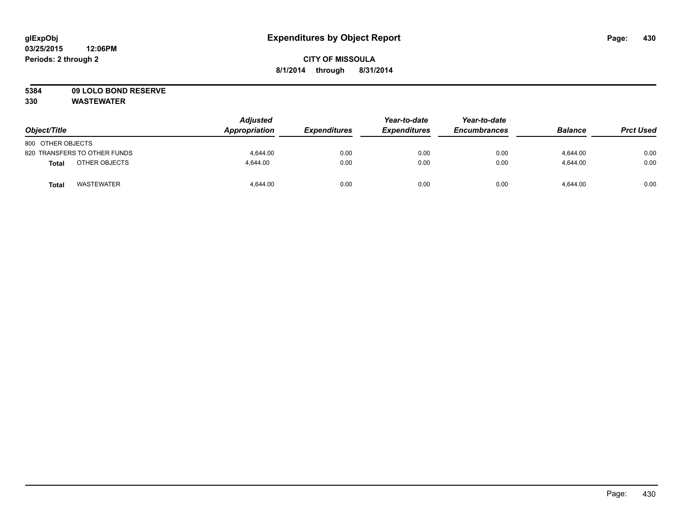# **5384 09 LOLO BOND RESERVE**

| Object/Title                      | <b>Adjusted</b><br>Appropriation | <b>Expenditures</b> | Year-to-date<br><b>Expenditures</b> | Year-to-date<br><b>Encumbrances</b> | <b>Balance</b> | <b>Prct Used</b> |
|-----------------------------------|----------------------------------|---------------------|-------------------------------------|-------------------------------------|----------------|------------------|
| 800 OTHER OBJECTS                 |                                  |                     |                                     |                                     |                |                  |
| 820 TRANSFERS TO OTHER FUNDS      | 4.644.00                         | 0.00                | 0.00                                | 0.00                                | 4.644.00       | 0.00             |
| OTHER OBJECTS<br>Total            | 4.644.00                         | 0.00                | 0.00                                | 0.00                                | 4.644.00       | 0.00             |
| <b>WASTEWATER</b><br><b>Total</b> | 4,644.00                         | 0.00                | 0.00                                | 0.00                                | 4,644.00       | 0.00             |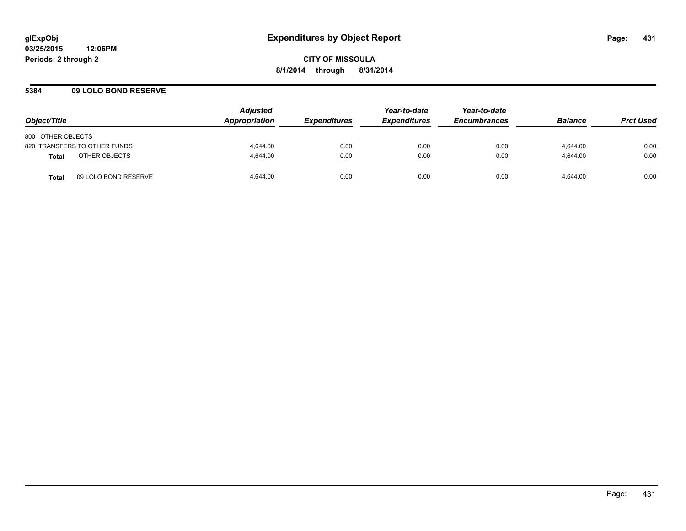**CITY OF MISSOULA 8/1/2014 through 8/31/2014**

### **5384 09 LOLO BOND RESERVE**

| Object/Title                         | <b>Adjusted</b><br>Appropriation | <i><b>Expenditures</b></i> | Year-to-date<br><b>Expenditures</b> | Year-to-date<br><b>Encumbrances</b> | <b>Balance</b> | <b>Prct Used</b> |
|--------------------------------------|----------------------------------|----------------------------|-------------------------------------|-------------------------------------|----------------|------------------|
| 800 OTHER OBJECTS                    |                                  |                            |                                     |                                     |                |                  |
| 820 TRANSFERS TO OTHER FUNDS         | 4.644.00                         | 0.00                       | 0.00                                | 0.00                                | 4.644.00       | 0.00             |
| OTHER OBJECTS<br><b>Total</b>        | 4.644.00                         | 0.00                       | 0.00                                | 0.00                                | 4.644.00       | 0.00             |
| 09 LOLO BOND RESERVE<br><b>Total</b> | 4.644.00                         | 0.00                       | 0.00                                | 0.00                                | 4.644.00       | 0.00             |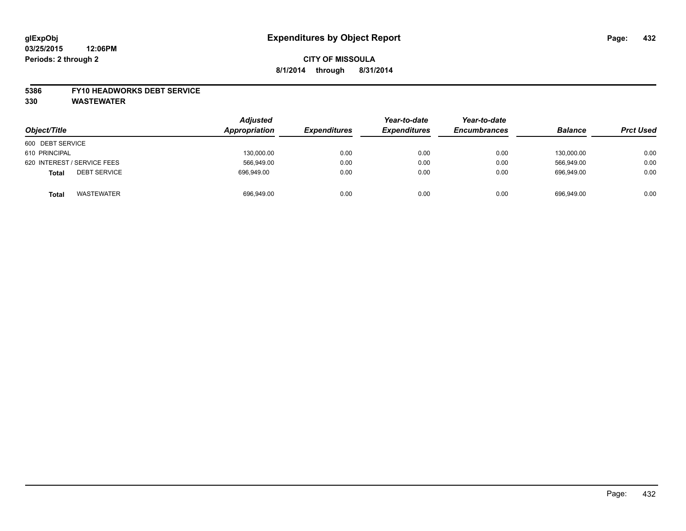#### **5386 FY10 HEADWORKS DEBT SERVICE**

| Object/Title                        | <b>Adjusted</b><br>Appropriation | <b>Expenditures</b> | Year-to-date<br><b>Expenditures</b> | Year-to-date<br><b>Encumbrances</b> | <b>Balance</b> | <b>Prct Used</b> |
|-------------------------------------|----------------------------------|---------------------|-------------------------------------|-------------------------------------|----------------|------------------|
| 600 DEBT SERVICE                    |                                  |                     |                                     |                                     |                |                  |
| 610 PRINCIPAL                       | 130,000.00                       | 0.00                | 0.00                                | 0.00                                | 130.000.00     | 0.00             |
| 620 INTEREST / SERVICE FEES         | 566,949.00                       | 0.00                | 0.00                                | 0.00                                | 566,949.00     | 0.00             |
| <b>DEBT SERVICE</b><br><b>Total</b> | 696.949.00                       | 0.00                | 0.00                                | 0.00                                | 696.949.00     | 0.00             |
| <b>WASTEWATER</b><br><b>Total</b>   | 696,949.00                       | 0.00                | 0.00                                | 0.00                                | 696,949.00     | 0.00             |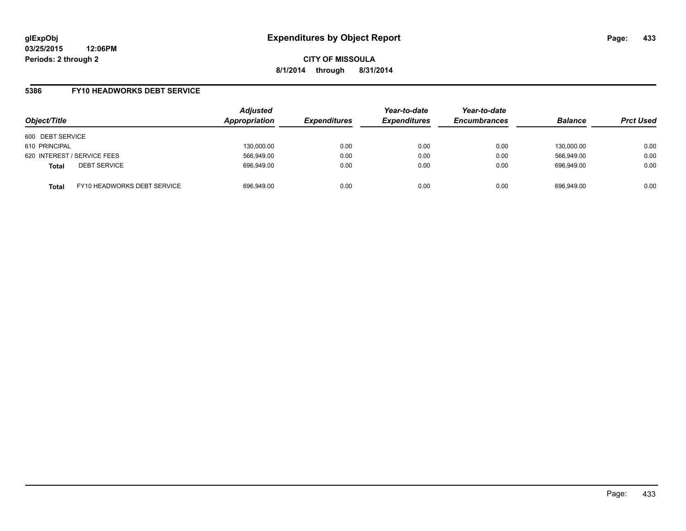### **5386 FY10 HEADWORKS DEBT SERVICE**

| Object/Title                |                             | <b>Adjusted</b><br>Appropriation | <b>Expenditures</b> | Year-to-date<br><b>Expenditures</b> | Year-to-date<br><b>Encumbrances</b> | <b>Balance</b> | <b>Prct Used</b> |
|-----------------------------|-----------------------------|----------------------------------|---------------------|-------------------------------------|-------------------------------------|----------------|------------------|
| 600 DEBT SERVICE            |                             |                                  |                     |                                     |                                     |                |                  |
| 610 PRINCIPAL               |                             | 130,000.00                       | 0.00                | 0.00                                | 0.00                                | 130.000.00     | 0.00             |
| 620 INTEREST / SERVICE FEES |                             | 566,949.00                       | 0.00                | 0.00                                | 0.00                                | 566.949.00     | 0.00             |
| <b>Total</b>                | <b>DEBT SERVICE</b>         | 696,949.00                       | 0.00                | 0.00                                | 0.00                                | 696.949.00     | 0.00             |
| <b>Total</b>                | FY10 HEADWORKS DEBT SERVICE | 696,949.00                       | 0.00                | 0.00                                | 0.00                                | 696.949.00     | 0.00             |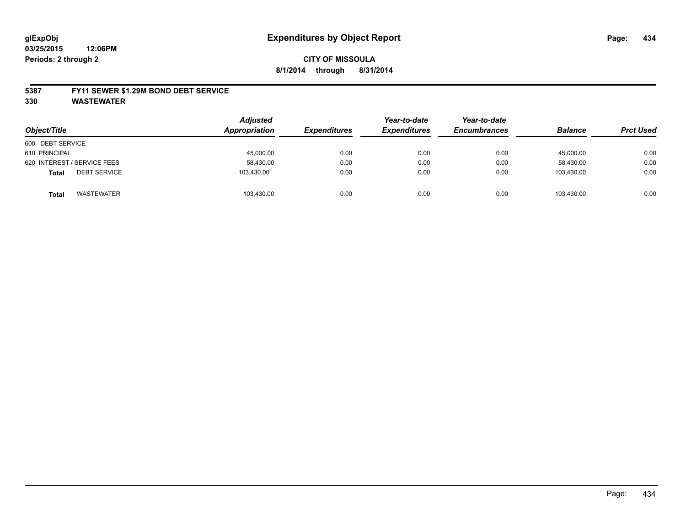#### **5387 FY11 SEWER \$1.29M BOND DEBT SERVICE**

**330 WASTEWATER**

| Object/Title                        | <b>Adjusted</b><br>Appropriation | <b>Expenditures</b> | Year-to-date<br><b>Expenditures</b> | Year-to-date<br><b>Encumbrances</b> | <b>Balance</b> | <b>Prct Used</b> |
|-------------------------------------|----------------------------------|---------------------|-------------------------------------|-------------------------------------|----------------|------------------|
| 600 DEBT SERVICE                    |                                  |                     |                                     |                                     |                |                  |
| 610 PRINCIPAL                       | 45,000.00                        | 0.00                | 0.00                                | 0.00                                | 45,000.00      | 0.00             |
| 620 INTEREST / SERVICE FEES         | 58,430.00                        | 0.00                | 0.00                                | 0.00                                | 58.430.00      | 0.00             |
| <b>DEBT SERVICE</b><br><b>Total</b> | 103.430.00                       | 0.00                | 0.00                                | 0.00                                | 103.430.00     | 0.00             |
| WASTEWATER<br><b>Total</b>          | 103,430.00                       | 0.00                | 0.00                                | 0.00                                | 103.430.00     | 0.00             |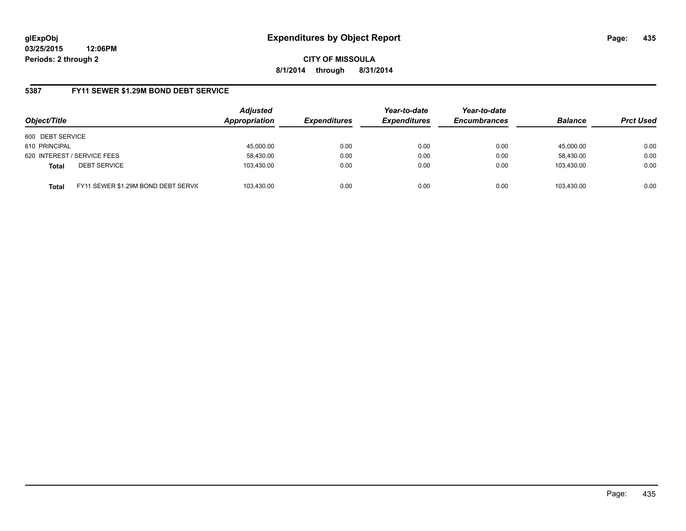**03/25/2015 12:06PM Periods: 2 through 2**

**CITY OF MISSOULA 8/1/2014 through 8/31/2014**

### **5387 FY11 SEWER \$1.29M BOND DEBT SERVICE**

| Object/Title                                        | <b>Adjusted</b><br>Appropriation | <b>Expenditures</b> | Year-to-date<br><b>Expenditures</b> | Year-to-date<br><b>Encumbrances</b> | <b>Balance</b> | <b>Prct Used</b> |
|-----------------------------------------------------|----------------------------------|---------------------|-------------------------------------|-------------------------------------|----------------|------------------|
| 600 DEBT SERVICE                                    |                                  |                     |                                     |                                     |                |                  |
| 610 PRINCIPAL                                       | 45,000.00                        | 0.00                | 0.00                                | 0.00                                | 45.000.00      | 0.00             |
| 620 INTEREST / SERVICE FEES                         | 58,430.00                        | 0.00                | 0.00                                | 0.00                                | 58.430.00      | 0.00             |
| <b>DEBT SERVICE</b><br><b>Total</b>                 | 103,430.00                       | 0.00                | 0.00                                | 0.00                                | 103.430.00     | 0.00             |
| FY11 SEWER \$1.29M BOND DEBT SERVIC<br><b>Total</b> | 103,430.00                       | 0.00                | 0.00                                | 0.00                                | 103.430.00     | 0.00             |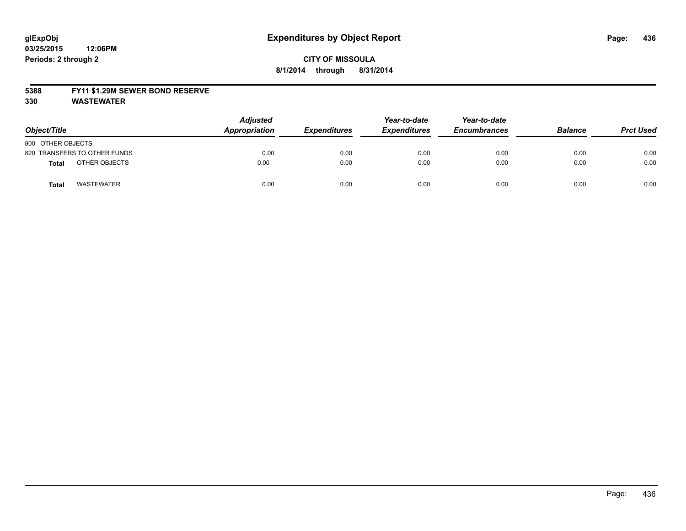#### **5388 FY11 \$1.29M SEWER BOND RESERVE**

**330 WASTEWATER**

| Object/Title                 | <b>Adjusted</b><br>Appropriation | <b>Expenditures</b> | Year-to-date<br><b>Expenditures</b> | Year-to-date<br><b>Encumbrances</b> | <b>Balance</b> | <b>Prct Used</b> |
|------------------------------|----------------------------------|---------------------|-------------------------------------|-------------------------------------|----------------|------------------|
| 800 OTHER OBJECTS            |                                  |                     |                                     |                                     |                |                  |
| 820 TRANSFERS TO OTHER FUNDS | 0.00                             | 0.00                | 0.00                                | 0.00                                | 0.00           | 0.00             |
| OTHER OBJECTS<br>Total       | 0.00                             | 0.00                | 0.00                                | 0.00                                | 0.00           | 0.00             |
| <b>WASTEWATER</b><br>Tota    | 0.00                             | 0.00                | 0.00                                | 0.00                                | 0.00           | 0.00             |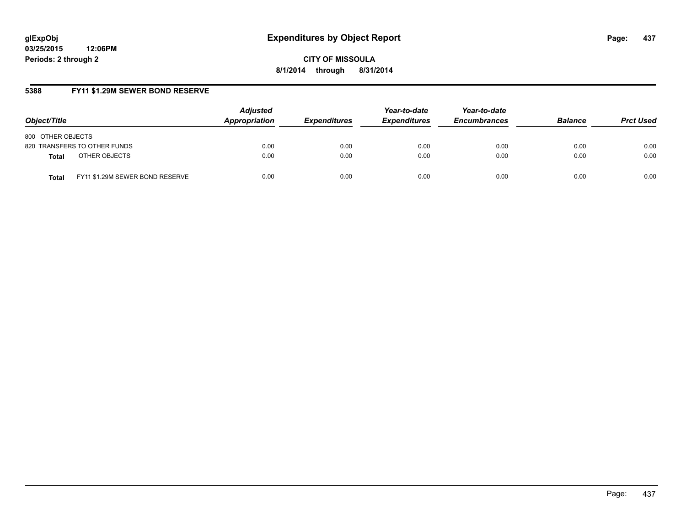**03/25/2015 12:06PM Periods: 2 through 2**

**CITY OF MISSOULA 8/1/2014 through 8/31/2014**

# **5388 FY11 \$1.29M SEWER BOND RESERVE**

| Object/Title                                    | <b>Adjusted</b><br>Appropriation | <b>Expenditures</b> | Year-to-date<br><b>Expenditures</b> | Year-to-date<br><b>Encumbrances</b> | <b>Balance</b> | <b>Prct Used</b> |
|-------------------------------------------------|----------------------------------|---------------------|-------------------------------------|-------------------------------------|----------------|------------------|
| 800 OTHER OBJECTS                               |                                  |                     |                                     |                                     |                |                  |
| 820 TRANSFERS TO OTHER FUNDS                    | 0.00                             | 0.00                | 0.00                                | 0.00                                | 0.00           | 0.00             |
| OTHER OBJECTS<br><b>Total</b>                   | 0.00                             | 0.00                | 0.00                                | 0.00                                | 0.00           | 0.00             |
| FY11 \$1.29M SEWER BOND RESERVE<br><b>Total</b> | 0.00                             | 0.00                | 0.00                                | 0.00                                | 0.00           | 0.00             |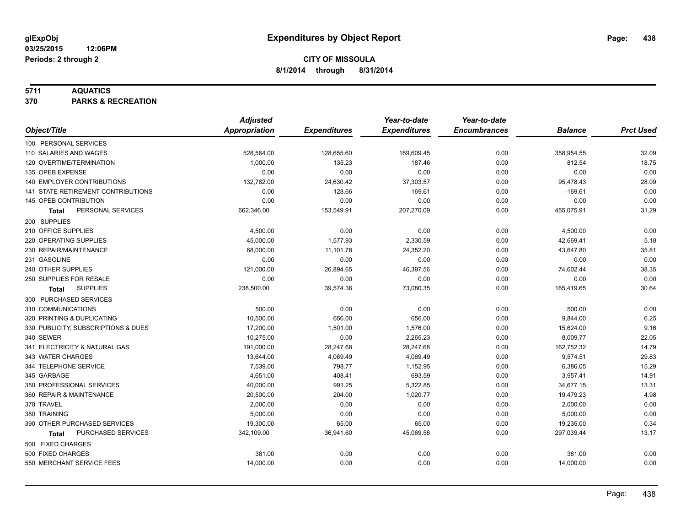### **5711 AQUATICS**

**370 PARKS & RECREATION**

|                                     | <b>Adjusted</b>      |                     | Year-to-date        | Year-to-date        |                |                  |
|-------------------------------------|----------------------|---------------------|---------------------|---------------------|----------------|------------------|
| Object/Title                        | <b>Appropriation</b> | <b>Expenditures</b> | <b>Expenditures</b> | <b>Encumbrances</b> | <b>Balance</b> | <b>Prct Used</b> |
| 100 PERSONAL SERVICES               |                      |                     |                     |                     |                |                  |
| 110 SALARIES AND WAGES              | 528,564.00           | 128,655.60          | 169,609.45          | 0.00                | 358,954.55     | 32.09            |
| 120 OVERTIME/TERMINATION            | 1,000.00             | 135.23              | 187.46              | 0.00                | 812.54         | 18.75            |
| 135 OPEB EXPENSE                    | 0.00                 | 0.00                | 0.00                | 0.00                | 0.00           | 0.00             |
| 140 EMPLOYER CONTRIBUTIONS          | 132,782.00           | 24,630.42           | 37,303.57           | 0.00                | 95,478.43      | 28.09            |
| 141 STATE RETIREMENT CONTRIBUTIONS  | 0.00                 | 128.66              | 169.61              | 0.00                | $-169.61$      | 0.00             |
| 145 OPEB CONTRIBUTION               | 0.00                 | 0.00                | 0.00                | 0.00                | 0.00           | 0.00             |
| PERSONAL SERVICES<br><b>Total</b>   | 662,346.00           | 153,549.91          | 207,270.09          | 0.00                | 455,075.91     | 31.29            |
| 200 SUPPLIES                        |                      |                     |                     |                     |                |                  |
| 210 OFFICE SUPPLIES                 | 4,500.00             | 0.00                | 0.00                | 0.00                | 4,500.00       | 0.00             |
| 220 OPERATING SUPPLIES              | 45,000.00            | 1,577.93            | 2,330.59            | 0.00                | 42,669.41      | 5.18             |
| 230 REPAIR/MAINTENANCE              | 68,000.00            | 11,101.78           | 24,352.20           | 0.00                | 43,647.80      | 35.81            |
| 231 GASOLINE                        | 0.00                 | 0.00                | 0.00                | 0.00                | 0.00           | 0.00             |
| 240 OTHER SUPPLIES                  | 121,000.00           | 26,894.65           | 46,397.56           | 0.00                | 74,602.44      | 38.35            |
| 250 SUPPLIES FOR RESALE             | 0.00                 | 0.00                | 0.00                | 0.00                | 0.00           | 0.00             |
| <b>SUPPLIES</b><br>Total            | 238,500.00           | 39,574.36           | 73,080.35           | 0.00                | 165,419.65     | 30.64            |
| 300 PURCHASED SERVICES              |                      |                     |                     |                     |                |                  |
| 310 COMMUNICATIONS                  | 500.00               | 0.00                | 0.00                | 0.00                | 500.00         | 0.00             |
| 320 PRINTING & DUPLICATING          | 10,500.00            | 656.00              | 656.00              | 0.00                | 9,844.00       | 6.25             |
| 330 PUBLICITY, SUBSCRIPTIONS & DUES | 17,200.00            | 1,501.00            | 1,576.00            | 0.00                | 15,624.00      | 9.16             |
| 340 SEWER                           | 10,275.00            | 0.00                | 2,265.23            | 0.00                | 8,009.77       | 22.05            |
| 341 ELECTRICITY & NATURAL GAS       | 191,000.00           | 28,247.68           | 28,247.68           | 0.00                | 162,752.32     | 14.79            |
| 343 WATER CHARGES                   | 13,644.00            | 4,069.49            | 4,069.49            | 0.00                | 9,574.51       | 29.83            |
| 344 TELEPHONE SERVICE               | 7,539.00             | 798.77              | 1,152.95            | 0.00                | 6,386.05       | 15.29            |
| 345 GARBAGE                         | 4.651.00             | 408.41              | 693.59              | 0.00                | 3,957.41       | 14.91            |
| 350 PROFESSIONAL SERVICES           | 40,000.00            | 991.25              | 5,322.85            | 0.00                | 34,677.15      | 13.31            |
| 360 REPAIR & MAINTENANCE            | 20,500.00            | 204.00              | 1,020.77            | 0.00                | 19,479.23      | 4.98             |
| 370 TRAVEL                          | 2,000.00             | 0.00                | 0.00                | 0.00                | 2,000.00       | 0.00             |
| 380 TRAINING                        | 5,000.00             | 0.00                | 0.00                | 0.00                | 5,000.00       | 0.00             |
| 390 OTHER PURCHASED SERVICES        | 19,300.00            | 65.00               | 65.00               | 0.00                | 19,235.00      | 0.34             |
| PURCHASED SERVICES<br><b>Total</b>  | 342,109.00           | 36,941.60           | 45,069.56           | 0.00                | 297,039.44     | 13.17            |
| 500 FIXED CHARGES                   |                      |                     |                     |                     |                |                  |
| 500 FIXED CHARGES                   | 381.00               | 0.00                | 0.00                | 0.00                | 381.00         | 0.00             |
| 550 MERCHANT SERVICE FEES           | 14,000.00            | 0.00                | 0.00                | 0.00                | 14,000.00      | 0.00             |
|                                     |                      |                     |                     |                     |                |                  |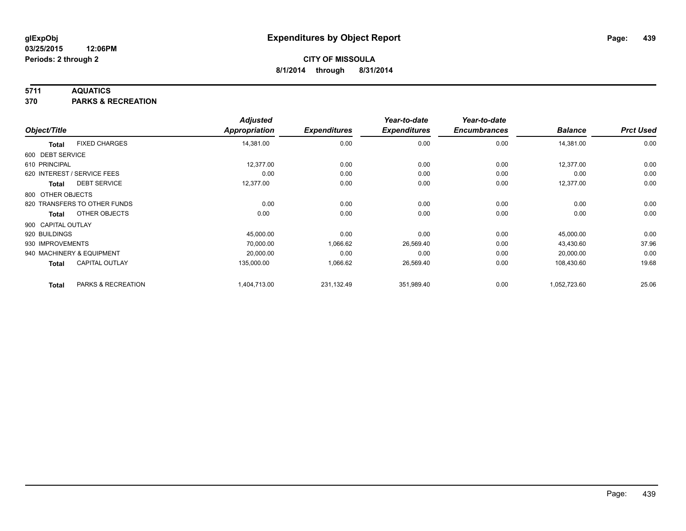### **5711 AQUATICS**

**370 PARKS & RECREATION**

|                    |                              | <b>Adjusted</b>      |                     | Year-to-date        | Year-to-date        |                |                  |
|--------------------|------------------------------|----------------------|---------------------|---------------------|---------------------|----------------|------------------|
| Object/Title       |                              | <b>Appropriation</b> | <b>Expenditures</b> | <b>Expenditures</b> | <b>Encumbrances</b> | <b>Balance</b> | <b>Prct Used</b> |
| <b>Total</b>       | <b>FIXED CHARGES</b>         | 14,381.00            | 0.00                | 0.00                | 0.00                | 14,381.00      | 0.00             |
| 600 DEBT SERVICE   |                              |                      |                     |                     |                     |                |                  |
| 610 PRINCIPAL      |                              | 12,377.00            | 0.00                | 0.00                | 0.00                | 12,377.00      | 0.00             |
|                    | 620 INTEREST / SERVICE FEES  | 0.00                 | 0.00                | 0.00                | 0.00                | 0.00           | 0.00             |
| Total              | <b>DEBT SERVICE</b>          | 12,377.00            | 0.00                | 0.00                | 0.00                | 12,377.00      | 0.00             |
| 800 OTHER OBJECTS  |                              |                      |                     |                     |                     |                |                  |
|                    | 820 TRANSFERS TO OTHER FUNDS | 0.00                 | 0.00                | 0.00                | 0.00                | 0.00           | 0.00             |
| <b>Total</b>       | OTHER OBJECTS                | 0.00                 | 0.00                | 0.00                | 0.00                | 0.00           | 0.00             |
| 900 CAPITAL OUTLAY |                              |                      |                     |                     |                     |                |                  |
| 920 BUILDINGS      |                              | 45,000.00            | 0.00                | 0.00                | 0.00                | 45,000.00      | 0.00             |
| 930 IMPROVEMENTS   |                              | 70,000.00            | 1,066.62            | 26,569.40           | 0.00                | 43,430.60      | 37.96            |
|                    | 940 MACHINERY & EQUIPMENT    | 20,000.00            | 0.00                | 0.00                | 0.00                | 20,000.00      | 0.00             |
| Total              | <b>CAPITAL OUTLAY</b>        | 135,000.00           | 1,066.62            | 26,569.40           | 0.00                | 108,430.60     | 19.68            |
| <b>Total</b>       | PARKS & RECREATION           | 1,404,713.00         | 231,132.49          | 351,989.40          | 0.00                | 1,052,723.60   | 25.06            |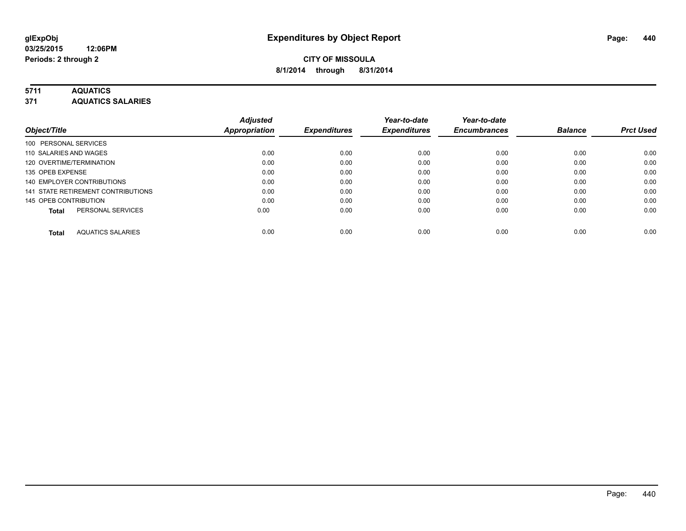### **5711 AQUATICS**

**371 AQUATICS SALARIES**

| Object/Title                             | <b>Adjusted</b><br>Appropriation | <b>Expenditures</b> | Year-to-date<br><b>Expenditures</b> | Year-to-date<br><b>Encumbrances</b> | <b>Balance</b> | <b>Prct Used</b> |
|------------------------------------------|----------------------------------|---------------------|-------------------------------------|-------------------------------------|----------------|------------------|
|                                          |                                  |                     |                                     |                                     |                |                  |
| 100 PERSONAL SERVICES                    |                                  |                     |                                     |                                     |                |                  |
| 110 SALARIES AND WAGES                   | 0.00                             | 0.00                | 0.00                                | 0.00                                | 0.00           | 0.00             |
| 120 OVERTIME/TERMINATION                 | 0.00                             | 0.00                | 0.00                                | 0.00                                | 0.00           | 0.00             |
| 135 OPEB EXPENSE                         | 0.00                             | 0.00                | 0.00                                | 0.00                                | 0.00           | 0.00             |
| 140 EMPLOYER CONTRIBUTIONS               | 0.00                             | 0.00                | 0.00                                | 0.00                                | 0.00           | 0.00             |
| 141 STATE RETIREMENT CONTRIBUTIONS       | 0.00                             | 0.00                | 0.00                                | 0.00                                | 0.00           | 0.00             |
| 145 OPEB CONTRIBUTION                    | 0.00                             | 0.00                | 0.00                                | 0.00                                | 0.00           | 0.00             |
| PERSONAL SERVICES<br><b>Total</b>        | 0.00                             | 0.00                | 0.00                                | 0.00                                | 0.00           | 0.00             |
| <b>AQUATICS SALARIES</b><br><b>Total</b> | 0.00                             | 0.00                | 0.00                                | 0.00                                | 0.00           | 0.00             |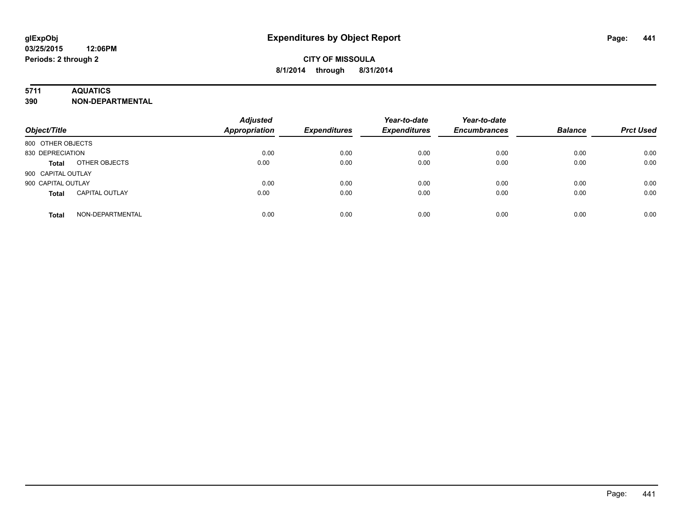### **5711 AQUATICS**

**390 NON-DEPARTMENTAL**

| Object/Title                          | <b>Adjusted</b><br><b>Appropriation</b> | <b>Expenditures</b> | Year-to-date<br><b>Expenditures</b> | Year-to-date<br><b>Encumbrances</b> | <b>Balance</b> | <b>Prct Used</b> |
|---------------------------------------|-----------------------------------------|---------------------|-------------------------------------|-------------------------------------|----------------|------------------|
| 800 OTHER OBJECTS                     |                                         |                     |                                     |                                     |                |                  |
| 830 DEPRECIATION                      | 0.00                                    | 0.00                | 0.00                                | 0.00                                | 0.00           | 0.00             |
| OTHER OBJECTS<br><b>Total</b>         | 0.00                                    | 0.00                | 0.00                                | 0.00                                | 0.00           | 0.00             |
| 900 CAPITAL OUTLAY                    |                                         |                     |                                     |                                     |                |                  |
| 900 CAPITAL OUTLAY                    | 0.00                                    | 0.00                | 0.00                                | 0.00                                | 0.00           | 0.00             |
| <b>CAPITAL OUTLAY</b><br><b>Total</b> | 0.00                                    | 0.00                | 0.00                                | 0.00                                | 0.00           | 0.00             |
| NON-DEPARTMENTAL<br><b>Total</b>      | 0.00                                    | 0.00                | 0.00                                | 0.00                                | 0.00           | 0.00             |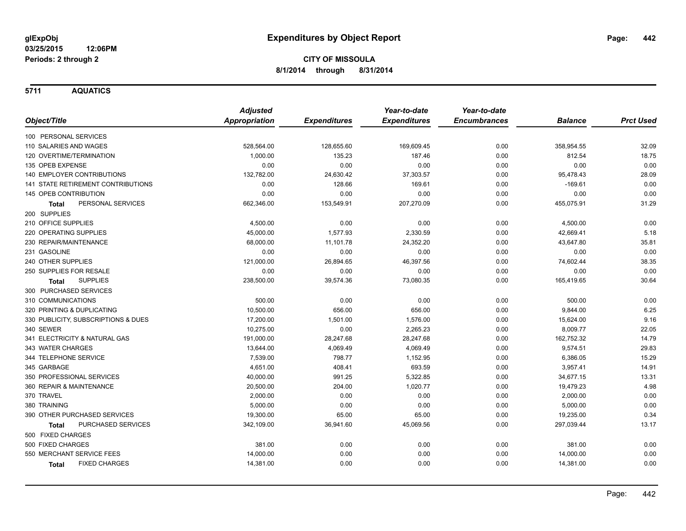**5711 AQUATICS**

|                                      | <b>Adjusted</b>      |                     | Year-to-date        | Year-to-date        |                |                  |
|--------------------------------------|----------------------|---------------------|---------------------|---------------------|----------------|------------------|
| Object/Title                         | <b>Appropriation</b> | <b>Expenditures</b> | <b>Expenditures</b> | <b>Encumbrances</b> | <b>Balance</b> | <b>Prct Used</b> |
| 100 PERSONAL SERVICES                |                      |                     |                     |                     |                |                  |
| 110 SALARIES AND WAGES               | 528,564.00           | 128,655.60          | 169,609.45          | 0.00                | 358,954.55     | 32.09            |
| 120 OVERTIME/TERMINATION             | 1,000.00             | 135.23              | 187.46              | 0.00                | 812.54         | 18.75            |
| 135 OPEB EXPENSE                     | 0.00                 | 0.00                | 0.00                | 0.00                | 0.00           | 0.00             |
| 140 EMPLOYER CONTRIBUTIONS           | 132,782.00           | 24,630.42           | 37,303.57           | 0.00                | 95,478.43      | 28.09            |
| 141 STATE RETIREMENT CONTRIBUTIONS   | 0.00                 | 128.66              | 169.61              | 0.00                | $-169.61$      | 0.00             |
| 145 OPEB CONTRIBUTION                | 0.00                 | 0.00                | 0.00                | 0.00                | 0.00           | 0.00             |
| PERSONAL SERVICES<br>Total           | 662,346.00           | 153,549.91          | 207,270.09          | 0.00                | 455,075.91     | 31.29            |
| 200 SUPPLIES                         |                      |                     |                     |                     |                |                  |
| 210 OFFICE SUPPLIES                  | 4,500.00             | 0.00                | 0.00                | 0.00                | 4,500.00       | 0.00             |
| 220 OPERATING SUPPLIES               | 45,000.00            | 1,577.93            | 2,330.59            | 0.00                | 42,669.41      | 5.18             |
| 230 REPAIR/MAINTENANCE               | 68,000.00            | 11,101.78           | 24,352.20           | 0.00                | 43,647.80      | 35.81            |
| 231 GASOLINE                         | 0.00                 | 0.00                | 0.00                | 0.00                | 0.00           | 0.00             |
| 240 OTHER SUPPLIES                   | 121,000.00           | 26,894.65           | 46,397.56           | 0.00                | 74,602.44      | 38.35            |
| 250 SUPPLIES FOR RESALE              | 0.00                 | 0.00                | 0.00                | 0.00                | 0.00           | 0.00             |
| <b>SUPPLIES</b><br>Total             | 238,500.00           | 39,574.36           | 73,080.35           | 0.00                | 165,419.65     | 30.64            |
| 300 PURCHASED SERVICES               |                      |                     |                     |                     |                |                  |
| 310 COMMUNICATIONS                   | 500.00               | 0.00                | 0.00                | 0.00                | 500.00         | 0.00             |
| 320 PRINTING & DUPLICATING           | 10,500.00            | 656.00              | 656.00              | 0.00                | 9,844.00       | 6.25             |
| 330 PUBLICITY, SUBSCRIPTIONS & DUES  | 17,200.00            | 1,501.00            | 1,576.00            | 0.00                | 15,624.00      | 9.16             |
| 340 SEWER                            | 10,275.00            | 0.00                | 2,265.23            | 0.00                | 8,009.77       | 22.05            |
| 341 ELECTRICITY & NATURAL GAS        | 191,000.00           | 28,247.68           | 28,247.68           | 0.00                | 162,752.32     | 14.79            |
| 343 WATER CHARGES                    | 13,644.00            | 4,069.49            | 4,069.49            | 0.00                | 9,574.51       | 29.83            |
| 344 TELEPHONE SERVICE                | 7,539.00             | 798.77              | 1,152.95            | 0.00                | 6,386.05       | 15.29            |
| 345 GARBAGE                          | 4,651.00             | 408.41              | 693.59              | 0.00                | 3,957.41       | 14.91            |
| 350 PROFESSIONAL SERVICES            | 40,000.00            | 991.25              | 5,322.85            | 0.00                | 34,677.15      | 13.31            |
| 360 REPAIR & MAINTENANCE             | 20,500.00            | 204.00              | 1,020.77            | 0.00                | 19,479.23      | 4.98             |
| 370 TRAVEL                           | 2,000.00             | 0.00                | 0.00                | 0.00                | 2,000.00       | 0.00             |
| 380 TRAINING                         | 5,000.00             | 0.00                | 0.00                | 0.00                | 5,000.00       | 0.00             |
| 390 OTHER PURCHASED SERVICES         | 19,300.00            | 65.00               | 65.00               | 0.00                | 19,235.00      | 0.34             |
| PURCHASED SERVICES<br>Total          | 342,109.00           | 36,941.60           | 45,069.56           | 0.00                | 297,039.44     | 13.17            |
| 500 FIXED CHARGES                    |                      |                     |                     |                     |                |                  |
| 500 FIXED CHARGES                    | 381.00               | 0.00                | 0.00                | 0.00                | 381.00         | 0.00             |
| 550 MERCHANT SERVICE FEES            | 14,000.00            | 0.00                | 0.00                | 0.00                | 14,000.00      | 0.00             |
| <b>FIXED CHARGES</b><br><b>Total</b> | 14,381.00            | 0.00                | 0.00                | 0.00                | 14,381.00      | 0.00             |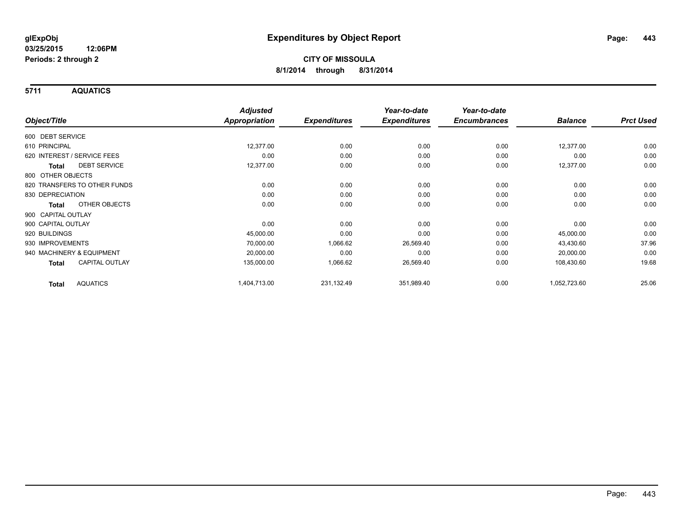**5711 AQUATICS**

|                                     | <b>Adjusted</b>      | <b>Expenditures</b> | Year-to-date<br><b>Expenditures</b> | Year-to-date<br><b>Encumbrances</b> | <b>Balance</b> | <b>Prct Used</b> |
|-------------------------------------|----------------------|---------------------|-------------------------------------|-------------------------------------|----------------|------------------|
| Object/Title                        | <b>Appropriation</b> |                     |                                     |                                     |                |                  |
| 600 DEBT SERVICE                    |                      |                     |                                     |                                     |                |                  |
| 610 PRINCIPAL                       | 12,377.00            | 0.00                | 0.00                                | 0.00                                | 12,377.00      | 0.00             |
| 620 INTEREST / SERVICE FEES         | 0.00                 | 0.00                | 0.00                                | 0.00                                | 0.00           | 0.00             |
| <b>DEBT SERVICE</b><br><b>Total</b> | 12,377.00            | 0.00                | 0.00                                | 0.00                                | 12,377.00      | 0.00             |
| 800 OTHER OBJECTS                   |                      |                     |                                     |                                     |                |                  |
| 820 TRANSFERS TO OTHER FUNDS        | 0.00                 | 0.00                | 0.00                                | 0.00                                | 0.00           | 0.00             |
| 830 DEPRECIATION                    | 0.00                 | 0.00                | 0.00                                | 0.00                                | 0.00           | 0.00             |
| OTHER OBJECTS<br>Total              | 0.00                 | 0.00                | 0.00                                | 0.00                                | 0.00           | 0.00             |
| 900 CAPITAL OUTLAY                  |                      |                     |                                     |                                     |                |                  |
| 900 CAPITAL OUTLAY                  | 0.00                 | 0.00                | 0.00                                | 0.00                                | 0.00           | 0.00             |
| 920 BUILDINGS                       | 45,000.00            | 0.00                | 0.00                                | 0.00                                | 45,000.00      | 0.00             |
| 930 IMPROVEMENTS                    | 70,000.00            | 1,066.62            | 26,569.40                           | 0.00                                | 43,430.60      | 37.96            |
| 940 MACHINERY & EQUIPMENT           | 20,000.00            | 0.00                | 0.00                                | 0.00                                | 20,000.00      | 0.00             |
| <b>CAPITAL OUTLAY</b><br>Total      | 135,000.00           | 1,066.62            | 26,569.40                           | 0.00                                | 108,430.60     | 19.68            |
| <b>AQUATICS</b><br><b>Total</b>     | 1,404,713.00         | 231,132.49          | 351,989.40                          | 0.00                                | 1,052,723.60   | 25.06            |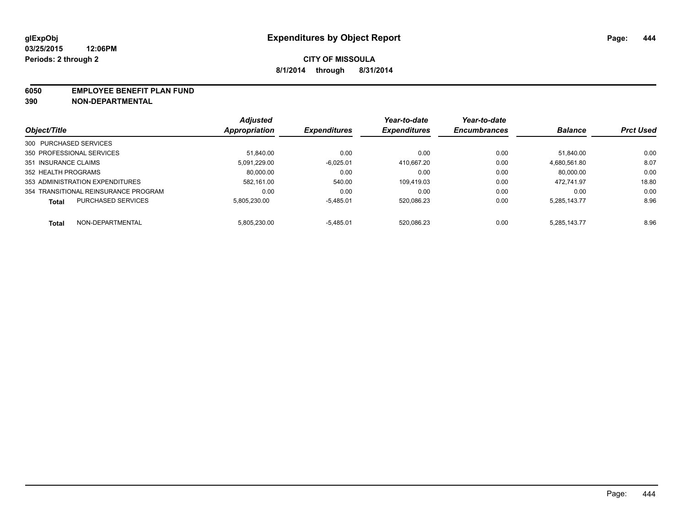#### **6050 EMPLOYEE BENEFIT PLAN FUND**

**390 NON-DEPARTMENTAL**

|                                           | <b>Adjusted</b> | <b>Expenditures</b> | Year-to-date<br><b>Expenditures</b> | Year-to-date<br><b>Encumbrances</b> | <b>Balance</b> | <b>Prct Used</b> |
|-------------------------------------------|-----------------|---------------------|-------------------------------------|-------------------------------------|----------------|------------------|
| Object/Title                              | Appropriation   |                     |                                     |                                     |                |                  |
| 300 PURCHASED SERVICES                    |                 |                     |                                     |                                     |                |                  |
| 350 PROFESSIONAL SERVICES                 | 51.840.00       | 0.00                | 0.00                                | 0.00                                | 51.840.00      | 0.00             |
| 351 INSURANCE CLAIMS                      | 5.091.229.00    | $-6.025.01$         | 410.667.20                          | 0.00                                | 4.680.561.80   | 8.07             |
| 352 HEALTH PROGRAMS                       | 80,000.00       | 0.00                | 0.00                                | 0.00                                | 80.000.00      | 0.00             |
| 353 ADMINISTRATION EXPENDITURES           | 582.161.00      | 540.00              | 109.419.03                          | 0.00                                | 472.741.97     | 18.80            |
| 354 TRANSITIONAL REINSURANCE PROGRAM      | 0.00            | 0.00                | 0.00                                | 0.00                                | 0.00           | 0.00             |
| <b>PURCHASED SERVICES</b><br><b>Total</b> | 5.805.230.00    | $-5.485.01$         | 520.086.23                          | 0.00                                | 5.285.143.77   | 8.96             |
| NON-DEPARTMENTAL<br><b>Total</b>          | 5.805.230.00    | $-5.485.01$         | 520.086.23                          | 0.00                                | 5.285.143.77   | 8.96             |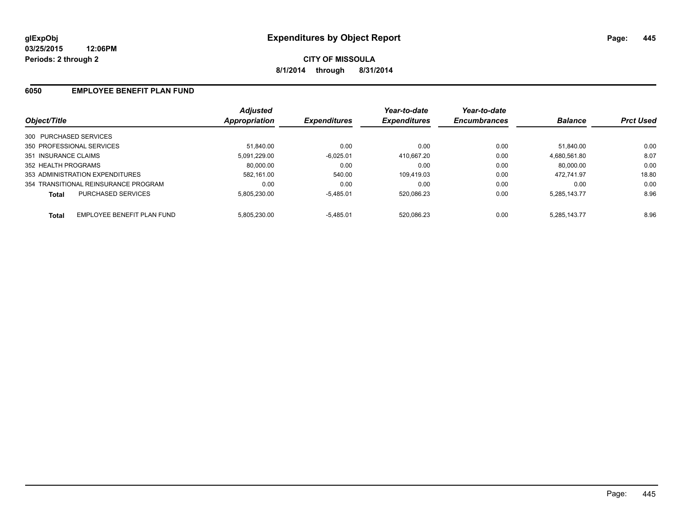### **6050 EMPLOYEE BENEFIT PLAN FUND**

| Object/Title                               | <b>Adjusted</b><br>Appropriation | <b>Expenditures</b> | Year-to-date<br><b>Expenditures</b> | Year-to-date<br><b>Encumbrances</b> | <b>Balance</b> | <b>Prct Used</b> |
|--------------------------------------------|----------------------------------|---------------------|-------------------------------------|-------------------------------------|----------------|------------------|
|                                            |                                  |                     |                                     |                                     |                |                  |
| 300 PURCHASED SERVICES                     |                                  |                     |                                     |                                     |                |                  |
| 350 PROFESSIONAL SERVICES                  | 51.840.00                        | 0.00                | 0.00                                | 0.00                                | 51.840.00      | 0.00             |
| 351 INSURANCE CLAIMS                       | 5.091.229.00                     | $-6,025.01$         | 410.667.20                          | 0.00                                | 4.680.561.80   | 8.07             |
| 352 HEALTH PROGRAMS                        | 80.000.00                        | 0.00                | 0.00                                | 0.00                                | 80.000.00      | 0.00             |
| 353 ADMINISTRATION EXPENDITURES            | 582.161.00                       | 540.00              | 109.419.03                          | 0.00                                | 472.741.97     | 18.80            |
| 354 TRANSITIONAL REINSURANCE PROGRAM       | 0.00                             | 0.00                | 0.00                                | 0.00                                | 0.00           | 0.00             |
| PURCHASED SERVICES<br><b>Total</b>         | 5.805.230.00                     | $-5,485.01$         | 520.086.23                          | 0.00                                | 5.285.143.77   | 8.96             |
| EMPLOYEE BENEFIT PLAN FUND<br><b>Total</b> | 5.805.230.00                     | $-5.485.01$         | 520.086.23                          | 0.00                                | 5.285.143.77   | 8.96             |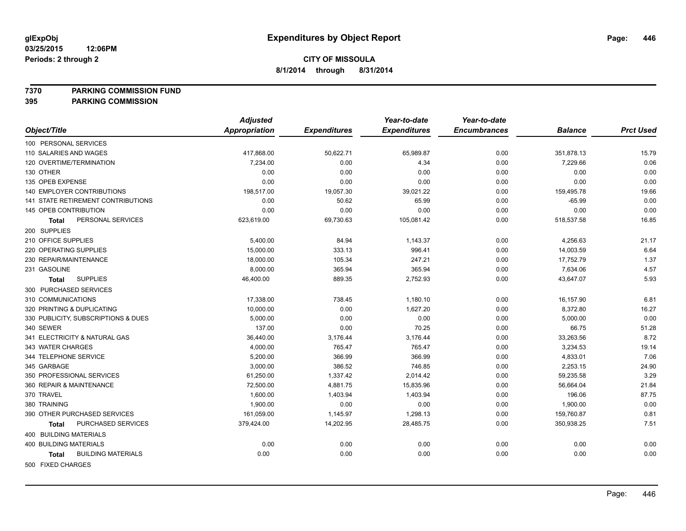#### **7370 PARKING COMMISSION FUND**

|                                           | <b>Adjusted</b>      |                     | Year-to-date        | Year-to-date        |                |                  |
|-------------------------------------------|----------------------|---------------------|---------------------|---------------------|----------------|------------------|
| Object/Title                              | <b>Appropriation</b> | <b>Expenditures</b> | <b>Expenditures</b> | <b>Encumbrances</b> | <b>Balance</b> | <b>Prct Used</b> |
| 100 PERSONAL SERVICES                     |                      |                     |                     |                     |                |                  |
| 110 SALARIES AND WAGES                    | 417,868.00           | 50,622.71           | 65,989.87           | 0.00                | 351,878.13     | 15.79            |
| 120 OVERTIME/TERMINATION                  | 7,234.00             | 0.00                | 4.34                | 0.00                | 7,229.66       | 0.06             |
| 130 OTHER                                 | 0.00                 | 0.00                | 0.00                | 0.00                | 0.00           | 0.00             |
| 135 OPEB EXPENSE                          | 0.00                 | 0.00                | 0.00                | 0.00                | 0.00           | 0.00             |
| 140 EMPLOYER CONTRIBUTIONS                | 198,517.00           | 19,057.30           | 39,021.22           | 0.00                | 159,495.78     | 19.66            |
| 141 STATE RETIREMENT CONTRIBUTIONS        | 0.00                 | 50.62               | 65.99               | 0.00                | $-65.99$       | 0.00             |
| 145 OPEB CONTRIBUTION                     | 0.00                 | 0.00                | 0.00                | 0.00                | 0.00           | 0.00             |
| PERSONAL SERVICES<br><b>Total</b>         | 623,619.00           | 69,730.63           | 105,081.42          | 0.00                | 518,537.58     | 16.85            |
| 200 SUPPLIES                              |                      |                     |                     |                     |                |                  |
| 210 OFFICE SUPPLIES                       | 5,400.00             | 84.94               | 1,143.37            | 0.00                | 4,256.63       | 21.17            |
| 220 OPERATING SUPPLIES                    | 15,000.00            | 333.13              | 996.41              | 0.00                | 14,003.59      | 6.64             |
| 230 REPAIR/MAINTENANCE                    | 18,000.00            | 105.34              | 247.21              | 0.00                | 17,752.79      | 1.37             |
| 231 GASOLINE                              | 8,000.00             | 365.94              | 365.94              | 0.00                | 7,634.06       | 4.57             |
| <b>SUPPLIES</b><br>Total                  | 46,400.00            | 889.35              | 2,752.93            | 0.00                | 43,647.07      | 5.93             |
| 300 PURCHASED SERVICES                    |                      |                     |                     |                     |                |                  |
| 310 COMMUNICATIONS                        | 17,338.00            | 738.45              | 1,180.10            | 0.00                | 16,157.90      | 6.81             |
| 320 PRINTING & DUPLICATING                | 10,000.00            | 0.00                | 1,627.20            | 0.00                | 8,372.80       | 16.27            |
| 330 PUBLICITY, SUBSCRIPTIONS & DUES       | 5,000.00             | 0.00                | 0.00                | 0.00                | 5,000.00       | 0.00             |
| 340 SEWER                                 | 137.00               | 0.00                | 70.25               | 0.00                | 66.75          | 51.28            |
| 341 ELECTRICITY & NATURAL GAS             | 36,440.00            | 3,176.44            | 3,176.44            | 0.00                | 33,263.56      | 8.72             |
| 343 WATER CHARGES                         | 4,000.00             | 765.47              | 765.47              | 0.00                | 3,234.53       | 19.14            |
| 344 TELEPHONE SERVICE                     | 5,200.00             | 366.99              | 366.99              | 0.00                | 4,833.01       | 7.06             |
| 345 GARBAGE                               | 3,000.00             | 386.52              | 746.85              | 0.00                | 2,253.15       | 24.90            |
| 350 PROFESSIONAL SERVICES                 | 61,250.00            | 1,337.42            | 2,014.42            | 0.00                | 59,235.58      | 3.29             |
| 360 REPAIR & MAINTENANCE                  | 72,500.00            | 4,881.75            | 15,835.96           | 0.00                | 56,664.04      | 21.84            |
| 370 TRAVEL                                | 1,600.00             | 1,403.94            | 1,403.94            | 0.00                | 196.06         | 87.75            |
| 380 TRAINING                              | 1,900.00             | 0.00                | 0.00                | 0.00                | 1,900.00       | 0.00             |
| 390 OTHER PURCHASED SERVICES              | 161,059.00           | 1,145.97            | 1,298.13            | 0.00                | 159,760.87     | 0.81             |
| PURCHASED SERVICES<br><b>Total</b>        | 379,424.00           | 14,202.95           | 28,485.75           | 0.00                | 350,938.25     | 7.51             |
| 400 BUILDING MATERIALS                    |                      |                     |                     |                     |                |                  |
| <b>400 BUILDING MATERIALS</b>             | 0.00                 | 0.00                | 0.00                | 0.00                | 0.00           | 0.00             |
| <b>BUILDING MATERIALS</b><br><b>Total</b> | 0.00                 | 0.00                | 0.00                | 0.00                | 0.00           | 0.00             |
| 500 FIXED CHARGES                         |                      |                     |                     |                     |                |                  |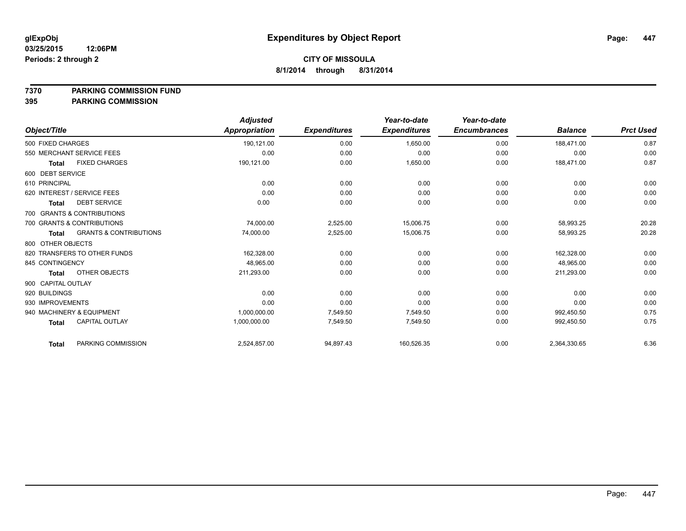#### **7370 PARKING COMMISSION FUND**

|                                                   | <b>Adjusted</b> |                     | Year-to-date        | Year-to-date        |                |                  |
|---------------------------------------------------|-----------------|---------------------|---------------------|---------------------|----------------|------------------|
| Object/Title                                      | Appropriation   | <b>Expenditures</b> | <b>Expenditures</b> | <b>Encumbrances</b> | <b>Balance</b> | <b>Prct Used</b> |
| 500 FIXED CHARGES                                 | 190,121.00      | 0.00                | 1,650.00            | 0.00                | 188,471.00     | 0.87             |
| 550 MERCHANT SERVICE FEES                         | 0.00            | 0.00                | 0.00                | 0.00                | 0.00           | 0.00             |
| <b>FIXED CHARGES</b><br><b>Total</b>              | 190,121.00      | 0.00                | 1,650.00            | 0.00                | 188,471.00     | 0.87             |
| 600 DEBT SERVICE                                  |                 |                     |                     |                     |                |                  |
| 610 PRINCIPAL                                     | 0.00            | 0.00                | 0.00                | 0.00                | 0.00           | 0.00             |
| 620 INTEREST / SERVICE FEES                       | 0.00            | 0.00                | 0.00                | 0.00                | 0.00           | 0.00             |
| <b>DEBT SERVICE</b><br><b>Total</b>               | 0.00            | 0.00                | 0.00                | 0.00                | 0.00           | 0.00             |
| 700 GRANTS & CONTRIBUTIONS                        |                 |                     |                     |                     |                |                  |
| 700 GRANTS & CONTRIBUTIONS                        | 74,000.00       | 2,525.00            | 15,006.75           | 0.00                | 58,993.25      | 20.28            |
| <b>GRANTS &amp; CONTRIBUTIONS</b><br><b>Total</b> | 74,000.00       | 2,525.00            | 15,006.75           | 0.00                | 58,993.25      | 20.28            |
| 800 OTHER OBJECTS                                 |                 |                     |                     |                     |                |                  |
| 820 TRANSFERS TO OTHER FUNDS                      | 162,328.00      | 0.00                | 0.00                | 0.00                | 162,328.00     | 0.00             |
| 845 CONTINGENCY                                   | 48,965.00       | 0.00                | 0.00                | 0.00                | 48,965.00      | 0.00             |
| OTHER OBJECTS<br><b>Total</b>                     | 211,293.00      | 0.00                | 0.00                | 0.00                | 211,293.00     | 0.00             |
| 900 CAPITAL OUTLAY                                |                 |                     |                     |                     |                |                  |
| 920 BUILDINGS                                     | 0.00            | 0.00                | 0.00                | 0.00                | 0.00           | 0.00             |
| 930 IMPROVEMENTS                                  | 0.00            | 0.00                | 0.00                | 0.00                | 0.00           | 0.00             |
| 940 MACHINERY & EQUIPMENT                         | 1,000,000.00    | 7,549.50            | 7,549.50            | 0.00                | 992,450.50     | 0.75             |
| <b>CAPITAL OUTLAY</b><br><b>Total</b>             | 1,000,000.00    | 7,549.50            | 7,549.50            | 0.00                | 992,450.50     | 0.75             |
| PARKING COMMISSION<br><b>Total</b>                | 2,524,857.00    | 94,897.43           | 160,526.35          | 0.00                | 2,364,330.65   | 6.36             |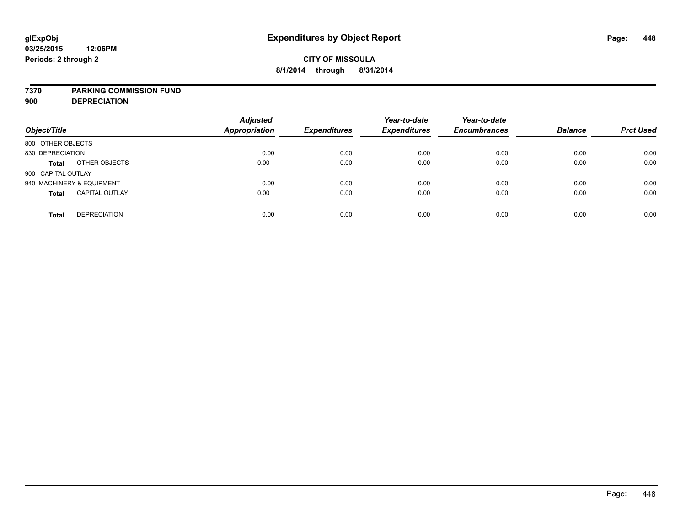#### **7370 PARKING COMMISSION FUND**

**900 DEPRECIATION**

| Object/Title                          | <b>Adjusted</b><br><b>Appropriation</b> | <b>Expenditures</b> | Year-to-date<br><b>Expenditures</b> | Year-to-date<br><b>Encumbrances</b> | <b>Balance</b> | <b>Prct Used</b> |
|---------------------------------------|-----------------------------------------|---------------------|-------------------------------------|-------------------------------------|----------------|------------------|
| 800 OTHER OBJECTS                     |                                         |                     |                                     |                                     |                |                  |
| 830 DEPRECIATION                      | 0.00                                    | 0.00                | 0.00                                | 0.00                                | 0.00           | 0.00             |
| OTHER OBJECTS<br><b>Total</b>         | 0.00                                    | 0.00                | 0.00                                | 0.00                                | 0.00           | 0.00             |
| 900 CAPITAL OUTLAY                    |                                         |                     |                                     |                                     |                |                  |
| 940 MACHINERY & EQUIPMENT             | 0.00                                    | 0.00                | 0.00                                | 0.00                                | 0.00           | 0.00             |
| <b>CAPITAL OUTLAY</b><br><b>Total</b> | 0.00                                    | 0.00                | 0.00                                | 0.00                                | 0.00           | 0.00             |
| <b>DEPRECIATION</b><br><b>Total</b>   | 0.00                                    | 0.00                | 0.00                                | 0.00                                | 0.00           | 0.00             |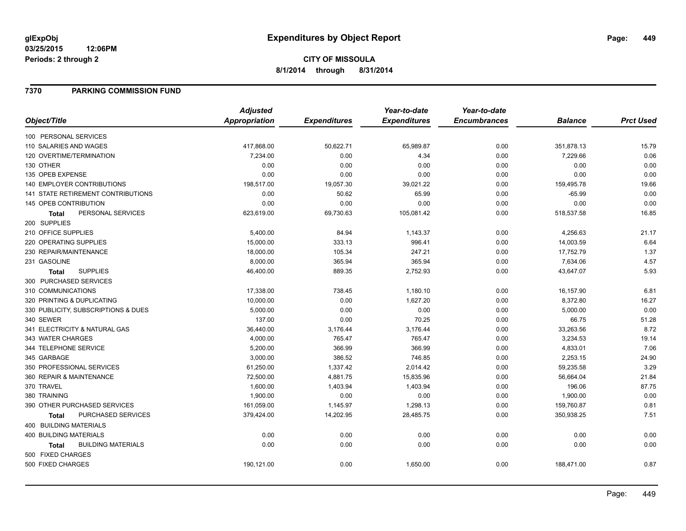**03/25/2015 12:06PM Periods: 2 through 2**

# **CITY OF MISSOULA 8/1/2014 through 8/31/2014**

### **7370 PARKING COMMISSION FUND**

|                                           | <b>Adjusted</b>      |                     | Year-to-date        | Year-to-date        |                |                  |
|-------------------------------------------|----------------------|---------------------|---------------------|---------------------|----------------|------------------|
| Object/Title                              | <b>Appropriation</b> | <b>Expenditures</b> | <b>Expenditures</b> | <b>Encumbrances</b> | <b>Balance</b> | <b>Prct Used</b> |
| 100 PERSONAL SERVICES                     |                      |                     |                     |                     |                |                  |
| 110 SALARIES AND WAGES                    | 417,868.00           | 50,622.71           | 65,989.87           | 0.00                | 351,878.13     | 15.79            |
| 120 OVERTIME/TERMINATION                  | 7,234.00             | 0.00                | 4.34                | 0.00                | 7,229.66       | 0.06             |
| 130 OTHER                                 | 0.00                 | 0.00                | 0.00                | 0.00                | 0.00           | 0.00             |
| 135 OPEB EXPENSE                          | 0.00                 | 0.00                | 0.00                | 0.00                | 0.00           | 0.00             |
| 140 EMPLOYER CONTRIBUTIONS                | 198,517.00           | 19,057.30           | 39,021.22           | 0.00                | 159,495.78     | 19.66            |
| 141 STATE RETIREMENT CONTRIBUTIONS        | 0.00                 | 50.62               | 65.99               | 0.00                | $-65.99$       | 0.00             |
| 145 OPEB CONTRIBUTION                     | 0.00                 | 0.00                | 0.00                | 0.00                | 0.00           | 0.00             |
| PERSONAL SERVICES<br>Total                | 623,619.00           | 69,730.63           | 105,081.42          | 0.00                | 518,537.58     | 16.85            |
| 200 SUPPLIES                              |                      |                     |                     |                     |                |                  |
| 210 OFFICE SUPPLIES                       | 5,400.00             | 84.94               | 1,143.37            | 0.00                | 4,256.63       | 21.17            |
| 220 OPERATING SUPPLIES                    | 15,000.00            | 333.13              | 996.41              | 0.00                | 14,003.59      | 6.64             |
| 230 REPAIR/MAINTENANCE                    | 18,000.00            | 105.34              | 247.21              | 0.00                | 17,752.79      | 1.37             |
| 231 GASOLINE                              | 8,000.00             | 365.94              | 365.94              | 0.00                | 7,634.06       | 4.57             |
| <b>SUPPLIES</b><br><b>Total</b>           | 46,400.00            | 889.35              | 2,752.93            | 0.00                | 43,647.07      | 5.93             |
| 300 PURCHASED SERVICES                    |                      |                     |                     |                     |                |                  |
| 310 COMMUNICATIONS                        | 17,338.00            | 738.45              | 1,180.10            | 0.00                | 16,157.90      | 6.81             |
| 320 PRINTING & DUPLICATING                | 10,000.00            | 0.00                | 1,627.20            | 0.00                | 8,372.80       | 16.27            |
| 330 PUBLICITY, SUBSCRIPTIONS & DUES       | 5,000.00             | 0.00                | 0.00                | 0.00                | 5,000.00       | 0.00             |
| 340 SEWER                                 | 137.00               | 0.00                | 70.25               | 0.00                | 66.75          | 51.28            |
| 341 ELECTRICITY & NATURAL GAS             | 36,440.00            | 3,176.44            | 3,176.44            | 0.00                | 33,263.56      | 8.72             |
| 343 WATER CHARGES                         | 4,000.00             | 765.47              | 765.47              | 0.00                | 3,234.53       | 19.14            |
| 344 TELEPHONE SERVICE                     | 5,200.00             | 366.99              | 366.99              | 0.00                | 4,833.01       | 7.06             |
| 345 GARBAGE                               | 3,000.00             | 386.52              | 746.85              | 0.00                | 2,253.15       | 24.90            |
| 350 PROFESSIONAL SERVICES                 | 61,250.00            | 1,337.42            | 2,014.42            | 0.00                | 59,235.58      | 3.29             |
| 360 REPAIR & MAINTENANCE                  | 72,500.00            | 4,881.75            | 15,835.96           | 0.00                | 56,664.04      | 21.84            |
| 370 TRAVEL                                | 1,600.00             | 1,403.94            | 1,403.94            | 0.00                | 196.06         | 87.75            |
| 380 TRAINING                              | 1,900.00             | 0.00                | 0.00                | 0.00                | 1,900.00       | 0.00             |
| 390 OTHER PURCHASED SERVICES              | 161,059.00           | 1,145.97            | 1,298.13            | 0.00                | 159,760.87     | 0.81             |
| PURCHASED SERVICES<br><b>Total</b>        | 379,424.00           | 14,202.95           | 28,485.75           | 0.00                | 350,938.25     | 7.51             |
| 400 BUILDING MATERIALS                    |                      |                     |                     |                     |                |                  |
| <b>400 BUILDING MATERIALS</b>             | 0.00                 | 0.00                | 0.00                | 0.00                | 0.00           | 0.00             |
| <b>BUILDING MATERIALS</b><br><b>Total</b> | 0.00                 | 0.00                | 0.00                | 0.00                | 0.00           | 0.00             |
| 500 FIXED CHARGES                         |                      |                     |                     |                     |                |                  |
| 500 FIXED CHARGES                         | 190,121.00           | 0.00                | 1,650.00            | 0.00                | 188,471.00     | 0.87             |
|                                           |                      |                     |                     |                     |                |                  |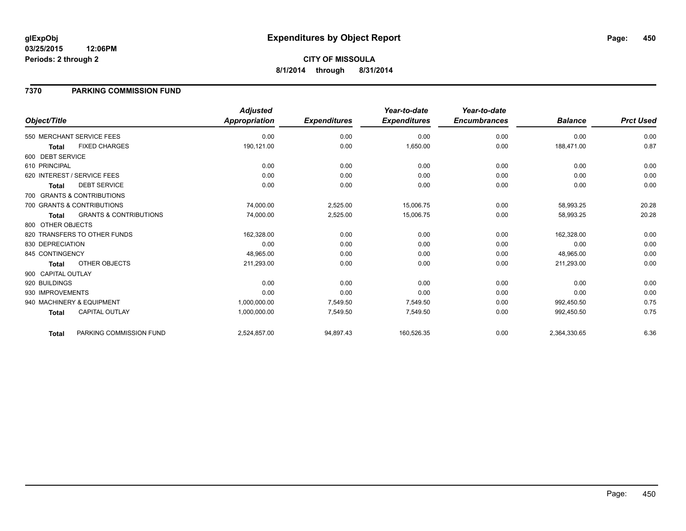#### **03/25/2015 12:06PM Periods: 2 through 2**

# **CITY OF MISSOULA 8/1/2014 through 8/31/2014**

### **7370 PARKING COMMISSION FUND**

|                    |                                   | <b>Adjusted</b>      |                     | Year-to-date        | Year-to-date        |                |                  |
|--------------------|-----------------------------------|----------------------|---------------------|---------------------|---------------------|----------------|------------------|
| Object/Title       |                                   | <b>Appropriation</b> | <b>Expenditures</b> | <b>Expenditures</b> | <b>Encumbrances</b> | <b>Balance</b> | <b>Prct Used</b> |
|                    | 550 MERCHANT SERVICE FEES         | 0.00                 | 0.00                | 0.00                | 0.00                | 0.00           | 0.00             |
| <b>Total</b>       | <b>FIXED CHARGES</b>              | 190,121.00           | 0.00                | 1,650.00            | 0.00                | 188,471.00     | 0.87             |
| 600 DEBT SERVICE   |                                   |                      |                     |                     |                     |                |                  |
| 610 PRINCIPAL      |                                   | 0.00                 | 0.00                | 0.00                | 0.00                | 0.00           | 0.00             |
|                    | 620 INTEREST / SERVICE FEES       | 0.00                 | 0.00                | 0.00                | 0.00                | 0.00           | 0.00             |
| <b>Total</b>       | <b>DEBT SERVICE</b>               | 0.00                 | 0.00                | 0.00                | 0.00                | 0.00           | 0.00             |
|                    | 700 GRANTS & CONTRIBUTIONS        |                      |                     |                     |                     |                |                  |
|                    | 700 GRANTS & CONTRIBUTIONS        | 74,000.00            | 2,525.00            | 15,006.75           | 0.00                | 58,993.25      | 20.28            |
| <b>Total</b>       | <b>GRANTS &amp; CONTRIBUTIONS</b> | 74,000.00            | 2,525.00            | 15,006.75           | 0.00                | 58,993.25      | 20.28            |
| 800 OTHER OBJECTS  |                                   |                      |                     |                     |                     |                |                  |
|                    | 820 TRANSFERS TO OTHER FUNDS      | 162,328.00           | 0.00                | 0.00                | 0.00                | 162,328.00     | 0.00             |
| 830 DEPRECIATION   |                                   | 0.00                 | 0.00                | 0.00                | 0.00                | 0.00           | 0.00             |
| 845 CONTINGENCY    |                                   | 48,965.00            | 0.00                | 0.00                | 0.00                | 48,965.00      | 0.00             |
| Total              | OTHER OBJECTS                     | 211,293.00           | 0.00                | 0.00                | 0.00                | 211,293.00     | 0.00             |
| 900 CAPITAL OUTLAY |                                   |                      |                     |                     |                     |                |                  |
| 920 BUILDINGS      |                                   | 0.00                 | 0.00                | 0.00                | 0.00                | 0.00           | 0.00             |
| 930 IMPROVEMENTS   |                                   | 0.00                 | 0.00                | 0.00                | 0.00                | 0.00           | 0.00             |
|                    | 940 MACHINERY & EQUIPMENT         | 1,000,000.00         | 7,549.50            | 7,549.50            | 0.00                | 992,450.50     | 0.75             |
| <b>Total</b>       | <b>CAPITAL OUTLAY</b>             | 1,000,000.00         | 7,549.50            | 7,549.50            | 0.00                | 992,450.50     | 0.75             |
| Total              | PARKING COMMISSION FUND           | 2,524,857.00         | 94,897.43           | 160,526.35          | 0.00                | 2,364,330.65   | 6.36             |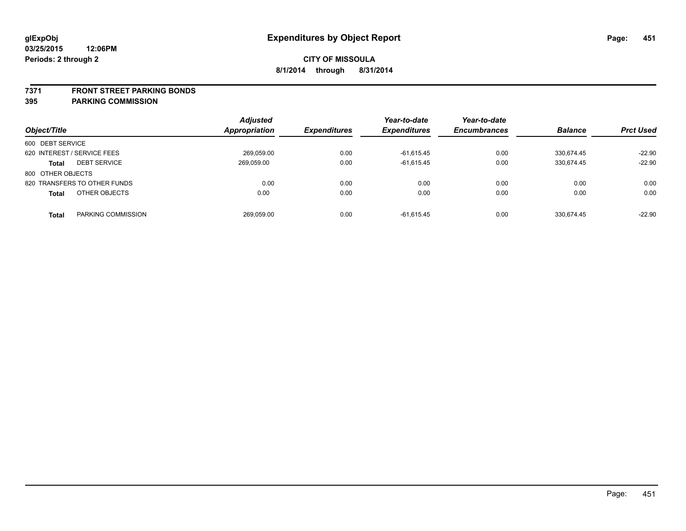#### **7371 FRONT STREET PARKING BONDS**

| Object/Title                        | <b>Adjusted</b><br>Appropriation | <i><b>Expenditures</b></i> | Year-to-date<br><b>Expenditures</b> | Year-to-date<br><b>Encumbrances</b> | <b>Balance</b> | <b>Prct Used</b> |
|-------------------------------------|----------------------------------|----------------------------|-------------------------------------|-------------------------------------|----------------|------------------|
| 600 DEBT SERVICE                    |                                  |                            |                                     |                                     |                |                  |
| 620 INTEREST / SERVICE FEES         | 269.059.00                       | 0.00                       | $-61.615.45$                        | 0.00                                | 330.674.45     | $-22.90$         |
| <b>DEBT SERVICE</b><br><b>Total</b> | 269,059.00                       | 0.00                       | $-61,615.45$                        | 0.00                                | 330,674.45     | $-22.90$         |
| 800 OTHER OBJECTS                   |                                  |                            |                                     |                                     |                |                  |
| 820 TRANSFERS TO OTHER FUNDS        | 0.00                             | 0.00                       | 0.00                                | 0.00                                | 0.00           | 0.00             |
| OTHER OBJECTS<br><b>Total</b>       | 0.00                             | 0.00                       | 0.00                                | 0.00                                | 0.00           | 0.00             |
| PARKING COMMISSION<br><b>Total</b>  | 269,059.00                       | 0.00                       | $-61,615.45$                        | 0.00                                | 330.674.45     | $-22.90$         |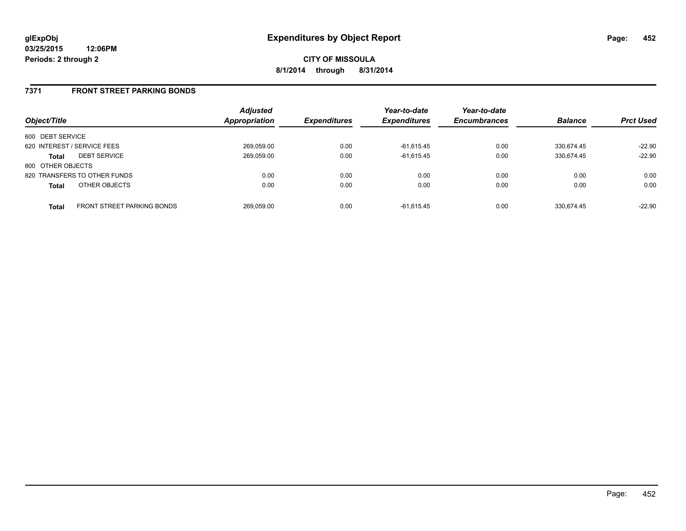**03/25/2015 12:06PM Periods: 2 through 2**

**CITY OF MISSOULA 8/1/2014 through 8/31/2014**

### **7371 FRONT STREET PARKING BONDS**

| Object/Title                |                                   | <b>Adjusted</b><br>Appropriation | <b>Expenditures</b> | Year-to-date<br><b>Expenditures</b> | Year-to-date<br><b>Encumbrances</b> | <b>Balance</b> | <b>Prct Used</b> |
|-----------------------------|-----------------------------------|----------------------------------|---------------------|-------------------------------------|-------------------------------------|----------------|------------------|
| 600 DEBT SERVICE            |                                   |                                  |                     |                                     |                                     |                |                  |
| 620 INTEREST / SERVICE FEES |                                   | 269,059.00                       | 0.00                | $-61,615.45$                        | 0.00                                | 330.674.45     | $-22.90$         |
| <b>Total</b>                | <b>DEBT SERVICE</b>               | 269,059.00                       | 0.00                | $-61,615.45$                        | 0.00                                | 330.674.45     | $-22.90$         |
| 800 OTHER OBJECTS           |                                   |                                  |                     |                                     |                                     |                |                  |
|                             | 820 TRANSFERS TO OTHER FUNDS      | 0.00                             | 0.00                | 0.00                                | 0.00                                | 0.00           | 0.00             |
| <b>Total</b>                | OTHER OBJECTS                     | 0.00                             | 0.00                | 0.00                                | 0.00                                | 0.00           | 0.00             |
| <b>Total</b>                | <b>FRONT STREET PARKING BONDS</b> | 269.059.00                       | 0.00                | $-61.615.45$                        | 0.00                                | 330.674.45     | $-22.90$         |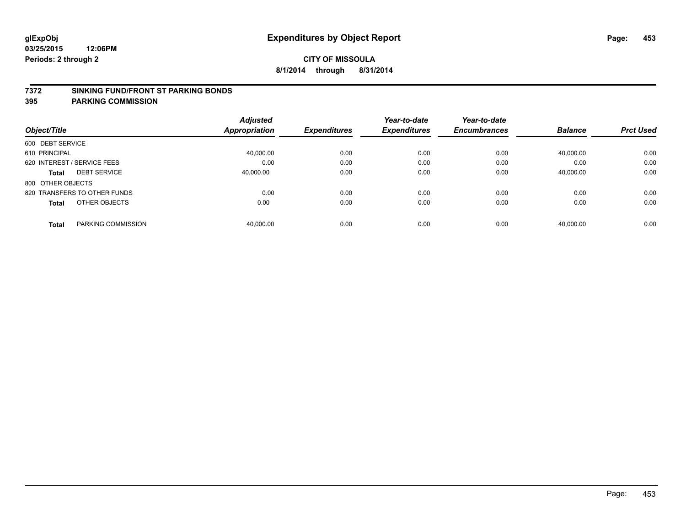#### **7372 SINKING FUND/FRONT ST PARKING BONDS**

|                                     | <b>Adjusted</b> |                     | Year-to-date        | Year-to-date        |                |                  |
|-------------------------------------|-----------------|---------------------|---------------------|---------------------|----------------|------------------|
| Object/Title                        | Appropriation   | <b>Expenditures</b> | <b>Expenditures</b> | <b>Encumbrances</b> | <b>Balance</b> | <b>Prct Used</b> |
| 600 DEBT SERVICE                    |                 |                     |                     |                     |                |                  |
| 610 PRINCIPAL                       | 40,000.00       | 0.00                | 0.00                | 0.00                | 40,000.00      | 0.00             |
| 620 INTEREST / SERVICE FEES         | 0.00            | 0.00                | 0.00                | 0.00                | 0.00           | 0.00             |
| <b>DEBT SERVICE</b><br><b>Total</b> | 40.000.00       | 0.00                | 0.00                | 0.00                | 40,000.00      | 0.00             |
| 800 OTHER OBJECTS                   |                 |                     |                     |                     |                |                  |
| 820 TRANSFERS TO OTHER FUNDS        | 0.00            | 0.00                | 0.00                | 0.00                | 0.00           | 0.00             |
| OTHER OBJECTS<br><b>Total</b>       | 0.00            | 0.00                | 0.00                | 0.00                | 0.00           | 0.00             |
| PARKING COMMISSION<br><b>Total</b>  | 40.000.00       | 0.00                | 0.00                | 0.00                | 40.000.00      | 0.00             |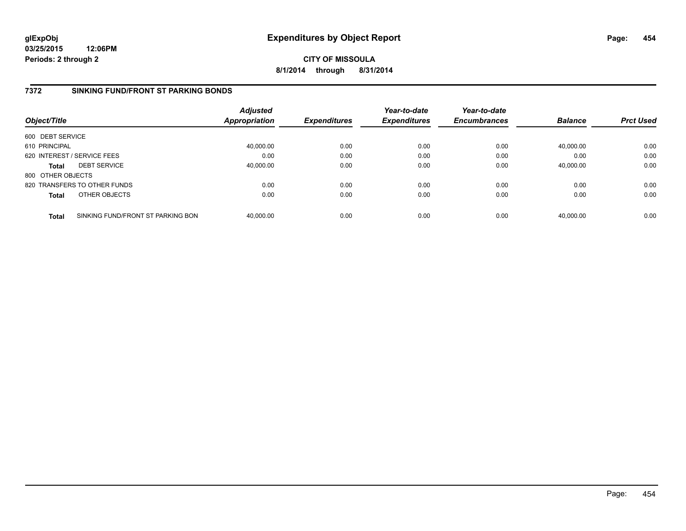**03/25/2015 12:06PM Periods: 2 through 2**

**CITY OF MISSOULA 8/1/2014 through 8/31/2014**

# **7372 SINKING FUND/FRONT ST PARKING BONDS**

| Object/Title      |                                   | <b>Adjusted</b><br><b>Appropriation</b> | <b>Expenditures</b> | Year-to-date<br><b>Expenditures</b> | Year-to-date<br><b>Encumbrances</b> | <b>Balance</b> | <b>Prct Used</b> |
|-------------------|-----------------------------------|-----------------------------------------|---------------------|-------------------------------------|-------------------------------------|----------------|------------------|
| 600 DEBT SERVICE  |                                   |                                         |                     |                                     |                                     |                |                  |
| 610 PRINCIPAL     |                                   | 40,000.00                               | 0.00                | 0.00                                | 0.00                                | 40,000.00      | 0.00             |
|                   | 620 INTEREST / SERVICE FEES       | 0.00                                    | 0.00                | 0.00                                | 0.00                                | 0.00           | 0.00             |
| <b>Total</b>      | <b>DEBT SERVICE</b>               | 40,000.00                               | 0.00                | 0.00                                | 0.00                                | 40.000.00      | 0.00             |
| 800 OTHER OBJECTS |                                   |                                         |                     |                                     |                                     |                |                  |
|                   | 820 TRANSFERS TO OTHER FUNDS      | 0.00                                    | 0.00                | 0.00                                | 0.00                                | 0.00           | 0.00             |
| <b>Total</b>      | OTHER OBJECTS                     | 0.00                                    | 0.00                | 0.00                                | 0.00                                | 0.00           | 0.00             |
| <b>Total</b>      | SINKING FUND/FRONT ST PARKING BON | 40.000.00                               | 0.00                | 0.00                                | 0.00                                | 40.000.00      | 0.00             |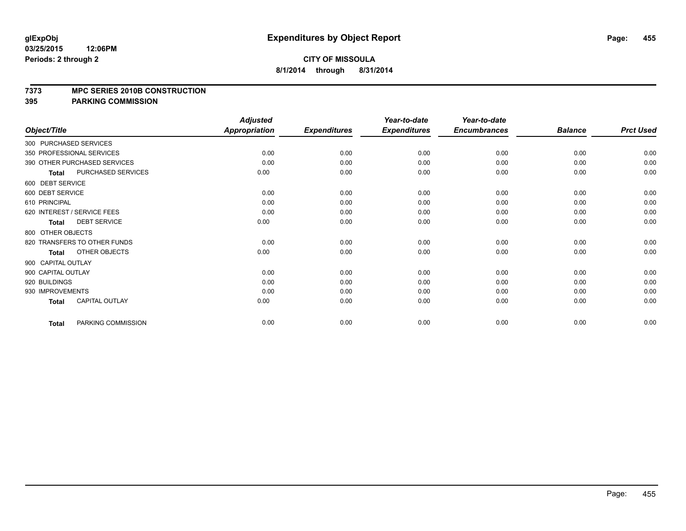#### **7373 MPC SERIES 2010B CONSTRUCTION**

|                        |                              | <b>Adjusted</b>      |                     | Year-to-date        | Year-to-date        |                |                  |
|------------------------|------------------------------|----------------------|---------------------|---------------------|---------------------|----------------|------------------|
| Object/Title           |                              | <b>Appropriation</b> | <b>Expenditures</b> | <b>Expenditures</b> | <b>Encumbrances</b> | <b>Balance</b> | <b>Prct Used</b> |
| 300 PURCHASED SERVICES |                              |                      |                     |                     |                     |                |                  |
|                        | 350 PROFESSIONAL SERVICES    | 0.00                 | 0.00                | 0.00                | 0.00                | 0.00           | 0.00             |
|                        | 390 OTHER PURCHASED SERVICES | 0.00                 | 0.00                | 0.00                | 0.00                | 0.00           | 0.00             |
| <b>Total</b>           | PURCHASED SERVICES           | 0.00                 | 0.00                | 0.00                | 0.00                | 0.00           | 0.00             |
| 600 DEBT SERVICE       |                              |                      |                     |                     |                     |                |                  |
| 600 DEBT SERVICE       |                              | 0.00                 | 0.00                | 0.00                | 0.00                | 0.00           | 0.00             |
| 610 PRINCIPAL          |                              | 0.00                 | 0.00                | 0.00                | 0.00                | 0.00           | 0.00             |
|                        | 620 INTEREST / SERVICE FEES  | 0.00                 | 0.00                | 0.00                | 0.00                | 0.00           | 0.00             |
| <b>Total</b>           | <b>DEBT SERVICE</b>          | 0.00                 | 0.00                | 0.00                | 0.00                | 0.00           | 0.00             |
| 800 OTHER OBJECTS      |                              |                      |                     |                     |                     |                |                  |
|                        | 820 TRANSFERS TO OTHER FUNDS | 0.00                 | 0.00                | 0.00                | 0.00                | 0.00           | 0.00             |
| <b>Total</b>           | OTHER OBJECTS                | 0.00                 | 0.00                | 0.00                | 0.00                | 0.00           | 0.00             |
| 900 CAPITAL OUTLAY     |                              |                      |                     |                     |                     |                |                  |
| 900 CAPITAL OUTLAY     |                              | 0.00                 | 0.00                | 0.00                | 0.00                | 0.00           | 0.00             |
| 920 BUILDINGS          |                              | 0.00                 | 0.00                | 0.00                | 0.00                | 0.00           | 0.00             |
| 930 IMPROVEMENTS       |                              | 0.00                 | 0.00                | 0.00                | 0.00                | 0.00           | 0.00             |
| Total                  | <b>CAPITAL OUTLAY</b>        | 0.00                 | 0.00                | 0.00                | 0.00                | 0.00           | 0.00             |
| <b>Total</b>           | PARKING COMMISSION           | 0.00                 | 0.00                | 0.00                | 0.00                | 0.00           | 0.00             |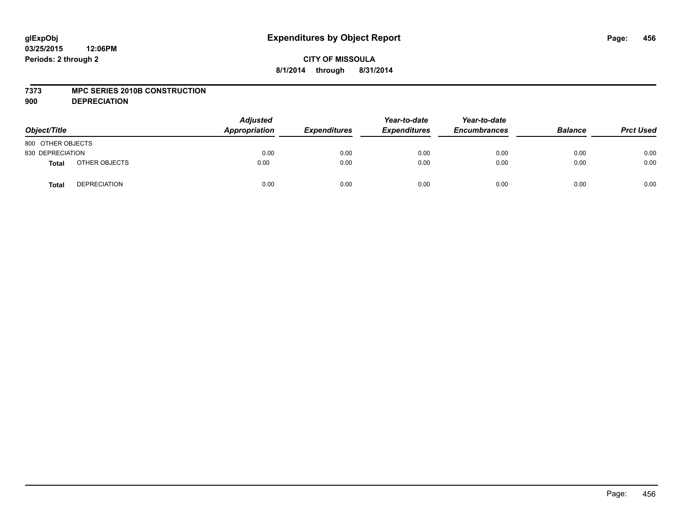#### **7373 MPC SERIES 2010B CONSTRUCTION**

**900 DEPRECIATION**

| Object/Title      |                     | <b>Adjusted</b><br>Appropriation | <b>Expenditures</b> | Year-to-date<br><b>Expenditures</b> | Year-to-date<br><b>Encumbrances</b> | <b>Balance</b> | <b>Prct Used</b> |
|-------------------|---------------------|----------------------------------|---------------------|-------------------------------------|-------------------------------------|----------------|------------------|
| 800 OTHER OBJECTS |                     |                                  |                     |                                     |                                     |                |                  |
| 830 DEPRECIATION  |                     | 0.00                             | 0.00                | 0.00                                | 0.00                                | 0.00           | 0.00             |
| <b>Total</b>      | OTHER OBJECTS       | 0.00                             | 0.00                | 0.00                                | 0.00                                | 0.00           | 0.00             |
| <b>Total</b>      | <b>DEPRECIATION</b> | 0.00                             | 0.00                | 0.00                                | 0.00                                | 0.00           | 0.00             |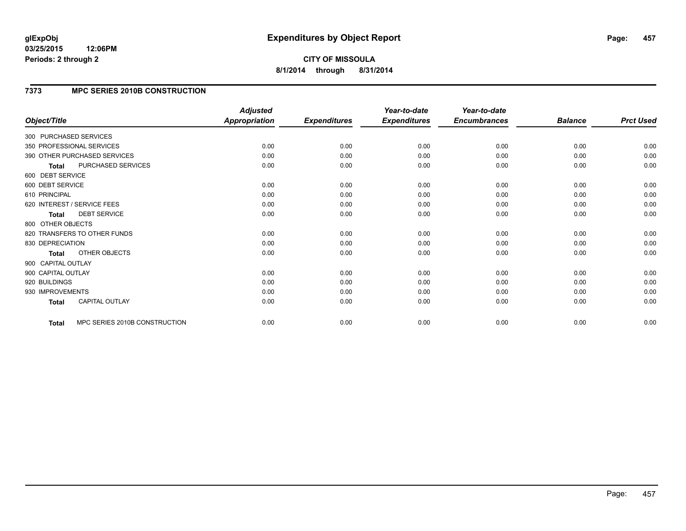#### **03/25/2015 12:06PM Periods: 2 through 2**

# **CITY OF MISSOULA 8/1/2014 through 8/31/2014**

# **7373 MPC SERIES 2010B CONSTRUCTION**

|                        |                               | <b>Adjusted</b>      |                     | Year-to-date        | Year-to-date        |                |                  |
|------------------------|-------------------------------|----------------------|---------------------|---------------------|---------------------|----------------|------------------|
| Object/Title           |                               | <b>Appropriation</b> | <b>Expenditures</b> | <b>Expenditures</b> | <b>Encumbrances</b> | <b>Balance</b> | <b>Prct Used</b> |
| 300 PURCHASED SERVICES |                               |                      |                     |                     |                     |                |                  |
|                        | 350 PROFESSIONAL SERVICES     | 0.00                 | 0.00                | 0.00                | 0.00                | 0.00           | 0.00             |
|                        | 390 OTHER PURCHASED SERVICES  | 0.00                 | 0.00                | 0.00                | 0.00                | 0.00           | 0.00             |
| <b>Total</b>           | PURCHASED SERVICES            | 0.00                 | 0.00                | 0.00                | 0.00                | 0.00           | 0.00             |
| 600 DEBT SERVICE       |                               |                      |                     |                     |                     |                |                  |
| 600 DEBT SERVICE       |                               | 0.00                 | 0.00                | 0.00                | 0.00                | 0.00           | 0.00             |
| 610 PRINCIPAL          |                               | 0.00                 | 0.00                | 0.00                | 0.00                | 0.00           | 0.00             |
|                        | 620 INTEREST / SERVICE FEES   | 0.00                 | 0.00                | 0.00                | 0.00                | 0.00           | 0.00             |
| <b>Total</b>           | <b>DEBT SERVICE</b>           | 0.00                 | 0.00                | 0.00                | 0.00                | 0.00           | 0.00             |
| 800 OTHER OBJECTS      |                               |                      |                     |                     |                     |                |                  |
|                        | 820 TRANSFERS TO OTHER FUNDS  | 0.00                 | 0.00                | 0.00                | 0.00                | 0.00           | 0.00             |
| 830 DEPRECIATION       |                               | 0.00                 | 0.00                | 0.00                | 0.00                | 0.00           | 0.00             |
| Total                  | OTHER OBJECTS                 | 0.00                 | 0.00                | 0.00                | 0.00                | 0.00           | 0.00             |
| 900 CAPITAL OUTLAY     |                               |                      |                     |                     |                     |                |                  |
| 900 CAPITAL OUTLAY     |                               | 0.00                 | 0.00                | 0.00                | 0.00                | 0.00           | 0.00             |
| 920 BUILDINGS          |                               | 0.00                 | 0.00                | 0.00                | 0.00                | 0.00           | 0.00             |
| 930 IMPROVEMENTS       |                               | 0.00                 | 0.00                | 0.00                | 0.00                | 0.00           | 0.00             |
| Total                  | <b>CAPITAL OUTLAY</b>         | 0.00                 | 0.00                | 0.00                | 0.00                | 0.00           | 0.00             |
| Total                  | MPC SERIES 2010B CONSTRUCTION | 0.00                 | 0.00                | 0.00                | 0.00                | 0.00           | 0.00             |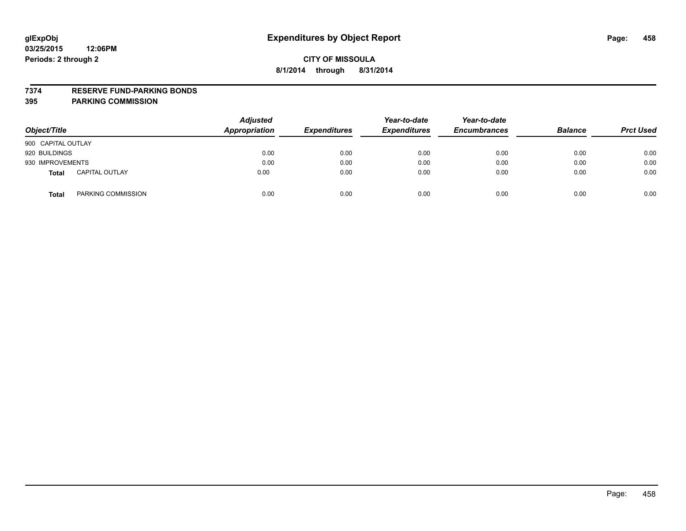#### **7374 RESERVE FUND-PARKING BONDS**

| Object/Title       |                       | <b>Adjusted</b><br><b>Appropriation</b> | <b>Expenditures</b> | Year-to-date<br><b>Expenditures</b> | Year-to-date<br><b>Encumbrances</b> | <b>Balance</b> | <b>Prct Used</b> |
|--------------------|-----------------------|-----------------------------------------|---------------------|-------------------------------------|-------------------------------------|----------------|------------------|
| 900 CAPITAL OUTLAY |                       |                                         |                     |                                     |                                     |                |                  |
| 920 BUILDINGS      |                       | 0.00                                    | 0.00                | 0.00                                | 0.00                                | 0.00           | 0.00             |
| 930 IMPROVEMENTS   |                       | 0.00                                    | 0.00                | 0.00                                | 0.00                                | 0.00           | 0.00             |
| <b>Total</b>       | <b>CAPITAL OUTLAY</b> | 0.00                                    | 0.00                | 0.00                                | 0.00                                | 0.00           | 0.00             |
| <b>Total</b>       | PARKING COMMISSION    | 0.00                                    | 0.00                | 0.00                                | 0.00                                | 0.00           | 0.00             |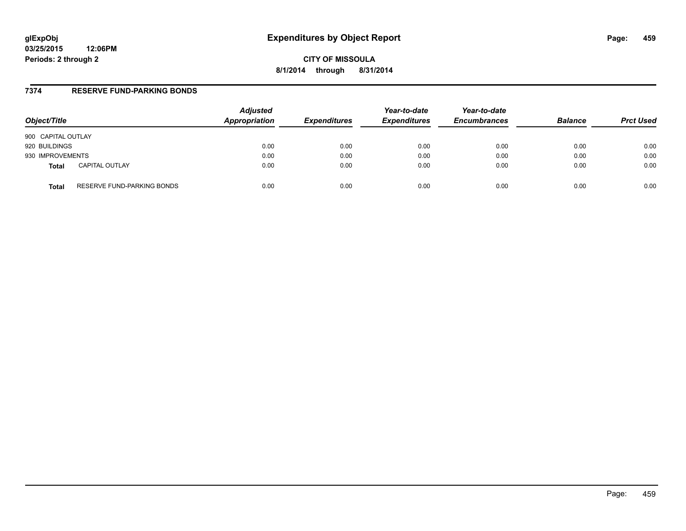# **glExpObj Expenditures by Object Report Page: 459**

**03/25/2015 12:06PM Periods: 2 through 2**

**CITY OF MISSOULA 8/1/2014 through 8/31/2014**

### **7374 RESERVE FUND-PARKING BONDS**

| Object/Title                               | <b>Adjusted</b><br>Appropriation | <b>Expenditures</b> | Year-to-date<br><b>Expenditures</b> | Year-to-date<br><b>Encumbrances</b> | <b>Balance</b> | <b>Prct Used</b> |
|--------------------------------------------|----------------------------------|---------------------|-------------------------------------|-------------------------------------|----------------|------------------|
| 900 CAPITAL OUTLAY                         |                                  |                     |                                     |                                     |                |                  |
| 920 BUILDINGS                              | 0.00                             | 0.00                | 0.00                                | 0.00                                | 0.00           | 0.00             |
| 930 IMPROVEMENTS                           | 0.00                             | 0.00                | 0.00                                | 0.00                                | 0.00           | 0.00             |
| <b>CAPITAL OUTLAY</b><br><b>Total</b>      | 0.00                             | 0.00                | 0.00                                | 0.00                                | 0.00           | 0.00             |
| RESERVE FUND-PARKING BONDS<br><b>Total</b> | 0.00                             | 0.00                | 0.00                                | 0.00                                | 0.00           | 0.00             |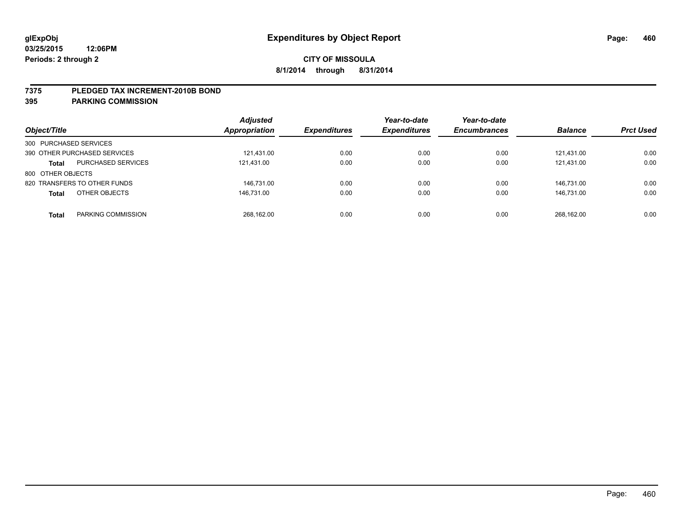#### **7375 PLEDGED TAX INCREMENT-2010B BOND**

| Object/Title                              | <b>Adjusted</b><br>Appropriation | <b>Expenditures</b> | Year-to-date<br><b>Expenditures</b> | Year-to-date<br><b>Encumbrances</b> | <b>Balance</b> | <b>Prct Used</b> |
|-------------------------------------------|----------------------------------|---------------------|-------------------------------------|-------------------------------------|----------------|------------------|
| 300 PURCHASED SERVICES                    |                                  |                     |                                     |                                     |                |                  |
| 390 OTHER PURCHASED SERVICES              | 121,431.00                       | 0.00                | 0.00                                | 0.00                                | 121,431.00     | 0.00             |
| <b>PURCHASED SERVICES</b><br><b>Total</b> | 121,431.00                       | 0.00                | 0.00                                | 0.00                                | 121.431.00     | 0.00             |
| 800 OTHER OBJECTS                         |                                  |                     |                                     |                                     |                |                  |
| 820 TRANSFERS TO OTHER FUNDS              | 146.731.00                       | 0.00                | 0.00                                | 0.00                                | 146.731.00     | 0.00             |
| OTHER OBJECTS<br><b>Total</b>             | 146.731.00                       | 0.00                | 0.00                                | 0.00                                | 146.731.00     | 0.00             |
| PARKING COMMISSION<br>Total               | 268.162.00                       | 0.00                | 0.00                                | 0.00                                | 268.162.00     | 0.00             |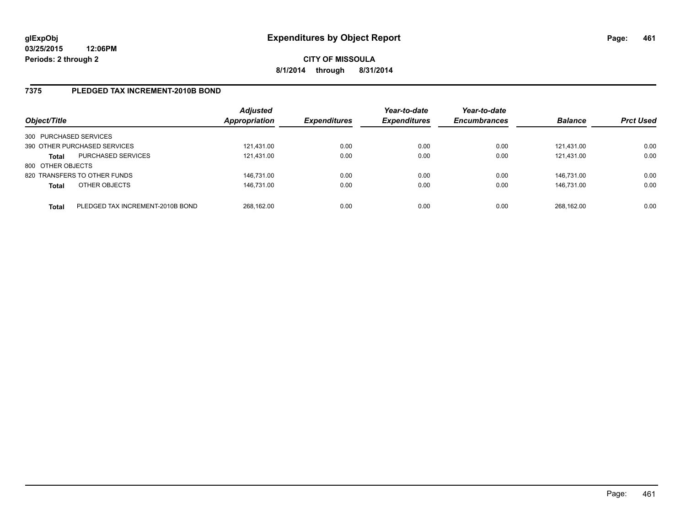### **7375 PLEDGED TAX INCREMENT-2010B BOND**

| Object/Title           |                                  | <b>Adjusted</b><br>Appropriation | <b>Expenditures</b> | Year-to-date<br><b>Expenditures</b> | Year-to-date<br><b>Encumbrances</b> | <b>Balance</b> | <b>Prct Used</b> |
|------------------------|----------------------------------|----------------------------------|---------------------|-------------------------------------|-------------------------------------|----------------|------------------|
| 300 PURCHASED SERVICES |                                  |                                  |                     |                                     |                                     |                |                  |
|                        | 390 OTHER PURCHASED SERVICES     | 121.431.00                       | 0.00                | 0.00                                | 0.00                                | 121.431.00     | 0.00             |
| <b>Total</b>           | <b>PURCHASED SERVICES</b>        | 121,431.00                       | 0.00                | 0.00                                | 0.00                                | 121.431.00     | 0.00             |
| 800 OTHER OBJECTS      |                                  |                                  |                     |                                     |                                     |                |                  |
|                        | 820 TRANSFERS TO OTHER FUNDS     | 146,731.00                       | 0.00                | 0.00                                | 0.00                                | 146.731.00     | 0.00             |
| <b>Total</b>           | OTHER OBJECTS                    | 146,731.00                       | 0.00                | 0.00                                | 0.00                                | 146.731.00     | 0.00             |
| <b>Total</b>           | PLEDGED TAX INCREMENT-2010B BOND | 268,162.00                       | 0.00                | 0.00                                | 0.00                                | 268.162.00     | 0.00             |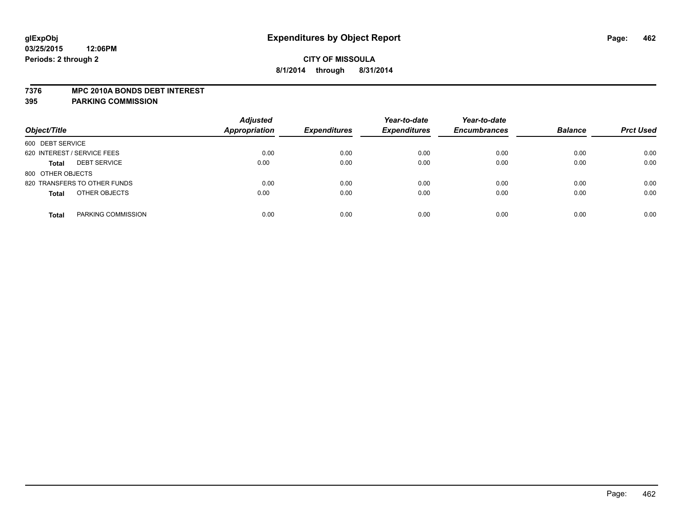#### **7376 MPC 2010A BONDS DEBT INTEREST**

| Object/Title                        | <b>Adjusted</b><br><b>Appropriation</b> | <b>Expenditures</b> | Year-to-date<br><b>Expenditures</b> | Year-to-date<br><b>Encumbrances</b> | <b>Balance</b> | <b>Prct Used</b> |
|-------------------------------------|-----------------------------------------|---------------------|-------------------------------------|-------------------------------------|----------------|------------------|
| 600 DEBT SERVICE                    |                                         |                     |                                     |                                     |                |                  |
| 620 INTEREST / SERVICE FEES         | 0.00                                    | 0.00                | 0.00                                | 0.00                                | 0.00           | 0.00             |
| <b>DEBT SERVICE</b><br><b>Total</b> | 0.00                                    | 0.00                | 0.00                                | 0.00                                | 0.00           | 0.00             |
| 800 OTHER OBJECTS                   |                                         |                     |                                     |                                     |                |                  |
| 820 TRANSFERS TO OTHER FUNDS        | 0.00                                    | 0.00                | 0.00                                | 0.00                                | 0.00           | 0.00             |
| OTHER OBJECTS<br><b>Total</b>       | 0.00                                    | 0.00                | 0.00                                | 0.00                                | 0.00           | 0.00             |
| PARKING COMMISSION<br><b>Total</b>  | 0.00                                    | 0.00                | 0.00                                | 0.00                                | 0.00           | 0.00             |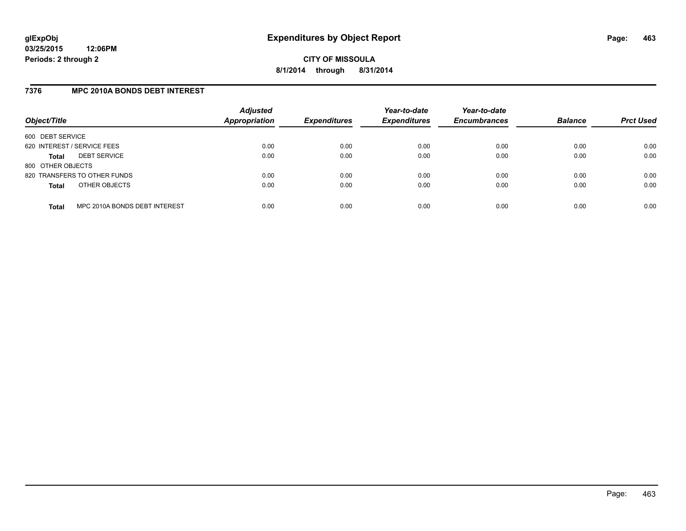### **7376 MPC 2010A BONDS DEBT INTEREST**

| Object/Title                |                               | <b>Adjusted</b><br><b>Appropriation</b> | <b>Expenditures</b> | Year-to-date<br><b>Expenditures</b> | Year-to-date<br><b>Encumbrances</b> | <b>Balance</b> | <b>Prct Used</b> |
|-----------------------------|-------------------------------|-----------------------------------------|---------------------|-------------------------------------|-------------------------------------|----------------|------------------|
| 600 DEBT SERVICE            |                               |                                         |                     |                                     |                                     |                |                  |
| 620 INTEREST / SERVICE FEES |                               | 0.00                                    | 0.00                | 0.00                                | 0.00                                | 0.00           | 0.00             |
| Total                       | <b>DEBT SERVICE</b>           | 0.00                                    | 0.00                | 0.00                                | 0.00                                | 0.00           | 0.00             |
| 800 OTHER OBJECTS           |                               |                                         |                     |                                     |                                     |                |                  |
|                             | 820 TRANSFERS TO OTHER FUNDS  | 0.00                                    | 0.00                | 0.00                                | 0.00                                | 0.00           | 0.00             |
| <b>Total</b>                | OTHER OBJECTS                 | 0.00                                    | 0.00                | 0.00                                | 0.00                                | 0.00           | 0.00             |
| <b>Total</b>                | MPC 2010A BONDS DEBT INTEREST | 0.00                                    | 0.00                | 0.00                                | 0.00                                | 0.00           | 0.00             |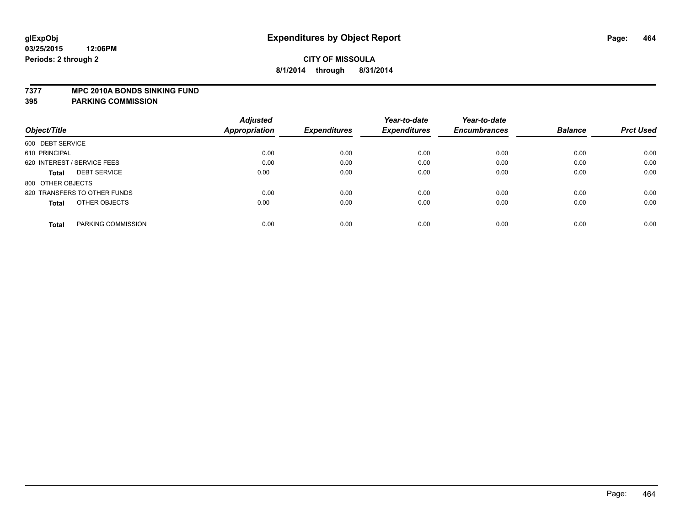#### **7377 MPC 2010A BONDS SINKING FUND**

|                                     | <b>Adjusted</b> |                     | Year-to-date        | Year-to-date        |                |                  |
|-------------------------------------|-----------------|---------------------|---------------------|---------------------|----------------|------------------|
| Object/Title                        | Appropriation   | <b>Expenditures</b> | <b>Expenditures</b> | <b>Encumbrances</b> | <b>Balance</b> | <b>Prct Used</b> |
| 600 DEBT SERVICE                    |                 |                     |                     |                     |                |                  |
| 610 PRINCIPAL                       | 0.00            | 0.00                | 0.00                | 0.00                | 0.00           | 0.00             |
| 620 INTEREST / SERVICE FEES         | 0.00            | 0.00                | 0.00                | 0.00                | 0.00           | 0.00             |
| <b>DEBT SERVICE</b><br><b>Total</b> | 0.00            | 0.00                | 0.00                | 0.00                | 0.00           | 0.00             |
| 800 OTHER OBJECTS                   |                 |                     |                     |                     |                |                  |
| 820 TRANSFERS TO OTHER FUNDS        | 0.00            | 0.00                | 0.00                | 0.00                | 0.00           | 0.00             |
| OTHER OBJECTS<br><b>Total</b>       | 0.00            | 0.00                | 0.00                | 0.00                | 0.00           | 0.00             |
| PARKING COMMISSION<br><b>Total</b>  | 0.00            | 0.00                | 0.00                | 0.00                | 0.00           | 0.00             |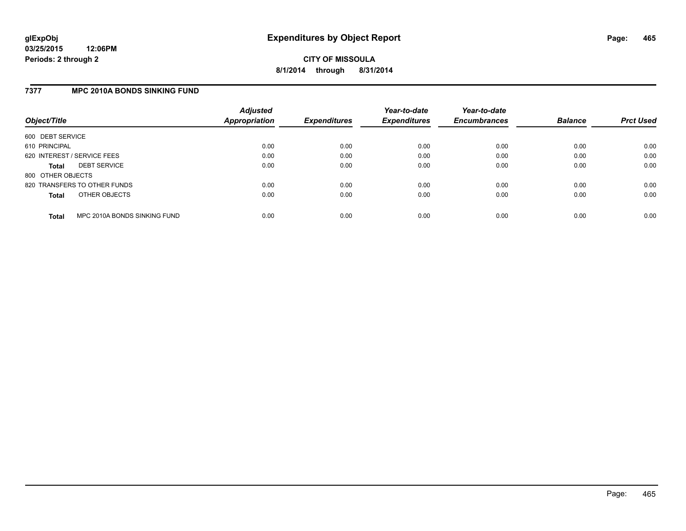### **7377 MPC 2010A BONDS SINKING FUND**

| Object/Title      |                              | <b>Adjusted</b><br><b>Appropriation</b> | <b>Expenditures</b> | Year-to-date<br><b>Expenditures</b> | Year-to-date<br><b>Encumbrances</b> | <b>Balance</b> | <b>Prct Used</b> |
|-------------------|------------------------------|-----------------------------------------|---------------------|-------------------------------------|-------------------------------------|----------------|------------------|
| 600 DEBT SERVICE  |                              |                                         |                     |                                     |                                     |                |                  |
| 610 PRINCIPAL     |                              | 0.00                                    | 0.00                | 0.00                                | 0.00                                | 0.00           | 0.00             |
|                   | 620 INTEREST / SERVICE FEES  | 0.00                                    | 0.00                | 0.00                                | 0.00                                | 0.00           | 0.00             |
| <b>Total</b>      | <b>DEBT SERVICE</b>          | 0.00                                    | 0.00                | 0.00                                | 0.00                                | 0.00           | 0.00             |
| 800 OTHER OBJECTS |                              |                                         |                     |                                     |                                     |                |                  |
|                   | 820 TRANSFERS TO OTHER FUNDS | 0.00                                    | 0.00                | 0.00                                | 0.00                                | 0.00           | 0.00             |
| <b>Total</b>      | OTHER OBJECTS                | 0.00                                    | 0.00                | 0.00                                | 0.00                                | 0.00           | 0.00             |
| <b>Total</b>      | MPC 2010A BONDS SINKING FUND | 0.00                                    | 0.00                | 0.00                                | 0.00                                | 0.00           | 0.00             |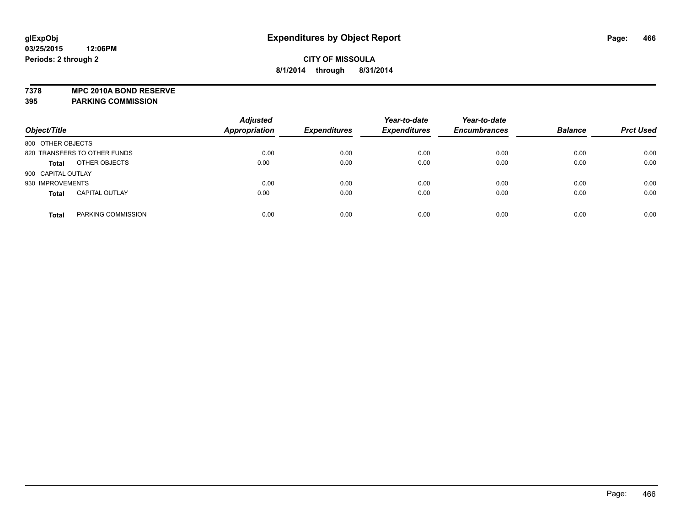**7378 MPC 2010A BOND RESERVE**

| Object/Title                 |                       | <b>Adjusted</b><br><b>Appropriation</b> | <b>Expenditures</b> | Year-to-date<br><b>Expenditures</b> | Year-to-date<br><b>Encumbrances</b> | <b>Balance</b> | <b>Prct Used</b> |
|------------------------------|-----------------------|-----------------------------------------|---------------------|-------------------------------------|-------------------------------------|----------------|------------------|
| 800 OTHER OBJECTS            |                       |                                         |                     |                                     |                                     |                |                  |
| 820 TRANSFERS TO OTHER FUNDS |                       | 0.00                                    | 0.00                | 0.00                                | 0.00                                | 0.00           | 0.00             |
| <b>Total</b>                 | OTHER OBJECTS         | 0.00                                    | 0.00                | 0.00                                | 0.00                                | 0.00           | 0.00             |
| 900 CAPITAL OUTLAY           |                       |                                         |                     |                                     |                                     |                |                  |
| 930 IMPROVEMENTS             |                       | 0.00                                    | 0.00                | 0.00                                | 0.00                                | 0.00           | 0.00             |
| <b>Total</b>                 | <b>CAPITAL OUTLAY</b> | 0.00                                    | 0.00                | 0.00                                | 0.00                                | 0.00           | 0.00             |
| <b>Total</b>                 | PARKING COMMISSION    | 0.00                                    | 0.00                | 0.00                                | 0.00                                | 0.00           | 0.00             |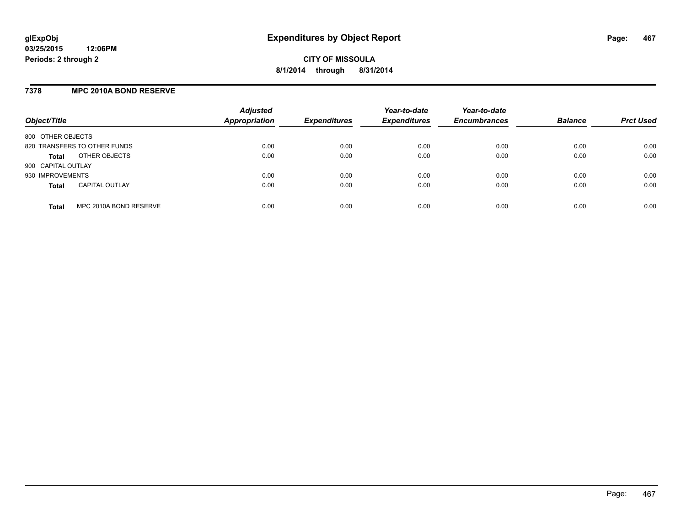# **7378 MPC 2010A BOND RESERVE**

| Object/Title                           | <b>Adjusted</b><br><b>Appropriation</b> | <b>Expenditures</b> | Year-to-date<br><b>Expenditures</b> | Year-to-date<br><b>Encumbrances</b> | <b>Balance</b> | <b>Prct Used</b> |
|----------------------------------------|-----------------------------------------|---------------------|-------------------------------------|-------------------------------------|----------------|------------------|
| 800 OTHER OBJECTS                      |                                         |                     |                                     |                                     |                |                  |
| 820 TRANSFERS TO OTHER FUNDS           | 0.00                                    | 0.00                | 0.00                                | 0.00                                | 0.00           | 0.00             |
| OTHER OBJECTS<br><b>Total</b>          | 0.00                                    | 0.00                | 0.00                                | 0.00                                | 0.00           | 0.00             |
| 900 CAPITAL OUTLAY                     |                                         |                     |                                     |                                     |                |                  |
| 930 IMPROVEMENTS                       | 0.00                                    | 0.00                | 0.00                                | 0.00                                | 0.00           | 0.00             |
| <b>CAPITAL OUTLAY</b><br><b>Total</b>  | 0.00                                    | 0.00                | 0.00                                | 0.00                                | 0.00           | 0.00             |
| MPC 2010A BOND RESERVE<br><b>Total</b> | 0.00                                    | 0.00                | 0.00                                | 0.00                                | 0.00           | 0.00             |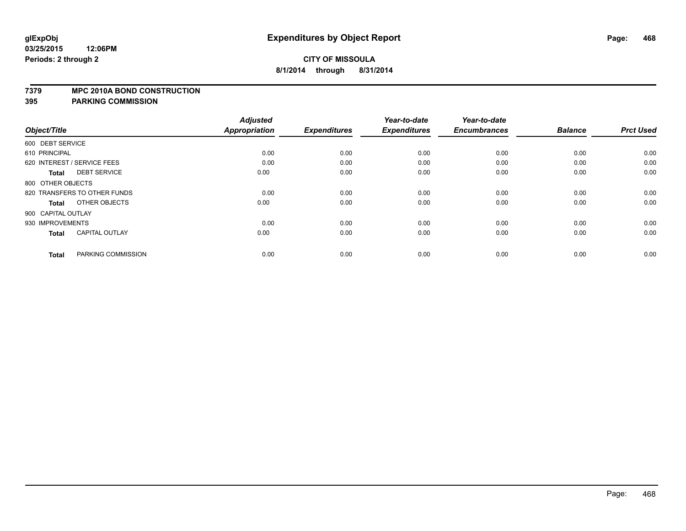#### **7379 MPC 2010A BOND CONSTRUCTION**

| Object/Title       |                              | <b>Adjusted</b><br><b>Appropriation</b> | <b>Expenditures</b> | Year-to-date<br><b>Expenditures</b> | Year-to-date<br><b>Encumbrances</b> | <b>Balance</b> | <b>Prct Used</b> |
|--------------------|------------------------------|-----------------------------------------|---------------------|-------------------------------------|-------------------------------------|----------------|------------------|
| 600 DEBT SERVICE   |                              |                                         |                     |                                     |                                     |                |                  |
| 610 PRINCIPAL      |                              | 0.00                                    | 0.00                | 0.00                                | 0.00                                | 0.00           | 0.00             |
|                    | 620 INTEREST / SERVICE FEES  | 0.00                                    | 0.00                | 0.00                                | 0.00                                | 0.00           | 0.00             |
| <b>Total</b>       | <b>DEBT SERVICE</b>          | 0.00                                    | 0.00                | 0.00                                | 0.00                                | 0.00           | 0.00             |
| 800 OTHER OBJECTS  |                              |                                         |                     |                                     |                                     |                |                  |
|                    | 820 TRANSFERS TO OTHER FUNDS | 0.00                                    | 0.00                | 0.00                                | 0.00                                | 0.00           | 0.00             |
| <b>Total</b>       | OTHER OBJECTS                | 0.00                                    | 0.00                | 0.00                                | 0.00                                | 0.00           | 0.00             |
| 900 CAPITAL OUTLAY |                              |                                         |                     |                                     |                                     |                |                  |
| 930 IMPROVEMENTS   |                              | 0.00                                    | 0.00                | 0.00                                | 0.00                                | 0.00           | 0.00             |
| <b>Total</b>       | <b>CAPITAL OUTLAY</b>        | 0.00                                    | 0.00                | 0.00                                | 0.00                                | 0.00           | 0.00             |
| <b>Total</b>       | PARKING COMMISSION           | 0.00                                    | 0.00                | 0.00                                | 0.00                                | 0.00           | 0.00             |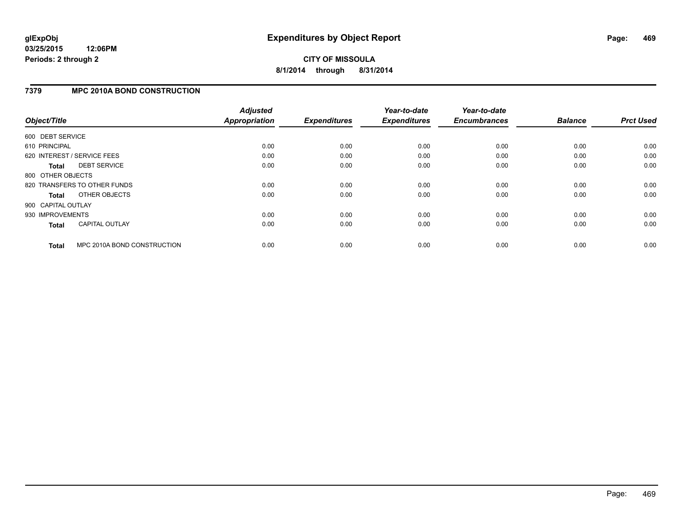# **CITY OF MISSOULA 8/1/2014 through 8/31/2014**

### **7379 MPC 2010A BOND CONSTRUCTION**

| Object/Title       |                              | <b>Adjusted</b><br><b>Appropriation</b> | <b>Expenditures</b> | Year-to-date<br><b>Expenditures</b> | Year-to-date<br><b>Encumbrances</b> | <b>Balance</b> | <b>Prct Used</b> |
|--------------------|------------------------------|-----------------------------------------|---------------------|-------------------------------------|-------------------------------------|----------------|------------------|
|                    |                              |                                         |                     |                                     |                                     |                |                  |
| 600 DEBT SERVICE   |                              |                                         |                     |                                     |                                     |                |                  |
| 610 PRINCIPAL      |                              | 0.00                                    | 0.00                | 0.00                                | 0.00                                | 0.00           | 0.00             |
|                    | 620 INTEREST / SERVICE FEES  | 0.00                                    | 0.00                | 0.00                                | 0.00                                | 0.00           | 0.00             |
| <b>Total</b>       | <b>DEBT SERVICE</b>          | 0.00                                    | 0.00                | 0.00                                | 0.00                                | 0.00           | 0.00             |
| 800 OTHER OBJECTS  |                              |                                         |                     |                                     |                                     |                |                  |
|                    | 820 TRANSFERS TO OTHER FUNDS | 0.00                                    | 0.00                | 0.00                                | 0.00                                | 0.00           | 0.00             |
| Total              | OTHER OBJECTS                | 0.00                                    | 0.00                | 0.00                                | 0.00                                | 0.00           | 0.00             |
| 900 CAPITAL OUTLAY |                              |                                         |                     |                                     |                                     |                |                  |
| 930 IMPROVEMENTS   |                              | 0.00                                    | 0.00                | 0.00                                | 0.00                                | 0.00           | 0.00             |
| <b>Total</b>       | <b>CAPITAL OUTLAY</b>        | 0.00                                    | 0.00                | 0.00                                | 0.00                                | 0.00           | 0.00             |
| <b>Total</b>       | MPC 2010A BOND CONSTRUCTION  | 0.00                                    | 0.00                | 0.00                                | 0.00                                | 0.00           | 0.00             |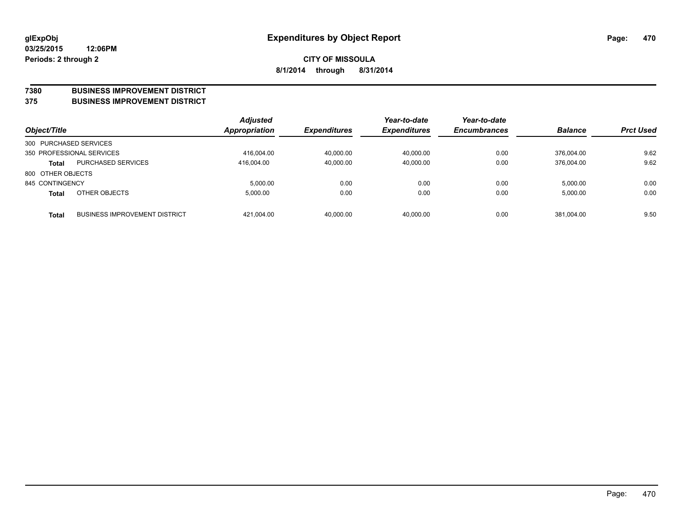#### **7380 BUSINESS IMPROVEMENT DISTRICT**

**375 BUSINESS IMPROVEMENT DISTRICT**

| Object/Title           |                                      | <b>Adjusted</b><br><b>Appropriation</b> | <b>Expenditures</b> | Year-to-date<br><b>Expenditures</b> | Year-to-date<br><b>Encumbrances</b> | <b>Balance</b> | <b>Prct Used</b> |
|------------------------|--------------------------------------|-----------------------------------------|---------------------|-------------------------------------|-------------------------------------|----------------|------------------|
| 300 PURCHASED SERVICES |                                      |                                         |                     |                                     |                                     |                |                  |
|                        | 350 PROFESSIONAL SERVICES            | 416.004.00                              | 40.000.00           | 40.000.00                           | 0.00                                | 376.004.00     | 9.62             |
| <b>Total</b>           | <b>PURCHASED SERVICES</b>            | 416.004.00                              | 40,000.00           | 40,000.00                           | 0.00                                | 376.004.00     | 9.62             |
| 800 OTHER OBJECTS      |                                      |                                         |                     |                                     |                                     |                |                  |
| 845 CONTINGENCY        |                                      | 5.000.00                                | 0.00                | 0.00                                | 0.00                                | 5.000.00       | 0.00             |
| <b>Total</b>           | OTHER OBJECTS                        | 5.000.00                                | 0.00                | 0.00                                | 0.00                                | 5,000.00       | 0.00             |
| <b>Total</b>           | <b>BUSINESS IMPROVEMENT DISTRICT</b> | 421.004.00                              | 40,000.00           | 40.000.00                           | 0.00                                | 381.004.00     | 9.50             |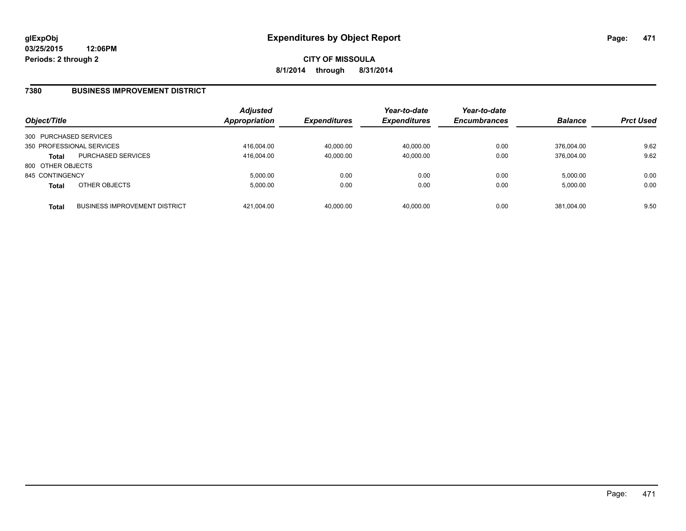### **7380 BUSINESS IMPROVEMENT DISTRICT**

| Object/Title           |                                      | Adjusted<br>Appropriation | <b>Expenditures</b> | Year-to-date<br><b>Expenditures</b> | Year-to-date<br><b>Encumbrances</b> | <b>Balance</b> | <b>Prct Used</b> |
|------------------------|--------------------------------------|---------------------------|---------------------|-------------------------------------|-------------------------------------|----------------|------------------|
| 300 PURCHASED SERVICES |                                      |                           |                     |                                     |                                     |                |                  |
|                        | 350 PROFESSIONAL SERVICES            | 416,004.00                | 40,000.00           | 40.000.00                           | 0.00                                | 376.004.00     | 9.62             |
| <b>Total</b>           | <b>PURCHASED SERVICES</b>            | 416.004.00                | 40,000.00           | 40.000.00                           | 0.00                                | 376.004.00     | 9.62             |
| 800 OTHER OBJECTS      |                                      |                           |                     |                                     |                                     |                |                  |
| 845 CONTINGENCY        |                                      | 5.000.00                  | 0.00                | 0.00                                | 0.00                                | 5.000.00       | 0.00             |
| <b>Total</b>           | OTHER OBJECTS                        | 5,000.00                  | 0.00                | 0.00                                | 0.00                                | 5,000.00       | 0.00             |
| <b>Total</b>           | <b>BUSINESS IMPROVEMENT DISTRICT</b> | 421.004.00                | 40,000.00           | 40.000.00                           | 0.00                                | 381.004.00     | 9.50             |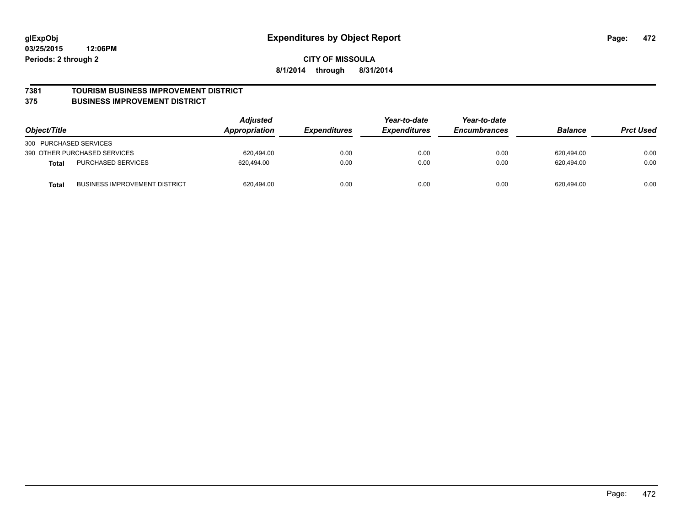#### **7381 TOURISM BUSINESS IMPROVEMENT DISTRICT**

#### **375 BUSINESS IMPROVEMENT DISTRICT**

| Object/Title                                         | <b>Adjusted</b><br>Appropriation | <i><b>Expenditures</b></i> | Year-to-date<br><b>Expenditures</b> | Year-to-date<br><b>Encumbrances</b> | <b>Balance</b> | <b>Prct Used</b> |
|------------------------------------------------------|----------------------------------|----------------------------|-------------------------------------|-------------------------------------|----------------|------------------|
| 300 PURCHASED SERVICES                               |                                  |                            |                                     |                                     |                |                  |
| 390 OTHER PURCHASED SERVICES                         | 620.494.00                       | 0.00                       | 0.00                                | 0.00                                | 620,494.00     | 0.00             |
| <b>PURCHASED SERVICES</b><br><b>Total</b>            | 620.494.00                       | 0.00                       | 0.00                                | 0.00                                | 620.494.00     | 0.00             |
| <b>BUSINESS IMPROVEMENT DISTRICT</b><br><b>Total</b> | 620,494.00                       | 0.00                       | 0.00                                | 0.00                                | 620,494.00     | 0.00             |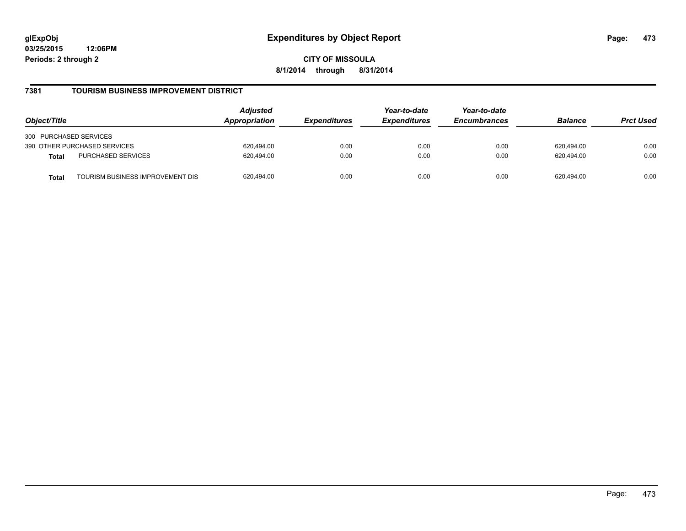**CITY OF MISSOULA 8/1/2014 through 8/31/2014**

### **7381 TOURISM BUSINESS IMPROVEMENT DISTRICT**

| Object/Title           |                                  | <b>Adjusted</b><br>Appropriation | <b>Expenditures</b> | Year-to-date<br><b>Expenditures</b> | Year-to-date<br><b>Encumbrances</b> | <b>Balance</b> | <b>Prct Used</b> |
|------------------------|----------------------------------|----------------------------------|---------------------|-------------------------------------|-------------------------------------|----------------|------------------|
| 300 PURCHASED SERVICES |                                  |                                  |                     |                                     |                                     |                |                  |
|                        | 390 OTHER PURCHASED SERVICES     | 620.494.00                       | 0.00                | 0.00                                | 0.00                                | 620.494.00     | 0.00             |
| <b>Total</b>           | PURCHASED SERVICES               | 620.494.00                       | 0.00                | 0.00                                | 0.00                                | 620.494.00     | 0.00             |
| Total                  | TOURISM BUSINESS IMPROVEMENT DIS | 620,494.00                       | 0.00                | 0.00                                | 0.00                                | 620.494.00     | 0.00             |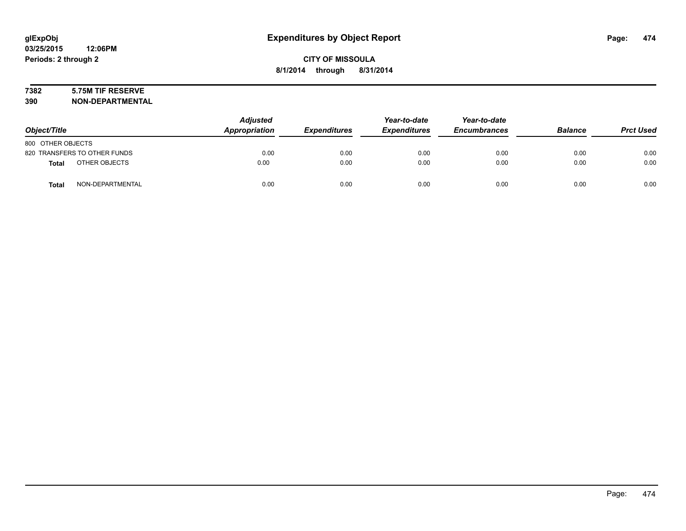# **7382 5.75M TIF RESERVE**

**390 NON-DEPARTMENTAL**

| Object/Title      |                              | <b>Adjusted</b><br>Appropriation | <b>Expenditures</b> | Year-to-date<br><b>Expenditures</b> | Year-to-date<br><b>Encumbrances</b> | <b>Balance</b> | <b>Prct Used</b> |
|-------------------|------------------------------|----------------------------------|---------------------|-------------------------------------|-------------------------------------|----------------|------------------|
| 800 OTHER OBJECTS |                              |                                  |                     |                                     |                                     |                |                  |
|                   | 820 TRANSFERS TO OTHER FUNDS | 0.00                             | 0.00                | 0.00                                | 0.00                                | 0.00           | 0.00             |
| <b>Total</b>      | OTHER OBJECTS                | 0.00                             | 0.00                | 0.00                                | 0.00                                | 0.00           | 0.00             |
| <b>Total</b>      | NON-DEPARTMENTAL             | 0.00                             | 0.00                | 0.00                                | 0.00                                | 0.00           | 0.00             |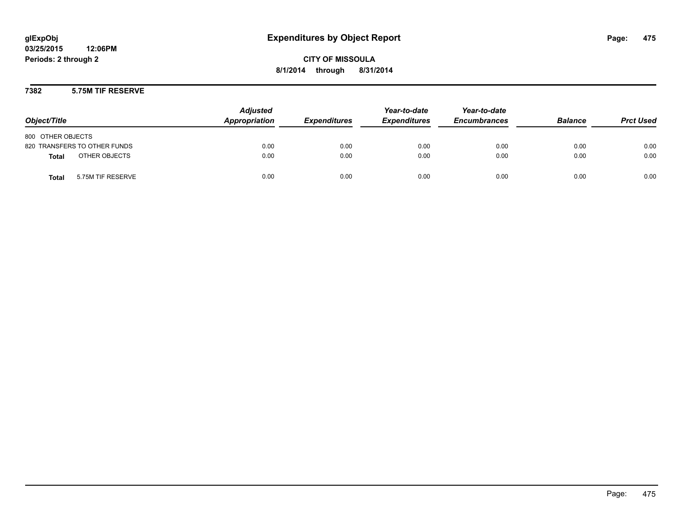**CITY OF MISSOULA 8/1/2014 through 8/31/2014**

### **7382 5.75M TIF RESERVE**

| Object/Title                      | <b>Adjusted</b><br>Appropriation | <b>Expenditures</b> | Year-to-date<br><b>Expenditures</b> | Year-to-date<br><b>Encumbrances</b> | <b>Balance</b> | <b>Prct Used</b> |
|-----------------------------------|----------------------------------|---------------------|-------------------------------------|-------------------------------------|----------------|------------------|
| 800 OTHER OBJECTS                 |                                  |                     |                                     |                                     |                |                  |
| 820 TRANSFERS TO OTHER FUNDS      | 0.00                             | 0.00                | 0.00                                | 0.00                                | 0.00           | 0.00             |
| OTHER OBJECTS<br><b>Total</b>     | 0.00                             | 0.00                | 0.00                                | 0.00                                | 0.00           | 0.00             |
| 5.75M TIF RESERVE<br><b>Total</b> | 0.00                             | 0.00                | 0.00                                | 0.00                                | 0.00           | 0.00             |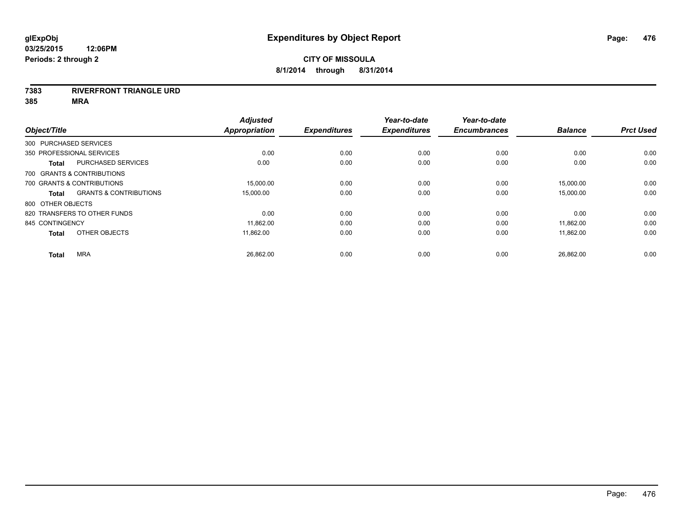#### **7383 RIVERFRONT TRIANGLE URD**

|                   |                                   | <b>Adjusted</b>      |                     | Year-to-date        | Year-to-date        |                |                  |
|-------------------|-----------------------------------|----------------------|---------------------|---------------------|---------------------|----------------|------------------|
| Object/Title      |                                   | <b>Appropriation</b> | <b>Expenditures</b> | <b>Expenditures</b> | <b>Encumbrances</b> | <b>Balance</b> | <b>Prct Used</b> |
|                   | 300 PURCHASED SERVICES            |                      |                     |                     |                     |                |                  |
|                   | 350 PROFESSIONAL SERVICES         | 0.00                 | 0.00                | 0.00                | 0.00                | 0.00           | 0.00             |
| <b>Total</b>      | PURCHASED SERVICES                | 0.00                 | 0.00                | 0.00                | 0.00                | 0.00           | 0.00             |
|                   | 700 GRANTS & CONTRIBUTIONS        |                      |                     |                     |                     |                |                  |
|                   | 700 GRANTS & CONTRIBUTIONS        | 15,000.00            | 0.00                | 0.00                | 0.00                | 15,000.00      | 0.00             |
| <b>Total</b>      | <b>GRANTS &amp; CONTRIBUTIONS</b> | 15,000.00            | 0.00                | 0.00                | 0.00                | 15,000.00      | 0.00             |
| 800 OTHER OBJECTS |                                   |                      |                     |                     |                     |                |                  |
|                   | 820 TRANSFERS TO OTHER FUNDS      | 0.00                 | 0.00                | 0.00                | 0.00                | 0.00           | 0.00             |
| 845 CONTINGENCY   |                                   | 11,862.00            | 0.00                | 0.00                | 0.00                | 11,862.00      | 0.00             |
| <b>Total</b>      | OTHER OBJECTS                     | 11,862.00            | 0.00                | 0.00                | 0.00                | 11,862.00      | 0.00             |
| <b>Total</b>      | <b>MRA</b>                        | 26,862.00            | 0.00                | 0.00                | 0.00                | 26,862.00      | 0.00             |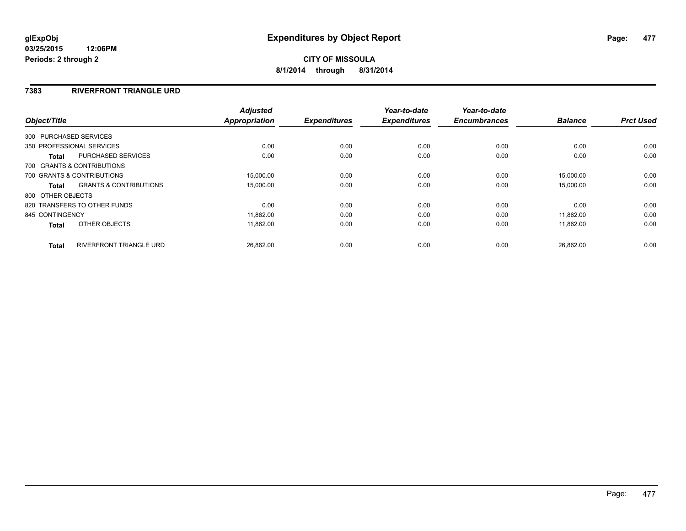### **7383 RIVERFRONT TRIANGLE URD**

| Object/Title      |                                   | <b>Adjusted</b><br><b>Appropriation</b> | <b>Expenditures</b> | Year-to-date<br><b>Expenditures</b> | Year-to-date<br><b>Encumbrances</b> | <b>Balance</b> | <b>Prct Used</b> |
|-------------------|-----------------------------------|-----------------------------------------|---------------------|-------------------------------------|-------------------------------------|----------------|------------------|
|                   |                                   |                                         |                     |                                     |                                     |                |                  |
|                   | 300 PURCHASED SERVICES            |                                         |                     |                                     |                                     |                |                  |
|                   | 350 PROFESSIONAL SERVICES         | 0.00                                    | 0.00                | 0.00                                | 0.00                                | 0.00           | 0.00             |
| <b>Total</b>      | PURCHASED SERVICES                | 0.00                                    | 0.00                | 0.00                                | 0.00                                | 0.00           | 0.00             |
|                   | 700 GRANTS & CONTRIBUTIONS        |                                         |                     |                                     |                                     |                |                  |
|                   | 700 GRANTS & CONTRIBUTIONS        | 15,000.00                               | 0.00                | 0.00                                | 0.00                                | 15.000.00      | 0.00             |
| Total             | <b>GRANTS &amp; CONTRIBUTIONS</b> | 15,000.00                               | 0.00                | 0.00                                | 0.00                                | 15,000.00      | 0.00             |
| 800 OTHER OBJECTS |                                   |                                         |                     |                                     |                                     |                |                  |
|                   | 820 TRANSFERS TO OTHER FUNDS      | 0.00                                    | 0.00                | 0.00                                | 0.00                                | 0.00           | 0.00             |
| 845 CONTINGENCY   |                                   | 11,862.00                               | 0.00                | 0.00                                | 0.00                                | 11.862.00      | 0.00             |
| <b>Total</b>      | OTHER OBJECTS                     | 11,862.00                               | 0.00                | 0.00                                | 0.00                                | 11,862.00      | 0.00             |
| <b>Total</b>      | RIVERFRONT TRIANGLE URD           | 26,862.00                               | 0.00                | 0.00                                | 0.00                                | 26.862.00      | 0.00             |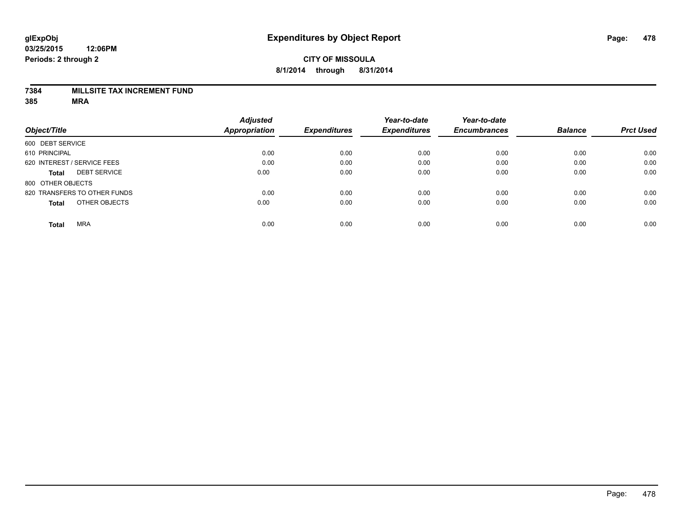### **7384 MILLSITE TAX INCREMENT FUND**

|                                     | <b>Adjusted</b>      |                     | Year-to-date        | Year-to-date        |                |                  |
|-------------------------------------|----------------------|---------------------|---------------------|---------------------|----------------|------------------|
| Object/Title                        | <b>Appropriation</b> | <b>Expenditures</b> | <b>Expenditures</b> | <b>Encumbrances</b> | <b>Balance</b> | <b>Prct Used</b> |
| 600 DEBT SERVICE                    |                      |                     |                     |                     |                |                  |
| 610 PRINCIPAL                       | 0.00                 | 0.00                | 0.00                | 0.00                | 0.00           | 0.00             |
| 620 INTEREST / SERVICE FEES         | 0.00                 | 0.00                | 0.00                | 0.00                | 0.00           | 0.00             |
| <b>DEBT SERVICE</b><br><b>Total</b> | 0.00                 | 0.00                | 0.00                | 0.00                | 0.00           | 0.00             |
| 800 OTHER OBJECTS                   |                      |                     |                     |                     |                |                  |
| 820 TRANSFERS TO OTHER FUNDS        | 0.00                 | 0.00                | 0.00                | 0.00                | 0.00           | 0.00             |
| OTHER OBJECTS<br><b>Total</b>       | 0.00                 | 0.00                | 0.00                | 0.00                | 0.00           | 0.00             |
| <b>MRA</b><br><b>Total</b>          | 0.00                 | 0.00                | 0.00                | 0.00                | 0.00           | 0.00             |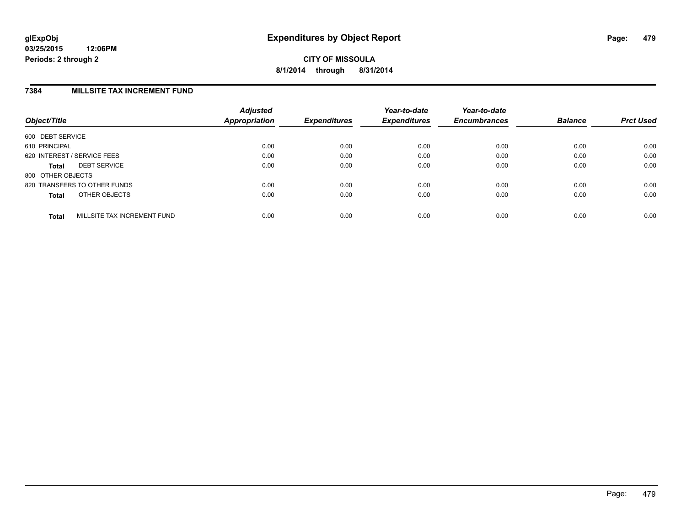### **7384 MILLSITE TAX INCREMENT FUND**

| Object/Title      |                              | <b>Adjusted</b><br>Appropriation | <b>Expenditures</b> | Year-to-date<br><b>Expenditures</b> | Year-to-date<br><b>Encumbrances</b> | <b>Balance</b> | <b>Prct Used</b> |
|-------------------|------------------------------|----------------------------------|---------------------|-------------------------------------|-------------------------------------|----------------|------------------|
| 600 DEBT SERVICE  |                              |                                  |                     |                                     |                                     |                |                  |
| 610 PRINCIPAL     |                              | 0.00                             | 0.00                | 0.00                                | 0.00                                | 0.00           | 0.00             |
|                   | 620 INTEREST / SERVICE FEES  | 0.00                             | 0.00                | 0.00                                | 0.00                                | 0.00           | 0.00             |
| <b>Total</b>      | <b>DEBT SERVICE</b>          | 0.00                             | 0.00                | 0.00                                | 0.00                                | 0.00           | 0.00             |
| 800 OTHER OBJECTS |                              |                                  |                     |                                     |                                     |                |                  |
|                   | 820 TRANSFERS TO OTHER FUNDS | 0.00                             | 0.00                | 0.00                                | 0.00                                | 0.00           | 0.00             |
| <b>Total</b>      | OTHER OBJECTS                | 0.00                             | 0.00                | 0.00                                | 0.00                                | 0.00           | 0.00             |
| <b>Total</b>      | MILLSITE TAX INCREMENT FUND  | 0.00                             | 0.00                | 0.00                                | 0.00                                | 0.00           | 0.00             |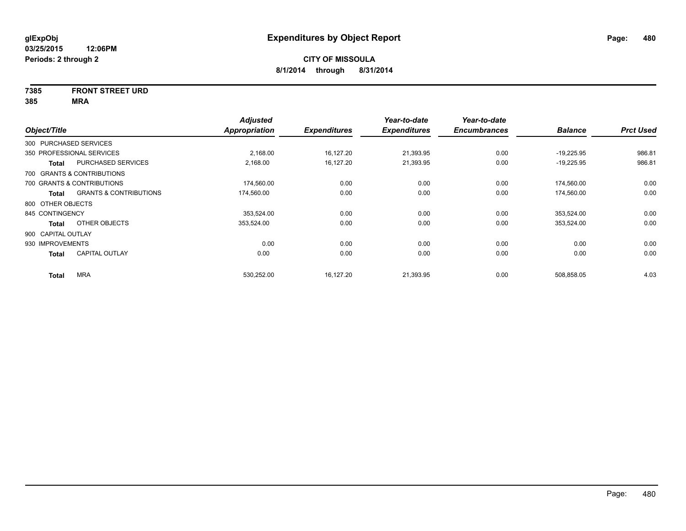# **7385 FRONT STREET URD**

| Object/Title           |                                   | <b>Adjusted</b><br>Appropriation | <b>Expenditures</b> | Year-to-date<br><b>Expenditures</b> | Year-to-date<br><b>Encumbrances</b> | <b>Balance</b> | <b>Prct Used</b> |
|------------------------|-----------------------------------|----------------------------------|---------------------|-------------------------------------|-------------------------------------|----------------|------------------|
| 300 PURCHASED SERVICES |                                   |                                  |                     |                                     |                                     |                |                  |
|                        | 350 PROFESSIONAL SERVICES         | 2,168.00                         | 16,127.20           | 21,393.95                           | 0.00                                | $-19,225.95$   | 986.81           |
| Total                  | <b>PURCHASED SERVICES</b>         | 2,168.00                         | 16,127.20           | 21,393.95                           | 0.00                                | $-19,225.95$   | 986.81           |
|                        | 700 GRANTS & CONTRIBUTIONS        |                                  |                     |                                     |                                     |                |                  |
|                        | 700 GRANTS & CONTRIBUTIONS        | 174,560.00                       | 0.00                | 0.00                                | 0.00                                | 174,560.00     | 0.00             |
| Total                  | <b>GRANTS &amp; CONTRIBUTIONS</b> | 174,560.00                       | 0.00                | 0.00                                | 0.00                                | 174,560.00     | 0.00             |
| 800 OTHER OBJECTS      |                                   |                                  |                     |                                     |                                     |                |                  |
| 845 CONTINGENCY        |                                   | 353,524.00                       | 0.00                | 0.00                                | 0.00                                | 353,524.00     | 0.00             |
| Total                  | OTHER OBJECTS                     | 353,524.00                       | 0.00                | 0.00                                | 0.00                                | 353,524.00     | 0.00             |
| 900 CAPITAL OUTLAY     |                                   |                                  |                     |                                     |                                     |                |                  |
| 930 IMPROVEMENTS       |                                   | 0.00                             | 0.00                | 0.00                                | 0.00                                | 0.00           | 0.00             |
| <b>Total</b>           | <b>CAPITAL OUTLAY</b>             | 0.00                             | 0.00                | 0.00                                | 0.00                                | 0.00           | 0.00             |
| <b>Total</b>           | <b>MRA</b>                        | 530,252.00                       | 16,127.20           | 21,393.95                           | 0.00                                | 508,858.05     | 4.03             |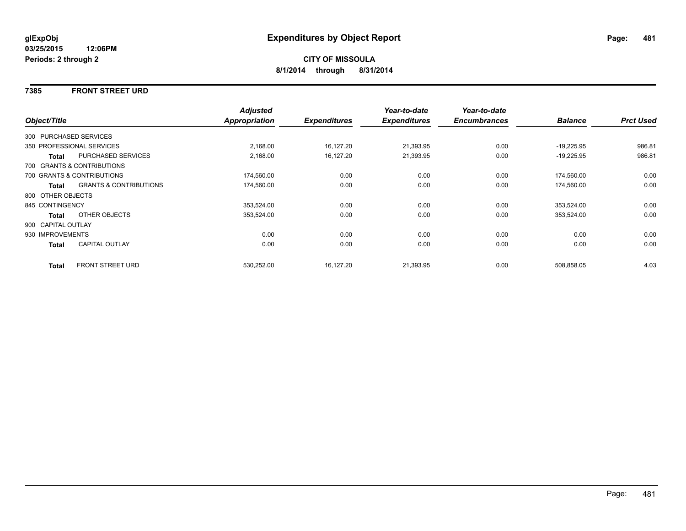### **7385 FRONT STREET URD**

|                    |                                   | <b>Adjusted</b> |                     | Year-to-date        | Year-to-date        |                |                  |
|--------------------|-----------------------------------|-----------------|---------------------|---------------------|---------------------|----------------|------------------|
| Object/Title       |                                   | Appropriation   | <b>Expenditures</b> | <b>Expenditures</b> | <b>Encumbrances</b> | <b>Balance</b> | <b>Prct Used</b> |
|                    | 300 PURCHASED SERVICES            |                 |                     |                     |                     |                |                  |
|                    | 350 PROFESSIONAL SERVICES         | 2,168.00        | 16,127.20           | 21,393.95           | 0.00                | $-19,225.95$   | 986.81           |
| <b>Total</b>       | PURCHASED SERVICES                | 2,168.00        | 16,127.20           | 21,393.95           | 0.00                | $-19,225.95$   | 986.81           |
|                    | 700 GRANTS & CONTRIBUTIONS        |                 |                     |                     |                     |                |                  |
|                    | 700 GRANTS & CONTRIBUTIONS        | 174,560.00      | 0.00                | 0.00                | 0.00                | 174,560.00     | 0.00             |
| Total              | <b>GRANTS &amp; CONTRIBUTIONS</b> | 174,560.00      | 0.00                | 0.00                | 0.00                | 174,560.00     | 0.00             |
| 800 OTHER OBJECTS  |                                   |                 |                     |                     |                     |                |                  |
| 845 CONTINGENCY    |                                   | 353,524.00      | 0.00                | 0.00                | 0.00                | 353,524.00     | 0.00             |
| Total              | OTHER OBJECTS                     | 353,524.00      | 0.00                | 0.00                | 0.00                | 353,524.00     | 0.00             |
| 900 CAPITAL OUTLAY |                                   |                 |                     |                     |                     |                |                  |
| 930 IMPROVEMENTS   |                                   | 0.00            | 0.00                | 0.00                | 0.00                | 0.00           | 0.00             |
| Total              | <b>CAPITAL OUTLAY</b>             | 0.00            | 0.00                | 0.00                | 0.00                | 0.00           | 0.00             |
| <b>Total</b>       | FRONT STREET URD                  | 530,252.00      | 16,127.20           | 21,393.95           | 0.00                | 508,858.05     | 4.03             |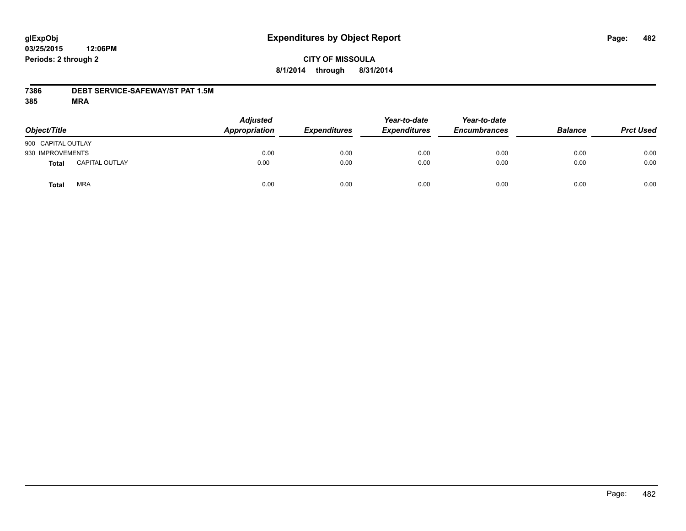# **CITY OF MISSOULA 8/1/2014 through 8/31/2014**

### **7386 DEBT SERVICE-SAFEWAY/ST PAT 1.5M**

| Object/Title       |                       | <b>Adjusted</b><br>Appropriation | <b>Expenditures</b> | Year-to-date<br><b>Expenditures</b> | Year-to-date<br><b>Encumbrances</b> | <b>Balance</b> | <b>Prct Used</b> |
|--------------------|-----------------------|----------------------------------|---------------------|-------------------------------------|-------------------------------------|----------------|------------------|
| 900 CAPITAL OUTLAY |                       |                                  |                     |                                     |                                     |                |                  |
| 930 IMPROVEMENTS   |                       | 0.00                             | 0.00                | 0.00                                | 0.00                                | 0.00           | 0.00             |
| Total              | <b>CAPITAL OUTLAY</b> | 0.00                             | 0.00                | 0.00                                | 0.00                                | 0.00           | 0.00             |
| Total              | <b>MRA</b>            | 0.00                             | 0.00                | 0.00                                | 0.00                                | 0.00           | 0.00             |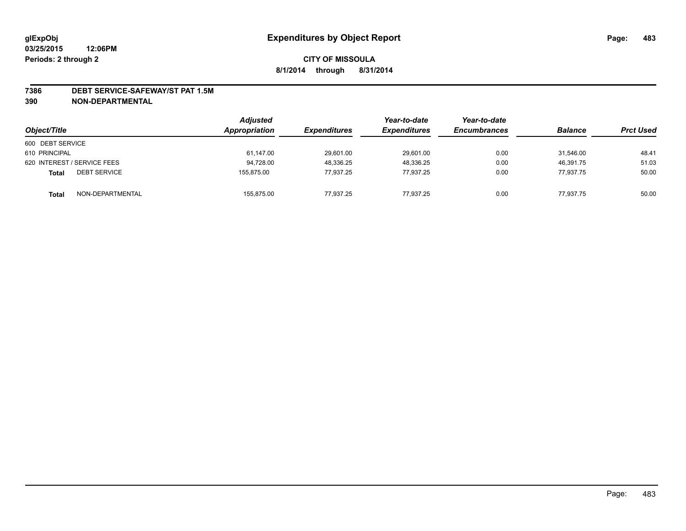#### **7386 DEBT SERVICE-SAFEWAY/ST PAT 1.5M**

**390 NON-DEPARTMENTAL**

| Object/Title                        | <b>Adjusted</b><br>Appropriation | <i><b>Expenditures</b></i> | Year-to-date<br><b>Expenditures</b> | Year-to-date<br><b>Encumbrances</b> | <b>Balance</b> | <b>Prct Used</b> |
|-------------------------------------|----------------------------------|----------------------------|-------------------------------------|-------------------------------------|----------------|------------------|
| 600 DEBT SERVICE                    |                                  |                            |                                     |                                     |                |                  |
| 610 PRINCIPAL                       | 61,147.00                        | 29,601.00                  | 29,601.00                           | 0.00                                | 31.546.00      | 48.41            |
| 620 INTEREST / SERVICE FEES         | 94,728.00                        | 48,336.25                  | 48,336.25                           | 0.00                                | 46.391.75      | 51.03            |
| <b>DEBT SERVICE</b><br><b>Total</b> | 155.875.00                       | 77.937.25                  | 77.937.25                           | 0.00                                | 77.937.75      | 50.00            |
| NON-DEPARTMENTAL<br><b>Total</b>    | 155,875.00                       | 77.937.25                  | 77,937.25                           | 0.00                                | 77,937.75      | 50.00            |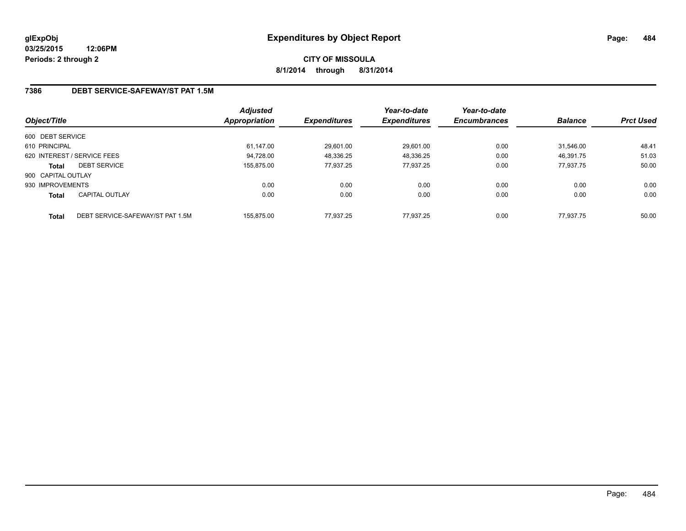# **CITY OF MISSOULA 8/1/2014 through 8/31/2014**

## **7386 DEBT SERVICE-SAFEWAY/ST PAT 1.5M**

| Object/Title       |                                  | Adjusted<br>Appropriation | <b>Expenditures</b> | Year-to-date<br><b>Expenditures</b> | Year-to-date<br><b>Encumbrances</b> | <b>Balance</b> | <b>Prct Used</b> |
|--------------------|----------------------------------|---------------------------|---------------------|-------------------------------------|-------------------------------------|----------------|------------------|
| 600 DEBT SERVICE   |                                  |                           |                     |                                     |                                     |                |                  |
| 610 PRINCIPAL      |                                  | 61.147.00                 | 29,601.00           | 29,601.00                           | 0.00                                | 31.546.00      | 48.41            |
|                    | 620 INTEREST / SERVICE FEES      | 94.728.00                 | 48,336.25           | 48,336.25                           | 0.00                                | 46.391.75      | 51.03            |
| <b>Total</b>       | <b>DEBT SERVICE</b>              | 155.875.00                | 77.937.25           | 77.937.25                           | 0.00                                | 77.937.75      | 50.00            |
| 900 CAPITAL OUTLAY |                                  |                           |                     |                                     |                                     |                |                  |
| 930 IMPROVEMENTS   |                                  | 0.00                      | 0.00                | 0.00                                | 0.00                                | 0.00           | 0.00             |
| <b>Total</b>       | <b>CAPITAL OUTLAY</b>            | 0.00                      | 0.00                | 0.00                                | 0.00                                | 0.00           | 0.00             |
| <b>Total</b>       | DEBT SERVICE-SAFEWAY/ST PAT 1.5M | 155.875.00                | 77.937.25           | 77.937.25                           | 0.00                                | 77.937.75      | 50.00            |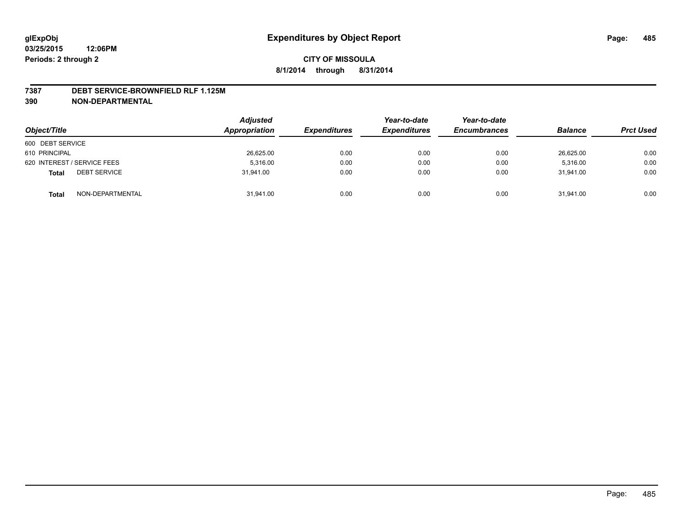#### **7387 DEBT SERVICE-BROWNFIELD RLF 1.125M**

**390 NON-DEPARTMENTAL**

| Object/Title                        | <b>Adjusted</b><br>Appropriation | <b>Expenditures</b> | Year-to-date<br><b>Expenditures</b> | Year-to-date<br><b>Encumbrances</b> | <b>Balance</b> | <b>Prct Used</b> |
|-------------------------------------|----------------------------------|---------------------|-------------------------------------|-------------------------------------|----------------|------------------|
| 600 DEBT SERVICE                    |                                  |                     |                                     |                                     |                |                  |
| 610 PRINCIPAL                       | 26,625.00                        | 0.00                | 0.00                                | 0.00                                | 26,625.00      | 0.00             |
| 620 INTEREST / SERVICE FEES         | 5.316.00                         | 0.00                | 0.00                                | 0.00                                | 5.316.00       | 0.00             |
| <b>DEBT SERVICE</b><br><b>Total</b> | 31.941.00                        | 0.00                | 0.00                                | 0.00                                | 31.941.00      | 0.00             |
| NON-DEPARTMENTAL<br><b>Total</b>    | 31,941.00                        | 0.00                | 0.00                                | 0.00                                | 31,941.00      | 0.00             |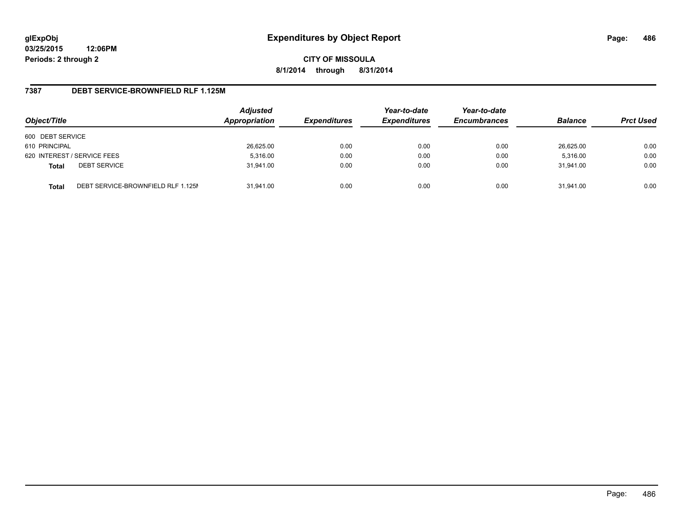**CITY OF MISSOULA 8/1/2014 through 8/31/2014**

### **7387 DEBT SERVICE-BROWNFIELD RLF 1.125M**

| Object/Title     |                                    | <b>Adjusted</b><br>Appropriation | <b>Expenditures</b> | Year-to-date<br><b>Expenditures</b> | Year-to-date<br><b>Encumbrances</b> | <b>Balance</b> | <b>Prct Used</b> |
|------------------|------------------------------------|----------------------------------|---------------------|-------------------------------------|-------------------------------------|----------------|------------------|
| 600 DEBT SERVICE |                                    |                                  |                     |                                     |                                     |                |                  |
| 610 PRINCIPAL    |                                    | 26,625.00                        | 0.00                | 0.00                                | 0.00                                | 26,625.00      | 0.00             |
|                  | 620 INTEREST / SERVICE FEES        | 5,316.00                         | 0.00                | 0.00                                | 0.00                                | 5,316.00       | 0.00             |
| <b>Total</b>     | <b>DEBT SERVICE</b>                | 31.941.00                        | 0.00                | 0.00                                | 0.00                                | 31.941.00      | 0.00             |
| <b>Total</b>     | DEBT SERVICE-BROWNFIELD RLF 1.125M | 31.941.00                        | 0.00                | 0.00                                | 0.00                                | 31.941.00      | 0.00             |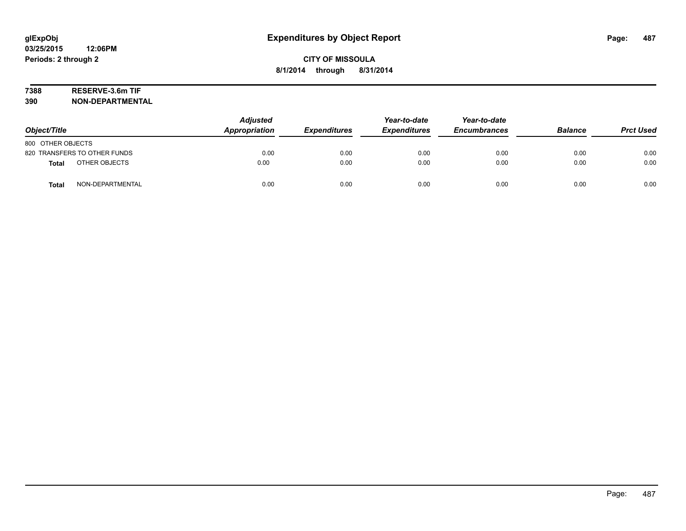# **7388 RESERVE-3.6m TIF**

**390 NON-DEPARTMENTAL**

| Object/Title                     | <b>Adjusted</b><br>Appropriation | <b>Expenditures</b> | Year-to-date<br><b>Expenditures</b> | Year-to-date<br><b>Encumbrances</b> | <b>Balance</b> | <b>Prct Used</b> |
|----------------------------------|----------------------------------|---------------------|-------------------------------------|-------------------------------------|----------------|------------------|
| 800 OTHER OBJECTS                |                                  |                     |                                     |                                     |                |                  |
| 820 TRANSFERS TO OTHER FUNDS     | 0.00                             | 0.00                | 0.00                                | 0.00                                | 0.00           | 0.00             |
| OTHER OBJECTS<br><b>Total</b>    | 0.00                             | 0.00                | 0.00                                | 0.00                                | 0.00           | 0.00             |
| NON-DEPARTMENTAL<br><b>Total</b> | 0.00                             | 0.00                | 0.00                                | 0.00                                | 0.00           | 0.00             |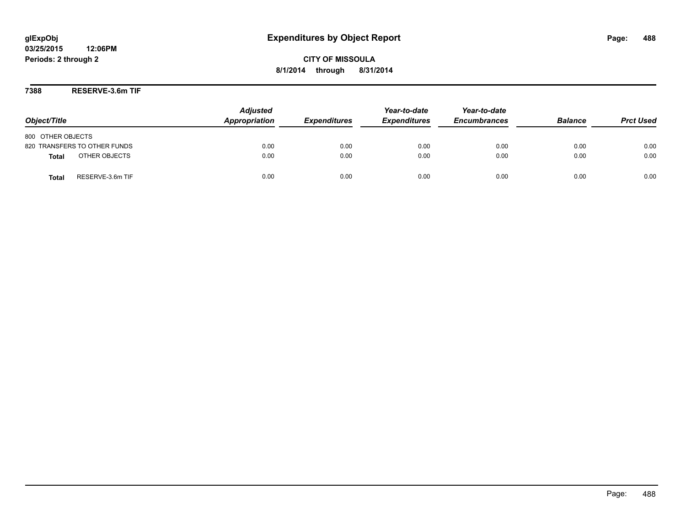**CITY OF MISSOULA 8/1/2014 through 8/31/2014**

**7388 RESERVE-3.6m TIF**

| Object/Title                     | <b>Adjusted</b><br>Appropriation | <b>Expenditures</b> | Year-to-date<br><b>Expenditures</b> | Year-to-date<br><b>Encumbrances</b> | <b>Balance</b> | <b>Prct Used</b> |
|----------------------------------|----------------------------------|---------------------|-------------------------------------|-------------------------------------|----------------|------------------|
| 800 OTHER OBJECTS                |                                  |                     |                                     |                                     |                |                  |
| 820 TRANSFERS TO OTHER FUNDS     | 0.00                             | 0.00                | 0.00                                | 0.00                                | 0.00           | 0.00             |
| OTHER OBJECTS<br><b>Total</b>    | 0.00                             | 0.00                | 0.00                                | 0.00                                | 0.00           | 0.00             |
| RESERVE-3.6m TIF<br><b>Total</b> | 0.00                             | 0.00                | 0.00                                | 0.00                                | 0.00           | 0.00             |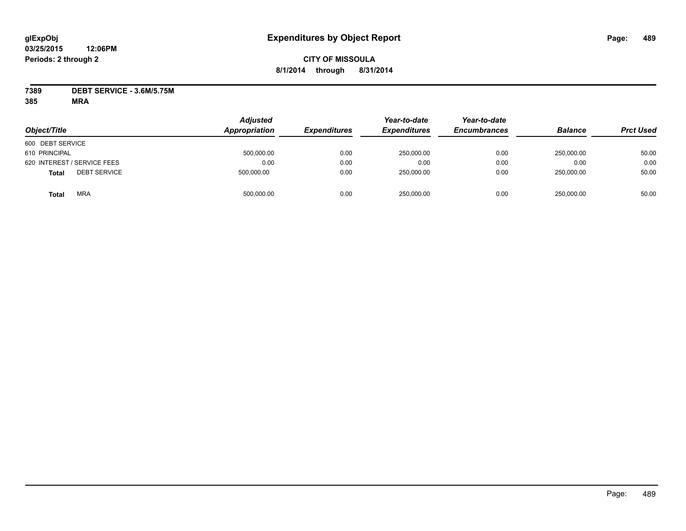## **CITY OF MISSOULA 8/1/2014 through 8/31/2014**

**7389 DEBT SERVICE - 3.6M/5.75M**

| Object/Title                        | <b>Adjusted</b><br>Appropriation | <b>Expenditures</b> | Year-to-date<br><b>Expenditures</b> | Year-to-date<br><b>Encumbrances</b> | <b>Balance</b> | <b>Prct Used</b> |
|-------------------------------------|----------------------------------|---------------------|-------------------------------------|-------------------------------------|----------------|------------------|
| 600 DEBT SERVICE                    |                                  |                     |                                     |                                     |                |                  |
| 610 PRINCIPAL                       | 500,000.00                       | 0.00                | 250,000.00                          | 0.00                                | 250.000.00     | 50.00            |
| 620 INTEREST / SERVICE FEES         | 0.00                             | 0.00                | 0.00                                | 0.00                                | 0.00           | 0.00             |
| <b>DEBT SERVICE</b><br><b>Total</b> | 500,000.00                       | 0.00                | 250,000.00                          | 0.00                                | 250,000.00     | 50.00            |
| <b>MRA</b><br>Total                 | 500,000.00                       | 0.00                | 250,000.00                          | 0.00                                | 250.000.00     | 50.00            |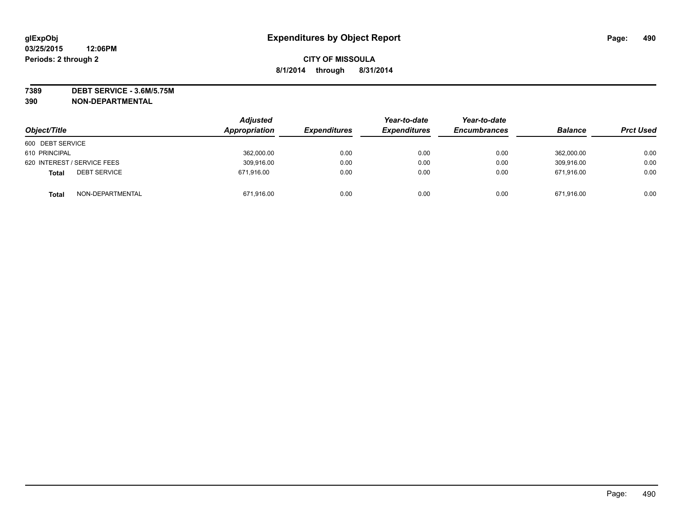**7389 DEBT SERVICE - 3.6M/5.75M 390 NON-DEPARTMENTAL**

| Object/Title                        | <b>Adjusted</b><br>Appropriation | <b>Expenditures</b> | Year-to-date<br><b>Expenditures</b> | Year-to-date<br><b>Encumbrances</b> | <b>Balance</b> | <b>Prct Used</b> |
|-------------------------------------|----------------------------------|---------------------|-------------------------------------|-------------------------------------|----------------|------------------|
| 600 DEBT SERVICE                    |                                  |                     |                                     |                                     |                |                  |
| 610 PRINCIPAL                       | 362,000.00                       | 0.00                | 0.00                                | 0.00                                | 362.000.00     | 0.00             |
| 620 INTEREST / SERVICE FEES         | 309,916.00                       | 0.00                | 0.00                                | 0.00                                | 309.916.00     | 0.00             |
| <b>DEBT SERVICE</b><br><b>Total</b> | 671.916.00                       | 0.00                | 0.00                                | 0.00                                | 671.916.00     | 0.00             |
| NON-DEPARTMENTAL<br><b>Total</b>    | 671,916.00                       | 0.00                | 0.00                                | 0.00                                | 671,916.00     | 0.00             |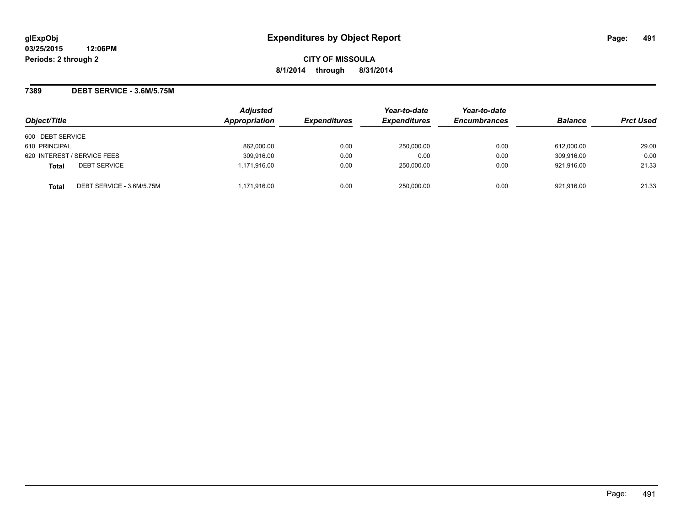### **7389 DEBT SERVICE - 3.6M/5.75M**

|                                           | <b>Adjusted</b><br>Appropriation | <b>Expenditures</b> | Year-to-date<br><b>Expenditures</b> | Year-to-date<br><b>Encumbrances</b> |                |                  |
|-------------------------------------------|----------------------------------|---------------------|-------------------------------------|-------------------------------------|----------------|------------------|
| Object/Title                              |                                  |                     |                                     |                                     | <b>Balance</b> | <b>Prct Used</b> |
| 600 DEBT SERVICE                          |                                  |                     |                                     |                                     |                |                  |
| 610 PRINCIPAL                             | 862.000.00                       | 0.00                | 250,000.00                          | 0.00                                | 612.000.00     | 29.00            |
| 620 INTEREST / SERVICE FEES               | 309,916.00                       | 0.00                | 0.00                                | 0.00                                | 309.916.00     | 0.00             |
| <b>DEBT SERVICE</b><br><b>Total</b>       | 1,171,916.00                     | 0.00                | 250,000.00                          | 0.00                                | 921.916.00     | 21.33            |
| DEBT SERVICE - 3.6M/5.75M<br><b>Total</b> | 1,171,916.00                     | 0.00                | 250,000.00                          | 0.00                                | 921,916.00     | 21.33            |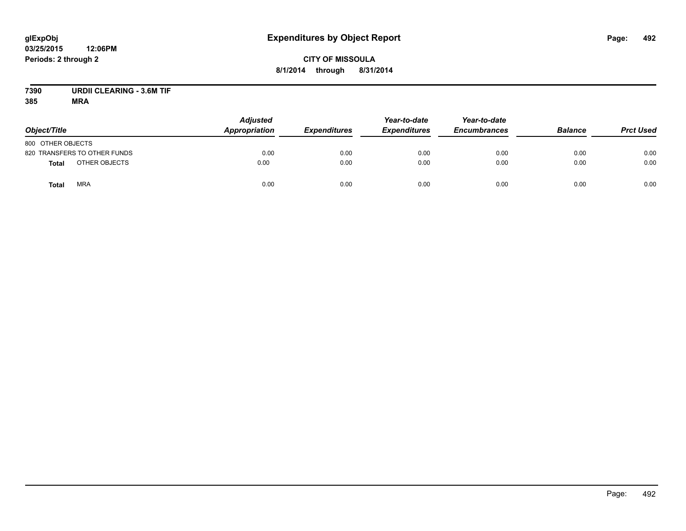# **CITY OF MISSOULA 8/1/2014 through 8/31/2014**

# **7390 URDII CLEARING - 3.6M TIF**

| Object/Title                  | <b>Adjusted</b><br>Appropriation | <b>Expenditures</b> | Year-to-date<br><b>Expenditures</b> | Year-to-date<br><b>Encumbrances</b> | <b>Balance</b> | <b>Prct Used</b> |
|-------------------------------|----------------------------------|---------------------|-------------------------------------|-------------------------------------|----------------|------------------|
| 800 OTHER OBJECTS             |                                  |                     |                                     |                                     |                |                  |
| 820 TRANSFERS TO OTHER FUNDS  | 0.00                             | 0.00                | 0.00                                | 0.00                                | 0.00           | 0.00             |
| OTHER OBJECTS<br><b>Total</b> | 0.00                             | 0.00                | 0.00                                | 0.00                                | 0.00           | 0.00             |
| <b>MRA</b><br>Total           | 0.00                             | 0.00                | 0.00                                | 0.00                                | 0.00           | 0.00             |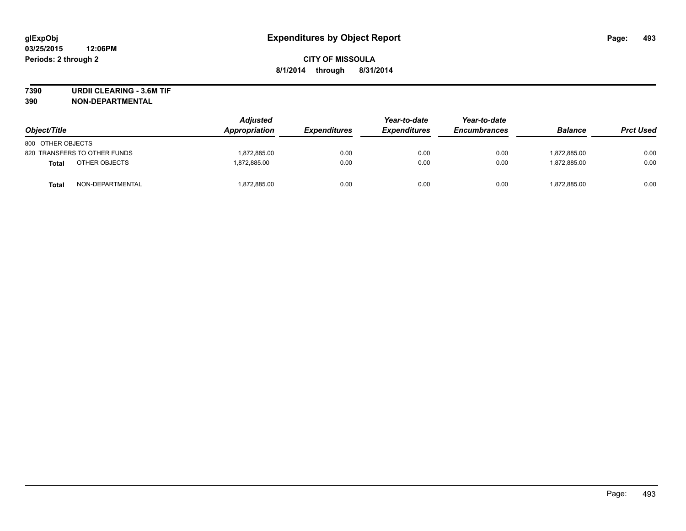**7390 URDII CLEARING - 3.6M TIF**

**390 NON-DEPARTMENTAL**

| Object/Title                 | <b>Adjusted</b><br><b>Appropriation</b> | <b>Expenditures</b> | Year-to-date<br><b>Expenditures</b> | Year-to-date<br><b>Encumbrances</b> | <b>Balance</b> | <b>Prct Used</b> |
|------------------------------|-----------------------------------------|---------------------|-------------------------------------|-------------------------------------|----------------|------------------|
| 800 OTHER OBJECTS            |                                         |                     |                                     |                                     |                |                  |
| 820 TRANSFERS TO OTHER FUNDS | 1,872,885.00                            | 0.00                | 0.00                                | 0.00                                | 1,872,885.00   | 0.00             |
| OTHER OBJECTS<br>Total       | 1.872.885.00                            | 0.00                | 0.00                                | 0.00                                | 1.872.885.00   | 0.00             |
| NON-DEPARTMENTAL<br>Total    | 1,872,885.00                            | 0.00                | 0.00                                | 0.00                                | 1,872,885.00   | 0.00             |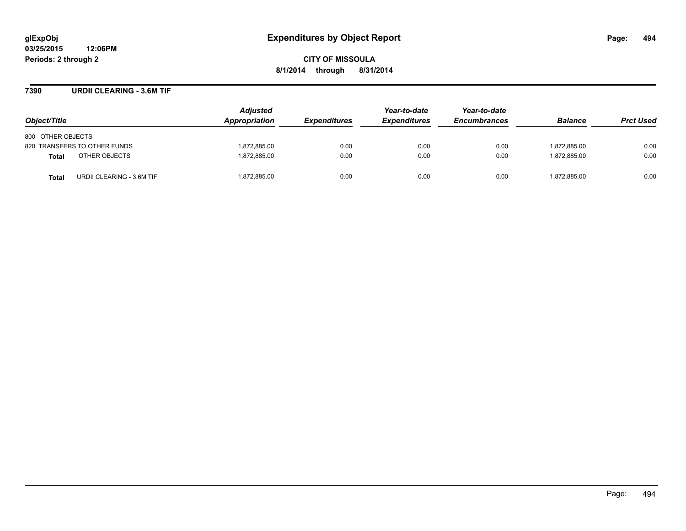**CITY OF MISSOULA 8/1/2014 through 8/31/2014**

### **7390 URDII CLEARING - 3.6M TIF**

| Object/Title                              | <b>Adjusted</b><br>Appropriation | <b>Expenditures</b> | Year-to-date<br><b>Expenditures</b> | Year-to-date<br><b>Encumbrances</b> | <b>Balance</b> | <b>Prct Used</b> |
|-------------------------------------------|----------------------------------|---------------------|-------------------------------------|-------------------------------------|----------------|------------------|
| 800 OTHER OBJECTS                         |                                  |                     |                                     |                                     |                |                  |
| 820 TRANSFERS TO OTHER FUNDS              | 1,872,885.00                     | 0.00                | 0.00                                | 0.00                                | 1,872,885.00   | 0.00             |
| OTHER OBJECTS<br><b>Total</b>             | 1,872,885.00                     | 0.00                | 0.00                                | 0.00                                | 1.872.885.00   | 0.00             |
| URDII CLEARING - 3.6M TIF<br><b>Total</b> | 1,872,885.00                     | 0.00                | 0.00                                | 0.00                                | 1,872,885.00   | 0.00             |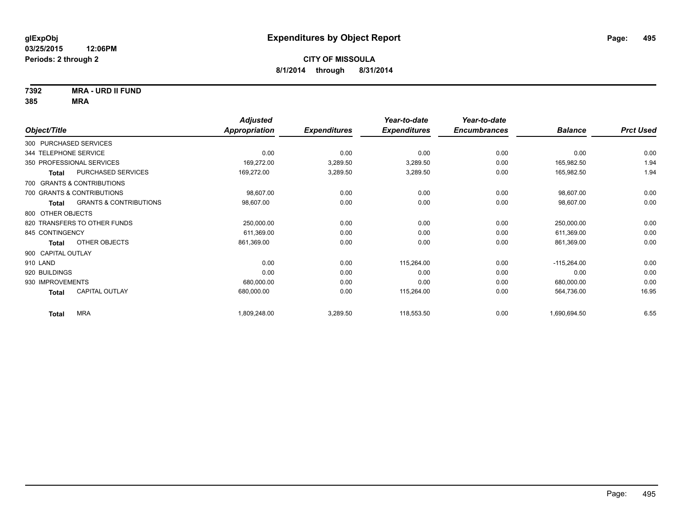**7392 MRA - URD II FUND**

|                       |                                   | <b>Adjusted</b> |                     | Year-to-date        | Year-to-date        |                |                  |
|-----------------------|-----------------------------------|-----------------|---------------------|---------------------|---------------------|----------------|------------------|
| Object/Title          |                                   | Appropriation   | <b>Expenditures</b> | <b>Expenditures</b> | <b>Encumbrances</b> | <b>Balance</b> | <b>Prct Used</b> |
|                       | 300 PURCHASED SERVICES            |                 |                     |                     |                     |                |                  |
| 344 TELEPHONE SERVICE |                                   | 0.00            | 0.00                | 0.00                | 0.00                | 0.00           | 0.00             |
|                       | 350 PROFESSIONAL SERVICES         | 169,272.00      | 3,289.50            | 3,289.50            | 0.00                | 165,982.50     | 1.94             |
| <b>Total</b>          | PURCHASED SERVICES                | 169,272.00      | 3,289.50            | 3,289.50            | 0.00                | 165,982.50     | 1.94             |
|                       | 700 GRANTS & CONTRIBUTIONS        |                 |                     |                     |                     |                |                  |
|                       | 700 GRANTS & CONTRIBUTIONS        | 98,607.00       | 0.00                | 0.00                | 0.00                | 98,607.00      | 0.00             |
| <b>Total</b>          | <b>GRANTS &amp; CONTRIBUTIONS</b> | 98,607.00       | 0.00                | 0.00                | 0.00                | 98,607.00      | 0.00             |
| 800 OTHER OBJECTS     |                                   |                 |                     |                     |                     |                |                  |
|                       | 820 TRANSFERS TO OTHER FUNDS      | 250,000.00      | 0.00                | 0.00                | 0.00                | 250,000.00     | 0.00             |
| 845 CONTINGENCY       |                                   | 611,369.00      | 0.00                | 0.00                | 0.00                | 611,369.00     | 0.00             |
| <b>Total</b>          | OTHER OBJECTS                     | 861,369.00      | 0.00                | 0.00                | 0.00                | 861,369.00     | 0.00             |
| 900 CAPITAL OUTLAY    |                                   |                 |                     |                     |                     |                |                  |
| 910 LAND              |                                   | 0.00            | 0.00                | 115,264.00          | 0.00                | $-115,264.00$  | 0.00             |
| 920 BUILDINGS         |                                   | 0.00            | 0.00                | 0.00                | 0.00                | 0.00           | 0.00             |
| 930 IMPROVEMENTS      |                                   | 680,000.00      | 0.00                | 0.00                | 0.00                | 680,000.00     | 0.00             |
| <b>Total</b>          | <b>CAPITAL OUTLAY</b>             | 680,000.00      | 0.00                | 115,264.00          | 0.00                | 564,736.00     | 16.95            |
| <b>Total</b>          | <b>MRA</b>                        | 1,809,248.00    | 3,289.50            | 118,553.50          | 0.00                | 1,690,694.50   | 6.55             |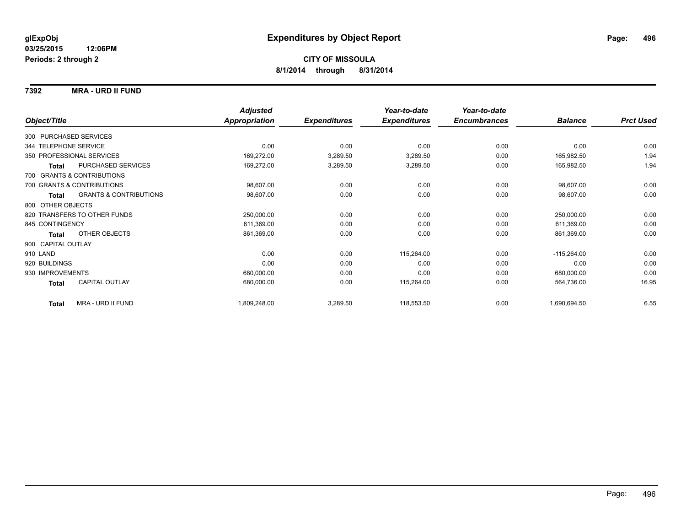### **7392 MRA - URD II FUND**

|                                            | <b>Adjusted</b>      |                     | Year-to-date        | Year-to-date        |                |                  |
|--------------------------------------------|----------------------|---------------------|---------------------|---------------------|----------------|------------------|
| Object/Title                               | <b>Appropriation</b> | <b>Expenditures</b> | <b>Expenditures</b> | <b>Encumbrances</b> | <b>Balance</b> | <b>Prct Used</b> |
| 300 PURCHASED SERVICES                     |                      |                     |                     |                     |                |                  |
| 344 TELEPHONE SERVICE                      | 0.00                 | 0.00                | 0.00                | 0.00                | 0.00           | 0.00             |
| 350 PROFESSIONAL SERVICES                  | 169,272.00           | 3,289.50            | 3,289.50            | 0.00                | 165,982.50     | 1.94             |
| PURCHASED SERVICES<br><b>Total</b>         | 169,272.00           | 3,289.50            | 3,289.50            | 0.00                | 165,982.50     | 1.94             |
| 700 GRANTS & CONTRIBUTIONS                 |                      |                     |                     |                     |                |                  |
| 700 GRANTS & CONTRIBUTIONS                 | 98,607.00            | 0.00                | 0.00                | 0.00                | 98,607.00      | 0.00             |
| <b>GRANTS &amp; CONTRIBUTIONS</b><br>Total | 98,607.00            | 0.00                | 0.00                | 0.00                | 98,607.00      | 0.00             |
| 800 OTHER OBJECTS                          |                      |                     |                     |                     |                |                  |
| 820 TRANSFERS TO OTHER FUNDS               | 250,000.00           | 0.00                | 0.00                | 0.00                | 250,000.00     | 0.00             |
| 845 CONTINGENCY                            | 611,369.00           | 0.00                | 0.00                | 0.00                | 611,369.00     | 0.00             |
| OTHER OBJECTS<br><b>Total</b>              | 861,369.00           | 0.00                | 0.00                | 0.00                | 861,369.00     | 0.00             |
| 900 CAPITAL OUTLAY                         |                      |                     |                     |                     |                |                  |
| 910 LAND                                   | 0.00                 | 0.00                | 115,264.00          | 0.00                | $-115,264.00$  | 0.00             |
| 920 BUILDINGS                              | 0.00                 | 0.00                | 0.00                | 0.00                | 0.00           | 0.00             |
| 930 IMPROVEMENTS                           | 680,000.00           | 0.00                | 0.00                | 0.00                | 680,000.00     | 0.00             |
| <b>CAPITAL OUTLAY</b><br>Total             | 680,000.00           | 0.00                | 115,264.00          | 0.00                | 564,736.00     | 16.95            |
| MRA - URD II FUND<br><b>Total</b>          | 1,809,248.00         | 3,289.50            | 118,553.50          | 0.00                | 1,690,694.50   | 6.55             |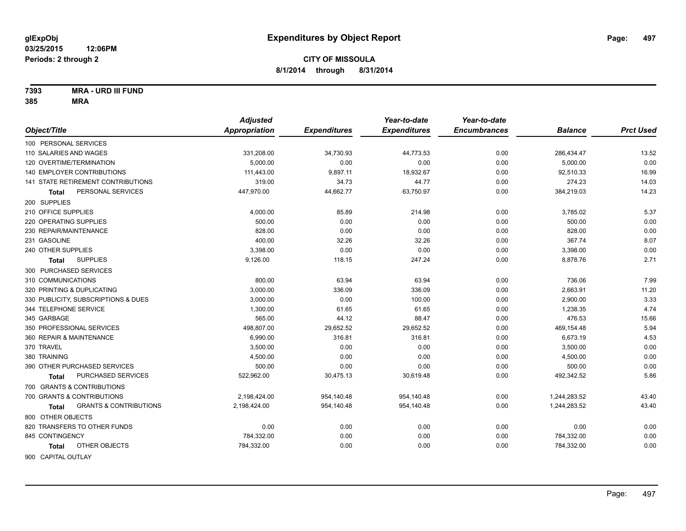**7393 MRA - URD III FUND**

|                                                   | <b>Adjusted</b> |                     | Year-to-date        | Year-to-date        |                |                  |
|---------------------------------------------------|-----------------|---------------------|---------------------|---------------------|----------------|------------------|
| Object/Title                                      | Appropriation   | <b>Expenditures</b> | <b>Expenditures</b> | <b>Encumbrances</b> | <b>Balance</b> | <b>Prct Used</b> |
| 100 PERSONAL SERVICES                             |                 |                     |                     |                     |                |                  |
| 110 SALARIES AND WAGES                            | 331,208.00      | 34,730.93           | 44,773.53           | 0.00                | 286,434.47     | 13.52            |
| 120 OVERTIME/TERMINATION                          | 5.000.00        | 0.00                | 0.00                | 0.00                | 5,000.00       | 0.00             |
| 140 EMPLOYER CONTRIBUTIONS                        | 111,443.00      | 9,897.11            | 18,932.67           | 0.00                | 92,510.33      | 16.99            |
| 141 STATE RETIREMENT CONTRIBUTIONS                | 319.00          | 34.73               | 44.77               | 0.00                | 274.23         | 14.03            |
| PERSONAL SERVICES<br>Total                        | 447,970.00      | 44,662.77           | 63,750.97           | 0.00                | 384,219.03     | 14.23            |
| 200 SUPPLIES                                      |                 |                     |                     |                     |                |                  |
| 210 OFFICE SUPPLIES                               | 4,000.00        | 85.89               | 214.98              | 0.00                | 3,785.02       | 5.37             |
| 220 OPERATING SUPPLIES                            | 500.00          | 0.00                | 0.00                | 0.00                | 500.00         | 0.00             |
| 230 REPAIR/MAINTENANCE                            | 828.00          | 0.00                | 0.00                | 0.00                | 828.00         | 0.00             |
| 231 GASOLINE                                      | 400.00          | 32.26               | 32.26               | 0.00                | 367.74         | 8.07             |
| 240 OTHER SUPPLIES                                | 3,398.00        | 0.00                | 0.00                | 0.00                | 3,398.00       | 0.00             |
| <b>SUPPLIES</b><br>Total                          | 9,126.00        | 118.15              | 247.24              | 0.00                | 8,878.76       | 2.71             |
| 300 PURCHASED SERVICES                            |                 |                     |                     |                     |                |                  |
| 310 COMMUNICATIONS                                | 800.00          | 63.94               | 63.94               | 0.00                | 736.06         | 7.99             |
| 320 PRINTING & DUPLICATING                        | 3.000.00        | 336.09              | 336.09              | 0.00                | 2,663.91       | 11.20            |
| 330 PUBLICITY, SUBSCRIPTIONS & DUES               | 3,000.00        | 0.00                | 100.00              | 0.00                | 2,900.00       | 3.33             |
| 344 TELEPHONE SERVICE                             | 1,300.00        | 61.65               | 61.65               | 0.00                | 1,238.35       | 4.74             |
| 345 GARBAGE                                       | 565.00          | 44.12               | 88.47               | 0.00                | 476.53         | 15.66            |
| 350 PROFESSIONAL SERVICES                         | 498,807.00      | 29,652.52           | 29,652.52           | 0.00                | 469,154.48     | 5.94             |
| 360 REPAIR & MAINTENANCE                          | 6,990.00        | 316.81              | 316.81              | 0.00                | 6,673.19       | 4.53             |
| 370 TRAVEL                                        | 3,500.00        | 0.00                | 0.00                | 0.00                | 3,500.00       | 0.00             |
| 380 TRAINING                                      | 4,500.00        | 0.00                | 0.00                | 0.00                | 4,500.00       | 0.00             |
| 390 OTHER PURCHASED SERVICES                      | 500.00          | 0.00                | 0.00                | 0.00                | 500.00         | 0.00             |
| PURCHASED SERVICES<br><b>Total</b>                | 522,962.00      | 30,475.13           | 30,619.48           | 0.00                | 492,342.52     | 5.86             |
| 700 GRANTS & CONTRIBUTIONS                        |                 |                     |                     |                     |                |                  |
| 700 GRANTS & CONTRIBUTIONS                        | 2,198,424.00    | 954,140.48          | 954,140.48          | 0.00                | 1,244,283.52   | 43.40            |
| <b>GRANTS &amp; CONTRIBUTIONS</b><br><b>Total</b> | 2,198,424.00    | 954,140.48          | 954,140.48          | 0.00                | 1,244,283.52   | 43.40            |
| 800 OTHER OBJECTS                                 |                 |                     |                     |                     |                |                  |
| 820 TRANSFERS TO OTHER FUNDS                      | 0.00            | 0.00                | 0.00                | 0.00                | 0.00           | 0.00             |
| 845 CONTINGENCY                                   | 784,332.00      | 0.00                | 0.00                | 0.00                | 784,332.00     | 0.00             |
| OTHER OBJECTS<br>Total                            | 784,332.00      | 0.00                | 0.00                | 0.00                | 784,332.00     | 0.00             |
| 900 CAPITAL OUTLAY                                |                 |                     |                     |                     |                |                  |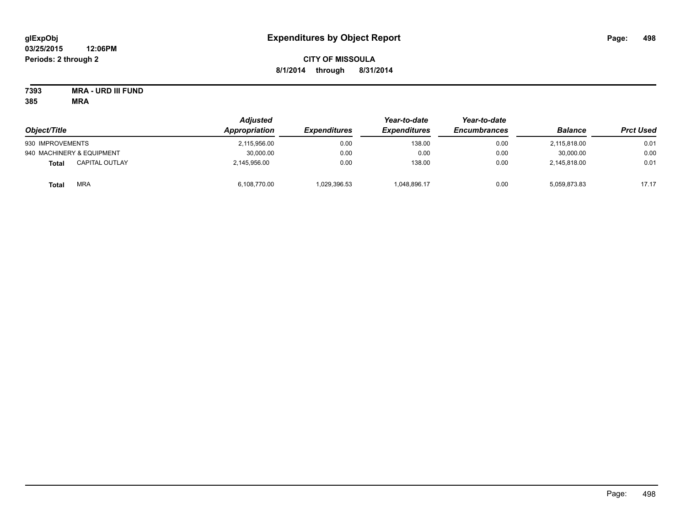# **CITY OF MISSOULA 8/1/2014 through 8/31/2014**

**7393 MRA - URD III FUND**

| Object/Title                   | <b>Adjusted</b><br>Appropriation | <b>Expenditures</b> | Year-to-date<br><b>Expenditures</b> | Year-to-date<br><b>Encumbrances</b> | <b>Balance</b> | <b>Prct Used</b> |
|--------------------------------|----------------------------------|---------------------|-------------------------------------|-------------------------------------|----------------|------------------|
|                                |                                  |                     |                                     |                                     |                |                  |
| 930 IMPROVEMENTS               | 2,115,956.00                     | 0.00                | 138.00                              | 0.00                                | 2,115,818.00   | 0.01             |
| 940 MACHINERY & EQUIPMENT      | 30,000.00                        | 0.00                | 0.00                                | 0.00                                | 30.000.00      | 0.00             |
| <b>CAPITAL OUTLAY</b><br>Total | 2,145,956.00                     | 0.00                | 138.00                              | 0.00                                | 2,145,818.00   | 0.01             |
| <b>MRA</b><br><b>Total</b>     | 6,108,770.00                     | 1,029,396.53        | 1,048,896.17                        | 0.00                                | 5,059,873.83   | 17.17            |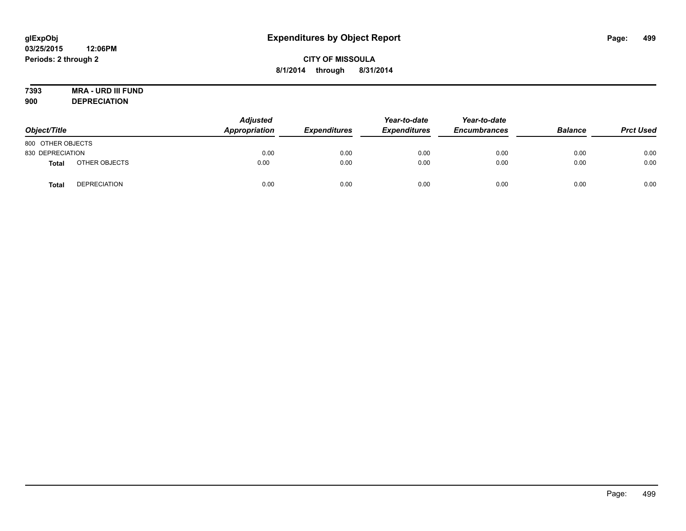# **7393 MRA - URD III FUND**

**900 DEPRECIATION**

| Object/Title      |                     | <b>Adjusted</b><br>Appropriation | <b>Expenditures</b> | Year-to-date<br><b>Expenditures</b> | Year-to-date<br><b>Encumbrances</b> | <b>Balance</b> | <b>Prct Used</b> |
|-------------------|---------------------|----------------------------------|---------------------|-------------------------------------|-------------------------------------|----------------|------------------|
| 800 OTHER OBJECTS |                     |                                  |                     |                                     |                                     |                |                  |
| 830 DEPRECIATION  |                     | 0.00                             | 0.00                | 0.00                                | 0.00                                | 0.00           | 0.00             |
| <b>Total</b>      | OTHER OBJECTS       | 0.00                             | 0.00                | 0.00                                | 0.00                                | 0.00           | 0.00             |
| Tota              | <b>DEPRECIATION</b> | 0.00                             | 0.00                | 0.00                                | 0.00                                | 0.00           | 0.00             |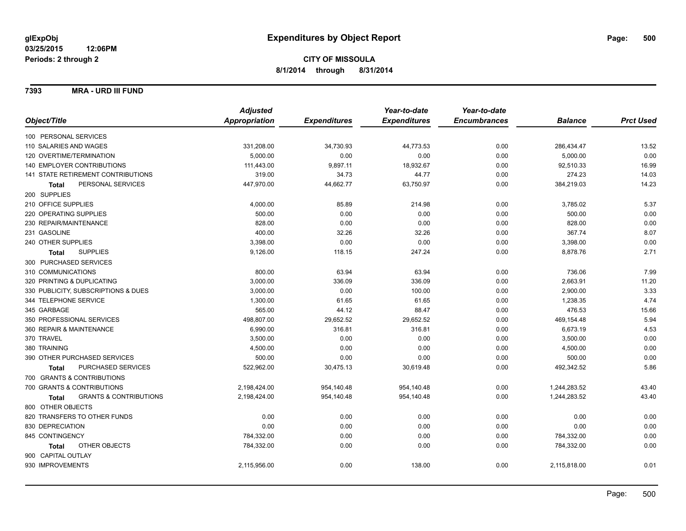**7393 MRA - URD III FUND**

|                                                   | <b>Adjusted</b>      |                     | Year-to-date        | Year-to-date        |                |                  |
|---------------------------------------------------|----------------------|---------------------|---------------------|---------------------|----------------|------------------|
| Object/Title                                      | <b>Appropriation</b> | <b>Expenditures</b> | <b>Expenditures</b> | <b>Encumbrances</b> | <b>Balance</b> | <b>Prct Used</b> |
| 100 PERSONAL SERVICES                             |                      |                     |                     |                     |                |                  |
| 110 SALARIES AND WAGES                            | 331,208.00           | 34,730.93           | 44,773.53           | 0.00                | 286,434.47     | 13.52            |
| 120 OVERTIME/TERMINATION                          | 5,000.00             | 0.00                | 0.00                | 0.00                | 5,000.00       | 0.00             |
| 140 EMPLOYER CONTRIBUTIONS                        | 111,443.00           | 9,897.11            | 18,932.67           | 0.00                | 92,510.33      | 16.99            |
| 141 STATE RETIREMENT CONTRIBUTIONS                | 319.00               | 34.73               | 44.77               | 0.00                | 274.23         | 14.03            |
| PERSONAL SERVICES<br><b>Total</b>                 | 447,970.00           | 44,662.77           | 63,750.97           | 0.00                | 384,219.03     | 14.23            |
| 200 SUPPLIES                                      |                      |                     |                     |                     |                |                  |
| 210 OFFICE SUPPLIES                               | 4,000.00             | 85.89               | 214.98              | 0.00                | 3,785.02       | 5.37             |
| 220 OPERATING SUPPLIES                            | 500.00               | 0.00                | 0.00                | 0.00                | 500.00         | 0.00             |
| 230 REPAIR/MAINTENANCE                            | 828.00               | 0.00                | 0.00                | 0.00                | 828.00         | 0.00             |
| 231 GASOLINE                                      | 400.00               | 32.26               | 32.26               | 0.00                | 367.74         | 8.07             |
| 240 OTHER SUPPLIES                                | 3,398.00             | 0.00                | 0.00                | 0.00                | 3,398.00       | 0.00             |
| <b>SUPPLIES</b><br><b>Total</b>                   | 9,126.00             | 118.15              | 247.24              | 0.00                | 8,878.76       | 2.71             |
| 300 PURCHASED SERVICES                            |                      |                     |                     |                     |                |                  |
| 310 COMMUNICATIONS                                | 800.00               | 63.94               | 63.94               | 0.00                | 736.06         | 7.99             |
| 320 PRINTING & DUPLICATING                        | 3,000.00             | 336.09              | 336.09              | 0.00                | 2,663.91       | 11.20            |
| 330 PUBLICITY, SUBSCRIPTIONS & DUES               | 3,000.00             | 0.00                | 100.00              | 0.00                | 2,900.00       | 3.33             |
| 344 TELEPHONE SERVICE                             | 1,300.00             | 61.65               | 61.65               | 0.00                | 1,238.35       | 4.74             |
| 345 GARBAGE                                       | 565.00               | 44.12               | 88.47               | 0.00                | 476.53         | 15.66            |
| 350 PROFESSIONAL SERVICES                         | 498,807.00           | 29,652.52           | 29,652.52           | 0.00                | 469,154.48     | 5.94             |
| 360 REPAIR & MAINTENANCE                          | 6,990.00             | 316.81              | 316.81              | 0.00                | 6,673.19       | 4.53             |
| 370 TRAVEL                                        | 3,500.00             | 0.00                | 0.00                | 0.00                | 3,500.00       | 0.00             |
| 380 TRAINING                                      | 4,500.00             | 0.00                | 0.00                | 0.00                | 4,500.00       | 0.00             |
| 390 OTHER PURCHASED SERVICES                      | 500.00               | 0.00                | 0.00                | 0.00                | 500.00         | 0.00             |
| PURCHASED SERVICES<br><b>Total</b>                | 522,962.00           | 30,475.13           | 30,619.48           | 0.00                | 492,342.52     | 5.86             |
| 700 GRANTS & CONTRIBUTIONS                        |                      |                     |                     |                     |                |                  |
| 700 GRANTS & CONTRIBUTIONS                        | 2,198,424.00         | 954,140.48          | 954,140.48          | 0.00                | 1,244,283.52   | 43.40            |
| <b>GRANTS &amp; CONTRIBUTIONS</b><br><b>Total</b> | 2,198,424.00         | 954,140.48          | 954,140.48          | 0.00                | 1,244,283.52   | 43.40            |
| 800 OTHER OBJECTS                                 |                      |                     |                     |                     |                |                  |
| 820 TRANSFERS TO OTHER FUNDS                      | 0.00                 | 0.00                | 0.00                | 0.00                | 0.00           | 0.00             |
| 830 DEPRECIATION                                  | 0.00                 | 0.00                | 0.00                | 0.00                | 0.00           | 0.00             |
| 845 CONTINGENCY                                   | 784,332.00           | 0.00                | 0.00                | 0.00                | 784,332.00     | 0.00             |
| OTHER OBJECTS<br>Total                            | 784,332.00           | 0.00                | 0.00                | 0.00                | 784,332.00     | 0.00             |
| 900 CAPITAL OUTLAY                                |                      |                     |                     |                     |                |                  |
| 930 IMPROVEMENTS                                  | 2,115,956.00         | 0.00                | 138.00              | 0.00                | 2,115,818.00   | 0.01             |
|                                                   |                      |                     |                     |                     |                |                  |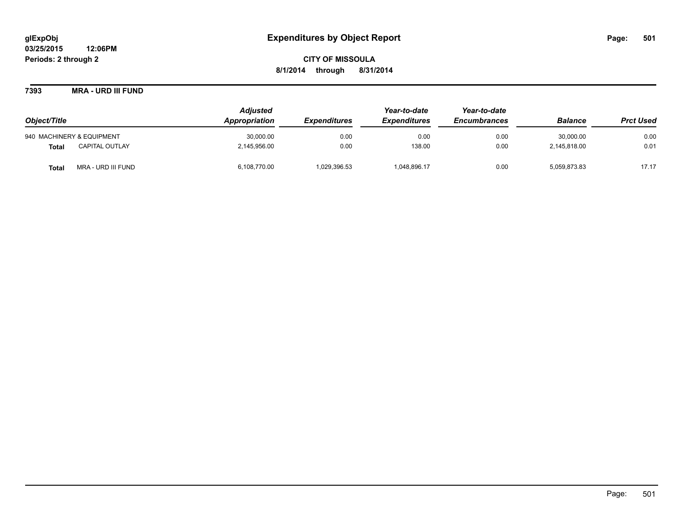**7393 MRA - URD III FUND**

| Object/Title              |                       | <b>Adjusted</b> |                            | Year-to-date        | Year-to-date        |                |                  |
|---------------------------|-----------------------|-----------------|----------------------------|---------------------|---------------------|----------------|------------------|
|                           |                       | Appropriation   | <i><b>Expenditures</b></i> | <b>Expenditures</b> | <b>Encumbrances</b> | <b>Balance</b> | <b>Prct Used</b> |
| 940 MACHINERY & EQUIPMENT |                       | 30,000.00       | 0.00                       | 0.00                | 0.00                | 30,000.00      | 0.00             |
| <b>Total</b>              | <b>CAPITAL OUTLAY</b> | 2.145.956.00    | 0.00                       | 138.00              | 0.00                | 2.145.818.00   | 0.01             |
| <b>Total</b>              | MRA - URD III FUND    | 6,108,770.00    | 1.029.396.53               | 1,048,896.17        | 0.00                | 5,059,873.83   | 17.17            |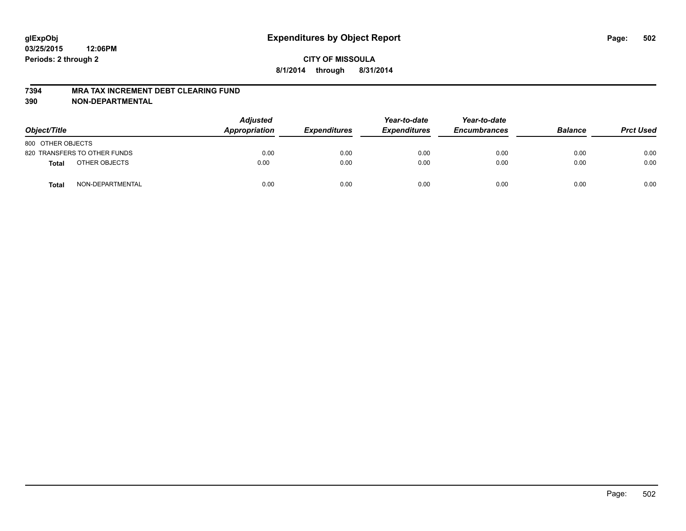#### **7394 MRA TAX INCREMENT DEBT CLEARING FUND**

**390 NON-DEPARTMENTAL**

| Object/Title      |                              | <b>Adjusted</b><br>Appropriation | <b>Expenditures</b> | Year-to-date<br><b>Expenditures</b> | Year-to-date<br><b>Encumbrances</b> | <b>Balance</b> | <b>Prct Used</b> |
|-------------------|------------------------------|----------------------------------|---------------------|-------------------------------------|-------------------------------------|----------------|------------------|
| 800 OTHER OBJECTS |                              |                                  |                     |                                     |                                     |                |                  |
|                   | 820 TRANSFERS TO OTHER FUNDS | 0.00                             | 0.00                | 0.00                                | 0.00                                | 0.00           | 0.00             |
| <b>Total</b>      | OTHER OBJECTS                | 0.00                             | 0.00                | 0.00                                | 0.00                                | 0.00           | 0.00             |
| Total             | NON-DEPARTMENTAL             | 0.00                             | 0.00                | 0.00                                | 0.00                                | 0.00           | 0.00             |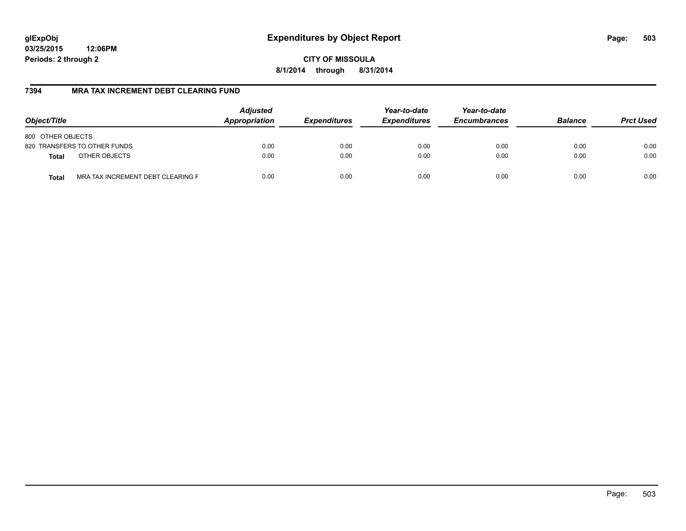**CITY OF MISSOULA 8/1/2014 through 8/31/2014**

### **7394 MRA TAX INCREMENT DEBT CLEARING FUND**

| Object/Title                                      | <b>Adjusted</b><br>Appropriation<br><b>Expenditures</b> | Year-to-date<br><b>Expenditures</b> | Year-to-date<br><b>Encumbrances</b> | <b>Balance</b> | <b>Prct Used</b> |      |
|---------------------------------------------------|---------------------------------------------------------|-------------------------------------|-------------------------------------|----------------|------------------|------|
| 800 OTHER OBJECTS                                 |                                                         |                                     |                                     |                |                  |      |
| 820 TRANSFERS TO OTHER FUNDS                      | 0.00                                                    | 0.00                                | 0.00                                | 0.00           | 0.00             | 0.00 |
| OTHER OBJECTS<br><b>Total</b>                     | 0.00                                                    | 0.00                                | 0.00                                | 0.00           | 0.00             | 0.00 |
| MRA TAX INCREMENT DEBT CLEARING F<br><b>Total</b> | 0.00                                                    | 0.00                                | 0.00                                | 0.00           | 0.00             | 0.00 |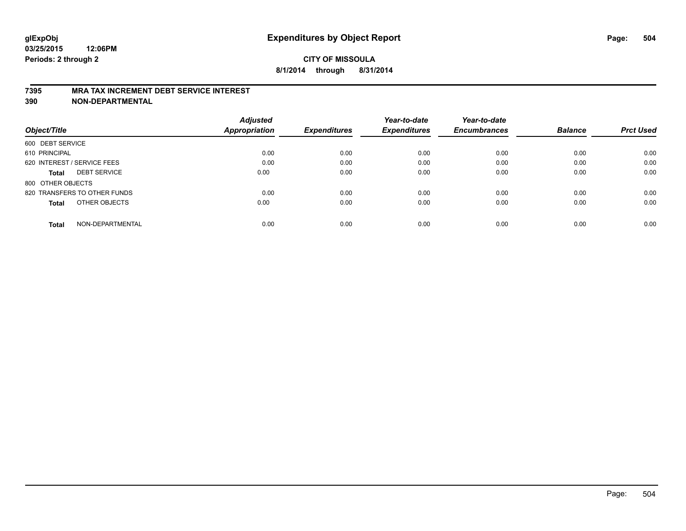#### **7395 MRA TAX INCREMENT DEBT SERVICE INTEREST**

**390 NON-DEPARTMENTAL**

|                                     | <b>Adjusted</b>      |                     | Year-to-date        | Year-to-date        |                |                  |
|-------------------------------------|----------------------|---------------------|---------------------|---------------------|----------------|------------------|
| Object/Title                        | <b>Appropriation</b> | <b>Expenditures</b> | <b>Expenditures</b> | <b>Encumbrances</b> | <b>Balance</b> | <b>Prct Used</b> |
| 600 DEBT SERVICE                    |                      |                     |                     |                     |                |                  |
| 610 PRINCIPAL                       | 0.00                 | 0.00                | 0.00                | 0.00                | 0.00           | 0.00             |
| 620 INTEREST / SERVICE FEES         | 0.00                 | 0.00                | 0.00                | 0.00                | 0.00           | 0.00             |
| <b>DEBT SERVICE</b><br><b>Total</b> | 0.00                 | 0.00                | 0.00                | 0.00                | 0.00           | 0.00             |
| 800 OTHER OBJECTS                   |                      |                     |                     |                     |                |                  |
| 820 TRANSFERS TO OTHER FUNDS        | 0.00                 | 0.00                | 0.00                | 0.00                | 0.00           | 0.00             |
| OTHER OBJECTS<br><b>Total</b>       | 0.00                 | 0.00                | 0.00                | 0.00                | 0.00           | 0.00             |
| NON-DEPARTMENTAL<br>Total           | 0.00                 | 0.00                | 0.00                | 0.00                | 0.00           | 0.00             |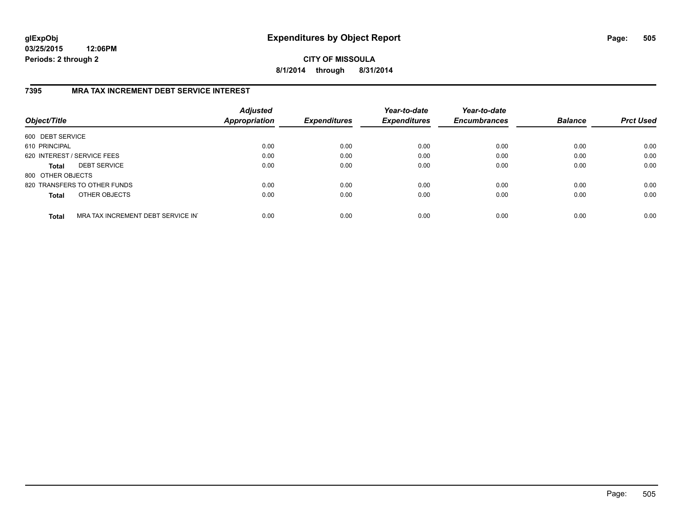**CITY OF MISSOULA 8/1/2014 through 8/31/2014**

## **7395 MRA TAX INCREMENT DEBT SERVICE INTEREST**

| Object/Title                |                                   | <b>Adjusted</b><br><b>Appropriation</b> | <b>Expenditures</b> | Year-to-date<br><b>Expenditures</b> | Year-to-date<br><b>Encumbrances</b> | <b>Balance</b> | <b>Prct Used</b> |
|-----------------------------|-----------------------------------|-----------------------------------------|---------------------|-------------------------------------|-------------------------------------|----------------|------------------|
| 600 DEBT SERVICE            |                                   |                                         |                     |                                     |                                     |                |                  |
| 610 PRINCIPAL               |                                   | 0.00                                    | 0.00                | 0.00                                | 0.00                                | 0.00           | 0.00             |
| 620 INTEREST / SERVICE FEES |                                   | 0.00                                    | 0.00                | 0.00                                | 0.00                                | 0.00           | 0.00             |
| <b>Total</b>                | <b>DEBT SERVICE</b>               | 0.00                                    | 0.00                | 0.00                                | 0.00                                | 0.00           | 0.00             |
| 800 OTHER OBJECTS           |                                   |                                         |                     |                                     |                                     |                |                  |
|                             | 820 TRANSFERS TO OTHER FUNDS      | 0.00                                    | 0.00                | 0.00                                | 0.00                                | 0.00           | 0.00             |
| <b>Total</b>                | OTHER OBJECTS                     | 0.00                                    | 0.00                | 0.00                                | 0.00                                | 0.00           | 0.00             |
| <b>Total</b>                | MRA TAX INCREMENT DEBT SERVICE IN | 0.00                                    | 0.00                | 0.00                                | 0.00                                | 0.00           | 0.00             |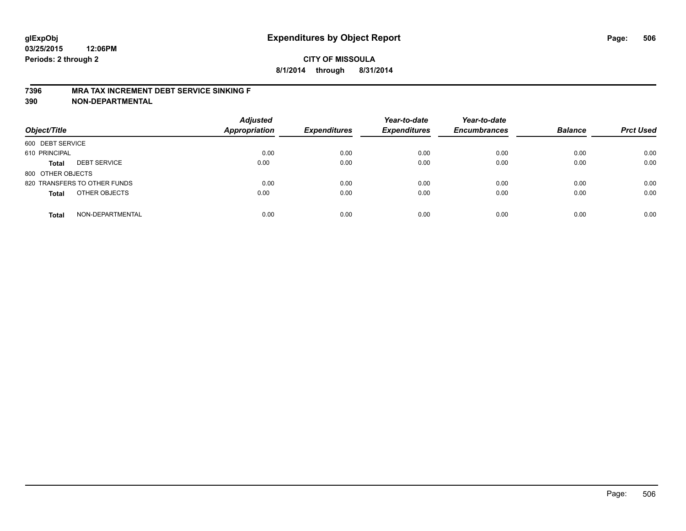#### **7396 MRA TAX INCREMENT DEBT SERVICE SINKING F**

**390 NON-DEPARTMENTAL**

| Object/Title      |                              | <b>Adjusted</b><br><b>Appropriation</b> | <b>Expenditures</b> | Year-to-date<br><b>Expenditures</b> | Year-to-date<br><b>Encumbrances</b> | <b>Balance</b> | <b>Prct Used</b> |
|-------------------|------------------------------|-----------------------------------------|---------------------|-------------------------------------|-------------------------------------|----------------|------------------|
| 600 DEBT SERVICE  |                              |                                         |                     |                                     |                                     |                |                  |
| 610 PRINCIPAL     |                              | 0.00                                    | 0.00                | 0.00                                | 0.00                                | 0.00           | 0.00             |
| <b>Total</b>      | <b>DEBT SERVICE</b>          | 0.00                                    | 0.00                | 0.00                                | 0.00                                | 0.00           | 0.00             |
| 800 OTHER OBJECTS |                              |                                         |                     |                                     |                                     |                |                  |
|                   | 820 TRANSFERS TO OTHER FUNDS | 0.00                                    | 0.00                | 0.00                                | 0.00                                | 0.00           | 0.00             |
| <b>Total</b>      | OTHER OBJECTS                | 0.00                                    | 0.00                | 0.00                                | 0.00                                | 0.00           | 0.00             |
| <b>Total</b>      | NON-DEPARTMENTAL             | 0.00                                    | 0.00                | 0.00                                | 0.00                                | 0.00           | 0.00             |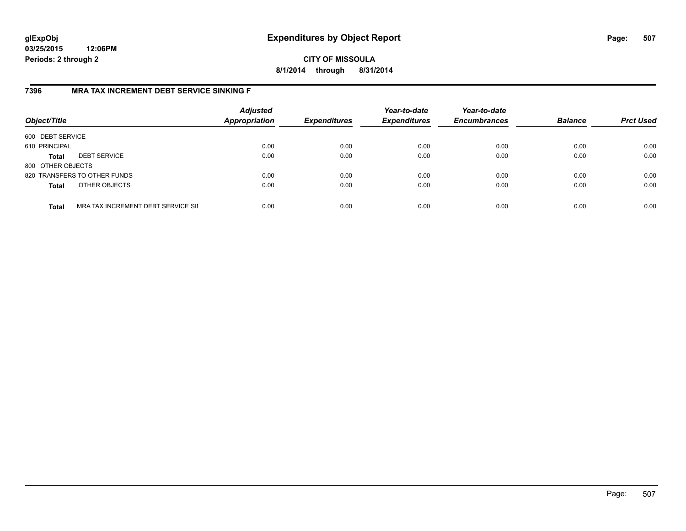## **CITY OF MISSOULA 8/1/2014 through 8/31/2014**

## **7396 MRA TAX INCREMENT DEBT SERVICE SINKING F**

| Object/Title      |                                    | <b>Adjusted</b><br><b>Appropriation</b> | <b>Expenditures</b> | Year-to-date<br><b>Expenditures</b> | Year-to-date<br><b>Encumbrances</b> | <b>Balance</b> | <b>Prct Used</b> |
|-------------------|------------------------------------|-----------------------------------------|---------------------|-------------------------------------|-------------------------------------|----------------|------------------|
| 600 DEBT SERVICE  |                                    |                                         |                     |                                     |                                     |                |                  |
| 610 PRINCIPAL     |                                    | 0.00                                    | 0.00                | 0.00                                | 0.00                                | 0.00           | 0.00             |
| <b>Total</b>      | <b>DEBT SERVICE</b>                | 0.00                                    | 0.00                | 0.00                                | 0.00                                | 0.00           | 0.00             |
| 800 OTHER OBJECTS |                                    |                                         |                     |                                     |                                     |                |                  |
|                   | 820 TRANSFERS TO OTHER FUNDS       | 0.00                                    | 0.00                | 0.00                                | 0.00                                | 0.00           | 0.00             |
| <b>Total</b>      | OTHER OBJECTS                      | 0.00                                    | 0.00                | 0.00                                | 0.00                                | 0.00           | 0.00             |
| <b>Total</b>      | MRA TAX INCREMENT DEBT SERVICE SII | 0.00                                    | 0.00                | 0.00                                | 0.00                                | 0.00           | 0.00             |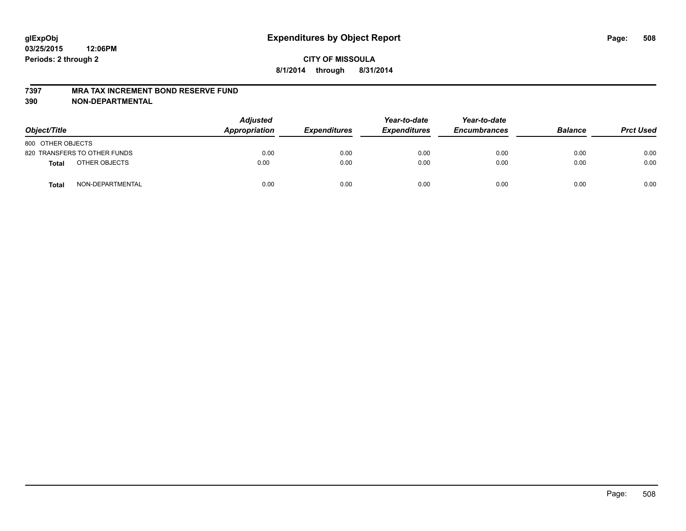#### **7397 MRA TAX INCREMENT BOND RESERVE FUND**

**390 NON-DEPARTMENTAL**

| Object/Title                     | <b>Adjusted</b><br><b>Appropriation</b> | <b>Expenditures</b> | Year-to-date<br><b>Expenditures</b> | Year-to-date<br><b>Encumbrances</b> | <b>Balance</b> | <b>Prct Used</b> |
|----------------------------------|-----------------------------------------|---------------------|-------------------------------------|-------------------------------------|----------------|------------------|
| 800 OTHER OBJECTS                |                                         |                     |                                     |                                     |                |                  |
| 820 TRANSFERS TO OTHER FUNDS     | 0.00                                    | 0.00                | 0.00                                | 0.00                                | 0.00           | 0.00             |
| OTHER OBJECTS<br><b>Total</b>    | 0.00                                    | 0.00                | 0.00                                | 0.00                                | 0.00           | 0.00             |
| NON-DEPARTMENTAL<br><b>Total</b> | 0.00                                    | 0.00                | 0.00                                | 0.00                                | 0.00           | 0.00             |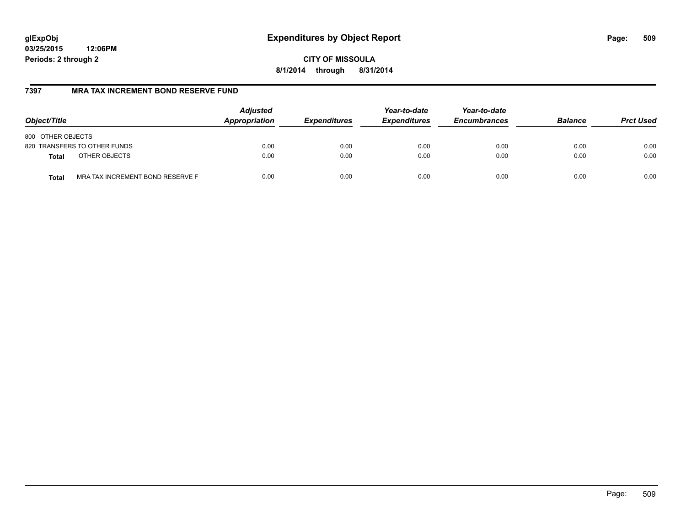# **glExpObj Expenditures by Object Report Page: 509**

**03/25/2015 12:06PM Periods: 2 through 2**

**CITY OF MISSOULA 8/1/2014 through 8/31/2014**

## **7397 MRA TAX INCREMENT BOND RESERVE FUND**

| Object/Title                                     | <b>Adjusted</b><br>Appropriation | <b>Expenditures</b> | Year-to-date<br><b>Expenditures</b> | Year-to-date<br><b>Encumbrances</b> | <b>Balance</b> | <b>Prct Used</b> |
|--------------------------------------------------|----------------------------------|---------------------|-------------------------------------|-------------------------------------|----------------|------------------|
| 800 OTHER OBJECTS                                |                                  |                     |                                     |                                     |                |                  |
| 820 TRANSFERS TO OTHER FUNDS                     | 0.00                             | 0.00                | 0.00                                | 0.00                                | 0.00           | 0.00             |
| OTHER OBJECTS<br><b>Total</b>                    | 0.00                             | 0.00                | 0.00                                | 0.00                                | 0.00           | 0.00             |
| MRA TAX INCREMENT BOND RESERVE F<br><b>Total</b> | 0.00                             | 0.00                | 0.00                                | 0.00                                | 0.00           | 0.00             |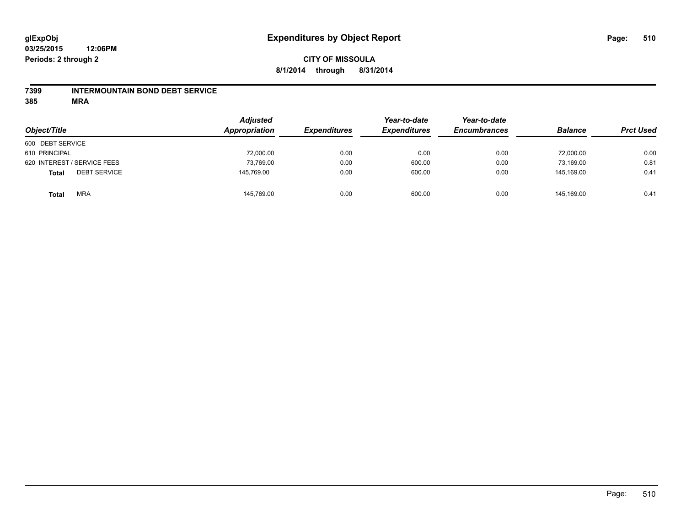### **7399 INTERMOUNTAIN BOND DEBT SERVICE**

**385 MRA**

| Object/Title                        | <b>Adjusted</b><br>Appropriation | <b>Expenditures</b> | Year-to-date<br><b>Expenditures</b> | Year-to-date<br><b>Encumbrances</b> | <b>Balance</b> | <b>Prct Used</b> |
|-------------------------------------|----------------------------------|---------------------|-------------------------------------|-------------------------------------|----------------|------------------|
| 600 DEBT SERVICE                    |                                  |                     |                                     |                                     |                |                  |
| 610 PRINCIPAL                       | 72,000.00                        | 0.00                | 0.00                                | 0.00                                | 72,000.00      | 0.00             |
| 620 INTEREST / SERVICE FEES         | 73,769.00                        | 0.00                | 600.00                              | 0.00                                | 73.169.00      | 0.81             |
| <b>DEBT SERVICE</b><br><b>Total</b> | 145,769.00                       | 0.00                | 600.00                              | 0.00                                | 145.169.00     | 0.41             |
| <b>MRA</b><br><b>Total</b>          | 145,769.00                       | 0.00                | 600.00                              | 0.00                                | 145.169.00     | 0.41             |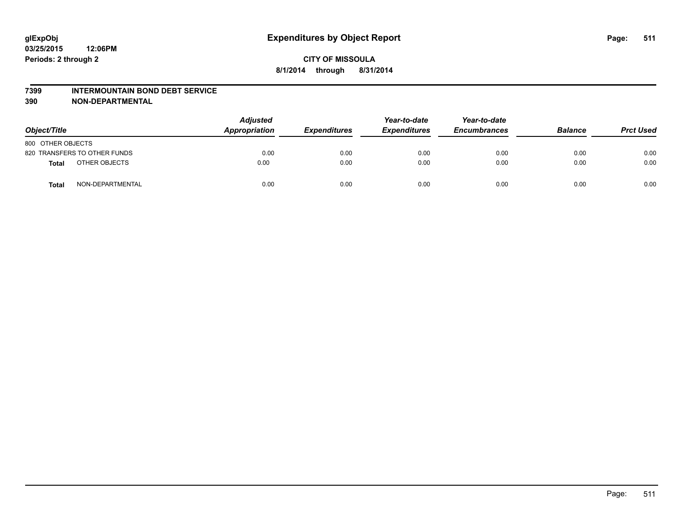#### **7399 INTERMOUNTAIN BOND DEBT SERVICE**

**390 NON-DEPARTMENTAL**

| Object/Title                     | <b>Adjusted</b><br>Appropriation | <b>Expenditures</b> | Year-to-date<br><b>Expenditures</b> | Year-to-date<br><b>Encumbrances</b> | <b>Balance</b> | <b>Prct Used</b> |
|----------------------------------|----------------------------------|---------------------|-------------------------------------|-------------------------------------|----------------|------------------|
| 800 OTHER OBJECTS                |                                  |                     |                                     |                                     |                |                  |
| 820 TRANSFERS TO OTHER FUNDS     | 0.00                             | 0.00                | 0.00                                | 0.00                                | 0.00           | 0.00             |
| OTHER OBJECTS<br><b>Total</b>    | 0.00                             | 0.00                | 0.00                                | 0.00                                | 0.00           | 0.00             |
| NON-DEPARTMENTAL<br><b>Total</b> | 0.00                             | 0.00                | 0.00                                | 0.00                                | 0.00           | 0.00             |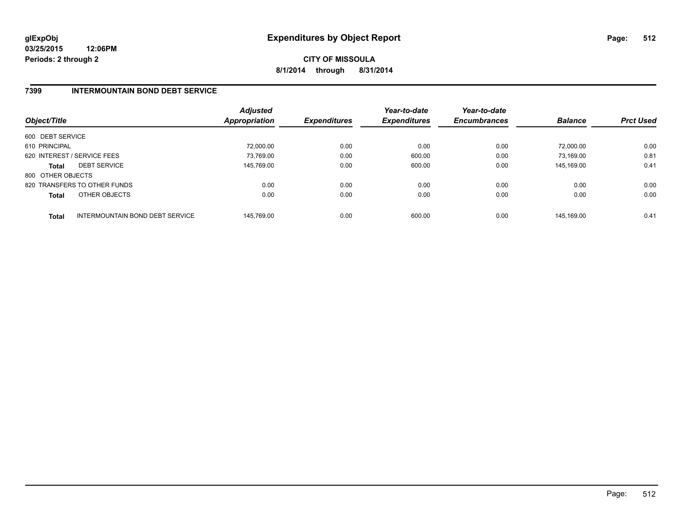**CITY OF MISSOULA 8/1/2014 through 8/31/2014**

## **7399 INTERMOUNTAIN BOND DEBT SERVICE**

| Object/Title      |                                 | <b>Adjusted</b><br><b>Appropriation</b> | <b>Expenditures</b> | Year-to-date<br><b>Expenditures</b> | Year-to-date<br><b>Encumbrances</b> | <b>Balance</b> | <b>Prct Used</b> |
|-------------------|---------------------------------|-----------------------------------------|---------------------|-------------------------------------|-------------------------------------|----------------|------------------|
| 600 DEBT SERVICE  |                                 |                                         |                     |                                     |                                     |                |                  |
| 610 PRINCIPAL     |                                 | 72.000.00                               | 0.00                | 0.00                                | 0.00                                | 72.000.00      | 0.00             |
|                   | 620 INTEREST / SERVICE FEES     | 73,769.00                               | 0.00                | 600.00                              | 0.00                                | 73.169.00      | 0.81             |
| <b>Total</b>      | <b>DEBT SERVICE</b>             | 145.769.00                              | 0.00                | 600.00                              | 0.00                                | 145.169.00     | 0.41             |
| 800 OTHER OBJECTS |                                 |                                         |                     |                                     |                                     |                |                  |
|                   | 820 TRANSFERS TO OTHER FUNDS    | 0.00                                    | 0.00                | 0.00                                | 0.00                                | 0.00           | 0.00             |
| <b>Total</b>      | OTHER OBJECTS                   | 0.00                                    | 0.00                | 0.00                                | 0.00                                | 0.00           | 0.00             |
| <b>Total</b>      | INTERMOUNTAIN BOND DEBT SERVICE | 145.769.00                              | 0.00                | 600.00                              | 0.00                                | 145.169.00     | 0.41             |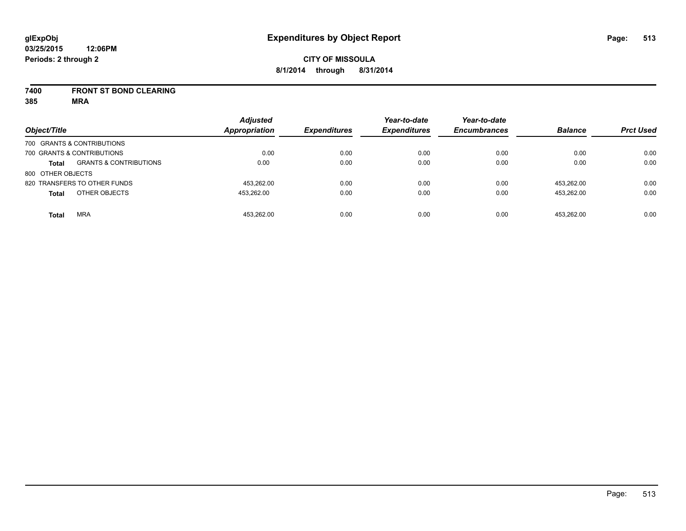### **7400 FRONT ST BOND CLEARING**

**385 MRA**

|                   |                                   | <b>Adjusted</b>      |                     | Year-to-date        | Year-to-date        |                |                  |
|-------------------|-----------------------------------|----------------------|---------------------|---------------------|---------------------|----------------|------------------|
| Object/Title      |                                   | <b>Appropriation</b> | <b>Expenditures</b> | <b>Expenditures</b> | <b>Encumbrances</b> | <b>Balance</b> | <b>Prct Used</b> |
|                   | 700 GRANTS & CONTRIBUTIONS        |                      |                     |                     |                     |                |                  |
|                   | 700 GRANTS & CONTRIBUTIONS        | 0.00                 | 0.00                | 0.00                | 0.00                | 0.00           | 0.00             |
| <b>Total</b>      | <b>GRANTS &amp; CONTRIBUTIONS</b> | 0.00                 | 0.00                | 0.00                | 0.00                | 0.00           | 0.00             |
| 800 OTHER OBJECTS |                                   |                      |                     |                     |                     |                |                  |
|                   | 820 TRANSFERS TO OTHER FUNDS      | 453,262.00           | 0.00                | 0.00                | 0.00                | 453.262.00     | 0.00             |
| <b>Total</b>      | OTHER OBJECTS                     | 453,262.00           | 0.00                | 0.00                | 0.00                | 453.262.00     | 0.00             |
| <b>Total</b>      | <b>MRA</b>                        | 453.262.00           | 0.00                | 0.00                | 0.00                | 453.262.00     | 0.00             |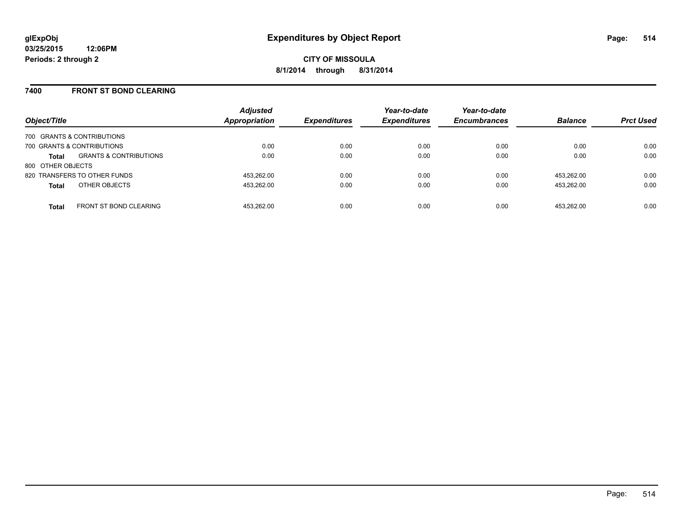### **7400 FRONT ST BOND CLEARING**

| Object/Title      |                                   | <b>Adjusted</b><br><b>Appropriation</b> | <b>Expenditures</b> | Year-to-date<br><b>Expenditures</b> | Year-to-date<br><b>Encumbrances</b> | <b>Balance</b> | <b>Prct Used</b> |
|-------------------|-----------------------------------|-----------------------------------------|---------------------|-------------------------------------|-------------------------------------|----------------|------------------|
|                   | 700 GRANTS & CONTRIBUTIONS        |                                         |                     |                                     |                                     |                |                  |
|                   | 700 GRANTS & CONTRIBUTIONS        | 0.00                                    | 0.00                | 0.00                                | 0.00                                | 0.00           | 0.00             |
| <b>Total</b>      | <b>GRANTS &amp; CONTRIBUTIONS</b> | 0.00                                    | 0.00                | 0.00                                | 0.00                                | 0.00           | 0.00             |
| 800 OTHER OBJECTS |                                   |                                         |                     |                                     |                                     |                |                  |
|                   | 820 TRANSFERS TO OTHER FUNDS      | 453.262.00                              | 0.00                | 0.00                                | 0.00                                | 453.262.00     | 0.00             |
| <b>Total</b>      | OTHER OBJECTS                     | 453.262.00                              | 0.00                | 0.00                                | 0.00                                | 453.262.00     | 0.00             |
| <b>Total</b>      | <b>FRONT ST BOND CLEARING</b>     | 453.262.00                              | 0.00                | 0.00                                | 0.00                                | 453.262.00     | 0.00             |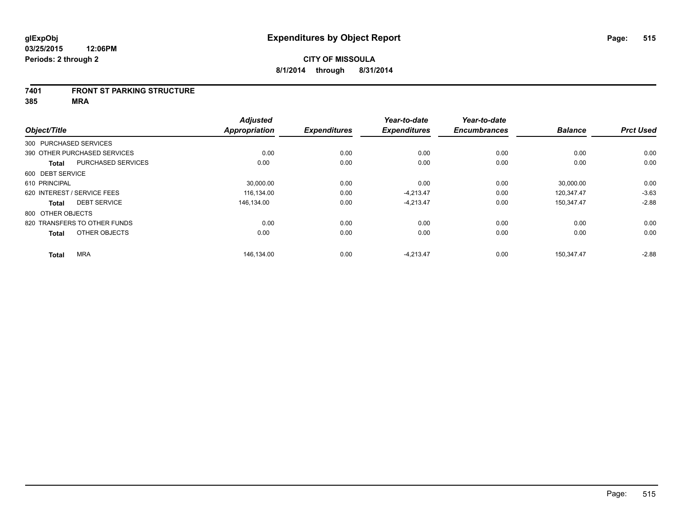#### **7401 FRONT ST PARKING STRUCTURE**

**385 MRA**

|                        |                              | <b>Adjusted</b>      |                     | Year-to-date        | Year-to-date        |                |                  |
|------------------------|------------------------------|----------------------|---------------------|---------------------|---------------------|----------------|------------------|
| Object/Title           |                              | <b>Appropriation</b> | <b>Expenditures</b> | <b>Expenditures</b> | <b>Encumbrances</b> | <b>Balance</b> | <b>Prct Used</b> |
| 300 PURCHASED SERVICES |                              |                      |                     |                     |                     |                |                  |
|                        | 390 OTHER PURCHASED SERVICES | 0.00                 | 0.00                | 0.00                | 0.00                | 0.00           | 0.00             |
| <b>Total</b>           | <b>PURCHASED SERVICES</b>    | 0.00                 | 0.00                | 0.00                | 0.00                | 0.00           | 0.00             |
| 600 DEBT SERVICE       |                              |                      |                     |                     |                     |                |                  |
| 610 PRINCIPAL          |                              | 30,000.00            | 0.00                | 0.00                | 0.00                | 30,000.00      | 0.00             |
|                        | 620 INTEREST / SERVICE FEES  | 116,134.00           | 0.00                | $-4.213.47$         | 0.00                | 120.347.47     | $-3.63$          |
| <b>Total</b>           | <b>DEBT SERVICE</b>          | 146.134.00           | 0.00                | $-4,213.47$         | 0.00                | 150,347.47     | $-2.88$          |
| 800 OTHER OBJECTS      |                              |                      |                     |                     |                     |                |                  |
|                        | 820 TRANSFERS TO OTHER FUNDS | 0.00                 | 0.00                | 0.00                | 0.00                | 0.00           | 0.00             |
| <b>Total</b>           | OTHER OBJECTS                | 0.00                 | 0.00                | 0.00                | 0.00                | 0.00           | 0.00             |
| <b>Total</b>           | <b>MRA</b>                   | 146,134.00           | 0.00                | $-4,213.47$         | 0.00                | 150.347.47     | $-2.88$          |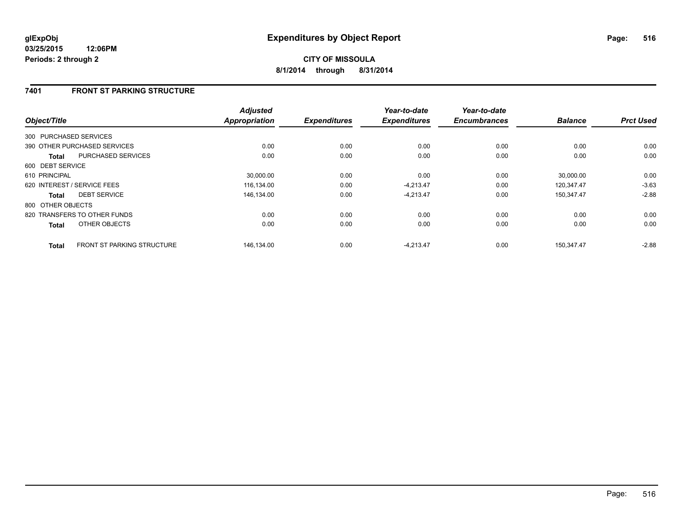## **7401 FRONT ST PARKING STRUCTURE**

| Object/Title                                      | <b>Adjusted</b><br>Appropriation | <b>Expenditures</b> | Year-to-date<br><b>Expenditures</b> | Year-to-date<br><b>Encumbrances</b> | <b>Balance</b> | <b>Prct Used</b> |
|---------------------------------------------------|----------------------------------|---------------------|-------------------------------------|-------------------------------------|----------------|------------------|
|                                                   |                                  |                     |                                     |                                     |                |                  |
| 300 PURCHASED SERVICES                            |                                  |                     |                                     |                                     |                |                  |
| 390 OTHER PURCHASED SERVICES                      | 0.00                             | 0.00                | 0.00                                | 0.00                                | 0.00           | 0.00             |
| PURCHASED SERVICES<br><b>Total</b>                | 0.00                             | 0.00                | 0.00                                | 0.00                                | 0.00           | 0.00             |
| 600 DEBT SERVICE                                  |                                  |                     |                                     |                                     |                |                  |
| 610 PRINCIPAL                                     | 30.000.00                        | 0.00                | 0.00                                | 0.00                                | 30.000.00      | 0.00             |
| 620 INTEREST / SERVICE FEES                       | 116,134.00                       | 0.00                | $-4,213.47$                         | 0.00                                | 120,347.47     | $-3.63$          |
| <b>DEBT SERVICE</b><br><b>Total</b>               | 146,134.00                       | 0.00                | $-4,213.47$                         | 0.00                                | 150.347.47     | $-2.88$          |
| 800 OTHER OBJECTS                                 |                                  |                     |                                     |                                     |                |                  |
| 820 TRANSFERS TO OTHER FUNDS                      | 0.00                             | 0.00                | 0.00                                | 0.00                                | 0.00           | 0.00             |
| OTHER OBJECTS<br><b>Total</b>                     | 0.00                             | 0.00                | 0.00                                | 0.00                                | 0.00           | 0.00             |
| <b>FRONT ST PARKING STRUCTURE</b><br><b>Total</b> | 146.134.00                       | 0.00                | $-4.213.47$                         | 0.00                                | 150.347.47     | $-2.88$          |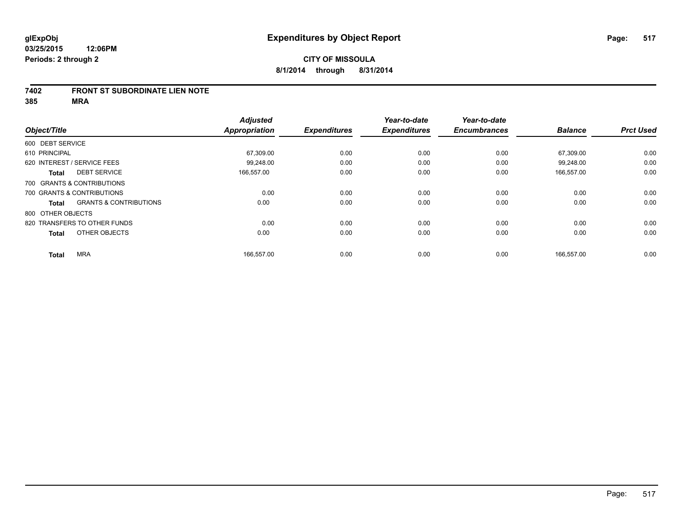### **7402 FRONT ST SUBORDINATE LIEN NOTE**

**385 MRA**

|                   |                                   | <b>Adjusted</b>      |                     | Year-to-date        | Year-to-date        |                |                  |
|-------------------|-----------------------------------|----------------------|---------------------|---------------------|---------------------|----------------|------------------|
| Object/Title      |                                   | <b>Appropriation</b> | <b>Expenditures</b> | <b>Expenditures</b> | <b>Encumbrances</b> | <b>Balance</b> | <b>Prct Used</b> |
| 600 DEBT SERVICE  |                                   |                      |                     |                     |                     |                |                  |
| 610 PRINCIPAL     |                                   | 67,309.00            | 0.00                | 0.00                | 0.00                | 67,309.00      | 0.00             |
|                   | 620 INTEREST / SERVICE FEES       | 99.248.00            | 0.00                | 0.00                | 0.00                | 99.248.00      | 0.00             |
| <b>Total</b>      | <b>DEBT SERVICE</b>               | 166.557.00           | 0.00                | 0.00                | 0.00                | 166.557.00     | 0.00             |
|                   | 700 GRANTS & CONTRIBUTIONS        |                      |                     |                     |                     |                |                  |
|                   | 700 GRANTS & CONTRIBUTIONS        | 0.00                 | 0.00                | 0.00                | 0.00                | 0.00           | 0.00             |
| <b>Total</b>      | <b>GRANTS &amp; CONTRIBUTIONS</b> | 0.00                 | 0.00                | 0.00                | 0.00                | 0.00           | 0.00             |
| 800 OTHER OBJECTS |                                   |                      |                     |                     |                     |                |                  |
|                   | 820 TRANSFERS TO OTHER FUNDS      | 0.00                 | 0.00                | 0.00                | 0.00                | 0.00           | 0.00             |
| <b>Total</b>      | OTHER OBJECTS                     | 0.00                 | 0.00                | 0.00                | 0.00                | 0.00           | 0.00             |
|                   |                                   |                      |                     |                     |                     |                |                  |
| <b>Total</b>      | <b>MRA</b>                        | 166,557.00           | 0.00                | 0.00                | 0.00                | 166,557.00     | 0.00             |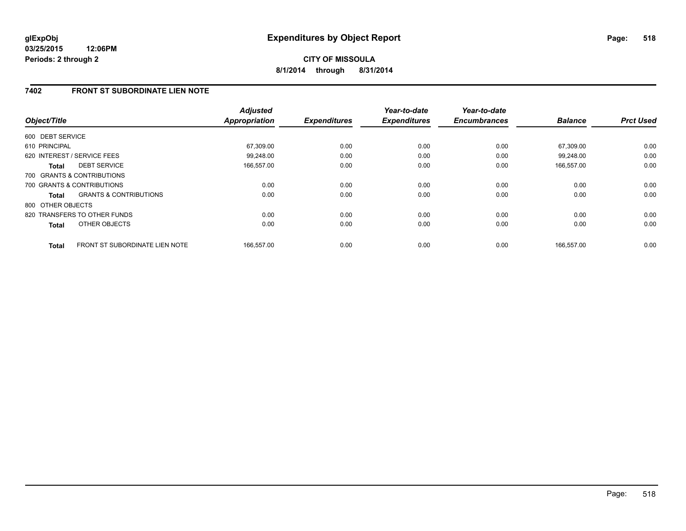**CITY OF MISSOULA 8/1/2014 through 8/31/2014**

## **7402 FRONT ST SUBORDINATE LIEN NOTE**

| Object/Title      |                                       | <b>Adjusted</b><br><b>Appropriation</b> | <b>Expenditures</b> | Year-to-date<br><b>Expenditures</b> | Year-to-date<br><b>Encumbrances</b> | <b>Balance</b> | <b>Prct Used</b> |
|-------------------|---------------------------------------|-----------------------------------------|---------------------|-------------------------------------|-------------------------------------|----------------|------------------|
|                   |                                       |                                         |                     |                                     |                                     |                |                  |
| 600 DEBT SERVICE  |                                       |                                         |                     |                                     |                                     |                |                  |
| 610 PRINCIPAL     |                                       | 67,309.00                               | 0.00                | 0.00                                | 0.00                                | 67,309.00      | 0.00             |
|                   | 620 INTEREST / SERVICE FEES           | 99,248.00                               | 0.00                | 0.00                                | 0.00                                | 99.248.00      | 0.00             |
| <b>Total</b>      | <b>DEBT SERVICE</b>                   | 166,557.00                              | 0.00                | 0.00                                | 0.00                                | 166,557.00     | 0.00             |
|                   | 700 GRANTS & CONTRIBUTIONS            |                                         |                     |                                     |                                     |                |                  |
|                   | 700 GRANTS & CONTRIBUTIONS            | 0.00                                    | 0.00                | 0.00                                | 0.00                                | 0.00           | 0.00             |
| Total             | <b>GRANTS &amp; CONTRIBUTIONS</b>     | 0.00                                    | 0.00                | 0.00                                | 0.00                                | 0.00           | 0.00             |
| 800 OTHER OBJECTS |                                       |                                         |                     |                                     |                                     |                |                  |
|                   | 820 TRANSFERS TO OTHER FUNDS          | 0.00                                    | 0.00                | 0.00                                | 0.00                                | 0.00           | 0.00             |
| <b>Total</b>      | OTHER OBJECTS                         | 0.00                                    | 0.00                | 0.00                                | 0.00                                | 0.00           | 0.00             |
| <b>Total</b>      | <b>FRONT ST SUBORDINATE LIEN NOTE</b> | 166,557.00                              | 0.00                | 0.00                                | 0.00                                | 166.557.00     | 0.00             |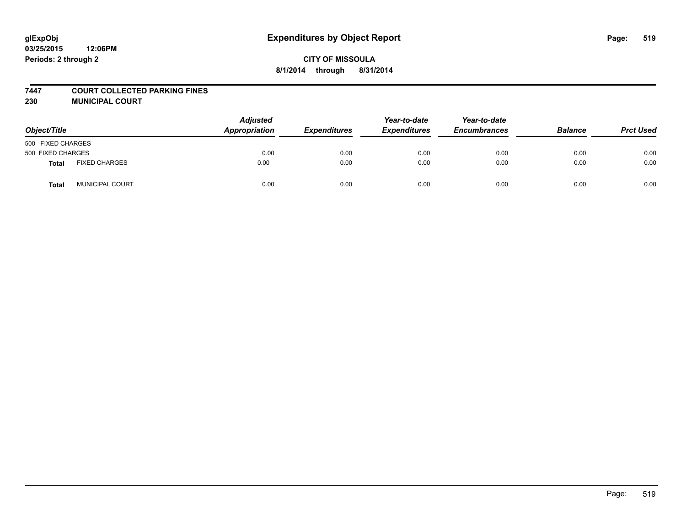#### **7447 COURT COLLECTED PARKING FINES**

**230 MUNICIPAL COURT**

| Object/Title      |                        | <b>Adjusted</b><br>Appropriation | <b>Expenditures</b> | Year-to-date<br><b>Expenditures</b> | Year-to-date<br><b>Encumbrances</b> | <b>Balance</b> | <b>Prct Used</b> |
|-------------------|------------------------|----------------------------------|---------------------|-------------------------------------|-------------------------------------|----------------|------------------|
| 500 FIXED CHARGES |                        |                                  |                     |                                     |                                     |                |                  |
| 500 FIXED CHARGES |                        | 0.00                             | 0.00                | 0.00                                | 0.00                                | 0.00           | 0.00             |
| Total             | <b>FIXED CHARGES</b>   | 0.00                             | 0.00                | 0.00                                | 0.00                                | 0.00           | 0.00             |
| <b>Total</b>      | <b>MUNICIPAL COURT</b> | 0.00                             | 0.00                | 0.00                                | 0.00                                | 0.00           | 0.00             |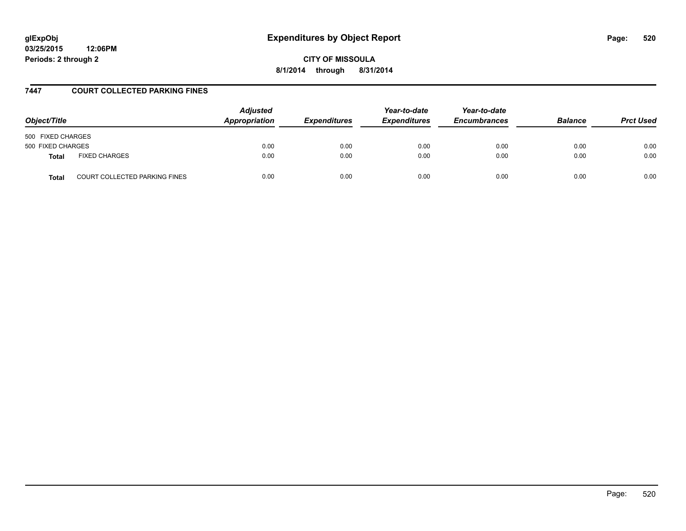# **glExpObj Expenditures by Object Report Page: 520**

**03/25/2015 12:06PM Periods: 2 through 2**

**CITY OF MISSOULA 8/1/2014 through 8/31/2014**

### **7447 COURT COLLECTED PARKING FINES**

| Object/Title                                         | <b>Adjusted</b><br>Appropriation | <b>Expenditures</b> | Year-to-date<br><b>Expenditures</b> | Year-to-date<br><b>Encumbrances</b> | <b>Balance</b> | <b>Prct Used</b> |
|------------------------------------------------------|----------------------------------|---------------------|-------------------------------------|-------------------------------------|----------------|------------------|
| 500 FIXED CHARGES                                    |                                  |                     |                                     |                                     |                |                  |
| 500 FIXED CHARGES                                    | 0.00                             | 0.00                | 0.00                                | 0.00                                | 0.00           | 0.00             |
| <b>FIXED CHARGES</b><br><b>Total</b>                 | 0.00                             | 0.00                | 0.00                                | 0.00                                | 0.00           | 0.00             |
| <b>COURT COLLECTED PARKING FINES</b><br><b>Total</b> | 0.00                             | 0.00                | 0.00                                | 0.00                                | 0.00           | 0.00             |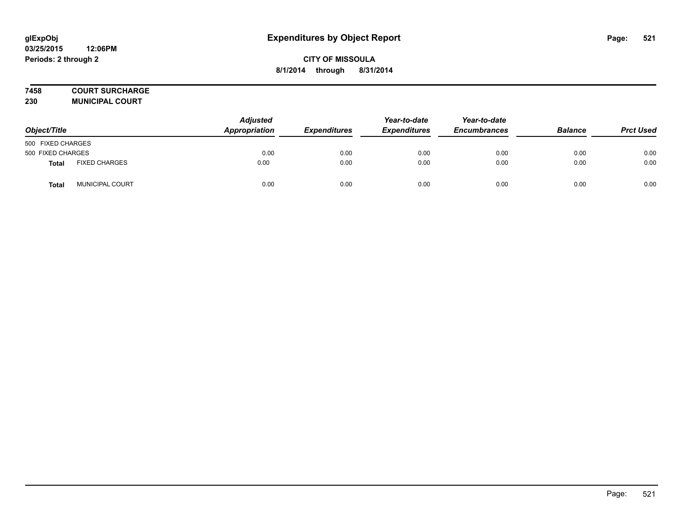## **7458 COURT SURCHARGE**

**230 MUNICIPAL COURT**

| Object/Title      |                        | <b>Adjusted</b><br>Appropriation | <b>Expenditures</b> | Year-to-date<br><b>Expenditures</b> | Year-to-date<br><b>Encumbrances</b> | <b>Balance</b> | <b>Prct Used</b> |
|-------------------|------------------------|----------------------------------|---------------------|-------------------------------------|-------------------------------------|----------------|------------------|
| 500 FIXED CHARGES |                        |                                  |                     |                                     |                                     |                |                  |
| 500 FIXED CHARGES |                        | 0.00                             | 0.00                | 0.00                                | 0.00                                | 0.00           | 0.00             |
| <b>Total</b>      | <b>FIXED CHARGES</b>   | 0.00                             | 0.00                | 0.00                                | 0.00                                | 0.00           | 0.00             |
| Total             | <b>MUNICIPAL COURT</b> | 0.00                             | 0.00                | 0.00                                | 0.00                                | 0.00           | 0.00             |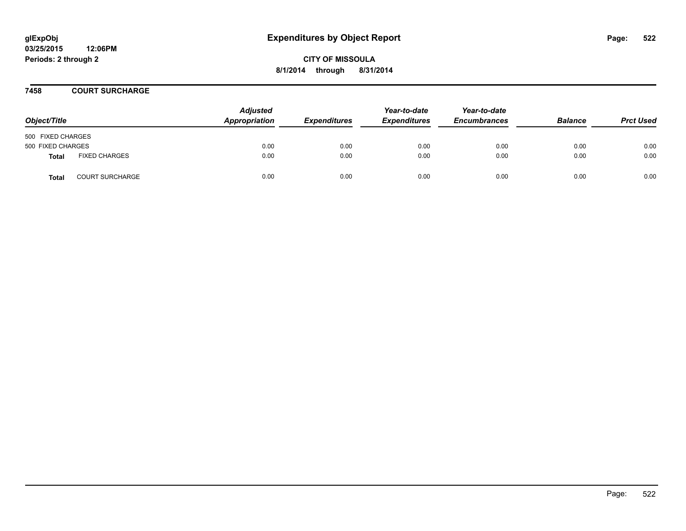### **7458 COURT SURCHARGE**

| Object/Title      |                        | <b>Adjusted</b><br>Appropriation | <b>Expenditures</b> | Year-to-date<br><b>Expenditures</b> | Year-to-date<br><b>Encumbrances</b> | <b>Balance</b> | <b>Prct Used</b> |
|-------------------|------------------------|----------------------------------|---------------------|-------------------------------------|-------------------------------------|----------------|------------------|
| 500 FIXED CHARGES |                        |                                  |                     |                                     |                                     |                |                  |
| 500 FIXED CHARGES |                        | 0.00                             | 0.00                | 0.00                                | 0.00                                | 0.00           | 0.00             |
| <b>Total</b>      | <b>FIXED CHARGES</b>   | 0.00                             | 0.00                | 0.00                                | 0.00                                | 0.00           | 0.00             |
| <b>Total</b>      | <b>COURT SURCHARGE</b> | 0.00                             | 0.00                | 0.00                                | 0.00                                | 0.00           | 0.00             |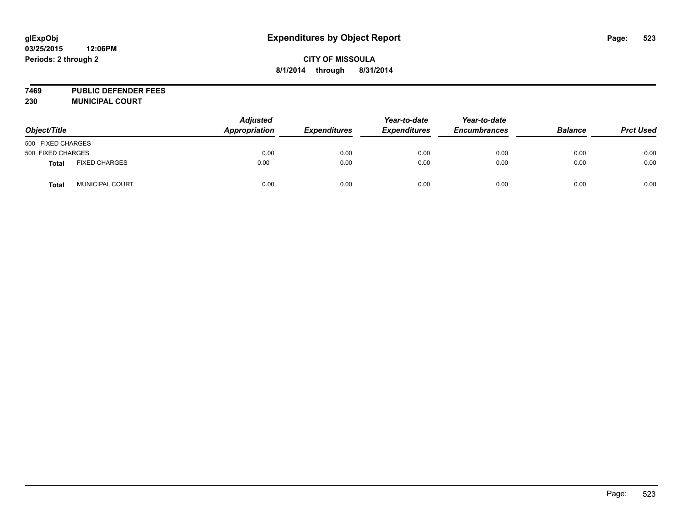**7469 PUBLIC DEFENDER FEES 230 MUNICIPAL COURT**

*Object/Title Adjusted Appropriation Expenditures Year-to-date Expenditures Year-to-date Encumbrances Balance Prct Used* 500 FIXED CHARGES 500 FIXED CHARGES 0.00 0.00 0.00 0.00 0.00 0.00 **Total** FIXED CHARGES 0.00 0.00 0.00 0.00 0.00 0.00 **Total** MUNICIPAL COURT 0.00 0.00 0.00 0.00 0.00 0.00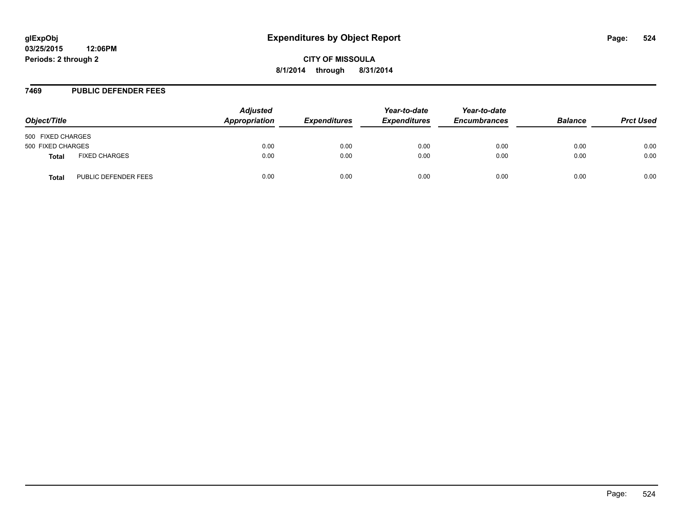#### **7469 PUBLIC DEFENDER FEES**

| Object/Title      |                      | <b>Adjusted</b><br>Appropriation | <b>Expenditures</b> | Year-to-date<br><b>Expenditures</b> | Year-to-date<br><b>Encumbrances</b> | <b>Balance</b> | <b>Prct Used</b> |
|-------------------|----------------------|----------------------------------|---------------------|-------------------------------------|-------------------------------------|----------------|------------------|
| 500 FIXED CHARGES |                      |                                  |                     |                                     |                                     |                |                  |
| 500 FIXED CHARGES |                      | 0.00                             | 0.00                | 0.00                                | 0.00                                | 0.00           | 0.00             |
| Total             | <b>FIXED CHARGES</b> | 0.00                             | 0.00                | 0.00                                | 0.00                                | 0.00           | 0.00             |
| Total             | PUBLIC DEFENDER FEES | 0.00                             | 0.00                | 0.00                                | 0.00                                | 0.00           | 0.00             |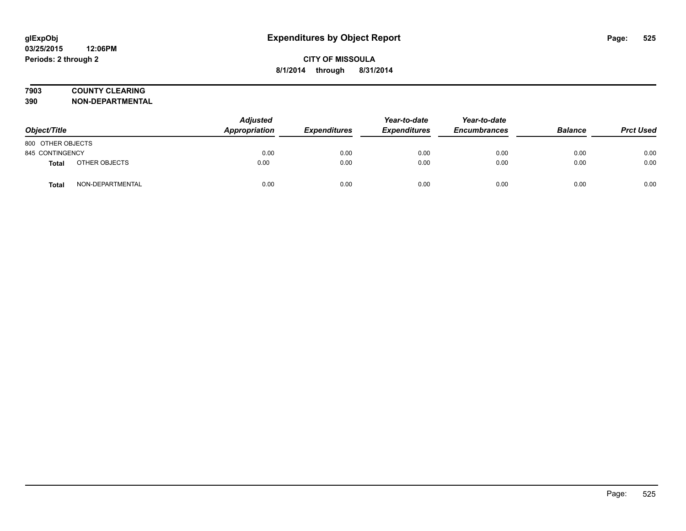# **7903 COUNTY CLEARING**

**390 NON-DEPARTMENTAL**

| Object/Title      |                  | <b>Adjusted</b><br>Appropriation | <b>Expenditures</b> | Year-to-date<br><b>Expenditures</b> | Year-to-date<br><b>Encumbrances</b> | <b>Balance</b> | <b>Prct Used</b> |
|-------------------|------------------|----------------------------------|---------------------|-------------------------------------|-------------------------------------|----------------|------------------|
| 800 OTHER OBJECTS |                  |                                  |                     |                                     |                                     |                |                  |
| 845 CONTINGENCY   |                  | 0.00                             | 0.00                | 0.00                                | 0.00                                | 0.00           | 0.00             |
| Total             | OTHER OBJECTS    | 0.00                             | 0.00                | 0.00                                | 0.00                                | 0.00           | 0.00             |
| <b>Total</b>      | NON-DEPARTMENTAL | 0.00                             | 0.00                | 0.00                                | 0.00                                | 0.00           | 0.00             |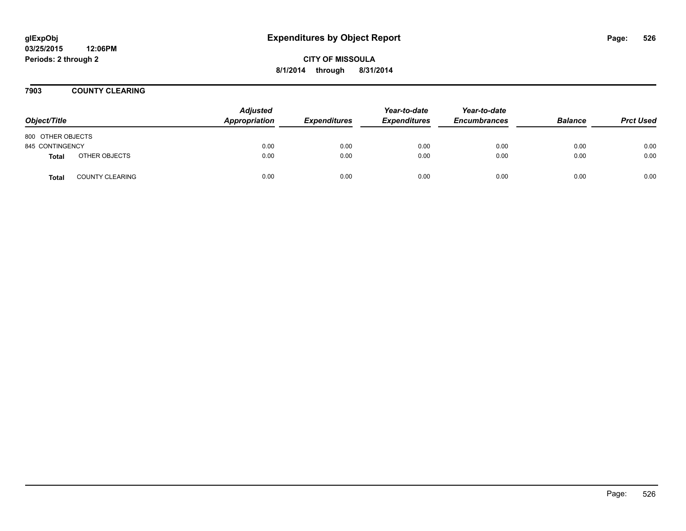**CITY OF MISSOULA 8/1/2014 through 8/31/2014**

**7903 COUNTY CLEARING**

| Object/Title      |                        | <b>Adjusted</b><br>Appropriation | <b>Expenditures</b> | Year-to-date<br><b>Expenditures</b> | Year-to-date<br><b>Encumbrances</b> | <b>Balance</b> | <b>Prct Used</b> |
|-------------------|------------------------|----------------------------------|---------------------|-------------------------------------|-------------------------------------|----------------|------------------|
| 800 OTHER OBJECTS |                        |                                  |                     |                                     |                                     |                |                  |
| 845 CONTINGENCY   |                        | 0.00                             | 0.00                | 0.00                                | 0.00                                | 0.00           | 0.00             |
| <b>Total</b>      | OTHER OBJECTS          | 0.00                             | 0.00                | 0.00                                | 0.00                                | 0.00           | 0.00             |
| <b>Total</b>      | <b>COUNTY CLEARING</b> | 0.00                             | 0.00                | 0.00                                | 0.00                                | 0.00           | 0.00             |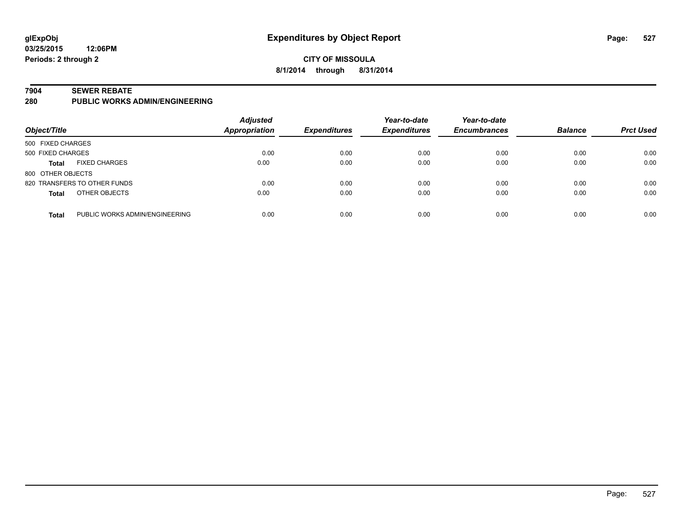## **CITY OF MISSOULA 8/1/2014 through 8/31/2014**

#### **7904 SEWER REBATE**

**280 PUBLIC WORKS ADMIN/ENGINEERING**

| Object/Title      |                                | <b>Adjusted</b><br>Appropriation | <b>Expenditures</b> | Year-to-date<br><b>Expenditures</b> | Year-to-date<br><b>Encumbrances</b> | <b>Balance</b> | <b>Prct Used</b> |
|-------------------|--------------------------------|----------------------------------|---------------------|-------------------------------------|-------------------------------------|----------------|------------------|
| 500 FIXED CHARGES |                                |                                  |                     |                                     |                                     |                |                  |
| 500 FIXED CHARGES |                                | 0.00                             | 0.00                | 0.00                                | 0.00                                | 0.00           | 0.00             |
| <b>Total</b>      | <b>FIXED CHARGES</b>           | 0.00                             | 0.00                | 0.00                                | 0.00                                | 0.00           | 0.00             |
| 800 OTHER OBJECTS |                                |                                  |                     |                                     |                                     |                |                  |
|                   | 820 TRANSFERS TO OTHER FUNDS   | 0.00                             | 0.00                | 0.00                                | 0.00                                | 0.00           | 0.00             |
| <b>Total</b>      | OTHER OBJECTS                  | 0.00                             | 0.00                | 0.00                                | 0.00                                | 0.00           | 0.00             |
| <b>Total</b>      | PUBLIC WORKS ADMIN/ENGINEERING | 0.00                             | 0.00                | 0.00                                | 0.00                                | 0.00           | 0.00             |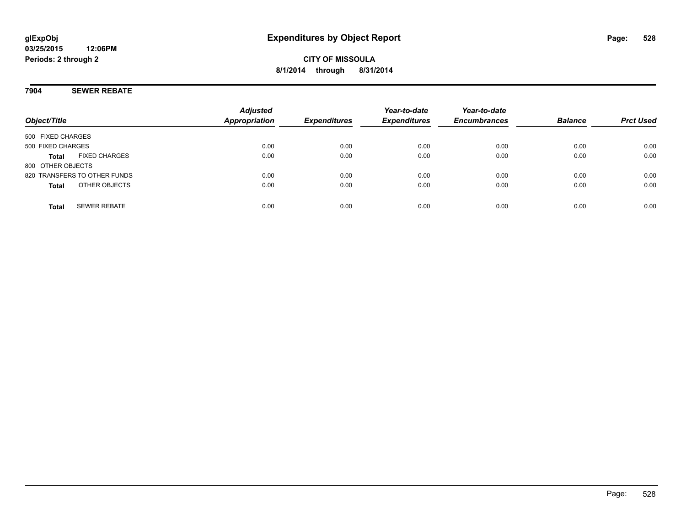## **7904 SEWER REBATE**

| Object/Title                         | <b>Adjusted</b><br><b>Appropriation</b> | <b>Expenditures</b> | Year-to-date<br><b>Expenditures</b> | Year-to-date<br><b>Encumbrances</b> | <b>Balance</b> | <b>Prct Used</b> |
|--------------------------------------|-----------------------------------------|---------------------|-------------------------------------|-------------------------------------|----------------|------------------|
|                                      |                                         |                     |                                     |                                     |                |                  |
| 500 FIXED CHARGES                    |                                         |                     |                                     |                                     |                |                  |
| 500 FIXED CHARGES                    | 0.00                                    | 0.00                | 0.00                                | 0.00                                | 0.00           | 0.00             |
| <b>FIXED CHARGES</b><br><b>Total</b> | 0.00                                    | 0.00                | 0.00                                | 0.00                                | 0.00           | 0.00             |
| 800 OTHER OBJECTS                    |                                         |                     |                                     |                                     |                |                  |
| 820 TRANSFERS TO OTHER FUNDS         | 0.00                                    | 0.00                | 0.00                                | 0.00                                | 0.00           | 0.00             |
| OTHER OBJECTS<br><b>Total</b>        | 0.00                                    | 0.00                | 0.00                                | 0.00                                | 0.00           | 0.00             |
|                                      |                                         |                     |                                     |                                     |                |                  |
| <b>SEWER REBATE</b><br><b>Total</b>  | 0.00                                    | 0.00                | 0.00                                | 0.00                                | 0.00           | 0.00             |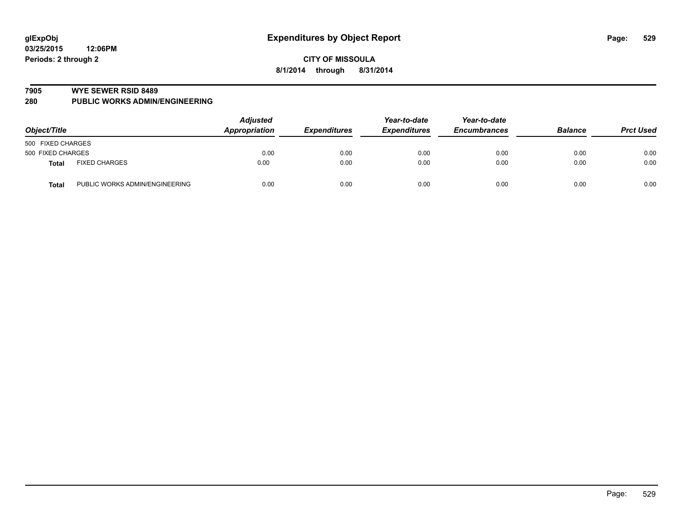#### **7905 WYE SEWER RSID 8489**

**280 PUBLIC WORKS ADMIN/ENGINEERING**

| Object/Title      |                                | <b>Adjusted</b><br>Appropriation | <b>Expenditures</b> | Year-to-date<br><b>Expenditures</b> | Year-to-date<br><b>Encumbrances</b> | <b>Balance</b> | <b>Prct Used</b> |
|-------------------|--------------------------------|----------------------------------|---------------------|-------------------------------------|-------------------------------------|----------------|------------------|
| 500 FIXED CHARGES |                                |                                  |                     |                                     |                                     |                |                  |
| 500 FIXED CHARGES |                                | 0.00                             | 0.00                | 0.00                                | 0.00                                | 0.00           | 0.00             |
| <b>Total</b>      | <b>FIXED CHARGES</b>           | 0.00                             | 0.00                | 0.00                                | 0.00                                | 0.00           | 0.00             |
| <b>Total</b>      | PUBLIC WORKS ADMIN/ENGINEERING | 0.00                             | 0.00                | 0.00                                | 0.00                                | 0.00           | 0.00             |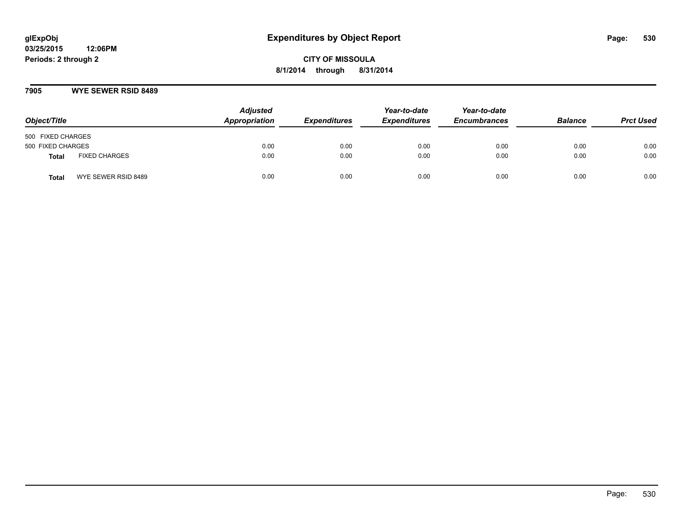### **7905 WYE SEWER RSID 8489**

| Object/Title                  | <b>Adjusted</b><br>Appropriation | <b>Expenditures</b> | Year-to-date<br><b>Expenditures</b> | Year-to-date<br><b>Encumbrances</b> | <b>Balance</b> | <b>Prct Used</b> |
|-------------------------------|----------------------------------|---------------------|-------------------------------------|-------------------------------------|----------------|------------------|
| 500 FIXED CHARGES             |                                  |                     |                                     |                                     |                |                  |
| 500 FIXED CHARGES             | 0.00                             | 0.00                | 0.00                                | 0.00                                | 0.00           | 0.00             |
| <b>FIXED CHARGES</b><br>Total | 0.00                             | 0.00                | 0.00                                | 0.00                                | 0.00           | 0.00             |
| WYE SEWER RSID 8489<br>Total  | 0.00                             | 0.00                | 0.00                                | 0.00                                | 0.00           | 0.00             |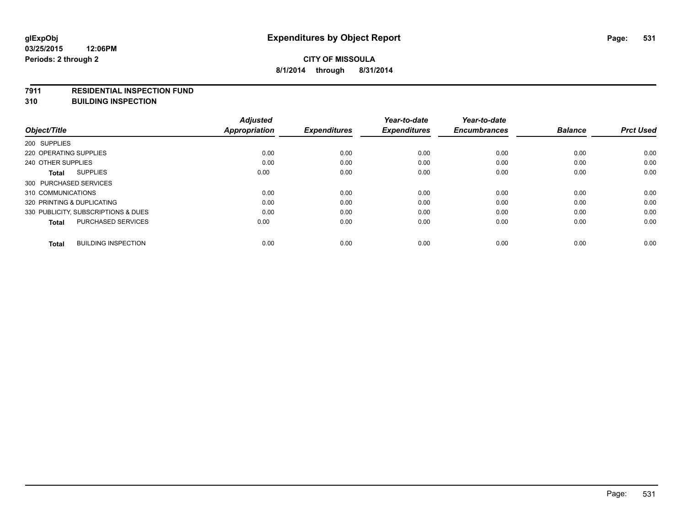#### **7911 RESIDENTIAL INSPECTION FUND**

**310 BUILDING INSPECTION**

|                                            | <b>Adjusted</b>      |                     | Year-to-date        | Year-to-date        |                |                  |
|--------------------------------------------|----------------------|---------------------|---------------------|---------------------|----------------|------------------|
| Object/Title                               | <b>Appropriation</b> | <b>Expenditures</b> | <b>Expenditures</b> | <b>Encumbrances</b> | <b>Balance</b> | <b>Prct Used</b> |
| 200 SUPPLIES                               |                      |                     |                     |                     |                |                  |
| 220 OPERATING SUPPLIES                     | 0.00                 | 0.00                | 0.00                | 0.00                | 0.00           | 0.00             |
| 240 OTHER SUPPLIES                         | 0.00                 | 0.00                | 0.00                | 0.00                | 0.00           | 0.00             |
| <b>SUPPLIES</b><br>Total                   | 0.00                 | 0.00                | 0.00                | 0.00                | 0.00           | 0.00             |
| 300 PURCHASED SERVICES                     |                      |                     |                     |                     |                |                  |
| 310 COMMUNICATIONS                         | 0.00                 | 0.00                | 0.00                | 0.00                | 0.00           | 0.00             |
| 320 PRINTING & DUPLICATING                 | 0.00                 | 0.00                | 0.00                | 0.00                | 0.00           | 0.00             |
| 330 PUBLICITY, SUBSCRIPTIONS & DUES        | 0.00                 | 0.00                | 0.00                | 0.00                | 0.00           | 0.00             |
| <b>PURCHASED SERVICES</b><br><b>Total</b>  | 0.00                 | 0.00                | 0.00                | 0.00                | 0.00           | 0.00             |
|                                            |                      |                     |                     |                     |                |                  |
| <b>BUILDING INSPECTION</b><br><b>Total</b> | 0.00                 | 0.00                | 0.00                | 0.00                | 0.00           | 0.00             |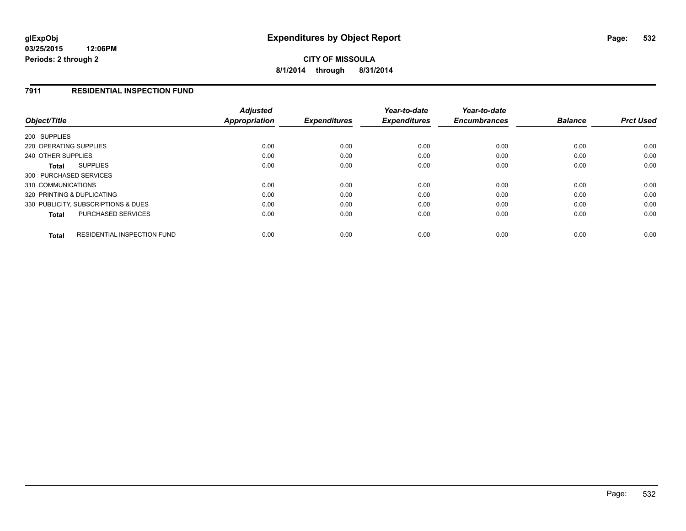**CITY OF MISSOULA 8/1/2014 through 8/31/2014**

### **7911 RESIDENTIAL INSPECTION FUND**

| Object/Title                                       | <b>Adjusted</b><br>Appropriation | <b>Expenditures</b> | Year-to-date<br><b>Expenditures</b> | Year-to-date<br><b>Encumbrances</b> | <b>Balance</b> | <b>Prct Used</b> |
|----------------------------------------------------|----------------------------------|---------------------|-------------------------------------|-------------------------------------|----------------|------------------|
| 200 SUPPLIES                                       |                                  |                     |                                     |                                     |                |                  |
| 220 OPERATING SUPPLIES                             | 0.00                             | 0.00                | 0.00                                | 0.00                                | 0.00           | 0.00             |
| 240 OTHER SUPPLIES                                 | 0.00                             | 0.00                | 0.00                                | 0.00                                | 0.00           | 0.00             |
| <b>SUPPLIES</b><br>Total                           | 0.00                             | 0.00                | 0.00                                | 0.00                                | 0.00           | 0.00             |
| 300 PURCHASED SERVICES                             |                                  |                     |                                     |                                     |                |                  |
| 310 COMMUNICATIONS                                 | 0.00                             | 0.00                | 0.00                                | 0.00                                | 0.00           | 0.00             |
| 320 PRINTING & DUPLICATING                         | 0.00                             | 0.00                | 0.00                                | 0.00                                | 0.00           | 0.00             |
| 330 PUBLICITY, SUBSCRIPTIONS & DUES                | 0.00                             | 0.00                | 0.00                                | 0.00                                | 0.00           | 0.00             |
| PURCHASED SERVICES<br><b>Total</b>                 | 0.00                             | 0.00                | 0.00                                | 0.00                                | 0.00           | 0.00             |
| <b>RESIDENTIAL INSPECTION FUND</b><br><b>Total</b> | 0.00                             | 0.00                | 0.00                                | 0.00                                | 0.00           | 0.00             |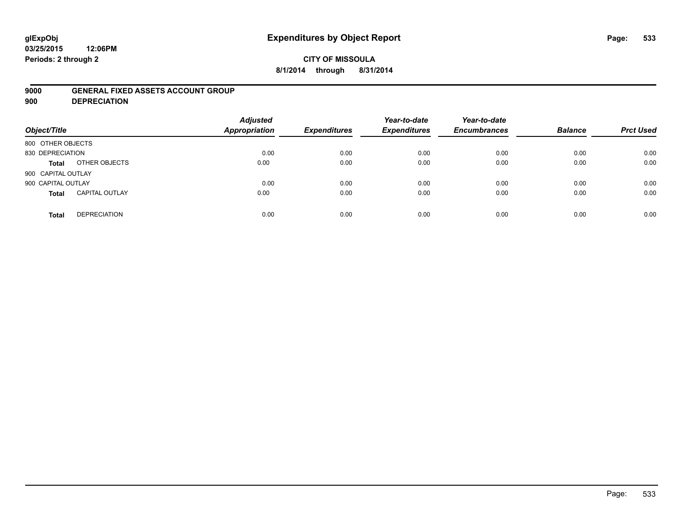# **glExpObj Expenditures by Object Report Page: 533**

#### **03/25/2015 12:06PM Periods: 2 through 2**

## **CITY OF MISSOULA 8/1/2014 through 8/31/2014**

### **9000 GENERAL FIXED ASSETS ACCOUNT GROUP**

**900 DEPRECIATION**

| Object/Title                          | <b>Adjusted</b><br><b>Appropriation</b> | <b>Expenditures</b> | Year-to-date<br><b>Expenditures</b> | Year-to-date<br><b>Encumbrances</b> | <b>Balance</b> | <b>Prct Used</b> |
|---------------------------------------|-----------------------------------------|---------------------|-------------------------------------|-------------------------------------|----------------|------------------|
| 800 OTHER OBJECTS                     |                                         |                     |                                     |                                     |                |                  |
| 830 DEPRECIATION                      | 0.00                                    | 0.00                | 0.00                                | 0.00                                | 0.00           | 0.00             |
| OTHER OBJECTS<br><b>Total</b>         | 0.00                                    | 0.00                | 0.00                                | 0.00                                | 0.00           | 0.00             |
| 900 CAPITAL OUTLAY                    |                                         |                     |                                     |                                     |                |                  |
| 900 CAPITAL OUTLAY                    | 0.00                                    | 0.00                | 0.00                                | 0.00                                | 0.00           | 0.00             |
| <b>CAPITAL OUTLAY</b><br><b>Total</b> | 0.00                                    | 0.00                | 0.00                                | 0.00                                | 0.00           | 0.00             |
| <b>DEPRECIATION</b><br><b>Total</b>   | 0.00                                    | 0.00                | 0.00                                | 0.00                                | 0.00           | 0.00             |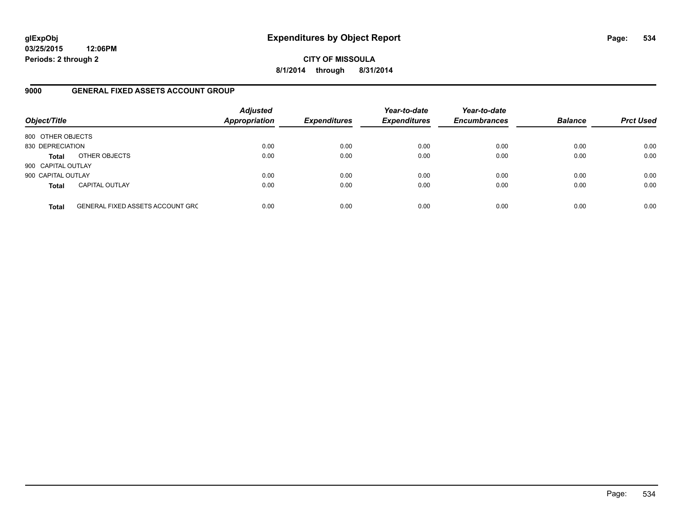**CITY OF MISSOULA 8/1/2014 through 8/31/2014**

### **9000 GENERAL FIXED ASSETS ACCOUNT GROUP**

| Object/Title       |                                         | <b>Adjusted</b><br>Appropriation | <b>Expenditures</b> | Year-to-date<br><b>Expenditures</b> | Year-to-date<br><b>Encumbrances</b> | <b>Balance</b> | <b>Prct Used</b> |
|--------------------|-----------------------------------------|----------------------------------|---------------------|-------------------------------------|-------------------------------------|----------------|------------------|
| 800 OTHER OBJECTS  |                                         |                                  |                     |                                     |                                     |                |                  |
| 830 DEPRECIATION   |                                         | 0.00                             | 0.00                | 0.00                                | 0.00                                | 0.00           | 0.00             |
| <b>Total</b>       | OTHER OBJECTS                           | 0.00                             | 0.00                | 0.00                                | 0.00                                | 0.00           | 0.00             |
| 900 CAPITAL OUTLAY |                                         |                                  |                     |                                     |                                     |                |                  |
| 900 CAPITAL OUTLAY |                                         | 0.00                             | 0.00                | 0.00                                | 0.00                                | 0.00           | 0.00             |
| <b>Total</b>       | <b>CAPITAL OUTLAY</b>                   | 0.00                             | 0.00                | 0.00                                | 0.00                                | 0.00           | 0.00             |
| <b>Total</b>       | <b>GENERAL FIXED ASSETS ACCOUNT GRC</b> | 0.00                             | 0.00                | 0.00                                | 0.00                                | 0.00           | 0.00             |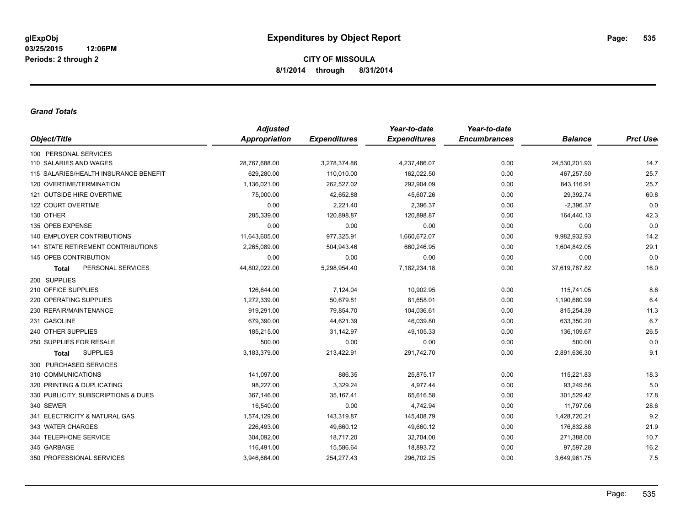#### *Grand Totals*

|                                       | <b>Adjusted</b>      |                     | Year-to-date        | Year-to-date        |                |                  |
|---------------------------------------|----------------------|---------------------|---------------------|---------------------|----------------|------------------|
| Object/Title                          | <b>Appropriation</b> | <b>Expenditures</b> | <b>Expenditures</b> | <b>Encumbrances</b> | <b>Balance</b> | <b>Prct User</b> |
| 100 PERSONAL SERVICES                 |                      |                     |                     |                     |                |                  |
| 110 SALARIES AND WAGES                | 28,767,688.00        | 3,278,374.86        | 4,237,486.07        | 0.00                | 24,530,201.93  | 14.7             |
| 115 SALARIES/HEALTH INSURANCE BENEFIT | 629,280.00           | 110,010.00          | 162,022.50          | 0.00                | 467,257.50     | 25.7             |
| 120 OVERTIME/TERMINATION              | 1,136,021.00         | 262,527.02          | 292,904.09          | 0.00                | 843,116.91     | 25.7             |
| 121 OUTSIDE HIRE OVERTIME             | 75,000.00            | 42,652.88           | 45,607.26           | 0.00                | 29,392.74      | 60.8             |
| 122 COURT OVERTIME                    | 0.00                 | 2.221.40            | 2,396.37            | 0.00                | $-2,396.37$    | 0.0              |
| 130 OTHER                             | 285,339.00           | 120,898.87          | 120,898.87          | 0.00                | 164,440.13     | 42.3             |
| 135 OPEB EXPENSE                      | 0.00                 | 0.00                | 0.00                | 0.00                | 0.00           | 0.0              |
| 140 EMPLOYER CONTRIBUTIONS            | 11,643,605.00        | 977,325.91          | 1,660,672.07        | 0.00                | 9,982,932.93   | 14.2             |
| 141 STATE RETIREMENT CONTRIBUTIONS    | 2,265,089.00         | 504,943.46          | 660,246.95          | 0.00                | 1,604,842.05   | 29.1             |
| 145 OPEB CONTRIBUTION                 | 0.00                 | 0.00                | 0.00                | 0.00                | 0.00           | 0.0              |
| PERSONAL SERVICES<br><b>Total</b>     | 44,802,022.00        | 5,298,954.40        | 7,182,234.18        | 0.00                | 37,619,787.82  | 16.0             |
| 200 SUPPLIES                          |                      |                     |                     |                     |                |                  |
| 210 OFFICE SUPPLIES                   | 126,644.00           | 7,124.04            | 10,902.95           | 0.00                | 115,741.05     | 8.6              |
| 220 OPERATING SUPPLIES                | 1,272,339.00         | 50,679.81           | 81,658.01           | 0.00                | 1,190,680.99   | 6.4              |
| 230 REPAIR/MAINTENANCE                | 919,291.00           | 79,854.70           | 104,036.61          | 0.00                | 815,254.39     | 11.3             |
| 231 GASOLINE                          | 679,390.00           | 44,621.39           | 46,039.80           | 0.00                | 633,350.20     | 6.7              |
| 240 OTHER SUPPLIES                    | 185,215.00           | 31,142.97           | 49,105.33           | 0.00                | 136,109.67     | 26.5             |
| 250 SUPPLIES FOR RESALE               | 500.00               | 0.00                | 0.00                | 0.00                | 500.00         | 0.0              |
| <b>SUPPLIES</b><br><b>Total</b>       | 3,183,379.00         | 213,422.91          | 291,742.70          | 0.00                | 2,891,636.30   | 9.1              |
| 300 PURCHASED SERVICES                |                      |                     |                     |                     |                |                  |
| 310 COMMUNICATIONS                    | 141,097.00           | 886.35              | 25,875.17           | 0.00                | 115,221.83     | 18.3             |
| 320 PRINTING & DUPLICATING            | 98,227.00            | 3,329.24            | 4,977.44            | 0.00                | 93,249.56      | 5.0              |
| 330 PUBLICITY, SUBSCRIPTIONS & DUES   | 367,146.00           | 35,167.41           | 65,616.58           | 0.00                | 301,529.42     | 17.8             |
| 340 SEWER                             | 16,540.00            | 0.00                | 4,742.94            | 0.00                | 11,797.06      | 28.6             |
| 341 ELECTRICITY & NATURAL GAS         | 1,574,129.00         | 143,319.87          | 145,408.79          | 0.00                | 1,428,720.21   | 9.2              |
| 343 WATER CHARGES                     | 226,493.00           | 49,660.12           | 49,660.12           | 0.00                | 176,832.88     | 21.9             |
| 344 TELEPHONE SERVICE                 | 304,092.00           | 18,717.20           | 32,704.00           | 0.00                | 271,388.00     | 10.7             |
| 345 GARBAGE                           | 116,491.00           | 15,586.64           | 18,893.72           | 0.00                | 97,597.28      | 16.2             |
| 350 PROFESSIONAL SERVICES             | 3,946,664.00         | 254,277.43          | 296,702.25          | 0.00                | 3,649,961.75   | 7.5              |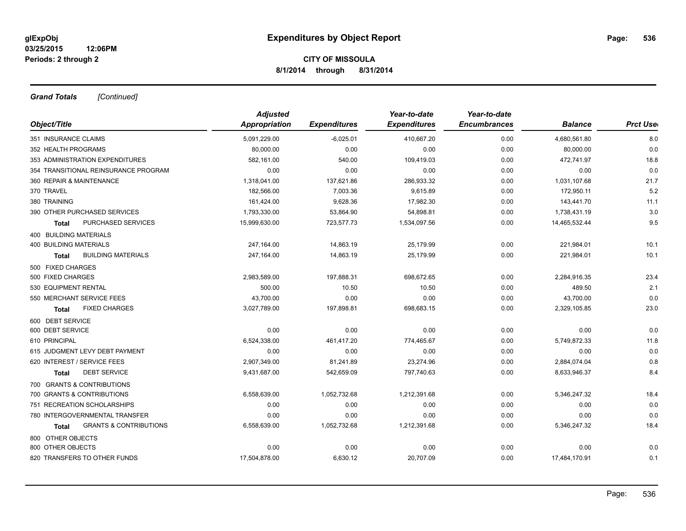*Grand Totals [Continued]*

|                                            | <b>Adjusted</b> |                     | Year-to-date        | Year-to-date        |                |                 |
|--------------------------------------------|-----------------|---------------------|---------------------|---------------------|----------------|-----------------|
| Object/Title                               | Appropriation   | <b>Expenditures</b> | <b>Expenditures</b> | <b>Encumbrances</b> | <b>Balance</b> | <b>Prct Use</b> |
| 351 INSURANCE CLAIMS                       | 5,091,229.00    | $-6,025.01$         | 410,667.20          | 0.00                | 4,680,561.80   | 8.0             |
| 352 HEALTH PROGRAMS                        | 80,000.00       | 0.00                | 0.00                | 0.00                | 80,000.00      | 0.0             |
| 353 ADMINISTRATION EXPENDITURES            | 582,161.00      | 540.00              | 109,419.03          | 0.00                | 472,741.97     | 18.8            |
| 354 TRANSITIONAL REINSURANCE PROGRAM       | 0.00            | 0.00                | 0.00                | 0.00                | 0.00           | 0.0             |
| 360 REPAIR & MAINTENANCE                   | 1,318,041.00    | 137,621.86          | 286,933.32          | 0.00                | 1,031,107.68   | 21.7            |
| 370 TRAVEL                                 | 182,566.00      | 7,003.36            | 9,615.89            | 0.00                | 172,950.11     | 5.2             |
| 380 TRAINING                               | 161,424.00      | 9,628.36            | 17,982.30           | 0.00                | 143,441.70     | 11.1            |
| 390 OTHER PURCHASED SERVICES               | 1,793,330.00    | 53,864.90           | 54,898.81           | 0.00                | 1,738,431.19   | 3.0             |
| <b>PURCHASED SERVICES</b><br>Total         | 15,999,630.00   | 723,577.73          | 1,534,097.56        | 0.00                | 14,465,532.44  | 9.5             |
| 400 BUILDING MATERIALS                     |                 |                     |                     |                     |                |                 |
| <b>400 BUILDING MATERIALS</b>              | 247,164.00      | 14,863.19           | 25,179.99           | 0.00                | 221,984.01     | 10.1            |
| <b>BUILDING MATERIALS</b><br><b>Total</b>  | 247,164.00      | 14,863.19           | 25,179.99           | 0.00                | 221,984.01     | 10.1            |
| 500 FIXED CHARGES                          |                 |                     |                     |                     |                |                 |
| 500 FIXED CHARGES                          | 2,983,589.00    | 197,888.31          | 698,672.65          | 0.00                | 2,284,916.35   | 23.4            |
| 530 EQUIPMENT RENTAL                       | 500.00          | 10.50               | 10.50               | 0.00                | 489.50         | 2.1             |
| 550 MERCHANT SERVICE FEES                  | 43,700.00       | 0.00                | 0.00                | 0.00                | 43,700.00      | 0.0             |
| <b>FIXED CHARGES</b><br><b>Total</b>       | 3,027,789.00    | 197,898.81          | 698,683.15          | 0.00                | 2,329,105.85   | 23.0            |
| 600 DEBT SERVICE                           |                 |                     |                     |                     |                |                 |
| 600 DEBT SERVICE                           | 0.00            | 0.00                | 0.00                | 0.00                | 0.00           | 0.0             |
| 610 PRINCIPAL                              | 6,524,338.00    | 461,417.20          | 774,465.67          | 0.00                | 5,749,872.33   | 11.8            |
| 615 JUDGMENT LEVY DEBT PAYMENT             | 0.00            | 0.00                | 0.00                | 0.00                | 0.00           | 0.0             |
| 620 INTEREST / SERVICE FEES                | 2,907,349.00    | 81,241.89           | 23,274.96           | 0.00                | 2,884,074.04   | 0.8             |
| <b>DEBT SERVICE</b><br><b>Total</b>        | 9,431,687.00    | 542,659.09          | 797,740.63          | 0.00                | 8,633,946.37   | 8.4             |
| 700 GRANTS & CONTRIBUTIONS                 |                 |                     |                     |                     |                |                 |
| 700 GRANTS & CONTRIBUTIONS                 | 6,558,639.00    | 1,052,732.68        | 1,212,391.68        | 0.00                | 5,346,247.32   | 18.4            |
| 751 RECREATION SCHOLARSHIPS                | 0.00            | 0.00                | 0.00                | 0.00                | 0.00           | 0.0             |
| 780 INTERGOVERNMENTAL TRANSFER             | 0.00            | 0.00                | 0.00                | 0.00                | 0.00           | 0.0             |
| <b>GRANTS &amp; CONTRIBUTIONS</b><br>Total | 6,558,639.00    | 1,052,732.68        | 1,212,391.68        | 0.00                | 5,346,247.32   | 18.4            |
| 800 OTHER OBJECTS                          |                 |                     |                     |                     |                |                 |
| 800 OTHER OBJECTS                          | 0.00            | 0.00                | 0.00                | 0.00                | 0.00           | 0.0             |
| 820 TRANSFERS TO OTHER FUNDS               | 17,504,878.00   | 6,630.12            | 20,707.09           | 0.00                | 17,484,170.91  | 0.1             |
|                                            |                 |                     |                     |                     |                |                 |